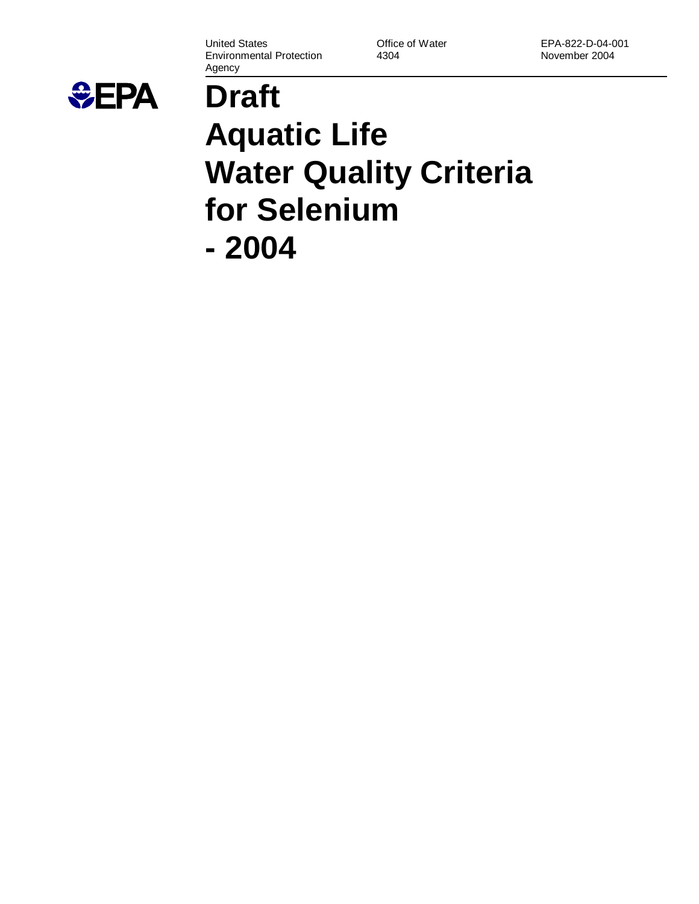United States Environmental Protection Agency

Office of Water 4304

EPA-822-D-04-001 November 2004



# **Draft Aquatic Life Water Quality Criteria for Selenium - 2004**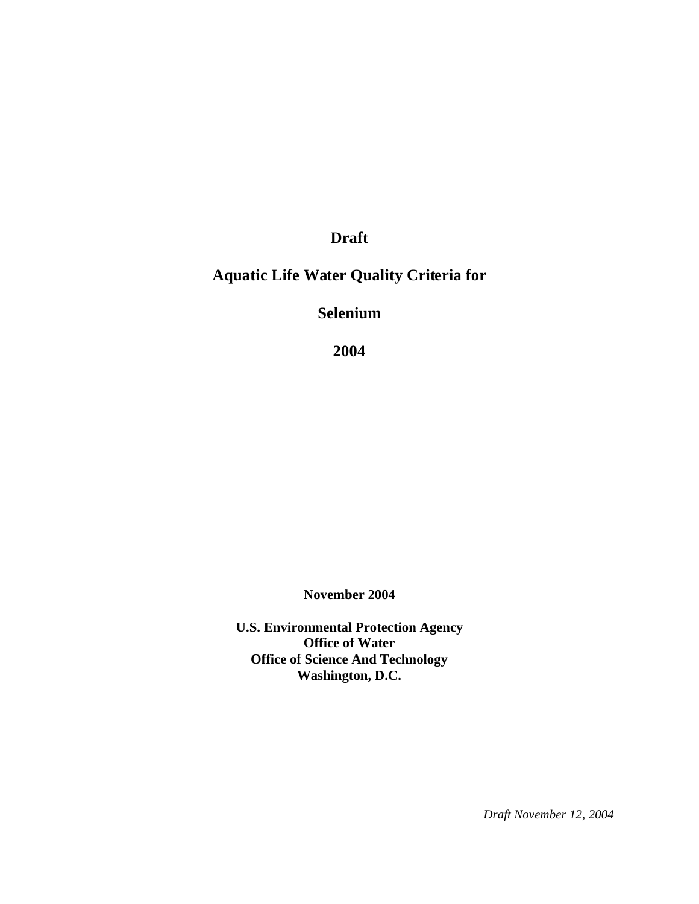**Draft**

## **Aquatic Life Water Quality Criteria for**

**Selenium**

**2004**

**November 2004**

**U.S. Environmental Protection Agency Office of Water Office of Science And Technology Washington, D.C.**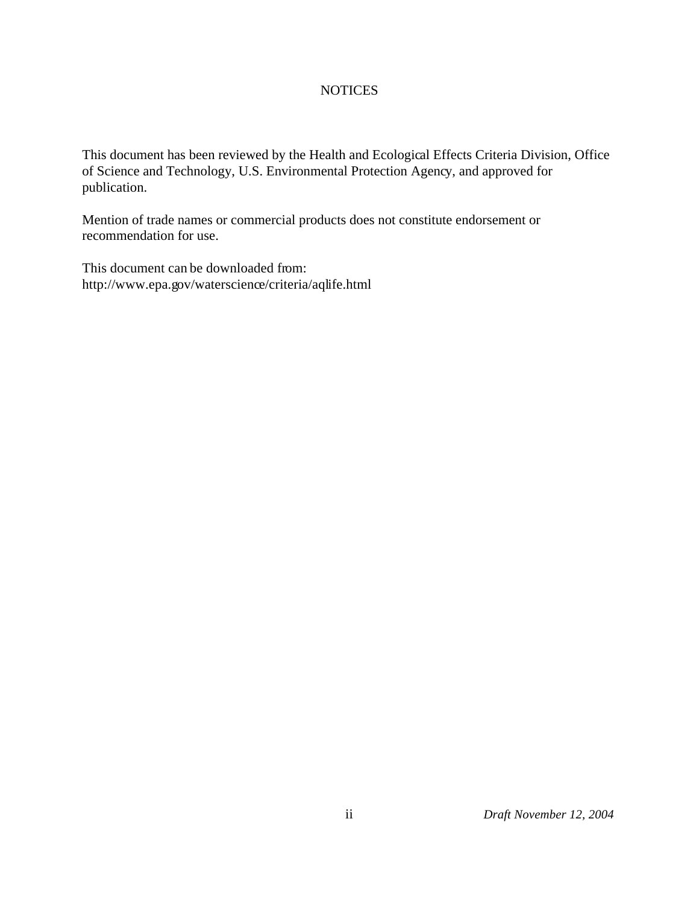## NOTICES

This document has been reviewed by the Health and Ecological Effects Criteria Division, Office of Science and Technology, U.S. Environmental Protection Agency, and approved for publication.

Mention of trade names or commercial products does not constitute endorsement or recommendation for use.

This document can be downloaded from: http://www.epa.gov/waterscience/criteria/aqlife.html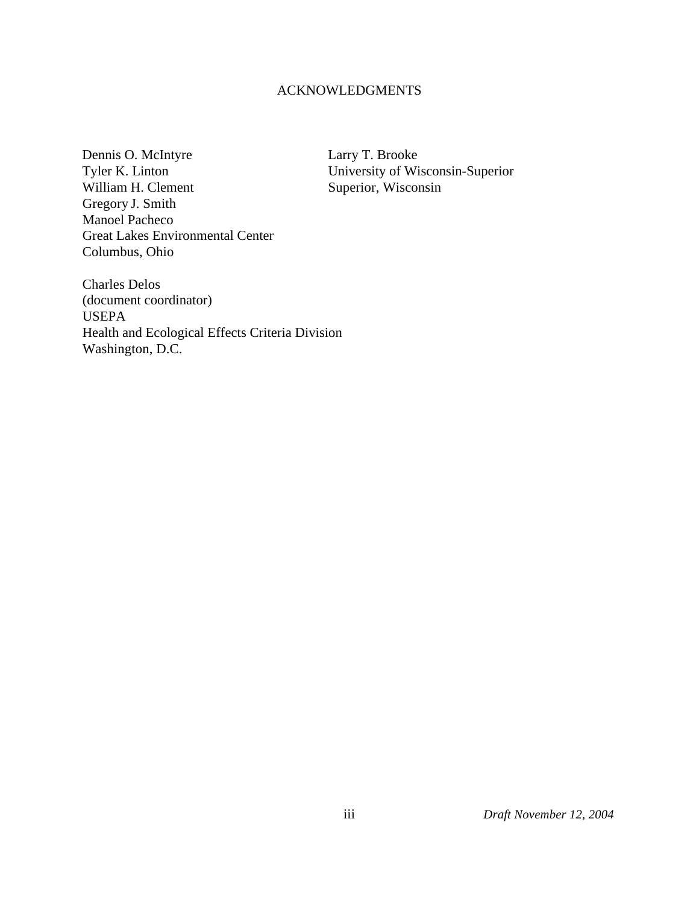### ACKNOWLEDGMENTS

Dennis O. McIntyre<br>
Tyler K. Linton<br>
University of Wi William H. Clement Gregory J. Smith Manoel Pacheco Great Lakes Environmental Center Columbus, Ohio

University of Wisconsin-Superior<br>Superior, Wisconsin

Charles Delos (document coordinator) USEPA Health and Ecological Effects Criteria Division Washington, D.C.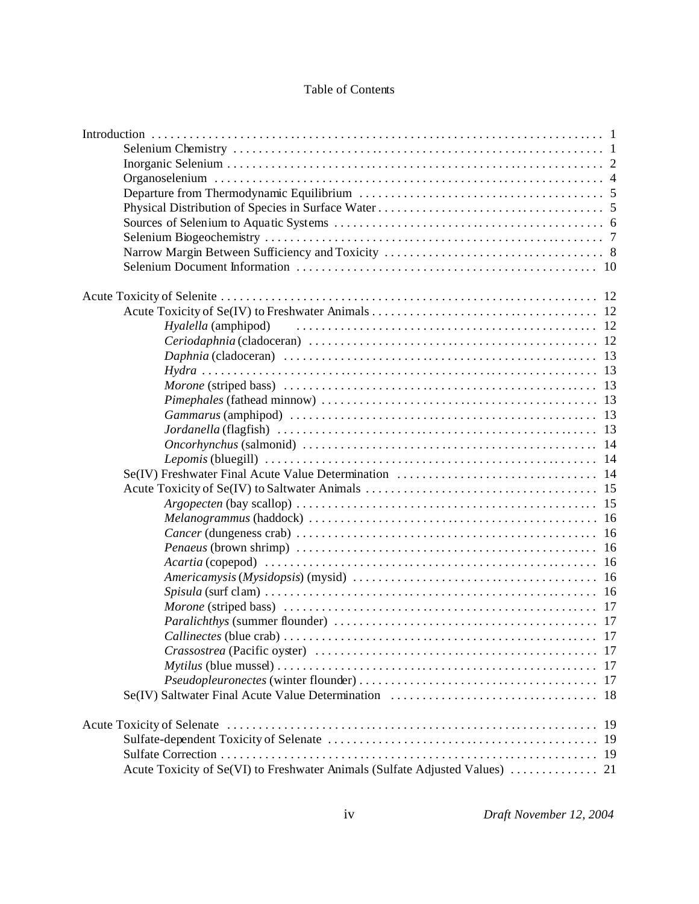## Table of Contents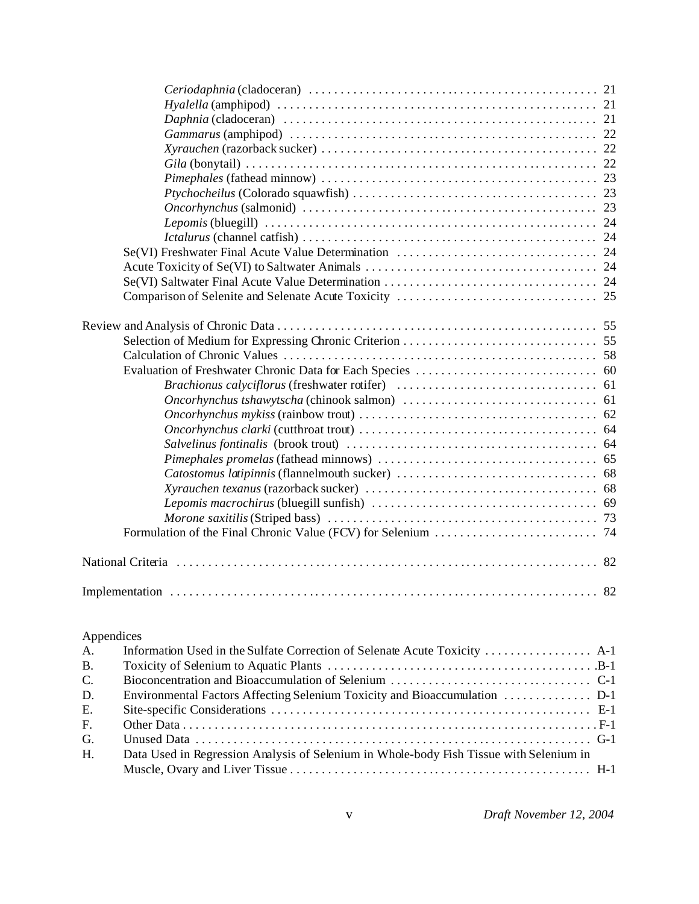|            | National Criteria (1990) (2008) (2008) (2009) (2008) (2009) (2009) (2009) (2009) (2009) (2009) (2009) (2009) ( |  |
|------------|----------------------------------------------------------------------------------------------------------------|--|
|            |                                                                                                                |  |
|            |                                                                                                                |  |
| Appendices |                                                                                                                |  |
| A.         | Information Used in the Sulfate Correction of Selenate Acute Toxicity  A-1                                     |  |
| <b>B.</b>  |                                                                                                                |  |
| C.         |                                                                                                                |  |
| D.         | Environmental Factors Affecting Selenium Toxicity and Bioaccumulation  D-1                                     |  |
| Ε.         |                                                                                                                |  |
| F.         |                                                                                                                |  |
| G.         |                                                                                                                |  |
| H.         | Data Used in Regression Analysis of Selenium in Whole-body Fish Tissue with Selenium in                        |  |
|            |                                                                                                                |  |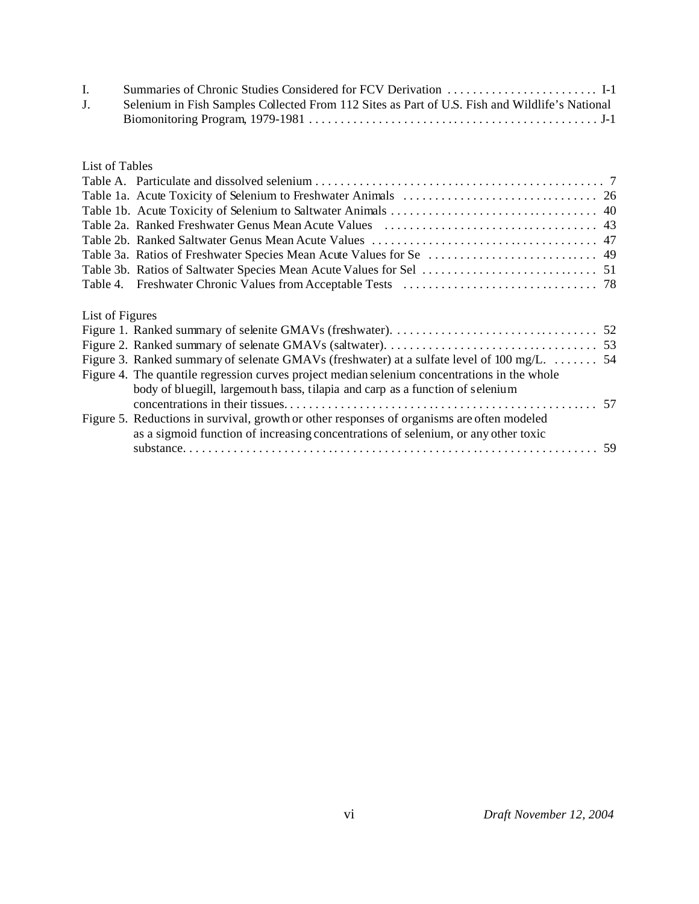| J. | Selenium in Fish Samples Collected From 112 Sites as Part of U.S. Fish and Wildlife's National |
|----|------------------------------------------------------------------------------------------------|
|    |                                                                                                |

## List of Tables

| List of Figures |                                                                                              |  |
|-----------------|----------------------------------------------------------------------------------------------|--|
|                 |                                                                                              |  |
|                 |                                                                                              |  |
|                 | Figure 3. Ranked summary of selenate GMAVs (freshwater) at a sulfate level of 100 mg/L. 54   |  |
|                 | Figure 4. The quantile regression curves project median selenium concentrations in the whole |  |
|                 | body of bluegill, largemouth bass, tilapia and carp as a function of selenium                |  |
|                 |                                                                                              |  |
|                 | Figure 5. Reductions in survival, growth or other responses of organisms are often modeled   |  |
|                 | as a sigmoid function of increasing concentrations of selenium, or any other toxic           |  |

substance. ................................................................. 59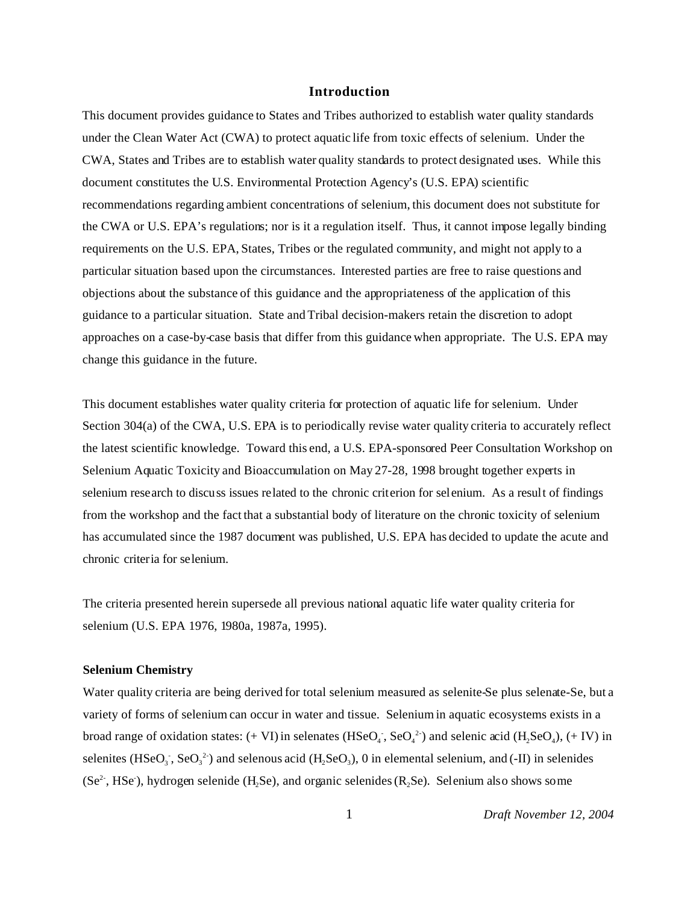#### **Introduction**

This document provides guidance to States and Tribes authorized to establish water quality standards under the Clean Water Act (CWA) to protect aquatic life from toxic effects of selenium. Under the CWA, States and Tribes are to establish water quality standards to protect designated uses. While this document constitutes the U.S. Environmental Protection Agency's (U.S. EPA) scientific recommendations regarding ambient concentrations of selenium, this document does not substitute for the CWA or U.S. EPA's regulations; nor is it a regulation itself. Thus, it cannot impose legally binding requirements on the U.S. EPA, States, Tribes or the regulated community, and might not apply to a particular situation based upon the circumstances. Interested parties are free to raise questions and objections about the substance of this guidance and the appropriateness of the application of this guidance to a particular situation. State and Tribal decision-makers retain the discretion to adopt approaches on a case-by-case basis that differ from this guidance when appropriate. The U.S. EPA may change this guidance in the future.

This document establishes water quality criteria for protection of aquatic life for selenium. Under Section 304(a) of the CWA, U.S. EPA is to periodically revise water quality criteria to accurately reflect the latest scientific knowledge. Toward this end, a U.S. EPA-sponsored Peer Consultation Workshop on Selenium Aquatic Toxicity and Bioaccumulation on May 27-28, 1998 brought together experts in selenium research to discuss issues related to the chronic criterion for selenium. As a result of findings from the workshop and the fact that a substantial body of literature on the chronic toxicity of selenium has accumulated since the 1987 document was published, U.S. EPA has decided to update the acute and chronic criteria for selenium.

The criteria presented herein supersede all previous national aquatic life water quality criteria for selenium (U.S. EPA 1976, 1980a, 1987a, 1995).

#### **Selenium Chemistry**

Water quality criteria are being derived for total selenium measured as selenite-Se plus selenate-Se, but a variety of forms of selenium can occur in water and tissue. Selenium in aquatic ecosystems exists in a broad range of oxidation states:  $(+ VI)$  in selenates  $(HSeO<sub>4</sub>$ ,  $SeO<sub>4</sub><sup>2</sup>)$  and selenic acid  $(H<sub>2</sub>SeO<sub>4</sub>)$ ,  $(+ IV)$  in selenites (HSeO<sub>3</sub>, SeO<sub>3</sub><sup>2</sup>) and selenous acid (H<sub>2</sub>SeO<sub>3</sub>), 0 in elemental selenium, and (-II) in selenides (Se<sup>2-</sup>, HSe), hydrogen selenide (H<sub>2</sub>Se), and organic selenides (R<sub>2</sub>Se). Selenium also shows some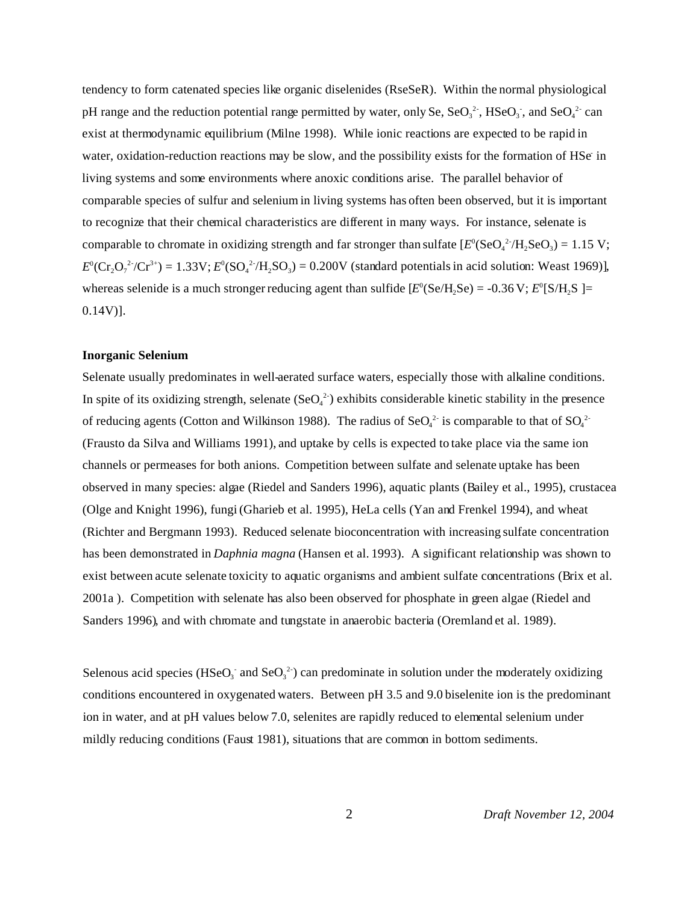tendency to form catenated species like organic diselenides (RseSeR). Within the normal physiological pH range and the reduction potential range permitted by water, only Se,  $\text{SeO}_3^2$ ,  $\text{HSeO}_3$ , and  $\text{SeO}_4^2$  can exist at thermodynamic equilibrium (Milne 1998). While ionic reactions are expected to be rapid in water, oxidation-reduction reactions may be slow, and the possibility exists for the formation of HSe in living systems and some environments where anoxic conditions arise. The parallel behavior of comparable species of sulfur and selenium in living systems has often been observed, but it is important to recognize that their chemical characteristics are different in many ways. For instance, selenate is comparable to chromate in oxidizing strength and far stronger than sulfate  $[E^0(\text{SeO}_4^2/H_2\text{SeO}_3) = 1.15 \text{ V};$  $E^0(Cr_2O_7^{2-}/Cr^{3+}) = 1.33V; E^0(SO_4^{2-}/H_2SO_3) = 0.200V$  (standard potentials in acid solution: Weast 1969)], whereas selenide is a much stronger reducing agent than sulfide  $[E^0(\text{Se/H}_2\text{Se}) = -0.36 \text{ V}; E^0[\text{S/H}_2\text{S}] =$  $0.14V$ ].

#### **Inorganic Selenium**

Selenate usually predominates in well-aerated surface waters, especially those with alkaline conditions. In spite of its oxidizing strength, selenate  $(SeO<sub>4</sub><sup>2</sup>)$  exhibits considerable kinetic stability in the presence of reducing agents (Cotton and Wilkinson 1988). The radius of  $\text{SeO}_4^{2-}$  is comparable to that of  $\text{SO}_4^{2-}$ (Frausto da Silva and Williams 1991), and uptake by cells is expected to take place via the same ion channels or permeases for both anions. Competition between sulfate and selenate uptake has been observed in many species: algae (Riedel and Sanders 1996), aquatic plants (Bailey et al., 1995), crustacea (Olge and Knight 1996), fungi (Gharieb et al. 1995), HeLa cells (Yan and Frenkel 1994), and wheat (Richter and Bergmann 1993). Reduced selenate bioconcentration with increasing sulfate concentration has been demonstrated in *Daphnia magna* (Hansen et al. 1993). A significant relationship was shown to exist between acute selenate toxicity to aquatic organisms and ambient sulfate concentrations (Brix et al. 2001a ). Competition with selenate has also been observed for phosphate in green algae (Riedel and Sanders 1996), and with chromate and tungstate in anaerobic bacteria (Oremland et al. 1989).

Selenous acid species (HSeO<sub>3</sub> and SeO<sub>3</sub><sup>2</sup>) can predominate in solution under the moderately oxidizing conditions encountered in oxygenated waters. Between pH 3.5 and 9.0 biselenite ion is the predominant ion in water, and at pH values below 7.0, selenites are rapidly reduced to elemental selenium under mildly reducing conditions (Faust 1981), situations that are common in bottom sediments.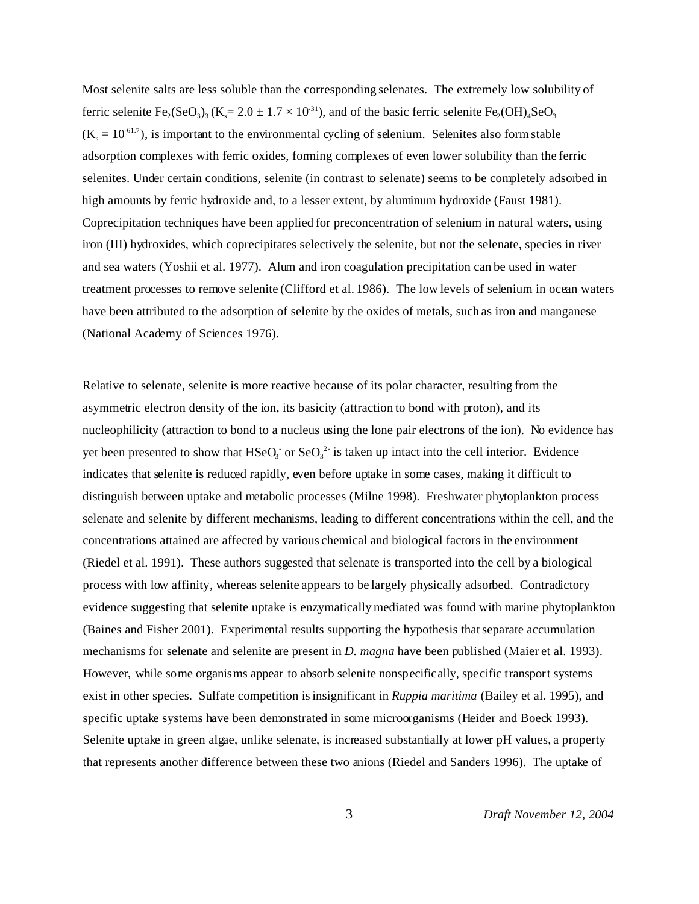Most selenite salts are less soluble than the corresponding selenates. The extremely low solubility of ferric selenite  $Fe_2(SeO_3)_3 (K_s = 2.0 \pm 1.7 \times 10^{31})$ , and of the basic ferric selenite  $Fe_2(OH)_4 SeO_3$  $(K_s = 10^{-61.7})$ , is important to the environmental cycling of selenium. Selenites also form stable adsorption complexes with ferric oxides, forming complexes of even lower solubility than the ferric selenites. Under certain conditions, selenite (in contrast to selenate) seems to be completely adsorbed in high amounts by ferric hydroxide and, to a lesser extent, by aluminum hydroxide (Faust 1981). Coprecipitation techniques have been applied for preconcentration of selenium in natural waters, using iron (III) hydroxides, which coprecipitates selectively the selenite, but not the selenate, species in river and sea waters (Yoshii et al. 1977). Alum and iron coagulation precipitation can be used in water treatment processes to remove selenite (Clifford et al. 1986). The low levels of selenium in ocean waters have been attributed to the adsorption of selenite by the oxides of metals, such as iron and manganese (National Academy of Sciences 1976).

Relative to selenate, selenite is more reactive because of its polar character, resulting from the asymmetric electron density of the ion, its basicity (attraction to bond with proton), and its nucleophilicity (attraction to bond to a nucleus using the lone pair electrons of the ion). No evidence has yet been presented to show that  $HSeq_3$  or  $Seq_3^2$  is taken up intact into the cell interior. Evidence indicates that selenite is reduced rapidly, even before uptake in some cases, making it difficult to distinguish between uptake and metabolic processes (Milne 1998). Freshwater phytoplankton process selenate and selenite by different mechanisms, leading to different concentrations within the cell, and the concentrations attained are affected by various chemical and biological factors in the environment (Riedel et al. 1991). These authors suggested that selenate is transported into the cell by a biological process with low affinity, whereas selenite appears to be largely physically adsorbed. Contradictory evidence suggesting that selenite uptake is enzymatically mediated was found with marine phytoplankton (Baines and Fisher 2001). Experimental results supporting the hypothesis that separate accumulation mechanisms for selenate and selenite are present in *D. magna* have been published (Maier et al. 1993). However, while some organisms appear to absorb selenite nonspecifically, specific transport systems exist in other species. Sulfate competition is insignificant in *Ruppia maritima* (Bailey et al. 1995), and specific uptake systems have been demonstrated in some microorganisms (Heider and Boeck 1993). Selenite uptake in green algae, unlike selenate, is increased substantially at lower pH values, a property that represents another difference between these two anions (Riedel and Sanders 1996). The uptake of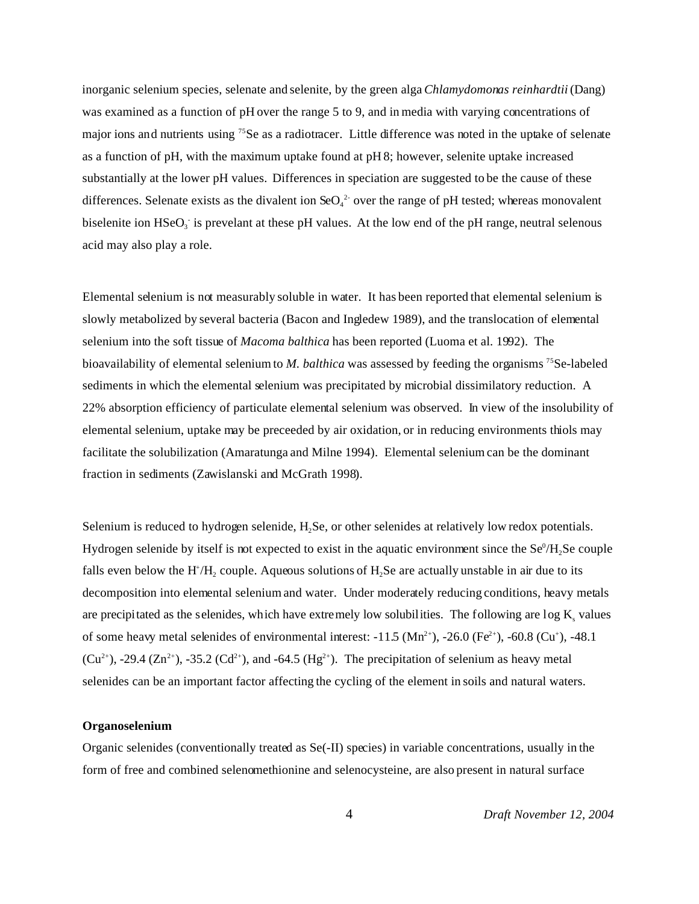inorganic selenium species, selenate and selenite, by the green alga *Chlamydomonas reinhardtii* (Dang) was examined as a function of pH over the range 5 to 9, and in media with varying concentrations of major ions and nutrients using <sup>75</sup>Se as a radiotracer. Little difference was noted in the uptake of selenate as a function of pH, with the maximum uptake found at pH 8; however, selenite uptake increased substantially at the lower pH values. Differences in speciation are suggested to be the cause of these differences. Selenate exists as the divalent ion  $\text{SeO}_4^2$  over the range of pH tested; whereas monovalent biselenite ion  $HSeq_3$  is prevelant at these pH values. At the low end of the pH range, neutral selenous acid may also play a role.

Elemental selenium is not measurably soluble in water. It has been reported that elemental selenium is slowly metabolized by several bacteria (Bacon and Ingledew 1989), and the translocation of elemental selenium into the soft tissue of *Macoma balthica* has been reported (Luoma et al. 1992). The bioavailability of elemental selenium to *M. balthica* was assessed by feeding the organisms <sup>75</sup>Se-labeled sediments in which the elemental selenium was precipitated by microbial dissimilatory reduction. A 22% absorption efficiency of particulate elemental selenium was observed. In view of the insolubility of elemental selenium, uptake may be preceeded by air oxidation, or in reducing environments thiols may facilitate the solubilization (Amaratunga and Milne 1994). Elemental selenium can be the dominant fraction in sediments (Zawislanski and McGrath 1998).

Selenium is reduced to hydrogen selenide, H<sub>2</sub>Se, or other selenides at relatively low redox potentials. Hydrogen selenide by itself is not expected to exist in the aquatic environment since the  $\text{Se}^0/\text{H}_2\text{Se}$  couple falls even below the  $H^{\dagger}/H_2$  couple. Aqueous solutions of  $H_2$ Se are actually unstable in air due to its decomposition into elemental selenium and water. Under moderately reducing conditions, heavy metals are precipitated as the selenides, which have extremely low solubilities. The following are  $\log K_s$  values of some heavy metal selenides of environmental interest:  $-11.5$  (Mn<sup>2+</sup>),  $-26.0$  (Fe<sup>2+</sup>),  $-60.8$  (Cu<sup>+</sup>),  $-48.1$  $(Cu^{2+})$ , -29.4  $(Zn^{2+})$ , -35.2  $(Cd^{2+})$ , and -64.5  $(Hg^{2+})$ . The precipitation of selenium as heavy metal selenides can be an important factor affecting the cycling of the element in soils and natural waters.

#### **Organoselenium**

Organic selenides (conventionally treated as Se(-II) species) in variable concentrations, usually in the form of free and combined selenomethionine and selenocysteine, are also present in natural surface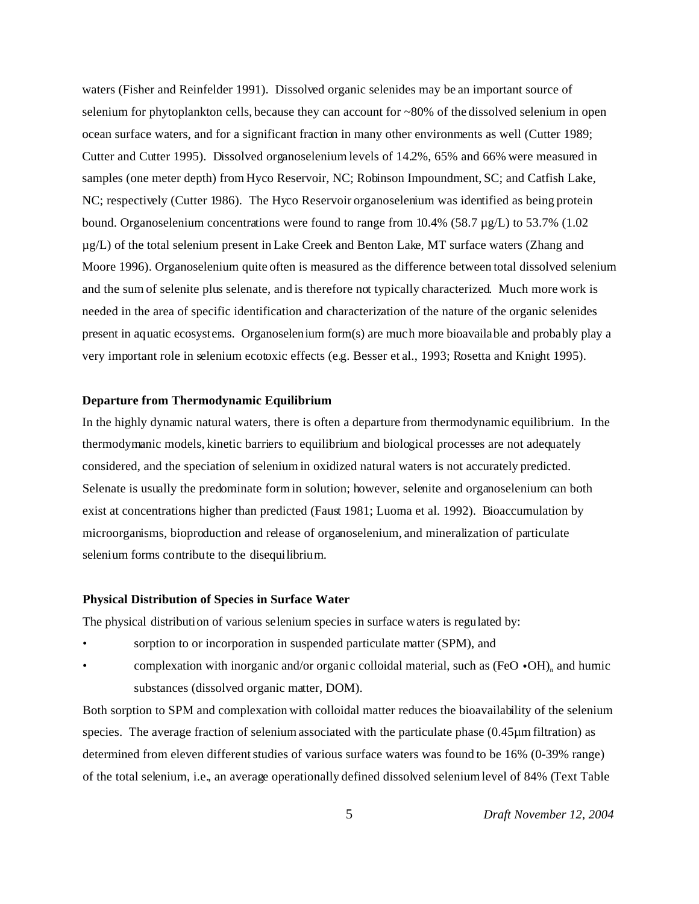waters (Fisher and Reinfelder 1991). Dissolved organic selenides may be an important source of selenium for phytoplankton cells, because they can account for ~80% of the dissolved selenium in open ocean surface waters, and for a significant fraction in many other environments as well (Cutter 1989; Cutter and Cutter 1995). Dissolved organoselenium levels of 14.2%, 65% and 66% were measured in samples (one meter depth) from Hyco Reservoir, NC; Robinson Impoundment, SC; and Catfish Lake, NC; respectively (Cutter 1986). The Hyco Reservoir organoselenium was identified as being protein bound. Organoselenium concentrations were found to range from 10.4% (58.7 µg/L) to 53.7% (1.02 µg/L) of the total selenium present in Lake Creek and Benton Lake, MT surface waters (Zhang and Moore 1996). Organoselenium quite often is measured as the difference between total dissolved selenium and the sum of selenite plus selenate, and is therefore not typically characterized. Much more work is needed in the area of specific identification and characterization of the nature of the organic selenides present in aquatic ecosystems. Organoselenium form(s) are much more bioavailable and probably play a very important role in selenium ecotoxic effects (e.g. Besser et al., 1993; Rosetta and Knight 1995).

#### **Departure from Thermodynamic Equilibrium**

In the highly dynamic natural waters, there is often a departure from thermodynamic equilibrium. In the thermodymanic models, kinetic barriers to equilibrium and biological processes are not adequately considered, and the speciation of selenium in oxidized natural waters is not accurately predicted. Selenate is usually the predominate form in solution; however, selenite and organoselenium can both exist at concentrations higher than predicted (Faust 1981; Luoma et al. 1992). Bioaccumulation by microorganisms, bioproduction and release of organoselenium, and mineralization of particulate selenium forms contribute to the disequilibrium.

#### **Physical Distribution of Species in Surface Water**

The physical distribution of various selenium species in surface waters is regulated by:

- sorption to or incorporation in suspended particulate matter (SPM), and
- complexation with inorganic and/or organic colloidal material, such as  $(FeO \cdot OH)_{n}$  and humic substances (dissolved organic matter, DOM).

Both sorption to SPM and complexation with colloidal matter reduces the bioavailability of the selenium species. The average fraction of selenium associated with the particulate phase (0.45µm filtration) as determined from eleven different studies of various surface waters was found to be 16% (0-39% range) of the total selenium, i.e., an average operationally defined dissolved selenium level of 84% (Text Table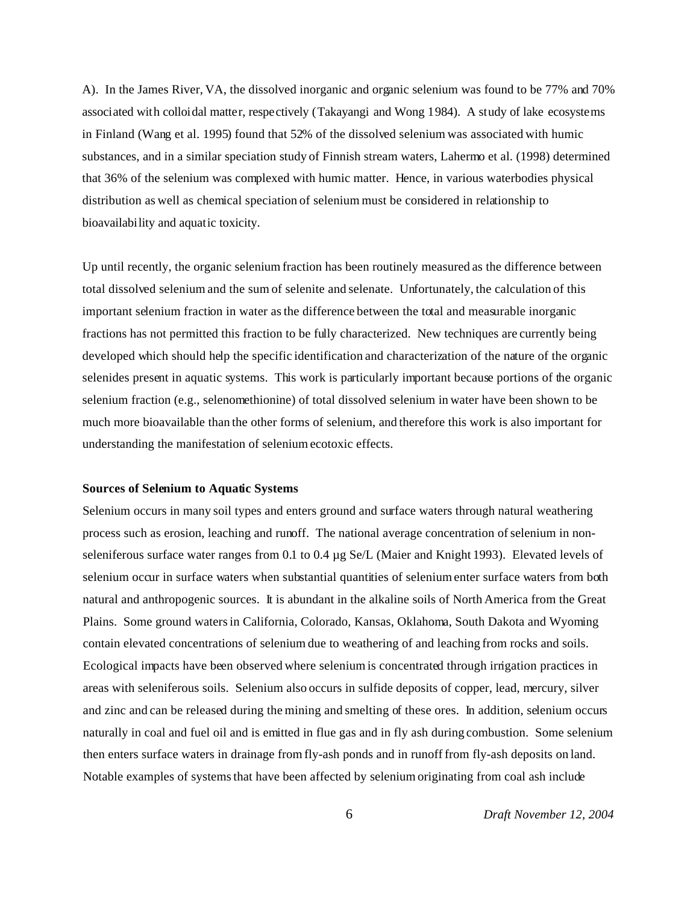A). In the James River, VA, the dissolved inorganic and organic selenium was found to be 77% and 70% associated with colloidal matter, respectively (Takayangi and Wong 1984). A study of lake ecosystems in Finland (Wang et al. 1995) found that 52% of the dissolved selenium was associated with humic substances, and in a similar speciation study of Finnish stream waters, Lahermo et al. (1998) determined that 36% of the selenium was complexed with humic matter. Hence, in various waterbodies physical distribution as well as chemical speciation of selenium must be considered in relationship to bioavailability and aquatic toxicity.

Up until recently, the organic selenium fraction has been routinely measured as the difference between total dissolved selenium and the sum of selenite and selenate. Unfortunately, the calculation of this important selenium fraction in water as the difference between the total and measurable inorganic fractions has not permitted this fraction to be fully characterized. New techniques are currently being developed which should help the specific identification and characterization of the nature of the organic selenides present in aquatic systems. This work is particularly important because portions of the organic selenium fraction (e.g., selenomethionine) of total dissolved selenium in water have been shown to be much more bioavailable than the other forms of selenium, and therefore this work is also important for understanding the manifestation of selenium ecotoxic effects.

#### **Sources of Selenium to Aquatic Systems**

Selenium occurs in many soil types and enters ground and surface waters through natural weathering process such as erosion, leaching and runoff. The national average concentration of selenium in nonseleniferous surface water ranges from 0.1 to 0.4 µg Se/L (Maier and Knight 1993). Elevated levels of selenium occur in surface waters when substantial quantities of selenium enter surface waters from both natural and anthropogenic sources. It is abundant in the alkaline soils of North America from the Great Plains. Some ground waters in California, Colorado, Kansas, Oklahoma, South Dakota and Wyoming contain elevated concentrations of selenium due to weathering of and leaching from rocks and soils. Ecological impacts have been observed where selenium is concentrated through irrigation practices in areas with seleniferous soils. Selenium also occurs in sulfide deposits of copper, lead, mercury, silver and zinc and can be released during the mining and smelting of these ores. In addition, selenium occurs naturally in coal and fuel oil and is emitted in flue gas and in fly ash during combustion. Some selenium then enters surface waters in drainage from fly-ash ponds and in runoff from fly-ash deposits on land. Notable examples of systems that have been affected by selenium originating from coal ash include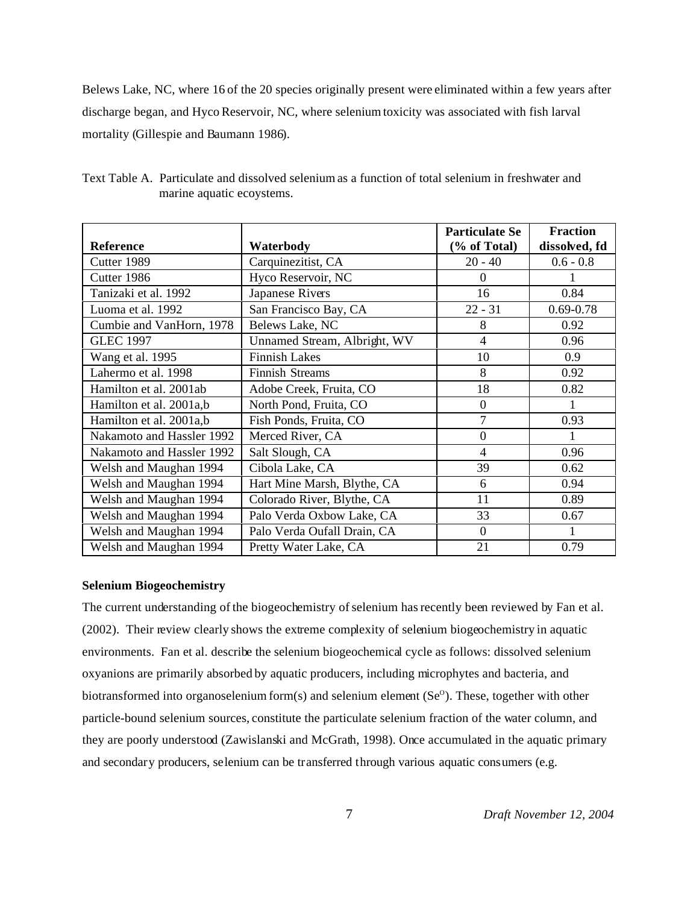Belews Lake, NC, where 16 of the 20 species originally present were eliminated within a few years after discharge began, and Hyco Reservoir, NC, where selenium toxicity was associated with fish larval mortality (Gillespie and Baumann 1986).

|                           |                              | <b>Particulate Se</b> | <b>Fraction</b> |
|---------------------------|------------------------------|-----------------------|-----------------|
| <b>Reference</b>          | Waterbody                    | (% of Total)          | dissolved, fd   |
| Cutter 1989               | Carquinezitist, CA           | $20 - 40$             | $0.6 - 0.8$     |
| Cutter 1986               | Hyco Reservoir, NC           | $\Omega$              |                 |
| Tanizaki et al. 1992      | Japanese Rivers              | 16                    | 0.84            |
| Luoma et al. 1992         | San Francisco Bay, CA        | $22 - 31$             | $0.69 - 0.78$   |
| Cumbie and VanHorn, 1978  | Belews Lake, NC              | 8                     | 0.92            |
| <b>GLEC 1997</b>          | Unnamed Stream, Albright, WV | 4                     | 0.96            |
| Wang et al. 1995          | <b>Finnish Lakes</b>         | 10                    | 0.9             |
| Lahermo et al. 1998       | <b>Finnish Streams</b>       | 8                     | 0.92            |
| Hamilton et al. 2001ab    | Adobe Creek, Fruita, CO      | 18                    | 0.82            |
| Hamilton et al. 2001a,b   | North Pond, Fruita, CO       | $\boldsymbol{0}$      |                 |
| Hamilton et al. 2001a,b   | Fish Ponds, Fruita, CO       | 7                     | 0.93            |
| Nakamoto and Hassler 1992 | Merced River, CA             | $\boldsymbol{0}$      | 1               |
| Nakamoto and Hassler 1992 | Salt Slough, CA              | 4                     | 0.96            |
| Welsh and Maughan 1994    | Cibola Lake, CA              | 39                    | 0.62            |
| Welsh and Maughan 1994    | Hart Mine Marsh, Blythe, CA  | 6                     | 0.94            |
| Welsh and Maughan 1994    | Colorado River, Blythe, CA   | 11                    | 0.89            |
| Welsh and Maughan 1994    | Palo Verda Oxbow Lake, CA    | 33                    | 0.67            |
| Welsh and Maughan 1994    | Palo Verda Oufall Drain, CA  | $\boldsymbol{0}$      |                 |
| Welsh and Maughan 1994    | Pretty Water Lake, CA        | 21                    | 0.79            |

Text Table A. Particulate and dissolved selenium as a function of total selenium in freshwater and marine aquatic ecoystems.

#### **Selenium Biogeochemistry**

The current understanding of the biogeochemistry of selenium has recently been reviewed by Fan et al. (2002). Their review clearly shows the extreme complexity of selenium biogeochemistry in aquatic environments. Fan et al. describe the selenium biogeochemical cycle as follows: dissolved selenium oxyanions are primarily absorbed by aquatic producers, including microphytes and bacteria, and biotransformed into organoselenium form(s) and selenium element (Se $^{\circ}$ ). These, together with other particle-bound selenium sources, constitute the particulate selenium fraction of the water column, and they are poorly understood (Zawislanski and McGrath, 1998). Once accumulated in the aquatic primary and secondary producers, selenium can be transferred through various aquatic consumers (e.g.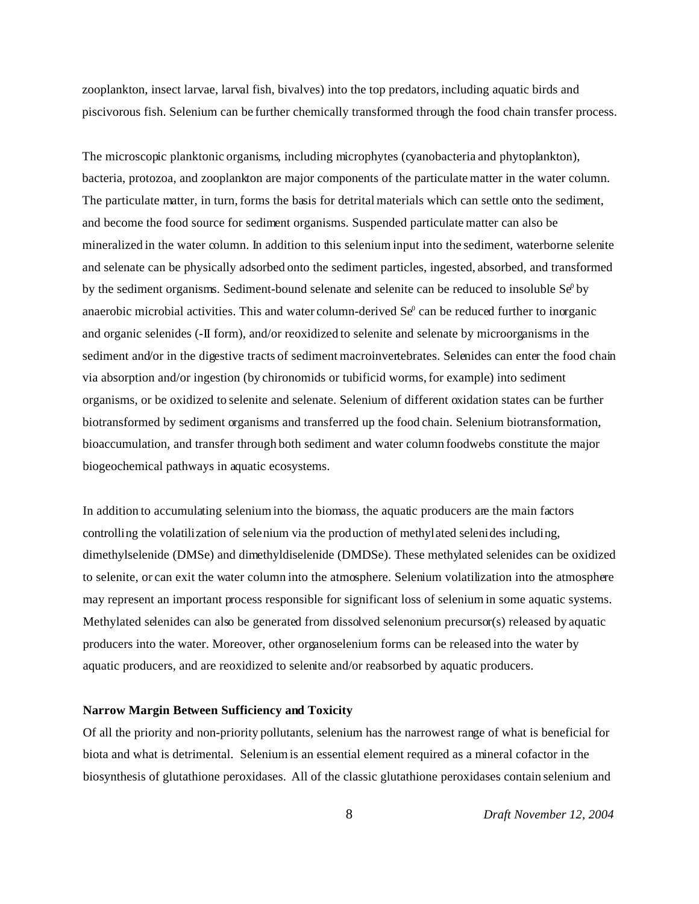zooplankton, insect larvae, larval fish, bivalves) into the top predators, including aquatic birds and piscivorous fish. Selenium can be further chemically transformed through the food chain transfer process.

The microscopic planktonic organisms, including microphytes (cyanobacteria and phytoplankton), bacteria, protozoa, and zooplankton are major components of the particulate matter in the water column. The particulate matter, in turn, forms the basis for detrital materials which can settle onto the sediment, and become the food source for sediment organisms. Suspended particulate matter can also be mineralized in the water column. In addition to this selenium input into the sediment, waterborne selenite and selenate can be physically adsorbed onto the sediment particles, ingested, absorbed, and transformed by the sediment organisms. Sediment-bound selenate and selenite can be reduced to insoluble  $Se^0$  by anaerobic microbial activities. This and water column-derived  $Se^{\theta}$  can be reduced further to inorganic and organic selenides (-II form), and/or reoxidized to selenite and selenate by microorganisms in the sediment and/or in the digestive tracts of sediment macroinvertebrates. Selenides can enter the food chain via absorption and/or ingestion (by chironomids or tubificid worms, for example) into sediment organisms, or be oxidized to selenite and selenate. Selenium of different oxidation states can be further biotransformed by sediment organisms and transferred up the food chain. Selenium biotransformation, bioaccumulation, and transfer through both sediment and water column foodwebs constitute the major biogeochemical pathways in aquatic ecosystems.

In addition to accumulating selenium into the biomass, the aquatic producers are the main factors controlling the volatilization of selenium via the production of methylated selenides including, dimethylselenide (DMSe) and dimethyldiselenide (DMDSe). These methylated selenides can be oxidized to selenite, or can exit the water column into the atmosphere. Selenium volatilization into the atmosphere may represent an important process responsible for significant loss of selenium in some aquatic systems. Methylated selenides can also be generated from dissolved selenonium precursor(s) released by aquatic producers into the water. Moreover, other organoselenium forms can be released into the water by aquatic producers, and are reoxidized to selenite and/or reabsorbed by aquatic producers.

#### **Narrow Margin Between Sufficiency and Toxicity**

Of all the priority and non-priority pollutants, selenium has the narrowest range of what is beneficial for biota and what is detrimental. Selenium is an essential element required as a mineral cofactor in the biosynthesis of glutathione peroxidases. All of the classic glutathione peroxidases contain selenium and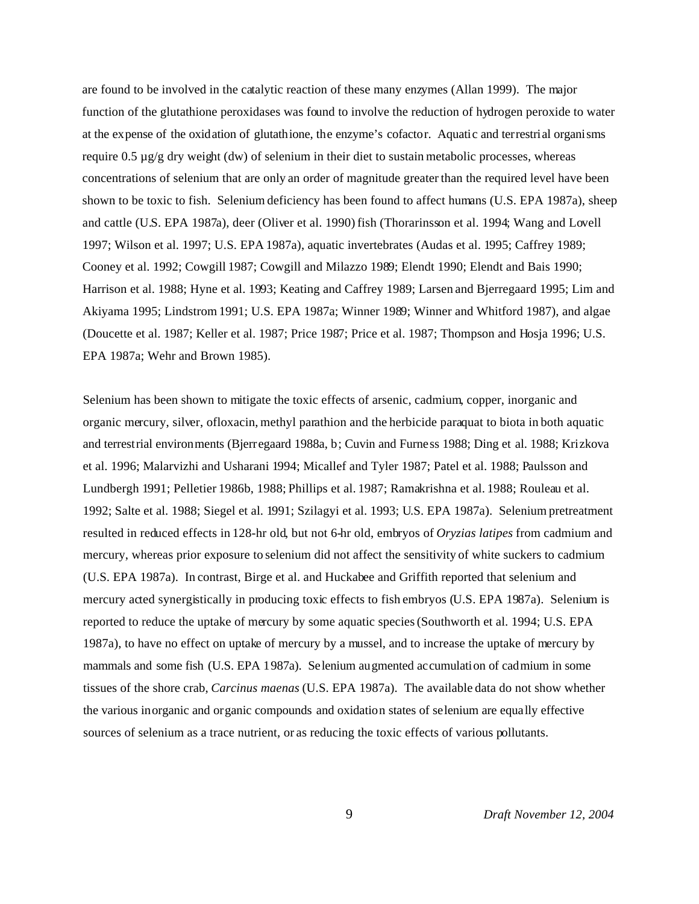are found to be involved in the catalytic reaction of these many enzymes (Allan 1999). The major function of the glutathione peroxidases was found to involve the reduction of hydrogen peroxide to water at the expense of the oxidation of glutathione, the enzyme's cofactor. Aquatic and terrestrial organisms require 0.5  $\mu$ g/g dry weight (dw) of selenium in their diet to sustain metabolic processes, whereas concentrations of selenium that are only an order of magnitude greater than the required level have been shown to be toxic to fish. Selenium deficiency has been found to affect humans (U.S. EPA 1987a), sheep and cattle (U.S. EPA 1987a), deer (Oliver et al. 1990) fish (Thorarinsson et al. 1994; Wang and Lovell 1997; Wilson et al. 1997; U.S. EPA 1987a), aquatic invertebrates (Audas et al. 1995; Caffrey 1989; Cooney et al. 1992; Cowgill 1987; Cowgill and Milazzo 1989; Elendt 1990; Elendt and Bais 1990; Harrison et al. 1988; Hyne et al. 1993; Keating and Caffrey 1989; Larsen and Bjerregaard 1995; Lim and Akiyama 1995; Lindstrom 1991; U.S. EPA 1987a; Winner 1989; Winner and Whitford 1987), and algae (Doucette et al. 1987; Keller et al. 1987; Price 1987; Price et al. 1987; Thompson and Hosja 1996; U.S. EPA 1987a; Wehr and Brown 1985).

Selenium has been shown to mitigate the toxic effects of arsenic, cadmium, copper, inorganic and organic mercury, silver, ofloxacin, methyl parathion and the herbicide paraquat to biota in both aquatic and terrestrial environments (Bjerregaard 1988a, b; Cuvin and Furness 1988; Ding et al. 1988; Krizkova et al. 1996; Malarvizhi and Usharani 1994; Micallef and Tyler 1987; Patel et al. 1988; Paulsson and Lundbergh 1991; Pelletier 1986b, 1988; Phillips et al. 1987; Ramakrishna et al. 1988; Rouleau et al. 1992; Salte et al. 1988; Siegel et al. 1991; Szilagyi et al. 1993; U.S. EPA 1987a). Selenium pretreatment resulted in reduced effects in 128-hr old, but not 6-hr old, embryos of *Oryzias latipes* from cadmium and mercury, whereas prior exposure to selenium did not affect the sensitivity of white suckers to cadmium (U.S. EPA 1987a). In contrast, Birge et al. and Huckabee and Griffith reported that selenium and mercury acted synergistically in producing toxic effects to fish embryos (U.S. EPA 1987a). Selenium is reported to reduce the uptake of mercury by some aquatic species (Southworth et al. 1994; U.S. EPA 1987a), to have no effect on uptake of mercury by a mussel, and to increase the uptake of mercury by mammals and some fish (U.S. EPA 1987a). Selenium augmented accumulation of cadmium in some tissues of the shore crab, *Carcinus maenas* (U.S. EPA 1987a). The available data do not show whether the various inorganic and organic compounds and oxidation states of selenium are equally effective sources of selenium as a trace nutrient, or as reducing the toxic effects of various pollutants.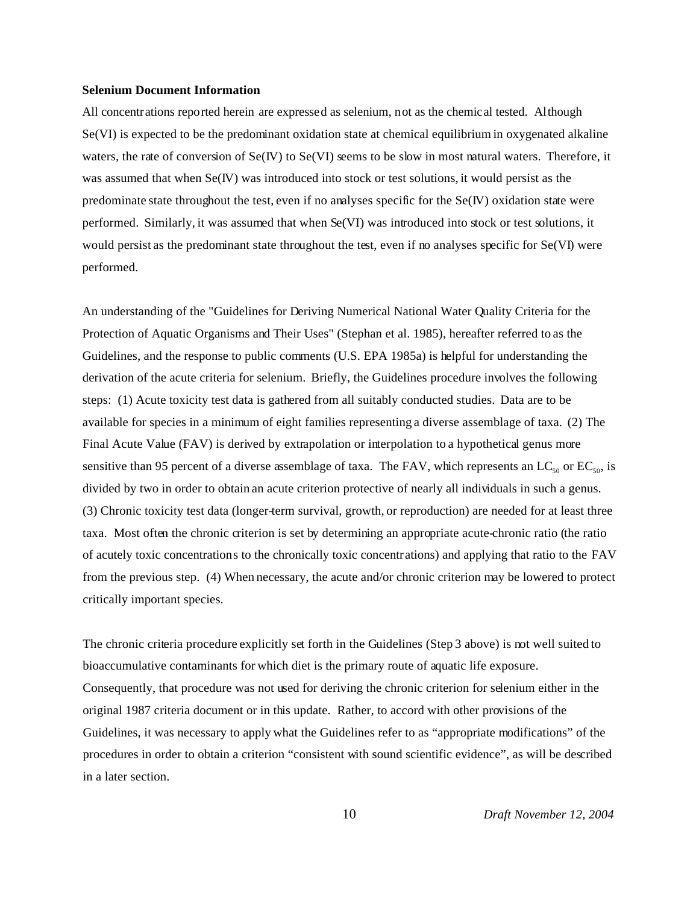#### **Selenium Document Information**

All concentrations reported herein are expressed as selenium, not as the chemical tested. Although Se(VI) is expected to be the predominant oxidation state at chemical equilibrium in oxygenated alkaline waters, the rate of conversion of  $Se(V)$  to  $Se(V)$  seems to be slow in most natural waters. Therefore, it was assumed that when Se(IV) was introduced into stock or test solutions, it would persist as the predominate state throughout the test, even if no analyses specific for the Se(IV) oxidation state were performed. Similarly, it was assumed that when Se(VI) was introduced into stock or test solutions, it would persist as the predominant state throughout the test, even if no analyses specific for Se(VI) were performed.

An understanding of the "Guidelines for Deriving Numerical National Water Quality Criteria for the Protection of Aquatic Organisms and Their Uses" (Stephan et al. 1985), hereafter referred to as the Guidelines, and the response to public comments (U.S. EPA 1985a) is helpful for understanding the derivation of the acute criteria for selenium. Briefly, the Guidelines procedure involves the following steps: (1) Acute toxicity test data is gathered from all suitably conducted studies. Data are to be available for species in a minimum of eight families representing a diverse assemblage of taxa. (2) The Final Acute Value (FAV) is derived by extrapolation or interpolation to a hypothetical genus more sensitive than 95 percent of a diverse assemblage of taxa. The FAV, which represents an  $LC_{50}$  or  $EC_{50}$ , is divided by two in order to obtain an acute criterion protective of nearly all individuals in such a genus. (3) Chronic toxicity test data (longer-term survival, growth, or reproduction) are needed for at least three taxa. Most often the chronic criterion is set by determining an appropriate acute-chronic ratio (the ratio of acutely toxic concentrations to the chronically toxic concentrations) and applying that ratio to the FAV from the previous step. (4) When necessary, the acute and/or chronic criterion may be lowered to protect critically important species.

The chronic criteria procedure explicitly set forth in the Guidelines (Step 3 above) is not well suited to bioaccumulative contaminants for which diet is the primary route of aquatic life exposure. Consequently, that procedure was not used for deriving the chronic criterion for selenium either in the original 1987 criteria document or in this update. Rather, to accord with other provisions of the Guidelines, it was necessary to apply what the Guidelines refer to as "appropriate modifications" of the procedures in order to obtain a criterion "consistent with sound scientific evidence", as will be described in a later section.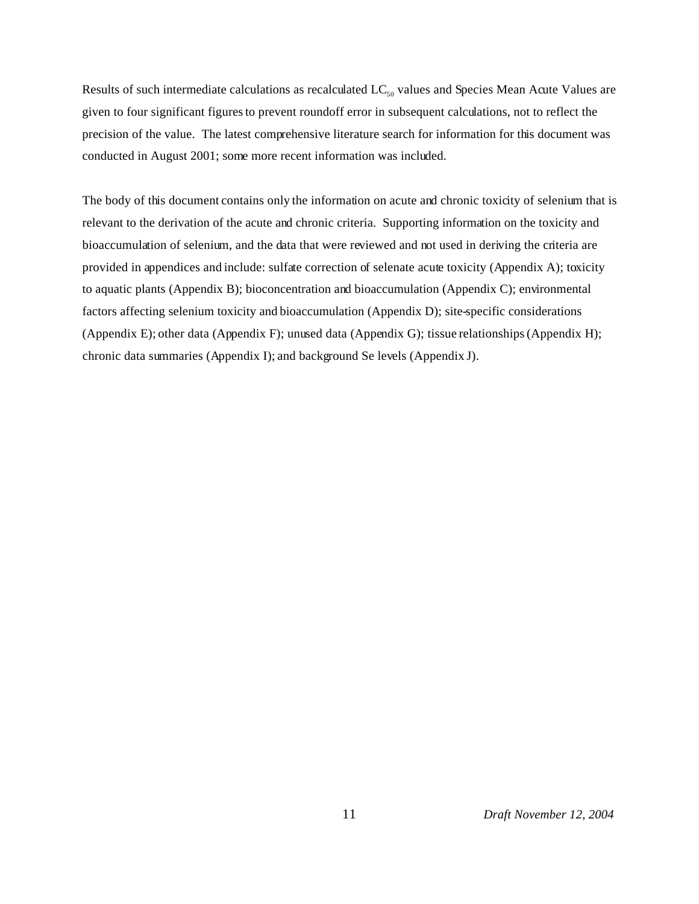Results of such intermediate calculations as recalculated  $LC_{50}$  values and Species Mean Acute Values are given to four significant figures to prevent roundoff error in subsequent calculations, not to reflect the precision of the value. The latest comprehensive literature search for information for this document was conducted in August 2001; some more recent information was included.

The body of this document contains only the information on acute and chronic toxicity of selenium that is relevant to the derivation of the acute and chronic criteria. Supporting information on the toxicity and bioaccumulation of selenium, and the data that were reviewed and not used in deriving the criteria are provided in appendices and include: sulfate correction of selenate acute toxicity (Appendix A); toxicity to aquatic plants (Appendix B); bioconcentration and bioaccumulation (Appendix C); environmental factors affecting selenium toxicity and bioaccumulation (Appendix D); site-specific considerations (Appendix E); other data (Appendix F); unused data (Appendix G); tissue relationships (Appendix H); chronic data summaries (Appendix I); and background Se levels (Appendix J).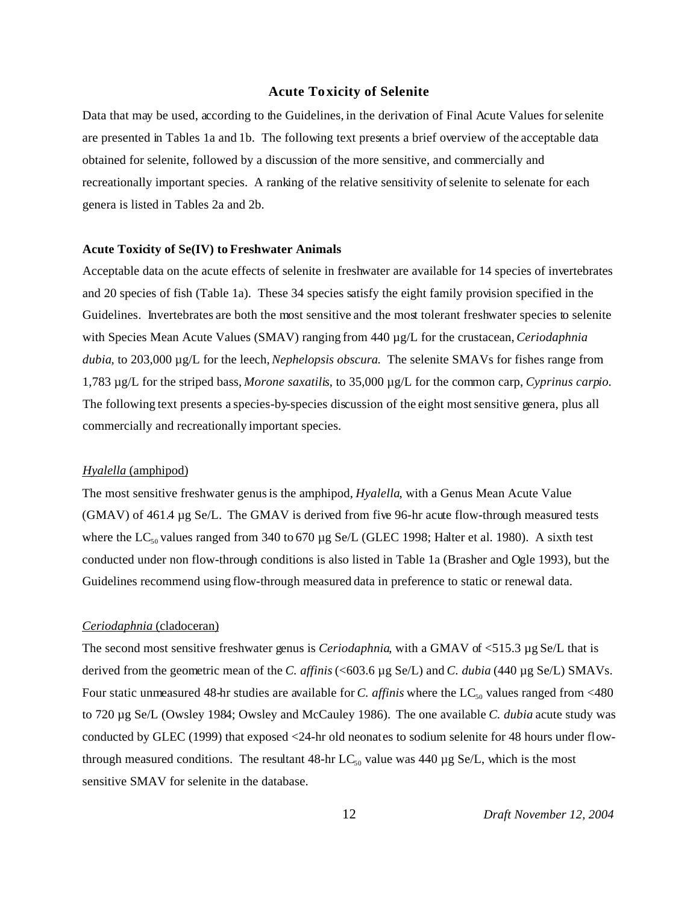#### **Acute Toxicity of Selenite**

Data that may be used, according to the Guidelines, in the derivation of Final Acute Values for selenite are presented in Tables 1a and 1b. The following text presents a brief overview of the acceptable data obtained for selenite, followed by a discussion of the more sensitive, and commercially and recreationally important species. A ranking of the relative sensitivity of selenite to selenate for each genera is listed in Tables 2a and 2b.

#### **Acute Toxicity of Se(IV) to Freshwater Animals**

Acceptable data on the acute effects of selenite in freshwater are available for 14 species of invertebrates and 20 species of fish (Table 1a). These 34 species satisfy the eight family provision specified in the Guidelines. Invertebrates are both the most sensitive and the most tolerant freshwater species to selenite with Species Mean Acute Values (SMAV) ranging from 440 µg/L for the crustacean, *Ceriodaphnia dubia*, to 203,000 µg/L for the leech, *Nephelopsis obscura*. The selenite SMAVs for fishes range from 1,783 µg/L for the striped bass, *Morone saxatilis*, to 35,000 µg/L for the common carp, *Cyprinus carpio*. The following text presents a species-by-species discussion of the eight most sensitive genera, plus all commercially and recreationally important species.

#### *Hyalella* (amphipod)

The most sensitive freshwater genus is the amphipod, *Hyalella*, with a Genus Mean Acute Value (GMAV) of 461.4 µg Se/L. The GMAV is derived from five 96-hr acute flow-through measured tests where the  $LC_{50}$  values ranged from 340 to 670 µg Se/L (GLEC 1998; Halter et al. 1980). A sixth test conducted under non flow-through conditions is also listed in Table 1a (Brasher and Ogle 1993), but the Guidelines recommend using flow-through measured data in preference to static or renewal data.

#### *Ceriodaphnia* (cladoceran)

The second most sensitive freshwater genus is *Ceriodaphnia*, with a GMAV of <515.3 µg Se/L that is derived from the geometric mean of the *C. affinis* (<603.6 µg Se/L) and *C. dubia* (440 µg Se/L) SMAVs. Four static unmeasured 48-hr studies are available for *C. affinis* where the  $LC_{50}$  values ranged from <480 to 720 µg Se/L (Owsley 1984; Owsley and McCauley 1986). The one available *C. dubia* acute study was conducted by GLEC (1999) that exposed <24-hr old neonates to sodium selenite for 48 hours under flowthrough measured conditions. The resultant 48-hr  $LC_{50}$  value was 440 µg Se/L, which is the most sensitive SMAV for selenite in the database.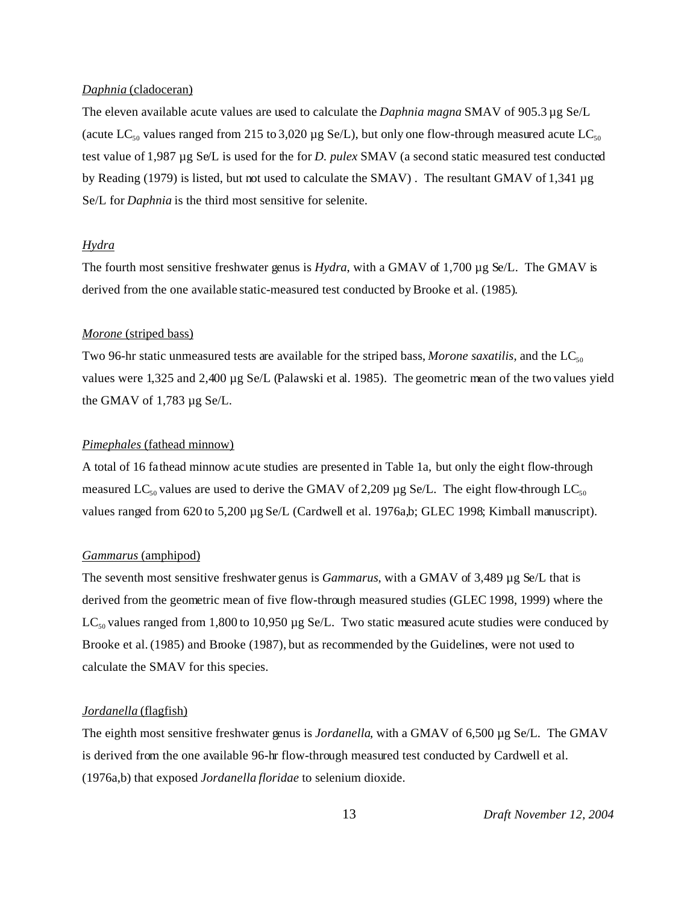#### *Daphnia* (cladoceran)

The eleven available acute values are used to calculate the *Daphnia magna* SMAV of 905.3 µg Se/L (acute LC<sub>50</sub> values ranged from 215 to 3,020 µg Se/L), but only one flow-through measured acute LC<sub>50</sub> test value of 1,987 µg Se/L is used for the for *D. pulex* SMAV (a second static measured test conducted by Reading (1979) is listed, but not used to calculate the SMAV) . The resultant GMAV of 1,341 µg Se/L for *Daphnia* is the third most sensitive for selenite.

#### *Hydra*

The fourth most sensitive freshwater genus is *Hydra*, with a GMAV of 1,700 µg Se/L. The GMAV is derived from the one available static-measured test conducted by Brooke et al. (1985).

#### *Morone* (striped bass)

Two 96-hr static unmeasured tests are available for the striped bass, *Morone saxatilis*, and the  $LC_{50}$ values were 1,325 and 2,400 µg Se/L (Palawski et al. 1985). The geometric mean of the two values yield the GMAV of 1,783 µg Se/L.

#### *Pimephales* (fathead minnow)

A total of 16 fathead minnow acute studies are presented in Table 1a, but only the eight flow-through measured LC<sub>50</sub> values are used to derive the GMAV of 2,209 µg Se/L. The eight flow-through LC<sub>50</sub> values ranged from 620 to 5,200 µg Se/L (Cardwell et al. 1976a,b; GLEC 1998; Kimball manuscript).

#### *Gammarus* (amphipod)

The seventh most sensitive freshwater genus is *Gammarus*, with a GMAV of 3,489 µg Se/L that is derived from the geometric mean of five flow-through measured studies (GLEC 1998, 1999) where the  $LC_{50}$  values ranged from 1,800 to 10,950 µg Se/L. Two static measured acute studies were conduced by Brooke et al. (1985) and Brooke (1987), but as recommended by the Guidelines, were not used to calculate the SMAV for this species.

#### *Jordanella* (flagfish)

The eighth most sensitive freshwater genus is *Jordanella*, with a GMAV of 6,500 µg Se/L. The GMAV is derived from the one available 96-hr flow-through measured test conducted by Cardwell et al. (1976a,b) that exposed *Jordanella floridae* to selenium dioxide.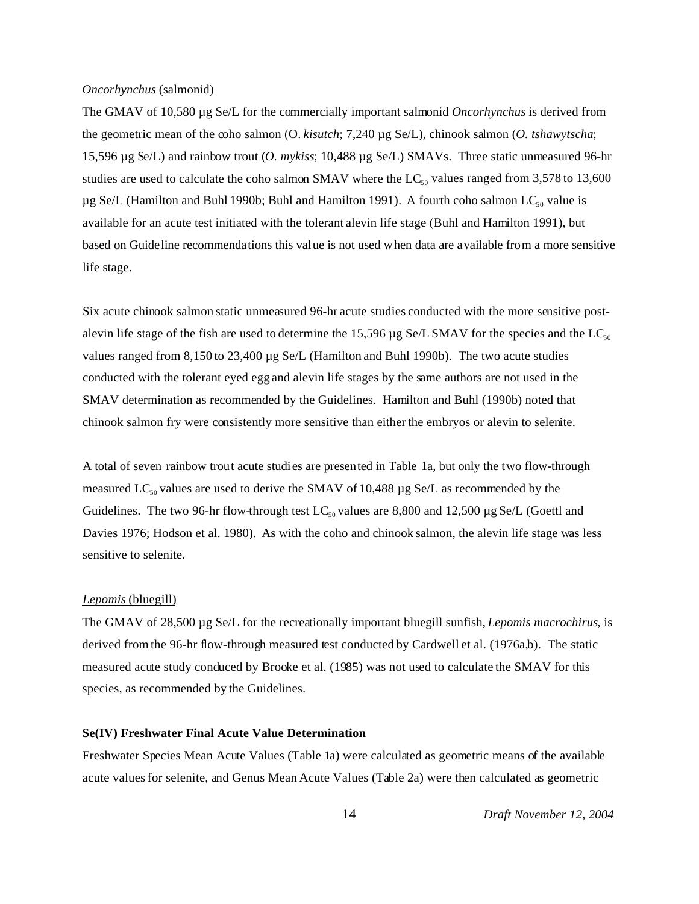#### *Oncorhynchus* (salmonid)

The GMAV of 10,580 µg Se/L for the commercially important salmonid *Oncorhynchus* is derived from the geometric mean of the coho salmon (O. *kisutch*; 7,240 µg Se/L), chinook salmon (*O. tshawytscha*; 15,596 µg Se/L) and rainbow trout (*O. mykiss*; 10,488 µg Se/L) SMAVs. Three static unmeasured 96-hr studies are used to calculate the coho salmon SMAV where the  $LC_{50}$  values ranged from 3,578 to 13,600  $\mu$ g Se/L (Hamilton and Buhl 1990b; Buhl and Hamilton 1991). A fourth coho salmon LC<sub>50</sub> value is available for an acute test initiated with the tolerant alevin life stage (Buhl and Hamilton 1991), but based on Guideline recommendations this value is not used when data are available from a more sensitive life stage.

Six acute chinook salmon static unmeasured 96-hr acute studies conducted with the more sensitive postalevin life stage of the fish are used to determine the 15,596  $\mu$ g Se/L SMAV for the species and the LC<sub>50</sub> values ranged from 8,150 to 23,400 µg Se/L (Hamilton and Buhl 1990b). The two acute studies conducted with the tolerant eyed egg and alevin life stages by the same authors are not used in the SMAV determination as recommended by the Guidelines. Hamilton and Buhl (1990b) noted that chinook salmon fry were consistently more sensitive than either the embryos or alevin to selenite.

A total of seven rainbow trout acute studies are presented in Table 1a, but only the two flow-through measured  $LC_{50}$  values are used to derive the SMAV of 10,488  $\mu$ g Se/L as recommended by the Guidelines. The two 96-hr flow-through test  $LC_{50}$  values are 8,800 and 12,500 µg Se/L (Goettl and Davies 1976; Hodson et al. 1980). As with the coho and chinook salmon, the alevin life stage was less sensitive to selenite.

#### *Lepomis* (bluegill)

The GMAV of 28,500 µg Se/L for the recreationally important bluegill sunfish, *Lepomis macrochirus*, is derived from the 96-hr flow-through measured test conducted by Cardwell et al. (1976a,b). The static measured acute study conduced by Brooke et al. (1985) was not used to calculate the SMAV for this species, as recommended by the Guidelines.

#### **Se(IV) Freshwater Final Acute Value Determination**

Freshwater Species Mean Acute Values (Table 1a) were calculated as geometric means of the available acute values for selenite, and Genus Mean Acute Values (Table 2a) were then calculated as geometric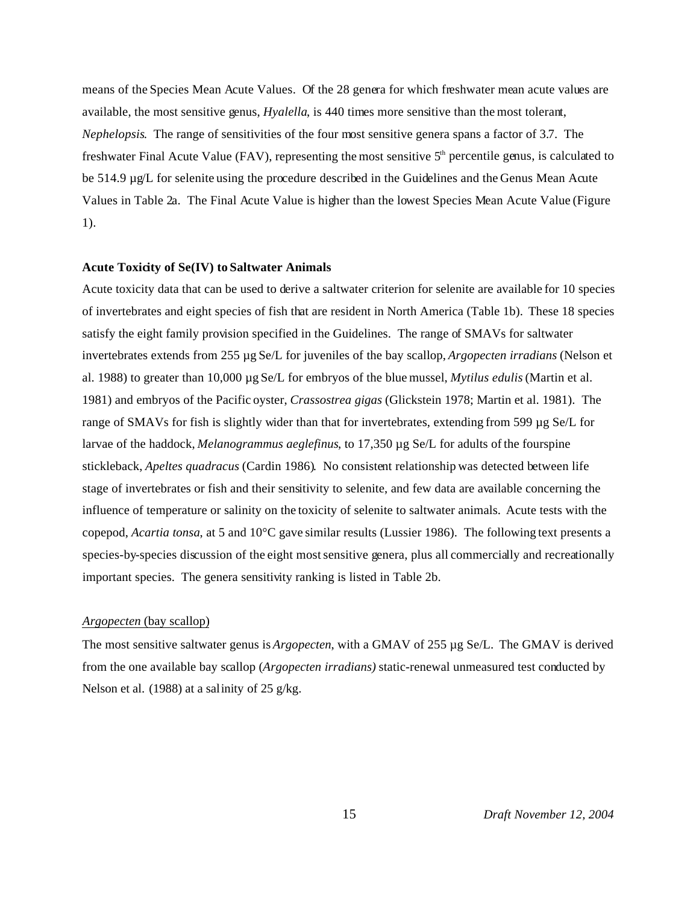means of the Species Mean Acute Values. Of the 28 genera for which freshwater mean acute values are available, the most sensitive genus, *Hyalella*, is 440 times more sensitive than the most tolerant, *Nephelopsis*. The range of sensitivities of the four most sensitive genera spans a factor of 3.7. The freshwater Final Acute Value (FAV), representing the most sensitive  $5<sup>th</sup>$  percentile genus, is calculated to be 514.9 µg/L for selenite using the procedure described in the Guidelines and the Genus Mean Acute Values in Table 2a. The Final Acute Value is higher than the lowest Species Mean Acute Value (Figure 1).

#### **Acute Toxicity of Se(IV) to Saltwater Animals**

Acute toxicity data that can be used to derive a saltwater criterion for selenite are available for 10 species of invertebrates and eight species of fish that are resident in North America (Table 1b). These 18 species satisfy the eight family provision specified in the Guidelines. The range of SMAVs for saltwater invertebrates extends from 255 µg Se/L for juveniles of the bay scallop, *Argopecten irradians* (Nelson et al. 1988) to greater than 10,000 µg Se/L for embryos of the blue mussel, *Mytilus edulis* (Martin et al. 1981) and embryos of the Pacific oyster, *Crassostrea gigas* (Glickstein 1978; Martin et al. 1981). The range of SMAVs for fish is slightly wider than that for invertebrates, extending from 599 µg Se/L for larvae of the haddock, *Melanogrammus aeglefinus*, to 17,350 µg Se/L for adults of the fourspine stickleback, *Apeltes quadracus* (Cardin 1986). No consistent relationship was detected between life stage of invertebrates or fish and their sensitivity to selenite, and few data are available concerning the influence of temperature or salinity on the toxicity of selenite to saltwater animals. Acute tests with the copepod, *Acartia tonsa*, at 5 and 10°C gave similar results (Lussier 1986). The following text presents a species-by-species discussion of the eight most sensitive genera, plus all commercially and recreationally important species. The genera sensitivity ranking is listed in Table 2b.

#### *Argopecten* (bay scallop)

The most sensitive saltwater genus is *Argopecten*, with a GMAV of 255 µg Se/L. The GMAV is derived from the one available bay scallop (*Argopecten irradians)* static-renewal unmeasured test conducted by Nelson et al. (1988) at a salinity of 25 g/kg.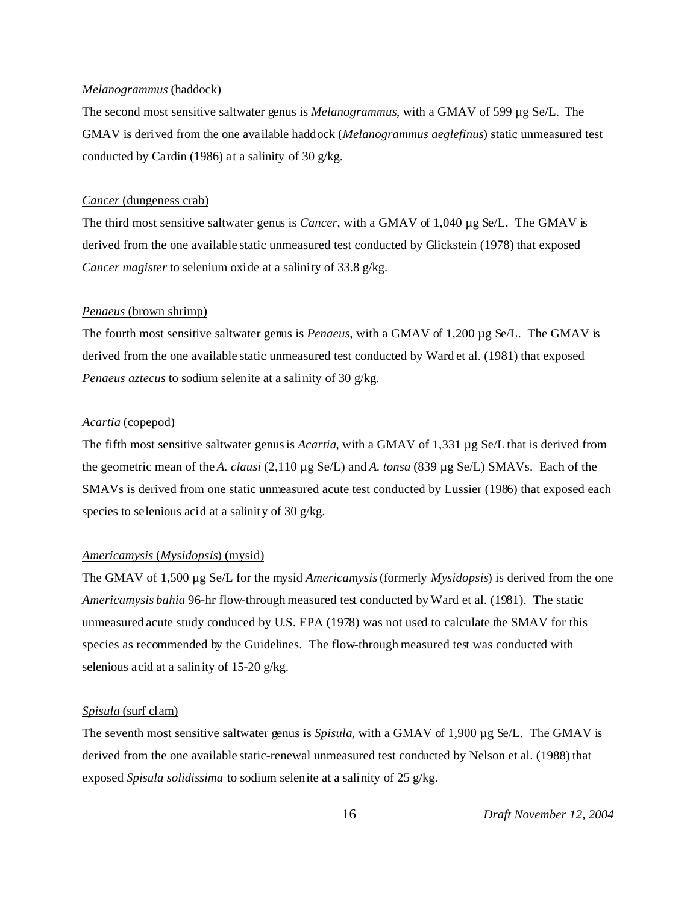#### *Melanogrammus* (haddock)

The second most sensitive saltwater genus is *Melanogrammus*, with a GMAV of 599 µg Se/L. The GMAV is derived from the one available haddock (*Melanogrammus aeglefinus*) static unmeasured test conducted by Cardin (1986) at a salinity of 30 g/kg.

#### *Cancer* (dungeness crab)

The third most sensitive saltwater genus is *Cancer*, with a GMAV of 1,040 µg Se/L. The GMAV is derived from the one available static unmeasured test conducted by Glickstein (1978) that exposed *Cancer magister* to selenium oxide at a salinity of 33.8 g/kg.

#### *Penaeus* (brown shrimp)

The fourth most sensitive saltwater genus is *Penaeus*, with a GMAV of 1,200 µg Se/L. The GMAV is derived from the one available static unmeasured test conducted by Ward et al. (1981) that exposed *Penaeus aztecus* to sodium selenite at a salinity of 30 g/kg.

#### *Acartia* (copepod)

The fifth most sensitive saltwater genus is *Acartia*, with a GMAV of 1,331 µg Se/L that is derived from the geometric mean of the *A. clausi* (2,110 µg Se/L) and *A. tonsa* (839 µg Se/L) SMAVs. Each of the SMAVs is derived from one static unmeasured acute test conducted by Lussier (1986) that exposed each species to selenious acid at a salinity of 30 g/kg.

#### *Americamysis* (*Mysidopsis*) (mysid)

The GMAV of 1,500 µg Se/L for the mysid *Americamysis* (formerly *Mysidopsis*) is derived from the one *Americamysis bahia* 96-hr flow-through measured test conducted by Ward et al. (1981). The static unmeasured acute study conduced by U.S. EPA (1978) was not used to calculate the SMAV for this species as recommended by the Guidelines. The flow-through measured test was conducted with selenious acid at a salinity of 15-20 g/kg.

#### *Spisula* (surf clam)

The seventh most sensitive saltwater genus is *Spisula*, with a GMAV of 1,900 µg Se/L. The GMAV is derived from the one available static-renewal unmeasured test conducted by Nelson et al. (1988) that exposed *Spisula solidissima* to sodium selenite at a salinity of 25 g/kg.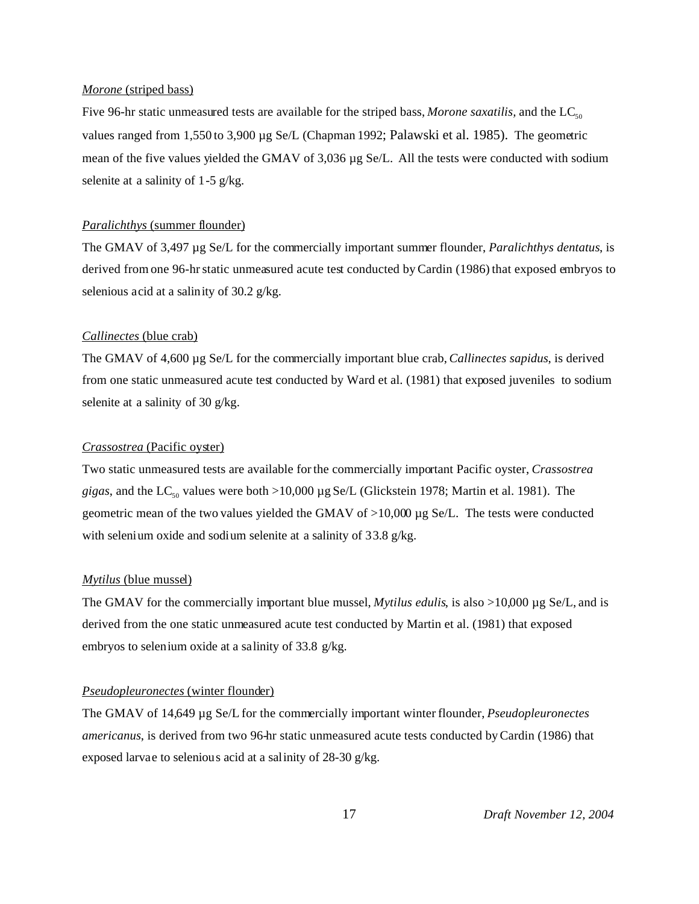#### *Morone* (striped bass)

Five 96-hr static unmeasured tests are available for the striped bass, *Morone saxatilis*, and the  $LC_{50}$ values ranged from 1,550 to 3,900 µg Se/L (Chapman 1992; Palawski et al. 1985). The geometric mean of the five values yielded the GMAV of 3,036 µg Se/L. All the tests were conducted with sodium selenite at a salinity of 1-5 g/kg.

#### *Paralichthys* (summer flounder)

The GMAV of 3,497 µg Se/L for the commercially important summer flounder, *Paralichthys dentatus*, is derived from one 96-hr static unmeasured acute test conducted by Cardin (1986) that exposed embryos to selenious acid at a salinity of 30.2 g/kg.

#### *Callinectes* (blue crab)

The GMAV of 4,600 µg Se/L for the commercially important blue crab, *Callinectes sapidus*, is derived from one static unmeasured acute test conducted by Ward et al. (1981) that exposed juveniles to sodium selenite at a salinity of 30 g/kg.

#### *Crassostrea* (Pacific oyster)

Two static unmeasured tests are available for the commercially important Pacific oyster, *Crassostrea gigas*, and the LC<sub>50</sub> values were both >10,000 µg Se/L (Glickstein 1978; Martin et al. 1981). The geometric mean of the two values yielded the GMAV of  $>10,000 \mu$ g Se/L. The tests were conducted with selenium oxide and sodium selenite at a salinity of 33.8 g/kg.

#### *Mytilus* (blue mussel)

The GMAV for the commercially important blue mussel, *Mytilus edulis*, is also  $>10,000 \mu$ g Se/L, and is derived from the one static unmeasured acute test conducted by Martin et al. (1981) that exposed embryos to selenium oxide at a salinity of 33.8 g/kg.

#### *Pseudopleuronectes* (winter flounder)

The GMAV of 14,649 µg Se/L for the commercially important winter flounder, *Pseudopleuronectes americanus*, is derived from two 96-hr static unmeasured acute tests conducted by Cardin (1986) that exposed larvae to selenious acid at a salinity of 28-30 g/kg.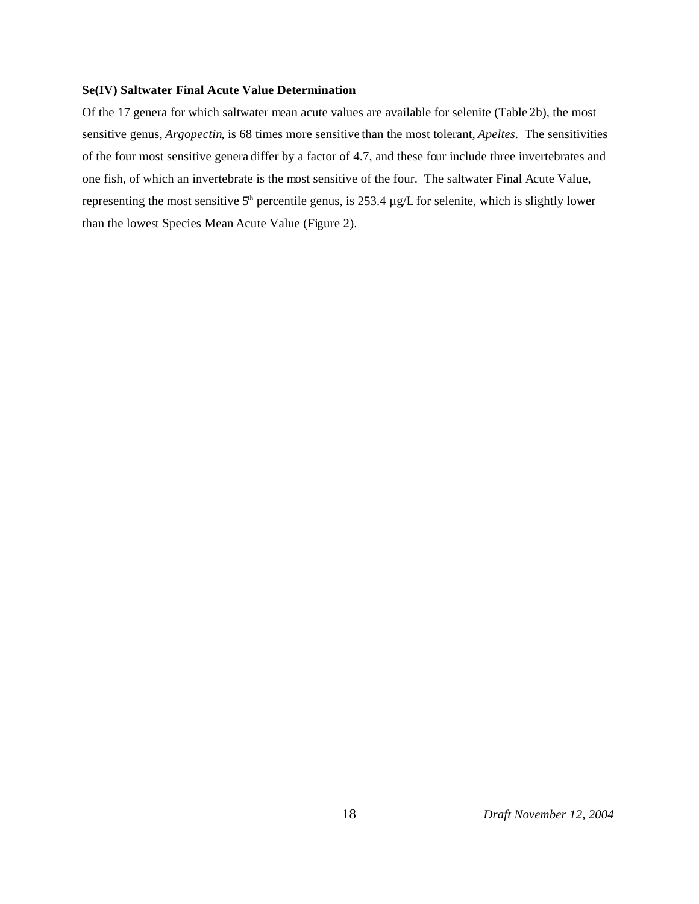#### **Se(IV) Saltwater Final Acute Value Determination**

Of the 17 genera for which saltwater mean acute values are available for selenite (Table 2b), the most sensitive genus, *Argopectin*, is 68 times more sensitive than the most tolerant, *Apeltes*. The sensitivities of the four most sensitive genera differ by a factor of 4.7, and these four include three invertebrates and one fish, of which an invertebrate is the most sensitive of the four. The saltwater Final Acute Value, representing the most sensitive  $5<sup>th</sup>$  percentile genus, is 253.4  $\mu$ g/L for selenite, which is slightly lower than the lowest Species Mean Acute Value (Figure 2).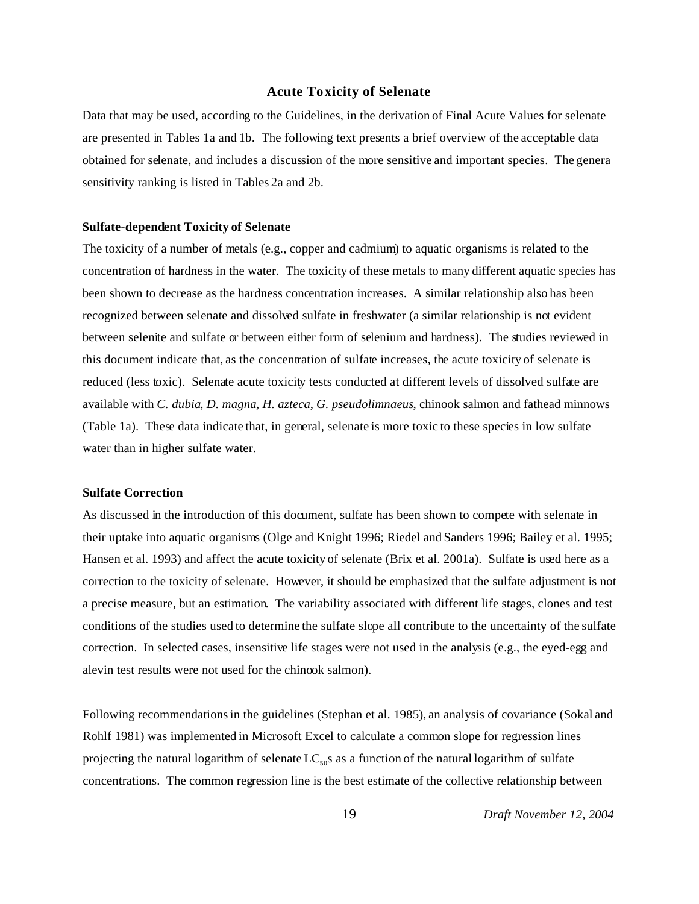#### **Acute Toxicity of Selenate**

Data that may be used, according to the Guidelines, in the derivation of Final Acute Values for selenate are presented in Tables 1a and 1b. The following text presents a brief overview of the acceptable data obtained for selenate, and includes a discussion of the more sensitive and important species. The genera sensitivity ranking is listed in Tables 2a and 2b.

#### **Sulfate-dependent Toxicity of Selenate**

The toxicity of a number of metals (e.g., copper and cadmium) to aquatic organisms is related to the concentration of hardness in the water. The toxicity of these metals to many different aquatic species has been shown to decrease as the hardness concentration increases. A similar relationship also has been recognized between selenate and dissolved sulfate in freshwater (a similar relationship is not evident between selenite and sulfate or between either form of selenium and hardness). The studies reviewed in this document indicate that, as the concentration of sulfate increases, the acute toxicity of selenate is reduced (less toxic). Selenate acute toxicity tests conducted at different levels of dissolved sulfate are available with *C. dubia*, *D. magna*, *H. azteca*, *G. pseudolimnaeus*, chinook salmon and fathead minnows (Table 1a). These data indicate that, in general, selenate is more toxic to these species in low sulfate water than in higher sulfate water.

#### **Sulfate Correction**

As discussed in the introduction of this document, sulfate has been shown to compete with selenate in their uptake into aquatic organisms (Olge and Knight 1996; Riedel and Sanders 1996; Bailey et al. 1995; Hansen et al. 1993) and affect the acute toxicity of selenate (Brix et al. 2001a). Sulfate is used here as a correction to the toxicity of selenate. However, it should be emphasized that the sulfate adjustment is not a precise measure, but an estimation. The variability associated with different life stages, clones and test conditions of the studies used to determine the sulfate slope all contribute to the uncertainty of the sulfate correction. In selected cases, insensitive life stages were not used in the analysis (e.g., the eyed-egg and alevin test results were not used for the chinook salmon).

Following recommendations in the guidelines (Stephan et al. 1985), an analysis of covariance (Sokal and Rohlf 1981) was implemented in Microsoft Excel to calculate a common slope for regression lines projecting the natural logarithm of selenate  $LC_{50}$ s as a function of the natural logarithm of sulfate concentrations. The common regression line is the best estimate of the collective relationship between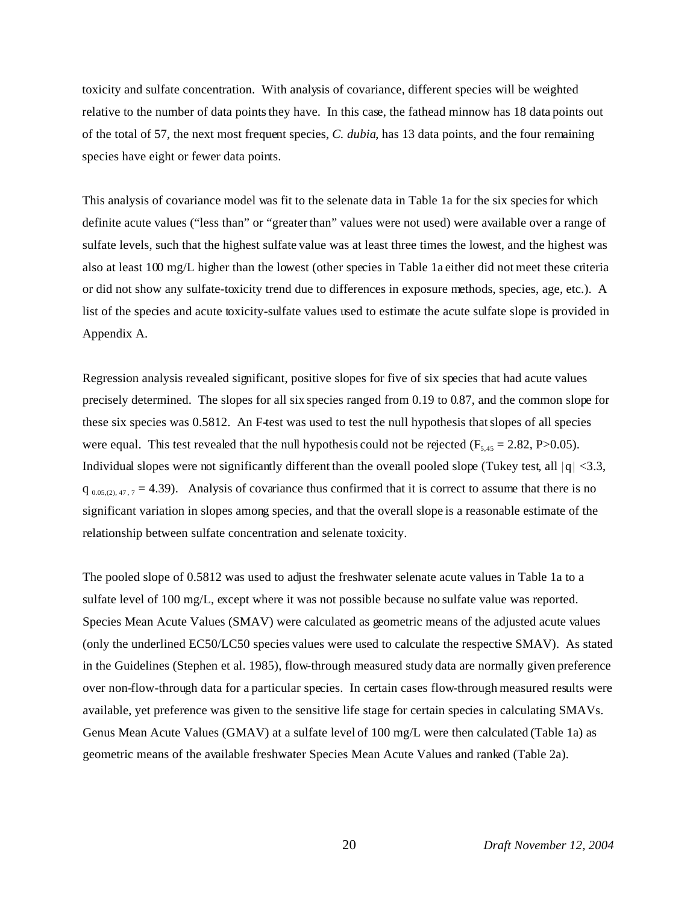toxicity and sulfate concentration. With analysis of covariance, different species will be weighted relative to the number of data points they have. In this case, the fathead minnow has 18 data points out of the total of 57, the next most frequent species, *C. dubia*, has 13 data points, and the four remaining species have eight or fewer data points.

This analysis of covariance model was fit to the selenate data in Table 1a for the six species for which definite acute values ("less than" or "greater than" values were not used) were available over a range of sulfate levels, such that the highest sulfate value was at least three times the lowest, and the highest was also at least 100 mg/L higher than the lowest (other species in Table 1a either did not meet these criteria or did not show any sulfate-toxicity trend due to differences in exposure methods, species, age, etc.). A list of the species and acute toxicity-sulfate values used to estimate the acute sulfate slope is provided in Appendix A.

Regression analysis revealed significant, positive slopes for five of six species that had acute values precisely determined. The slopes for all six species ranged from 0.19 to 0.87, and the common slope for these six species was 0.5812. An F-test was used to test the null hypothesis that slopes of all species were equal. This test revealed that the null hypothesis could not be rejected ( $F_{5,45} = 2.82$ , P $> 0.05$ ). Individual slopes were not significantly different than the overall pooled slope (Tukey test, all  $|q| < 3.3$ ,  $q_{0.05,(2),47,7} = 4.39$ . Analysis of covariance thus confirmed that it is correct to assume that there is no significant variation in slopes among species, and that the overall slope is a reasonable estimate of the relationship between sulfate concentration and selenate toxicity.

The pooled slope of 0.5812 was used to adjust the freshwater selenate acute values in Table 1a to a sulfate level of 100 mg/L, except where it was not possible because no sulfate value was reported. Species Mean Acute Values (SMAV) were calculated as geometric means of the adjusted acute values (only the underlined EC50/LC50 species values were used to calculate the respective SMAV). As stated in the Guidelines (Stephen et al. 1985), flow-through measured study data are normally given preference over non-flow-through data for a particular species. In certain cases flow-through measured results were available, yet preference was given to the sensitive life stage for certain species in calculating SMAVs. Genus Mean Acute Values (GMAV) at a sulfate level of 100 mg/L were then calculated (Table 1a) as geometric means of the available freshwater Species Mean Acute Values and ranked (Table 2a).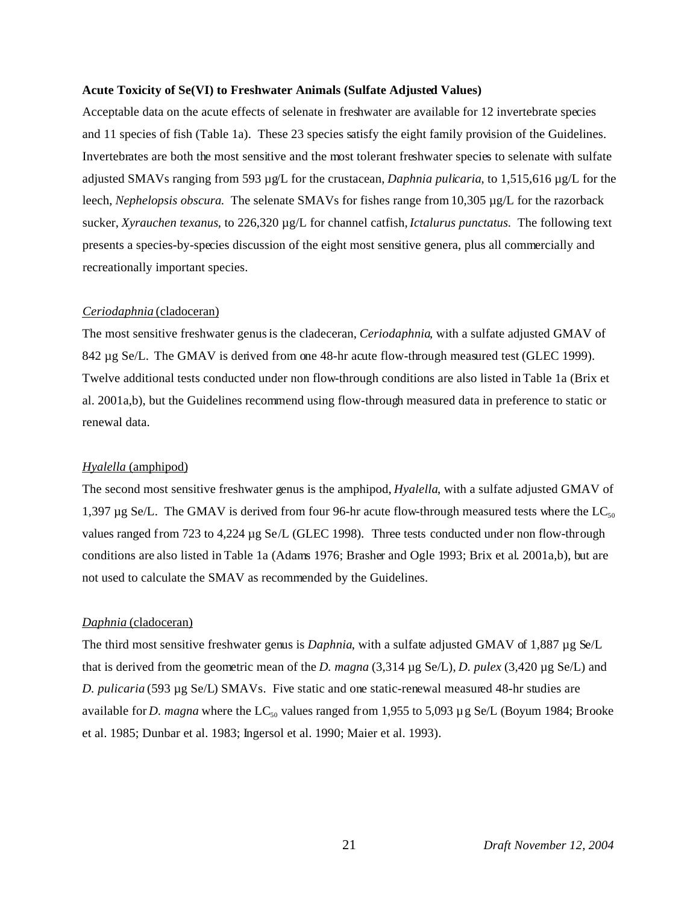#### **Acute Toxicity of Se(VI) to Freshwater Animals (Sulfate Adjusted Values)**

Acceptable data on the acute effects of selenate in freshwater are available for 12 invertebrate species and 11 species of fish (Table 1a). These 23 species satisfy the eight family provision of the Guidelines. Invertebrates are both the most sensitive and the most tolerant freshwater species to selenate with sulfate adjusted SMAVs ranging from 593 µg/L for the crustacean, *Daphnia pulicaria*, to 1,515,616 µg/L for the leech, *Nephelopsis obscura*. The selenate SMAVs for fishes range from 10,305 µg/L for the razorback sucker, *Xyrauchen texanus*, to 226,320 µg/L for channel catfish, *Ictalurus punctatus*. The following text presents a species-by-species discussion of the eight most sensitive genera, plus all commercially and recreationally important species.

#### *Ceriodaphnia* (cladoceran)

The most sensitive freshwater genus is the cladeceran, *Ceriodaphnia*, with a sulfate adjusted GMAV of 842  $\mu$ g Se/L. The GMAV is derived from one 48-hr acute flow-through measured test (GLEC 1999). Twelve additional tests conducted under non flow-through conditions are also listed in Table 1a (Brix et al. 2001a,b), but the Guidelines recommend using flow-through measured data in preference to static or renewal data.

#### *Hyalella* (amphipod)

The second most sensitive freshwater genus is the amphipod, *Hyalella*, with a sulfate adjusted GMAV of 1,397  $\mu$ g Se/L. The GMAV is derived from four 96-hr acute flow-through measured tests where the LC<sub>50</sub> values ranged from 723 to 4,224 µg Se/L (GLEC 1998). Three tests conducted under non flow-through conditions are also listed in Table 1a (Adams 1976; Brasher and Ogle 1993; Brix et al. 2001a,b), but are not used to calculate the SMAV as recommended by the Guidelines.

#### *Daphnia* (cladoceran)

The third most sensitive freshwater genus is *Daphnia*, with a sulfate adjusted GMAV of 1,887 µg Se/L that is derived from the geometric mean of the *D. magna* (3,314 µg Se/L), *D. pulex* (3,420 µg Se/L) and *D. pulicaria* (593 µg Se/L) SMAVs. Five static and one static-renewal measured 48-hr studies are available for *D. magna* where the LC<sub>50</sub> values ranged from 1,955 to 5,093  $\mu$  g Se/L (Boyum 1984; Brooke et al. 1985; Dunbar et al. 1983; Ingersol et al. 1990; Maier et al. 1993).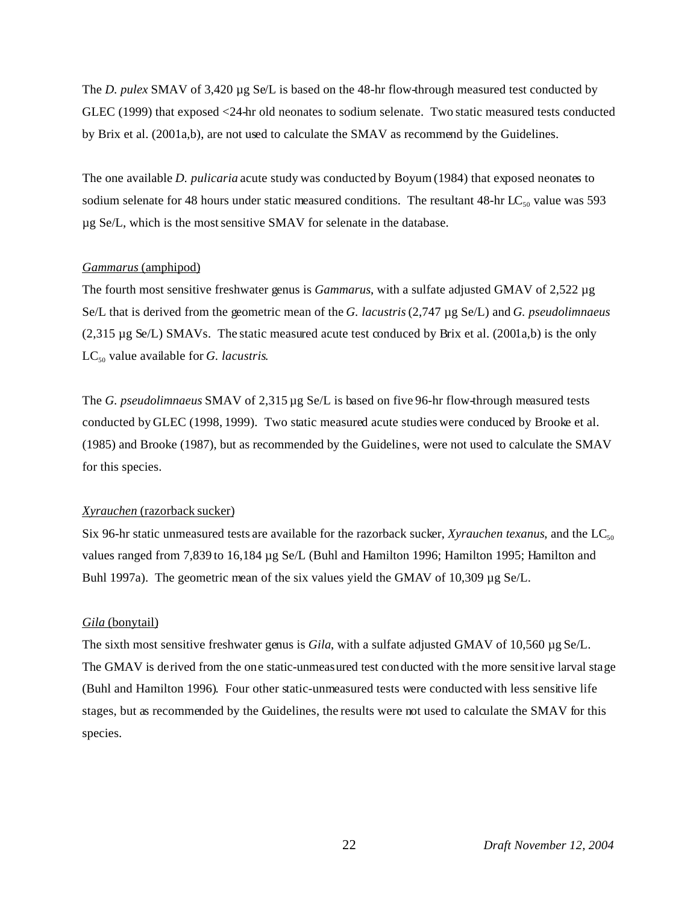The *D. pulex* SMAV of 3,420 µg Se/L is based on the 48-hr flow-through measured test conducted by GLEC (1999) that exposed <24-hr old neonates to sodium selenate. Two static measured tests conducted by Brix et al. (2001a,b), are not used to calculate the SMAV as recommend by the Guidelines.

The one available *D. pulicaria* acute study was conducted by Boyum (1984) that exposed neonates to sodium selenate for 48 hours under static measured conditions. The resultant 48-hr  $LC_{50}$  value was 593 µg Se/L, which is the most sensitive SMAV for selenate in the database.

#### *Gammarus* (amphipod)

The fourth most sensitive freshwater genus is *Gammarus*, with a sulfate adjusted GMAV of 2,522 µg Se/L that is derived from the geometric mean of the *G. lacustris* (2,747 µg Se/L) and *G. pseudolimnaeus*  $(2,315 \mu g$  Se/L) SMAVs. The static measured acute test conduced by Brix et al.  $(2001a,b)$  is the only  $LC_{50}$  value available for *G. lacustris*.

The *G. pseudolimnaeus* SMAV of 2,315 µg Se/L is based on five 96-hr flow-through measured tests conducted by GLEC (1998, 1999). Two static measured acute studies were conduced by Brooke et al. (1985) and Brooke (1987), but as recommended by the Guidelines, were not used to calculate the SMAV for this species.

#### *Xyrauchen* (razorback sucker)

Six 96-hr static unmeasured tests are available for the razorback sucker, *Xyrauchen texanus*, and the  $LC_{50}$ values ranged from 7,839 to 16,184 µg Se/L (Buhl and Hamilton 1996; Hamilton 1995; Hamilton and Buhl 1997a). The geometric mean of the six values yield the GMAV of 10,309 µg Se/L.

#### *Gila* (bonytail)

The sixth most sensitive freshwater genus is *Gila*, with a sulfate adjusted GMAV of 10,560 µg Se/L. The GMAV is derived from the one static-unmeasured test conducted with the more sensitive larval stage (Buhl and Hamilton 1996). Four other static-unmeasured tests were conducted with less sensitive life stages, but as recommended by the Guidelines, the results were not used to calculate the SMAV for this species.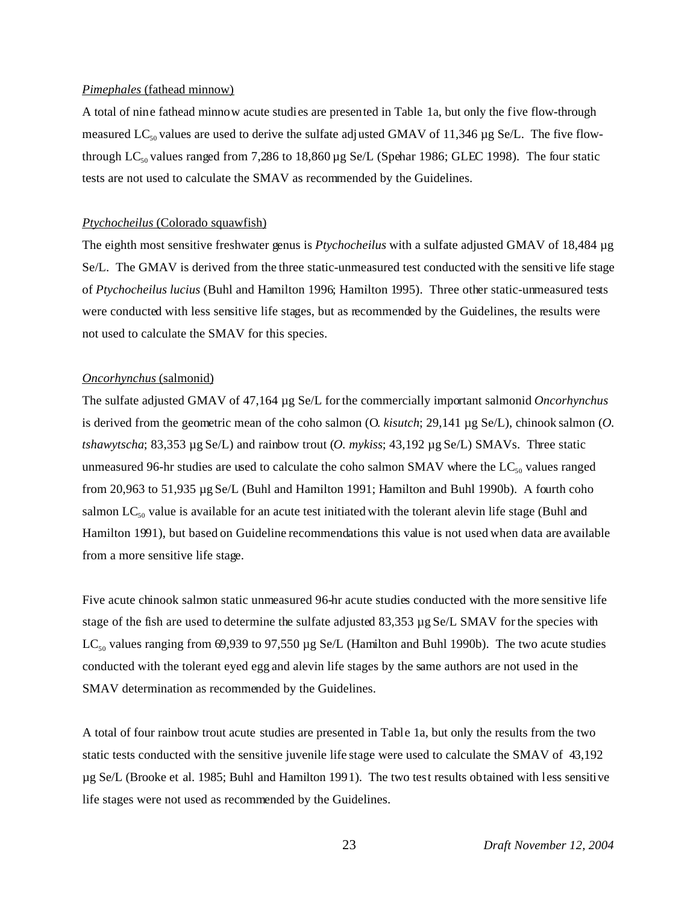#### *Pimephales* (fathead minnow)

A total of nine fathead minnow acute studies are presented in Table 1a, but only the five flow-through measured LC<sub>50</sub> values are used to derive the sulfate adjusted GMAV of 11,346 µg Se/L. The five flowthrough LC<sub>50</sub> values ranged from 7,286 to 18,860 µg Se/L (Spehar 1986; GLEC 1998). The four static tests are not used to calculate the SMAV as recommended by the Guidelines.

#### *Ptychocheilus* (Colorado squawfish)

The eighth most sensitive freshwater genus is *Ptychocheilus* with a sulfate adjusted GMAV of 18,484 µg Se/L. The GMAV is derived from the three static-unmeasured test conducted with the sensitive life stage of *Ptychocheilus lucius* (Buhl and Hamilton 1996; Hamilton 1995). Three other static-unmeasured tests were conducted with less sensitive life stages, but as recommended by the Guidelines, the results were not used to calculate the SMAV for this species.

#### *Oncorhynchus* (salmonid)

The sulfate adjusted GMAV of 47,164 µg Se/L for the commercially important salmonid *Oncorhynchus* is derived from the geometric mean of the coho salmon (O. *kisutch*; 29,141 µg Se/L), chinook salmon (*O. tshawytscha*; 83,353 µg Se/L) and rainbow trout (*O. mykiss*; 43,192 µg Se/L) SMAVs. Three static unmeasured 96-hr studies are used to calculate the coho salmon SMAV where the  $LC_{50}$  values ranged from 20,963 to 51,935 µg Se/L (Buhl and Hamilton 1991; Hamilton and Buhl 1990b). A fourth coho salmon  $LC_{50}$  value is available for an acute test initiated with the tolerant alevin life stage (Buhl and Hamilton 1991), but based on Guideline recommendations this value is not used when data are available from a more sensitive life stage.

Five acute chinook salmon static unmeasured 96-hr acute studies conducted with the more sensitive life stage of the fish are used to determine the sulfate adjusted 83,353 µg Se/L SMAV for the species with LC<sub>50</sub> values ranging from 69,939 to 97,550 µg Se/L (Hamilton and Buhl 1990b). The two acute studies conducted with the tolerant eyed egg and alevin life stages by the same authors are not used in the SMAV determination as recommended by the Guidelines.

A total of four rainbow trout acute studies are presented in Table 1a, but only the results from the two static tests conducted with the sensitive juvenile life stage were used to calculate the SMAV of 43,192 µg Se/L (Brooke et al. 1985; Buhl and Hamilton 1991). The two test results obtained with less sensitive life stages were not used as recommended by the Guidelines.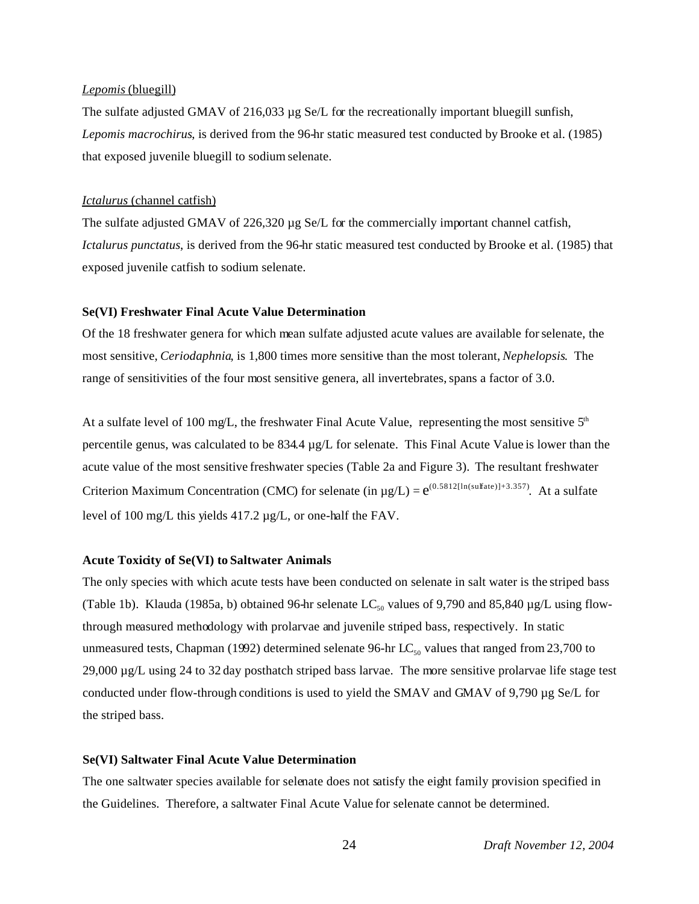#### *Lepomis* (bluegill)

The sulfate adjusted GMAV of 216,033 µg Se/L for the recreationally important bluegill sunfish, *Lepomis macrochirus*, is derived from the 96-hr static measured test conducted by Brooke et al. (1985) that exposed juvenile bluegill to sodium selenate.

#### *Ictalurus* (channel catfish)

The sulfate adjusted GMAV of 226,320 µg Se/L for the commercially important channel catfish, *Ictalurus punctatus*, is derived from the 96-hr static measured test conducted by Brooke et al. (1985) that exposed juvenile catfish to sodium selenate.

#### **Se(VI) Freshwater Final Acute Value Determination**

Of the 18 freshwater genera for which mean sulfate adjusted acute values are available for selenate, the most sensitive, *Ceriodaphnia*, is 1,800 times more sensitive than the most tolerant, *Nephelopsis*. The range of sensitivities of the four most sensitive genera, all invertebrates, spans a factor of 3.0.

At a sulfate level of 100 mg/L, the freshwater Final Acute Value, representing the most sensitive  $5<sup>th</sup>$ percentile genus, was calculated to be 834.4 µg/L for selenate. This Final Acute Value is lower than the acute value of the most sensitive freshwater species (Table 2a and Figure 3). The resultant freshwater Criterion Maximum Concentration (CMC) for selenate (in  $\mu$ g/L) =  $e^{(0.5812[\ln(sulfate)]+3.357)}$ . At a sulfate level of 100 mg/L this yields 417.2 µg/L, or one-half the FAV.

#### **Acute Toxicity of Se(VI) to Saltwater Animals**

The only species with which acute tests have been conducted on selenate in salt water is the striped bass (Table 1b). Klauda (1985a, b) obtained 96-hr selenate  $LC_{50}$  values of 9,790 and 85,840 µg/L using flowthrough measured methodology with prolarvae and juvenile striped bass, respectively. In static unmeasured tests, Chapman (1992) determined selenate 96-hr  $LC_{50}$  values that ranged from 23,700 to 29,000 µg/L using 24 to 32 day posthatch striped bass larvae. The more sensitive prolarvae life stage test conducted under flow-through conditions is used to yield the SMAV and GMAV of 9,790 µg Se/L for the striped bass.

#### **Se(VI) Saltwater Final Acute Value Determination**

The one saltwater species available for selenate does not satisfy the eight family provision specified in the Guidelines. Therefore, a saltwater Final Acute Value for selenate cannot be determined.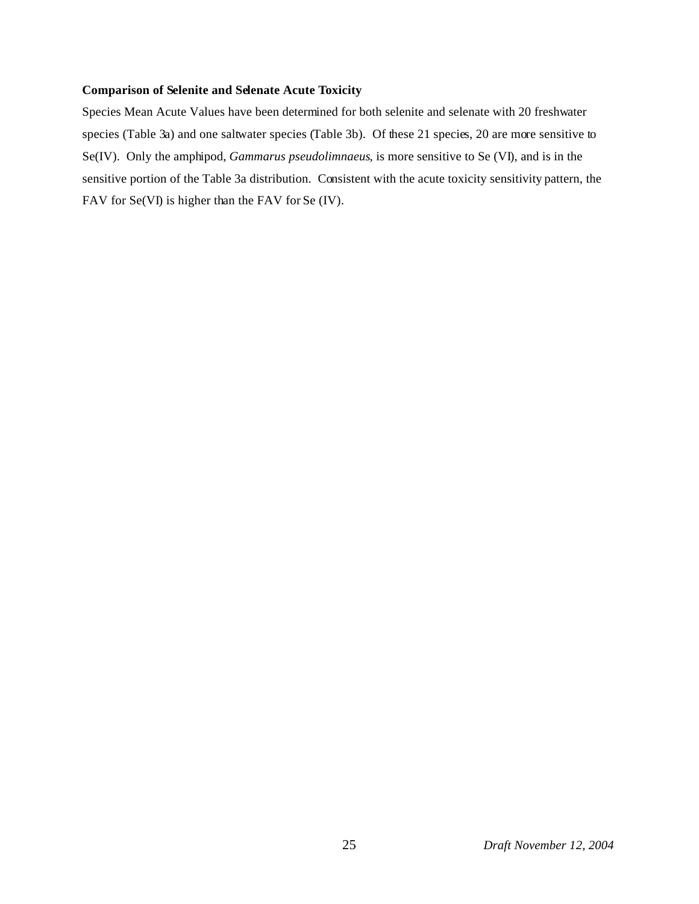#### **Comparison of Selenite and Selenate Acute Toxicity**

Species Mean Acute Values have been determined for both selenite and selenate with 20 freshwater species (Table 3a) and one saltwater species (Table 3b). Of these 21 species, 20 are more sensitive to Se(IV). Only the amphipod, *Gammarus pseudolimnaeus*, is more sensitive to Se (VI), and is in the sensitive portion of the Table 3a distribution. Consistent with the acute toxicity sensitivity pattern, the FAV for Se(VI) is higher than the FAV for Se (IV).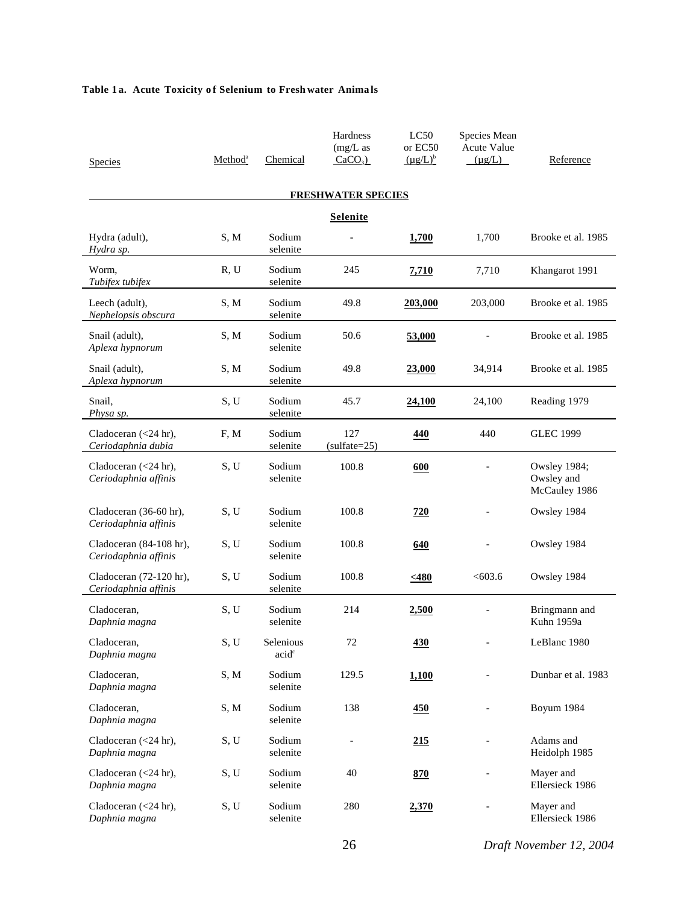#### Table 1a. Acute Toxicity of Selenium to Fresh water Animals

| <b>Species</b>                                  | Method <sup>a</sup> | Chemical                       | Hardness<br>$(mg/L)$ as<br>$CaCO3$ ) | LC50<br>or EC50<br>$(\mu g/L)^b$ | Species Mean<br>Acute Value<br>$(\mu g/L)$ | Reference                                          |
|-------------------------------------------------|---------------------|--------------------------------|--------------------------------------|----------------------------------|--------------------------------------------|----------------------------------------------------|
|                                                 |                     |                                | <b>FRESHWATER SPECIES</b>            |                                  |                                            |                                                    |
|                                                 |                     |                                | <b>Selenite</b>                      |                                  |                                            |                                                    |
| Hydra (adult),<br>Hydra sp.                     | S, M                | Sodium<br>selenite             |                                      | 1,700                            | 1,700                                      | Brooke et al. 1985                                 |
| Worm.<br>Tubifex tubifex                        | R, U                | Sodium<br>selenite             | 245                                  | <b>7,710</b>                     | 7,710                                      | Khangarot 1991                                     |
| Leech (adult),<br>Nephelopsis obscura           | S, M                | Sodium<br>selenite             | 49.8                                 | 203,000                          | 203,000                                    | Brooke et al. 1985                                 |
| Snail (adult),<br>Aplexa hypnorum               | S, M                | Sodium<br>selenite             | 50.6                                 | 53,000                           |                                            | Brooke et al. 1985                                 |
| Snail (adult),<br>Aplexa hypnorum               | S, M                | Sodium<br>selenite             | 49.8                                 | 23,000                           | 34,914                                     | Brooke et al. 1985                                 |
| Snail,<br>Physa sp.                             | S, U                | Sodium<br>selenite             | 45.7                                 | 24,100                           | 24,100                                     | Reading 1979                                       |
| Cladoceran $(<24$ hr),<br>Ceriodaphnia dubia    | F, M                | Sodium<br>selenite             | 127<br>$(sulfate=25)$                | 440                              | 440                                        | <b>GLEC 1999</b>                                   |
| Cladoceran $(<24$ hr),<br>Ceriodaphnia affinis  | S, U                | Sodium<br>selenite             | 100.8                                | 600                              |                                            | <b>Owsley 1984;</b><br>Owsley and<br>McCauley 1986 |
| Cladoceran (36-60 hr),<br>Ceriodaphnia affinis  | S, U                | Sodium<br>selenite             | 100.8                                | 720                              |                                            | Owsley 1984                                        |
| Cladoceran (84-108 hr),<br>Ceriodaphnia affinis | S, U                | Sodium<br>selenite             | 100.8                                | 640                              |                                            | Owsley 1984                                        |
| Cladoceran (72-120 hr),<br>Ceriodaphnia affinis | S, U                | Sodium<br>selenite             | 100.8                                | < 480                            | < 603.6                                    | Owsley 1984                                        |
| Cladoceran.<br>Daphnia magna                    | S, U                | Sodium<br>selenite             | 214                                  | 2,500                            |                                            | Bringmann and<br>Kuhn 1959a                        |
| Cladoceran,<br>Daphnia magna                    | S, U                | Selenious<br>acid <sup>c</sup> | 72                                   | <u>430</u>                       | $\qquad \qquad -$                          | LeBlanc 1980                                       |
| Cladoceran,<br>Daphnia magna                    | S, M                | Sodium<br>selenite             | 129.5                                | 1,100                            |                                            | Dunbar et al. 1983                                 |
| Cladoceran,<br>Daphnia magna                    | S, M                | Sodium<br>selenite             | 138                                  | 450                              | $\overline{a}$                             | Boyum 1984                                         |
| Cladoceran $(<24$ hr),<br>Daphnia magna         | S, U                | Sodium<br>selenite             | $\qquad \qquad -$                    | 215                              | $\qquad \qquad -$                          | Adams and<br>Heidolph 1985                         |
| Cladoceran $(<24$ hr),<br>Daphnia magna         | S, U                | Sodium<br>selenite             | 40                                   | 870                              |                                            | Mayer and<br>Ellersieck 1986                       |
| Cladoceran (<24 hr),<br>Daphnia magna           | S, U                | Sodium<br>selenite             | 280                                  | 2,370                            |                                            | Mayer and<br>Ellersieck 1986                       |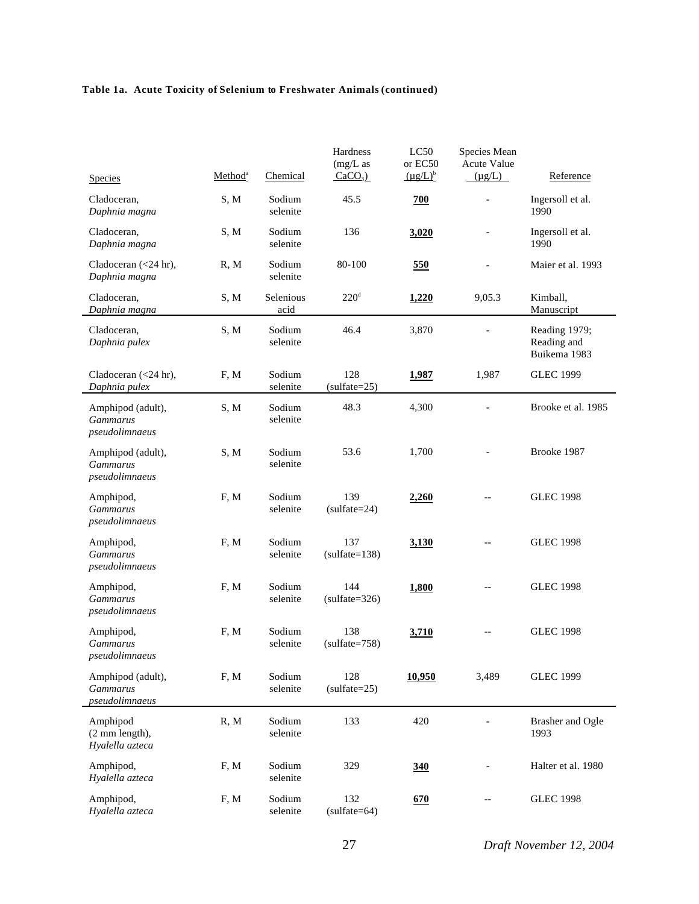## **Table 1a. Acute Toxicity of Selenium to Freshwater Animals (continued)**

| <b>Species</b>                                         | Method <sup>a</sup> | Chemical           | Hardness<br>$(mg/L)$ as<br>$CaCO3$ ) | LC50<br>or EC50<br>$(\mu g/L)^b$ | Species Mean<br><b>Acute Value</b><br>$(\mu g/L)$ | Reference                                    |
|--------------------------------------------------------|---------------------|--------------------|--------------------------------------|----------------------------------|---------------------------------------------------|----------------------------------------------|
|                                                        |                     |                    |                                      |                                  |                                                   |                                              |
| Cladoceran,<br>Daphnia magna                           | S, M                | Sodium<br>selenite | 45.5                                 | 700                              |                                                   | Ingersoll et al.<br>1990                     |
| Cladoceran,<br>Daphnia magna                           | S, M                | Sodium<br>selenite | 136                                  | 3,020                            |                                                   | Ingersoll et al.<br>1990                     |
| Cladoceran (<24 hr),<br>Daphnia magna                  | R, M                | Sodium<br>selenite | 80-100                               | 550                              |                                                   | Maier et al. 1993                            |
| Cladoceran,<br>Daphnia magna                           | S, M                | Selenious<br>acid  | 220 <sup>d</sup>                     | 1,220                            | 9,05.3                                            | Kimball,<br>Manuscript                       |
| Cladoceran,<br>Daphnia pulex                           | S, M                | Sodium<br>selenite | 46.4                                 | 3,870                            | $\equiv$                                          | Reading 1979;<br>Reading and<br>Buikema 1983 |
| Cladoceran $(<24$ hr),<br>Daphnia pulex                | F, M                | Sodium<br>selenite | 128<br>$(sulfate=25)$                | 1,987                            | 1,987                                             | <b>GLEC 1999</b>                             |
| Amphipod (adult),<br><b>Gammarus</b><br>pseudolimnaeus | S, M                | Sodium<br>selenite | 48.3                                 | 4,300                            |                                                   | Brooke et al. 1985                           |
| Amphipod (adult),<br><b>Gammarus</b><br>pseudolimnaeus | S, M                | Sodium<br>selenite | 53.6                                 | 1,700                            |                                                   | Brooke 1987                                  |
| Amphipod,<br><b>Gammarus</b><br>pseudolimnaeus         | F, M                | Sodium<br>selenite | 139<br>$(sulfate=24)$                | 2,260                            | $-$                                               | <b>GLEC 1998</b>                             |
| Amphipod,<br><b>Gammarus</b><br>pseudolimnaeus         | F, M                | Sodium<br>selenite | 137<br>$(sulfate=138)$               | 3,130                            |                                                   | <b>GLEC 1998</b>                             |
| Amphipod,<br><b>Gammarus</b><br>pseudolimnaeus         | F, M                | Sodium<br>selenite | 144<br>$(sulfate=326)$               | 1,800                            | --                                                | <b>GLEC 1998</b>                             |
| Amphipod,<br><b>Gammarus</b><br>pseudolimnaeus         | F, M                | Sodium<br>selenite | 138<br>$(sulfate=758)$               | 3,710                            |                                                   | <b>GLEC 1998</b>                             |
| Amphipod (adult),<br><b>Gammarus</b><br>pseudolimnaeus | F, M                | Sodium<br>selenite | 128<br>$(sulfate=25)$                | 10,950                           | 3,489                                             | <b>GLEC 1999</b>                             |
| Amphipod<br>(2 mm length),<br>Hyalella azteca          | R, M                | Sodium<br>selenite | 133                                  | 420                              |                                                   | Brasher and Ogle<br>1993                     |
| Amphipod,<br>Hyalella azteca                           | F, M                | Sodium<br>selenite | 329                                  | 340                              |                                                   | Halter et al. 1980                           |
| Amphipod,<br>Hyalella azteca                           | F, M                | Sodium<br>selenite | 132<br>$(sulfate=64)$                | 670                              |                                                   | <b>GLEC 1998</b>                             |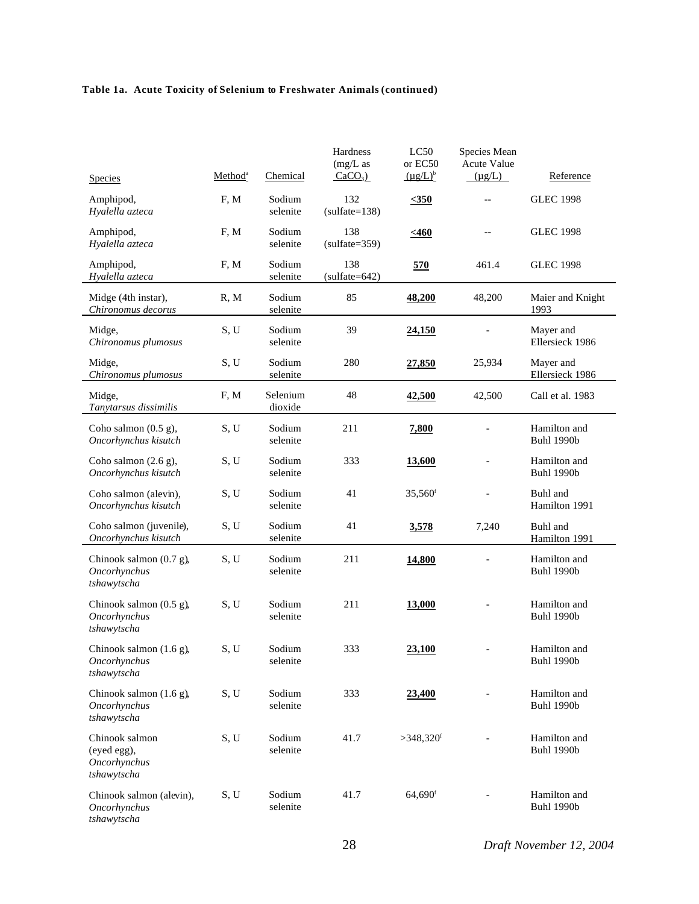## **Table 1a. Acute Toxicity of Selenium to Freshwater Animals (continued)**

|                                                              | Method <sup>a</sup> | Chemical            | Hardness<br>$(mg/L)$ as<br>$CaCO3$ ) | LC50<br>or EC50<br>$(\mu g/L)^b$ | Species Mean<br>Acute Value<br>$(\mu g/L)$ | Reference                         |
|--------------------------------------------------------------|---------------------|---------------------|--------------------------------------|----------------------------------|--------------------------------------------|-----------------------------------|
| <b>Species</b>                                               |                     |                     |                                      |                                  |                                            |                                   |
| Amphipod,<br>Hyalella azteca                                 | F, M                | Sodium<br>selenite  | 132<br>$(sulfate=138)$               | $\leq 350$                       | $-$                                        | <b>GLEC 1998</b>                  |
| Amphipod,<br>Hyalella azteca                                 | F, M                | Sodium<br>selenite  | 138<br>$(sulfate=359)$               | $\leq 460$                       | $-$                                        | <b>GLEC 1998</b>                  |
| Amphipod,<br>Hyalella azteca                                 | F, M                | Sodium<br>selenite  | 138<br>$(sulfate=642)$               | <u>570</u>                       | 461.4                                      | <b>GLEC 1998</b>                  |
| Midge (4th instar),<br>Chironomus decorus                    | R, M                | Sodium<br>selenite  | 85                                   | 48,200                           | 48,200                                     | Maier and Knight<br>1993          |
| Midge,<br>Chironomus plumosus                                | S, U                | Sodium<br>selenite  | 39                                   | 24,150                           |                                            | Mayer and<br>Ellersieck 1986      |
| Midge,<br>Chironomus plumosus                                | S, U                | Sodium<br>selenite  | 280                                  | 27,850                           | 25,934                                     | Mayer and<br>Ellersieck 1986      |
| Midge,<br>Tanytarsus dissimilis                              | F, M                | Selenium<br>dioxide | 48                                   | 42,500                           | 42,500                                     | Call et al. 1983                  |
| Coho salmon $(0.5 g)$ ,<br>Oncorhynchus kisutch              | S, U                | Sodium<br>selenite  | 211                                  | 7,800                            |                                            | Hamilton and<br><b>Buhl 1990b</b> |
| Coho salmon $(2.6 g)$ ,<br>Oncorhynchus kisutch              | S, U                | Sodium<br>selenite  | 333                                  | 13,600                           |                                            | Hamilton and<br><b>Buhl 1990b</b> |
| Coho salmon (alevin),<br>Oncorhynchus kisutch                | S, U                | Sodium<br>selenite  | 41                                   | $35,560$ <sup>f</sup>            |                                            | Buhl and<br>Hamilton 1991         |
| Coho salmon (juvenile),<br>Oncorhynchus kisutch              | S, U                | Sodium<br>selenite  | 41                                   | 3,578                            | 7,240                                      | Buhl and<br>Hamilton 1991         |
| Chinook salmon $(0.7 g)$ ,<br>Oncorhynchus<br>tshawytscha    | S, U                | Sodium<br>selenite  | 211                                  | 14,800                           |                                            | Hamilton and<br><b>Buhl 1990b</b> |
| Chinook salmon (0.5 g),<br>Oncorhynchus<br>tshawytscha       | S, U                | Sodium<br>selenite  | 211                                  | <b>13,000</b>                    |                                            | Hamilton and<br><b>Buhl 1990b</b> |
| Chinook salmon $(1.6 g)$ ,<br>Oncorhynchus<br>tshawytscha    | S, U                | Sodium<br>selenite  | 333                                  | 23,100                           |                                            | Hamilton and<br><b>Buhl 1990b</b> |
| Chinook salmon (1.6 g),<br>Oncorhynchus<br>tshawytscha       | S, U                | Sodium<br>selenite  | 333                                  | 23,400                           |                                            | Hamilton and<br><b>Buhl 1990b</b> |
| Chinook salmon<br>(eyed egg),<br>Oncorhynchus<br>tshawytscha | S, U                | Sodium<br>selenite  | 41.7                                 | $>348,320$ <sup>f</sup>          |                                            | Hamilton and<br><b>Buhl 1990b</b> |
| Chinook salmon (alevin),<br>Oncorhynchus<br>tshawytscha      | S, U                | Sodium<br>selenite  | 41.7                                 | 64,690f                          |                                            | Hamilton and<br><b>Buhl 1990b</b> |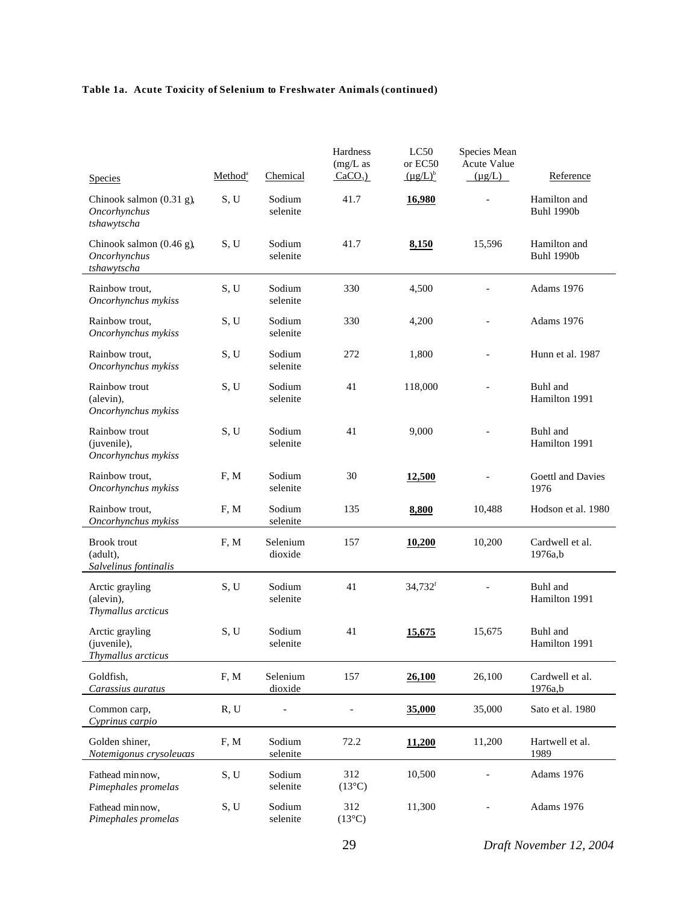#### **Table 1a. Acute Toxicity of Selenium to Freshwater Animals (continued)**

|                                                         | Method <sup>a</sup> | Chemical            | Hardness<br>$(mg/L)$ as<br>$CaCO3$ ) | LC50<br>or EC50<br>$(\mu g/L)^b$ | Species Mean<br>Acute Value<br>$(\mu g/L)$ | Reference                         |
|---------------------------------------------------------|---------------------|---------------------|--------------------------------------|----------------------------------|--------------------------------------------|-----------------------------------|
| <b>Species</b>                                          |                     |                     |                                      |                                  |                                            |                                   |
| Chinook salmon (0.31 g),<br>Oncorhynchus<br>tshawytscha | S, U                | Sodium<br>selenite  | 41.7                                 | 16,980                           |                                            | Hamilton and<br><b>Buhl 1990b</b> |
| Chinook salmon (0.46 g),<br>Oncorhynchus<br>tshawytscha | S, U                | Sodium<br>selenite  | 41.7                                 | 8,150                            | 15,596                                     | Hamilton and<br><b>Buhl 1990b</b> |
| Rainbow trout.<br>Oncorhynchus mykiss                   | S, U                | Sodium<br>selenite  | 330                                  | 4,500                            |                                            | Adams 1976                        |
| Rainbow trout,<br>Oncorhynchus mykiss                   | S, U                | Sodium<br>selenite  | 330                                  | 4,200                            |                                            | Adams 1976                        |
| Rainbow trout.<br>Oncorhynchus mykiss                   | S, U                | Sodium<br>selenite  | 272                                  | 1,800                            | $\overline{a}$                             | Hunn et al. 1987                  |
| Rainbow trout<br>(alevin),<br>Oncorhynchus mykiss       | S, U                | Sodium<br>selenite  | 41                                   | 118,000                          |                                            | Buhl and<br>Hamilton 1991         |
| Rainbow trout<br>(juvenile),<br>Oncorhynchus mykiss     | S, U                | Sodium<br>selenite  | 41                                   | 9,000                            |                                            | Buhl and<br>Hamilton 1991         |
| Rainbow trout,<br>Oncorhynchus mykiss                   | F, M                | Sodium<br>selenite  | 30                                   | 12,500                           |                                            | Goettl and Davies<br>1976         |
| Rainbow trout,<br>Oncorhynchus mykiss                   | F, M                | Sodium<br>selenite  | 135                                  | 8,800                            | 10,488                                     | Hodson et al. 1980                |
| <b>Brook</b> trout<br>(adult),<br>Salvelinus fontinalis | F, M                | Selenium<br>dioxide | 157                                  | 10,200                           | 10,200                                     | Cardwell et al.<br>1976a,b        |
| Arctic grayling<br>(alevin),<br>Thymallus arcticus      | S, U                | Sodium<br>selenite  | 41                                   | 34,732 <sup>f</sup>              |                                            | Buhl and<br>Hamilton 1991         |
| Arctic grayling<br>(juvenile),<br>Thymallus arcticus    | S, U                | Sodium<br>selenite  | 41                                   | <u>15,675</u>                    | 15,675                                     | Buhl and<br>Hamilton 1991         |
| Goldfish,<br>Carassius auratus                          | F, M                | Selenium<br>dioxide | 157                                  | 26,100                           | 26,100                                     | Cardwell et al.<br>1976a,b        |
| Common carp,<br>Cyprinus carpio                         | R, U                |                     |                                      | 35,000                           | 35,000                                     | Sato et al. 1980                  |
| Golden shiner,<br>Notemigonus crysoleucas               | F, M                | Sodium<br>selenite  | 72.2                                 | 11,200                           | 11,200                                     | Hartwell et al.<br>1989           |
| Fathead min now,<br>Pimephales promelas                 | S, U                | Sodium<br>selenite  | 312<br>$(13^{\circ}C)$               | 10,500                           |                                            | Adams 1976                        |
| Fathead minnow,<br>Pimephales promelas                  | S, U                | Sodium<br>selenite  | 312<br>$(13^{\circ}C)$               | 11,300                           |                                            | Adams 1976                        |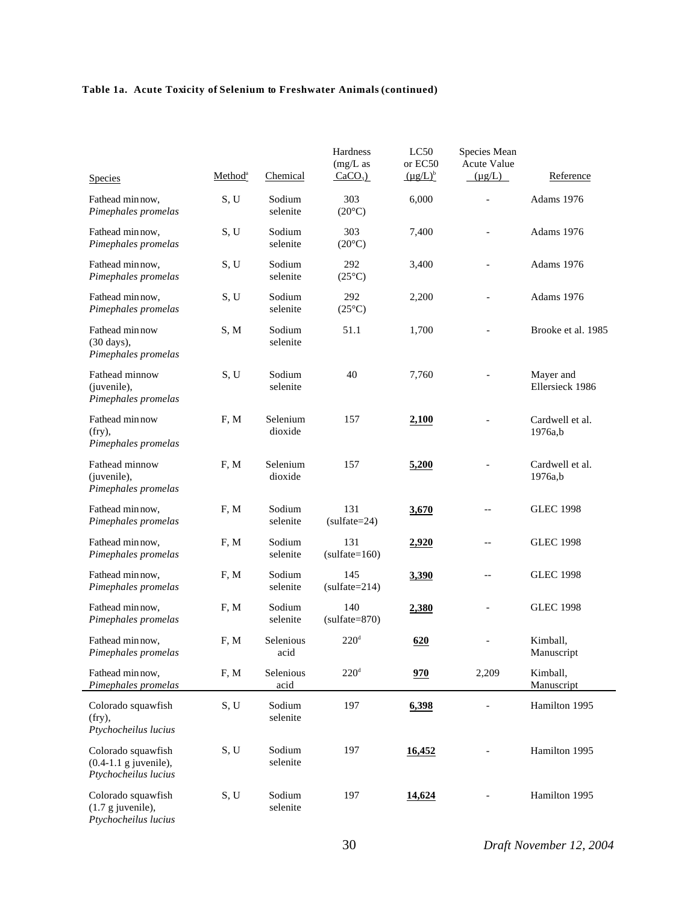|                                                                       |                     |                     | Hardness<br>$(mg/L)$ as | LC50<br>or EC50 | Species Mean<br>Acute Value |                               |
|-----------------------------------------------------------------------|---------------------|---------------------|-------------------------|-----------------|-----------------------------|-------------------------------|
| <b>Species</b>                                                        | Method <sup>a</sup> | Chemical            | $CaCO3$ )               | $(\mu g/L)^b$   | $(\mu g/L)$                 | Reference                     |
| Fathead min now,<br>Pimephales promelas                               | S, U                | Sodium<br>selenite  | 303<br>$(20^{\circ}C)$  | 6,000           | $\overline{a}$              | Adams 1976                    |
| Fathead minnow,<br>Pimephales promelas                                | S, U                | Sodium<br>selenite  | 303<br>$(20^{\circ}C)$  | 7,400           | $\overline{a}$              | Adams 1976                    |
| Fathead min now,<br>Pimephales promelas                               | S, U                | Sodium<br>selenite  | 292<br>$(25^{\circ}C)$  | 3,400           | $\overline{a}$              | Adams 1976                    |
| Fathead minnow,<br>Pimephales promelas                                | S, U                | Sodium<br>selenite  | 292<br>$(25^{\circ}C)$  | 2,200           | $\blacksquare$              | Adams 1976                    |
| Fathead min now<br>$(30 \text{ days})$ ,<br>Pimephales promelas       | S, M                | Sodium<br>selenite  | 51.1                    | 1,700           |                             | Brooke et al. 1985            |
| Fathead minnow<br>(juvenile),<br>Pimephales promelas                  | S, U                | Sodium<br>selenite  | 40                      | 7,760           |                             | Mayer and<br>Ellersieck 1986  |
| Fathead min now<br>$(fry)$ ,<br>Pimephales promelas                   | F, M                | Selenium<br>dioxide | 157                     | 2,100           |                             | Cardwell et al.<br>1976a,b    |
| Fathead minnow<br>(juvenile),<br>Pimephales promelas                  | F, M                | Selenium<br>dioxide | 157                     | 5,200           |                             | Cardwell et al.<br>$1976a$ ,b |
| Fathead min now,<br>Pimephales promelas                               | F, M                | Sodium<br>selenite  | 131<br>$(sulfate=24)$   | 3,670           |                             | <b>GLEC 1998</b>              |
| Fathead min now,<br>Pimephales promelas                               | F, M                | Sodium<br>selenite  | 131<br>$(sulfate=160)$  | 2,920           | $-$                         | <b>GLEC 1998</b>              |
| Fathead min now,<br>Pimephales promelas                               | F, M                | Sodium<br>selenite  | 145<br>$(sulfate=214)$  | 3,390           | $-$                         | <b>GLEC 1998</b>              |
| Fathead min now,<br>Pimephales promelas                               | F, M                | Sodium<br>selenite  | 140<br>$(sulfate=870)$  | 2,380           |                             | <b>GLEC 1998</b>              |
| Fathead min now,<br>Pimephales promelas                               | F, M                | Selenious<br>acid   | 220 <sup>d</sup>        | 620             |                             | Kimball,<br>Manuscript        |
| Fathead min now,<br>Pimephales promelas                               | F, M                | Selenious<br>acid   | 220 <sup>d</sup>        | 970             | 2,209                       | Kimball,<br>Manuscript        |
| Colorado squawfish<br>$(fry)$ ,<br>Ptychocheilus lucius               | S, U                | Sodium<br>selenite  | 197                     | 6,398           |                             | Hamilton 1995                 |
| Colorado squawfish<br>$(0.4-1.1$ g juvenile),<br>Ptychocheilus lucius | S, U                | Sodium<br>selenite  | 197                     | 16,452          |                             | Hamilton 1995                 |
| Colorado squawfish<br>$(1.7 g$ juvenile),<br>Ptychocheilus lucius     | S, U                | Sodium<br>selenite  | 197                     | 14,624          |                             | Hamilton 1995                 |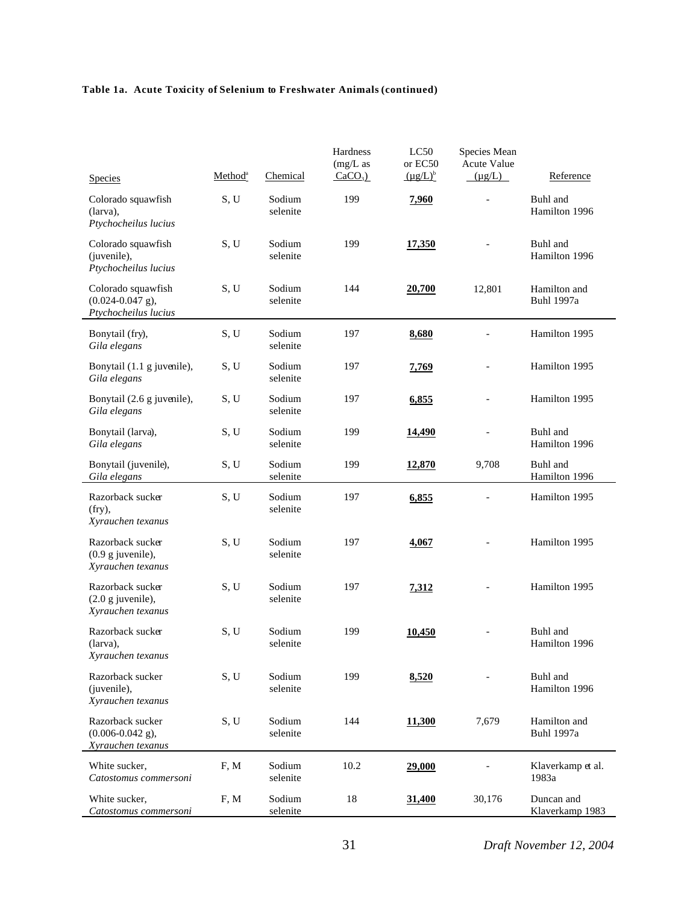| <b>Species</b>                                                                    | Method <sup>a</sup> | Chemical           | Hardness<br>$(mg/L)$ as<br>$CaCO3$ ) | LC50<br>or EC50<br>$(\mu g/L)^b$ | Species Mean<br><b>Acute Value</b><br>$(\mu g/L)$ | Reference                         |
|-----------------------------------------------------------------------------------|---------------------|--------------------|--------------------------------------|----------------------------------|---------------------------------------------------|-----------------------------------|
| Colorado squawfish<br>(larva),                                                    | S, U                | Sodium<br>selenite | 199                                  | 7,960                            |                                                   | Buhl and<br>Hamilton 1996         |
| Ptychocheilus lucius<br>Colorado squawfish<br>(juvenile),<br>Ptychocheilus lucius | S, U                | Sodium<br>selenite | 199                                  | 17,350                           |                                                   | Buhl and<br>Hamilton 1996         |
| Colorado squawfish<br>$(0.024 - 0.047$ g),<br>Ptychocheilus lucius                | S, U                | Sodium<br>selenite | 144                                  | 20,700                           | 12,801                                            | Hamilton and<br><b>Buhl 1997a</b> |
| Bonytail (fry),<br>Gila elegans                                                   | S, U                | Sodium<br>selenite | 197                                  | 8,680                            |                                                   | Hamilton 1995                     |
| Bonytail (1.1 g juvenile),<br>Gila elegans                                        | S, U                | Sodium<br>selenite | 197                                  | 7,769                            |                                                   | Hamilton 1995                     |
| Bonytail (2.6 g juvenile),<br>Gila elegans                                        | S, U                | Sodium<br>selenite | 197                                  | 6,855                            |                                                   | Hamilton 1995                     |
| Bonytail (larva),<br>Gila elegans                                                 | S, U                | Sodium<br>selenite | 199                                  | 14,490                           |                                                   | Buhl and<br>Hamilton 1996         |
| Bonytail (juvenile),<br>Gila elegans                                              | S, U                | Sodium<br>selenite | 199                                  | 12,870                           | 9,708                                             | Buhl and<br>Hamilton 1996         |
| Razorback sucker<br>(fry),<br>Xyrauchen texanus                                   | S, U                | Sodium<br>selenite | 197                                  | 6,855                            |                                                   | Hamilton 1995                     |
| Razorback sucker<br>$(0.9 g$ juvenile),<br>Xyrauchen texanus                      | S, U                | Sodium<br>selenite | 197                                  | 4,067                            |                                                   | Hamilton 1995                     |
| Razorback sucker<br>$(2.0 g$ juvenile),<br>Xyrauchen texanus                      | S, U                | Sodium<br>selenite | 197                                  | 7,312                            |                                                   | Hamilton 1995                     |
| Razorback sucker<br>(larva),<br>Xyrauchen texanus                                 | S, U                | Sodium<br>selenite | 199                                  | 10,450                           |                                                   | Buhl and<br>Hamilton 1996         |
| Razorback sucker<br>(juvenile),<br>Xyrauchen texanus                              | S, U                | Sodium<br>selenite | 199                                  | 8,520                            |                                                   | Buhl and<br>Hamilton 1996         |
| Razorback sucker<br>$(0.006 - 0.042$ g),<br>Xyrauchen texanus                     | S, U                | Sodium<br>selenite | 144                                  | 11,300                           | 7,679                                             | Hamilton and<br><b>Buhl 1997a</b> |
| White sucker,<br>Catostomus commersoni                                            | F, M                | Sodium<br>selenite | 10.2                                 | 29,000                           |                                                   | Klaverkamp et al.<br>1983a        |
| White sucker,<br>Catostomus commersoni                                            | F, M                | Sodium<br>selenite | 18                                   | 31,400                           | 30,176                                            | Duncan and<br>Klaverkamp 1983     |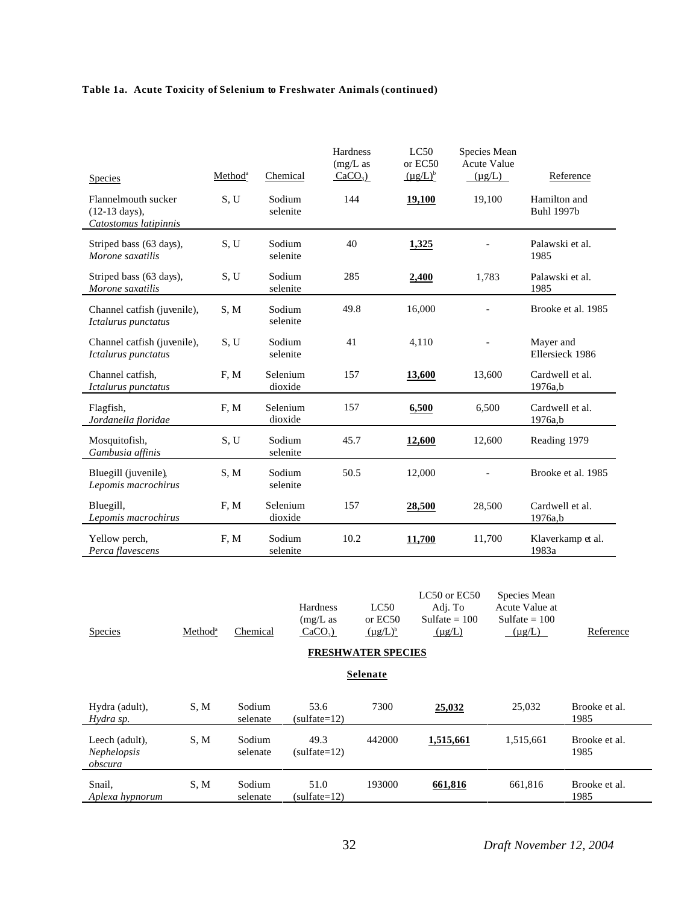| <b>Species</b>                                                           | Method <sup>a</sup> | Chemical            | Hardness<br>$(mg/L)$ as<br>$CaCO3$ ) | LC50<br>or EC50<br>$(\mu g/L)^b$ | Species Mean<br><b>Acute Value</b><br>$(\mu g/L)$ | Reference                         |
|--------------------------------------------------------------------------|---------------------|---------------------|--------------------------------------|----------------------------------|---------------------------------------------------|-----------------------------------|
| Flannelmouth sucker<br>$(12-13 \text{ days})$ ,<br>Catostomus latipinnis | S, U                | Sodium<br>selenite  | 144                                  | 19,100                           | 19,100                                            | Hamilton and<br><b>Buhl 1997b</b> |
| Striped bass (63 days),<br>Morone saxatilis                              | S, U                | Sodium<br>selenite  | 40                                   | 1,325                            |                                                   | Palawski et al.<br>1985           |
| Striped bass (63 days),<br>Morone saxatilis                              | S, U                | Sodium<br>selenite  | 285                                  | 2,400                            | 1,783                                             | Palawski et al.<br>1985           |
| Channel catfish (juvenile),<br>Ictalurus punctatus                       | S, M                | Sodium<br>selenite  | 49.8                                 | 16,000                           |                                                   | Brooke et al. 1985                |
| Channel catfish (juvenile),<br>Ictalurus punctatus                       | S, U                | Sodium<br>selenite  | 41                                   | 4,110                            |                                                   | Mayer and<br>Ellersieck 1986      |
| Channel catfish,<br>Ictalurus punctatus                                  | F, M                | Selenium<br>dioxide | 157                                  | 13,600                           | 13,600                                            | Cardwell et al.<br>1976a,b        |
| Flagfish,<br>Jordanella floridae                                         | F, M                | Selenium<br>dioxide | 157                                  | 6,500                            | 6,500                                             | Cardwell et al.<br>$1976a$ ,b     |
| Mosquitofish,<br>Gambusia affinis                                        | S, U                | Sodium<br>selenite  | 45.7                                 | 12,600                           | 12,600                                            | Reading 1979                      |
| Bluegill (juvenile),<br>Lepomis macrochirus                              | S, M                | Sodium<br>selenite  | 50.5                                 | 12,000                           |                                                   | Brooke et al. 1985                |
| Bluegill,<br>Lepomis macrochirus                                         | F, M                | Selenium<br>dioxide | 157                                  | 28,500                           | 28,500                                            | Cardwell et al.<br>1976a,b        |
| Yellow perch,<br>Perca flavescens                                        | F, M                | Sodium<br>selenite  | 10.2                                 | 11,700                           | 11,700                                            | Klaverkamp et al.<br>1983a        |

| <b>Species</b>                                  | Method <sup>a</sup> | Chemical           | <b>Hardness</b><br>$(mg/L)$ as<br>$CaCO3$ ) | LC50<br>or EC50<br>$(\mu g/L)^b$ | LC50 or EC50<br>Adj. To<br>Sulfate $= 100$<br>$(\mu g/L)$ | Species Mean<br>Acute Value at<br>Sulfate $= 100$<br>$(\mu g/L)$ | Reference             |  |  |  |
|-------------------------------------------------|---------------------|--------------------|---------------------------------------------|----------------------------------|-----------------------------------------------------------|------------------------------------------------------------------|-----------------------|--|--|--|
| <b>FRESHWATER SPECIES</b>                       |                     |                    |                                             |                                  |                                                           |                                                                  |                       |  |  |  |
| <b>Selenate</b>                                 |                     |                    |                                             |                                  |                                                           |                                                                  |                       |  |  |  |
| Hydra (adult),<br>Hydra sp.                     | S, M                | Sodium<br>selenate | 53.6<br>$(sulfate=12)$                      | 7300                             | 25,032                                                    | 25,032                                                           | Brooke et al.<br>1985 |  |  |  |
| Leech (adult).<br><i>Nephelopsis</i><br>obscura | S.M                 | Sodium<br>selenate | 49.3<br>$(sulfate=12)$                      | 442000                           | 1,515,661                                                 | 1,515,661                                                        | Brooke et al.<br>1985 |  |  |  |
| Snail,<br>Aplexa hypnorum                       | S, M                | Sodium<br>selenate | 51.0<br>$(sulfate=12)$                      | 193000                           | 661,816                                                   | 661,816                                                          | Brooke et al.<br>1985 |  |  |  |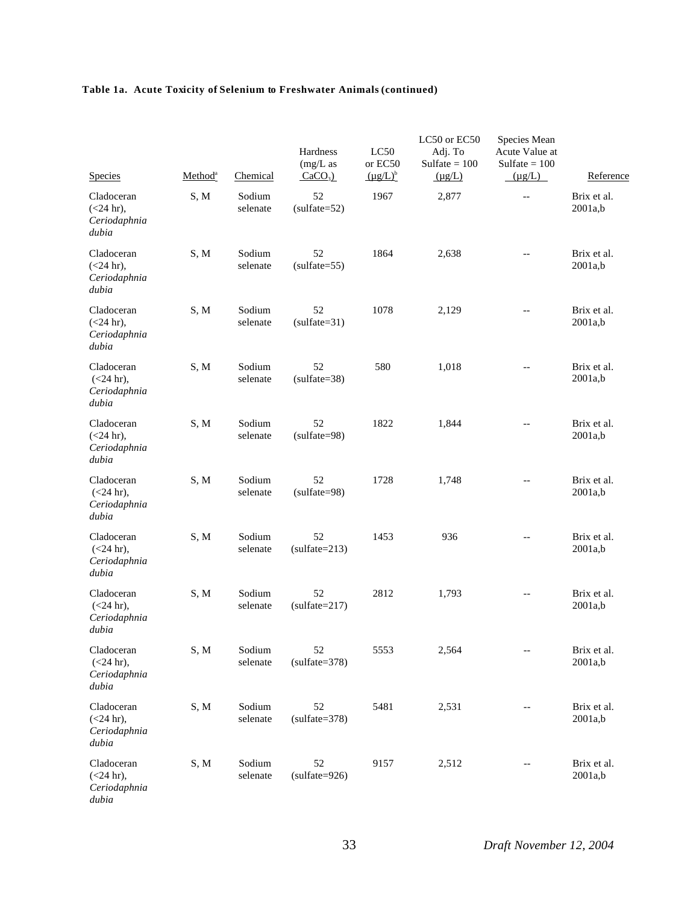| <b>Species</b>                                     | Method <sup>a</sup> | Chemical           | Hardness<br>$(mg/L)$ as<br>$CaCO3$ ) | LC50<br>or EC50<br>$(\mu g/L)^b$ | LC50 or EC50<br>Adj. To<br>Sulfate $= 100$<br>$(\mu g/L)$ | Species Mean<br>Acute Value at<br>Sulfate $= 100$<br>$(\mu g/L)$ | Reference              |
|----------------------------------------------------|---------------------|--------------------|--------------------------------------|----------------------------------|-----------------------------------------------------------|------------------------------------------------------------------|------------------------|
| Cladoceran<br>$(<24$ hr),<br>Ceriodaphnia<br>dubia | S, M                | Sodium<br>selenate | 52<br>$(sulfate=52)$                 | 1967                             | 2,877                                                     | $-\,-$                                                           | Brix et al.<br>2001a,b |
| Cladoceran<br>$(<24$ hr),<br>Ceriodaphnia<br>dubia | S, M                | Sodium<br>selenate | 52<br>$(sulfate=55)$                 | 1864                             | 2,638                                                     | $\qquad \qquad -$                                                | Brix et al.<br>2001a,b |
| Cladoceran<br>$(<24$ hr),<br>Ceriodaphnia<br>dubia | S, M                | Sodium<br>selenate | 52<br>$(sulfate=31)$                 | 1078                             | 2,129                                                     | $-$                                                              | Brix et al.<br>2001a,b |
| Cladoceran<br>$(<24$ hr),<br>Ceriodaphnia<br>dubia | S, M                | Sodium<br>selenate | 52<br>$(sulfate=38)$                 | 580                              | 1,018                                                     | $-$                                                              | Brix et al.<br>2001a,b |
| Cladoceran<br>$(<24$ hr),<br>Ceriodaphnia<br>dubia | S, M                | Sodium<br>selenate | 52<br>$(sulfate=98)$                 | 1822                             | 1,844                                                     | $-$                                                              | Brix et al.<br>2001a,b |
| Cladoceran<br>$(<24$ hr),<br>Ceriodaphnia<br>dubia | S, M                | Sodium<br>selenate | 52<br>$(sulfate=98)$                 | 1728                             | 1,748                                                     | $- -$                                                            | Brix et al.<br>2001a,b |
| Cladoceran<br>$(<24$ hr),<br>Ceriodaphnia<br>dubia | S, M                | Sodium<br>selenate | 52<br>$(sulfate=213)$                | 1453                             | 936                                                       | $-$                                                              | Brix et al.<br>2001a,b |
| Cladoceran<br>$(<24$ hr),<br>Ceriodaphnia<br>dubia | S, M                | Sodium<br>selenate | 52<br>$(sulfate=217)$                | 2812                             | 1,793                                                     | $-$                                                              | Brix et al.<br>2001a,b |
| Cladoceran<br>$(<24$ hr),<br>Ceriodaphnia<br>dubia | S, M                | Sodium<br>selenate | 52<br>$(sulfate=378)$                | 5553                             | 2,564                                                     | $\overline{\phantom{a}}$                                         | Brix et al.<br>2001a,b |
| Cladoceran<br>$(<24$ hr),<br>Ceriodaphnia<br>dubia | S, M                | Sodium<br>selenate | 52<br>$(sulfate=378)$                | 5481                             | 2,531                                                     | $-$                                                              | Brix et al.<br>2001a,b |
| Cladoceran<br>$(<24$ hr),<br>Ceriodaphnia<br>dubia | S, M                | Sodium<br>selenate | 52<br>$(sulfate=926)$                | 9157                             | 2,512                                                     |                                                                  | Brix et al.<br>2001a,b |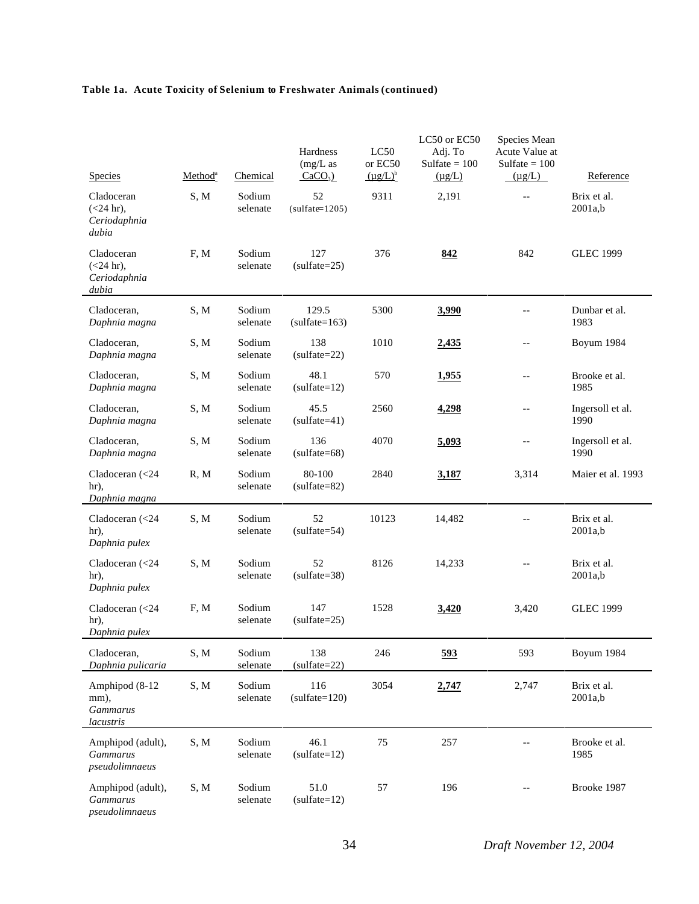| Species                                                       | Method <sup>a</sup> | Chemical           | Hardness<br>$(mg/L)$ as<br>$CaCO3$ ) | LC50<br>or EC50<br>$(\mu g/L)^b$ | LC50 or EC50<br>Adj. To<br>$Sulfate = 100$<br>$(\mu g/L)$ | Species Mean<br>Acute Value at<br>Sulfate $= 100$<br>$(\mu g/L)$ | Reference                |
|---------------------------------------------------------------|---------------------|--------------------|--------------------------------------|----------------------------------|-----------------------------------------------------------|------------------------------------------------------------------|--------------------------|
| Cladoceran<br>$(<24$ hr),<br>Ceriodaphnia<br>dubia            | S, M                | Sodium<br>selenate | 52<br>$(sulfate=1205)$               | 9311                             | 2,191                                                     | $-$                                                              | Brix et al.<br>2001a,b   |
| Cladoceran<br>$(<24$ hr),<br>Ceriodaphnia<br>dubia            | F, M                | Sodium<br>selenate | 127<br>$(sulfate=25)$                | 376                              | 842                                                       | 842                                                              | <b>GLEC 1999</b>         |
| Cladoceran,<br>Daphnia magna                                  | S, M                | Sodium<br>selenate | 129.5<br>$(sulfate=163)$             | 5300                             | 3,990                                                     |                                                                  | Dunbar et al.<br>1983    |
| Cladoceran,<br>Daphnia magna                                  | S, M                | Sodium<br>selenate | 138<br>$(sulfate=22)$                | 1010                             | 2,435                                                     | $-$                                                              | Boyum 1984               |
| Cladoceran,<br>Daphnia magna                                  | S, M                | Sodium<br>selenate | 48.1<br>$(sulfate=12)$               | 570                              | 1,955                                                     | --                                                               | Brooke et al.<br>1985    |
| Cladoceran,<br>Daphnia magna                                  | S, M                | Sodium<br>selenate | 45.5<br>$(sulfate=41)$               | 2560                             | 4,298                                                     | --                                                               | Ingersoll et al.<br>1990 |
| Cladoceran,<br>Daphnia magna                                  | S, M                | Sodium<br>selenate | 136<br>$(sulfate=68)$                | 4070                             | 5,093                                                     | --                                                               | Ingersoll et al.<br>1990 |
| Cladoceran (<24<br>hr),<br>Daphnia magna                      | R, M                | Sodium<br>selenate | 80-100<br>$(sulfate=82)$             | 2840                             | 3,187                                                     | 3,314                                                            | Maier et al. 1993        |
| Cladoceran $\left( < 24 \right)$<br>hr),<br>Daphnia pulex     | S, M                | Sodium<br>selenate | 52<br>$(sulfate=54)$                 | 10123                            | 14,482                                                    | $-$                                                              | Brix et al.<br>2001a,b   |
| Cladoceran $\left( < 24 \right)$<br>hr),<br>Daphnia pulex     | S, M                | Sodium<br>selenate | 52<br>$(sulfate=38)$                 | 8126                             | 14,233                                                    | $-$                                                              | Brix et al.<br>2001a,b   |
| Cladoceran $\left( < 24 \right)$<br>hr),<br>Daphnia pulex     | F, M                | Sodium<br>selenate | 147<br>$(sulfate=25)$                | 1528                             | 3,420                                                     | 3,420                                                            | <b>GLEC 1999</b>         |
| Cladoceran,<br>Daphnia pulicaria                              | S, M                | Sodium<br>selenate | 138<br>$(sulfate=22)$                | 246                              | <u>593</u>                                                | 593                                                              | Boyum 1984               |
| Amphipod (8-12<br>mm),<br><b>Gammarus</b><br><i>lacustris</i> | S, M                | Sodium<br>selenate | 116<br>$(sulfate=120)$               | 3054                             | 2,747                                                     | 2,747                                                            | Brix et al.<br>2001a,b   |
| Amphipod (adult),<br><b>Gammarus</b><br>pseudolimnaeus        | S, M                | Sodium<br>selenate | 46.1<br>$(sulfate=12)$               | 75                               | 257                                                       |                                                                  | Brooke et al.<br>1985    |
| Amphipod (adult),<br><b>Gammarus</b><br>pseudolimnaeus        | S, M                | Sodium<br>selenate | 51.0<br>$(sulfate=12)$               | 57                               | 196                                                       |                                                                  | Brooke 1987              |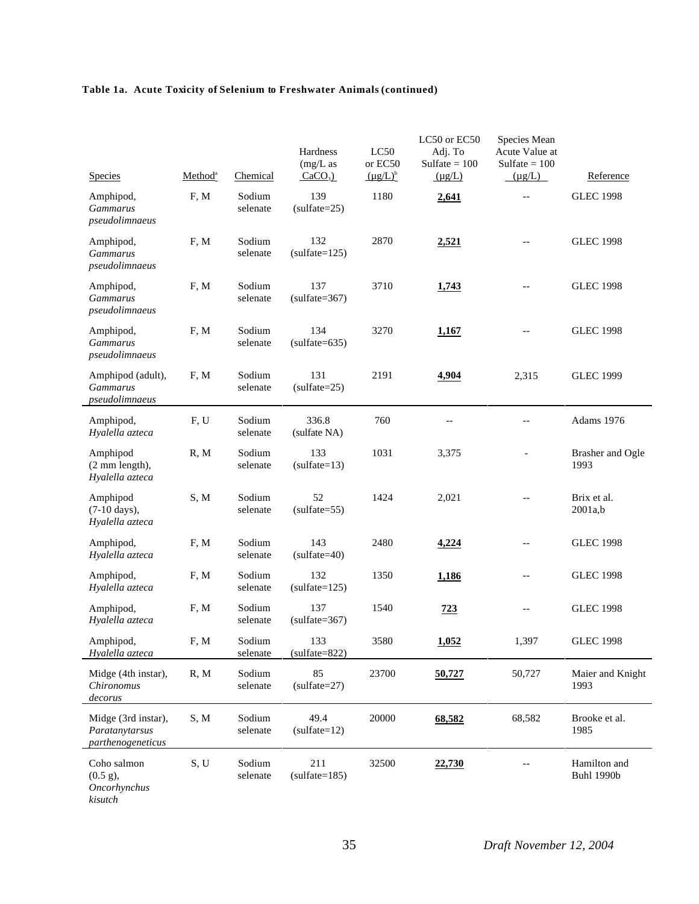| Species                                                           | Method <sup>a</sup> | Chemical           | Hardness<br>$(mg/L)$ as<br>$CaCO3$ ) | LC50<br>or EC50<br>$(\mu g/L)^b$ | LC50 or EC50<br>Adj. To<br>Sulfate $= 100$<br>$(\mu g/L)$ | Species Mean<br>Acute Value at<br>Sulfate $= 100$<br>$(\mu g/L)$ | Reference                         |
|-------------------------------------------------------------------|---------------------|--------------------|--------------------------------------|----------------------------------|-----------------------------------------------------------|------------------------------------------------------------------|-----------------------------------|
| Amphipod,<br><b>Gammarus</b><br>pseudolimnaeus                    | F, M                | Sodium<br>selenate | 139<br>$(sulfate=25)$                | 1180                             | 2,641                                                     | $-$                                                              | <b>GLEC 1998</b>                  |
| Amphipod,<br><b>Gammarus</b><br>pseudolimnaeus                    | F, M                | Sodium<br>selenate | 132<br>$(sulfate=125)$               | 2870                             | 2,521                                                     |                                                                  | <b>GLEC 1998</b>                  |
| Amphipod,<br><b>Gammarus</b><br>pseudolimnaeus                    | F, M                | Sodium<br>selenate | 137<br>$(sulfate=367)$               | 3710                             | 1,743                                                     |                                                                  | <b>GLEC 1998</b>                  |
| Amphipod,<br><b>Gammarus</b><br>pseudolimnaeus                    | F, M                | Sodium<br>selenate | 134<br>$(sulfate=635)$               | 3270                             | 1,167                                                     | --                                                               | <b>GLEC 1998</b>                  |
| Amphipod (adult),<br><b>Gammarus</b><br>pseudolimnaeus            | F, M                | Sodium<br>selenate | 131<br>$(sulfate=25)$                | 2191                             | 4,904                                                     | 2,315                                                            | <b>GLEC 1999</b>                  |
| Amphipod,<br>Hyalella azteca                                      | F, U                | Sodium<br>selenate | 336.8<br>(sulfate NA)                | 760                              | $-$                                                       | $-$                                                              | Adams 1976                        |
| Amphipod<br>(2 mm length),<br>Hyalella azteca                     | R, M                | Sodium<br>selenate | 133<br>$(sulfate=13)$                | 1031                             | 3,375                                                     |                                                                  | Brasher and Ogle<br>1993          |
| Amphipod<br>(7-10 days),<br>Hyalella azteca                       | S, M                | Sodium<br>selenate | 52<br>$(sulfate=55)$                 | 1424                             | 2,021                                                     | $-$                                                              | Brix et al.<br>2001a,b            |
| Amphipod,<br>Hyalella azteca                                      | F, M                | Sodium<br>selenate | 143<br>$(sulfate=40)$                | 2480                             | 4,224                                                     | $-$                                                              | <b>GLEC 1998</b>                  |
| Amphipod,<br>Hyalella azteca                                      | F, M                | Sodium<br>selenate | 132<br>$(sulfate=125)$               | 1350                             | 1,186                                                     | --                                                               | <b>GLEC 1998</b>                  |
| Amphipod,<br>Hyalella azteca                                      | F, M                | Sodium<br>selenate | 137<br>$(sulfate=367)$               | 1540                             | 723                                                       | --                                                               | <b>GLEC 1998</b>                  |
| Amphipod,<br>Hyalella azteca                                      | F, M                | Sodium<br>selenate | 133<br>$(sulfate=822)$               | 3580                             | 1,052                                                     | 1,397                                                            | <b>GLEC 1998</b>                  |
| Midge (4th instar),<br>Chironomus<br>decorus                      | R, M                | Sodium<br>selenate | 85<br>$(sulfate=27)$                 | 23700                            | 50,727                                                    | 50,727                                                           | Maier and Knight<br>1993          |
| Midge (3rd instar),<br>Paratanytarsus<br><i>parthenogeneticus</i> | S, M                | Sodium<br>selenate | 49.4<br>$(sulfate=12)$               | 20000                            | 68,582                                                    | 68,582                                                           | Brooke et al.<br>1985             |
| Coho salmon<br>$(0.5 \text{ g})$ ,<br>Oncorhynchus<br>kisutch     | S, U                | Sodium<br>selenate | 211<br>$(sulfate=185)$               | 32500                            | 22,730                                                    |                                                                  | Hamilton and<br><b>Buhl 1990b</b> |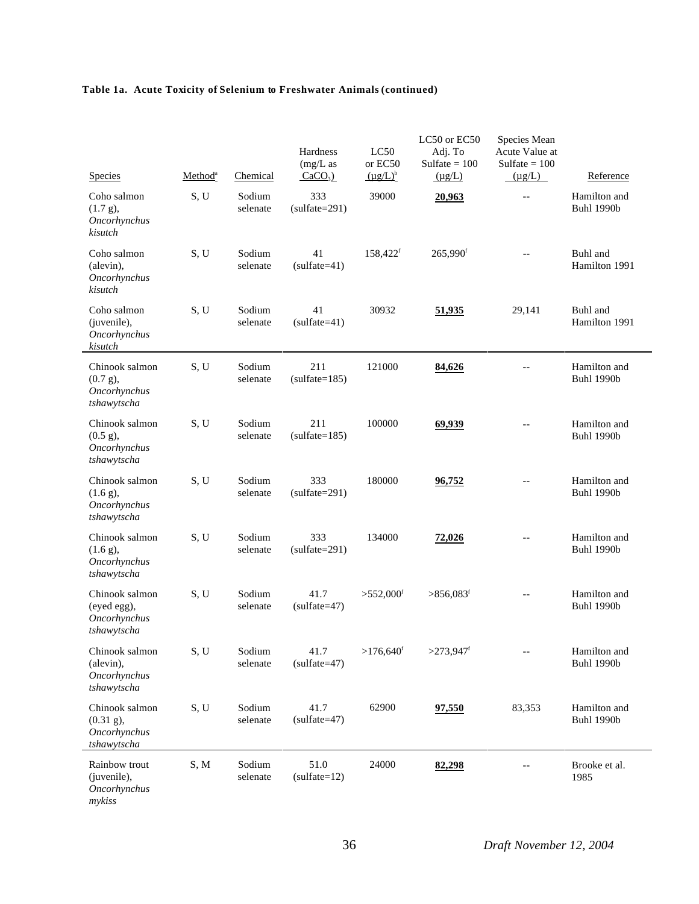| <b>Species</b>                                                        | Method <sup>a</sup> | Chemical           | Hardness<br>$(mg/L)$ as<br>$CaCO3$ ) | LC50<br>or EC50<br>$(\mu g/L)^b$ | LC50 or EC50<br>Adj. To<br>Sulfate $= 100$<br>$(\mu g/L)$ | Species Mean<br>Acute Value at<br>Sulfate $= 100$<br>$(\mu g/L)$ | Reference                         |
|-----------------------------------------------------------------------|---------------------|--------------------|--------------------------------------|----------------------------------|-----------------------------------------------------------|------------------------------------------------------------------|-----------------------------------|
| Coho salmon<br>$(1.7 g)$ ,<br>Oncorhynchus<br>kisutch                 | S, U                | Sodium<br>selenate | 333<br>$(sulfate=291)$               | 39000                            | 20,963                                                    | $\overline{a}$                                                   | Hamilton and<br><b>Buhl 1990b</b> |
| Coho salmon<br>(alevin),<br>Oncorhynchus<br>kisutch                   | S, U                | Sodium<br>selenate | 41<br>$(sulfate=41)$                 | 158,422 <sup>f</sup>             | 265,990 <sup>f</sup>                                      | $-$                                                              | Buhl and<br>Hamilton 1991         |
| Coho salmon<br>(juvenile),<br>Oncorhynchus<br>kisutch                 | S, U                | Sodium<br>selenate | 41<br>$(sulfate=41)$                 | 30932                            | 51,935                                                    | 29,141                                                           | Buhl and<br>Hamilton 1991         |
| Chinook salmon<br>$(0.7 g)$ ,<br>Oncorhynchus<br>tshawytscha          | S, U                | Sodium<br>selenate | 211<br>$(sulfate=185)$               | 121000                           | 84,626                                                    |                                                                  | Hamilton and<br><b>Buhl 1990b</b> |
| Chinook salmon<br>$(0.5 \text{ g}),$<br>Oncorhynchus<br>tshawytscha   | S, U                | Sodium<br>selenate | 211<br>$(sulfate=185)$               | 100000                           | 69,939                                                    |                                                                  | Hamilton and<br><b>Buhl 1990b</b> |
| Chinook salmon<br>$(1.6 g)$ ,<br>Oncorhynchus<br>tshawytscha          | S.U                 | Sodium<br>selenate | 333<br>$(sulfate=291)$               | 180000                           | 96,752                                                    |                                                                  | Hamilton and<br><b>Buhl 1990b</b> |
| Chinook salmon<br>$(1.6 g)$ ,<br>Oncorhynchus<br>tshawytscha          | S, U                | Sodium<br>selenate | 333<br>$(sulfate=291)$               | 134000                           | 72,026                                                    | $-$                                                              | Hamilton and<br><b>Buhl 1990b</b> |
| Chinook salmon<br>(eyed egg),<br>Oncorhynchus<br>tshawytscha          | S, U                | Sodium<br>selenate | 41.7<br>$(sulfate=47)$               | $>552,000$ <sup>f</sup>          | $>856,083$ <sup>f</sup>                                   | $-$                                                              | Hamilton and<br><b>Buhl 1990b</b> |
| Chinook salmon<br>(alevin),<br>Oncorhynchus<br>tshawytscha            | S, U                | Sodium<br>selenate | 41.7<br>$(sulfate=47)$               | $>176,640$ <sup>f</sup>          | $>273,947$ f                                              | $\overline{\phantom{a}}$                                         | Hamilton and<br><b>Buhl 1990b</b> |
| Chinook salmon<br>$(0.31 \text{ g})$ ,<br>Oncorhynchus<br>tshawytscha | S, U                | Sodium<br>selenate | 41.7<br>$(sulfate=47)$               | 62900                            | 97,550                                                    | 83,353                                                           | Hamilton and<br><b>Buhl 1990b</b> |
| Rainbow trout<br>(juvenile),<br>Oncorhynchus<br>mykiss                | S, M                | Sodium<br>selenate | 51.0<br>$(sulfate=12)$               | 24000                            | 82,298                                                    |                                                                  | Brooke et al.<br>1985             |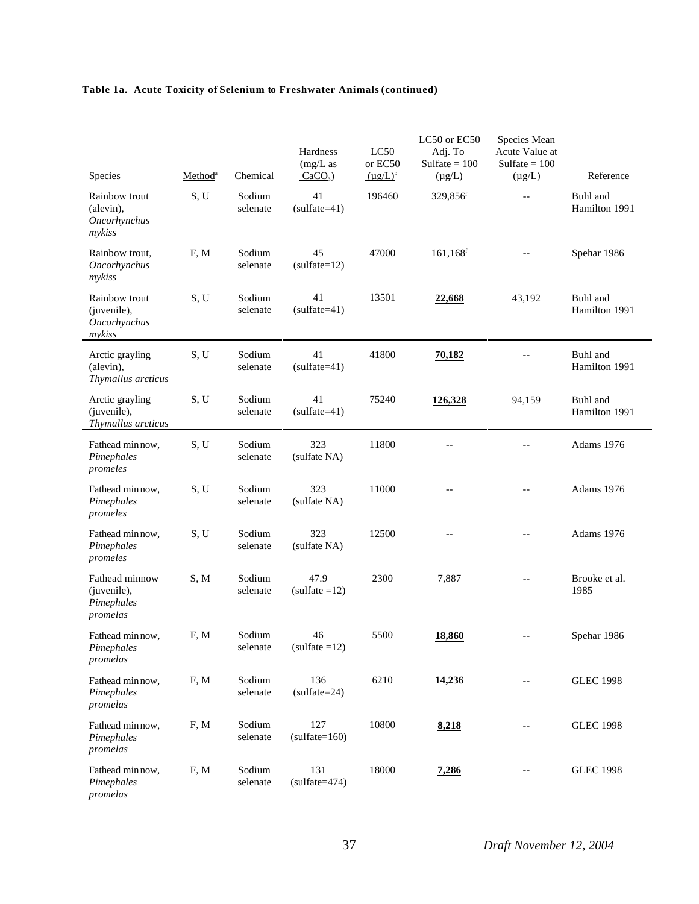| Species                                                 | Method <sup>a</sup> | Chemical           | Hardness<br>$(mg/L)$ as<br>$CaCO3$ ) | LC50<br>or EC50<br>$(\mu g/L)^b$ | LC50 or EC50<br>Adj. To<br>Sulfate $= 100$<br>$(\mu g/L)$ | Species Mean<br>Acute Value at<br>Sulfate $= 100$<br>$(\mu g/L)$ | Reference                 |
|---------------------------------------------------------|---------------------|--------------------|--------------------------------------|----------------------------------|-----------------------------------------------------------|------------------------------------------------------------------|---------------------------|
| Rainbow trout<br>(alevin),<br>Oncorhynchus<br>mykiss    | S, U                | Sodium<br>selenate | 41<br>$(sulfate=41)$                 | 196460                           | 329,856 <sup>f</sup>                                      | $-$                                                              | Buhl and<br>Hamilton 1991 |
| Rainbow trout,<br>Oncorhynchus<br>mykiss                | F, M                | Sodium<br>selenate | 45<br>$(sulfate=12)$                 | 47000                            | $161, 168$ <sup>f</sup>                                   |                                                                  | Spehar 1986               |
| Rainbow trout<br>(juvenile),<br>Oncorhynchus<br>mykiss  | S, U                | Sodium<br>selenate | 41<br>$(sulfate=41)$                 | 13501                            | 22,668                                                    | 43,192                                                           | Buhl and<br>Hamilton 1991 |
| Arctic grayling<br>(alevin),<br>Thymallus arcticus      | S, U                | Sodium<br>selenate | 41<br>$(sulfate=41)$                 | 41800                            | 70,182                                                    |                                                                  | Buhl and<br>Hamilton 1991 |
| Arctic grayling<br>(juvenile),<br>Thymallus arcticus    | S, U                | Sodium<br>selenate | 41<br>$(sulfate=41)$                 | 75240                            | 126,328                                                   | 94,159                                                           | Buhl and<br>Hamilton 1991 |
| Fathead min now,<br>Pimephales<br>promeles              | S, U                | Sodium<br>selenate | 323<br>(sulfate NA)                  | 11800                            | $-$                                                       | $-$                                                              | Adams 1976                |
| Fathead min now,<br>Pimephales<br>promeles              | S, U                | Sodium<br>selenate | 323<br>(sulfate NA)                  | 11000                            | $-$                                                       |                                                                  | Adams 1976                |
| Fathead min now,<br>Pimephales<br>promeles              | S, U                | Sodium<br>selenate | 323<br>(sulfate NA)                  | 12500                            | $-$                                                       | $\overline{\phantom{m}}$                                         | Adams 1976                |
| Fathead minnow<br>(juvenile),<br>Pimephales<br>promelas | S, M                | Sodium<br>selenate | 47.9<br>$(sulfate = 12)$             | 2300                             | 7,887                                                     | $-$                                                              | Brooke et al.<br>1985     |
| Fathead minnow,<br>Pimephales<br>promelas               | F, M                | Sodium<br>selenate | 46<br>$(sulfate = 12)$               | 5500                             | 18,860                                                    | $-$                                                              | Spehar 1986               |
| Fathead min now,<br>Pimephales<br>promelas              | F, M                | Sodium<br>selenate | 136<br>$(sulfate=24)$                | 6210                             | 14,236                                                    | $-$                                                              | <b>GLEC 1998</b>          |
| Fathead min now,<br>Pimephales<br>promelas              | F, M                | Sodium<br>selenate | 127<br>$(sulfate=160)$               | 10800                            | 8,218                                                     |                                                                  | <b>GLEC 1998</b>          |
| Fathead min now,<br>Pimephales<br>promelas              | F, M                | Sodium<br>selenate | 131<br>$(sulfate=474)$               | 18000                            | 7,286                                                     |                                                                  | <b>GLEC 1998</b>          |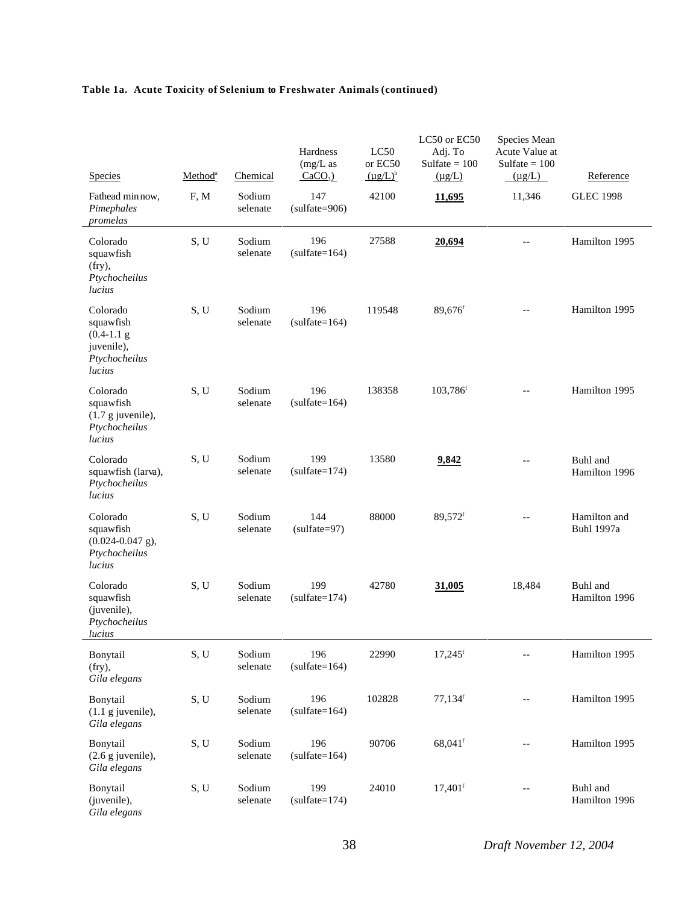| Species                                                                       | Method <sup>a</sup> | Chemical           | Hardness<br>$(mg/L)$ as<br>$CaCO3$ ) | LC50<br>or EC50<br>$(\mu g/L)^b$ | LC50 or EC50<br>Adj. To<br>Sulfate $= 100$<br>$(\mu g/L)$ | Species Mean<br>Acute Value at<br>Sulfate $= 100$<br>$(\mu g/L)$ | Reference                         |
|-------------------------------------------------------------------------------|---------------------|--------------------|--------------------------------------|----------------------------------|-----------------------------------------------------------|------------------------------------------------------------------|-----------------------------------|
| Fathead min now,<br>Pimephales<br>promelas                                    | F, M                | Sodium<br>selenate | 147<br>$(sulfate=906)$               | 42100                            | <u>11,695</u>                                             | 11,346                                                           | <b>GLEC 1998</b>                  |
| Colorado<br>squawfish<br>$(fry)$ ,<br>Ptychocheilus<br>lucius                 | S, U                | Sodium<br>selenate | 196<br>$(sulfate=164)$               | 27588                            | 20,694                                                    |                                                                  | Hamilton 1995                     |
| Colorado<br>squawfish<br>$(0.4-1.1)$<br>juvenile),<br>Ptychocheilus<br>lucius | S, U                | Sodium<br>selenate | 196<br>$(sulfate=164)$               | 119548                           | 89,676f                                                   |                                                                  | Hamilton 1995                     |
| Colorado<br>squawfish<br>$(1.7 g$ juvenile),<br>Ptychocheilus<br>lucius       | S, U                | Sodium<br>selenate | 196<br>$(sulfate=164)$               | 138358                           | 103,786f                                                  |                                                                  | Hamilton 1995                     |
| Colorado<br>squawfish (larva),<br>Ptychocheilus<br>lucius                     | S, U                | Sodium<br>selenate | 199<br>$(sulfate=174)$               | 13580                            | 9,842                                                     | $\overline{a}$                                                   | Buhl and<br>Hamilton 1996         |
| Colorado<br>squawfish<br>$(0.024 - 0.047$ g),<br>Ptychocheilus<br>lucius      | S, U                | Sodium<br>selenate | 144<br>$(sulfate=97)$                | 88000                            | 89,572f                                                   |                                                                  | Hamilton and<br><b>Buhl 1997a</b> |
| Colorado<br>squawfish<br>(juvenile),<br>Ptychocheilus<br>lucius               | S, U                | Sodium<br>selenate | 199<br>$(sulfate=174)$               | 42780                            | 31,005                                                    | 18,484                                                           | Buhl and<br>Hamilton 1996         |
| Bonytail<br>$(fry)$ ,<br>Gila elegans                                         | S, U                | Sodium<br>selenate | 196<br>$(sulfate=164)$               | 22990                            | $17,245$ <sup>f</sup>                                     |                                                                  | Hamilton 1995                     |
| Bonytail<br>$(1.1 \text{ g}$ juvenile),<br>Gila elegans                       | S, U                | Sodium<br>selenate | 196<br>$(sulfate=164)$               | 102828                           | $77,134$ <sup>f</sup>                                     | $\overline{\phantom{a}}$                                         | Hamilton 1995                     |
| Bonytail<br>$(2.6$ g juvenile),<br>Gila elegans                               | S, U                | Sodium<br>selenate | 196<br>$(sulfate=164)$               | 90706                            | 68,041f                                                   |                                                                  | Hamilton 1995                     |
| Bonytail<br>(juvenile),<br>Gila elegans                                       | S, U                | Sodium<br>selenate | 199<br>$(sulfate=174)$               | 24010                            | $17,401$ <sup>f</sup>                                     |                                                                  | Buhl and<br>Hamilton 1996         |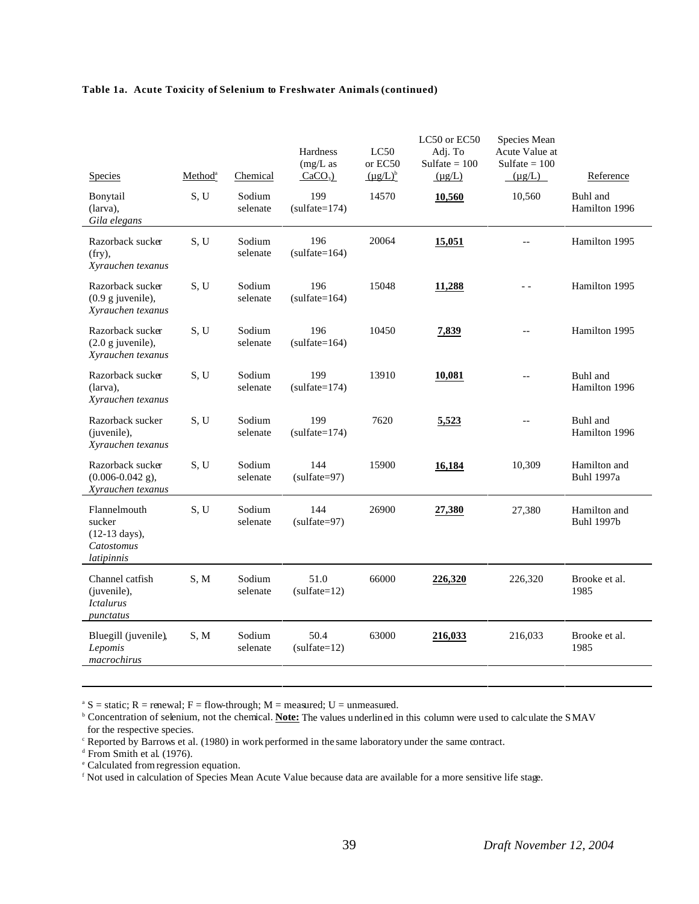| <b>Species</b>                                                                | Method <sup>a</sup> | Chemical           | Hardness<br>$(mg/L)$ as<br>$CaCO3$ ) | LC50<br>or EC50<br>$(\mu g/L)^b$ | LC50 or EC50<br>Adj. To<br>Sulfate $= 100$<br>$(\mu g/L)$ | Species Mean<br>Acute Value at<br>Sulfate $= 100$<br>$(\mu g/L)$ | Reference                         |
|-------------------------------------------------------------------------------|---------------------|--------------------|--------------------------------------|----------------------------------|-----------------------------------------------------------|------------------------------------------------------------------|-----------------------------------|
| Bonytail<br>(larva),<br>Gila elegans                                          | S, U                | Sodium<br>selenate | 199<br>$(sulfate=174)$               | 14570                            | 10,560                                                    | 10,560                                                           | Buhl and<br>Hamilton 1996         |
| Razorback sucker<br>$(fry)$ ,<br>Xyrauchen texanus                            | S.U                 | Sodium<br>selenate | 196<br>$(sulfate=164)$               | 20064                            | 15,051                                                    | $-$                                                              | Hamilton 1995                     |
| Razorback sucker<br>$(0.9 \text{ g}$ juvenile),<br>Xyrauchen texanus          | S, U                | Sodium<br>selenate | 196<br>$(sulfate=164)$               | 15048                            | 11,288                                                    | $\overline{a}$                                                   | Hamilton 1995                     |
| Razorback sucker<br>$(2.0 g$ juvenile),<br>Xyrauchen texanus                  | S, U                | Sodium<br>selenate | 196<br>$(sulfate=164)$               | 10450                            | 7,839                                                     | $-$                                                              | Hamilton 1995                     |
| Razorback sucker<br>(larva).<br>Xyrauchen texanus                             | S, U                | Sodium<br>selenate | 199<br>$(sulfate=174)$               | 13910                            | 10,081                                                    | $\overline{\phantom{a}}$                                         | Buhl and<br>Hamilton 1996         |
| Razorback sucker<br>(juvenile),<br>Xyrauchen texanus                          | S, U                | Sodium<br>selenate | 199<br>$(sulfate=174)$               | 7620                             | 5,523                                                     | $\overline{\phantom{a}}$                                         | Buhl and<br>Hamilton 1996         |
| Razorback sucker<br>$(0.006 - 0.042$ g),<br>Xyrauchen texanus                 | S, U                | Sodium<br>selenate | 144<br>$(sulfate=97)$                | 15900                            | 16,184                                                    | 10,309                                                           | Hamilton and<br><b>Buhl 1997a</b> |
| Flannelmouth<br>sucker<br>$(12-13 \text{ days}),$<br>Catostomus<br>latipinnis | S, U                | Sodium<br>selenate | 144<br>$(sulfate=97)$                | 26900                            | 27,380                                                    | 27,380                                                           | Hamilton and<br><b>Buhl 1997b</b> |
| Channel catfish<br>(juvenile),<br><i><u><b>Ictalurus</b></u></i><br>punctatus | S, M                | Sodium<br>selenate | 51.0<br>$(sulfate=12)$               | 66000                            | 226,320                                                   | 226,320                                                          | Brooke et al.<br>1985             |
| Bluegill (juvenile),<br>Lepomis<br>macrochirus                                | S, M                | Sodium<br>selenate | 50.4<br>$(sulfate=12)$               | 63000                            | 216,033                                                   | 216,033                                                          | Brooke et al.<br>1985             |

<sup>a</sup> S = static; R = renewal; F = flow-through; M = measured; U = unmeasured.<br><sup>b</sup> Concentration of selenium, not the chemical. **Note:** The values underlined in this column were used to calculate the SMAV for the respective species.

<sup>c</sup> Reported by Barrows et al. (1980) in work performed in the same laboratory under the same contract.

e Calculated from regression equation.

f Not used in calculation of Species Mean Acute Value because data are available for a more sensitive life stage.

d From Smith et al. (1976).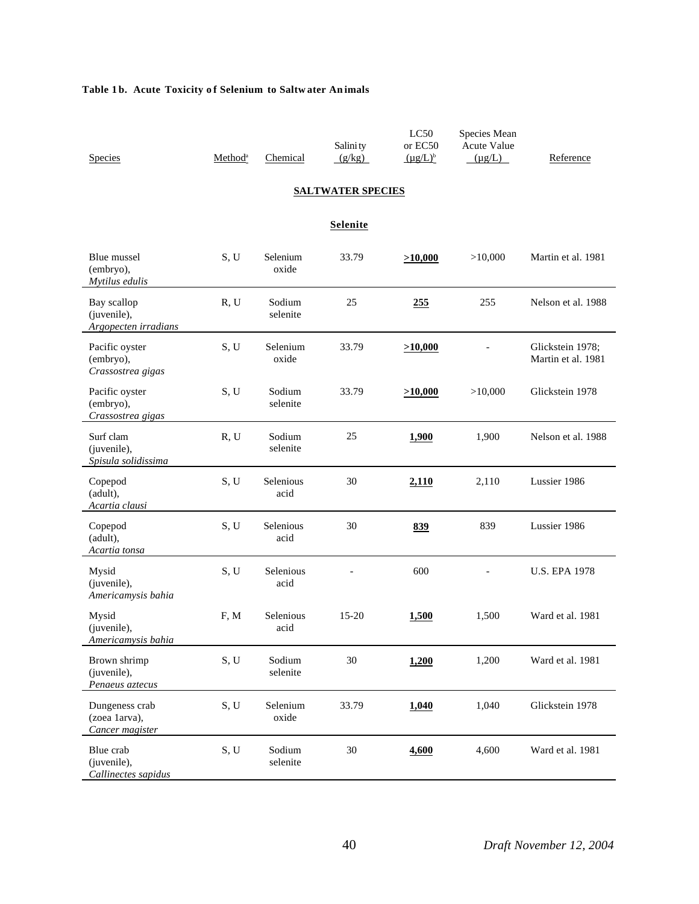# Table 1b. Acute Toxicity of Selenium to Saltw ater An imals

|                     | Salini ty |               |             |                                          |
|---------------------|-----------|---------------|-------------|------------------------------------------|
| Method <sup>a</sup> | (g/kg)    | $(\mu g/L)^b$ | $(\mu g/L)$ | Reference                                |
|                     | Chemical  |               |             | LC50 Species Mean<br>or EC50 Acute Value |

## **SALTWATER SPECIES**

## **Selenite**

| Blue mussel<br>(embryo),<br>Mytilus edulis         | S, U | Selenium<br>oxide  | 33.79 | >10,000 | >10,000 | Martin et al. 1981                     |
|----------------------------------------------------|------|--------------------|-------|---------|---------|----------------------------------------|
| Bay scallop<br>(juvenile),<br>Argopecten irradians | R, U | Sodium<br>selenite | 25    | 255     | 255     | Nelson et al. 1988                     |
| Pacific oyster<br>(embryo),<br>Crassostrea gigas   | S, U | Selenium<br>oxide  | 33.79 | >10,000 |         | Glickstein 1978;<br>Martin et al. 1981 |
| Pacific oyster<br>(embryo),<br>Crassostrea gigas   | S, U | Sodium<br>selenite | 33.79 | >10,000 | >10,000 | Glickstein 1978                        |
| Surf clam<br>(juvenile),<br>Spisula solidissima    | R, U | Sodium<br>selenite | 25    | 1,900   | 1,900   | Nelson et al. 1988                     |
| Copepod<br>(adult),<br>Acartia clausi              | S, U | Selenious<br>acid  | 30    | 2,110   | 2,110   | Lussier 1986                           |
| Copepod<br>(adult),<br>Acartia tonsa               | S, U | Selenious<br>acid  | 30    | 839     | 839     | Lussier 1986                           |
| Mysid<br>(juvenile),<br>Americamysis bahia         | S, U | Selenious<br>acid  |       | 600     |         | <b>U.S. EPA 1978</b>                   |
| Mysid<br>(juvenile),<br>Americamysis bahia         | F, M | Selenious<br>acid  | 15-20 | 1,500   | 1,500   | Ward et al. 1981                       |
| Brown shrimp<br>(juvenile),<br>Penaeus aztecus     | S, U | Sodium<br>selenite | 30    | 1,200   | 1,200   | Ward et al. 1981                       |
| Dungeness crab<br>(zoea 1arva),<br>Cancer magister | S, U | Selenium<br>oxide  | 33.79 | 1,040   | 1,040   | Glickstein 1978                        |
| Blue crab<br>(juvenile),<br>Callinectes sapidus    | S, U | Sodium<br>selenite | 30    | 4,600   | 4,600   | Ward et al. 1981                       |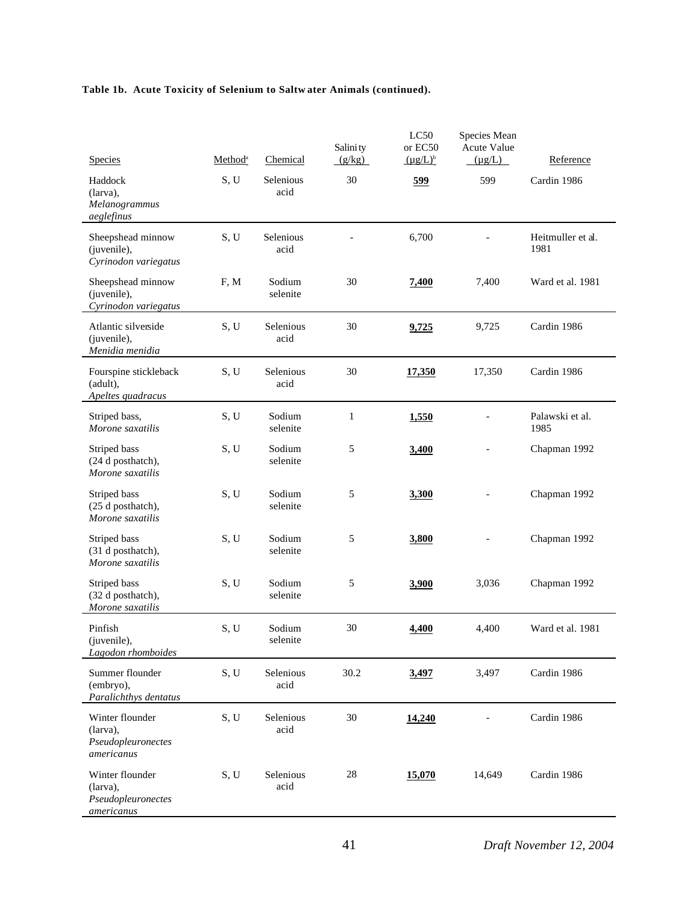| <b>Species</b>                                                  | Method <sup>a</sup> | Chemical           | Salini ty<br>(g/kg) | LC50<br>or EC50<br>$(\mu g/L)^b$ | Species Mean<br>Acute Value<br>$(\mu g/L)$ | Reference                 |
|-----------------------------------------------------------------|---------------------|--------------------|---------------------|----------------------------------|--------------------------------------------|---------------------------|
| Haddock<br>(larva),<br>Melanogrammus<br>aeglefinus              | S, U                | Selenious<br>acid  | 30                  | 599                              | 599                                        | Cardin 1986               |
| Sheepshead minnow<br>(juvenile),<br>Cyrinodon variegatus        | S, U                | Selenious<br>acid  |                     | 6,700                            |                                            | Heitmuller et al.<br>1981 |
| Sheepshead minnow<br>(juvenile),<br>Cyrinodon variegatus        | F, M                | Sodium<br>selenite | 30                  | 7,400                            | 7,400                                      | Ward et al. 1981          |
| Atlantic silverside<br>(juvenile),<br>Menidia menidia           | S, U                | Selenious<br>acid  | 30                  | 9,725                            | 9,725                                      | Cardin 1986               |
| Fourspine stickleback<br>(adult),<br>Apeltes quadracus          | S, U                | Selenious<br>acid  | 30                  | 17,350                           | 17,350                                     | Cardin 1986               |
| Striped bass,<br>Morone saxatilis                               | S, U                | Sodium<br>selenite | $\mathbf{1}$        | 1,550                            |                                            | Palawski et al.<br>1985   |
| Striped bass<br>(24 d posthatch),<br>Morone saxatilis           | S, U                | Sodium<br>selenite | 5                   | 3,400                            |                                            | Chapman 1992              |
| Striped bass<br>(25 d posthatch),<br>Morone saxatilis           | S, U                | Sodium<br>selenite | 5                   | 3,300                            |                                            | Chapman 1992              |
| Striped bass<br>(31 d posthatch),<br>Morone saxatilis           | S, U                | Sodium<br>selenite | 5                   | 3,800                            |                                            | Chapman 1992              |
| Striped bass<br>(32 d posthatch),<br>Morone saxatilis           | S, U                | Sodium<br>selenite | 5                   | 3,900                            | 3,036                                      | Chapman 1992              |
| Pinfish<br>(juvenile),<br>Lagodon rhomboides                    | S, U                | Sodium<br>selenite | 30                  | 4,400                            | 4,400                                      | Ward et al. 1981          |
| Summer flounder<br>(embryo),<br>Paralichthys dentatus           | S, U                | Selenious<br>acid  | 30.2                | 3,497                            | 3,497                                      | Cardin 1986               |
| Winter flounder<br>(larva),<br>Pseudopleuronectes<br>americanus | S, U                | Selenious<br>acid  | 30                  | 14,240                           |                                            | Cardin 1986               |
| Winter flounder<br>(larva),<br>Pseudopleuronectes<br>americanus | S, U                | Selenious<br>acid  | 28                  | 15,070                           | 14,649                                     | Cardin 1986               |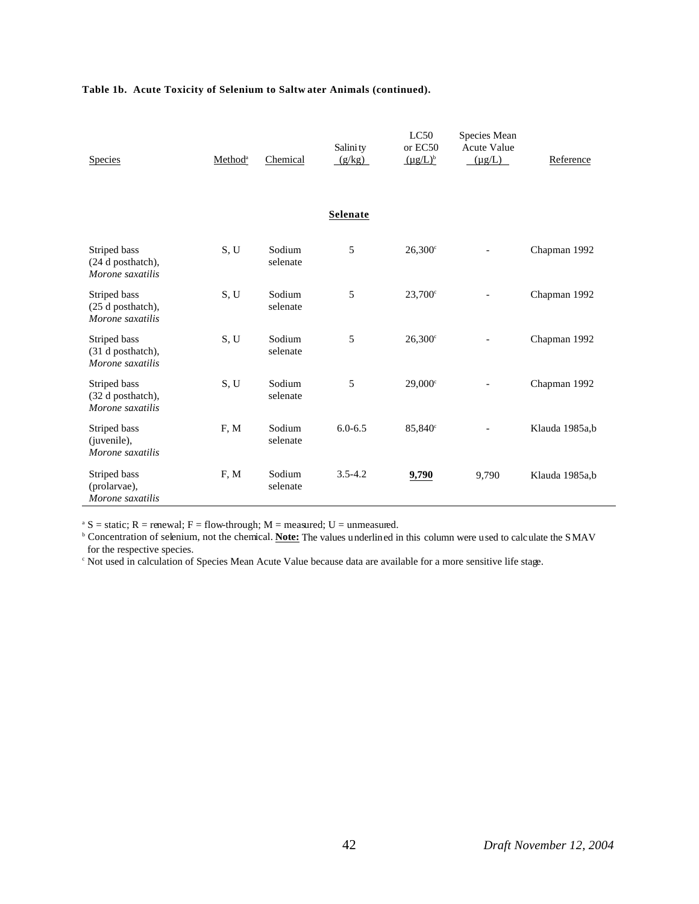| <b>Species</b>                                        | Method <sup>a</sup> | Chemical           | Salini ty<br>(g/kg) | LC50<br>or EC50<br>$(\mu g/L)^b$ | Species Mean<br>Acute Value<br>$(\mu g/L)$ | Reference      |
|-------------------------------------------------------|---------------------|--------------------|---------------------|----------------------------------|--------------------------------------------|----------------|
|                                                       |                     |                    | Selenate            |                                  |                                            |                |
| Striped bass<br>(24 d posthatch),<br>Morone saxatilis | S, U                | Sodium<br>selenate | 5                   | $26,300^{\circ}$                 |                                            | Chapman 1992   |
| Striped bass<br>(25 d posthatch),<br>Morone saxatilis | S, U                | Sodium<br>selenate | 5                   | $23,700^{\circ}$                 |                                            | Chapman 1992   |
| Striped bass<br>(31 d posthatch),<br>Morone saxatilis | S, U                | Sodium<br>selenate | 5                   | $26,300$ c                       |                                            | Chapman 1992   |
| Striped bass<br>(32 d posthatch),<br>Morone saxatilis | S, U                | Sodium<br>selenate | 5                   | $29,000^{\circ}$                 |                                            | Chapman 1992   |
| Striped bass<br>(juvenile),<br>Morone saxatilis       | F, M                | Sodium<br>selenate | $6.0 - 6.5$         | 85,840 <sup>c</sup>              |                                            | Klauda 1985a,b |
| Striped bass<br>(prolarvae),<br>Morone saxatilis      | F, M                | Sodium<br>selenate | $3.5 - 4.2$         | 9,790                            | 9,790                                      | Klauda 1985a,b |

<sup>a</sup> S = static; R = renewal; F = flow-through; M = measured; U = unmeasured.<br><sup>b</sup> Concentration of selenium, not the chemical. **Note:** The values underlined in this column were used to calculate the SMAV for the respective species.

c Not used in calculation of Species Mean Acute Value because data are available for a more sensitive life stage.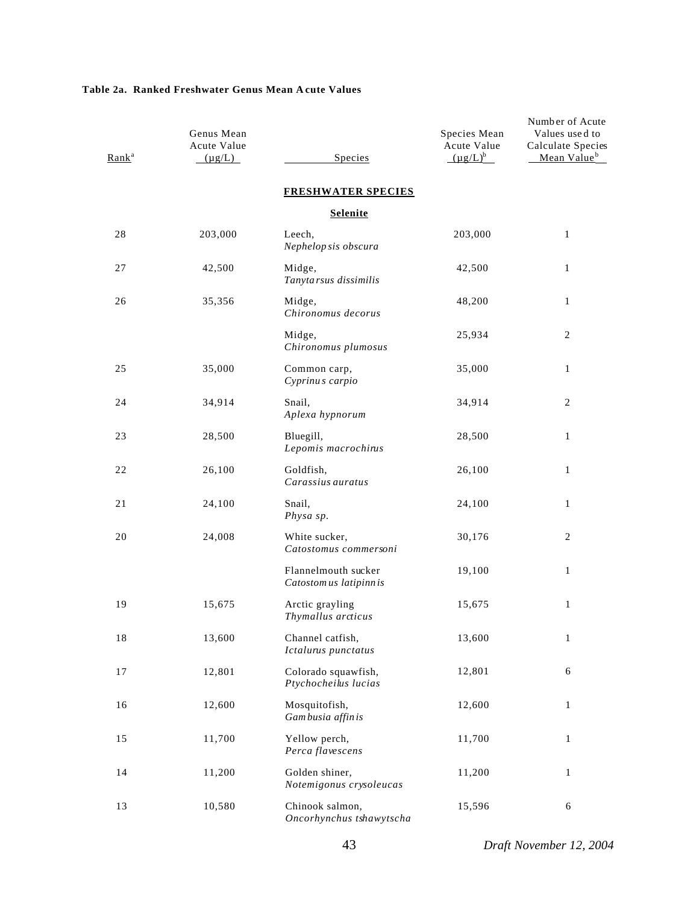### **Table 2a. Ranked Freshwater Genus Mean Acute Values**

| Rank <sup>a</sup> | Genus Mean<br>Acute Value<br>$(\mu g/L)$ | Species                                        | Species Mean<br>Acute Value<br>$(\mu g/L)^b$ | Number of Acute<br>Values used to<br>Calculate Species<br>Mean Value <sup>b</sup> |
|-------------------|------------------------------------------|------------------------------------------------|----------------------------------------------|-----------------------------------------------------------------------------------|
|                   |                                          | <b>FRESHWATER SPECIES</b>                      |                                              |                                                                                   |
|                   |                                          | <b>Selenite</b>                                |                                              |                                                                                   |
| 28                | 203,000                                  | Leech,<br>Nephelop sis obscura                 | 203,000                                      | $\mathbf{1}$                                                                      |
| 27                | 42,500                                   | Midge,<br>Tanyta rsus dissimilis               | 42,500                                       | $\mathbf{1}$                                                                      |
| 26                | 35,356                                   | Midge,<br>Chironomus decorus                   | 48,200                                       | $\mathbf{1}$                                                                      |
|                   |                                          | Midge,<br>Chironomus plumosus                  | 25,934                                       | 2                                                                                 |
| 25                | 35,000                                   | Common carp,<br>Cyprinus carpio                | 35,000                                       | $\mathbf{1}$                                                                      |
| 24                | 34,914                                   | Snail,<br>Aplexa hypnorum                      | 34,914                                       | 2                                                                                 |
| 23                | 28,500                                   | Bluegill,<br>Lepomis macrochirus               | 28,500                                       | $\mathbf{1}$                                                                      |
| 22                | 26,100                                   | Goldfish,<br>Carassius auratus                 | 26,100                                       | $\mathbf{1}$                                                                      |
| 21                | 24,100                                   | Snail,<br>Physa sp.                            | 24,100                                       | 1                                                                                 |
| 20                | 24,008                                   | White sucker,<br>Catostomus commersoni         | 30,176                                       | 2                                                                                 |
|                   |                                          | Flannelmouth sucker<br>Catostom us latipinn is | 19,100                                       | $\mathbf{1}$                                                                      |
| 19                | 15,675                                   | Arctic grayling<br>Thymallus arcticus          | 15,675                                       | $\mathbf{1}$                                                                      |
| $1\,8$            | 13,600                                   | Channel catfish,<br>Ictalurus punctatus        | 13,600                                       | $\mathbf 1$                                                                       |
| 17                | 12,801                                   | Colorado squawfish,<br>Ptychocheilus lucias    | 12,801                                       | 6                                                                                 |
| 16                | 12,600                                   | Mosquitofish,<br>Gam busia affin is            | 12,600                                       | $\mathbf{1}$                                                                      |
| 15                | 11,700                                   | Yellow perch,<br>Perca flavescens              | 11,700                                       | $\mathbf{1}$                                                                      |
| 14                | 11,200                                   | Golden shiner,<br>Notemigonus crysoleucas      | 11,200                                       | $\mathbf{1}$                                                                      |
| 13                | 10,580                                   | Chinook salmon,<br>Oncorhynchus tshawytscha    | 15,596                                       | 6                                                                                 |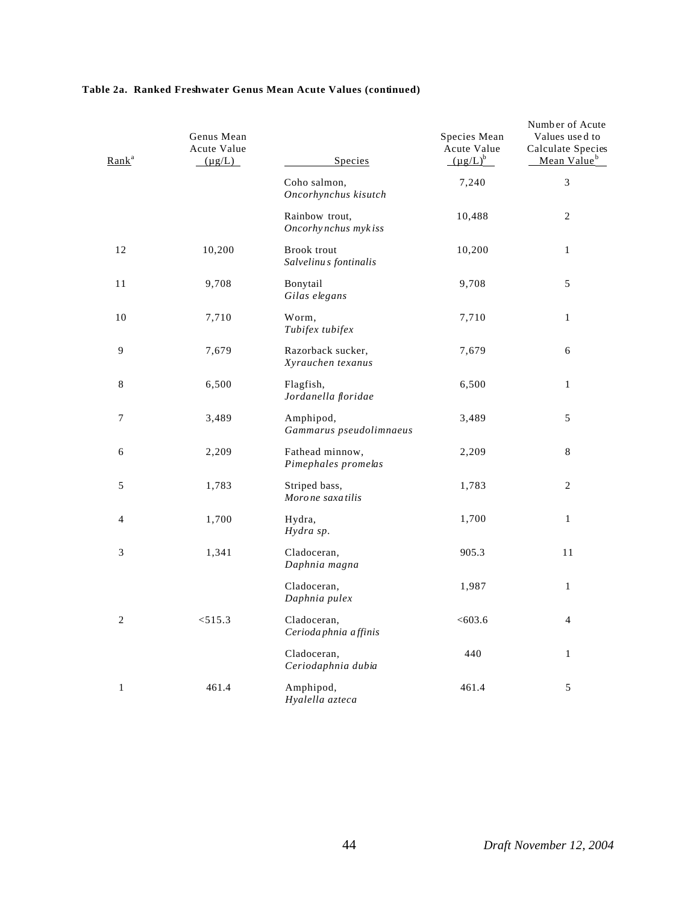### **Table 2a. Ranked Freshwater Genus Mean Acute Values (continued)**

| Rank <sup>a</sup>           | Genus Mean<br>Acute Value<br>$(\mu g/L)$ | Species                                     | Species Mean<br>Acute Value<br>$(\mu g/L)^b$ | Number of Acute<br>Values used to<br>Calculate Species<br>Mean Value <sup>b</sup> |
|-----------------------------|------------------------------------------|---------------------------------------------|----------------------------------------------|-----------------------------------------------------------------------------------|
|                             |                                          | Coho salmon,<br>Oncorhynchus kisutch        | 7,240                                        | $\mathfrak{Z}$                                                                    |
|                             |                                          | Rainbow trout,<br>Oncorhynchus mykiss       | 10,488                                       | $\overline{2}$                                                                    |
| 12                          | 10,200                                   | <b>Brook</b> trout<br>Salvelinus fontinalis | 10,200                                       | $\mathbf{1}$                                                                      |
| 11                          | 9,708                                    | Bonytail<br>Gilas elegans                   | 9,708                                        | 5                                                                                 |
| 10                          | 7,710                                    | Worm,<br>Tubifex tubifex                    | 7,710                                        | $\mathbf{1}$                                                                      |
| 9                           | 7,679                                    | Razorback sucker,<br>Xyrauchen texanus      | 7,679                                        | 6                                                                                 |
| 8                           | 6,500                                    | Flagfish,<br>Jordanella floridae            | 6,500                                        | $\mathbf{1}$                                                                      |
| 7                           | 3,489                                    | Amphipod,<br>Gammarus pseudolimnaeus        | 3,489                                        | 5                                                                                 |
| 6                           | 2,209                                    | Fathead minnow,<br>Pimephales promelas      | 2,209                                        | 8                                                                                 |
| 5                           | 1,783                                    | Striped bass,<br>Moro ne saxa tilis         | 1,783                                        | $\boldsymbol{2}$                                                                  |
| 4                           | 1,700                                    | Hydra,<br>Hydra sp.                         | 1,700                                        | $\mathbf{1}$                                                                      |
| $\ensuremath{\mathfrak{Z}}$ | 1,341                                    | Cladoceran,<br>Daphnia magna                | 905.3                                        | 11                                                                                |
|                             |                                          | Cladoceran,<br>Daphnia pulex                | 1,987                                        | $\mathbf{1}$                                                                      |
| 2                           | < 515.3                                  | Cladoceran,<br>Cerioda phnia affinis        | < 603.6                                      | 4                                                                                 |
|                             |                                          | Cladoceran,<br>Ceriodaphnia dubia           | 440                                          | $\mathbf{1}$                                                                      |
| $\mathbf{1}$                | 461.4                                    | Amphipod,<br>Hyalella azteca                | 461.4                                        | 5                                                                                 |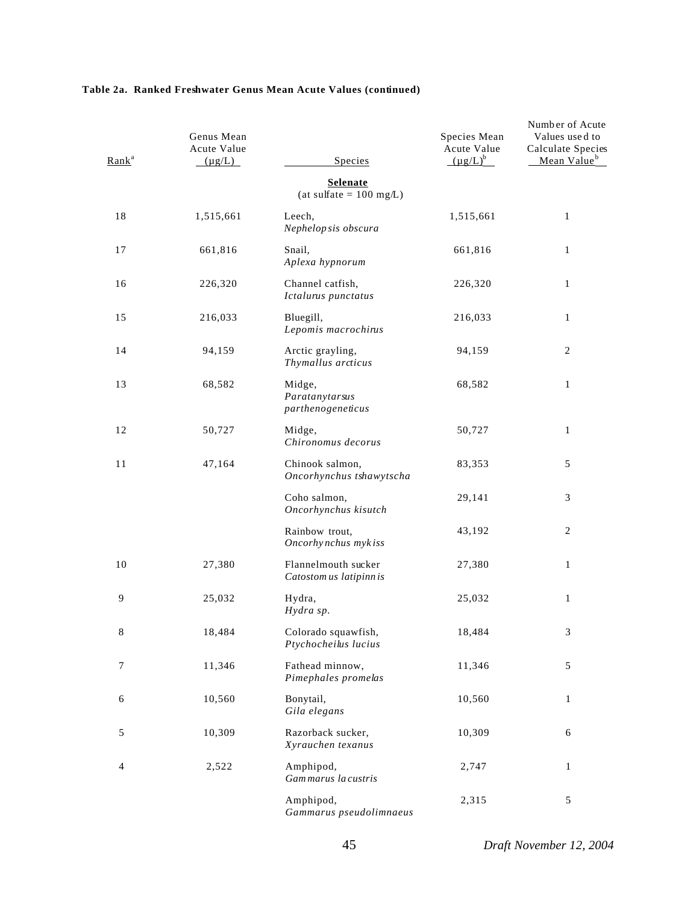### **Table 2a. Ranked Freshwater Genus Mean Acute Values (continued)**

| Rank <sup>a</sup> | Genus Mean<br>Acute Value<br>$(\mu g/L)$ | Species                                        | Species Mean<br>Acute Value<br>$(\mu g/L)^b$ | Number of Acute<br>Values used to<br>Calculate Species<br>Mean Value <sup>b</sup> |
|-------------------|------------------------------------------|------------------------------------------------|----------------------------------------------|-----------------------------------------------------------------------------------|
|                   |                                          | <b>Selenate</b><br>$(at sulfate = 100 mg/L)$   |                                              |                                                                                   |
| 18                | 1,515,661                                | Leech,<br>Nephelop sis obscura                 | 1,515,661                                    | 1                                                                                 |
| 17                | 661,816                                  | Snail,<br>Aplexa hypnorum                      | 661,816                                      | 1                                                                                 |
| 16                | 226,320                                  | Channel catfish,<br>Ictalurus punctatus        | 226,320                                      | 1                                                                                 |
| 15                | 216,033                                  | Bluegill,<br>Lepomis macrochinis               | 216,033                                      | $\mathbf{1}$                                                                      |
| 14                | 94,159                                   | Arctic grayling,<br>Thymallus arcticus         | 94,159                                       | 2                                                                                 |
| 13                | 68,582                                   | Midge,<br>Paratanytarsus<br>parthenogeneticus  | 68,582                                       | 1                                                                                 |
| 12                | 50,727                                   | Midge,<br>Chironomus decorus                   | 50,727                                       | 1                                                                                 |
| 11                | 47,164                                   | Chinook salmon,<br>Oncorhynchus tshawytscha    | 83,353                                       | 5                                                                                 |
|                   |                                          | Coho salmon,<br>Oncorhynchus kisutch           | 29,141                                       | 3                                                                                 |
|                   |                                          | Rainbow trout,<br>Oncorhynchus mykiss          | 43,192                                       | 2                                                                                 |
| 10                | 27,380                                   | Flannelmouth sucker<br>Catostom us latipinn is | 27,380                                       | $\mathbf{1}$                                                                      |
| 9                 | 25,032                                   | Hydra,<br>Hydra sp.                            | 25,032                                       | $\mathbf{1}$                                                                      |
| 8                 | 18,484                                   | Colorado squawfish,<br>Ptychocheilus lucius    | 18,484                                       | 3                                                                                 |
| 7                 | 11,346                                   | Fathead minnow,<br>Pimephales promelas         | 11,346                                       | 5                                                                                 |
| 6                 | 10,560                                   | Bonytail,<br>Gila elegans                      | 10,560                                       | $\mathbf{1}$                                                                      |
| 5                 | 10,309                                   | Razorback sucker,<br>Xyrauchen texanus         | 10,309                                       | 6                                                                                 |
| 4                 | 2,522                                    | Amphipod,<br>Gammarus la custris               | 2,747                                        | $\mathbf{1}$                                                                      |
|                   |                                          | Amphipod,<br>Gammarus pseudolimnaeus           | 2,315                                        | 5                                                                                 |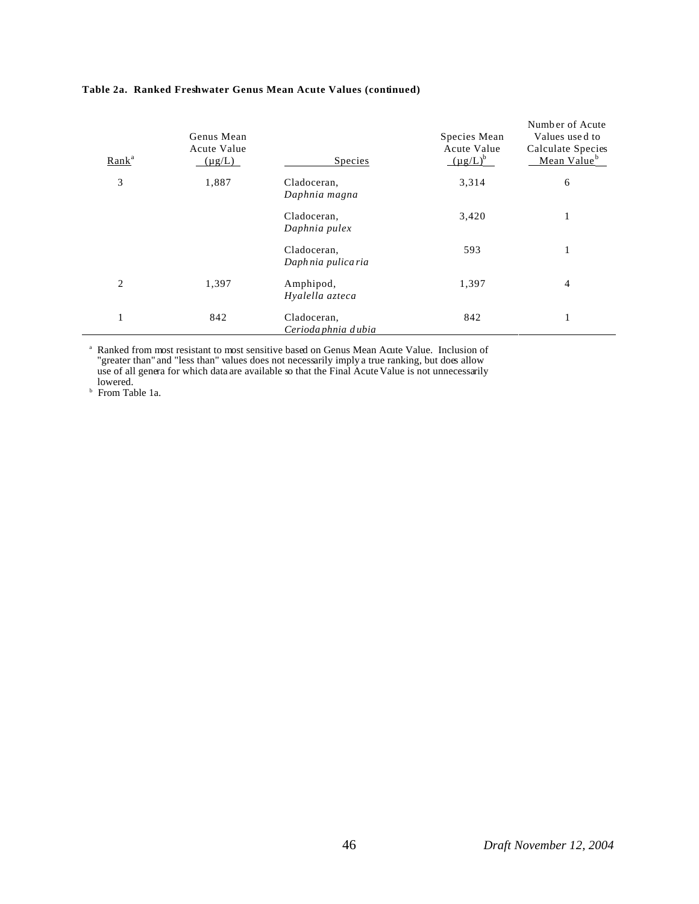| Rank <sup>a</sup> | Genus Mean<br>Acute Value<br>$(\mu g/L)$ | Species                            | Species Mean<br>Acute Value<br>$(\mu g/L)^b$ | Number of Acute<br>Values used to<br>Calculate Species<br>Mean Value <sup>b</sup> |
|-------------------|------------------------------------------|------------------------------------|----------------------------------------------|-----------------------------------------------------------------------------------|
| 3                 | 1,887                                    | Cladoceran,<br>Daphnia magna       | 3,314                                        | 6                                                                                 |
|                   |                                          | Cladoceran,<br>Daphnia pulex       | 3,420                                        | 1                                                                                 |
|                   |                                          | Cladoceran,<br>Daphnia pulica ria  | 593                                          | 1                                                                                 |
| 2                 | 1,397                                    | Amphipod,<br>Hyalella azteca       | 1,397                                        | $\overline{4}$                                                                    |
|                   | 842                                      | Cladoceran,<br>Cerioda phnia dubia | 842                                          | 1                                                                                 |

#### **Table 2a. Ranked Freshwater Genus Mean Acute Values (continued)**

a Ranked from most resistant to most sensitive based on Genus Mean Acute Value. Inclusion of "greater than" and "less than" values does not necessarily imply a true ranking, but does allow use of all genera for which data are available so that the Final Acute Value is not unnecessarily lowered.

b From Table 1a.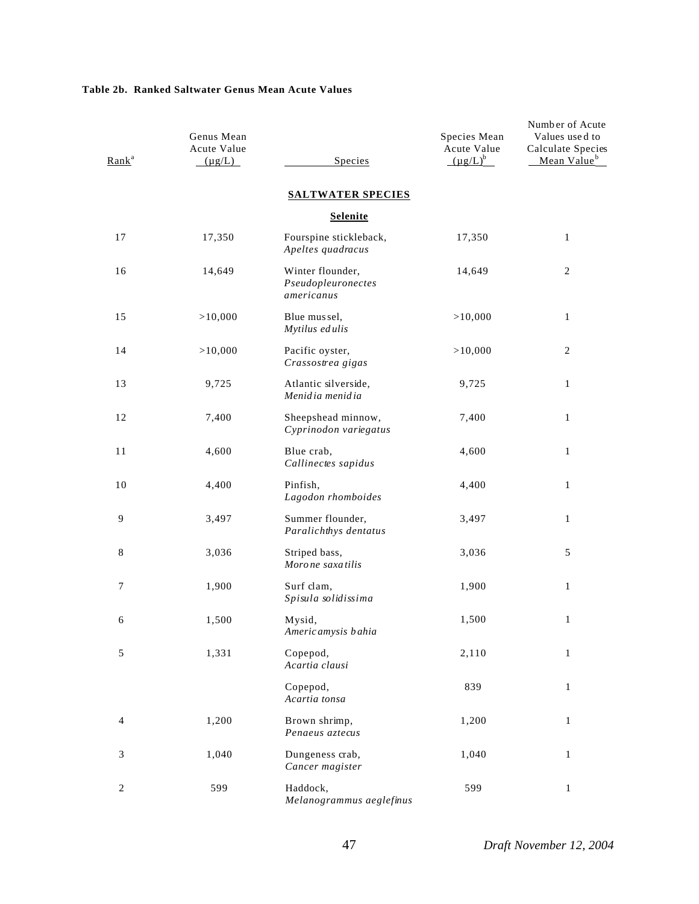## **Table 2b. Ranked Saltwater Genus Mean Acute Values**

| Rank <sup>a</sup> | Genus Mean<br>Acute Value<br>$(\mu g/L)$ | Species                                              | Species Mean<br>Acute Value<br>$(\mu g/L)^b$ | Number of Acute<br>Values used to<br>Calculate Species<br>Mean Value <sup>b</sup> |
|-------------------|------------------------------------------|------------------------------------------------------|----------------------------------------------|-----------------------------------------------------------------------------------|
|                   |                                          | <b>SALTWATER SPECIES</b>                             |                                              |                                                                                   |
|                   |                                          | <b>Selenite</b>                                      |                                              |                                                                                   |
| 17                | 17,350                                   | Fourspine stickleback,<br>Apeltes quadracus          | 17,350                                       | $\mathbf{1}$                                                                      |
| 16                | 14,649                                   | Winter flounder,<br>Pseudopleuronectes<br>americanus | 14,649                                       | $\mathbf{2}$                                                                      |
| 15                | >10,000                                  | Blue mussel,<br>Mytilus edulis                       | >10,000                                      | $\mathbf{1}$                                                                      |
| 14                | >10,000                                  | Pacific oyster,<br>Crassostrea gigas                 | >10,000                                      | $\mathbf{2}$                                                                      |
| 13                | 9,725                                    | Atlantic silverside,<br>Menidia menidia              | 9,725                                        | 1                                                                                 |
| 12                | 7,400                                    | Sheepshead minnow,<br>Cyprinodon variegatus          | 7,400                                        | $\mathbf{1}$                                                                      |
| 11                | 4,600                                    | Blue crab,<br>Callinectes sapidus                    | 4,600                                        | $\mathbf{1}$                                                                      |
| 10                | 4,400                                    | Pinfish,<br>Lagodon rhomboides                       | 4,400                                        | $\mathbf{1}$                                                                      |
| 9                 | 3,497                                    | Summer flounder,<br>Paralichthys dentatus            | 3,497                                        | $\mathbf{1}$                                                                      |
| 8                 | 3,036                                    | Striped bass,<br>Morone saxatilis                    | 3,036                                        | 5                                                                                 |
| 7                 | 1,900                                    | Surf clam,<br>Spisula solidissima                    | 1,900                                        | $\mathbf{1}$                                                                      |
| 6                 | 1,500                                    | Mysid,<br>Americ amysis b ahia                       | 1,500                                        | $\mathbf{1}$                                                                      |
| $\sqrt{5}$        | 1,331                                    | Copepod,<br>Acartia clausi                           | 2,110                                        | $\mathbf{1}$                                                                      |
|                   |                                          | Copepod,<br>Acartia tonsa                            | 839                                          | $\mathbf{1}$                                                                      |
| $\overline{4}$    | 1,200                                    | Brown shrimp,<br>Penaeus aztecus                     | 1,200                                        | $\mathbf{1}$                                                                      |
| 3                 | 1,040                                    | Dungeness crab,<br>Cancer magister                   | 1,040                                        | $\mathbf{1}$                                                                      |
| $\overline{c}$    | 599                                      | Haddock,<br>Melanogrammus aeglefinus                 | 599                                          | $\mathbf{1}$                                                                      |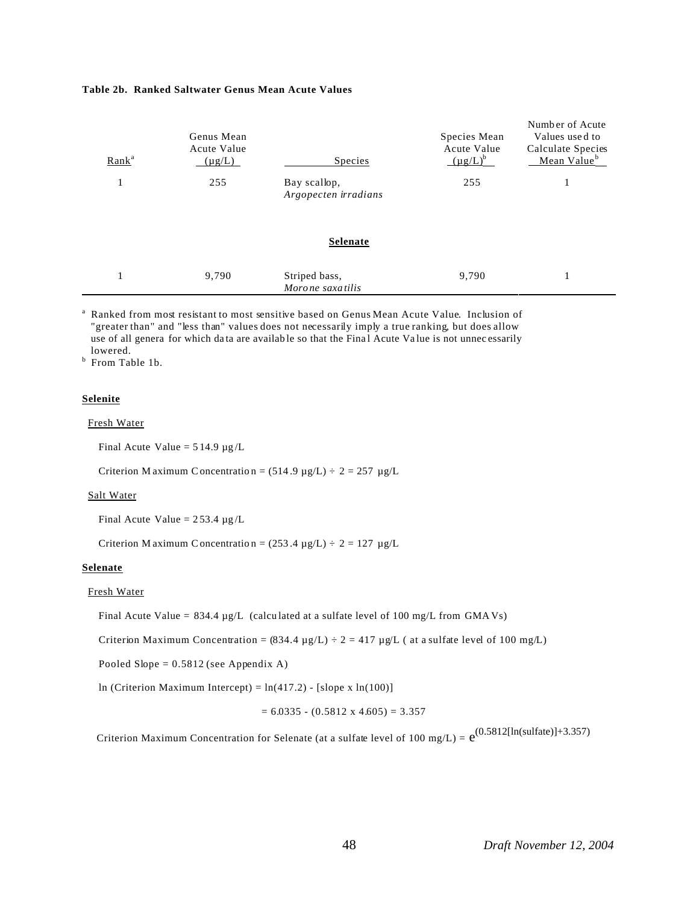#### **Table 2b. Ranked Saltwater Genus Mean Acute Values**

| Rank <sup>a</sup> | Genus Mean<br>Acute Value<br>$(\mu g/L)$ | <b>Species</b>                       | Species Mean<br><b>Acute Value</b><br>$(\mu g/L)^b$ | Number of Acute<br>Values used to<br>Calculate Species<br>Mean Value <sup>b</sup> |
|-------------------|------------------------------------------|--------------------------------------|-----------------------------------------------------|-----------------------------------------------------------------------------------|
| 1                 | 255                                      | Bay scallop,<br>Argopecten irradians | 255                                                 |                                                                                   |
|                   |                                          | Selenate                             |                                                     |                                                                                   |
| 1                 | 9,790                                    | Striped bass,<br>Morone saxatilis    | 9,790                                               |                                                                                   |

a Ranked from most resistant to most sensitive based on Genus Mean Acute Value. Inclusion of "greater than" and "less than" values does not necessarily imply a true ranking, but does allow use of all genera for which data are available so that the Final Acute Value is not unnecessarily lowered. b From Table 1b.

#### **Selenite**

### Fresh Water

Final Acute Value =  $514.9 \mu g/L$ 

Criterion M aximum C oncentration =  $(514.9 \text{ µg/L}) \div 2 = 257 \text{ µg/L}$ 

#### Salt Water

Final Acute Value =  $253.4 \mu g/L$ 

Criterion M aximum C oncentration =  $(253.4 \text{ µg/L}) \div 2 = 127 \text{ µg/L}$ 

#### **Selenate**

### Fresh Water

Final Acute Value =  $834.4 \mu g/L$  (calculated at a sulfate level of 100 mg/L from GMAVs)

Criterion Maximum Concentration =  $(834.4 \text{ µg/L}) \div 2 = 417 \text{ µg/L}$  (at a sulfate level of 100 mg/L)

Pooled Slope =  $0.5812$  (see Appendix A)

ln (Criterion Maximum Intercept) =  $ln(417.2)$  - [slope x  $ln(100)$ ]

$$
= 6.0335 - (0.5812 \times 4.605) = 3.357
$$

Criterion Maximum Concentration for Selenate (at a sulfate level of 100 mg/L) =  $e^{(0.5812[\text{In}(\text{sulfate})]+3.357)}$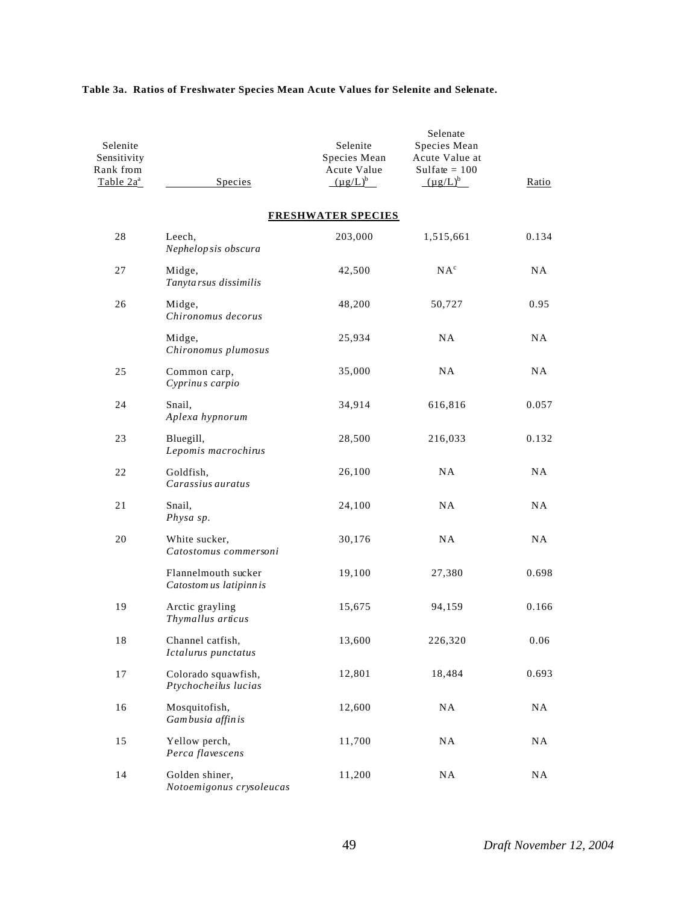| Selenite<br>Sensitivity<br>Rank from<br>Table $2a^a$ | Species                                        | Selenite<br>Species Mean<br>Acute Value<br>$(\mu g/L)^b$ | Selenate<br>Species Mean<br>Acute Value at<br>Sulfate $= 100$<br>$(\mu g/L)^b$ | Ratio     |
|------------------------------------------------------|------------------------------------------------|----------------------------------------------------------|--------------------------------------------------------------------------------|-----------|
|                                                      |                                                | <b>FRESHWATER SPECIES</b>                                |                                                                                |           |
| 28                                                   | Leech,<br>Nephelopsis obscura                  | 203,000                                                  | 1,515,661                                                                      | 0.134     |
| 27                                                   | Midge,<br>Tanyta rsus dissimilis               | 42,500                                                   | NA <sup>c</sup>                                                                | <b>NA</b> |
| 26                                                   | Midge,<br>Chironomus decorus                   | 48,200                                                   | 50,727                                                                         | 0.95      |
|                                                      | Midge,<br>Chironomus plumosus                  | 25,934                                                   | <b>NA</b>                                                                      | NA        |
| 25                                                   | Common carp,<br>Cyprinus carpio                | 35,000                                                   | NA.                                                                            | NA        |
| 24                                                   | Snail,<br>Aplexa hypnorum                      | 34,914                                                   | 616,816                                                                        | 0.057     |
| 23                                                   | Bluegill,<br>Lepomis macrochirus               | 28,500                                                   | 216,033                                                                        | 0.132     |
| 22                                                   | Goldfish,<br>Carassius auratus                 | 26,100                                                   | NA                                                                             | <b>NA</b> |
| 21                                                   | Snail,<br>Physa sp.                            | 24,100                                                   | NA.                                                                            | NA        |
| 20                                                   | White sucker,<br>Catostomus commersoni         | 30,176                                                   | <b>NA</b>                                                                      | <b>NA</b> |
|                                                      | Flannelmouth sucker<br>Catostom us latipinn is | 19,100                                                   | 27,380                                                                         | 0.698     |
| 19                                                   | Arctic grayling<br>Thymallus articus           | 15,675                                                   | 94,159                                                                         | 0.166     |
| 18                                                   | Channel catfish,<br>Ictalurus punctatus        | 13,600                                                   | 226,320                                                                        | 0.06      |
| 17                                                   | Colorado squawfish,<br>Ptychocheilus lucias    | 12,801                                                   | 18,484                                                                         | 0.693     |
| 16                                                   | Mosquitofish,<br>Gambusia affinis              | 12,600                                                   | NA                                                                             | <b>NA</b> |
| 15                                                   | Yellow perch,<br>Perca flavescens              | 11,700                                                   | NA                                                                             | NA        |
| 14                                                   | Golden shiner,<br>Notoemigonus crysoleucas     | 11,200                                                   | NA                                                                             | NA        |

# **Table 3a. Ratios of Freshwater Species Mean Acute Values for Selenite and Selenate.**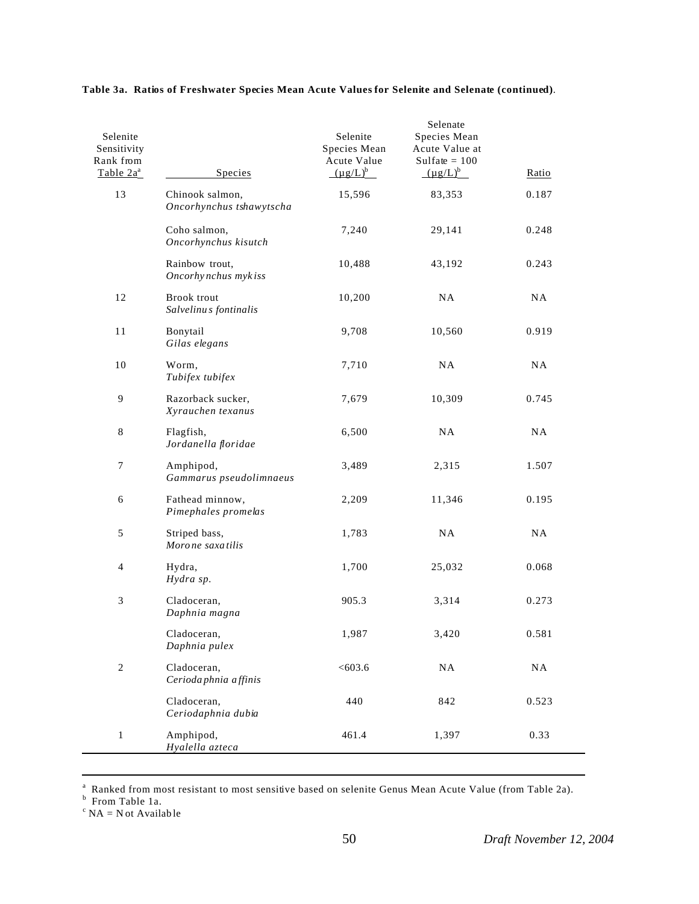| Selenite<br>Sensitivity<br>Rank from<br>Table $2a^a$ | Species                                     | Selenite<br>Species Mean<br>Acute Value<br>$(\mu g/L)^b$ | Selenate<br>Species Mean<br>Acute Value at<br>Sulfate $= 100$<br>$(\mu g/L)^b$ | Ratio |
|------------------------------------------------------|---------------------------------------------|----------------------------------------------------------|--------------------------------------------------------------------------------|-------|
| 13                                                   | Chinook salmon,<br>Oncorhynchus tshawytscha | 15,596                                                   | 83,353                                                                         | 0.187 |
|                                                      | Coho salmon,<br>Oncorhynchus kisutch        | 7,240                                                    | 29,141                                                                         | 0.248 |
|                                                      | Rainbow trout,<br>Oncorhynchus mykiss       | 10,488                                                   | 43,192                                                                         | 0.243 |
| 12                                                   | Brook trout<br>Salvelinus fontinalis        | 10,200                                                   | <b>NA</b>                                                                      | NA    |
| 11                                                   | Bonytail<br>Gilas elegans                   | 9,708                                                    | 10,560                                                                         | 0.919 |
| 10                                                   | Worm,<br>Tubifex tubifex                    | 7,710                                                    | <b>NA</b>                                                                      | NA    |
| $\overline{9}$                                       | Razorback sucker,<br>Xyrauchen texanus      | 7,679                                                    | 10,309                                                                         | 0.745 |
| $\,8\,$                                              | Flagfish,<br>Jordanella floridae            | 6,500                                                    | <b>NA</b>                                                                      | NA    |
| $\boldsymbol{7}$                                     | Amphipod,<br>Gammarus pseudolimnaeus        | 3,489                                                    | 2,315                                                                          | 1.507 |
| 6                                                    | Fathead minnow,<br>Pimephales promelas      | 2,209                                                    | 11,346                                                                         | 0.195 |
| $\sqrt{5}$                                           | Striped bass,<br>Morone saxatilis           | 1,783                                                    | <b>NA</b>                                                                      | NA    |
| $\overline{4}$                                       | Hydra,<br>Hydra sp.                         | 1,700                                                    | 25,032                                                                         | 0.068 |
| $\ensuremath{\mathfrak{Z}}$                          | Cladoceran,<br>Daphnia magna                | 905.3                                                    | 3,314                                                                          | 0.273 |
|                                                      | Cladoceran,<br>Daphnia pulex                | 1,987                                                    | 3,420                                                                          | 0.581 |
| $\sqrt{2}$                                           | Cladoceran,<br>Cerioda phnia affinis        | < 603.6                                                  | NA                                                                             | NA    |
|                                                      | Cladoceran,<br>Ceriodaphnia dubia           | 440                                                      | 842                                                                            | 0.523 |
| $\mathbf{1}$                                         | Amphipod,<br>Hyalella azteca                | 461.4                                                    | 1,397                                                                          | 0.33  |

# **Table 3a. Ratios of Freshwater Species Mean Acute Values for Selenite and Selenate (continued)**.

a Ranked from most resistant to most sensitive based on selenite Genus Mean Acute Value (from Table 2a).<br><sup>b</sup> From Table 1a.

 $c$  NA = N ot Available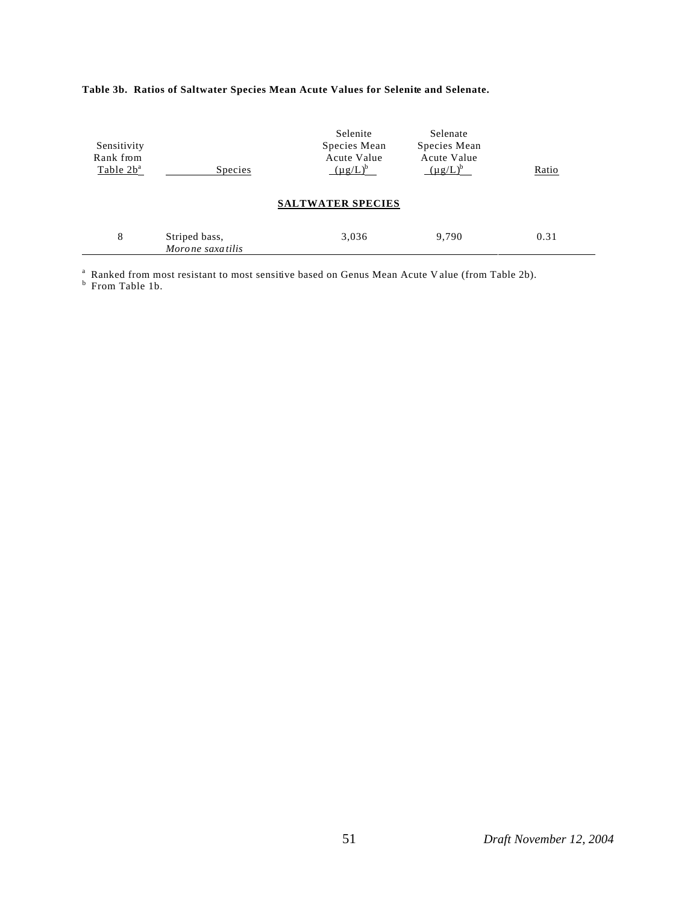| Sensitivity<br>Rank from<br>Table $2b^a$ | Species                            | Selenite<br>Species Mean<br>Acute Value<br>$(\mu g/L)^b$ | Selenate<br>Species Mean<br>Acute Value<br>$(\mu g/L)^b$ | Ratio |
|------------------------------------------|------------------------------------|----------------------------------------------------------|----------------------------------------------------------|-------|
| <b>SALTWATER SPECIES</b>                 |                                    |                                                          |                                                          |       |
| 8                                        | Striped bass,<br>Moro ne saxatilis | 3,036                                                    | 9.790                                                    | 0.31  |

## **Table 3b. Ratios of Saltwater Species Mean Acute Values for Selenite and Selenate.**

a Ranked from most resistant to most sensitive based on Genus Mean Acute V alue (from Table 2b). b From Table 1b.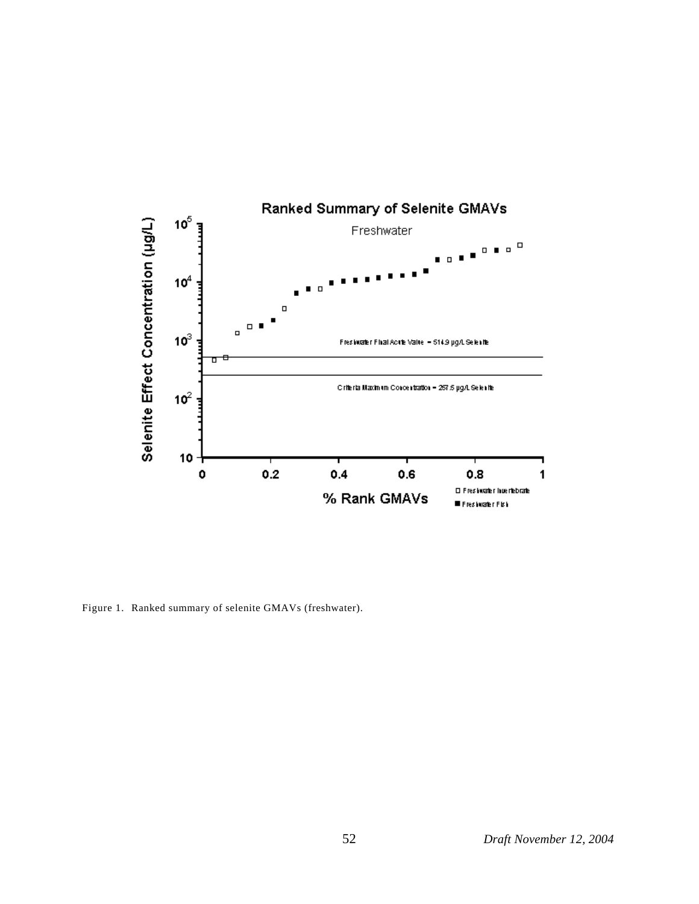

Figure 1. Ranked summary of selenite GMAVs (freshwater).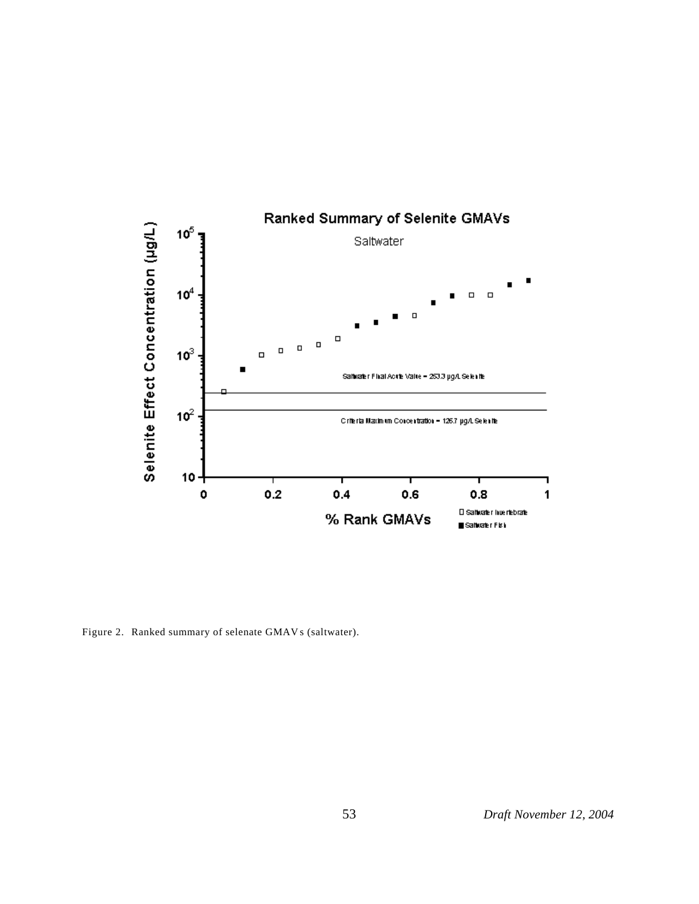

Figure 2. Ranked summary of selenate GMAVs (saltwater).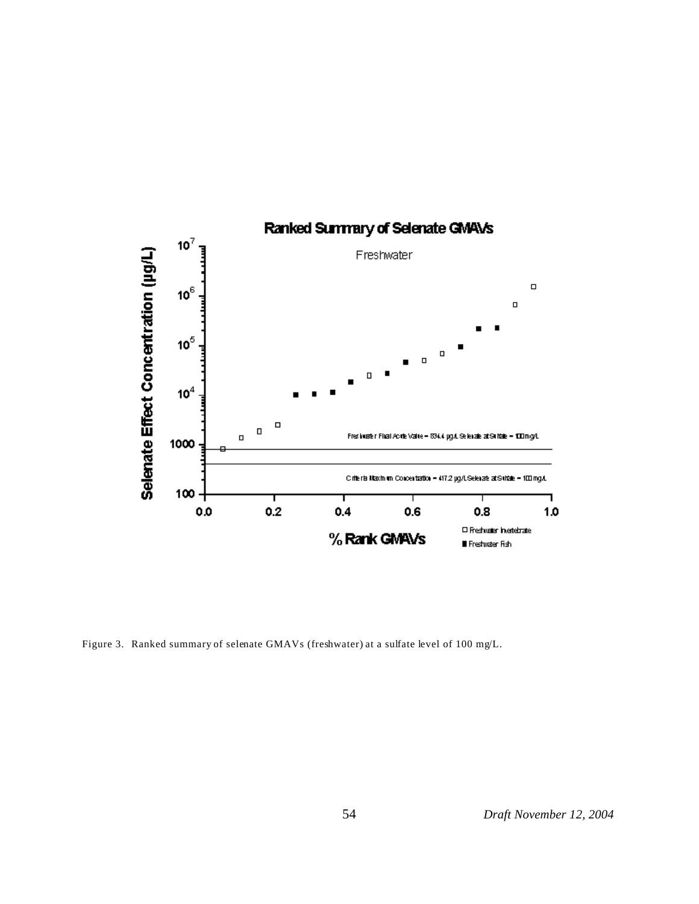

Figure 3. Ranked summary of selenate GMAVs (freshwater) at a sulfate level of 100 mg/L.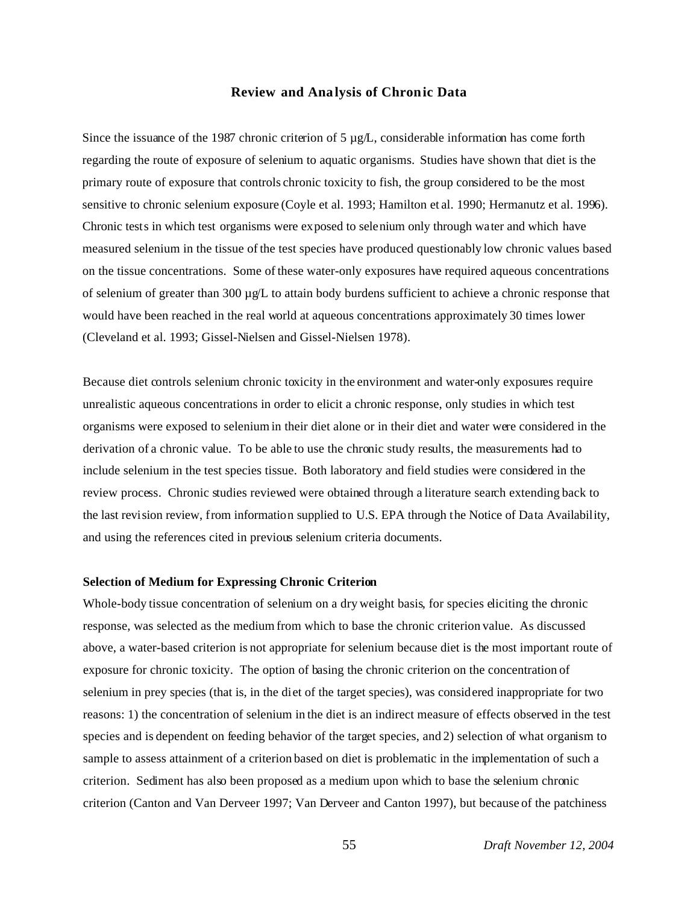### **Review and Analysis of Chronic Data**

Since the issuance of the 1987 chronic criterion of 5  $\mu g/L$ , considerable information has come forth regarding the route of exposure of selenium to aquatic organisms. Studies have shown that diet is the primary route of exposure that controls chronic toxicity to fish, the group considered to be the most sensitive to chronic selenium exposure (Coyle et al. 1993; Hamilton et al. 1990; Hermanutz et al. 1996). Chronic tests in which test organisms were exposed to selenium only through water and which have measured selenium in the tissue of the test species have produced questionably low chronic values based on the tissue concentrations. Some of these water-only exposures have required aqueous concentrations of selenium of greater than 300  $\mu$ g/L to attain body burdens sufficient to achieve a chronic response that would have been reached in the real world at aqueous concentrations approximately 30 times lower (Cleveland et al. 1993; Gissel-Nielsen and Gissel-Nielsen 1978).

Because diet controls selenium chronic toxicity in the environment and water-only exposures require unrealistic aqueous concentrations in order to elicit a chronic response, only studies in which test organisms were exposed to selenium in their diet alone or in their diet and water were considered in the derivation of a chronic value. To be able to use the chronic study results, the measurements had to include selenium in the test species tissue. Both laboratory and field studies were considered in the review process. Chronic studies reviewed were obtained through a literature search extending back to the last revision review, from information supplied to U.S. EPA through the Notice of Data Availability, and using the references cited in previous selenium criteria documents.

## **Selection of Medium for Expressing Chronic Criterion**

Whole-body tissue concentration of selenium on a dry weight basis, for species eliciting the chronic response, was selected as the medium from which to base the chronic criterion value. As discussed above, a water-based criterion is not appropriate for selenium because diet is the most important route of exposure for chronic toxicity. The option of basing the chronic criterion on the concentration of selenium in prey species (that is, in the diet of the target species), was considered inappropriate for two reasons: 1) the concentration of selenium in the diet is an indirect measure of effects observed in the test species and is dependent on feeding behavior of the target species, and 2) selection of what organism to sample to assess attainment of a criterion based on diet is problematic in the implementation of such a criterion. Sediment has also been proposed as a medium upon which to base the selenium chronic criterion (Canton and Van Derveer 1997; Van Derveer and Canton 1997), but because of the patchiness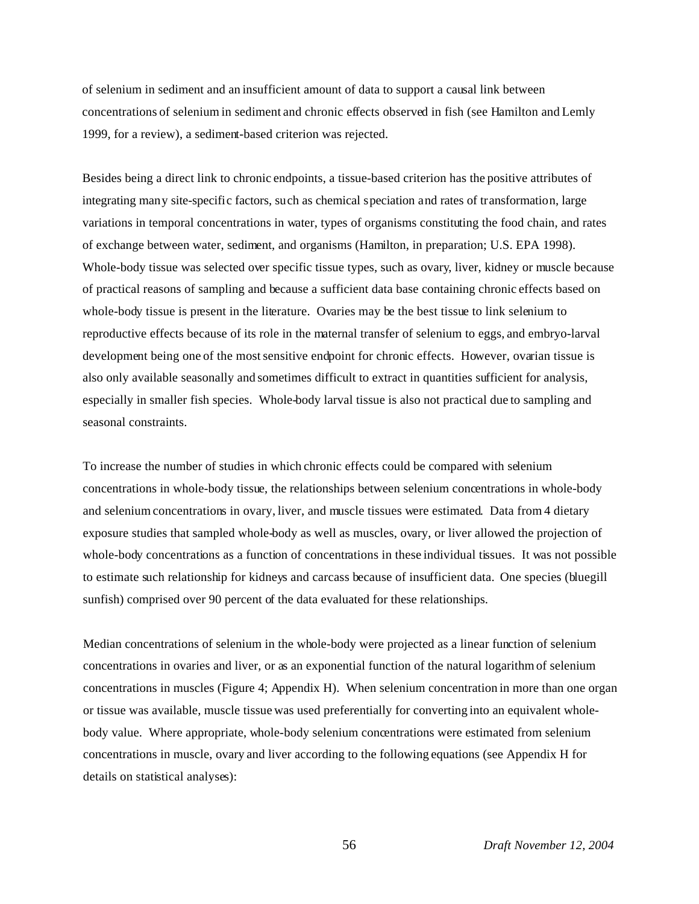of selenium in sediment and an insufficient amount of data to support a causal link between concentrations of selenium in sediment and chronic effects observed in fish (see Hamilton and Lemly 1999, for a review), a sediment-based criterion was rejected.

Besides being a direct link to chronic endpoints, a tissue-based criterion has the positive attributes of integrating many site-specific factors, such as chemical speciation and rates of transformation, large variations in temporal concentrations in water, types of organisms constituting the food chain, and rates of exchange between water, sediment, and organisms (Hamilton, in preparation; U.S. EPA 1998). Whole-body tissue was selected over specific tissue types, such as ovary, liver, kidney or muscle because of practical reasons of sampling and because a sufficient data base containing chronic effects based on whole-body tissue is present in the literature. Ovaries may be the best tissue to link selenium to reproductive effects because of its role in the maternal transfer of selenium to eggs, and embryo-larval development being one of the most sensitive endpoint for chronic effects. However, ovarian tissue is also only available seasonally and sometimes difficult to extract in quantities sufficient for analysis, especially in smaller fish species. Whole-body larval tissue is also not practical due to sampling and seasonal constraints.

To increase the number of studies in which chronic effects could be compared with selenium concentrations in whole-body tissue, the relationships between selenium concentrations in whole-body and selenium concentrations in ovary, liver, and muscle tissues were estimated. Data from 4 dietary exposure studies that sampled whole-body as well as muscles, ovary, or liver allowed the projection of whole-body concentrations as a function of concentrations in these individual tissues. It was not possible to estimate such relationship for kidneys and carcass because of insufficient data. One species (bluegill sunfish) comprised over 90 percent of the data evaluated for these relationships.

Median concentrations of selenium in the whole-body were projected as a linear function of selenium concentrations in ovaries and liver, or as an exponential function of the natural logarithm of selenium concentrations in muscles (Figure 4; Appendix H). When selenium concentration in more than one organ or tissue was available, muscle tissue was used preferentially for converting into an equivalent wholebody value. Where appropriate, whole-body selenium concentrations were estimated from selenium concentrations in muscle, ovary and liver according to the following equations (see Appendix H for details on statistical analyses):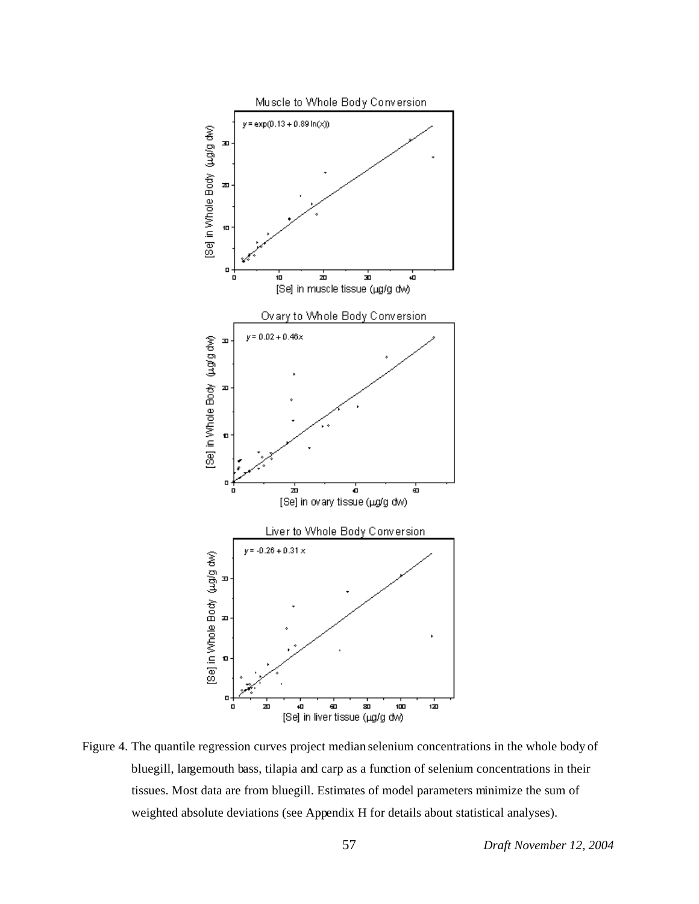

Figure 4. The quantile regression curves project median selenium concentrations in the whole body of bluegill, largemouth bass, tilapia and carp as a function of selenium concentrations in their tissues. Most data are from bluegill. Estimates of model parameters minimize the sum of weighted absolute deviations (see Appendix H for details about statistical analyses).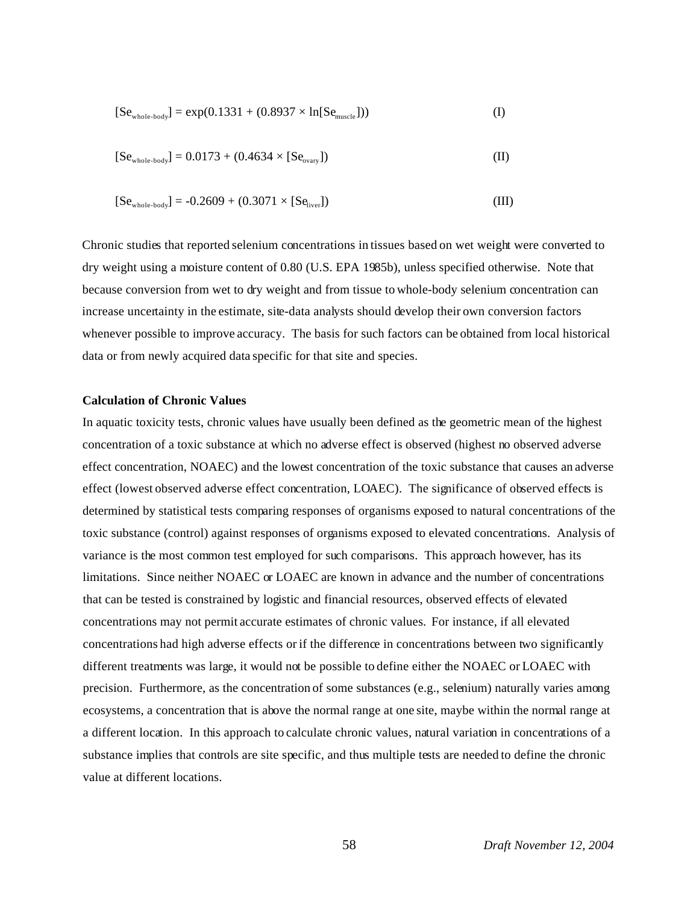$$
[Sewhole-body] = exp(0.1331 + (0.8937 \times \ln[Semuscle])) \tag{I}
$$

$$
[Sewhole-body] = 0.0173 + (0.4634 \times [Seovary])
$$
 (II)

$$
[Sewhole-body] = -0.2609 + (0.3071 \times [Seliver])
$$
\n(III)

Chronic studies that reported selenium concentrations in tissues based on wet weight were converted to dry weight using a moisture content of 0.80 (U.S. EPA 1985b), unless specified otherwise. Note that because conversion from wet to dry weight and from tissue to whole-body selenium concentration can increase uncertainty in the estimate, site-data analysts should develop their own conversion factors whenever possible to improve accuracy. The basis for such factors can be obtained from local historical data or from newly acquired data specific for that site and species.

### **Calculation of Chronic Values**

In aquatic toxicity tests, chronic values have usually been defined as the geometric mean of the highest concentration of a toxic substance at which no adverse effect is observed (highest no observed adverse effect concentration, NOAEC) and the lowest concentration of the toxic substance that causes an adverse effect (lowest observed adverse effect concentration, LOAEC). The significance of observed effects is determined by statistical tests comparing responses of organisms exposed to natural concentrations of the toxic substance (control) against responses of organisms exposed to elevated concentrations. Analysis of variance is the most common test employed for such comparisons. This approach however, has its limitations. Since neither NOAEC or LOAEC are known in advance and the number of concentrations that can be tested is constrained by logistic and financial resources, observed effects of elevated concentrations may not permit accurate estimates of chronic values. For instance, if all elevated concentrations had high adverse effects or if the difference in concentrations between two significantly different treatments was large, it would not be possible to define either the NOAEC or LOAEC with precision. Furthermore, as the concentration of some substances (e.g., selenium) naturally varies among ecosystems, a concentration that is above the normal range at one site, maybe within the normal range at a different location. In this approach to calculate chronic values, natural variation in concentrations of a substance implies that controls are site specific, and thus multiple tests are needed to define the chronic value at different locations.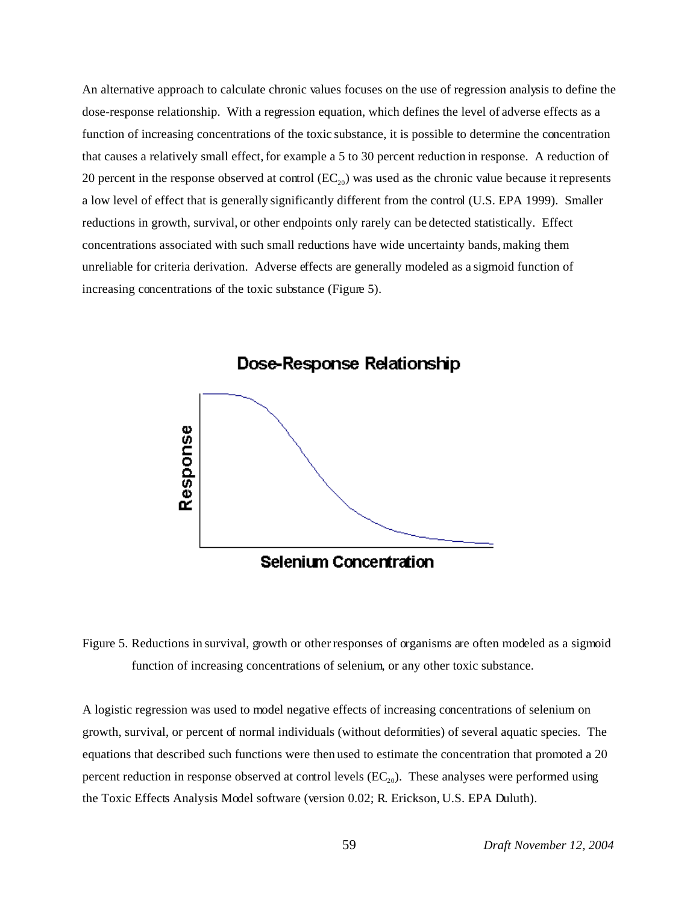An alternative approach to calculate chronic values focuses on the use of regression analysis to define the dose-response relationship. With a regression equation, which defines the level of adverse effects as a function of increasing concentrations of the toxic substance, it is possible to determine the concentration that causes a relatively small effect, for example a 5 to 30 percent reduction in response. A reduction of 20 percent in the response observed at control  $(EC_{20})$  was used as the chronic value because it represents a low level of effect that is generally significantly different from the control (U.S. EPA 1999). Smaller reductions in growth, survival, or other endpoints only rarely can be detected statistically. Effect concentrations associated with such small reductions have wide uncertainty bands, making them unreliable for criteria derivation. Adverse effects are generally modeled as a sigmoid function of increasing concentrations of the toxic substance (Figure 5).



Figure 5. Reductions in survival, growth or other responses of organisms are often modeled as a sigmoid function of increasing concentrations of selenium, or any other toxic substance.

A logistic regression was used to model negative effects of increasing concentrations of selenium on growth, survival, or percent of normal individuals (without deformities) of several aquatic species. The equations that described such functions were then used to estimate the concentration that promoted a 20 percent reduction in response observed at control levels  $(EC_{20})$ . These analyses were performed using the Toxic Effects Analysis Model software (version 0.02; R. Erickson, U.S. EPA Duluth).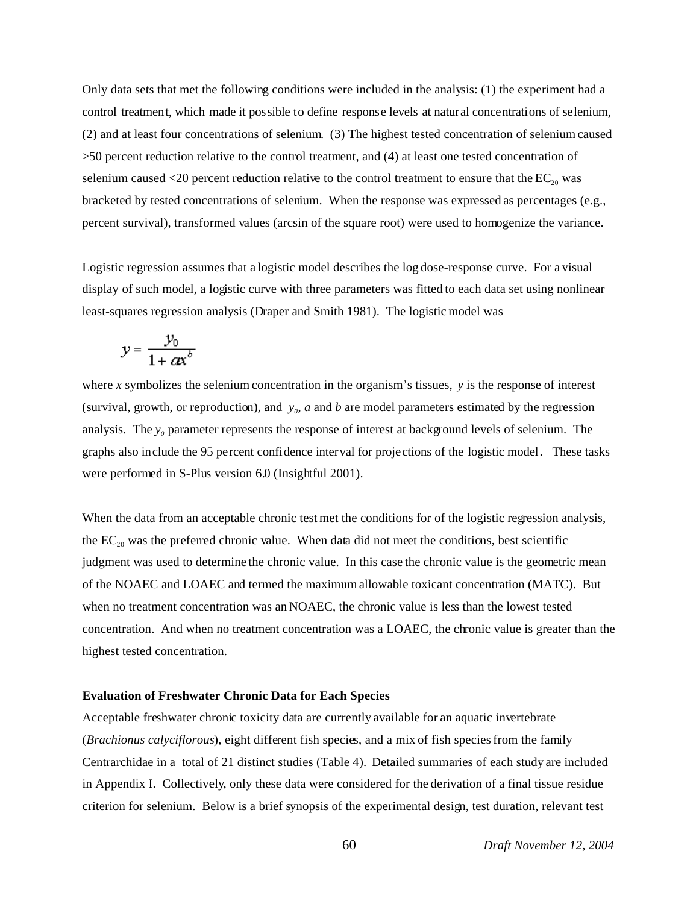Only data sets that met the following conditions were included in the analysis: (1) the experiment had a control treatment, which made it possible to define response levels at natural concentrations of selenium, (2) and at least four concentrations of selenium. (3) The highest tested concentration of selenium caused >50 percent reduction relative to the control treatment, and (4) at least one tested concentration of selenium caused  $\langle 20 \rangle$  percent reduction relative to the control treatment to ensure that the  $EC_{20}$  was bracketed by tested concentrations of selenium. When the response was expressed as percentages (e.g., percent survival), transformed values (arcsin of the square root) were used to homogenize the variance.

Logistic regression assumes that a logistic model describes the log dose-response curve. For a visual display of such model, a logistic curve with three parameters was fitted to each data set using nonlinear least-squares regression analysis (Draper and Smith 1981). The logistic model was

$$
y = \frac{y_0}{1 + \alpha x^b}
$$

where *x* symbolizes the selenium concentration in the organism's tissues, *y* is the response of interest (survival, growth, or reproduction), and  $y_0$ , *a* and *b* are model parameters estimated by the regression analysis. The  $y<sub>0</sub>$  parameter represents the response of interest at background levels of selenium. The graphs also include the 95 percent confidence interval for projections of the logistic model. These tasks were performed in S-Plus version 6.0 (Insightful 2001).

When the data from an acceptable chronic test met the conditions for of the logistic regression analysis, the  $EC_{20}$  was the preferred chronic value. When data did not meet the conditions, best scientific judgment was used to determine the chronic value. In this case the chronic value is the geometric mean of the NOAEC and LOAEC and termed the maximum allowable toxicant concentration (MATC). But when no treatment concentration was an NOAEC, the chronic value is less than the lowest tested concentration. And when no treatment concentration was a LOAEC, the chronic value is greater than the highest tested concentration.

### **Evaluation of Freshwater Chronic Data for Each Species**

Acceptable freshwater chronic toxicity data are currently available for an aquatic invertebrate (*Brachionus calyciflorous*), eight different fish species, and a mix of fish species from the family Centrarchidae in a total of 21 distinct studies (Table 4). Detailed summaries of each study are included in Appendix I. Collectively, only these data were considered for the derivation of a final tissue residue criterion for selenium. Below is a brief synopsis of the experimental design, test duration, relevant test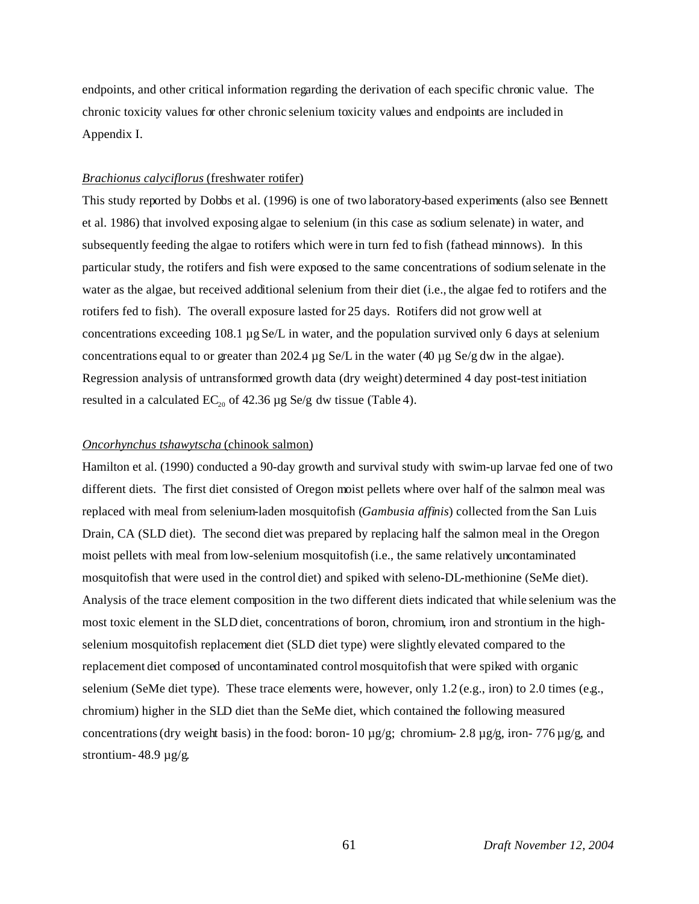endpoints, and other critical information regarding the derivation of each specific chronic value. The chronic toxicity values for other chronic selenium toxicity values and endpoints are included in Appendix I.

### *Brachionus calyciflorus* (freshwater rotifer)

This study reported by Dobbs et al. (1996) is one of two laboratory-based experiments (also see Bennett et al. 1986) that involved exposing algae to selenium (in this case as sodium selenate) in water, and subsequently feeding the algae to rotifers which were in turn fed to fish (fathead minnows). In this particular study, the rotifers and fish were exposed to the same concentrations of sodium selenate in the water as the algae, but received additional selenium from their diet (i.e., the algae fed to rotifers and the rotifers fed to fish). The overall exposure lasted for 25 days. Rotifers did not grow well at concentrations exceeding 108.1 µg Se/L in water, and the population survived only 6 days at selenium concentrations equal to or greater than 202.4  $\mu$ g Se/L in the water (40  $\mu$ g Se/g dw in the algae). Regression analysis of untransformed growth data (dry weight) determined 4 day post-test initiation resulted in a calculated  $EC_{20}$  of 42.36 µg Se/g dw tissue (Table 4).

### *Oncorhynchus tshawytscha* (chinook salmon)

Hamilton et al. (1990) conducted a 90-day growth and survival study with swim-up larvae fed one of two different diets. The first diet consisted of Oregon moist pellets where over half of the salmon meal was replaced with meal from selenium-laden mosquitofish (*Gambusia affinis*) collected from the San Luis Drain, CA (SLD diet). The second diet was prepared by replacing half the salmon meal in the Oregon moist pellets with meal from low-selenium mosquitofish (i.e., the same relatively uncontaminated mosquitofish that were used in the control diet) and spiked with seleno-DL-methionine (SeMe diet). Analysis of the trace element composition in the two different diets indicated that while selenium was the most toxic element in the SLD diet, concentrations of boron, chromium, iron and strontium in the highselenium mosquitofish replacement diet (SLD diet type) were slightly elevated compared to the replacement diet composed of uncontaminated control mosquitofish that were spiked with organic selenium (SeMe diet type). These trace elements were, however, only  $1.2$  (e.g., iron) to 2.0 times (e.g., chromium) higher in the SLD diet than the SeMe diet, which contained the following measured concentrations (dry weight basis) in the food: boron- 10  $\mu$ g/g; chromium- 2.8  $\mu$ g/g, iron- 776  $\mu$ g/g, and strontium- 48.9 µg/g.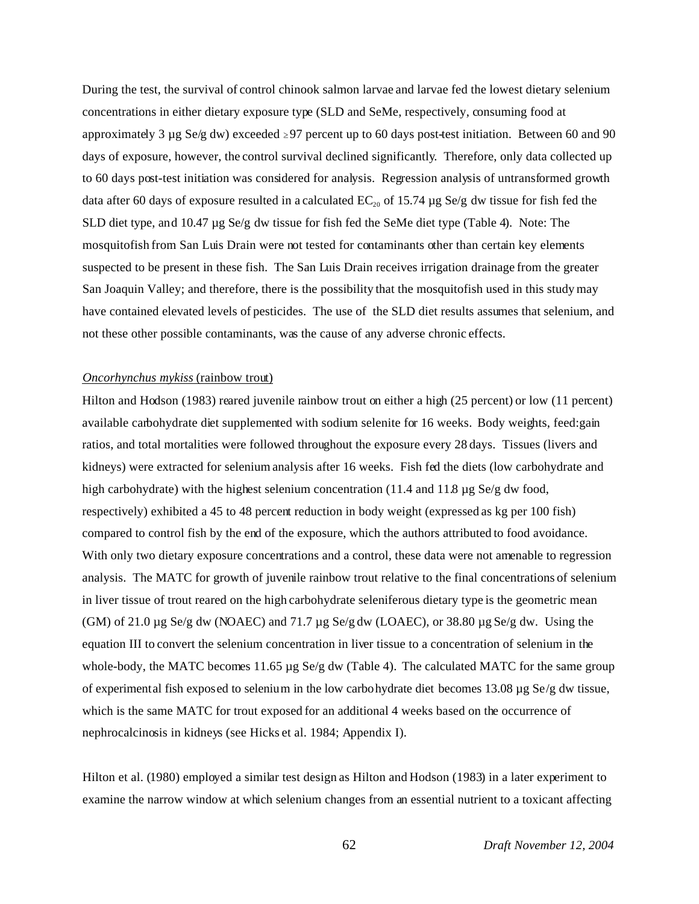During the test, the survival of control chinook salmon larvae and larvae fed the lowest dietary selenium concentrations in either dietary exposure type (SLD and SeMe, respectively, consuming food at approximately 3 µg Se/g dw) exceeded  $\geq$ 97 percent up to 60 days post-test initiation. Between 60 and 90 days of exposure, however, the control survival declined significantly. Therefore, only data collected up to 60 days post-test initiation was considered for analysis. Regression analysis of untransformed growth data after 60 days of exposure resulted in a calculated  $EC_{20}$  of 15.74  $\mu$ g Se/g dw tissue for fish fed the SLD diet type, and 10.47 µg Se/g dw tissue for fish fed the SeMe diet type (Table 4). Note: The mosquitofish from San Luis Drain were not tested for contaminants other than certain key elements suspected to be present in these fish. The San Luis Drain receives irrigation drainage from the greater San Joaquin Valley; and therefore, there is the possibility that the mosquitofish used in this study may have contained elevated levels of pesticides. The use of the SLD diet results assumes that selenium, and not these other possible contaminants, was the cause of any adverse chronic effects.

### *Oncorhynchus mykiss* (rainbow trout)

Hilton and Hodson (1983) reared juvenile rainbow trout on either a high (25 percent) or low (11 percent) available carbohydrate diet supplemented with sodium selenite for 16 weeks. Body weights, feed:gain ratios, and total mortalities were followed throughout the exposure every 28 days. Tissues (livers and kidneys) were extracted for selenium analysis after 16 weeks. Fish fed the diets (low carbohydrate and high carbohydrate) with the highest selenium concentration (11.4 and 11.8 µg Se/g dw food, respectively) exhibited a 45 to 48 percent reduction in body weight (expressed as kg per 100 fish) compared to control fish by the end of the exposure, which the authors attributed to food avoidance. With only two dietary exposure concentrations and a control, these data were not amenable to regression analysis. The MATC for growth of juvenile rainbow trout relative to the final concentrations of selenium in liver tissue of trout reared on the high carbohydrate seleniferous dietary type is the geometric mean (GM) of 21.0  $\mu$ g Se/g dw (NOAEC) and 71.7  $\mu$ g Se/g dw (LOAEC), or 38.80  $\mu$ g Se/g dw. Using the equation III to convert the selenium concentration in liver tissue to a concentration of selenium in the whole-body, the MATC becomes 11.65 µg Se/g dw (Table 4). The calculated MATC for the same group of experimental fish exposed to selenium in the low carbohydrate diet becomes 13.08 µg Se/g dw tissue, which is the same MATC for trout exposed for an additional 4 weeks based on the occurrence of nephrocalcinosis in kidneys (see Hicks et al. 1984; Appendix I).

Hilton et al. (1980) employed a similar test design as Hilton and Hodson (1983) in a later experiment to examine the narrow window at which selenium changes from an essential nutrient to a toxicant affecting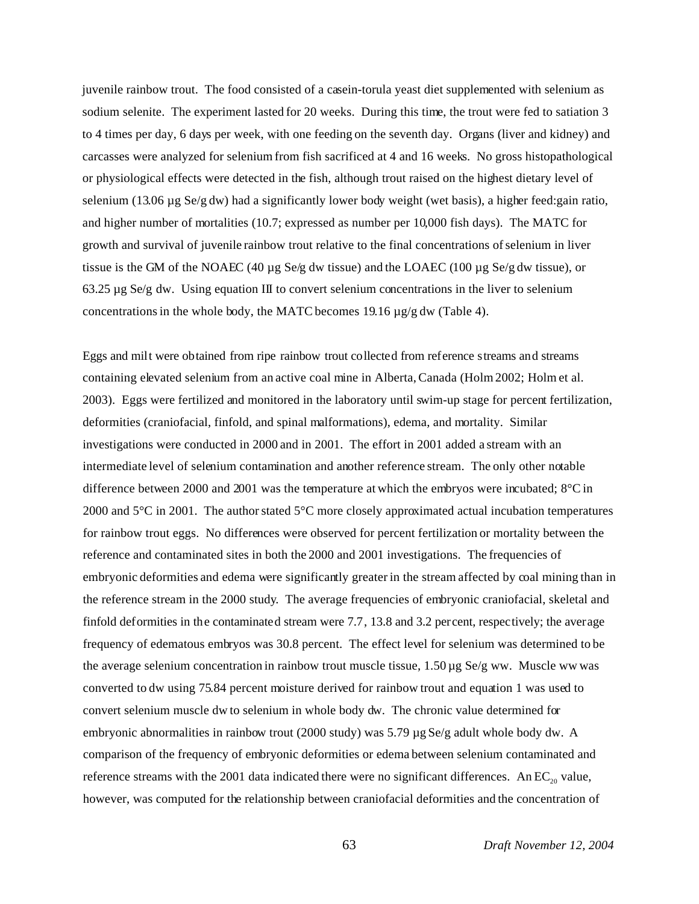juvenile rainbow trout. The food consisted of a casein-torula yeast diet supplemented with selenium as sodium selenite. The experiment lasted for 20 weeks. During this time, the trout were fed to satiation 3 to 4 times per day, 6 days per week, with one feeding on the seventh day. Organs (liver and kidney) and carcasses were analyzed for selenium from fish sacrificed at 4 and 16 weeks. No gross histopathological or physiological effects were detected in the fish, although trout raised on the highest dietary level of selenium (13.06 µg Se/g dw) had a significantly lower body weight (wet basis), a higher feed:gain ratio, and higher number of mortalities (10.7; expressed as number per 10,000 fish days). The MATC for growth and survival of juvenile rainbow trout relative to the final concentrations of selenium in liver tissue is the GM of the NOAEC (40 µg Se/g dw tissue) and the LOAEC (100 µg Se/g dw tissue), or  $63.25 \,\mu$ g Se/g dw. Using equation III to convert selenium concentrations in the liver to selenium concentrations in the whole body, the MATC becomes 19.16 µg/g dw (Table 4).

Eggs and milt were obtained from ripe rainbow trout collected from reference streams and streams containing elevated selenium from an active coal mine in Alberta, Canada (Holm 2002; Holm et al. 2003). Eggs were fertilized and monitored in the laboratory until swim-up stage for percent fertilization, deformities (craniofacial, finfold, and spinal malformations), edema, and mortality. Similar investigations were conducted in 2000 and in 2001. The effort in 2001 added a stream with an intermediate level of selenium contamination and another reference stream. The only other notable difference between 2000 and 2001 was the temperature at which the embryos were incubated; 8°C in 2000 and  $5^{\circ}$ C in 2001. The author stated  $5^{\circ}$ C more closely approximated actual incubation temperatures for rainbow trout eggs. No differences were observed for percent fertilization or mortality between the reference and contaminated sites in both the 2000 and 2001 investigations. The frequencies of embryonic deformities and edema were significantly greater in the stream affected by coal mining than in the reference stream in the 2000 study. The average frequencies of embryonic craniofacial, skeletal and finfold deformities in the contaminated stream were 7.7, 13.8 and 3.2 percent, respectively; the average frequency of edematous embryos was 30.8 percent. The effect level for selenium was determined to be the average selenium concentration in rainbow trout muscle tissue,  $1.50 \mu g$  Se/g ww. Muscle ww was converted to dw using 75.84 percent moisture derived for rainbow trout and equation 1 was used to convert selenium muscle dw to selenium in whole body dw. The chronic value determined for embryonic abnormalities in rainbow trout (2000 study) was 5.79  $\mu$ g Se/g adult whole body dw. A comparison of the frequency of embryonic deformities or edema between selenium contaminated and reference streams with the 2001 data indicated there were no significant differences. An  $EC_{20}$  value, however, was computed for the relationship between craniofacial deformities and the concentration of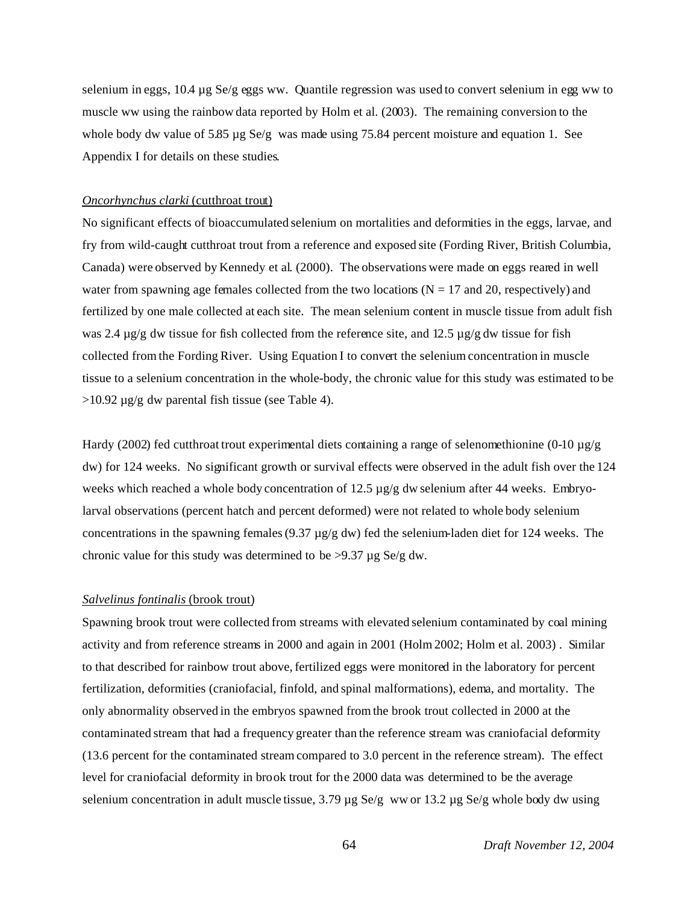selenium in eggs, 10.4 µg Se/g eggs ww. Quantile regression was used to convert selenium in egg ww to muscle ww using the rainbow data reported by Holm et al. (2003). The remaining conversion to the whole body dw value of 5.85  $\mu$ g Se/g was made using 75.84 percent moisture and equation 1. See Appendix I for details on these studies.

### *Oncorhynchus clarki* (cutthroat trout)

No significant effects of bioaccumulated selenium on mortalities and deformities in the eggs, larvae, and fry from wild-caught cutthroat trout from a reference and exposed site (Fording River, British Columbia, Canada) were observed by Kennedy et al. (2000). The observations were made on eggs reared in well water from spawning age females collected from the two locations ( $N = 17$  and 20, respectively) and fertilized by one male collected at each site. The mean selenium content in muscle tissue from adult fish was 2.4  $\mu$ g/g dw tissue for fish collected from the reference site, and 12.5  $\mu$ g/g dw tissue for fish collected from the Fording River. Using Equation I to convert the selenium concentration in muscle tissue to a selenium concentration in the whole-body, the chronic value for this study was estimated to be  $>10.92 \mu$ g/g dw parental fish tissue (see Table 4).

Hardy (2002) fed cutthroat trout experimental diets containing a range of selenomethionine (0-10 µg/g dw) for 124 weeks. No significant growth or survival effects were observed in the adult fish over the 124 weeks which reached a whole body concentration of 12.5  $\mu$ g/g dw selenium after 44 weeks. Embryolarval observations (percent hatch and percent deformed) were not related to whole body selenium concentrations in the spawning females (9.37 µg/g dw) fed the selenium-laden diet for 124 weeks. The chronic value for this study was determined to be  $>9.37 \mu g$  Se/g dw.

#### *Salvelinus fontinalis* (brook trout)

Spawning brook trout were collected from streams with elevated selenium contaminated by coal mining activity and from reference streams in 2000 and again in 2001 (Holm 2002; Holm et al. 2003) . Similar to that described for rainbow trout above, fertilized eggs were monitored in the laboratory for percent fertilization, deformities (craniofacial, finfold, and spinal malformations), edema, and mortality. The only abnormality observed in the embryos spawned from the brook trout collected in 2000 at the contaminated stream that had a frequency greater than the reference stream was craniofacial deformity (13.6 percent for the contaminated stream compared to 3.0 percent in the reference stream). The effect level for craniofacial deformity in brook trout for the 2000 data was determined to be the average selenium concentration in adult muscle tissue,  $3.79 \mu g$  Se/g ww or  $13.2 \mu g$  Se/g whole body dw using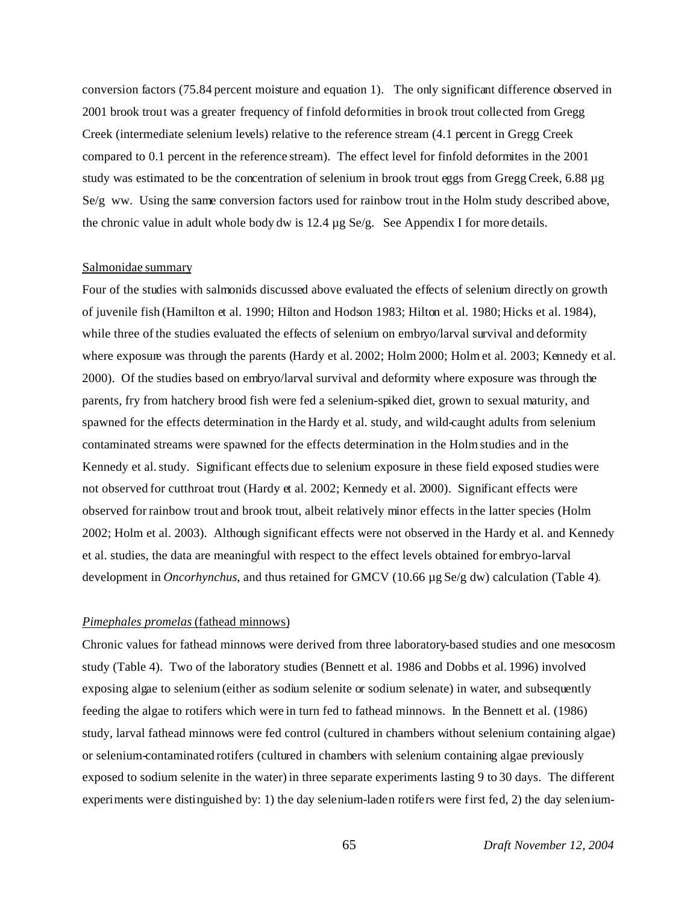conversion factors (75.84 percent moisture and equation 1). The only significant difference observed in 2001 brook trout was a greater frequency of finfold deformities in brook trout collected from Gregg Creek (intermediate selenium levels) relative to the reference stream (4.1 percent in Gregg Creek compared to 0.1 percent in the reference stream). The effect level for finfold deformites in the 2001 study was estimated to be the concentration of selenium in brook trout eggs from Gregg Creek, 6.88 µg Se/g ww. Using the same conversion factors used for rainbow trout in the Holm study described above, the chronic value in adult whole body dw is  $12.4 \mu g$  Se/g. See Appendix I for more details.

#### Salmonidae summary

Four of the studies with salmonids discussed above evaluated the effects of selenium directly on growth of juvenile fish (Hamilton et al. 1990; Hilton and Hodson 1983; Hilton et al. 1980; Hicks et al. 1984), while three of the studies evaluated the effects of selenium on embryo/larval survival and deformity where exposure was through the parents (Hardy et al. 2002; Holm 2000; Holm et al. 2003; Kennedy et al. 2000). Of the studies based on embryo/larval survival and deformity where exposure was through the parents, fry from hatchery brood fish were fed a selenium-spiked diet, grown to sexual maturity, and spawned for the effects determination in the Hardy et al. study, and wild-caught adults from selenium contaminated streams were spawned for the effects determination in the Holm studies and in the Kennedy et al. study. Significant effects due to selenium exposure in these field exposed studies were not observed for cutthroat trout (Hardy et al. 2002; Kennedy et al. 2000). Significant effects were observed for rainbow trout and brook trout, albeit relatively minor effects in the latter species (Holm 2002; Holm et al. 2003). Although significant effects were not observed in the Hardy et al. and Kennedy et al. studies, the data are meaningful with respect to the effect levels obtained for embryo-larval development in *Oncorhynchus*, and thus retained for GMCV (10.66 µg Se/g dw) calculation (Table 4).

### *Pimephales promelas* (fathead minnows)

Chronic values for fathead minnows were derived from three laboratory-based studies and one mesocosm study (Table 4). Two of the laboratory studies (Bennett et al. 1986 and Dobbs et al. 1996) involved exposing algae to selenium (either as sodium selenite or sodium selenate) in water, and subsequently feeding the algae to rotifers which were in turn fed to fathead minnows. In the Bennett et al. (1986) study, larval fathead minnows were fed control (cultured in chambers without selenium containing algae) or selenium-contaminated rotifers (cultured in chambers with selenium containing algae previously exposed to sodium selenite in the water) in three separate experiments lasting 9 to 30 days. The different experiments were distinguished by: 1) the day selenium-laden rotifers were first fed, 2) the day selenium-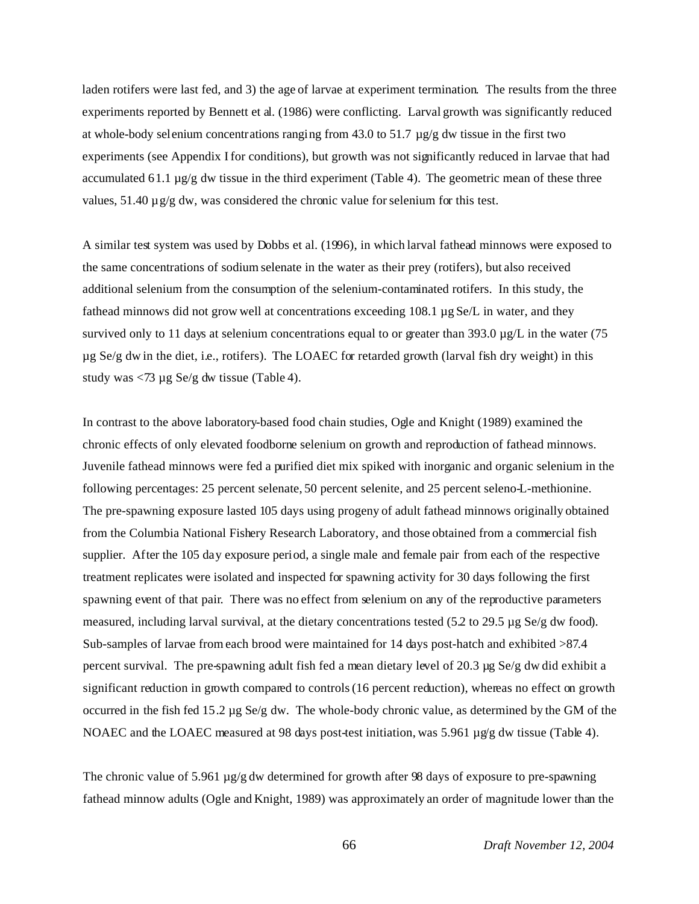laden rotifers were last fed, and 3) the age of larvae at experiment termination. The results from the three experiments reported by Bennett et al. (1986) were conflicting. Larval growth was significantly reduced at whole-body selenium concentrations ranging from 43.0 to 51.7  $\mu$ g/g dw tissue in the first two experiments (see Appendix I for conditions), but growth was not significantly reduced in larvae that had accumulated 61.1  $\mu$ g/g dw tissue in the third experiment (Table 4). The geometric mean of these three values,  $51.40 \mu$  g/g dw, was considered the chronic value for selenium for this test.

A similar test system was used by Dobbs et al. (1996), in which larval fathead minnows were exposed to the same concentrations of sodium selenate in the water as their prey (rotifers), but also received additional selenium from the consumption of the selenium-contaminated rotifers. In this study, the fathead minnows did not grow well at concentrations exceeding 108.1 µg Se/L in water, and they survived only to 11 days at selenium concentrations equal to or greater than 393.0  $\mu$ g/L in the water (75  $\mu$ g Se/g dw in the diet, i.e., rotifers). The LOAEC for retarded growth (larval fish dry weight) in this study was  $\langle 73 \mu$ g Se/g dw tissue (Table 4).

In contrast to the above laboratory-based food chain studies, Ogle and Knight (1989) examined the chronic effects of only elevated foodborne selenium on growth and reproduction of fathead minnows. Juvenile fathead minnows were fed a purified diet mix spiked with inorganic and organic selenium in the following percentages: 25 percent selenate, 50 percent selenite, and 25 percent seleno-L-methionine. The pre-spawning exposure lasted 105 days using progeny of adult fathead minnows originally obtained from the Columbia National Fishery Research Laboratory, and those obtained from a commercial fish supplier. After the 105 day exposure period, a single male and female pair from each of the respective treatment replicates were isolated and inspected for spawning activity for 30 days following the first spawning event of that pair. There was no effect from selenium on any of the reproductive parameters measured, including larval survival, at the dietary concentrations tested (5.2 to 29.5 µg Se/g dw food). Sub-samples of larvae from each brood were maintained for 14 days post-hatch and exhibited >87.4 percent survival. The pre-spawning adult fish fed a mean dietary level of 20.3 µg Se/g dw did exhibit a significant reduction in growth compared to controls (16 percent reduction), whereas no effect on growth occurred in the fish fed 15.2 µg Se/g dw. The whole-body chronic value, as determined by the GM of the NOAEC and the LOAEC measured at 98 days post-test initiation, was 5.961  $\mu$ g/g dw tissue (Table 4).

The chronic value of 5.961  $\mu$ g/g dw determined for growth after 98 days of exposure to pre-spawning fathead minnow adults (Ogle and Knight, 1989) was approximately an order of magnitude lower than the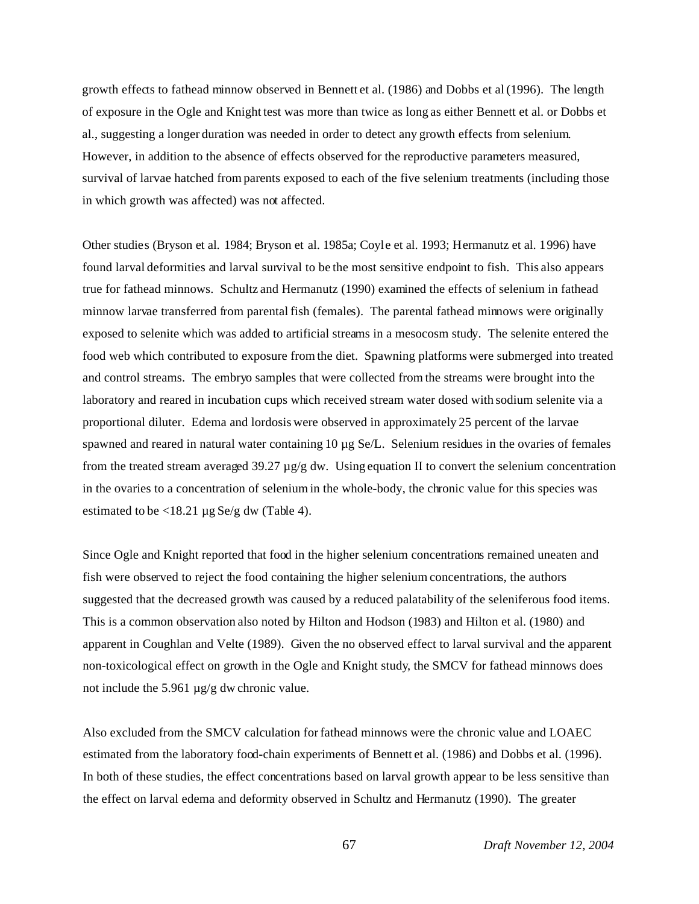growth effects to fathead minnow observed in Bennett et al. (1986) and Dobbs et al (1996). The length of exposure in the Ogle and Knight test was more than twice as long as either Bennett et al. or Dobbs et al., suggesting a longer duration was needed in order to detect any growth effects from selenium. However, in addition to the absence of effects observed for the reproductive parameters measured, survival of larvae hatched from parents exposed to each of the five selenium treatments (including those in which growth was affected) was not affected.

Other studies (Bryson et al. 1984; Bryson et al. 1985a; Coyle et al. 1993; Hermanutz et al. 1996) have found larval deformities and larval survival to be the most sensitive endpoint to fish. This also appears true for fathead minnows. Schultz and Hermanutz (1990) examined the effects of selenium in fathead minnow larvae transferred from parental fish (females). The parental fathead minnows were originally exposed to selenite which was added to artificial streams in a mesocosm study. The selenite entered the food web which contributed to exposure from the diet. Spawning platforms were submerged into treated and control streams. The embryo samples that were collected from the streams were brought into the laboratory and reared in incubation cups which received stream water dosed with sodium selenite via a proportional diluter. Edema and lordosis were observed in approximately 25 percent of the larvae spawned and reared in natural water containing 10  $\mu$ g Se/L. Selenium residues in the ovaries of females from the treated stream averaged 39.27  $\mu$ g/g dw. Using equation II to convert the selenium concentration in the ovaries to a concentration of selenium in the whole-body, the chronic value for this species was estimated to be  $\langle 18.21 \,\mu g \,\text{Se/g} \, \text{dw} \, (\text{Table 4}).$ 

Since Ogle and Knight reported that food in the higher selenium concentrations remained uneaten and fish were observed to reject the food containing the higher selenium concentrations, the authors suggested that the decreased growth was caused by a reduced palatability of the seleniferous food items. This is a common observation also noted by Hilton and Hodson (1983) and Hilton et al. (1980) and apparent in Coughlan and Velte (1989). Given the no observed effect to larval survival and the apparent non-toxicological effect on growth in the Ogle and Knight study, the SMCV for fathead minnows does not include the 5.961 µg/g dw chronic value.

Also excluded from the SMCV calculation for fathead minnows were the chronic value and LOAEC estimated from the laboratory food-chain experiments of Bennett et al. (1986) and Dobbs et al. (1996). In both of these studies, the effect concentrations based on larval growth appear to be less sensitive than the effect on larval edema and deformity observed in Schultz and Hermanutz (1990). The greater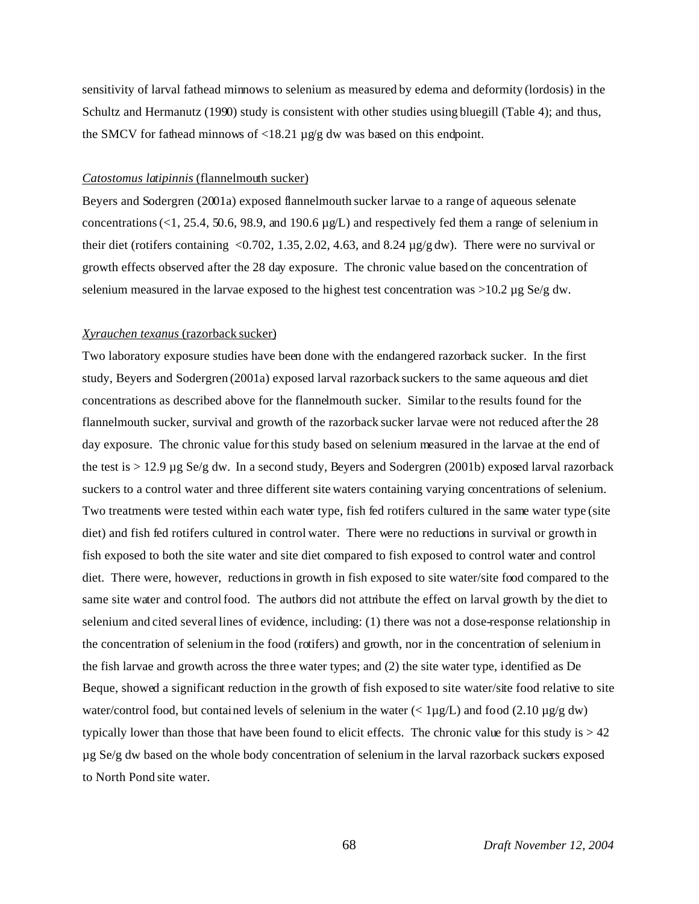sensitivity of larval fathead minnows to selenium as measured by edema and deformity (lordosis) in the Schultz and Hermanutz (1990) study is consistent with other studies using bluegill (Table 4); and thus, the SMCV for fathead minnows of  $\langle 18.21 \mu g/g \, dw$  was based on this endpoint.

#### *Catostomus latipinnis* (flannelmouth sucker)

Beyers and Sodergren (2001a) exposed flannelmouth sucker larvae to a range of aqueous selenate concentrations (<1, 25.4, 50.6, 98.9, and 190.6  $\mu$ g/L) and respectively fed them a range of selenium in their diet (rotifers containing <0.702, 1.35, 2.02, 4.63, and 8.24 µg/g dw). There were no survival or growth effects observed after the 28 day exposure. The chronic value based on the concentration of selenium measured in the larvae exposed to the highest test concentration was  $>10.2 \mu$ g Se/g dw.

#### *Xyrauchen texanus* (razorback sucker)

Two laboratory exposure studies have been done with the endangered razorback sucker. In the first study, Beyers and Sodergren (2001a) exposed larval razorback suckers to the same aqueous and diet concentrations as described above for the flannelmouth sucker. Similar to the results found for the flannelmouth sucker, survival and growth of the razorback sucker larvae were not reduced after the 28 day exposure. The chronic value for this study based on selenium measured in the larvae at the end of the test is > 12.9 µg Se/g dw. In a second study, Beyers and Sodergren (2001b) exposed larval razorback suckers to a control water and three different site waters containing varying concentrations of selenium. Two treatments were tested within each water type, fish fed rotifers cultured in the same water type (site diet) and fish fed rotifers cultured in control water. There were no reductions in survival or growth in fish exposed to both the site water and site diet compared to fish exposed to control water and control diet. There were, however, reductions in growth in fish exposed to site water/site food compared to the same site water and control food. The authors did not attribute the effect on larval growth by the diet to selenium and cited several lines of evidence, including: (1) there was not a dose-response relationship in the concentration of selenium in the food (rotifers) and growth, nor in the concentration of selenium in the fish larvae and growth across the three water types; and (2) the site water type, identified as De Beque, showed a significant reduction in the growth of fish exposed to site water/site food relative to site water/control food, but contained levels of selenium in the water ( $\lt$  1µg/L) and food (2.10 µg/g dw) typically lower than those that have been found to elicit effects. The chronic value for this study is  $> 42$ µg Se/g dw based on the whole body concentration of selenium in the larval razorback suckers exposed to North Pond site water.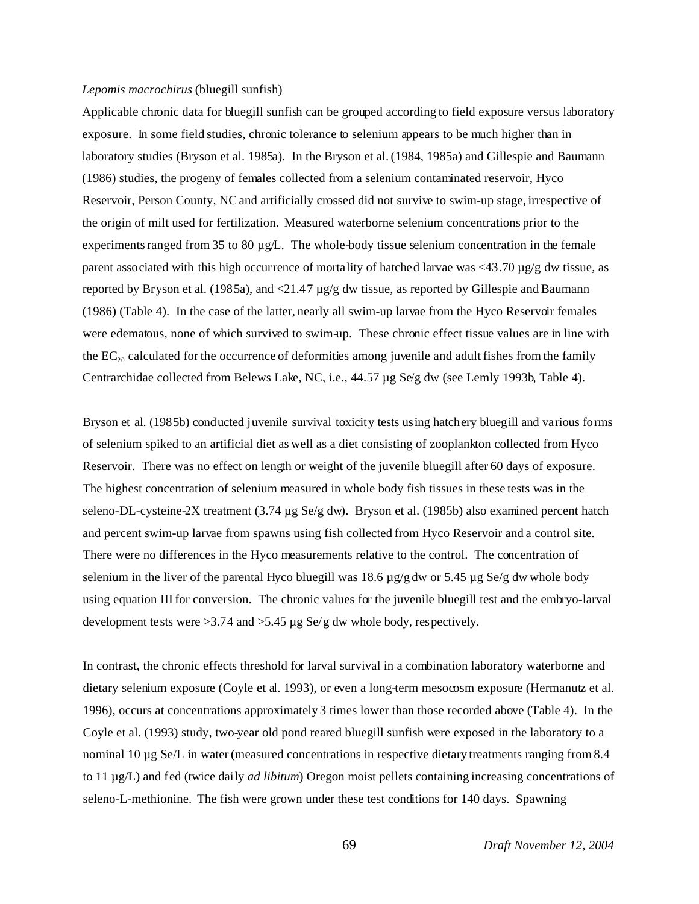#### *Lepomis macrochirus* (bluegill sunfish)

Applicable chronic data for bluegill sunfish can be grouped according to field exposure versus laboratory exposure. In some field studies, chronic tolerance to selenium appears to be much higher than in laboratory studies (Bryson et al. 1985a). In the Bryson et al. (1984, 1985a) and Gillespie and Baumann (1986) studies, the progeny of females collected from a selenium contaminated reservoir, Hyco Reservoir, Person County, NC and artificially crossed did not survive to swim-up stage, irrespective of the origin of milt used for fertilization. Measured waterborne selenium concentrations prior to the experiments ranged from 35 to 80 µg/L. The whole-body tissue selenium concentration in the female parent associated with this high occurrence of mortality of hatched larvae was  $\langle 43.70 \,\mu g/g \, dw$  tissue, as reported by Bryson et al. (1985a), and  $\langle 21.47 \mu$ g/g dw tissue, as reported by Gillespie and Baumann (1986) (Table 4). In the case of the latter, nearly all swim-up larvae from the Hyco Reservoir females were edematous, none of which survived to swim-up. These chronic effect tissue values are in line with the  $EC_{20}$  calculated for the occurrence of deformities among juvenile and adult fishes from the family Centrarchidae collected from Belews Lake, NC, i.e., 44.57 µg Se/g dw (see Lemly 1993b, Table 4).

Bryson et al. (1985b) conducted juvenile survival toxicity tests using hatchery bluegill and various forms of selenium spiked to an artificial diet as well as a diet consisting of zooplankton collected from Hyco Reservoir. There was no effect on length or weight of the juvenile bluegill after 60 days of exposure. The highest concentration of selenium measured in whole body fish tissues in these tests was in the seleno-DL-cysteine-2X treatment (3.74 µg Se/g dw). Bryson et al. (1985b) also examined percent hatch and percent swim-up larvae from spawns using fish collected from Hyco Reservoir and a control site. There were no differences in the Hyco measurements relative to the control. The concentration of selenium in the liver of the parental Hyco bluegill was 18.6  $\mu$ g/g dw or 5.45  $\mu$ g Se/g dw whole body using equation III for conversion. The chronic values for the juvenile bluegill test and the embryo-larval development tests were >3.74 and >5.45 µg Se/g dw whole body, respectively.

In contrast, the chronic effects threshold for larval survival in a combination laboratory waterborne and dietary selenium exposure (Coyle et al. 1993), or even a long-term mesocosm exposure (Hermanutz et al. 1996), occurs at concentrations approximately 3 times lower than those recorded above (Table 4). In the Coyle et al. (1993) study, two-year old pond reared bluegill sunfish were exposed in the laboratory to a nominal 10 µg Se/L in water (measured concentrations in respective dietary treatments ranging from 8.4 to 11 µg/L) and fed (twice daily *ad libitum*) Oregon moist pellets containing increasing concentrations of seleno-L-methionine. The fish were grown under these test conditions for 140 days. Spawning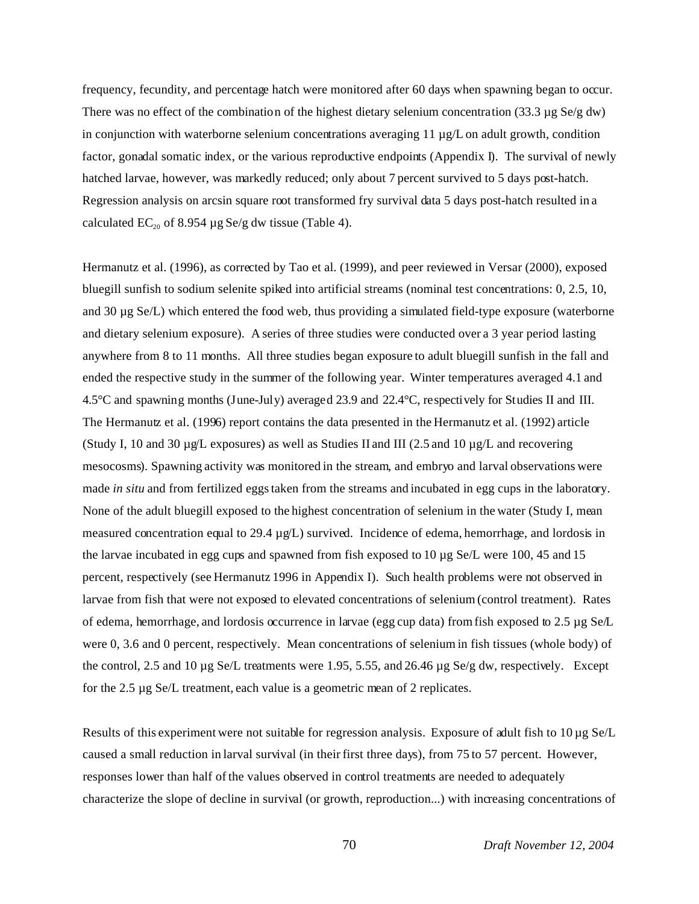frequency, fecundity, and percentage hatch were monitored after 60 days when spawning began to occur. There was no effect of the combination of the highest dietary selenium concentration (33.3 µg Se/g dw) in conjunction with waterborne selenium concentrations averaging  $11 \mu g/L$  on adult growth, condition factor, gonadal somatic index, or the various reproductive endpoints (Appendix I). The survival of newly hatched larvae, however, was markedly reduced; only about 7 percent survived to 5 days post-hatch. Regression analysis on arcsin square root transformed fry survival data 5 days post-hatch resulted in a calculated  $EC_{20}$  of 8.954 µg Se/g dw tissue (Table 4).

Hermanutz et al. (1996), as corrected by Tao et al. (1999), and peer reviewed in Versar (2000), exposed bluegill sunfish to sodium selenite spiked into artificial streams (nominal test concentrations: 0, 2.5, 10, and 30 µg Se/L) which entered the food web, thus providing a simulated field-type exposure (waterborne and dietary selenium exposure). A series of three studies were conducted over a 3 year period lasting anywhere from 8 to 11 months. All three studies began exposure to adult bluegill sunfish in the fall and ended the respective study in the summer of the following year. Winter temperatures averaged 4.1 and 4.5°C and spawning months (June-July) averaged 23.9 and 22.4°C, respectively for Studies II and III. The Hermanutz et al. (1996) report contains the data presented in the Hermanutz et al. (1992) article (Study I, 10 and 30  $\mu$ g/L exposures) as well as Studies II and III (2.5 and 10  $\mu$ g/L and recovering mesocosms). Spawning activity was monitored in the stream, and embryo and larval observations were made *in situ* and from fertilized eggs taken from the streams and incubated in egg cups in the laboratory. None of the adult bluegill exposed to the highest concentration of selenium in the water (Study I, mean measured concentration equal to 29.4  $\mu$ g/L) survived. Incidence of edema, hemorrhage, and lordosis in the larvae incubated in egg cups and spawned from fish exposed to 10 µg Se/L were 100, 45 and 15 percent, respectively (see Hermanutz 1996 in Appendix I). Such health problems were not observed in larvae from fish that were not exposed to elevated concentrations of selenium (control treatment). Rates of edema, hemorrhage, and lordosis occurrence in larvae (egg cup data) from fish exposed to 2.5 µg Se/L were 0, 3.6 and 0 percent, respectively. Mean concentrations of selenium in fish tissues (whole body) of the control, 2.5 and 10  $\mu$ g Se/L treatments were 1.95, 5.55, and 26.46  $\mu$ g Se/g dw, respectively. Except for the 2.5 µg Se/L treatment, each value is a geometric mean of 2 replicates.

Results of this experiment were not suitable for regression analysis. Exposure of adult fish to  $10 \mu$ g Se/L caused a small reduction in larval survival (in their first three days), from 75 to 57 percent. However, responses lower than half of the values observed in control treatments are needed to adequately characterize the slope of decline in survival (or growth, reproduction...) with increasing concentrations of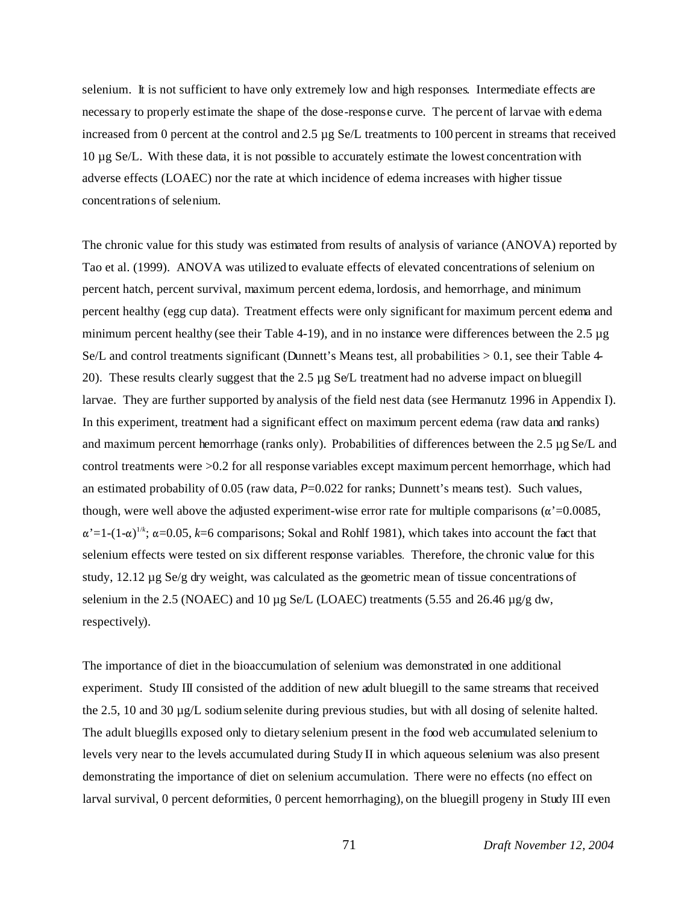selenium. It is not sufficient to have only extremely low and high responses. Intermediate effects are necessary to properly estimate the shape of the dose-response curve. The percent of larvae with edema increased from 0 percent at the control and 2.5 µg Se/L treatments to 100 percent in streams that received 10 µg Se/L. With these data, it is not possible to accurately estimate the lowest concentration with adverse effects (LOAEC) nor the rate at which incidence of edema increases with higher tissue concentrations of selenium.

The chronic value for this study was estimated from results of analysis of variance (ANOVA) reported by Tao et al. (1999). ANOVA was utilized to evaluate effects of elevated concentrations of selenium on percent hatch, percent survival, maximum percent edema, lordosis, and hemorrhage, and minimum percent healthy (egg cup data). Treatment effects were only significant for maximum percent edema and minimum percent healthy (see their Table 4-19), and in no instance were differences between the 2.5 µg Se/L and control treatments significant (Dunnett's Means test, all probabilities  $> 0.1$ , see their Table 4-20). These results clearly suggest that the 2.5 µg Se/L treatment had no adverse impact on bluegill larvae. They are further supported by analysis of the field nest data (see Hermanutz 1996 in Appendix I). In this experiment, treatment had a significant effect on maximum percent edema (raw data and ranks) and maximum percent hemorrhage (ranks only). Probabilities of differences between the 2.5 µg Se/L and control treatments were >0.2 for all response variables except maximum percent hemorrhage, which had an estimated probability of 0.05 (raw data,  $P=0.022$  for ranks; Dunnett's means test). Such values, though, were well above the adjusted experiment-wise error rate for multiple comparisons ( $\alpha$ '=0.0085,  $\alpha' = 1 - (1 - \alpha)^{1/k}$ ;  $\alpha = 0.05$ ,  $k = 6$  comparisons; Sokal and Rohlf 1981), which takes into account the fact that selenium effects were tested on six different response variables. Therefore, the chronic value for this study, 12.12 µg Se/g dry weight, was calculated as the geometric mean of tissue concentrations of selenium in the 2.5 (NOAEC) and 10  $\mu$ g Se/L (LOAEC) treatments (5.55 and 26.46  $\mu$ g/g dw, respectively).

The importance of diet in the bioaccumulation of selenium was demonstrated in one additional experiment. Study III consisted of the addition of new adult bluegill to the same streams that received the 2.5, 10 and 30  $\mu$ g/L sodium selenite during previous studies, but with all dosing of selenite halted. The adult bluegills exposed only to dietary selenium present in the food web accumulated selenium to levels very near to the levels accumulated during Study II in which aqueous selenium was also present demonstrating the importance of diet on selenium accumulation. There were no effects (no effect on larval survival, 0 percent deformities, 0 percent hemorrhaging), on the bluegill progeny in Study III even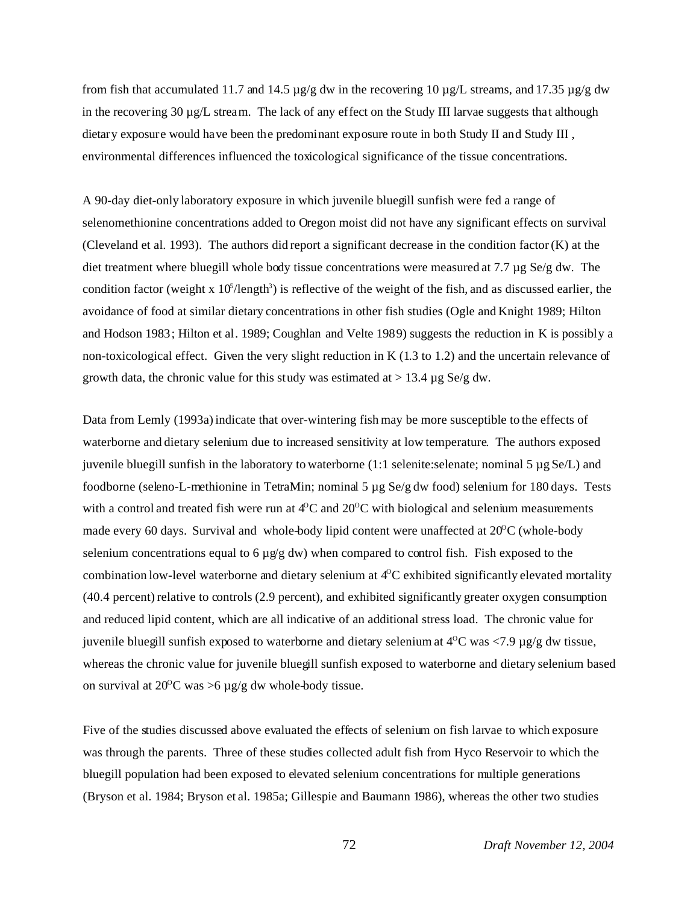from fish that accumulated 11.7 and 14.5  $\mu$ g/g dw in the recovering 10  $\mu$ g/L streams, and 17.35  $\mu$ g/g dw in the recovering 30 µg/L stream. The lack of any effect on the Study III larvae suggests that although dietary exposure would have been the predominant exposure route in both Study II and Study III , environmental differences influenced the toxicological significance of the tissue concentrations.

A 90-day diet-only laboratory exposure in which juvenile bluegill sunfish were fed a range of selenomethionine concentrations added to Oregon moist did not have any significant effects on survival (Cleveland et al. 1993). The authors did report a significant decrease in the condition factor (K) at the diet treatment where bluegill whole body tissue concentrations were measured at 7.7 µg Se/g dw. The condition factor (weight x  $10^5$ /length<sup>3</sup>) is reflective of the weight of the fish, and as discussed earlier, the avoidance of food at similar dietary concentrations in other fish studies (Ogle and Knight 1989; Hilton and Hodson 1983; Hilton et al. 1989; Coughlan and Velte 1989) suggests the reduction in K is possibly a non-toxicological effect. Given the very slight reduction in K (1.3 to 1.2) and the uncertain relevance of growth data, the chronic value for this study was estimated at  $> 13.4 \mu$ g Se/g dw.

Data from Lemly (1993a) indicate that over-wintering fish may be more susceptible to the effects of waterborne and dietary selenium due to increased sensitivity at low temperature. The authors exposed juvenile bluegill sunfish in the laboratory to waterborne  $(1:1)$  selenite: selenate; nominal 5  $\mu$ g Se/L) and foodborne (seleno-L-methionine in TetraMin; nominal 5 µg Se/g dw food) selenium for 180 days. Tests with a control and treated fish were run at  $4^{\circ}$ C and  $20^{\circ}$ C with biological and selenium measurements made every 60 days. Survival and whole-body lipid content were unaffected at  $20^{\circ}$ C (whole-body selenium concentrations equal to 6  $\mu$ g/g dw) when compared to control fish. Fish exposed to the combination low-level waterborne and dietary selenium at  $4^{\circ}$ C exhibited significantly elevated mortality (40.4 percent) relative to controls (2.9 percent), and exhibited significantly greater oxygen consumption and reduced lipid content, which are all indicative of an additional stress load. The chronic value for juvenile bluegill sunfish exposed to waterborne and dietary selenium at  $4^{\circ}$ C was  $\lt$  7.9 µg/g dw tissue, whereas the chronic value for juvenile bluegill sunfish exposed to waterborne and dietary selenium based on survival at  $20^{\circ}$ C was  $>6 \mu g/g$  dw whole-body tissue.

Five of the studies discussed above evaluated the effects of selenium on fish larvae to which exposure was through the parents. Three of these studies collected adult fish from Hyco Reservoir to which the bluegill population had been exposed to elevated selenium concentrations for multiple generations (Bryson et al. 1984; Bryson et al. 1985a; Gillespie and Baumann 1986), whereas the other two studies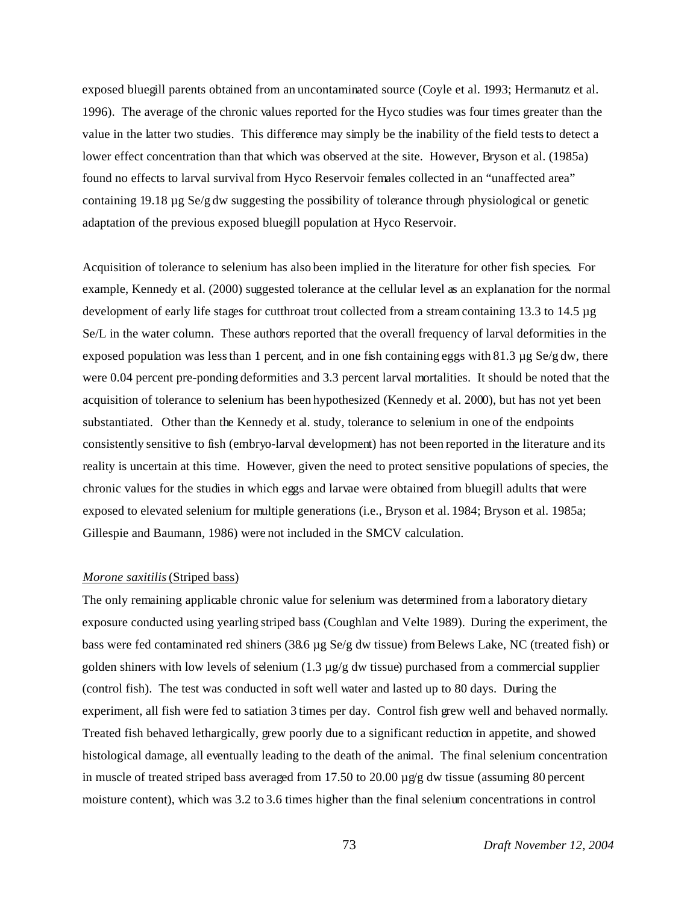exposed bluegill parents obtained from an uncontaminated source (Coyle et al. 1993; Hermanutz et al. 1996). The average of the chronic values reported for the Hyco studies was four times greater than the value in the latter two studies. This difference may simply be the inability of the field tests to detect a lower effect concentration than that which was observed at the site. However, Bryson et al. (1985a) found no effects to larval survival from Hyco Reservoir females collected in an "unaffected area" containing 19.18 µg Se/g dw suggesting the possibility of tolerance through physiological or genetic adaptation of the previous exposed bluegill population at Hyco Reservoir.

Acquisition of tolerance to selenium has also been implied in the literature for other fish species. For example, Kennedy et al. (2000) suggested tolerance at the cellular level as an explanation for the normal development of early life stages for cutthroat trout collected from a stream containing 13.3 to 14.5 µg Se/L in the water column. These authors reported that the overall frequency of larval deformities in the exposed population was less than 1 percent, and in one fish containing eggs with 81.3  $\mu$ g Se/g dw, there were 0.04 percent pre-ponding deformities and 3.3 percent larval mortalities. It should be noted that the acquisition of tolerance to selenium has been hypothesized (Kennedy et al. 2000), but has not yet been substantiated. Other than the Kennedy et al. study, tolerance to selenium in one of the endpoints consistently sensitive to fish (embryo-larval development) has not been reported in the literature and its reality is uncertain at this time. However, given the need to protect sensitive populations of species, the chronic values for the studies in which eggs and larvae were obtained from bluegill adults that were exposed to elevated selenium for multiple generations (i.e., Bryson et al. 1984; Bryson et al. 1985a; Gillespie and Baumann, 1986) were not included in the SMCV calculation.

#### *Morone saxitilis* (Striped bass)

The only remaining applicable chronic value for selenium was determined from a laboratory dietary exposure conducted using yearling striped bass (Coughlan and Velte 1989). During the experiment, the bass were fed contaminated red shiners (38.6 µg Se/g dw tissue) from Belews Lake, NC (treated fish) or golden shiners with low levels of selenium  $(1.3 \mu g/g)$  dw tissue) purchased from a commercial supplier (control fish). The test was conducted in soft well water and lasted up to 80 days. During the experiment, all fish were fed to satiation 3 times per day. Control fish grew well and behaved normally. Treated fish behaved lethargically, grew poorly due to a significant reduction in appetite, and showed histological damage, all eventually leading to the death of the animal. The final selenium concentration in muscle of treated striped bass averaged from 17.50 to 20.00  $\mu$ g/g dw tissue (assuming 80 percent moisture content), which was 3.2 to 3.6 times higher than the final selenium concentrations in control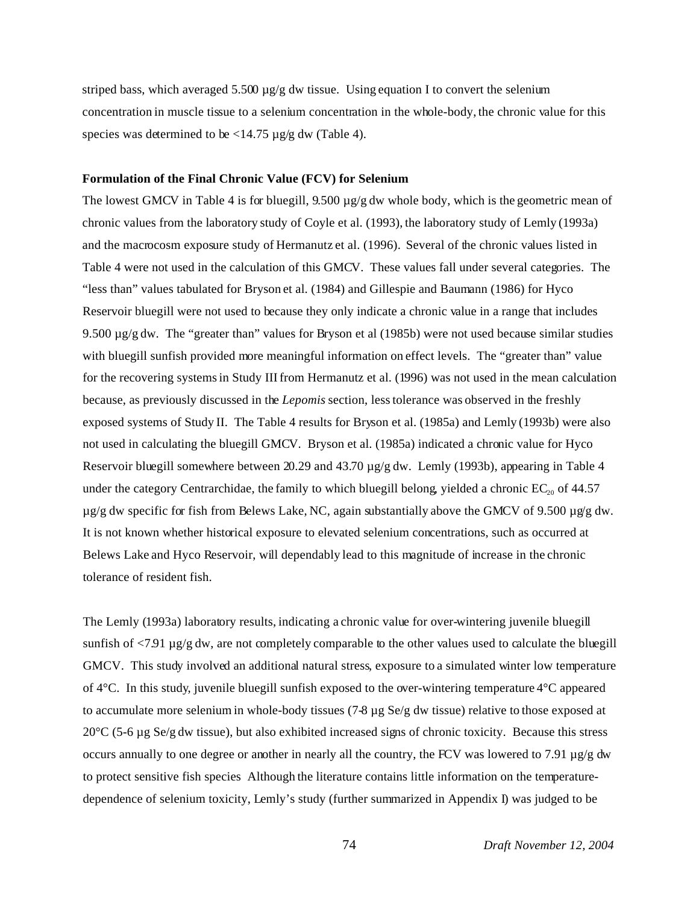striped bass, which averaged  $5.500 \mu g/g$  dw tissue. Using equation I to convert the selenium concentration in muscle tissue to a selenium concentration in the whole-body, the chronic value for this species was determined to be  $\langle 14.75 \,\mu g/g \, dw \, (Table 4)$ .

## **Formulation of the Final Chronic Value (FCV) for Selenium**

The lowest GMCV in Table 4 is for bluegill, 9.500  $\mu$ g/g dw whole body, which is the geometric mean of chronic values from the laboratory study of Coyle et al. (1993), the laboratory study of Lemly (1993a) and the macrocosm exposure study of Hermanutz et al. (1996). Several of the chronic values listed in Table 4 were not used in the calculation of this GMCV. These values fall under several categories. The "less than" values tabulated for Bryson et al. (1984) and Gillespie and Baumann (1986) for Hyco Reservoir bluegill were not used to because they only indicate a chronic value in a range that includes 9.500  $\mu$ g/g dw. The "greater than" values for Bryson et al (1985b) were not used because similar studies with bluegill sunfish provided more meaningful information on effect levels. The "greater than" value for the recovering systems in Study III from Hermanutz et al. (1996) was not used in the mean calculation because, as previously discussed in the *Lepomis* section, less tolerance was observed in the freshly exposed systems of Study II. The Table 4 results for Bryson et al. (1985a) and Lemly (1993b) were also not used in calculating the bluegill GMCV. Bryson et al. (1985a) indicated a chronic value for Hyco Reservoir bluegill somewhere between 20.29 and 43.70  $\mu$ g/g dw. Lemly (1993b), appearing in Table 4 under the category Centrarchidae, the family to which bluegill belong, yielded a chronic  $EC_{20}$  of 44.57  $\mu$ g/g dw specific for fish from Belews Lake, NC, again substantially above the GMCV of 9.500  $\mu$ g/g dw. It is not known whether historical exposure to elevated selenium concentrations, such as occurred at Belews Lake and Hyco Reservoir, will dependably lead to this magnitude of increase in the chronic tolerance of resident fish.

The Lemly (1993a) laboratory results, indicating a chronic value for over-wintering juvenile bluegill sunfish of  $\langle 7.91 \mu$ g/g dw, are not completely comparable to the other values used to calculate the bluegill GMCV. This study involved an additional natural stress, exposure to a simulated winter low temperature of 4°C. In this study, juvenile bluegill sunfish exposed to the over-wintering temperature 4°C appeared to accumulate more selenium in whole-body tissues (7-8 µg Se/g dw tissue) relative to those exposed at 20°C (5-6 µg Se/g dw tissue), but also exhibited increased signs of chronic toxicity. Because this stress occurs annually to one degree or another in nearly all the country, the FCV was lowered to 7.91  $\mu$ g/g dw to protect sensitive fish species Although the literature contains little information on the temperaturedependence of selenium toxicity, Lemly's study (further summarized in Appendix I) was judged to be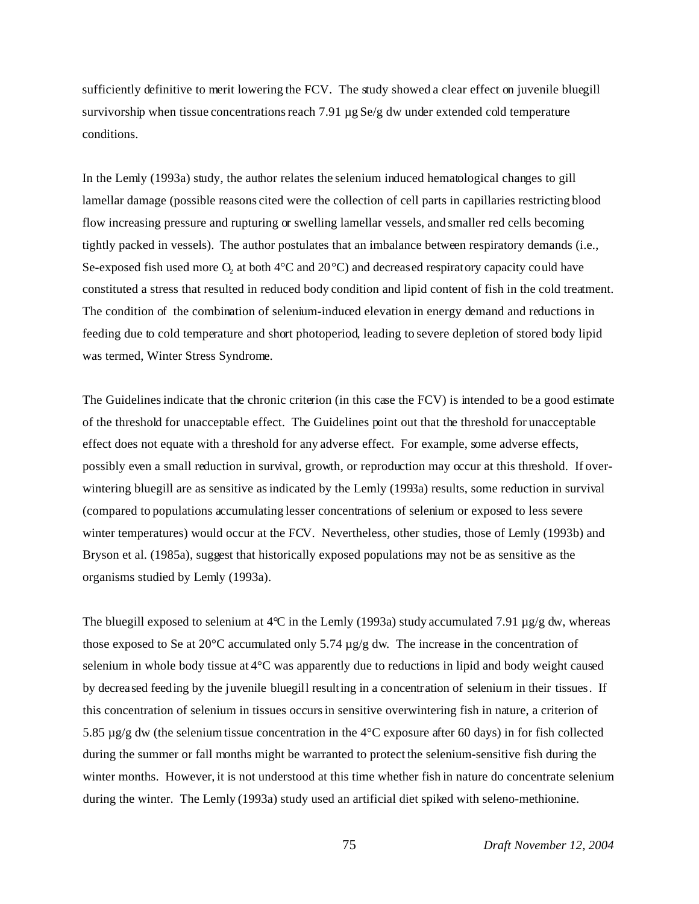sufficiently definitive to merit lowering the FCV. The study showed a clear effect on juvenile bluegill survivorship when tissue concentrations reach 7.91 µg Se/g dw under extended cold temperature conditions.

In the Lemly (1993a) study, the author relates the selenium induced hematological changes to gill lamellar damage (possible reasons cited were the collection of cell parts in capillaries restricting blood flow increasing pressure and rupturing or swelling lamellar vessels, and smaller red cells becoming tightly packed in vessels). The author postulates that an imbalance between respiratory demands (i.e., Se-exposed fish used more  $O_2$  at both 4°C and 20°C) and decreased respiratory capacity could have constituted a stress that resulted in reduced body condition and lipid content of fish in the cold treatment. The condition of the combination of selenium-induced elevation in energy demand and reductions in feeding due to cold temperature and short photoperiod, leading to severe depletion of stored body lipid was termed, Winter Stress Syndrome.

The Guidelines indicate that the chronic criterion (in this case the FCV) is intended to be a good estimate of the threshold for unacceptable effect. The Guidelines point out that the threshold for unacceptable effect does not equate with a threshold for any adverse effect. For example, some adverse effects, possibly even a small reduction in survival, growth, or reproduction may occur at this threshold. If overwintering bluegill are as sensitive as indicated by the Lemly (1993a) results, some reduction in survival (compared to populations accumulating lesser concentrations of selenium or exposed to less severe winter temperatures) would occur at the FCV. Nevertheless, other studies, those of Lemly (1993b) and Bryson et al. (1985a), suggest that historically exposed populations may not be as sensitive as the organisms studied by Lemly (1993a).

The bluegill exposed to selenium at  $4^{\circ}$ C in the Lemly (1993a) study accumulated 7.91  $\mu$ g/g dw, whereas those exposed to Se at 20 $\degree$ C accumulated only 5.74  $\mu$ g/g dw. The increase in the concentration of selenium in whole body tissue at 4°C was apparently due to reductions in lipid and body weight caused by decreased feeding by the juvenile bluegill resulting in a concentration of selenium in their tissues. If this concentration of selenium in tissues occurs in sensitive overwintering fish in nature, a criterion of 5.85 µg/g dw (the selenium tissue concentration in the 4°C exposure after 60 days) in for fish collected during the summer or fall months might be warranted to protect the selenium-sensitive fish during the winter months. However, it is not understood at this time whether fish in nature do concentrate selenium during the winter. The Lemly (1993a) study used an artificial diet spiked with seleno-methionine.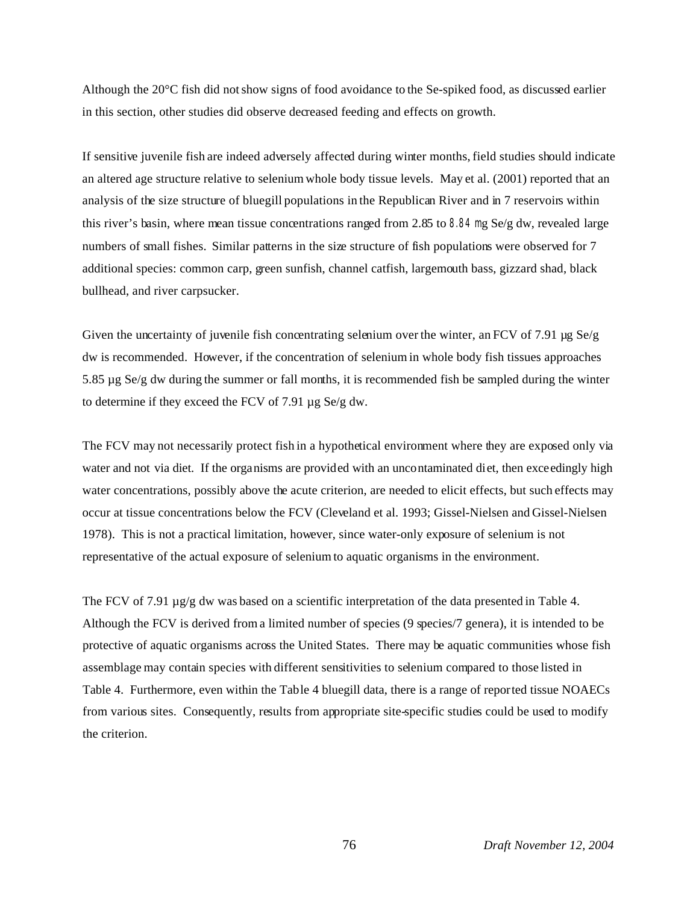Although the 20°C fish did not show signs of food avoidance to the Se-spiked food, as discussed earlier in this section, other studies did observe decreased feeding and effects on growth.

If sensitive juvenile fish are indeed adversely affected during winter months, field studies should indicate an altered age structure relative to selenium whole body tissue levels. May et al. (2001) reported that an analysis of the size structure of bluegill populations in the Republican River and in 7 reservoirs within this river's basin, where mean tissue concentrations ranged from 2.85 to 8.84 mg Se/g dw, revealed large numbers of small fishes. Similar patterns in the size structure of fish populations were observed for 7 additional species: common carp, green sunfish, channel catfish, largemouth bass, gizzard shad, black bullhead, and river carpsucker.

Given the uncertainty of juvenile fish concentrating selenium over the winter, an FCV of 7.91  $\mu$ g Se/g dw is recommended. However, if the concentration of selenium in whole body fish tissues approaches 5.85 µg Se/g dw during the summer or fall months, it is recommended fish be sampled during the winter to determine if they exceed the FCV of 7.91 µg Se/g dw.

The FCV may not necessarily protect fish in a hypothetical environment where they are exposed only via water and not via diet. If the organisms are provided with an uncontaminated diet, then exceedingly high water concentrations, possibly above the acute criterion, are needed to elicit effects, but such effects may occur at tissue concentrations below the FCV (Cleveland et al. 1993; Gissel-Nielsen and Gissel-Nielsen 1978). This is not a practical limitation, however, since water-only exposure of selenium is not representative of the actual exposure of selenium to aquatic organisms in the environment.

The FCV of 7.91  $\mu$ g/g dw was based on a scientific interpretation of the data presented in Table 4. Although the FCV is derived from a limited number of species (9 species/7 genera), it is intended to be protective of aquatic organisms across the United States. There may be aquatic communities whose fish assemblage may contain species with different sensitivities to selenium compared to those listed in Table 4. Furthermore, even within the Table 4 bluegill data, there is a range of reported tissue NOAECs from various sites. Consequently, results from appropriate site-specific studies could be used to modify the criterion.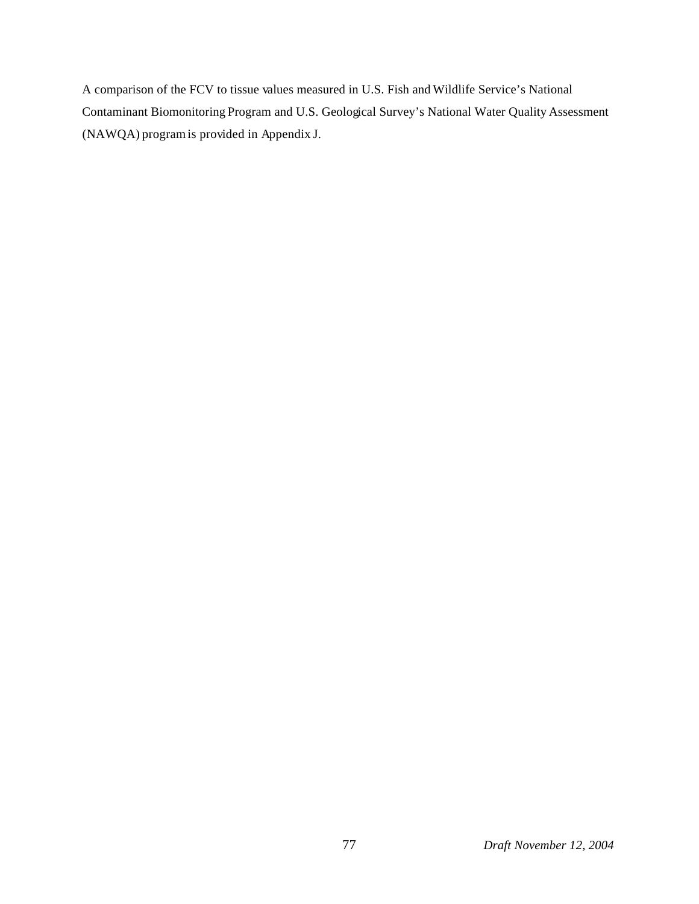A comparison of the FCV to tissue values measured in U.S. Fish and Wildlife Service's National Contaminant Biomonitoring Program and U.S. Geological Survey's National Water Quality Assessment (NAWQA) program is provided in Appendix J.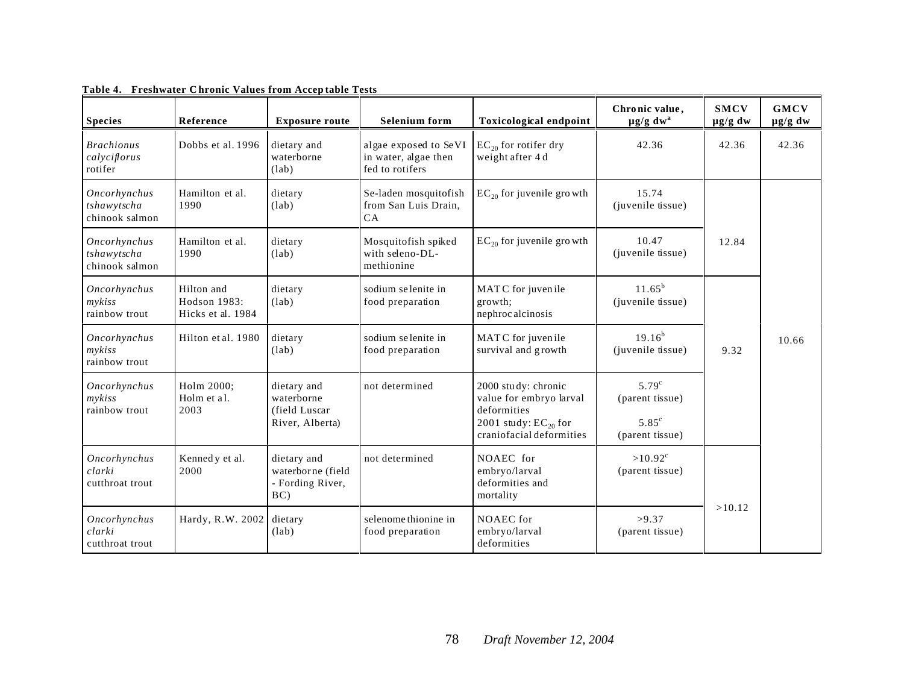| <b>Species</b>                                | Reference                                       | <b>Exposure route</b>                                         | <b>Selenium</b> form                                             | Toxicological endpoint                                                                                                 | Chronic value,<br>$\mu$ g/g dw <sup>a</sup>                            | <b>SMCV</b><br>$\mu g/g$ dw | <b>GMCV</b><br>$\mu$ g/g dw |
|-----------------------------------------------|-------------------------------------------------|---------------------------------------------------------------|------------------------------------------------------------------|------------------------------------------------------------------------------------------------------------------------|------------------------------------------------------------------------|-----------------------------|-----------------------------|
| <b>Brachionus</b><br>calyciflorus<br>rotifer  | Dobbs et al. 1996                               | dietary and<br>waterborne<br>(lab)                            | algae exposed to SeVI<br>in water, algae then<br>fed to rotifers | $EC_{20}$ for rotifer dry<br>weight after 4 d                                                                          | 42.36                                                                  | 42.36                       | 42.36                       |
| Oncorhynchus<br>tshawytscha<br>chinook salmon | Hamilton et al.<br>1990                         | dietary<br>(lab)                                              | Se-laden mosquitofish<br>from San Luis Drain,<br>CA              | $EC_{20}$ for juvenile growth                                                                                          | 15.74<br>(juvenile tissue)                                             |                             |                             |
| Oncorhynchus<br>tshawytscha<br>chinook salmon | Hamilton et al.<br>1990                         | dietary<br>(lab)                                              | Mosquitofish spiked<br>with seleno-DL-<br>methionine             | $EC_{20}$ for juvenile growth                                                                                          | 10.47<br>(juvenile tissue)                                             | 12.84                       |                             |
| Oncorhynchus<br>$m\nu k$ iss<br>rainbow trout | Hilton and<br>Hodson 1983:<br>Hicks et al. 1984 | dietary<br>(lab)                                              | sodium selenite in<br>food preparation                           | MATC for juvenile<br>growth:<br>nephroc alcinosis                                                                      | $11.65^b$<br>(juvenile tissue)                                         |                             |                             |
| Oncorhynchus<br>mykiss<br>rainbow trout       | Hilton et al. 1980                              | dietary<br>(lab)                                              | sodium selenite in<br>food preparation                           | MATC for juvenile<br>survival and growth                                                                               | $19.16^{b}$<br>(juvenile tissue)                                       | 9.32                        | 10.66                       |
| Oncorhynchus<br>$m\nu k$ iss<br>rainbow trout | Holm 2000;<br>Holm et al.<br>2003               | dietary and<br>waterborne<br>(field Luscar<br>River, Alberta) | not determined                                                   | 2000 study: chronic<br>value for embryo larval<br>deformities<br>2001 study: $EC_{20}$ for<br>craniofacial deformities | $5.79^{\circ}$<br>(parent tissue)<br>$5.85^{\circ}$<br>(parent tissue) |                             |                             |
| Oncorhynchus<br>clarki<br>cutthroat trout     | Kenned y et al.<br>2000                         | dietary and<br>waterborne (field<br>- Fording River,<br>BC)   | not determined                                                   | NOAEC for<br>embryo/larval<br>deformities and<br>mortality                                                             | $>10.92^{\circ}$<br>(parent tissue)                                    |                             |                             |
| Oncorhynchus<br>clarki<br>cutthroat trout     | Hardy, R.W. 2002                                | dietary<br>(lab)                                              | selenome thionine in<br>food preparation                         | NOAEC for<br>embryo/larval<br>deformities                                                                              | >9.37<br>(parent tissue)                                               | >10.12                      |                             |

**Table 4. Freshwater Chronic Values from Acceptable Tests**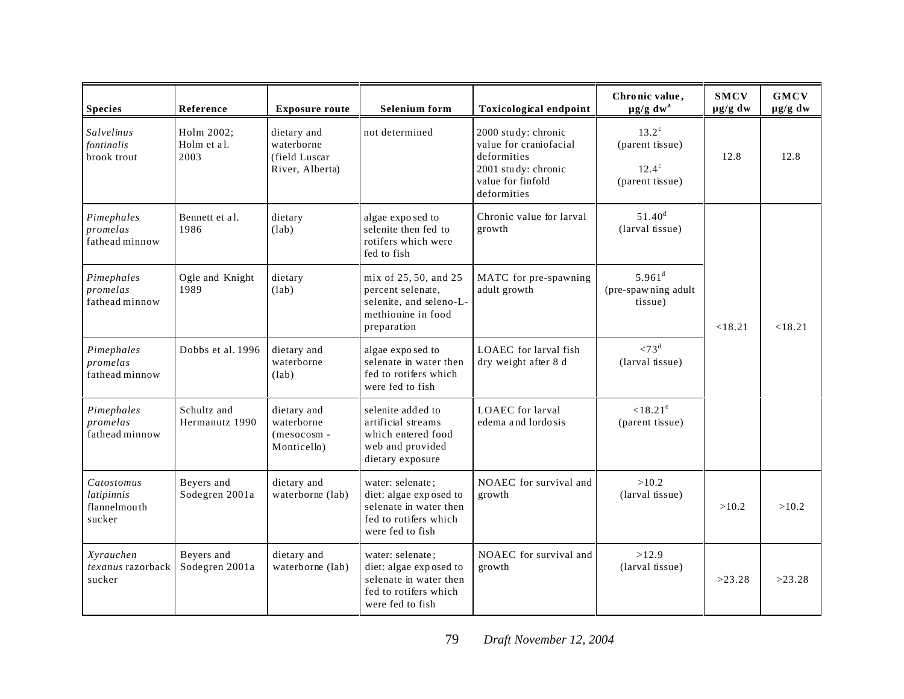| <b>Species</b>                                     | Reference                                               | <b>Exposure route</b>                                         | Selenium form                                                                                                     | <b>Toxicological endpoint</b>                                                                                           | Chronic value,<br>$\mu$ g/g dw <sup>a</sup>                          | <b>SMCV</b><br>$\mu$ g/g dw | <b>GMCV</b><br>$\mu g/g$ dw |
|----------------------------------------------------|---------------------------------------------------------|---------------------------------------------------------------|-------------------------------------------------------------------------------------------------------------------|-------------------------------------------------------------------------------------------------------------------------|----------------------------------------------------------------------|-----------------------------|-----------------------------|
| Salvelinus<br>fontinalis<br>brook trout            | Holm 2002;<br>Holm et al.<br>2003                       | dietary and<br>waterborne<br>(field Luscar<br>River, Alberta) | not determined                                                                                                    | 2000 study: chronic<br>value for craniofacial<br>deformities<br>2001 study: chronic<br>value for finfold<br>deformities | $13.2^{\circ}$<br>(parent tissue)<br>$12.4^\circ$<br>(parent tissue) | 12.8                        | 12.8                        |
| Pimephales<br>promelas<br>fathead minnow           | Bennett et al.<br>1986                                  | dietary<br>(lab)                                              | algae exposed to<br>selenite then fed to<br>rotifers which were<br>fed to fish                                    | Chronic value for larval<br>growth                                                                                      | $51.40^d$<br>(larval tissue)                                         |                             |                             |
| Pimephales<br>promelas<br>fathead minnow           | Ogle and Knight<br>1989                                 | dietary<br>(lab)                                              | mix of 25, 50, and 25<br>percent selenate,<br>selenite, and seleno-L-<br>methionine in food<br>preparation        | MATC for pre-spawning<br>adult growth                                                                                   | $5.961$ <sup>d</sup><br>(pre-spawning adult<br>tissue)               |                             | < 18.21                     |
| Pimephales<br>promelas<br>fathead minnow           | Dobbs et al. 1996<br>dietary and<br>waterborne<br>(lab) |                                                               | algae exposed to<br>selenate in water then<br>fed to rotifers which<br>were fed to fish                           | LOAEC for larval fish<br>dry weight after 8 d                                                                           | $< 73^d$<br>(larval tissue)                                          |                             |                             |
| Pimephales<br>promelas<br>fathead minnow           | Schultz and<br>Hermanutz 1990                           | dietary and<br>waterborne<br>(mesocosm-<br>Monticello)        | selenite added to<br>artificial streams<br>which entered food<br>web and provided<br>dietary exposure             | LOAEC for larval<br>edema and lordo sis                                                                                 | $< 18.21^e$<br>(parent tissue)                                       |                             |                             |
| Catostomus<br>latipinnis<br>flannelmouth<br>sucker | Beyers and<br>Sodegren 2001a                            | dietary and<br>waterborne (lab)                               | water: selenate;<br>diet: algae exposed to<br>selenate in water then<br>fed to rotifers which<br>were fed to fish | NOAEC for survival and<br>growth                                                                                        | >10.2<br>(larval tissue)                                             | >10.2                       | >10.2                       |
| Xyrauchen<br>texanus razorback<br>sucker           | Beyers and<br>Sodegren 2001a                            | dietary and<br>waterborne (lab)                               | water: selenate;<br>diet: algae exposed to<br>selenate in water then<br>fed to rotifers which<br>were fed to fish | NOAEC for survival and<br>growth                                                                                        | >12.9<br>(larval tissue)                                             | >23.28                      | >23.28                      |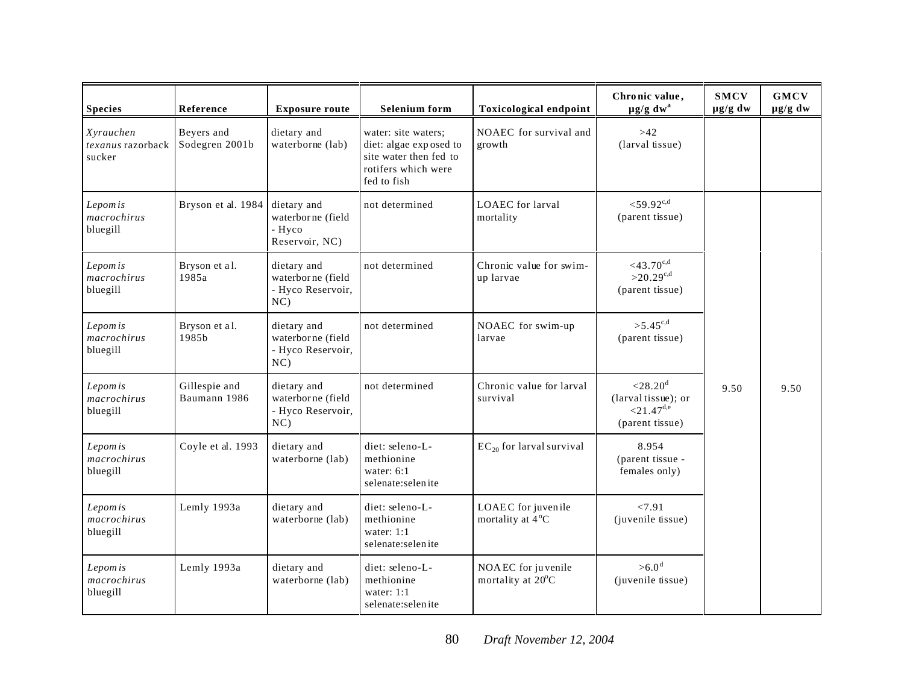| <b>Species</b>                                          | Reference                     | <b>Exposure route</b>                                           | <b>Selenium</b> form                                                                                          | <b>Toxicological endpoint</b>            | Chronic value,<br>$\mu$ g/g dw <sup>a</sup>                                             | <b>SMCV</b><br>$\mu$ g/g dw | <b>GMCV</b><br>$\mu$ g/g dw |
|---------------------------------------------------------|-------------------------------|-----------------------------------------------------------------|---------------------------------------------------------------------------------------------------------------|------------------------------------------|-----------------------------------------------------------------------------------------|-----------------------------|-----------------------------|
| Xyrauchen<br>texanus razorback Sodegren 2001b<br>sucker | Bevers and                    | dietary and<br>waterborne (lab)                                 | water: site waters;<br>diet: algae exposed to<br>site water then fed to<br>rotifers which were<br>fed to fish | NOAEC for survival and<br>growth         | $>42$<br>(larval tissue)                                                                |                             |                             |
| Lepom is<br>macrochirus<br>bluegill                     | Bryson et al. 1984            | dietary and<br>waterborne (field<br>- Hyco<br>Reservoir, NC)    | not determined                                                                                                | <b>LOAEC</b> for larval<br>mortality     | ${<}59.92^{\text{c,d}}$<br>(parent tissue)                                              |                             |                             |
| Lepom is<br>macrochirus<br>bluegill                     | Bryson et al.<br>1985a        | dietary and<br>waterborne (field<br>- Hyco Reservoir,<br>$NC$ ) | not determined                                                                                                | Chronic value for swim-<br>up larvae     | $<$ 43.70 $c,d$<br>$>20.29^{c,d}$<br>(parent tissue)                                    |                             |                             |
| Lepom is<br>macrochirus<br>bluegill                     | Bryson et al.<br>1985b        | dietary and<br>waterborne (field<br>- Hyco Reservoir,<br>NC     | not determined                                                                                                | NOAEC for swim-up<br>larvae              | $>5.45^{c,d}$<br>(parent tissue)                                                        |                             |                             |
| Lepom is<br>macrochirus<br>bluegill                     | Gillespie and<br>Baumann 1986 | dietary and<br>waterborne (field<br>- Hyco Reservoir,<br>NC     | not determined                                                                                                | Chronic value for larval<br>survival     | ${<}28.20^{\rm d}$<br>(larval tissue); or<br>${<}21.47^{\text{d,e}}$<br>(parent tissue) | 9.50                        | 9.50                        |
| Lepom is<br>macrochirus<br>bluegill                     | Coyle et al. 1993             | dietary and<br>waterborne (lab)                                 | diet: seleno-L-<br>methionine<br>water: $6:1$<br>selenate:selenite                                            | $EC_{20}$ for larval survival            | 8.954<br>(parent tissue -<br>females only)                                              |                             |                             |
| Lepom is<br>macro chirus<br>bluegill                    | Lemly 1993a                   | dietary and<br>waterborne (lab)                                 | diet: seleno-L-<br>methionine<br>water: $1:1$<br>selenate:selenite                                            | LOAEC for juvenile<br>mortality at 4°C   | < 7.91<br>(juvenile tissue)                                                             |                             |                             |
| Lepom is<br>macrochirus<br>bluegill                     | Lemly 1993a                   | dietary and<br>waterborne (lab)                                 | diet: seleno-L-<br>methionine<br>water: $1:1$<br>selenate:selenite                                            | NOA EC for juvenile<br>mortality at 20°C | >6.0 <sup>d</sup><br>(juvenile tissue)                                                  |                             |                             |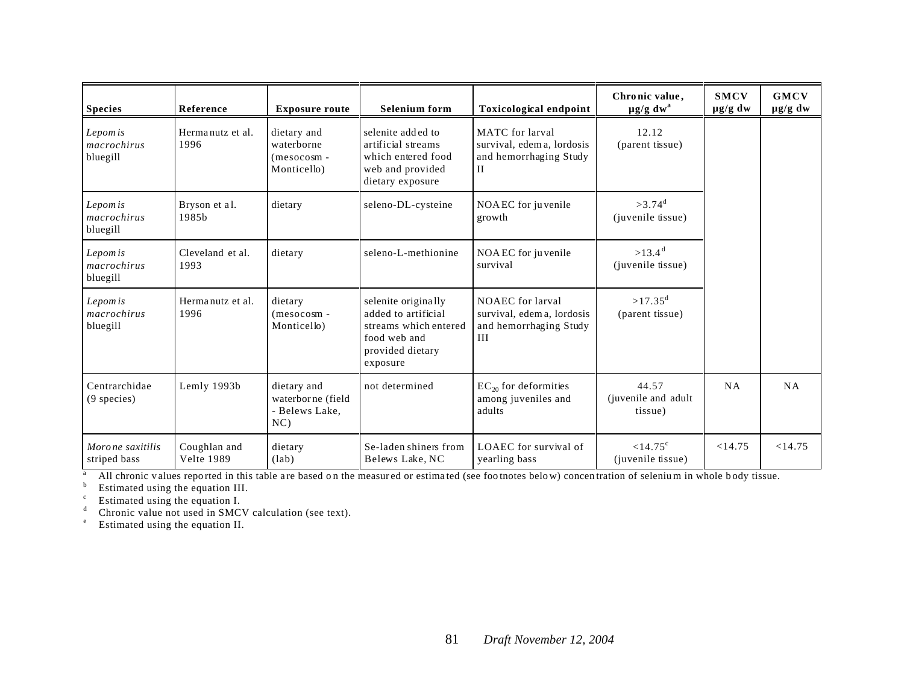| <b>Species</b>                      | Reference                         | <b>Exposure route</b>                                     | <b>Selenium</b> form                                                                                                | <b>Toxicological endpoint</b>                                                       | Chronic value,<br>$\mu$ g/g dw <sup>a</sup> | <b>SMCV</b><br>$\mu$ g/g dw | <b>GMCV</b><br>$\mu$ g/g dw |
|-------------------------------------|-----------------------------------|-----------------------------------------------------------|---------------------------------------------------------------------------------------------------------------------|-------------------------------------------------------------------------------------|---------------------------------------------|-----------------------------|-----------------------------|
| Lepom is<br>macrochirus<br>bluegill | Hermanutz et al.<br>1996          | dietary and<br>waterborne<br>$(mesocosm -$<br>Monticello) | selenite added to<br>artificial streams<br>which entered food<br>web and provided<br>dietary exposure               | MATC for larval<br>survival, edem a, lordosis<br>and hemorrhaging Study<br>$\rm II$ | 12.12<br>(parent tissue)                    |                             |                             |
| Lepom is<br>macrochirus<br>bluegill | Bryson et al.<br>1985b            | dietary                                                   | seleno-DL-cysteine                                                                                                  | NOA EC for juvenile<br>growth                                                       | $>3.74$ <sup>d</sup><br>(juvenile tissue)   |                             |                             |
| Lepom is<br>macrochirus<br>bluegill | Cleveland et al.<br>1993          | dietary                                                   | seleno-L-methionine                                                                                                 | NOA EC for juvenile<br>survival                                                     | $>13.4$ <sup>d</sup><br>(juvenile tissue)   |                             |                             |
| Lepom is<br>macrochirus<br>bluegill | Hermanutz et al.<br>1996          | dietary<br>(mesocosm-<br>Monticello)                      | selenite originally<br>added to artificial<br>streams which entered<br>food web and<br>provided dietary<br>exposure | NOAEC for larval<br>survival, edem a, lordosis<br>and hemorrhaging Study<br>III     | $>17.35^d$<br>(parent tissue)               |                             |                             |
| Centrarchidae<br>$(9$ species)      | Lemly 1993b                       | dietary and<br>waterborne (field<br>- Belews Lake,<br>NC  | not determined                                                                                                      | $EC_{20}$ for deformities<br>among juveniles and<br>adults                          | 44.57<br>(juvenile and adult<br>tissue)     | <b>NA</b>                   | NA                          |
| Morone saxitilis<br>striped bass    | Coughlan and<br><b>Velte 1989</b> | dietary<br>(lab)                                          | Se-laden shiners from<br>Belews Lake, NC                                                                            | LOAEC for survival of<br>yearling bass                                              | $< 14.75^{\circ}$<br>(juvenile tissue)      | <14.75                      | <14.75                      |

<sup>a</sup> All chronic values reported in this table are based on the measured or estimated (see footnotes below) concentration of selenium in whole body tissue.

<sup>b</sup> Estimated using the equation III.

 $\text{c}$  Estimated using the equation I.

<sup>d</sup> Chronic value not used in SMCV calculation (see text).

<sup>e</sup> Estimated using the equation II.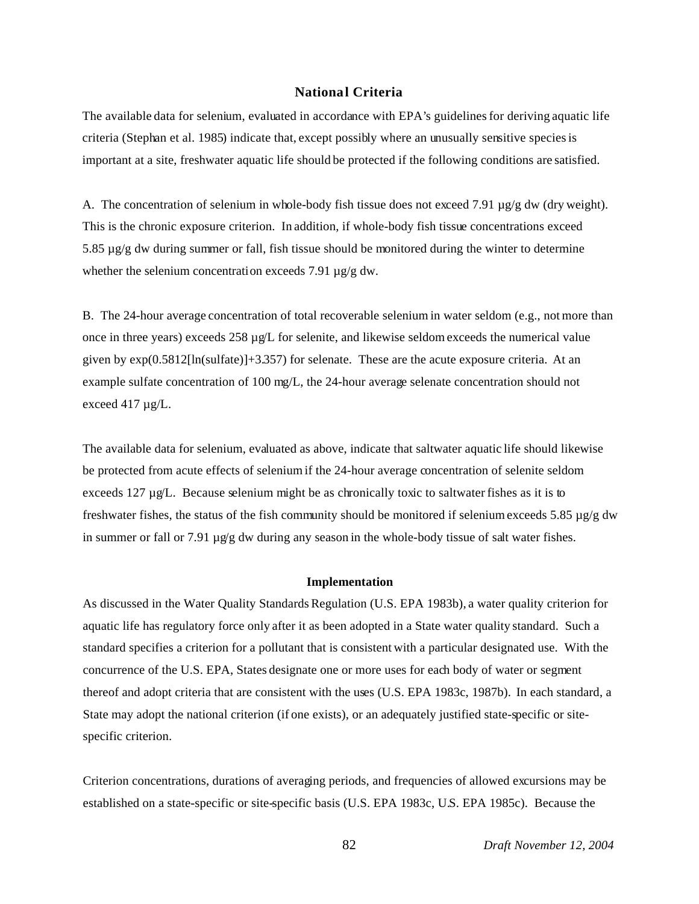## **National Criteria**

The available data for selenium, evaluated in accordance with EPA's guidelines for deriving aquatic life criteria (Stephan et al. 1985) indicate that, except possibly where an unusually sensitive species is important at a site, freshwater aquatic life should be protected if the following conditions are satisfied.

A. The concentration of selenium in whole-body fish tissue does not exceed 7.91 µg/g dw (dry weight). This is the chronic exposure criterion. In addition, if whole-body fish tissue concentrations exceed 5.85 µg/g dw during summer or fall, fish tissue should be monitored during the winter to determine whether the selenium concentration exceeds 7.91  $\mu$ g/g dw.

B. The 24-hour average concentration of total recoverable selenium in water seldom (e.g., not more than once in three years) exceeds  $258 \mu g/L$  for selenite, and likewise seldom exceeds the numerical value given by  $exp(0.5812[\ln(sulfate)]+3.357)$  for selenate. These are the acute exposure criteria. At an example sulfate concentration of 100 mg/L, the 24-hour average selenate concentration should not exceed 417 µg/L.

The available data for selenium, evaluated as above, indicate that saltwater aquatic life should likewise be protected from acute effects of selenium if the 24-hour average concentration of selenite seldom exceeds 127  $\mu$ g/L. Because selenium might be as chronically toxic to saltwater fishes as it is to freshwater fishes, the status of the fish community should be monitored if selenium exceeds 5.85  $\mu$ g/g dw in summer or fall or 7.91  $\mu$ g/g dw during any season in the whole-body tissue of salt water fishes.

#### **Implementation**

As discussed in the Water Quality Standards Regulation (U.S. EPA 1983b), a water quality criterion for aquatic life has regulatory force only after it as been adopted in a State water quality standard. Such a standard specifies a criterion for a pollutant that is consistent with a particular designated use. With the concurrence of the U.S. EPA, States designate one or more uses for each body of water or segment thereof and adopt criteria that are consistent with the uses (U.S. EPA 1983c, 1987b). In each standard, a State may adopt the national criterion (if one exists), or an adequately justified state-specific or sitespecific criterion.

Criterion concentrations, durations of averaging periods, and frequencies of allowed excursions may be established on a state-specific or site-specific basis (U.S. EPA 1983c, U.S. EPA 1985c). Because the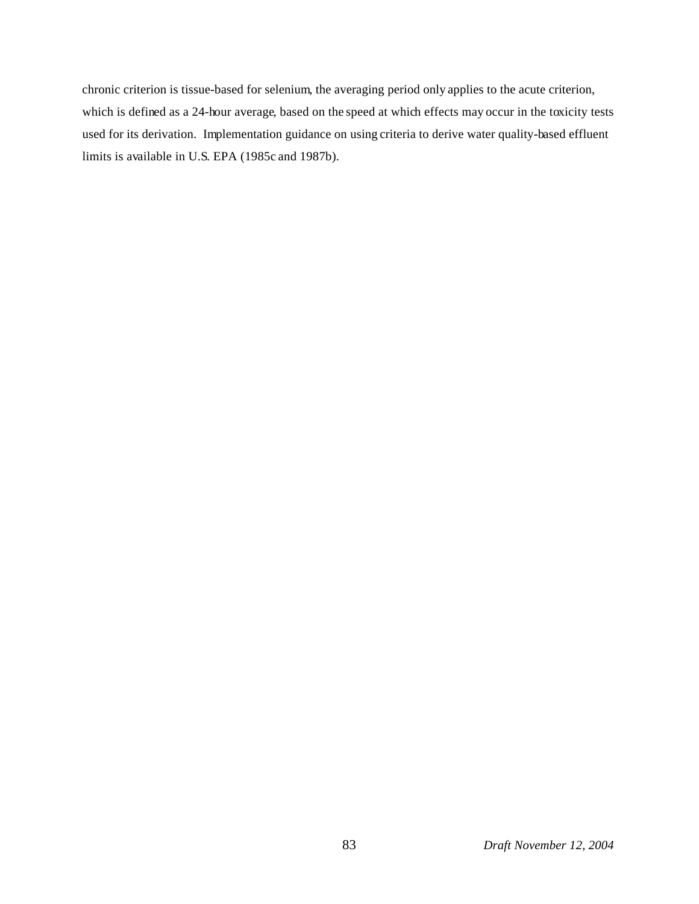chronic criterion is tissue-based for selenium, the averaging period only applies to the acute criterion, which is defined as a 24-hour average, based on the speed at which effects may occur in the toxicity tests used for its derivation. Implementation guidance on using criteria to derive water quality-based effluent limits is available in U.S. EPA (1985c and 1987b).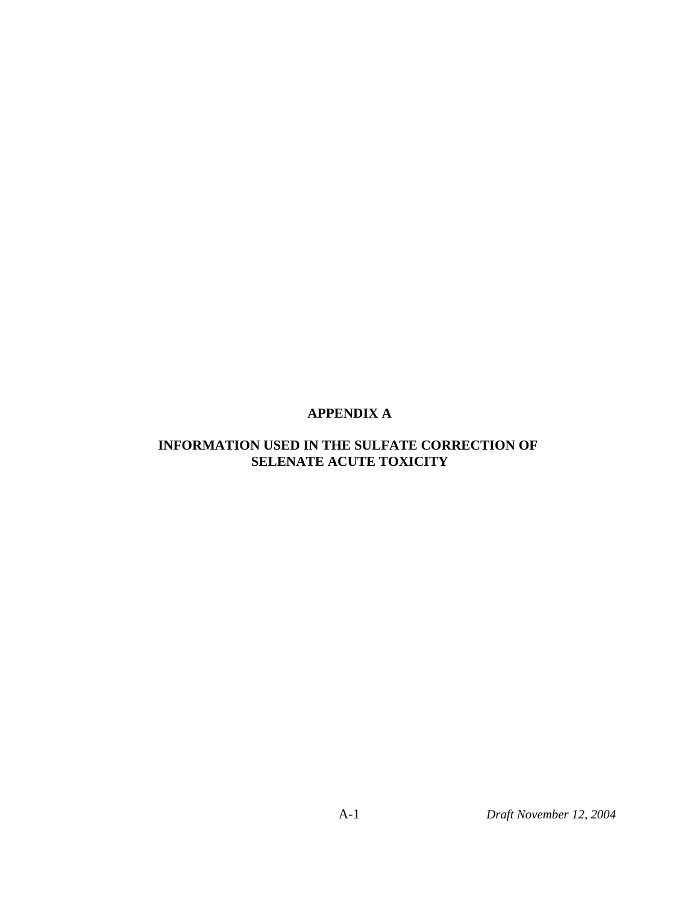# **APPENDIX A**

## **INFORMATION USED IN THE SULFATE CORRECTION OF SELENATE ACUTE TOXICITY**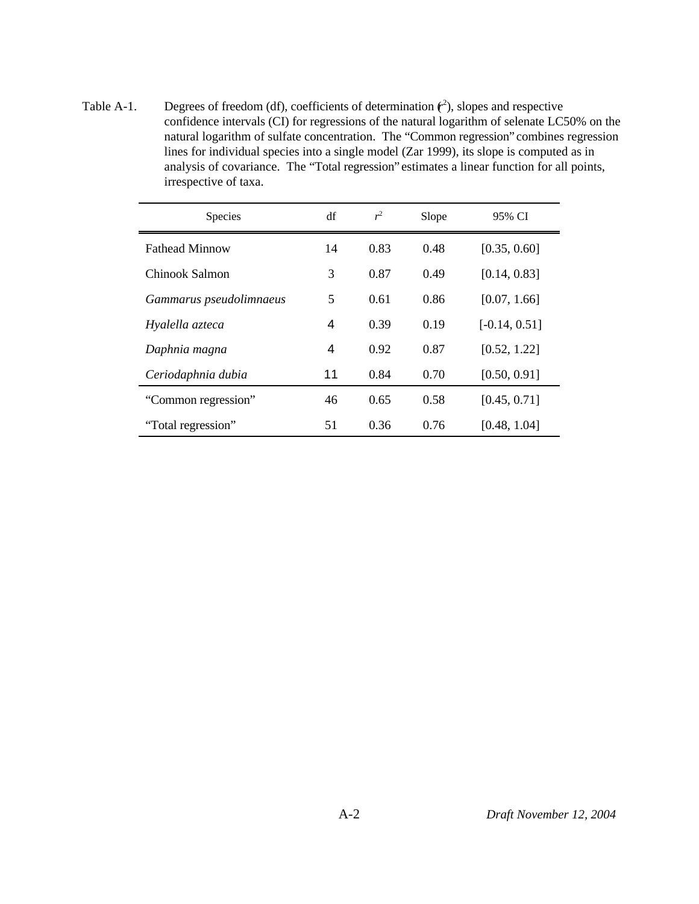Table A-1. Degrees of freedom (df), coefficients of determination  $(r^2)$ , slopes and respective confidence intervals (CI) for regressions of the natural logarithm of selenate LC50% on the natural logarithm of sulfate concentration. The "Common regression" combines regression lines for individual species into a single model (Zar 1999), its slope is computed as in analysis of covariance. The "Total regression" estimates a linear function for all points, irrespective of taxa.

| Species                 | df | $r^2$ | Slope | 95% CI          |
|-------------------------|----|-------|-------|-----------------|
| <b>Fathead Minnow</b>   | 14 | 0.83  | 0.48  | [0.35, 0.60]    |
| Chinook Salmon          | 3  | 0.87  | 0.49  | [0.14, 0.83]    |
| Gammarus pseudolimnaeus | 5  | 0.61  | 0.86  | [0.07, 1.66]    |
| Hyalella azteca         | 4  | 0.39  | 0.19  | $[-0.14, 0.51]$ |
| Daphnia magna           | 4  | 0.92  | 0.87  | [0.52, 1.22]    |
| Ceriodaphnia dubia      | 11 | 0.84  | 0.70  | [0.50, 0.91]    |
| "Common regression"     | 46 | 0.65  | 0.58  | [0.45, 0.71]    |
| "Total regression"      | 51 | 0.36  | 0.76  | [0.48, 1.04]    |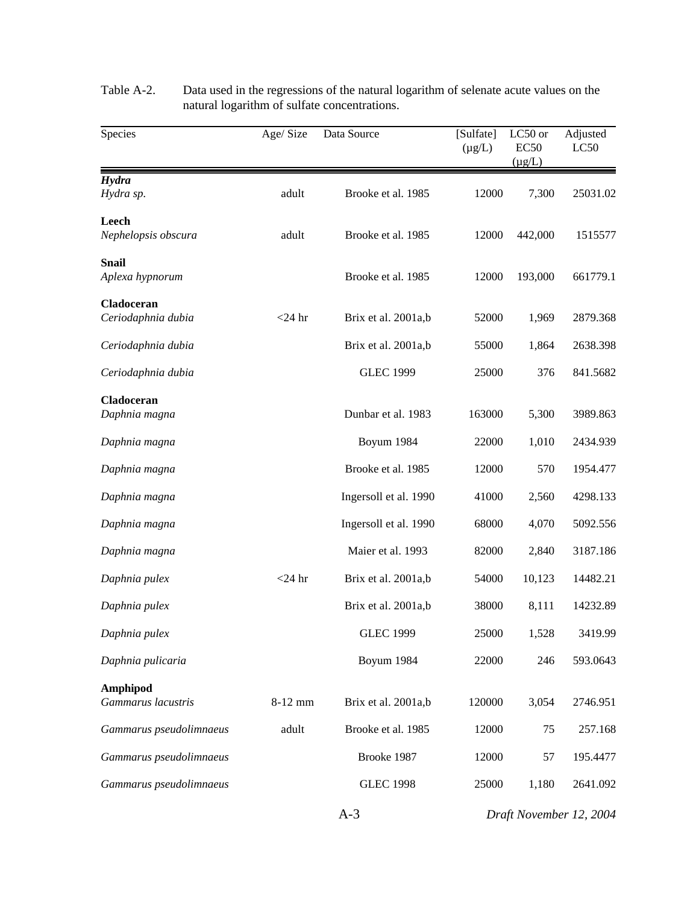| Species                          | Age/Size  | Data Source           | [Sulfate]<br>$(\mu g/L)$ | LC50 or<br><b>EC50</b><br>$(\mu g/L)$ | Adjusted<br>LC50        |
|----------------------------------|-----------|-----------------------|--------------------------|---------------------------------------|-------------------------|
| Hydra                            |           |                       |                          |                                       |                         |
| Hydra sp.                        | adult     | Brooke et al. 1985    | 12000                    | 7,300                                 | 25031.02                |
| Leech<br>Nephelopsis obscura     | adult     | Brooke et al. 1985    | 12000                    | 442,000                               | 1515577                 |
| <b>Snail</b>                     |           |                       |                          |                                       |                         |
| Aplexa hypnorum                  |           | Brooke et al. 1985    | 12000                    | 193,000                               | 661779.1                |
| Cladoceran<br>Ceriodaphnia dubia | $<$ 24 hr | Brix et al. 2001a,b   | 52000                    | 1,969                                 | 2879.368                |
| Ceriodaphnia dubia               |           | Brix et al. 2001a,b   | 55000                    | 1,864                                 | 2638.398                |
| Ceriodaphnia dubia               |           | <b>GLEC 1999</b>      | 25000                    | 376                                   | 841.5682                |
| Cladoceran<br>Daphnia magna      |           | Dunbar et al. 1983    | 163000                   | 5,300                                 | 3989.863                |
| Daphnia magna                    |           | Boyum 1984            | 22000                    | 1,010                                 | 2434.939                |
| Daphnia magna                    |           | Brooke et al. 1985    | 12000                    | 570                                   | 1954.477                |
| Daphnia magna                    |           | Ingersoll et al. 1990 | 41000                    | 2,560                                 | 4298.133                |
| Daphnia magna                    |           | Ingersoll et al. 1990 | 68000                    | 4,070                                 | 5092.556                |
| Daphnia magna                    |           | Maier et al. 1993     | 82000                    | 2,840                                 | 3187.186                |
| Daphnia pulex                    | $<$ 24 hr | Brix et al. 2001a,b   | 54000                    | 10,123                                | 14482.21                |
| Daphnia pulex                    |           | Brix et al. 2001a,b   | 38000                    | 8,111                                 | 14232.89                |
| Daphnia pulex                    |           | <b>GLEC 1999</b>      | 25000                    | 1,528                                 | 3419.99                 |
| Daphnia pulicaria                |           | Boyum 1984            | 22000                    | 246                                   | 593.0643                |
| Amphipod<br>Gammarus lacustris   | 8-12 mm   | Brix et al. 2001a,b   | 120000                   | 3,054                                 | 2746.951                |
| Gammarus pseudolimnaeus          | adult     | Brooke et al. 1985    | 12000                    | 75                                    | 257.168                 |
| Gammarus pseudolimnaeus          |           | Brooke 1987           | 12000                    | 57                                    | 195.4477                |
| Gammarus pseudolimnaeus          |           | <b>GLEC 1998</b>      | 25000                    | 1,180                                 | 2641.092                |
|                                  |           | $A-3$                 |                          |                                       | Draft November 12, 2004 |

Table A-2. Data used in the regressions of the natural logarithm of selenate acute values on the natural logarithm of sulfate concentrations.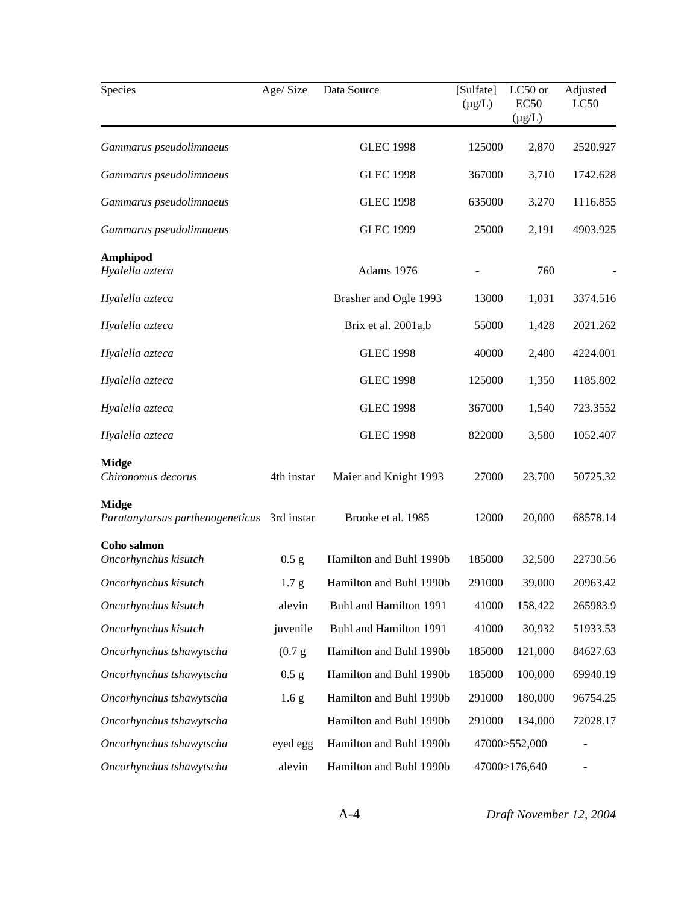| Age/Size<br>Species                              |                  | Data Source             | [Sulfate]<br>$(\mu g/L)$ | LC50 or<br><b>EC50</b><br>$(\mu g/L)$ | Adjusted<br>LC50             |
|--------------------------------------------------|------------------|-------------------------|--------------------------|---------------------------------------|------------------------------|
| Gammarus pseudolimnaeus                          |                  | <b>GLEC 1998</b>        | 125000                   | 2,870                                 | 2520.927                     |
| Gammarus pseudolimnaeus                          |                  | <b>GLEC 1998</b>        | 367000                   | 3,710                                 | 1742.628                     |
| Gammarus pseudolimnaeus                          |                  | <b>GLEC 1998</b>        | 635000                   | 3,270                                 | 1116.855                     |
| Gammarus pseudolimnaeus                          |                  | <b>GLEC 1999</b>        | 25000                    | 2,191                                 | 4903.925                     |
| Amphipod<br>Hyalella azteca                      |                  | Adams 1976              |                          | 760                                   |                              |
| Hyalella azteca                                  |                  | Brasher and Ogle 1993   | 13000                    | 1,031                                 | 3374.516                     |
| Hyalella azteca                                  |                  | Brix et al. 2001a,b     | 55000                    | 1,428                                 | 2021.262                     |
| Hyalella azteca                                  |                  | <b>GLEC 1998</b>        | 40000                    | 2,480                                 | 4224.001                     |
| Hyalella azteca                                  |                  | <b>GLEC 1998</b>        | 125000                   | 1,350                                 | 1185.802                     |
| Hyalella azteca                                  |                  | <b>GLEC 1998</b>        | 367000                   | 1,540                                 | 723.3552                     |
| Hyalella azteca                                  |                  | <b>GLEC 1998</b>        | 822000                   | 3,580                                 | 1052.407                     |
| <b>Midge</b><br>Chironomus decorus               | 4th instar       | Maier and Knight 1993   | 27000                    | 23,700                                | 50725.32                     |
| <b>Midge</b><br>Paratanytarsus parthenogeneticus | 3rd instar       | Brooke et al. 1985      | 12000                    | 20,000                                | 68578.14                     |
| Coho salmon<br>Oncorhynchus kisutch              | $0.5$ g          | Hamilton and Buhl 1990b | 185000                   | 32,500                                | 22730.56                     |
| Oncorhynchus kisutch                             | 1.7 <sub>g</sub> | Hamilton and Buhl 1990b | 291000                   | 39,000                                | 20963.42                     |
| Oncorhynchus kisutch                             | alevin           | Buhl and Hamilton 1991  | 41000                    | 158,422                               | 265983.9                     |
| Oncorhynchus kisutch                             | juvenile         | Buhl and Hamilton 1991  | 41000                    | 30,932                                | 51933.53                     |
| Oncorhynchus tshawytscha                         | (0.7 g)          | Hamilton and Buhl 1990b | 185000                   | 121,000                               | 84627.63                     |
| Oncorhynchus tshawytscha                         | 0.5 g            | Hamilton and Buhl 1990b | 185000                   | 100,000                               | 69940.19                     |
| Oncorhynchus tshawytscha                         | 1.6 <sub>g</sub> | Hamilton and Buhl 1990b | 291000                   | 180,000                               | 96754.25                     |
| Oncorhynchus tshawytscha                         |                  | Hamilton and Buhl 1990b | 291000                   | 134,000                               | 72028.17                     |
| Oncorhynchus tshawytscha                         | eyed egg         | Hamilton and Buhl 1990b |                          | 47000>552,000                         |                              |
| Oncorhynchus tshawytscha                         | alevin           | Hamilton and Buhl 1990b |                          | 47000>176,640                         | $\qquad \qquad \blacksquare$ |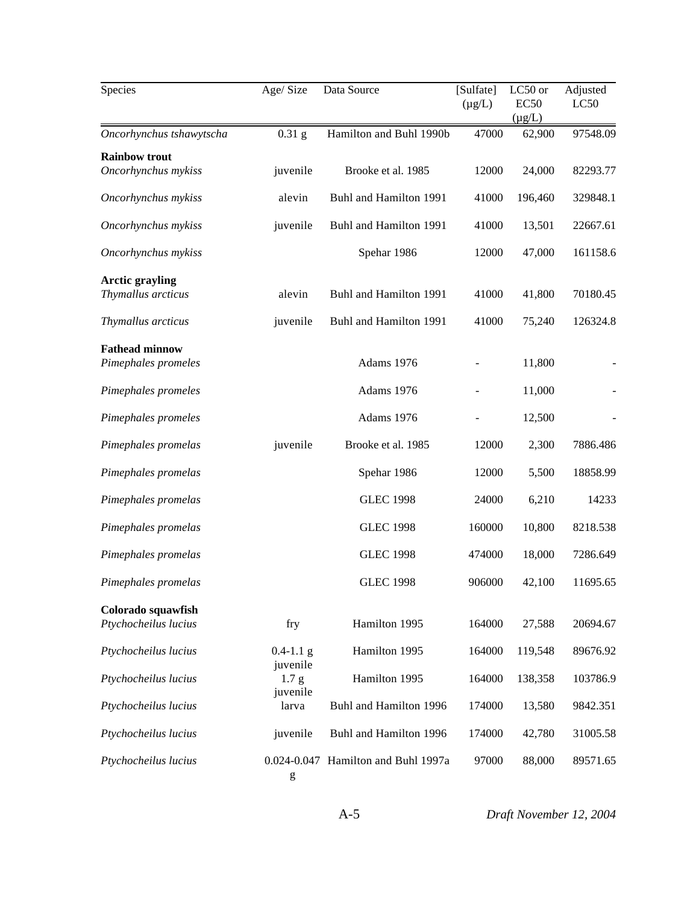| Species                                      | Age/Size<br>Data Source                  |                                     | [Sulfate]<br>$(\mu g/L)$ | LC50 or<br><b>EC50</b><br>$(\mu g/L)$ | Adjusted<br>LC50 |
|----------------------------------------------|------------------------------------------|-------------------------------------|--------------------------|---------------------------------------|------------------|
| Oncorhynchus tshawytscha                     | $0.31$ g                                 | Hamilton and Buhl 1990b             | 47000                    | 62,900                                | 97548.09         |
| <b>Rainbow trout</b><br>Oncorhynchus mykiss  | juvenile                                 | Brooke et al. 1985                  | 12000                    | 24,000                                | 82293.77         |
| Oncorhynchus mykiss                          | alevin                                   | Buhl and Hamilton 1991              | 41000                    | 196,460                               | 329848.1         |
| Oncorhynchus mykiss                          | juvenile                                 | Buhl and Hamilton 1991              | 41000                    | 13,501                                | 22667.61         |
| Oncorhynchus mykiss                          |                                          | Spehar 1986                         | 12000                    | 47,000                                | 161158.6         |
| <b>Arctic grayling</b><br>Thymallus arcticus | alevin                                   | Buhl and Hamilton 1991              | 41000                    | 41,800                                | 70180.45         |
| Thymallus arcticus                           | juvenile                                 | Buhl and Hamilton 1991              | 41000                    | 75,240                                | 126324.8         |
| <b>Fathead minnow</b><br>Pimephales promeles |                                          | Adams 1976                          |                          | 11,800                                |                  |
| Pimephales promeles                          |                                          | Adams 1976                          |                          | 11,000                                |                  |
| Pimephales promeles                          |                                          | Adams 1976                          |                          | 12,500                                |                  |
| Pimephales promelas                          | juvenile                                 | Brooke et al. 1985                  | 12000                    | 2,300                                 | 7886.486         |
| Pimephales promelas                          |                                          | Spehar 1986                         | 12000                    | 5,500                                 | 18858.99         |
| Pimephales promelas                          |                                          | <b>GLEC 1998</b>                    | 24000                    | 6,210                                 | 14233            |
| Pimephales promelas                          |                                          | <b>GLEC 1998</b>                    | 160000                   | 10,800                                | 8218.538         |
| Pimephales promelas                          |                                          | <b>GLEC 1998</b>                    | 474000                   | 18,000                                | 7286.649         |
| Pimephales promelas                          |                                          | <b>GLEC 1998</b>                    | 906000                   | 42,100                                | 11695.65         |
| Colorado squawfish<br>Ptychocheilus lucius   | fry                                      | Hamilton 1995                       | 164000                   | 27,588                                | 20694.67         |
| Ptychocheilus lucius                         | $0.4 - 1.1$ g                            | Hamilton 1995                       | 164000                   | 119,548                               | 89676.92         |
| Ptychocheilus lucius                         | juvenile<br>1.7 <sub>g</sub><br>juvenile | Hamilton 1995                       | 164000                   | 138,358                               | 103786.9         |
| Ptychocheilus lucius                         | larva                                    | Buhl and Hamilton 1996              | 174000                   | 13,580                                | 9842.351         |
| Ptychocheilus lucius                         | juvenile                                 | Buhl and Hamilton 1996              | 174000                   | 42,780                                | 31005.58         |
| Ptychocheilus lucius                         | g                                        | 0.024-0.047 Hamilton and Buhl 1997a | 97000                    | 88,000                                | 89571.65         |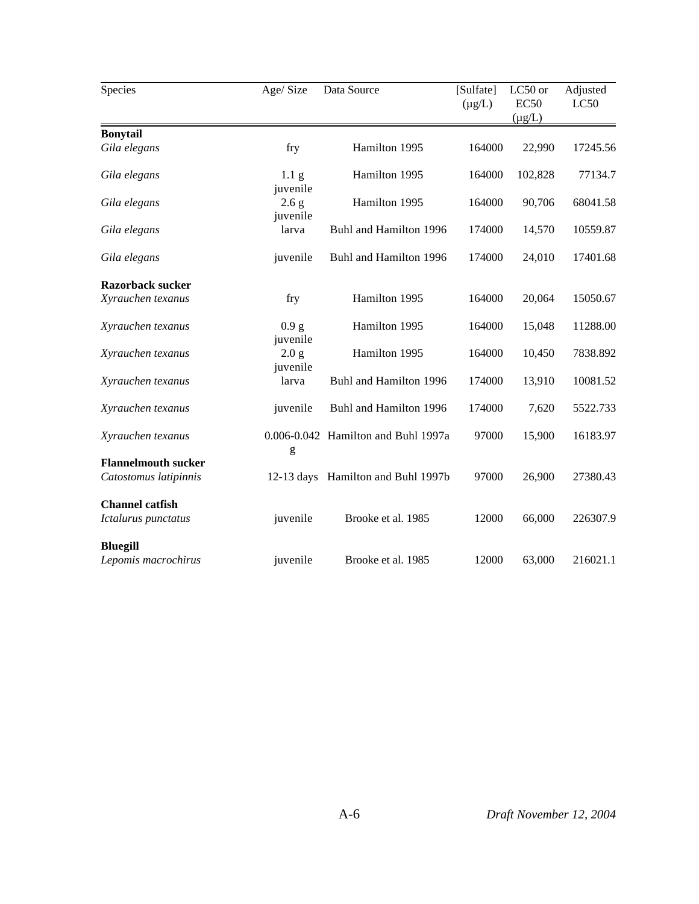| Species                    | Age/Size                     | Data Source                         | [Sulfate]<br>$(\mu g/L)$ | LC50 or<br><b>EC50</b><br>$(\mu g/L)$ | Adjusted<br>LC50 |  |
|----------------------------|------------------------------|-------------------------------------|--------------------------|---------------------------------------|------------------|--|
| <b>Bonytail</b>            |                              |                                     |                          |                                       |                  |  |
| Gila elegans               | fry                          | Hamilton 1995                       | 164000                   | 22,990                                | 17245.56         |  |
| Gila elegans               | 1.1 <sub>g</sub><br>juvenile | Hamilton 1995                       | 164000                   | 102,828                               | 77134.7          |  |
| Gila elegans               | 2.6 g<br>juvenile            | Hamilton 1995                       | 164000                   | 90,706                                | 68041.58         |  |
| Gila elegans               | larva                        | Buhl and Hamilton 1996              | 174000                   | 14,570                                | 10559.87         |  |
| Gila elegans               | juvenile                     | Buhl and Hamilton 1996              | 174000                   | 24,010                                | 17401.68         |  |
| <b>Razorback sucker</b>    |                              |                                     |                          |                                       |                  |  |
| Xyrauchen texanus          | fry                          | Hamilton 1995                       | 164000                   | 20,064                                | 15050.67         |  |
| Xyrauchen texanus          | 0.9 g<br>juvenile            | Hamilton 1995                       | 164000                   | 15,048                                | 11288.00         |  |
| Xyrauchen texanus          | 2.0 g<br>juvenile            | Hamilton 1995                       | 164000                   | 10,450                                | 7838.892         |  |
| Xyrauchen texanus          | larva                        | Buhl and Hamilton 1996              | 174000                   | 13,910                                | 10081.52         |  |
| Xyrauchen texanus          | juvenile                     | Buhl and Hamilton 1996              | 174000                   | 7,620                                 | 5522.733         |  |
| Xyrauchen texanus          | g                            | 0.006-0.042 Hamilton and Buhl 1997a | 97000                    | 15,900                                | 16183.97         |  |
| <b>Flannelmouth sucker</b> |                              |                                     |                          |                                       |                  |  |
| Catostomus latipinnis      | $12-13$ days                 | Hamilton and Buhl 1997b             | 97000                    | 26,900                                | 27380.43         |  |
| <b>Channel catfish</b>     |                              |                                     |                          |                                       |                  |  |
| Ictalurus punctatus        | juvenile                     | Brooke et al. 1985                  | 12000                    | 66,000                                | 226307.9         |  |
| <b>Bluegill</b>            |                              |                                     |                          |                                       |                  |  |
| Lepomis macrochirus        | juvenile                     | Brooke et al. 1985                  | 12000                    | 63,000                                | 216021.1         |  |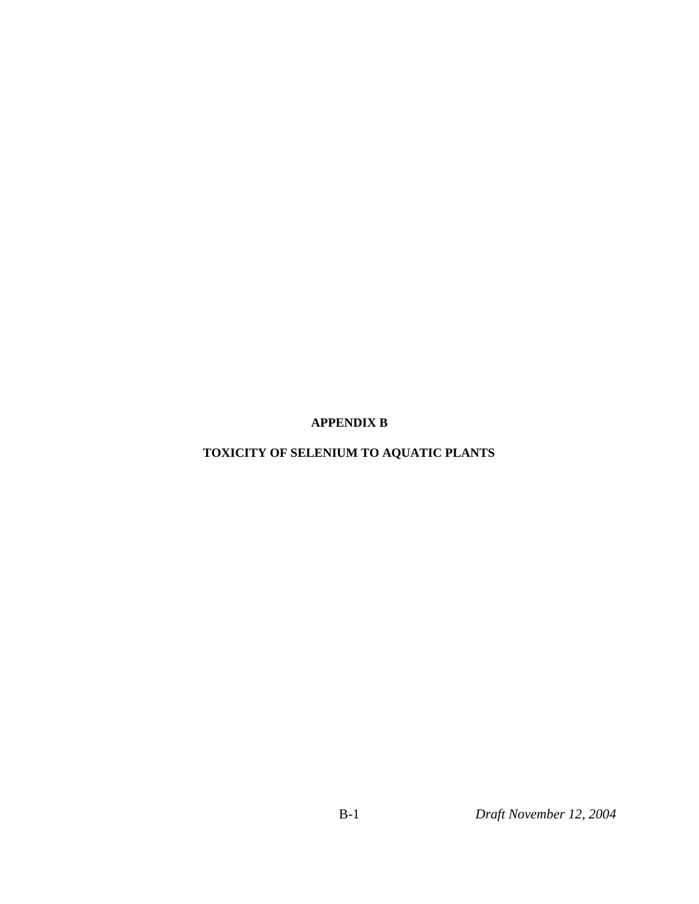**APPENDIX B**

# **TOXICITY OF SELENIUM TO AQUATIC PLANTS**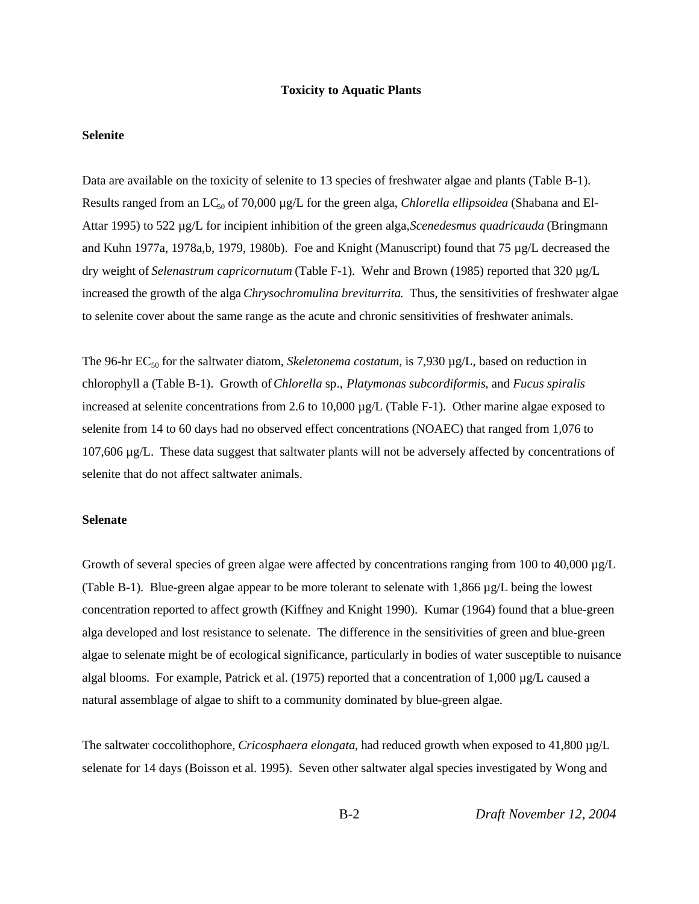#### **Toxicity to Aquatic Plants**

#### **Selenite**

Data are available on the toxicity of selenite to 13 species of freshwater algae and plants (Table B-1). Results ranged from an LC<sub>50</sub> of 70,000 µg/L for the green alga, *Chlorella ellipsoidea* (Shabana and El-Attar 1995) to 522 µg/L for incipient inhibition of the green alga, *Scenedesmus quadricauda* (Bringmann and Kuhn 1977a, 1978a,b, 1979, 1980b). Foe and Knight (Manuscript) found that 75 µg/L decreased the dry weight of *Selenastrum capricornutum* (Table F-1). Wehr and Brown (1985) reported that 320 µg/L increased the growth of the alga *Chrysochromulina breviturrita*. Thus, the sensitivities of freshwater algae to selenite cover about the same range as the acute and chronic sensitivities of freshwater animals.

The 96-hr EC<sub>50</sub> for the saltwater diatom, *Skeletonema costatum*, is 7,930 µg/L, based on reduction in chlorophyll a (Table B-1). Growth of *Chlorella* sp., *Platymonas subcordiformis*, and *Fucus spiralis* increased at selenite concentrations from 2.6 to 10,000 µg/L (Table F-1). Other marine algae exposed to selenite from 14 to 60 days had no observed effect concentrations (NOAEC) that ranged from 1,076 to 107,606 µg/L. These data suggest that saltwater plants will not be adversely affected by concentrations of selenite that do not affect saltwater animals.

#### **Selenate**

Growth of several species of green algae were affected by concentrations ranging from 100 to 40,000 µg/L (Table B-1). Blue-green algae appear to be more tolerant to selenate with 1,866 µg/L being the lowest concentration reported to affect growth (Kiffney and Knight 1990). Kumar (1964) found that a blue-green alga developed and lost resistance to selenate. The difference in the sensitivities of green and blue-green algae to selenate might be of ecological significance, particularly in bodies of water susceptible to nuisance algal blooms. For example, Patrick et al. (1975) reported that a concentration of  $1,000 \mu g/L$  caused a natural assemblage of algae to shift to a community dominated by blue-green algae.

The saltwater coccolithophore, *Cricosphaera elongata*, had reduced growth when exposed to 41,800 µg/L selenate for 14 days (Boisson et al. 1995). Seven other saltwater algal species investigated by Wong and

B-2 *Draft November 12, 2004*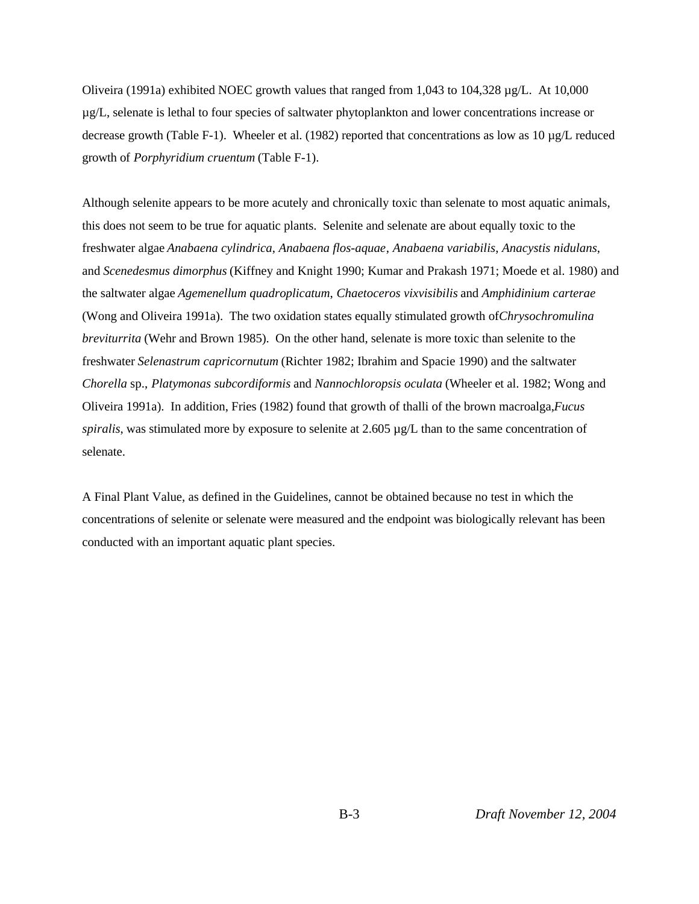Oliveira (1991a) exhibited NOEC growth values that ranged from 1,043 to 104,328 µg/L. At 10,000 µg/L, selenate is lethal to four species of saltwater phytoplankton and lower concentrations increase or decrease growth (Table F-1). Wheeler et al. (1982) reported that concentrations as low as  $10 \mu g/L$  reduced growth of *Porphyridium cruentum* (Table F-1).

Although selenite appears to be more acutely and chronically toxic than selenate to most aquatic animals, this does not seem to be true for aquatic plants. Selenite and selenate are about equally toxic to the freshwater algae *Anabaena cylindrica*, *Anabaena flos-aquae*, *Anabaena variabilis*, *Anacystis nidulans*, and *Scenedesmus dimorphus* (Kiffney and Knight 1990; Kumar and Prakash 1971; Moede et al. 1980) and the saltwater algae *Agemenellum quadroplicatum*, *Chaetoceros vixvisibilis* and *Amphidinium carterae* (Wong and Oliveira 1991a). The two oxidation states equally stimulated growth of *Chrysochromulina breviturrita* (Wehr and Brown 1985). On the other hand, selenate is more toxic than selenite to the freshwater *Selenastrum capricornutum* (Richter 1982; Ibrahim and Spacie 1990) and the saltwater *Chorella* sp., *Platymonas subcordiformis* and *Nannochloropsis oculata* (Wheeler et al. 1982; Wong and Oliveira 1991a). In addition, Fries (1982) found that growth of thalli of the brown macroalga, *Fucus spiralis*, was stimulated more by exposure to selenite at 2.605 µg/L than to the same concentration of selenate.

A Final Plant Value, as defined in the Guidelines, cannot be obtained because no test in which the concentrations of selenite or selenate were measured and the endpoint was biologically relevant has been conducted with an important aquatic plant species.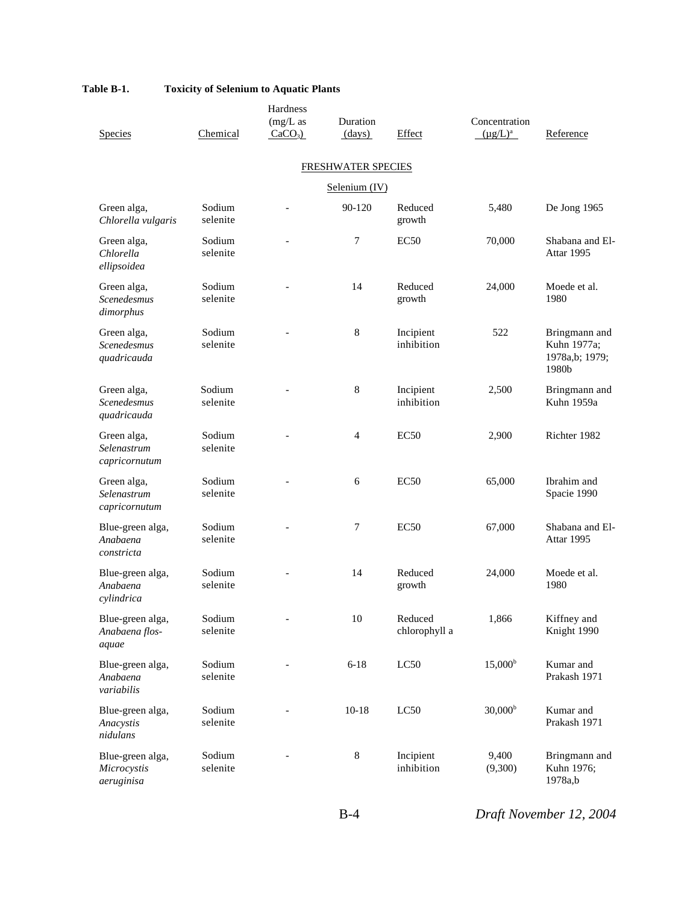|                                                  |                    | Hardness                 |                    |                          |                                |                                                         |
|--------------------------------------------------|--------------------|--------------------------|--------------------|--------------------------|--------------------------------|---------------------------------------------------------|
| Species                                          | Chemical           | $(mg/L)$ as<br>$CaCO3$ ) | Duration<br>(days) | Effect                   | Concentration<br>$(\mu g/L)^a$ | Reference                                               |
|                                                  |                    |                          | FRESHWATER SPECIES |                          |                                |                                                         |
|                                                  |                    |                          | Selenium (IV)      |                          |                                |                                                         |
| Green alga,<br>Chlorella vulgaris                | Sodium<br>selenite |                          | 90-120             | Reduced<br>growth        | 5,480                          | De Jong 1965                                            |
| Green alga,<br>Chlorella<br>ellipsoidea          | Sodium<br>selenite |                          | 7                  | EC <sub>50</sub>         | 70,000                         | Shabana and El-<br>Attar 1995                           |
| Green alga,<br>Scenedesmus<br>dimorphus          | Sodium<br>selenite |                          | 14                 | Reduced<br>growth        | 24,000                         | Moede et al.<br>1980                                    |
| Green alga,<br>Scenedesmus<br>quadricauda        | Sodium<br>selenite |                          | 8                  | Incipient<br>inhibition  | 522                            | Bringmann and<br>Kuhn 1977a;<br>1978a,b; 1979;<br>1980b |
| Green alga,<br><b>Scenedesmus</b><br>quadricauda | Sodium<br>selenite |                          | 8                  | Incipient<br>inhibition  | 2,500                          | Bringmann and<br>Kuhn 1959a                             |
| Green alga,<br>Selenastrum<br>capricornutum      | Sodium<br>selenite |                          | $\overline{4}$     | EC <sub>50</sub>         | 2,900                          | Richter 1982                                            |
| Green alga,<br>Selenastrum<br>capricornutum      | Sodium<br>selenite |                          | 6                  | EC50                     | 65,000                         | Ibrahim and<br>Spacie 1990                              |
| Blue-green alga,<br>Anabaena<br>constricta       | Sodium<br>selenite |                          | 7                  | EC50                     | 67,000                         | Shabana and El-<br>Attar 1995                           |
| Blue-green alga,<br>Anabaena<br>cylindrica       | Sodium<br>selenite |                          | 14                 | Reduced<br>growth        | 24,000                         | Moede et al.<br>1980                                    |
| Blue-green alga,<br>Anabaena flos-<br>aquae      | Sodium<br>selenite |                          | $10\,$             | Reduced<br>chlorophyll a | 1,866                          | Kiffney and<br>Knight 1990                              |
| Blue-green alga,<br>Anabaena<br>variabilis       | Sodium<br>selenite |                          | $6 - 18$           | LC50                     | $15,000^{\rm b}$               | Kumar and<br>Prakash 1971                               |
| Blue-green alga,<br>Anacystis<br>nidulans        | Sodium<br>selenite |                          | $10 - 18$          | LC50                     | 30,000 <sup>b</sup>            | Kumar and<br>Prakash 1971                               |
| Blue-green alga,<br>Microcystis<br>aeruginisa    | Sodium<br>selenite |                          | $8\,$              | Incipient<br>inhibition  | 9,400<br>(9,300)               | Bringmann and<br>Kuhn 1976;<br>1978a,b                  |

B-4 *Draft November 12, 2004*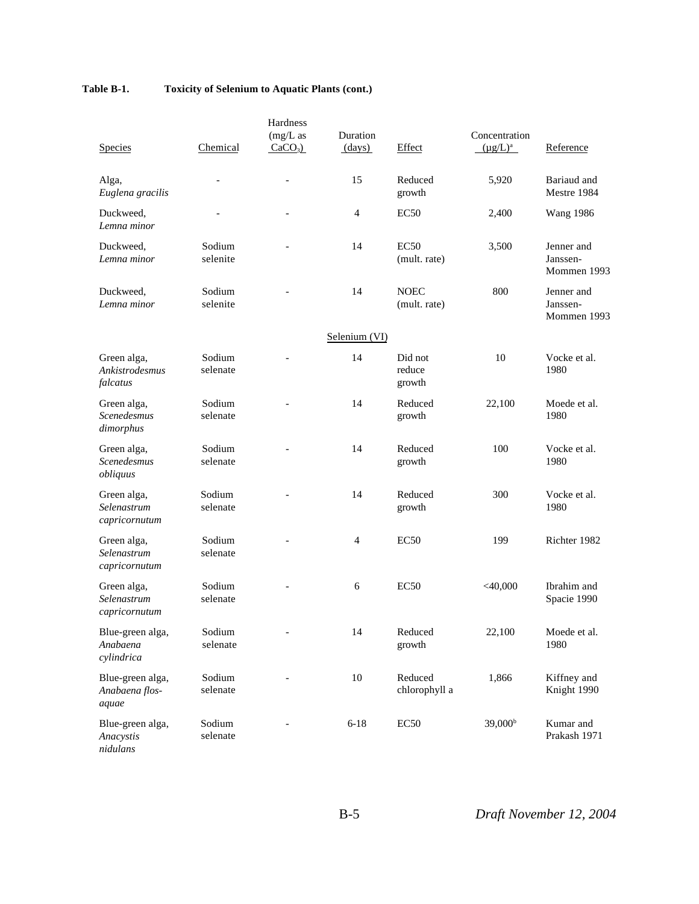|                                               |                    | Hardness                 |                    |                             |                                |                                       |
|-----------------------------------------------|--------------------|--------------------------|--------------------|-----------------------------|--------------------------------|---------------------------------------|
| Species                                       | Chemical           | $(mg/L)$ as<br>$CaCO3$ ) | Duration<br>(days) | Effect                      | Concentration<br>$(\mu g/L)^a$ | Reference                             |
| Alga,<br>Euglena gracilis                     |                    |                          | 15                 | Reduced<br>growth           | 5,920                          | Bariaud and<br>Mestre 1984            |
| Duckweed,<br>Lemna minor                      |                    |                          | $\overline{4}$     | EC <sub>50</sub>            | 2,400                          | <b>Wang 1986</b>                      |
| Duckweed,<br>Lemna minor                      | Sodium<br>selenite |                          | 14                 | <b>EC50</b><br>(mult. rate) | 3,500                          | Jenner and<br>Janssen-<br>Mommen 1993 |
| Duckweed,<br>Lemna minor                      | Sodium<br>selenite |                          | 14                 | <b>NOEC</b><br>(mult. rate) | 800                            | Jenner and<br>Janssen-<br>Mommen 1993 |
|                                               |                    |                          | Selenium (VI)      |                             |                                |                                       |
| Green alga,<br>Ankistrodesmus<br>falcatus     | Sodium<br>selenate |                          | 14                 | Did not<br>reduce<br>growth | 10                             | Vocke et al.<br>1980                  |
| Green alga,<br>Scenedesmus<br>dimorphus       | Sodium<br>selenate |                          | 14                 | Reduced<br>growth           | 22,100                         | Moede et al.<br>1980                  |
| Green alga,<br><b>Scenedesmus</b><br>obliquus | Sodium<br>selenate |                          | 14                 | Reduced<br>growth           | 100                            | Vocke et al.<br>1980                  |
| Green alga,<br>Selenastrum<br>capricornutum   | Sodium<br>selenate |                          | 14                 | Reduced<br>growth           | 300                            | Vocke et al.<br>1980                  |
| Green alga,<br>Selenastrum<br>capricornutum   | Sodium<br>selenate |                          | $\overline{4}$     | EC <sub>50</sub>            | 199                            | Richter 1982                          |
| Green alga,<br>Selenastrum<br>capricornutum   | Sodium<br>selenate |                          | 6                  | EC <sub>50</sub>            | $<$ 40,000                     | Ibrahim and<br>Spacie 1990            |
| Blue-green alga,<br>Anabaena<br>cylindrica    | Sodium<br>selenate |                          | 14                 | Reduced<br>growth           | 22,100                         | Moede et al.<br>1980                  |
| Blue-green alga,<br>Anabaena flos-<br>aquae   | Sodium<br>selenate |                          | $10\,$             | Reduced<br>chlorophyll a    | 1,866                          | Kiffney and<br>Knight 1990            |
| Blue-green alga,<br>Anacystis<br>nidulans     | Sodium<br>selenate |                          | $6 - 18$           | EC50                        | 39,000 <sup>b</sup>            | Kumar and<br>Prakash 1971             |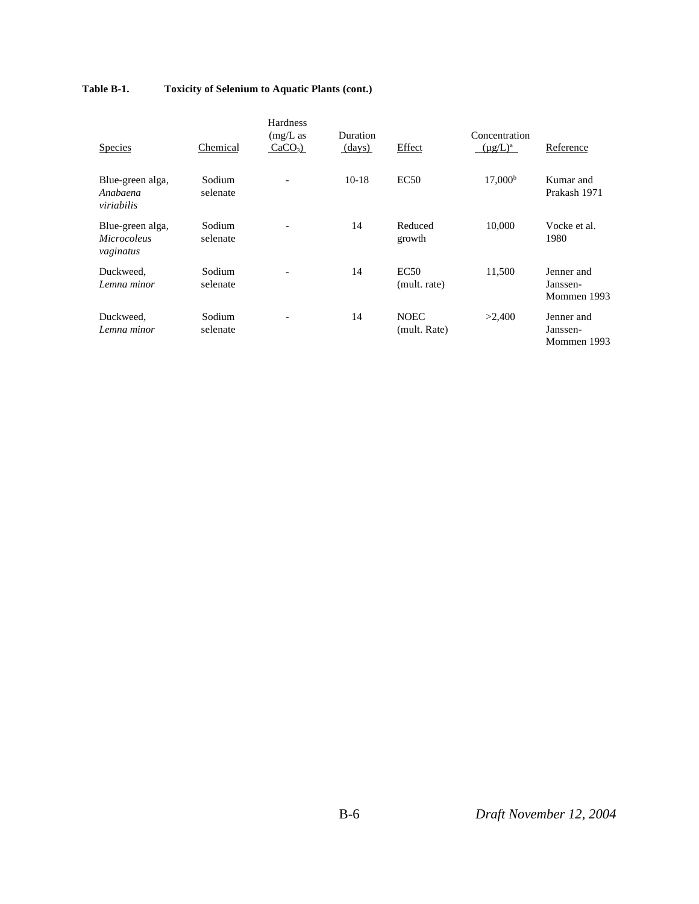| <b>Species</b>                                      | Chemical           | Hardness<br>$(mg/L)$ as<br>$CaCO3$ ) | Duration<br>(days) | Effect                      | Concentration<br>$(\mu g/L)^a$ | Reference                             |
|-----------------------------------------------------|--------------------|--------------------------------------|--------------------|-----------------------------|--------------------------------|---------------------------------------|
| Blue-green alga,<br>Anabaena<br>viriabilis          | Sodium<br>selenate | $\overline{\phantom{a}}$             | $10-18$            | EC50                        | 17,000 <sup>b</sup>            | Kumar and<br>Prakash 1971             |
| Blue-green alga,<br><b>Microcoleus</b><br>vaginatus | Sodium<br>selenate |                                      | 14                 | Reduced<br>growth           | 10,000                         | Vocke et al.<br>1980                  |
| Duckweed,<br>Lemna minor                            | Sodium<br>selenate |                                      | 14                 | EC50<br>(mult. rate)        | 11,500                         | Jenner and<br>Janssen-<br>Mommen 1993 |
| Duckweed,<br>Lemna minor                            | Sodium<br>selenate |                                      | 14                 | <b>NOEC</b><br>(mult. Rate) | >2,400                         | Jenner and<br>Janssen-<br>Mommen 1993 |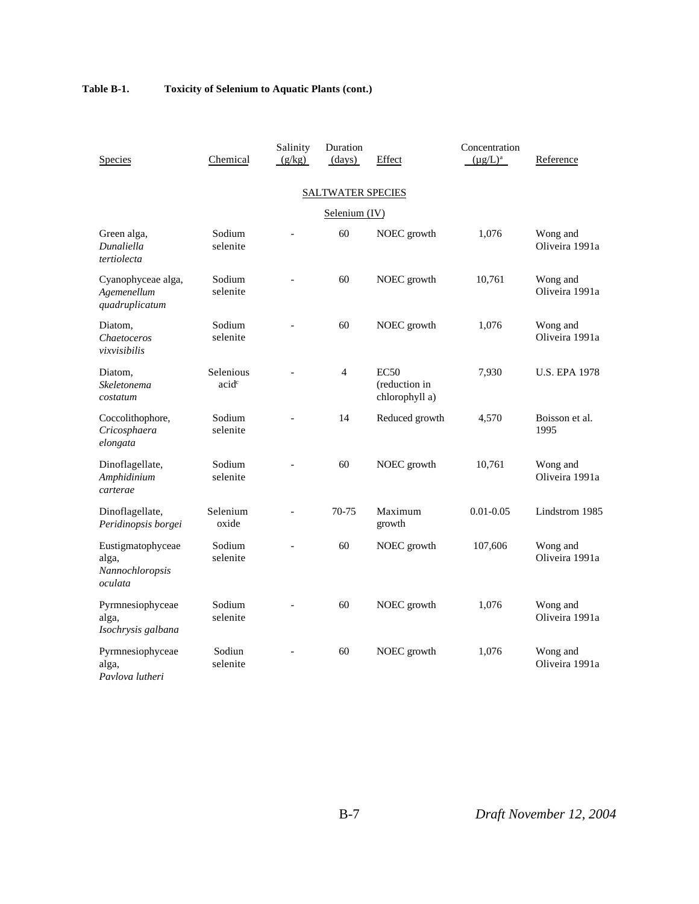| Species                                                  | Chemical                       | Salinity<br>(g/kg) | Duration<br>(days)       | Effect                                  | Concentration<br>$(\mu g/L)^a$ | Reference                  |  |  |  |
|----------------------------------------------------------|--------------------------------|--------------------|--------------------------|-----------------------------------------|--------------------------------|----------------------------|--|--|--|
|                                                          |                                |                    | <b>SALTWATER SPECIES</b> |                                         |                                |                            |  |  |  |
| Selenium (IV)                                            |                                |                    |                          |                                         |                                |                            |  |  |  |
| Green alga,<br>Dunaliella<br>tertiolecta                 | Sodium<br>selenite             |                    | 60                       | NOEC growth                             | 1,076                          | Wong and<br>Oliveira 1991a |  |  |  |
| Cyanophyceae alga,<br>Agemenellum<br>quadruplicatum      | Sodium<br>selenite             |                    | 60                       | NOEC growth                             | 10,761                         | Wong and<br>Oliveira 1991a |  |  |  |
| Diatom,<br>Chaetoceros<br>vixvisibilis                   | Sodium<br>selenite             |                    | 60                       | NOEC growth                             | 1,076                          | Wong and<br>Oliveira 1991a |  |  |  |
| Diatom,<br>Skeletonema<br>costatum                       | Selenious<br>acid <sup>c</sup> |                    | 4                        | EC50<br>(reduction in<br>chlorophyll a) | 7,930                          | <b>U.S. EPA 1978</b>       |  |  |  |
| Coccolithophore,<br>Cricosphaera<br>elongata             | Sodium<br>selenite             |                    | 14                       | Reduced growth                          | 4,570                          | Boisson et al.<br>1995     |  |  |  |
| Dinoflagellate,<br>Amphidinium<br>carterae               | Sodium<br>selenite             |                    | 60                       | NOEC growth                             | 10,761                         | Wong and<br>Oliveira 1991a |  |  |  |
| Dinoflagellate,<br>Peridinopsis borgei                   | Selenium<br>oxide              |                    | 70-75                    | Maximum<br>growth                       | $0.01 - 0.05$                  | Lindstrom 1985             |  |  |  |
| Eustigmatophyceae<br>alga,<br>Nannochloropsis<br>oculata | Sodium<br>selenite             |                    | 60                       | NOEC growth                             | 107,606                        | Wong and<br>Oliveira 1991a |  |  |  |
| Pyrmnesiophyceae<br>alga,<br>Isochrysis galbana          | Sodium<br>selenite             |                    | 60                       | NOEC growth                             | 1,076                          | Wong and<br>Oliveira 1991a |  |  |  |
| Pyrmnesiophyceae<br>alga,<br>Pavlova lutheri             | Sodiun<br>selenite             |                    | 60                       | NOEC growth                             | 1,076                          | Wong and<br>Oliveira 1991a |  |  |  |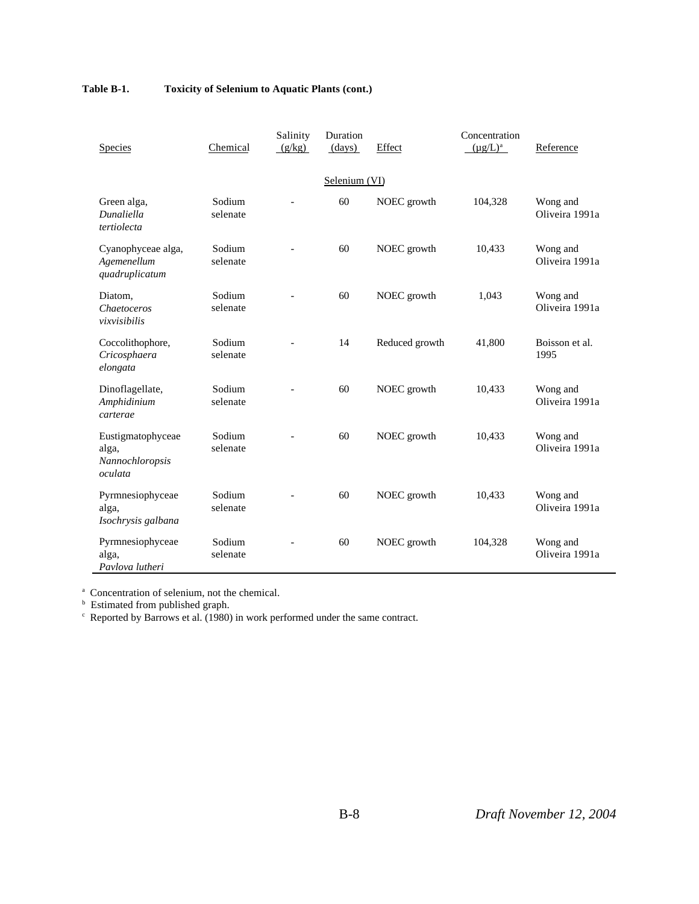| Species                                                  | Chemical           | Salinity<br>(g/kg) | Duration<br>(days) | Effect         | Concentration<br>$(\mu g/L)^a$ | Reference                  |  |  |  |  |
|----------------------------------------------------------|--------------------|--------------------|--------------------|----------------|--------------------------------|----------------------------|--|--|--|--|
| Selenium (VI)                                            |                    |                    |                    |                |                                |                            |  |  |  |  |
| Green alga,<br>Dunaliella<br>tertiolecta                 | Sodium<br>selenate |                    | 60                 | NOEC growth    | 104,328                        | Wong and<br>Oliveira 1991a |  |  |  |  |
| Cyanophyceae alga,<br>Agemenellum<br>quadruplicatum      | Sodium<br>selenate |                    | 60                 | NOEC growth    | 10,433                         | Wong and<br>Oliveira 1991a |  |  |  |  |
| Diatom,<br>Chaetoceros<br>vixvisibilis                   | Sodium<br>selenate |                    | 60                 | NOEC growth    | 1,043                          | Wong and<br>Oliveira 1991a |  |  |  |  |
| Coccolithophore,<br>Cricosphaera<br>elongata             | Sodium<br>selenate |                    | 14                 | Reduced growth | 41,800                         | Boisson et al.<br>1995     |  |  |  |  |
| Dinoflagellate,<br>Amphidinium<br>carterae               | Sodium<br>selenate |                    | 60                 | NOEC growth    | 10,433                         | Wong and<br>Oliveira 1991a |  |  |  |  |
| Eustigmatophyceae<br>alga,<br>Nannochloropsis<br>oculata | Sodium<br>selenate |                    | 60                 | NOEC growth    | 10,433                         | Wong and<br>Oliveira 1991a |  |  |  |  |
| Pyrmnesiophyceae<br>alga,<br>Isochrysis galbana          | Sodium<br>selenate |                    | 60                 | NOEC growth    | 10,433                         | Wong and<br>Oliveira 1991a |  |  |  |  |
| Pyrmnesiophyceae<br>alga,<br>Pavlova lutheri             | Sodium<br>selenate |                    | 60                 | NOEC growth    | 104,328                        | Wong and<br>Oliveira 1991a |  |  |  |  |

a Concentration of selenium, not the chemical.

b Estimated from published graph. c Reported by Barrows et al. (1980) in work performed under the same contract.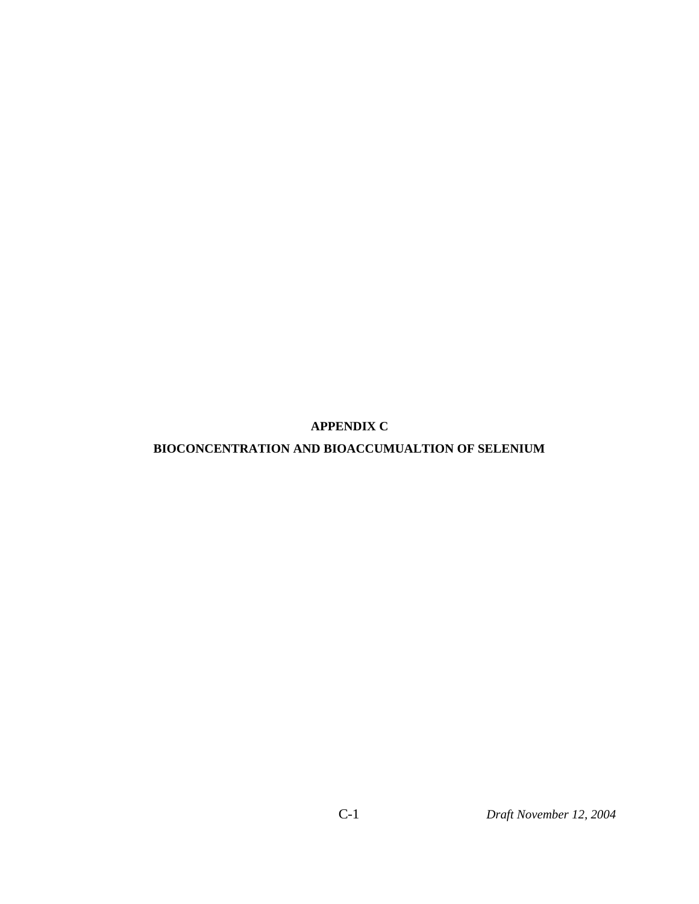**APPENDIX C**

# **BIOCONCENTRATION AND BIOACCUMUALTION OF SELENIUM**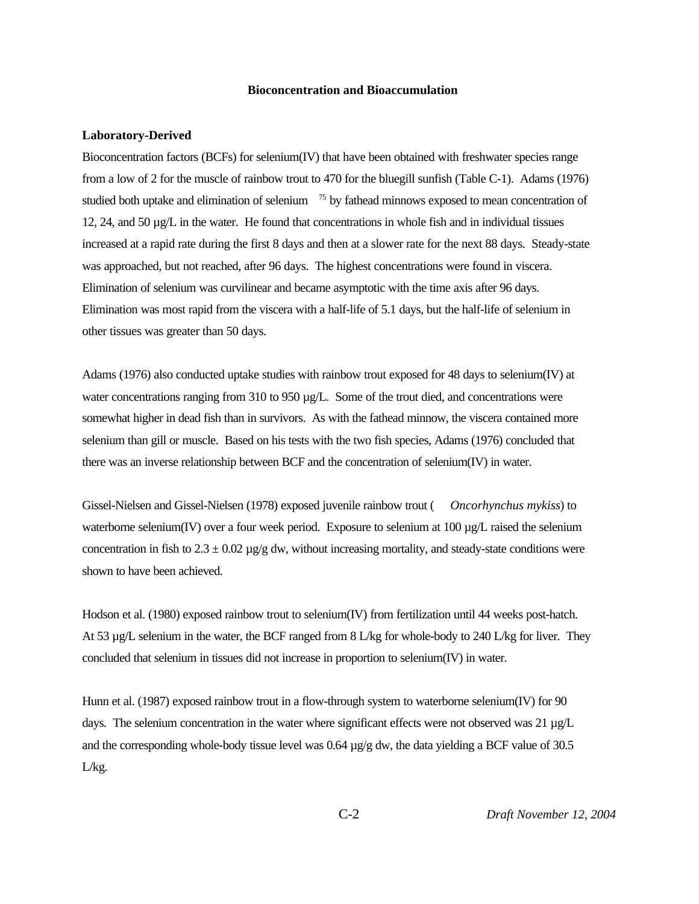#### **Bioconcentration and Bioaccumulation**

#### **Laboratory-Derived**

Bioconcentration factors (BCFs) for selenium(IV) that have been obtained with freshwater species range from a low of 2 for the muscle of rainbow trout to 470 for the bluegill sunfish (Table C-1). Adams (1976) studied both uptake and elimination of selenium <sup>75</sup> by fathead minnows exposed to mean concentration of 12, 24, and 50  $\mu$ g/L in the water. He found that concentrations in whole fish and in individual tissues increased at a rapid rate during the first 8 days and then at a slower rate for the next 88 days. Steady-state was approached, but not reached, after 96 days. The highest concentrations were found in viscera. Elimination of selenium was curvilinear and became asymptotic with the time axis after 96 days. Elimination was most rapid from the viscera with a half-life of 5.1 days, but the half-life of selenium in other tissues was greater than 50 days.

Adams (1976) also conducted uptake studies with rainbow trout exposed for 48 days to selenium(IV) at water concentrations ranging from 310 to 950 µg/L. Some of the trout died, and concentrations were somewhat higher in dead fish than in survivors. As with the fathead minnow, the viscera contained more selenium than gill or muscle. Based on his tests with the two fish species, Adams (1976) concluded that there was an inverse relationship between BCF and the concentration of selenium(IV) in water.

Gissel-Nielsen and Gissel-Nielsen (1978) exposed juvenile rainbow trout ( *Oncorhynchus mykiss*) to waterborne selenium(IV) over a four week period. Exposure to selenium at 100 µg/L raised the selenium concentration in fish to  $2.3 \pm 0.02$   $\mu$ g/g dw, without increasing mortality, and steady-state conditions were shown to have been achieved.

Hodson et al. (1980) exposed rainbow trout to selenium(IV) from fertilization until 44 weeks post-hatch. At 53 µg/L selenium in the water, the BCF ranged from 8 L/kg for whole-body to 240 L/kg for liver. They concluded that selenium in tissues did not increase in proportion to selenium(IV) in water.

Hunn et al. (1987) exposed rainbow trout in a flow-through system to waterborne selenium(IV) for 90 days. The selenium concentration in the water where significant effects were not observed was 21 µg/L and the corresponding whole-body tissue level was  $0.64 \mu g/g$  dw, the data yielding a BCF value of 30.5 L/kg.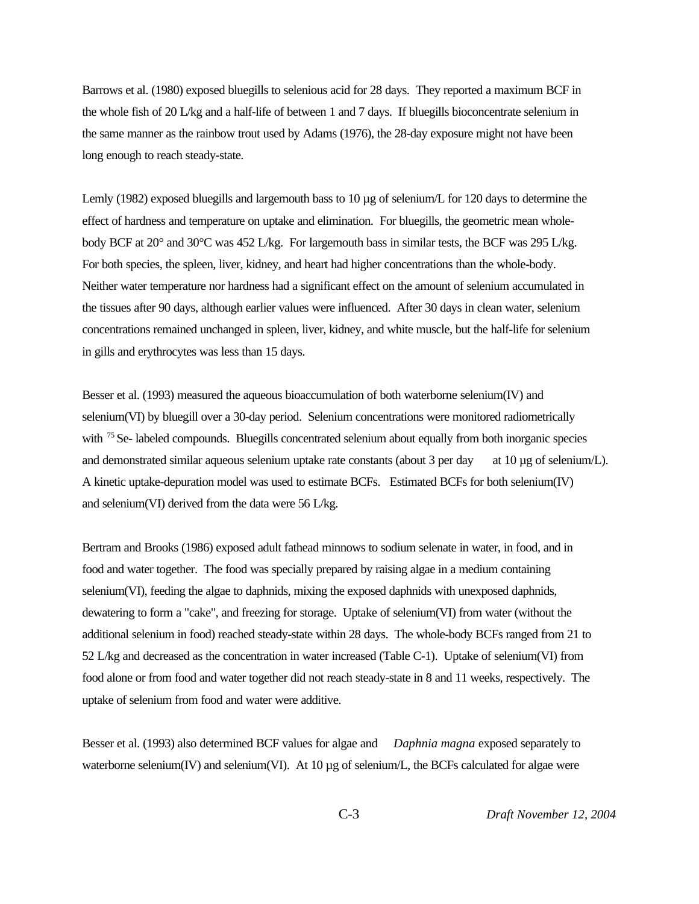Barrows et al. (1980) exposed bluegills to selenious acid for 28 days. They reported a maximum BCF in the whole fish of 20 L/kg and a half-life of between 1 and 7 days. If bluegills bioconcentrate selenium in the same manner as the rainbow trout used by Adams (1976), the 28-day exposure might not have been long enough to reach steady-state.

Lemly (1982) exposed bluegills and largemouth bass to 10 µg of selenium/L for 120 days to determine the effect of hardness and temperature on uptake and elimination. For bluegills, the geometric mean wholebody BCF at 20° and 30°C was 452 L/kg. For largemouth bass in similar tests, the BCF was 295 L/kg. For both species, the spleen, liver, kidney, and heart had higher concentrations than the whole-body. Neither water temperature nor hardness had a significant effect on the amount of selenium accumulated in the tissues after 90 days, although earlier values were influenced. After 30 days in clean water, selenium concentrations remained unchanged in spleen, liver, kidney, and white muscle, but the half-life for selenium in gills and erythrocytes was less than 15 days.

Besser et al. (1993) measured the aqueous bioaccumulation of both waterborne selenium(IV) and selenium(VI) by bluegill over a 30-day period. Selenium concentrations were monitored radiometrically with <sup>75</sup> Se- labeled compounds. Bluegills concentrated selenium about equally from both inorganic species and demonstrated similar aqueous selenium uptake rate constants (about 3 per day at 10  $\mu$ g of selenium/L). A kinetic uptake-depuration model was used to estimate BCFs. Estimated BCFs for both selenium(IV) and selenium(VI) derived from the data were 56 L/kg.

Bertram and Brooks (1986) exposed adult fathead minnows to sodium selenate in water, in food, and in food and water together. The food was specially prepared by raising algae in a medium containing selenium(VI), feeding the algae to daphnids, mixing the exposed daphnids with unexposed daphnids, dewatering to form a "cake", and freezing for storage. Uptake of selenium(VI) from water (without the additional selenium in food) reached steady-state within 28 days. The whole-body BCFs ranged from 21 to 52 L/kg and decreased as the concentration in water increased (Table C-1). Uptake of selenium(VI) from food alone or from food and water together did not reach steady-state in 8 and 11 weeks, respectively. The uptake of selenium from food and water were additive.

Besser et al. (1993) also determined BCF values for algae and *Daphnia magna* exposed separately to waterborne selenium(IV) and selenium(VI). At 10 µg of selenium/L, the BCFs calculated for algae were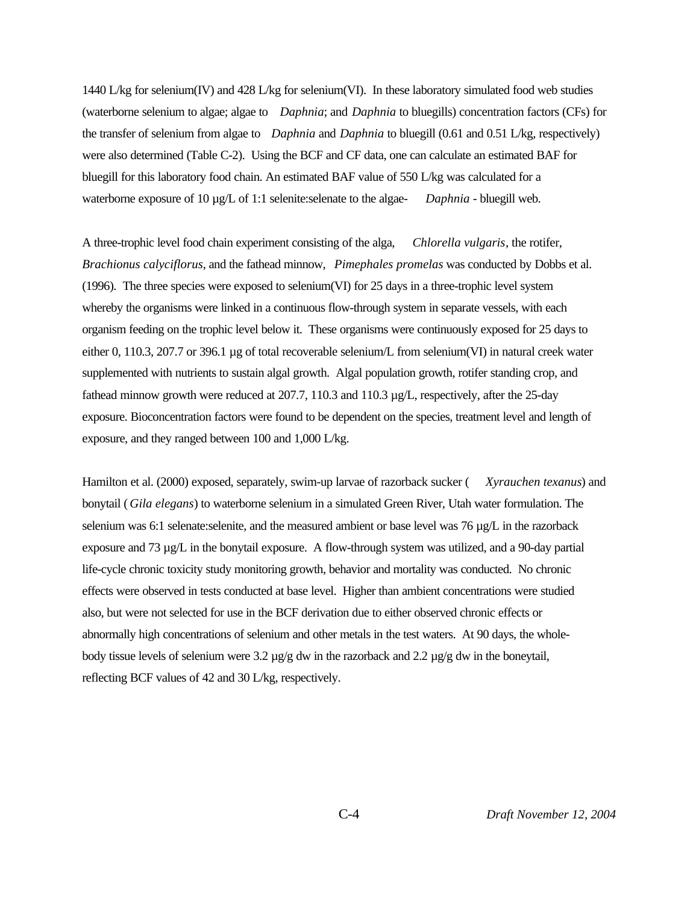1440 L/kg for selenium(IV) and 428 L/kg for selenium(VI). In these laboratory simulated food web studies (waterborne selenium to algae; algae to *Daphnia*; and *Daphnia* to bluegills) concentration factors (CFs) for the transfer of selenium from algae to *Daphnia* and *Daphnia* to bluegill (0.61 and 0.51 L/kg, respectively) were also determined (Table C-2). Using the BCF and CF data, one can calculate an estimated BAF for bluegill for this laboratory food chain. An estimated BAF value of 550 L/kg was calculated for a waterborne exposure of 10  $\mu$ g/L of 1:1 selenite: selenate to the algae-<br>*Daphnia* - bluegill web.

A three-trophic level food chain experiment consisting of the alga, *Chlorella vulgaris*, the rotifer, *Brachionus calyciflorus*, and the fathead minnow, *Pimephales promelas* was conducted by Dobbs et al. (1996). The three species were exposed to selenium(VI) for 25 days in a three-trophic level system whereby the organisms were linked in a continuous flow-through system in separate vessels, with each organism feeding on the trophic level below it. These organisms were continuously exposed for 25 days to either 0, 110.3, 207.7 or 396.1 µg of total recoverable selenium/L from selenium(VI) in natural creek water supplemented with nutrients to sustain algal growth. Algal population growth, rotifer standing crop, and fathead minnow growth were reduced at 207.7, 110.3 and 110.3 µg/L, respectively, after the 25-day exposure. Bioconcentration factors were found to be dependent on the species, treatment level and length of exposure, and they ranged between 100 and 1,000 L/kg.

Hamilton et al. (2000) exposed, separately, swim-up larvae of razorback sucker ( *Xyrauchen texanus*) and bonytail ( *Gila elegans*) to waterborne selenium in a simulated Green River, Utah water formulation. The selenium was 6:1 selenate:selenite, and the measured ambient or base level was 76  $\mu$ g/L in the razorback exposure and  $73 \mu g/L$  in the bonytail exposure. A flow-through system was utilized, and a 90-day partial life-cycle chronic toxicity study monitoring growth, behavior and mortality was conducted. No chronic effects were observed in tests conducted at base level. Higher than ambient concentrations were studied also, but were not selected for use in the BCF derivation due to either observed chronic effects or abnormally high concentrations of selenium and other metals in the test waters. At 90 days, the wholebody tissue levels of selenium were 3.2  $\mu$ g/g dw in the razorback and 2.2  $\mu$ g/g dw in the boneytail, reflecting BCF values of 42 and 30 L/kg, respectively.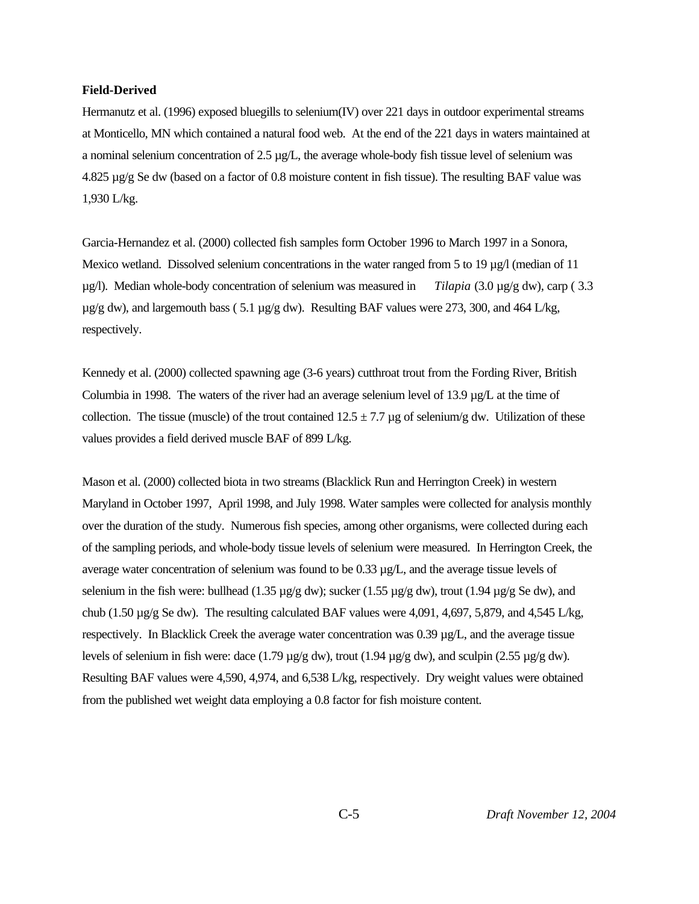#### **Field-Derived**

Hermanutz et al. (1996) exposed bluegills to selenium(IV) over 221 days in outdoor experimental streams at Monticello, MN which contained a natural food web. At the end of the 221 days in waters maintained at a nominal selenium concentration of  $2.5 \mu g/L$ , the average whole-body fish tissue level of selenium was 4.825 µg/g Se dw (based on a factor of 0.8 moisture content in fish tissue). The resulting BAF value was 1,930 L/kg.

Garcia-Hernandez et al. (2000) collected fish samples form October 1996 to March 1997 in a Sonora, Mexico wetland. Dissolved selenium concentrations in the water ranged from 5 to 19  $\mu$ g/l (median of 11 µg/l). Median whole-body concentration of selenium was measured in *Tilapia* (3.0 µg/g dw), carp ( 3.3  $\mu$ g/g dw), and largemouth bass (5.1  $\mu$ g/g dw). Resulting BAF values were 273, 300, and 464 L/kg, respectively.

Kennedy et al. (2000) collected spawning age (3-6 years) cutthroat trout from the Fording River, British Columbia in 1998. The waters of the river had an average selenium level of 13.9  $\mu$ g/L at the time of collection. The tissue (muscle) of the trout contained  $12.5 \pm 7.7$  µg of selenium/g dw. Utilization of these values provides a field derived muscle BAF of 899 L/kg.

Mason et al. (2000) collected biota in two streams (Blacklick Run and Herrington Creek) in western Maryland in October 1997, April 1998, and July 1998. Water samples were collected for analysis monthly over the duration of the study. Numerous fish species, among other organisms, were collected during each of the sampling periods, and whole-body tissue levels of selenium were measured. In Herrington Creek, the average water concentration of selenium was found to be 0.33 µg/L, and the average tissue levels of selenium in the fish were: bullhead (1.35  $\mu$ g/g dw); sucker (1.55  $\mu$ g/g dw), trout (1.94  $\mu$ g/g Se dw), and chub (1.50 µg/g Se dw). The resulting calculated BAF values were 4,091, 4,697, 5,879, and 4,545 L/kg, respectively. In Blacklick Creek the average water concentration was 0.39 µg/L, and the average tissue levels of selenium in fish were: dace (1.79  $\mu$ g/g dw), trout (1.94  $\mu$ g/g dw), and sculpin (2.55  $\mu$ g/g dw). Resulting BAF values were 4,590, 4,974, and 6,538 L/kg, respectively. Dry weight values were obtained from the published wet weight data employing a 0.8 factor for fish moisture content.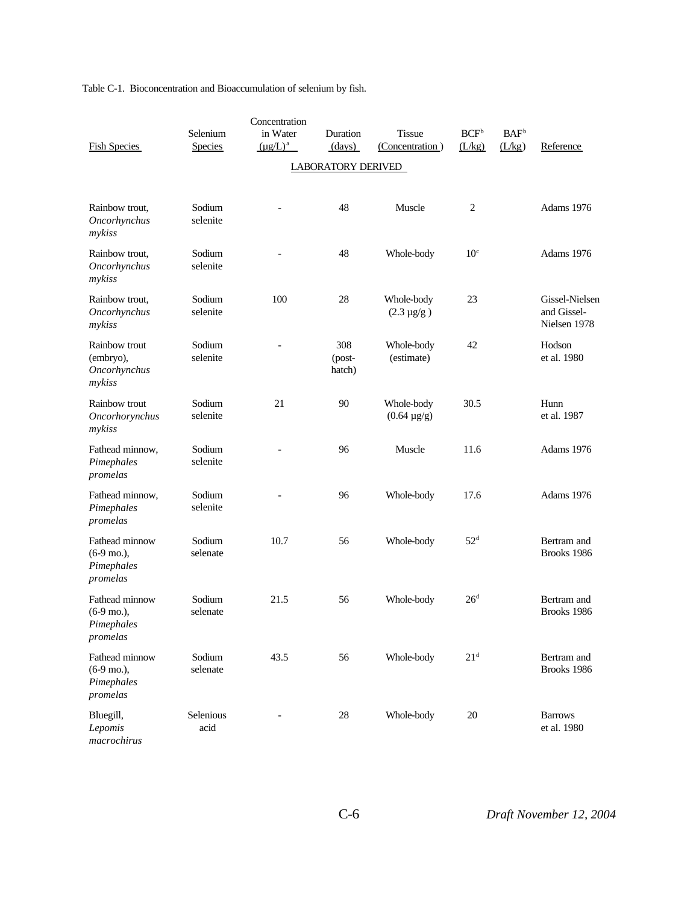Table C-1. Bioconcentration and Bioaccumulation of selenium by fish.

|                                                                  |                            | Concentration             |                         |                                  |                   |                            |                                               |
|------------------------------------------------------------------|----------------------------|---------------------------|-------------------------|----------------------------------|-------------------|----------------------------|-----------------------------------------------|
| <b>Fish Species</b>                                              | Selenium<br><b>Species</b> | in Water<br>$(\mu g/L)^a$ | Duration<br>(days)      | <b>Tissue</b><br>(Concentration) | $BCF^b$<br>(L/kg) | BAF <sup>b</sup><br>(L/kg) | Reference                                     |
|                                                                  |                            |                           | LABORATORY DERIVED      |                                  |                   |                            |                                               |
|                                                                  |                            |                           |                         |                                  |                   |                            |                                               |
| Rainbow trout,<br>Oncorhynchus<br>mykiss                         | Sodium<br>selenite         |                           | 48                      | Muscle                           | $\overline{2}$    |                            | Adams 1976                                    |
| Rainbow trout,<br>Oncorhynchus<br>mykiss                         | Sodium<br>selenite         |                           | 48                      | Whole-body                       | 10 <sup>c</sup>   |                            | Adams 1976                                    |
| Rainbow trout,<br>Oncorhynchus<br>mykiss                         | Sodium<br>selenite         | 100                       | 28                      | Whole-body<br>$(2.3 \,\mu g/g)$  | 23                |                            | Gissel-Nielsen<br>and Gissel-<br>Nielsen 1978 |
| Rainbow trout<br>(embryo),<br>Oncorhynchus<br>mykiss             | Sodium<br>selenite         |                           | 308<br>(post-<br>hatch) | Whole-body<br>(estimate)         | 42                |                            | Hodson<br>et al. 1980                         |
| Rainbow trout<br>Oncorhorynchus<br>mykiss                        | Sodium<br>selenite         | 21                        | 90                      | Whole-body<br>$(0.64 \,\mu g/g)$ | 30.5              |                            | Hunn<br>et al. 1987                           |
| Fathead minnow,<br>Pimephales<br>promelas                        | Sodium<br>selenite         |                           | 96                      | Muscle                           | 11.6              |                            | Adams 1976                                    |
| Fathead minnow,<br>Pimephales<br>promelas                        | Sodium<br>selenite         |                           | 96                      | Whole-body                       | 17.6              |                            | Adams 1976                                    |
| Fathead minnow<br>$(6-9 \text{ mo.}),$<br>Pimephales<br>promelas | Sodium<br>selenate         | 10.7                      | 56                      | Whole-body                       | 52 <sup>d</sup>   |                            | Bertram and<br>Brooks 1986                    |
| Fathead minnow<br>$(6-9 \text{ mo.}),$<br>Pimephales<br>promelas | Sodium<br>selenate         | 21.5                      | 56                      | Whole-body                       | 26 <sup>d</sup>   |                            | Bertram and<br>Brooks 1986                    |
| Fathead minnow<br>$(6-9 \text{ mo.}),$<br>Pimephales<br>promelas | Sodium<br>selenate         | 43.5                      | 56                      | Whole-body                       | 21 <sup>d</sup>   |                            | Bertram and<br>Brooks 1986                    |
| Bluegill,<br>Lepomis<br>macrochirus                              | Selenious<br>acid          |                           | 28                      | Whole-body                       | 20                |                            | <b>Barrows</b><br>et al. 1980                 |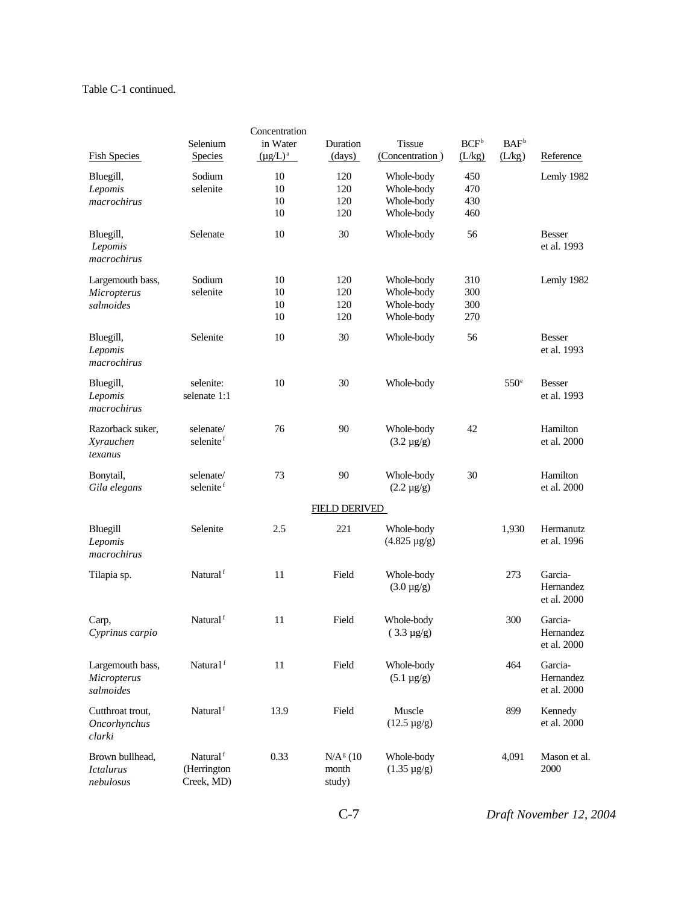### Table C-1 continued.

|                                                  |                                                   | Concentration             |                               |                                                      |                            |                            |                                     |
|--------------------------------------------------|---------------------------------------------------|---------------------------|-------------------------------|------------------------------------------------------|----------------------------|----------------------------|-------------------------------------|
| <b>Fish Species</b>                              | Selenium<br><b>Species</b>                        | in Water<br>$(\mu g/L)^a$ | Duration<br>(days)            | <b>Tissue</b><br>(Concentration)                     | BCF <sup>b</sup><br>(L/kg) | BAF <sup>b</sup><br>(L/kg) | Reference                           |
| Bluegill,<br>Lepomis<br>macrochirus              | Sodium<br>selenite                                | 10<br>10<br>10<br>10      | 120<br>120<br>120<br>120      | Whole-body<br>Whole-body<br>Whole-body<br>Whole-body | 450<br>470<br>430<br>460   |                            | Lemly 1982                          |
| Bluegill,<br>Lepomis<br>macrochirus              | Selenate                                          | 10                        | 30                            | Whole-body                                           | 56                         |                            | <b>Besser</b><br>et al. 1993        |
| Largemouth bass,<br>Micropterus<br>salmoides     | Sodium<br>selenite                                | 10<br>10<br>10<br>10      | 120<br>120<br>120<br>120      | Whole-body<br>Whole-body<br>Whole-body<br>Whole-body | 310<br>300<br>300<br>270   |                            | Lemly 1982                          |
| Bluegill,<br>Lepomis<br>macrochirus              | Selenite                                          | 10                        | 30                            | Whole-body                                           | 56                         |                            | <b>Besser</b><br>et al. 1993        |
| Bluegill,<br>Lepomis<br>macrochirus              | selenite:<br>selenate 1:1                         | 10                        | 30                            | Whole-body                                           |                            | 550 <sup>e</sup>           | <b>Besser</b><br>et al. 1993        |
| Razorback suker,<br>Xyrauchen<br>texanus         | selenate/<br>selenite <sup>f</sup>                | 76                        | 90                            | Whole-body<br>$(3.2 \,\mu g/g)$                      | 42                         |                            | Hamilton<br>et al. 2000             |
| Bonytail,<br>Gila elegans                        | selenate/<br>selenite <sup>f</sup>                | 73                        | 90                            | Whole-body<br>$(2.2 \,\mu g/g)$                      | 30                         |                            | Hamilton<br>et al. 2000             |
|                                                  |                                                   |                           | <b>FIELD DERIVED</b>          |                                                      |                            |                            |                                     |
| Bluegill<br>Lepomis<br>macrochirus               | Selenite                                          | 2.5                       | 221                           | Whole-body<br>$(4.825 \,\mu g/g)$                    |                            | 1,930                      | Hermanutz<br>et al. 1996            |
| Tilapia sp.                                      | Natural <sup>f</sup>                              | 11                        | Field                         | Whole-body<br>$(3.0 \,\mu g/g)$                      |                            | 273                        | Garcia-<br>Hernandez<br>et al. 2000 |
| Carp,<br>Cyprinus carpio                         | Natural <sup>f</sup>                              | 11                        | Field                         | Whole-body<br>$(3.3 \,\mu g/g)$                      |                            | 300                        | Garcia-<br>Hernandez<br>et al. 2000 |
| Largemouth bass,<br>Micropterus<br>salmoides     | Natura1f                                          | 11                        | Field                         | Whole-body<br>$(5.1 \,\mu g/g)$                      |                            | 464                        | Garcia-<br>Hernandez<br>et al. 2000 |
| Cutthroat trout.<br>Oncorhynchus<br>clarki       | Natural <sup>f</sup>                              | 13.9                      | Field                         | Muscle<br>$(12.5 \,\mu g/g)$                         |                            | 899                        | Kennedy<br>et al. 2000              |
| Brown bullhead,<br><b>Ictalurus</b><br>nebulosus | Natural <sup>f</sup><br>(Herrington<br>Creek, MD) | 0.33                      | $N/Ag$ (10<br>month<br>study) | Whole-body<br>$(1.35 \,\mu g/g)$                     |                            | 4,091                      | Mason et al.<br>2000                |

C-7 *Draft November 12, 2004*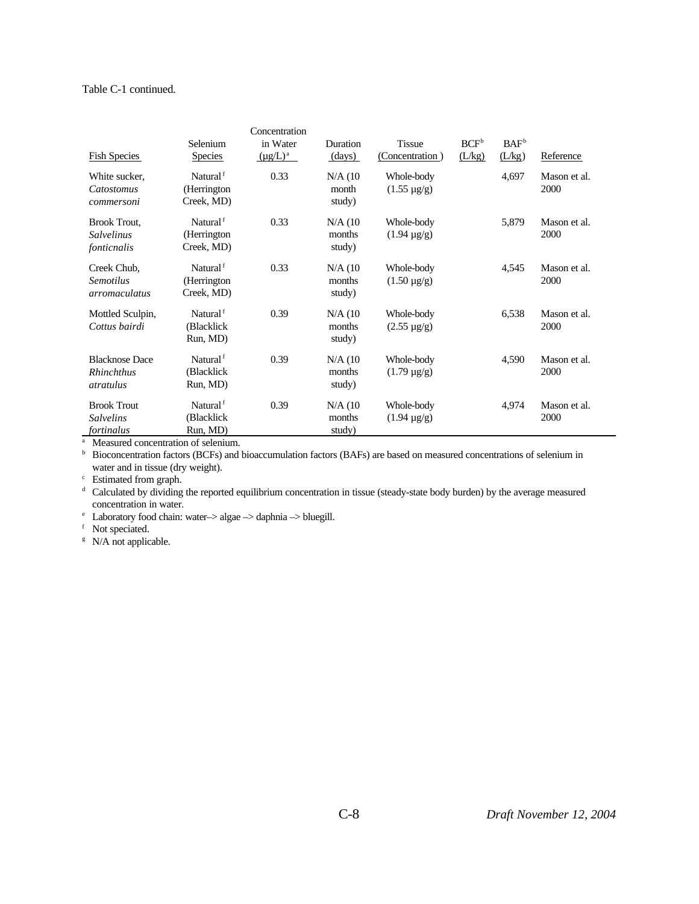### Table C-1 continued.

| <b>Fish Species</b>                                     | Selenium<br><b>Species</b>                         | Concentration<br>in Water<br>$(\mu g/L)^a$ | Duration<br>(days)            | <b>Tissue</b><br>(Concentration) | $BCF^b$<br>(L/kg) | BAF <sup>b</sup><br>(L/kg) | Reference            |
|---------------------------------------------------------|----------------------------------------------------|--------------------------------------------|-------------------------------|----------------------------------|-------------------|----------------------------|----------------------|
| White sucker,<br>Catostomus<br>commersoni               | Natural <sup>f</sup><br>(Herrington)<br>Creek, MD) | 0.33                                       | $N/A$ (10<br>month<br>study)  | Whole-body<br>$(1.55 \,\mu g/g)$ |                   | 4,697                      | Mason et al.<br>2000 |
| <b>Brook Trout,</b><br><b>Salvelinus</b><br>fonticnalis | Natural <sup>f</sup><br>(Herrington<br>Creek, MD)  | 0.33                                       | $N/A$ (10<br>months<br>study) | Whole-body<br>$(1.94 \,\mu g/g)$ |                   | 5,879                      | Mason et al.<br>2000 |
| Creek Chub,<br><b>Semotilus</b><br>arromaculatus        | Natural <sup>f</sup><br>(Herrington)<br>Creek, MD) | 0.33                                       | $N/A$ (10<br>months<br>study) | Whole-body<br>$(1.50 \,\mu g/g)$ |                   | 4,545                      | Mason et al.<br>2000 |
| Mottled Sculpin,<br>Cottus bairdi                       | Natural <sup>f</sup><br>(Blacklick<br>Run, MD)     | 0.39                                       | $N/A$ (10<br>months<br>study) | Whole-body<br>$(2.55 \,\mu g/g)$ |                   | 6,538                      | Mason et al.<br>2000 |
| <b>Blacknose Dace</b><br><b>Rhinchthus</b><br>atratulus | Natural <sup>f</sup><br>(Blacklick<br>Run, MD)     | 0.39                                       | $N/A$ (10<br>months<br>study) | Whole-body<br>$(1.79 \,\mu g/g)$ |                   | 4,590                      | Mason et al.<br>2000 |
| <b>Brook Trout</b><br><b>Salvelins</b><br>fortinalus    | Natural <sup>f</sup><br>(Blacklick<br>Run, MD)     | 0.39                                       | $N/A$ (10<br>months<br>study) | Whole-body<br>$(1.94 \,\mu g/g)$ |                   | 4,974                      | Mason et al.<br>2000 |

<sup>a</sup> Measured concentration of selenium.

b Bioconcentration factors (BCFs) and bioaccumulation factors (BAFs) are based on measured concentrations of selenium in water and in tissue (dry weight).

<sup>c</sup> Estimated from graph.

<sup>d</sup> Calculated by dividing the reported equilibrium concentration in tissue (steady-state body burden) by the average measured concentration in water.

 $^{\circ}\;$  Laboratory food chain: water-> algae -> daphnia -> bluegill.

<sup>f</sup> Not speciated.

 $N/A$  not applicable.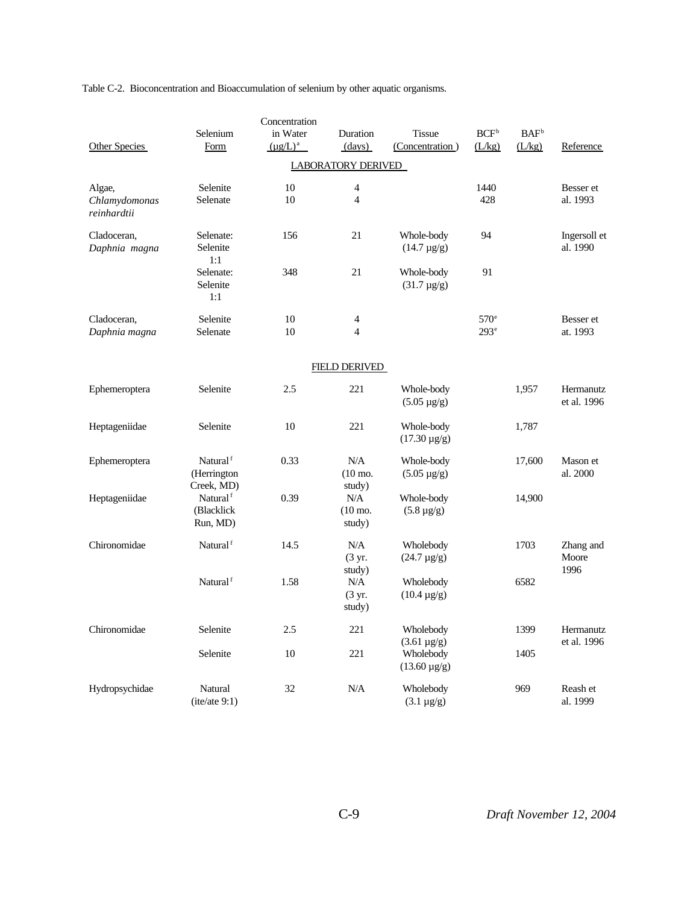Table C-2. Bioconcentration and Bioaccumulation of selenium by other aquatic organisms.

|                              |                           | Concentration |                              |                                 |                  |                         |              |
|------------------------------|---------------------------|---------------|------------------------------|---------------------------------|------------------|-------------------------|--------------|
|                              | Selenium                  | in Water      | Duration                     | <b>Tissue</b>                   | $BCF^b$          | <b>BAF</b> <sup>b</sup> |              |
| Other Species                | Form                      | $(\mu g/L)^a$ | (days)                       | (Concentration)                 | (L/kg)           | (L/kg)                  | Reference    |
|                              |                           |               | <b>LABORATORY DERIVED</b>    |                                 |                  |                         |              |
| Algae,                       | Selenite                  | 10            | 4                            |                                 | 1440             |                         | Besser et    |
| Chlamydomonas<br>reinhardtii | Selenate                  | 10            | $\overline{4}$               |                                 | 428              |                         | al. 1993     |
| Cladoceran,                  | Selenate:                 | 156           | 21                           | Whole-body                      | 94               |                         | Ingersoll et |
| Daphnia magna                | Selenite<br>1:1           |               |                              | $(14.7 \,\mu g/g)$              |                  |                         | al. 1990     |
|                              | Selenate:                 | 348           | 21                           | Whole-body                      | 91               |                         |              |
|                              | Selenite<br>1:1           |               |                              | $(31.7 \,\mu g/g)$              |                  |                         |              |
| Cladoceran,                  | Selenite                  | 10            | $\overline{4}$               |                                 | $570^\circ$      |                         | Besser et    |
| Daphnia magna                | Selenate                  | 10            | $\overline{4}$               |                                 | 293 <sup>e</sup> |                         | at. 1993     |
|                              |                           |               | <b>FIELD DERIVED</b>         |                                 |                  |                         |              |
| Ephemeroptera                | Selenite                  | 2.5           | 221                          | Whole-body                      |                  | 1,957                   | Hermanutz    |
|                              |                           |               |                              | $(5.05 \,\mu g/g)$              |                  |                         | et al. 1996  |
| Heptageniidae                | Selenite                  | 10            | 221                          | Whole-body                      |                  | 1,787                   |              |
|                              |                           |               |                              | $(17.30 \,\mu g/g)$             |                  |                         |              |
| Ephemeroptera                | Natural <sup>f</sup>      | 0.33          | N/A                          | Whole-body                      |                  | 17,600                  | Mason et     |
|                              | (Herrington<br>Creek, MD) |               | $(10 \text{ mo.})$<br>study) | $(5.05 \,\mu g/g)$              |                  |                         | al. 2000     |
| Heptageniidae                | Natural <sup>f</sup>      | 0.39          | N/A                          | Whole-body                      |                  | 14,900                  |              |
|                              | (Blacklick                |               | $(10 \text{ mo.})$           | $(5.8 \,\mu g/g)$               |                  |                         |              |
|                              | Run, MD)                  |               | study)                       |                                 |                  |                         |              |
| Chironomidae                 | Natural <sup>f</sup>      | 14.5          | N/A                          | Wholebody                       |                  | 1703                    | Zhang and    |
|                              |                           |               | (3 yr.                       | $(24.7 \,\mu g/g)$              |                  |                         | Moore        |
|                              | Natural <sup>f</sup>      | 1.58          | study)<br>N/A                | Wholebody                       |                  | 6582                    | 1996         |
|                              |                           |               | (3 yr.                       | $(10.4 \,\mu g/g)$              |                  |                         |              |
|                              |                           |               | study)                       |                                 |                  |                         |              |
| Chironomidae                 | Selenite                  | 2.5           | 221                          | Wholebody                       |                  | 1399                    | Hermanutz    |
|                              | Selenite                  | 10            | 221                          | $(3.61 \,\mu g/g)$<br>Wholebody |                  | 1405                    | et al. 1996  |
|                              |                           |               |                              | $(13.60 \,\mu g/g)$             |                  |                         |              |
| Hydropsychidae               | Natural                   | 32            | N/A                          | Wholebody                       |                  | 969                     | Reash et     |
|                              | (ite/ate 9:1)             |               |                              | $(3.1 \ \mu g/g)$               |                  |                         | al. 1999     |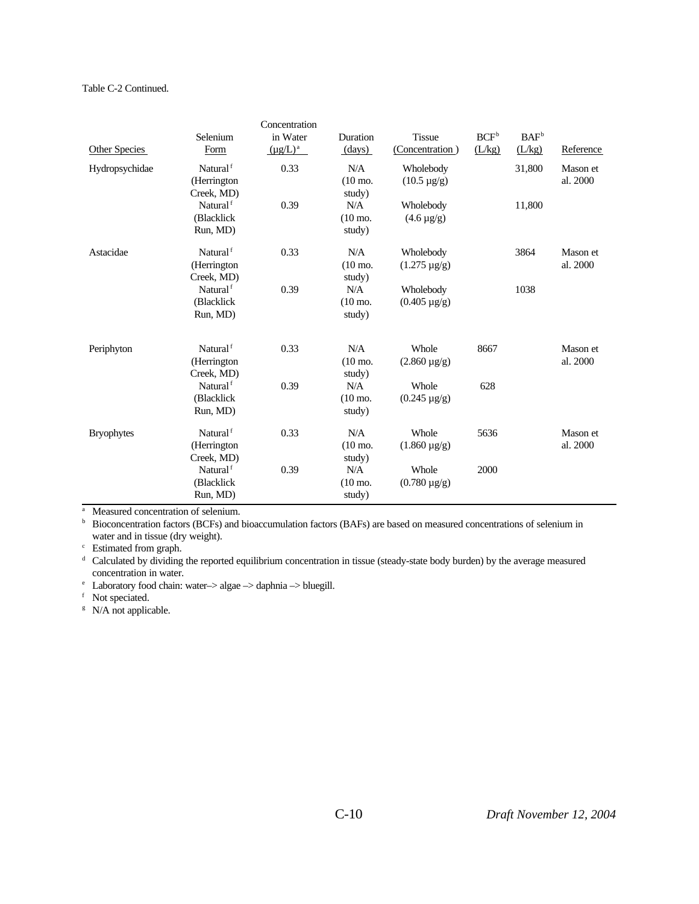### Table C-2 Continued.

|                   |                      | Concentration |                    |                     |         |                  |           |
|-------------------|----------------------|---------------|--------------------|---------------------|---------|------------------|-----------|
|                   | Selenium             | in Water      | Duration           | <b>Tissue</b>       | $BCF^b$ | BAF <sup>b</sup> |           |
| Other Species     | Form                 | $(\mu g/L)^a$ | (days)             | (Concentration)     | (L/kg)  | (L/kg)           | Reference |
| Hydropsychidae    | Natural <sup>f</sup> | 0.33          | N/A                | Wholebody           |         | 31,800           | Mason et  |
|                   | (Herrington          |               | $(10 \text{ mo.})$ | $(10.5 \,\mu g/g)$  |         |                  | al. 2000  |
|                   | Creek, MD)           |               | study)             |                     |         |                  |           |
|                   | Natural <sup>f</sup> | 0.39          | N/A                | Wholebody           |         | 11,800           |           |
|                   | (Blacklick           |               | $(10 \text{ mo.})$ | $(4.6 \,\mu g/g)$   |         |                  |           |
|                   | Run, MD)             |               | study)             |                     |         |                  |           |
| Astacidae         | Natural <sup>f</sup> | 0.33          | N/A                | Wholebody           |         | 3864             | Mason et  |
|                   | (Herrington)         |               | $(10 \text{ mo.})$ | $(1.275 \,\mu g/g)$ |         |                  | al. 2000  |
|                   | Creek, MD)           |               | study)             |                     |         |                  |           |
|                   | Natural <sup>f</sup> | 0.39          | N/A                | Wholebody           |         | 1038             |           |
|                   | (Blacklick           |               | $(10 \text{ mo.})$ | $(0.405 \,\mu g/g)$ |         |                  |           |
|                   | Run, MD)             |               | study)             |                     |         |                  |           |
| Periphyton        | Natural <sup>f</sup> | 0.33          | N/A                | Whole               | 8667    |                  | Mason et  |
|                   | (Herrington)         |               | $(10 \text{ mo.})$ | $(2.860 \,\mu g/g)$ |         |                  | al. 2000  |
|                   | Creek, MD)           |               | study)             |                     |         |                  |           |
|                   | Natural <sup>f</sup> | 0.39          | N/A                | Whole               | 628     |                  |           |
|                   | (Blacklick           |               | $(10 \text{ mo.})$ | $(0.245 \mu g/g)$   |         |                  |           |
|                   | Run, MD)             |               | study)             |                     |         |                  |           |
| <b>Bryophytes</b> | Natural <sup>f</sup> | 0.33          | N/A                | Whole               | 5636    |                  | Mason et  |
|                   | (Herrington          |               | $(10 \text{ mo.})$ | $(1.860 \,\mu g/g)$ |         |                  | al. 2000  |
|                   | Creek, MD)           |               | study)             |                     |         |                  |           |
|                   | Natural <sup>f</sup> | 0.39          | N/A                | Whole               | 2000    |                  |           |
|                   | (Blacklick           |               | $(10 \text{ mo.})$ | $(0.780 \,\mu g/g)$ |         |                  |           |
|                   | Run, MD)             |               | study)             |                     |         |                  |           |

<sup>a</sup> Measured concentration of selenium.

<sup>b</sup> Bioconcentration factors (BCFs) and bioaccumulation factors (BAFs) are based on measured concentrations of selenium in water and in tissue (dry weight).

<sup>c</sup> Estimated from graph.

<sup>d</sup> Calculated by dividing the reported equilibrium concentration in tissue (steady-state body burden) by the average measured concentration in water.

<sup>e</sup> Laboratory food chain: water–> algae –> daphnia –> bluegill.

<sup>f</sup> Not speciated.

 $N/A$  not applicable.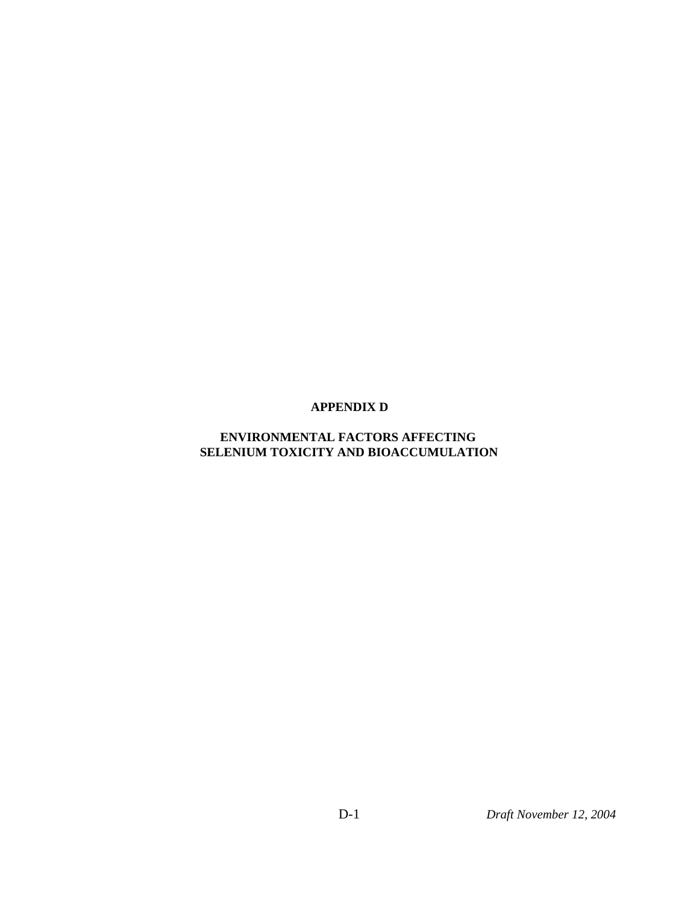### **APPENDIX D**

### **ENVIRONMENTAL FACTORS AFFECTING SELENIUM TOXICITY AND BIOACCUMULATION**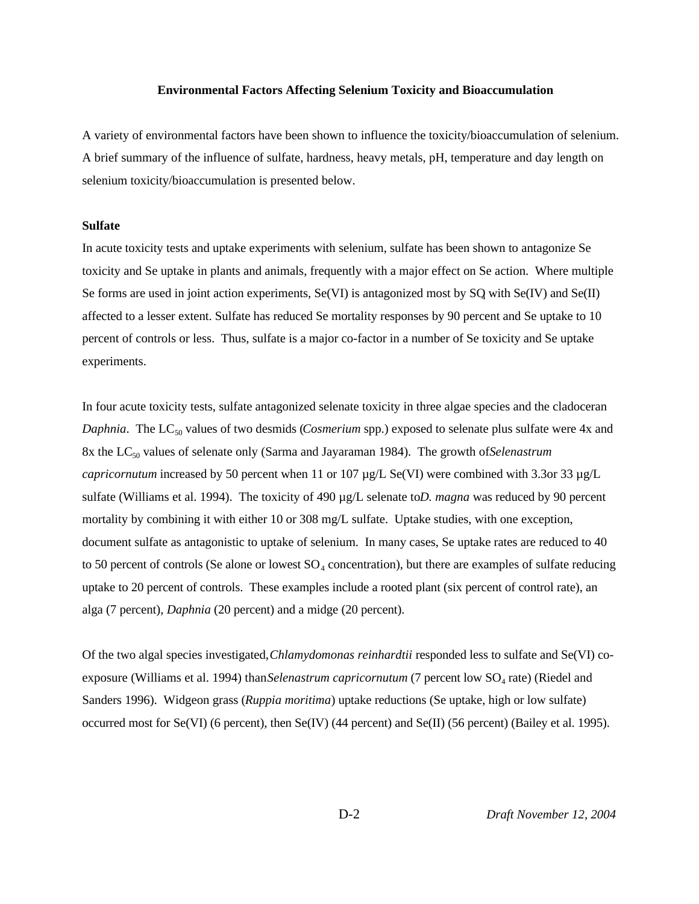#### **Environmental Factors Affecting Selenium Toxicity and Bioaccumulation**

A variety of environmental factors have been shown to influence the toxicity/bioaccumulation of selenium. A brief summary of the influence of sulfate, hardness, heavy metals, pH, temperature and day length on selenium toxicity/bioaccumulation is presented below.

### **Sulfate**

In acute toxicity tests and uptake experiments with selenium, sulfate has been shown to antagonize Se toxicity and Se uptake in plants and animals, frequently with a major effect on Se action. Where multiple Se forms are used in joint action experiments, Se(VI) is antagonized most by SQ with Se(IV) and Se(II) affected to a lesser extent. Sulfate has reduced Se mortality responses by 90 percent and Se uptake to 10 percent of controls or less. Thus, sulfate is a major co-factor in a number of Se toxicity and Se uptake experiments.

In four acute toxicity tests, sulfate antagonized selenate toxicity in three algae species and the cladoceran *Daphnia*. The LC<sub>50</sub> values of two desmids (*Cosmerium* spp.) exposed to selenate plus sulfate were 4x and 8x the LC<sub>50</sub> values of selenate only (Sarma and Jayaraman 1984). The growth of *Selenastrum capricornutum* increased by 50 percent when 11 or 107 µg/L Se(VI) were combined with 3.3or 33 µg/L sulfate (Williams et al. 1994). The toxicity of 490  $\mu$ g/L selenate to*D. magna* was reduced by 90 percent mortality by combining it with either 10 or 308 mg/L sulfate. Uptake studies, with one exception, document sulfate as antagonistic to uptake of selenium. In many cases, Se uptake rates are reduced to 40 to 50 percent of controls (Se alone or lowest  $SO_4$  concentration), but there are examples of sulfate reducing uptake to 20 percent of controls. These examples include a rooted plant (six percent of control rate), an alga (7 percent), *Daphnia* (20 percent) and a midge (20 percent).

Of the two algal species investigated, *Chlamydomonas reinhardtii* responded less to sulfate and Se(VI) coexposure (Williams et al. 1994) than *Selenastrum capricornutum* (7 percent low SO<sub>4</sub> rate) (Riedel and Sanders 1996). Widgeon grass (*Ruppia moritima*) uptake reductions (Se uptake, high or low sulfate) occurred most for Se(VI) (6 percent), then  $Se(IV)$  (44 percent) and  $Se(II)$  (56 percent) (Bailey et al. 1995).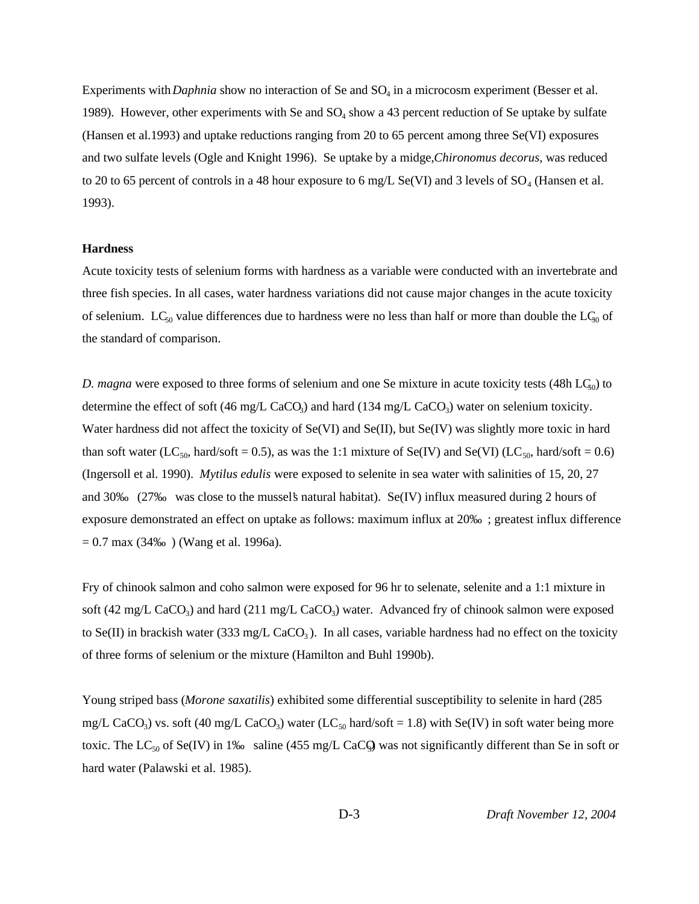Experiments with *Daphnia* show no interaction of Se and SO<sub>4</sub> in a microcosm experiment (Besser et al. 1989). However, other experiments with Se and  $SO_4$  show a 43 percent reduction of Se uptake by sulfate (Hansen et al.1993) and uptake reductions ranging from 20 to 65 percent among three Se(VI) exposures and two sulfate levels (Ogle and Knight 1996). Se uptake by a midge, *Chironomus decorus*, was reduced to 20 to 65 percent of controls in a 48 hour exposure to 6 mg/L Se(VI) and 3 levels of  $SO_4$  (Hansen et al. 1993).

#### **Hardness**

Acute toxicity tests of selenium forms with hardness as a variable were conducted with an invertebrate and three fish species. In all cases, water hardness variations did not cause major changes in the acute toxicity of selenium.  $LC_{50}$  value differences due to hardness were no less than half or more than double the  $LC_{50}$  of the standard of comparison.

*D. magna* were exposed to three forms of selenium and one Se mixture in acute toxicity tests (48h LC<sub>50</sub>) to determine the effect of soft (46 mg/L CaCO<sub>3</sub>) and hard (134 mg/L CaCO<sub>3</sub>) water on selenium toxicity. Water hardness did not affect the toxicity of Se(VI) and Se(II), but Se(IV) was slightly more toxic in hard than soft water (LC<sub>50</sub>, hard/soft = 0.5), as was the 1:1 mixture of Se(IV) and Se(VI) (LC<sub>50</sub>, hard/soft = 0.6) (Ingersoll et al. 1990). *Mytilus edulis* were exposed to selenite in sea water with salinities of 15, 20, 27 and 30‰ (27‰ was close to the mussel's natural habitat). Se(IV) influx measured during 2 hours of exposure demonstrated an effect on uptake as follows: maximum influx at 20‰ ; greatest influx difference  $= 0.7$  max (34‰) (Wang et al. 1996a).

Fry of chinook salmon and coho salmon were exposed for 96 hr to selenate, selenite and a 1:1 mixture in soft (42 mg/L CaCO<sub>3</sub>) and hard (211 mg/L CaCO<sub>3</sub>) water. Advanced fry of chinook salmon were exposed to Se(II) in brackish water (333 mg/L CaCO<sub>3</sub>). In all cases, variable hardness had no effect on the toxicity of three forms of selenium or the mixture (Hamilton and Buhl 1990b).

Young striped bass (*Morone saxatilis*) exhibited some differential susceptibility to selenite in hard (285 mg/L CaCO<sub>3</sub>) vs. soft (40 mg/L CaCO<sub>3</sub>) water (LC<sub>50</sub> hard/soft = 1.8) with Se(IV) in soft water being more toxic. The  $LC_{50}$  of Se(IV) in 1‰ saline (455 mg/L CaCQ) was not significantly different than Se in soft or hard water (Palawski et al. 1985).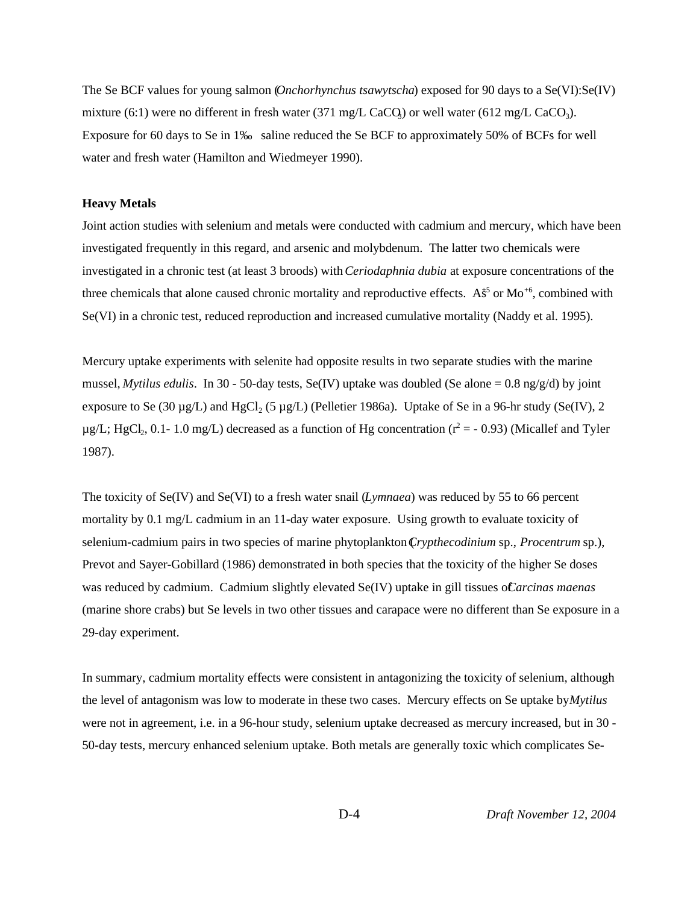The Se BCF values for young salmon (*Onchorhynchus tsawytscha*) exposed for 90 days to a Se(VI):Se(IV) mixture (6:1) were no different in fresh water (371 mg/L CaCQ) or well water (612 mg/L CaCO<sub>3</sub>). Exposure for 60 days to Se in 1‰ saline reduced the Se BCF to approximately 50% of BCFs for well water and fresh water (Hamilton and Wiedmeyer 1990).

#### **Heavy Metals**

Joint action studies with selenium and metals were conducted with cadmium and mercury, which have been investigated frequently in this regard, and arsenic and molybdenum. The latter two chemicals were investigated in a chronic test (at least 3 broods) with *Ceriodaphnia dubia* at exposure concentrations of the three chemicals that alone caused chronic mortality and reproductive effects. As<sup>5</sup> or Mo<sup>+6</sup>, combined with Se(VI) in a chronic test, reduced reproduction and increased cumulative mortality (Naddy et al. 1995).

Mercury uptake experiments with selenite had opposite results in two separate studies with the marine mussel, *Mytilus edulis*. In 30 - 50-day tests, Se(IV) uptake was doubled (Se alone  $= 0.8$  ng/g/d) by joint exposure to Se (30  $\mu$ g/L) and HgCl<sub>2</sub> (5  $\mu$ g/L) (Pelletier 1986a). Uptake of Se in a 96-hr study (Se(IV), 2  $\mu$ g/L; HgCl<sub>2</sub>, 0.1-1.0 mg/L) decreased as a function of Hg concentration (r<sup>2</sup> = - 0.93) (Micallef and Tyler 1987).

The toxicity of Se(IV) and Se(VI) to a fresh water snail (*Lymnaea*) was reduced by 55 to 66 percent mortality by 0.1 mg/L cadmium in an 11-day water exposure. Using growth to evaluate toxicity of selenium-cadmium pairs in two species of marine phytoplankton (*Crypthecodinium* sp., *Procentrum* sp.), Prevot and Sayer-Gobillard (1986) demonstrated in both species that the toxicity of the higher Se doses was reduced by cadmium. Cadmium slightly elevated Se(IV) uptake in gill tissues of *Carcinas maenas* (marine shore crabs) but Se levels in two other tissues and carapace were no different than Se exposure in a 29-day experiment.

In summary, cadmium mortality effects were consistent in antagonizing the toxicity of selenium, although the level of antagonism was low to moderate in these two cases. Mercury effects on Se uptake by *Mytilus* were not in agreement, i.e. in a 96-hour study, selenium uptake decreased as mercury increased, but in 30 - 50-day tests, mercury enhanced selenium uptake. Both metals are generally toxic which complicates Se-

D-4 *Draft November 12, 2004*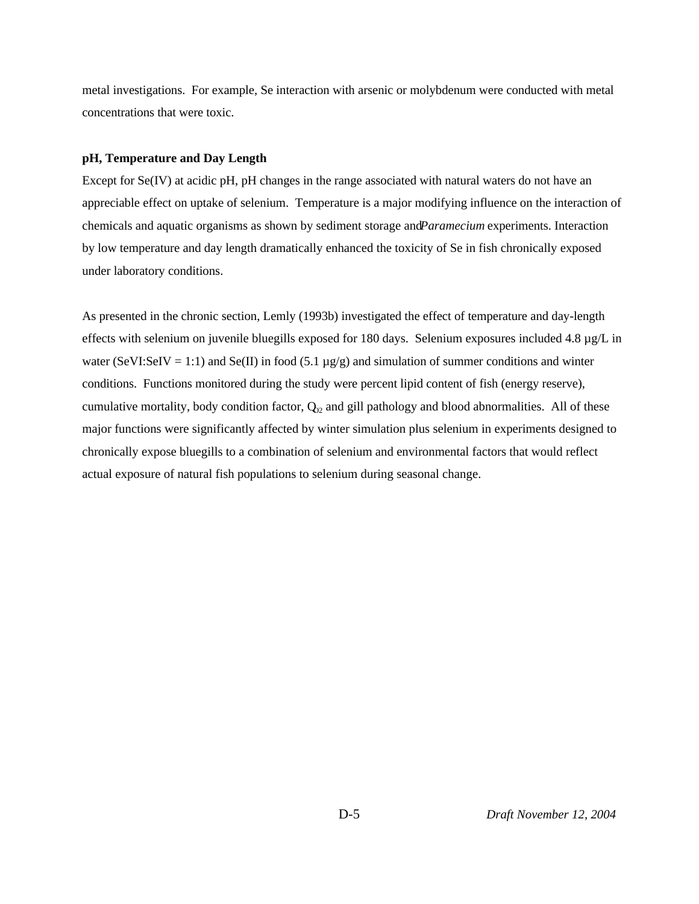metal investigations. For example, Se interaction with arsenic or molybdenum were conducted with metal concentrations that were toxic.

#### **pH, Temperature and Day Length**

Except for Se(IV) at acidic pH, pH changes in the range associated with natural waters do not have an appreciable effect on uptake of selenium. Temperature is a major modifying influence on the interaction of chemicals and aquatic organisms as shown by sediment storage and *Paramecium* experiments. Interaction by low temperature and day length dramatically enhanced the toxicity of Se in fish chronically exposed under laboratory conditions.

As presented in the chronic section, Lemly (1993b) investigated the effect of temperature and day-length effects with selenium on juvenile bluegills exposed for 180 days. Selenium exposures included 4.8 µg/L in water (SeVI:SeIV = 1:1) and Se(II) in food (5.1  $\mu$ g/g) and simulation of summer conditions and winter conditions. Functions monitored during the study were percent lipid content of fish (energy reserve), cumulative mortality, body condition factor,  $Q_{2}$  and gill pathology and blood abnormalities. All of these major functions were significantly affected by winter simulation plus selenium in experiments designed to chronically expose bluegills to a combination of selenium and environmental factors that would reflect actual exposure of natural fish populations to selenium during seasonal change.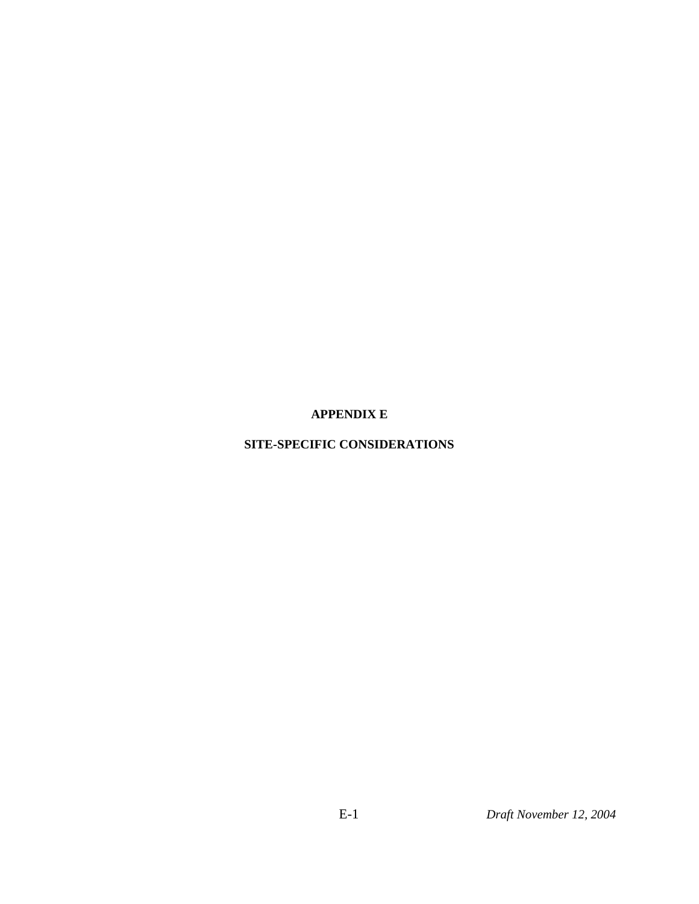**APPENDIX E**

### **SITE-SPECIFIC CONSIDERATIONS**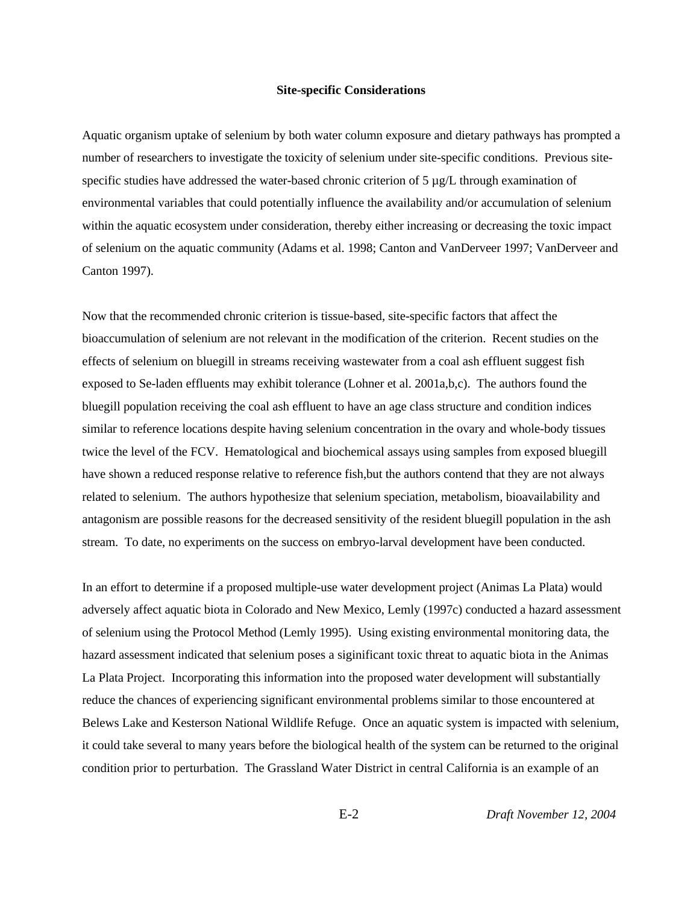#### **Site-specific Considerations**

Aquatic organism uptake of selenium by both water column exposure and dietary pathways has prompted a number of researchers to investigate the toxicity of selenium under site-specific conditions. Previous sitespecific studies have addressed the water-based chronic criterion of  $5 \mu g/L$  through examination of environmental variables that could potentially influence the availability and/or accumulation of selenium within the aquatic ecosystem under consideration, thereby either increasing or decreasing the toxic impact of selenium on the aquatic community (Adams et al. 1998; Canton and VanDerveer 1997; VanDerveer and Canton 1997).

Now that the recommended chronic criterion is tissue-based, site-specific factors that affect the bioaccumulation of selenium are not relevant in the modification of the criterion. Recent studies on the effects of selenium on bluegill in streams receiving wastewater from a coal ash effluent suggest fish exposed to Se-laden effluents may exhibit tolerance (Lohner et al. 2001a,b,c). The authors found the bluegill population receiving the coal ash effluent to have an age class structure and condition indices similar to reference locations despite having selenium concentration in the ovary and whole-body tissues twice the level of the FCV. Hematological and biochemical assays using samples from exposed bluegill have shown a reduced response relative to reference fish,but the authors contend that they are not always related to selenium. The authors hypothesize that selenium speciation, metabolism, bioavailability and antagonism are possible reasons for the decreased sensitivity of the resident bluegill population in the ash stream. To date, no experiments on the success on embryo-larval development have been conducted.

In an effort to determine if a proposed multiple-use water development project (Animas La Plata) would adversely affect aquatic biota in Colorado and New Mexico, Lemly (1997c) conducted a hazard assessment of selenium using the Protocol Method (Lemly 1995). Using existing environmental monitoring data, the hazard assessment indicated that selenium poses a siginificant toxic threat to aquatic biota in the Animas La Plata Project. Incorporating this information into the proposed water development will substantially reduce the chances of experiencing significant environmental problems similar to those encountered at Belews Lake and Kesterson National Wildlife Refuge. Once an aquatic system is impacted with selenium, it could take several to many years before the biological health of the system can be returned to the original condition prior to perturbation. The Grassland Water District in central California is an example of an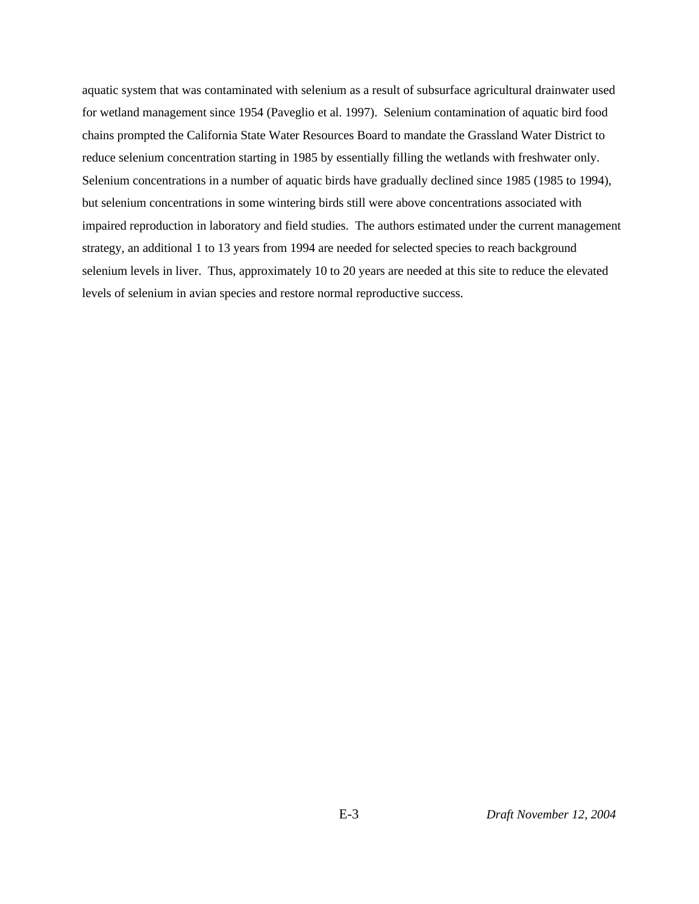aquatic system that was contaminated with selenium as a result of subsurface agricultural drainwater used for wetland management since 1954 (Paveglio et al. 1997). Selenium contamination of aquatic bird food chains prompted the California State Water Resources Board to mandate the Grassland Water District to reduce selenium concentration starting in 1985 by essentially filling the wetlands with freshwater only. Selenium concentrations in a number of aquatic birds have gradually declined since 1985 (1985 to 1994), but selenium concentrations in some wintering birds still were above concentrations associated with impaired reproduction in laboratory and field studies. The authors estimated under the current management strategy, an additional 1 to 13 years from 1994 are needed for selected species to reach background selenium levels in liver. Thus, approximately 10 to 20 years are needed at this site to reduce the elevated levels of selenium in avian species and restore normal reproductive success.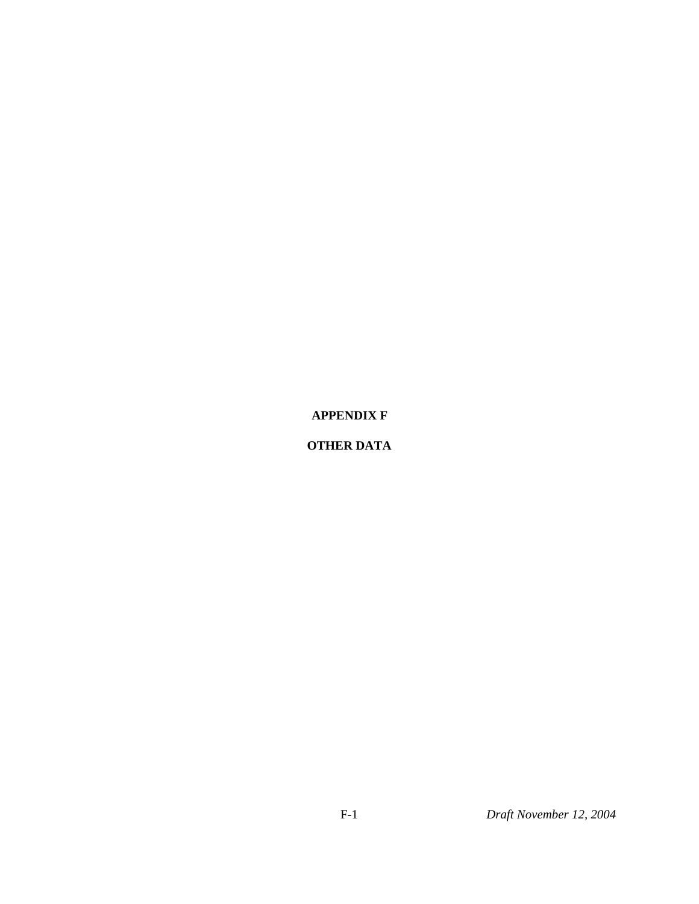**APPENDIX F**

### **OTHER DATA**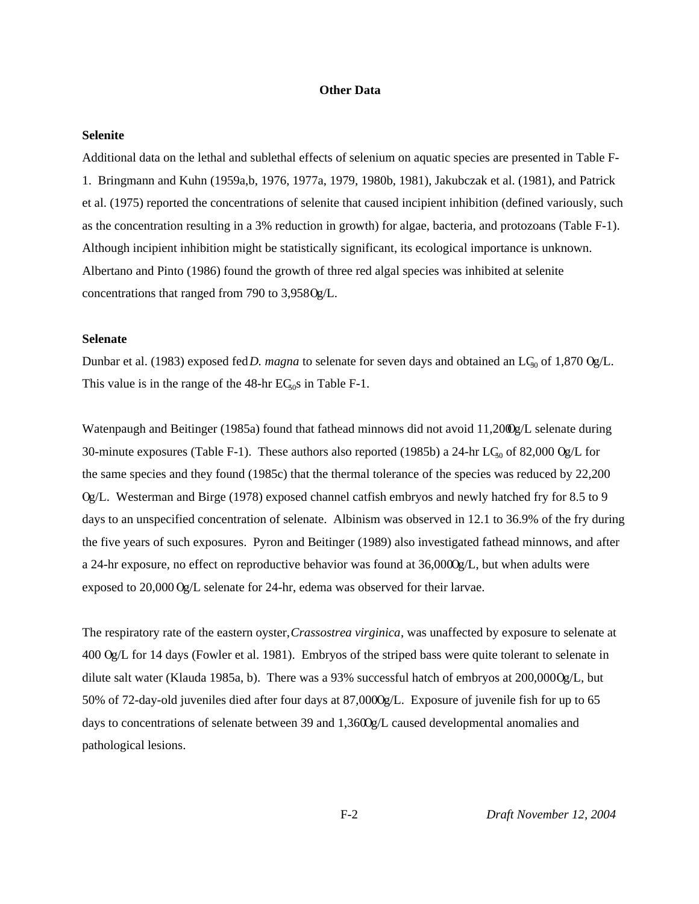#### **Other Data**

#### **Selenite**

Additional data on the lethal and sublethal effects of selenium on aquatic species are presented in Table F-1. Bringmann and Kuhn (1959a,b, 1976, 1977a, 1979, 1980b, 1981), Jakubczak et al. (1981), and Patrick et al. (1975) reported the concentrations of selenite that caused incipient inhibition (defined variously, such as the concentration resulting in a 3% reduction in growth) for algae, bacteria, and protozoans (Table F-1). Although incipient inhibition might be statistically significant, its ecological importance is unknown. Albertano and Pinto (1986) found the growth of three red algal species was inhibited at selenite concentrations that ranged from 790 to  $3,958$  Og/L.

### **Selenate**

Dunbar et al. (1983) exposed fed *D. magna* to selenate for seven days and obtained an LC<sub>50</sub> of 1,870 Og/L. This value is in the range of the  $48\text{-}$ hr E $C_{50}$ s in Table F-1.

Watenpaugh and Beitinger (1985a) found that fathead minnows did not avoid 11,2000g/L selenate during 30-minute exposures (Table F-1). These authors also reported (1985b) a 24-hr LC<sub>50</sub> of 82,000 Og/L for the same species and they found (1985c) that the thermal tolerance of the species was reduced by 22,200  $Qg/L$ . Westerman and Birge (1978) exposed channel catfish embryos and newly hatched fry for 8.5 to 9 days to an unspecified concentration of selenate. Albinism was observed in 12.1 to 36.9% of the fry during the five years of such exposures. Pyron and Beitinger (1989) also investigated fathead minnows, and after a 24-hr exposure, no effect on reproductive behavior was found at  $36,0000 \text{g/L}$ , but when adults were exposed to  $20,000$  Og/L selenate for 24-hr, edema was observed for their larvae.

The respiratory rate of the eastern oyster, *Crassostrea virginica*, was unaffected by exposure to selenate at 400 Og/L for 14 days (Fowler et al. 1981). Embryos of the striped bass were quite tolerant to selenate in dilute salt water (Klauda 1985a, b). There was a 93% successful hatch of embryos at 200,000 Og/L, but 50% of 72-day-old juveniles died after four days at  $87,0000g/L$ . Exposure of juvenile fish for up to 65 days to concentrations of selenate between 39 and  $1.3600 \text{g/L}$  caused developmental anomalies and pathological lesions.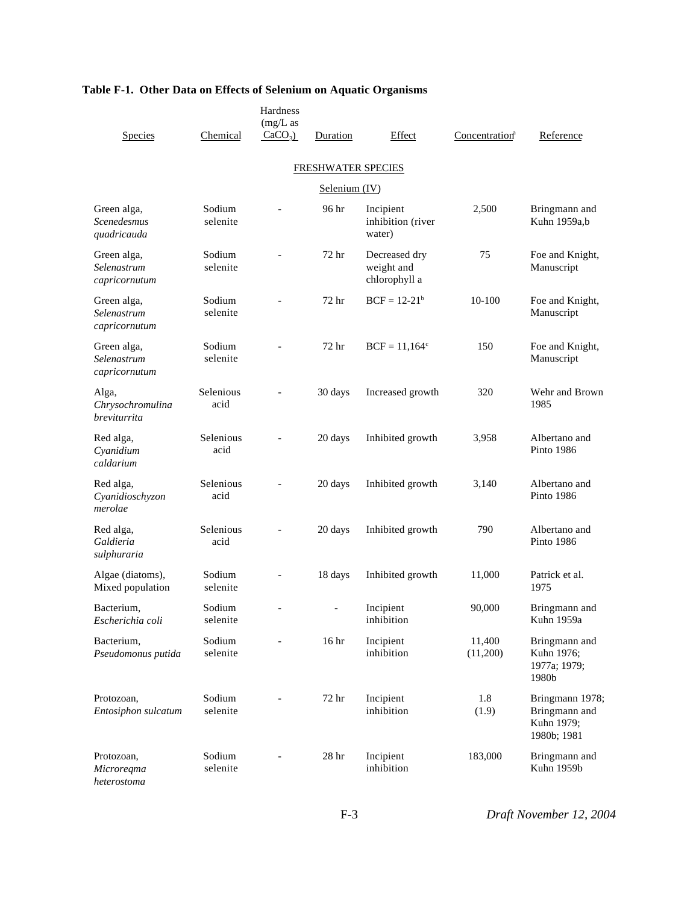| <b>Species</b>                                   | Chemical           | Hardness<br>$(mg/L)$ as<br>$CaCO3$ ) | Duration                  | Effect                                       | Concentration <sup>a</sup> | Reference                                                     |
|--------------------------------------------------|--------------------|--------------------------------------|---------------------------|----------------------------------------------|----------------------------|---------------------------------------------------------------|
|                                                  |                    |                                      |                           |                                              |                            |                                                               |
|                                                  |                    |                                      | <b>FRESHWATER SPECIES</b> |                                              |                            |                                                               |
|                                                  |                    |                                      | Selenium (IV)             |                                              |                            |                                                               |
| Green alga,<br><b>Scenedesmus</b><br>quadricauda | Sodium<br>selenite |                                      | 96 hr                     | Incipient<br>inhibition (river<br>water)     | 2,500                      | Bringmann and<br>Kuhn 1959a,b                                 |
| Green alga,<br>Selenastrum<br>capricornutum      | Sodium<br>selenite |                                      | 72 hr                     | Decreased dry<br>weight and<br>chlorophyll a | 75                         | Foe and Knight,<br>Manuscript                                 |
| Green alga,<br>Selenastrum<br>capricornutum      | Sodium<br>selenite |                                      | 72 hr                     | $BCF = 12-21b$                               | 10-100                     | Foe and Knight,<br>Manuscript                                 |
| Green alga,<br>Selenastrum<br>capricornutum      | Sodium<br>selenite |                                      | 72 <sub>hr</sub>          | $BCF = 11,164^c$                             | 150                        | Foe and Knight,<br>Manuscript                                 |
| Alga,<br>Chrysochromulina<br>breviturrita        | Selenious<br>acid  |                                      | 30 days                   | Increased growth                             | 320                        | Wehr and Brown<br>1985                                        |
| Red alga,<br>Cyanidium<br>caldarium              | Selenious<br>acid  |                                      | 20 days                   | Inhibited growth                             | 3,958                      | Albertano and<br><b>Pinto 1986</b>                            |
| Red alga,<br>Cyanidioschyzon<br>merolae          | Selenious<br>acid  |                                      | 20 days                   | Inhibited growth                             | 3,140                      | Albertano and<br>Pinto 1986                                   |
| Red alga,<br>Galdieria<br>sulphuraria            | Selenious<br>acid  |                                      | 20 days                   | Inhibited growth                             | 790                        | Albertano and<br><b>Pinto 1986</b>                            |
| Algae (diatoms),<br>Mixed population             | Sodium<br>selenite |                                      | 18 days                   | Inhibited growth                             | 11,000                     | Patrick et al.<br>1975                                        |
| Bacterium,<br>Escherichia coli                   | Sodium<br>selenite | $\overline{a}$                       | $\overline{\phantom{0}}$  | Incipient<br>inhibition                      | 90,000                     | Bringmann and<br>Kuhn 1959a                                   |
| Bacterium,<br>Pseudomonus putida                 | Sodium<br>selenite |                                      | 16 <sup>h</sup>           | Incipient<br>inhibition                      | 11,400<br>(11,200)         | Bringmann and<br>Kuhn 1976;<br>1977a; 1979;<br>1980b          |
| Protozoan,<br>Entosiphon sulcatum                | Sodium<br>selenite |                                      | 72 hr                     | Incipient<br>inhibition                      | 1.8<br>(1.9)               | Bringmann 1978;<br>Bringmann and<br>Kuhn 1979;<br>1980b; 1981 |
| Protozoan,<br>Microregma<br>heterostoma          | Sodium<br>selenite |                                      | 28 <sub>hr</sub>          | Incipient<br>inhibition                      | 183,000                    | Bringmann and<br>Kuhn 1959b                                   |

F-3 *Draft November 12, 2004*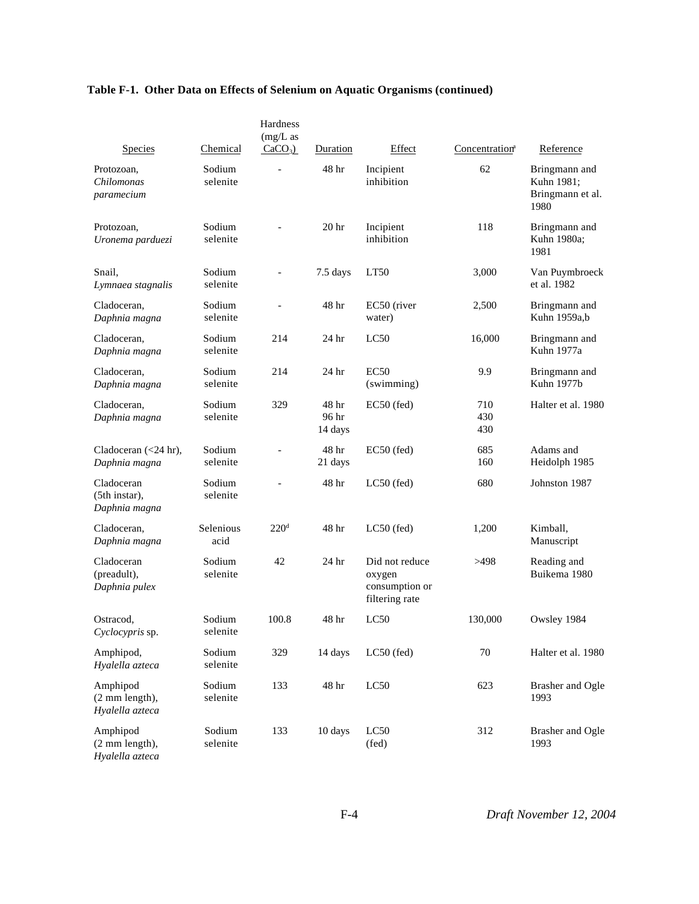| <b>Species</b>                                           | Chemical           | Hardness<br>$(mg/L)$ as<br>$CaCO3$ ) | Duration                  | Effect                                                       | Concentration <sup>a</sup> | Reference                                               |
|----------------------------------------------------------|--------------------|--------------------------------------|---------------------------|--------------------------------------------------------------|----------------------------|---------------------------------------------------------|
| Protozoan,<br>Chilomonas<br>paramecium                   | Sodium<br>selenite | $\overline{a}$                       | 48 hr                     | Incipient<br>inhibition                                      | 62                         | Bringmann and<br>Kuhn 1981;<br>Bringmann et al.<br>1980 |
| Protozoan,<br>Uronema parduezi                           | Sodium<br>selenite |                                      | 20 <sub>hr</sub>          | Incipient<br>inhibition                                      | 118                        | Bringmann and<br>Kuhn 1980a;<br>1981                    |
| Snail,<br>Lymnaea stagnalis                              | Sodium<br>selenite | $\overline{a}$                       | 7.5 days                  | LT50                                                         | 3,000                      | Van Puymbroeck<br>et al. 1982                           |
| Cladoceran,<br>Daphnia magna                             | Sodium<br>selenite | $\overline{a}$                       | 48 <sup>h</sup>           | EC50 (river<br>water)                                        | 2,500                      | Bringmann and<br>Kuhn 1959a,b                           |
| Cladoceran,<br>Daphnia magna                             | Sodium<br>selenite | 214                                  | 24 hr                     | LC50                                                         | 16,000                     | Bringmann and<br>Kuhn 1977a                             |
| Cladoceran,<br>Daphnia magna                             | Sodium<br>selenite | 214                                  | 24 hr                     | <b>EC50</b><br>(swimming)                                    | 9.9                        | Bringmann and<br>Kuhn 1977b                             |
| Cladoceran,<br>Daphnia magna                             | Sodium<br>selenite | 329                                  | 48 hr<br>96 hr<br>14 days | EC50 (fed)                                                   | 710<br>430<br>430          | Halter et al. 1980                                      |
| Cladoceran (<24 hr),<br>Daphnia magna                    | Sodium<br>selenite |                                      | 48 hr<br>21 days          | EC50 (fed)                                                   | 685<br>160                 | Adams and<br>Heidolph 1985                              |
| Cladoceran<br>(5th instar),<br>Daphnia magna             | Sodium<br>selenite |                                      | 48 hr                     | $LC50$ (fed)                                                 | 680                        | Johnston 1987                                           |
| Cladoceran,<br>Daphnia magna                             | Selenious<br>acid  | 220 <sup>d</sup>                     | 48 hr                     | $LC50$ (fed)                                                 | 1,200                      | Kimball,<br>Manuscript                                  |
| Cladoceran<br>(preadult),<br>Daphnia pulex               | Sodium<br>selenite | 42                                   | 24 hr                     | Did not reduce<br>oxygen<br>consumption or<br>filtering rate | >498                       | Reading and<br>Buikema 1980                             |
| Ostracod,<br>Cyclocypris sp.                             | Sodium<br>selenite | 100.8                                | 48 hr                     | LC50                                                         | 130,000                    | Owsley 1984                                             |
| Amphipod,<br>Hyalella azteca                             | Sodium<br>selenite | 329                                  | 14 days                   | $LC50$ (fed)                                                 | 70                         | Halter et al. 1980                                      |
| Amphipod<br>$(2 \text{ mm length})$ ,<br>Hyalella azteca | Sodium<br>selenite | 133                                  | 48 hr                     | LC50                                                         | 623                        | <b>Brasher</b> and Ogle<br>1993                         |
| Amphipod<br>(2 mm length),<br>$TL_{11}$ , $11$           | Sodium<br>selenite | 133                                  | 10 days                   | LC50<br>$(\text{fed})$                                       | 312                        | <b>Brasher</b> and Ogle<br>1993                         |

*Hyalella azteca*

F-4 *Draft November 12, 2004*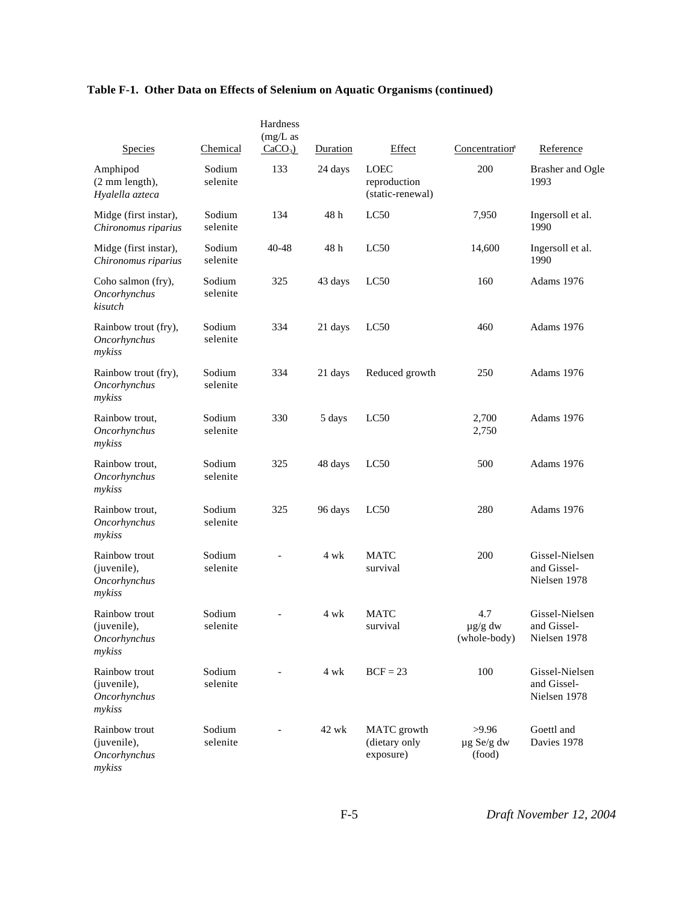|                                                          |                    | Hardness<br>$(mg/L)$ as |          |                                                 |                                     |                                               |
|----------------------------------------------------------|--------------------|-------------------------|----------|-------------------------------------------------|-------------------------------------|-----------------------------------------------|
| <b>Species</b>                                           | Chemical           | $CaCO3$ )               | Duration | Effect                                          | Concentration <sup>a</sup>          | Reference                                     |
| Amphipod<br>$(2 \text{ mm length})$ ,<br>Hyalella azteca | Sodium<br>selenite | 133                     | 24 days  | <b>LOEC</b><br>reproduction<br>(static-renewal) | 200                                 | <b>Brasher and Ogle</b><br>1993               |
| Midge (first instar),<br>Chironomus riparius             | Sodium<br>selenite | 134                     | 48h      | LC50                                            | 7,950                               | Ingersoll et al.<br>1990                      |
| Midge (first instar),<br>Chironomus riparius             | Sodium<br>selenite | 40-48                   | 48h      | LC50                                            | 14,600                              | Ingersoll et al.<br>1990                      |
| Coho salmon (fry),<br>Oncorhynchus<br>kisutch            | Sodium<br>selenite | 325                     | 43 days  | LC50                                            | 160                                 | Adams 1976                                    |
| Rainbow trout (fry),<br>Oncorhynchus<br>mykiss           | Sodium<br>selenite | 334                     | 21 days  | LC50                                            | 460                                 | Adams 1976                                    |
| Rainbow trout (fry),<br>Oncorhynchus<br>mykiss           | Sodium<br>selenite | 334                     | 21 days  | Reduced growth                                  | 250                                 | Adams 1976                                    |
| Rainbow trout.<br>Oncorhynchus<br>mykiss                 | Sodium<br>selenite | 330                     | 5 days   | LC50                                            | 2,700<br>2,750                      | Adams 1976                                    |
| Rainbow trout,<br>Oncorhynchus<br>mykiss                 | Sodium<br>selenite | 325                     | 48 days  | LC50                                            | 500                                 | Adams 1976                                    |
| Rainbow trout.<br>Oncorhynchus<br>mykiss                 | Sodium<br>selenite | 325                     | 96 days  | LC50                                            | 280                                 | Adams 1976                                    |
| Rainbow trout<br>(juvenile),<br>Oncorhynchus<br>mykiss   | Sodium<br>selenite |                         | 4 wk     | <b>MATC</b><br>survival                         | 200                                 | Gissel-Nielsen<br>and Gissel-<br>Nielsen 1978 |
| Rainbow trout<br>(juvenile),<br>Oncorhynchus<br>mykiss   | Sodium<br>selenite |                         | 4 wk     | <b>MATC</b><br>survival                         | 4.7<br>$\mu$ g/g dw<br>(whole-body) | Gissel-Nielsen<br>and Gissel-<br>Nielsen 1978 |
| Rainbow trout<br>(juvenile),<br>Oncorhynchus<br>mykiss   | Sodium<br>selenite |                         | 4 wk     | $BCF = 23$                                      | 100                                 | Gissel-Nielsen<br>and Gissel-<br>Nielsen 1978 |
| Rainbow trout<br>(juvenile),<br>Oncorhynchus<br>mykiss   | Sodium<br>selenite |                         | 42 wk    | MATC growth<br>(dietary only<br>exposure)       | >9.96<br>$\mu$ g Se/g dw<br>(food)  | Goettl and<br>Davies 1978                     |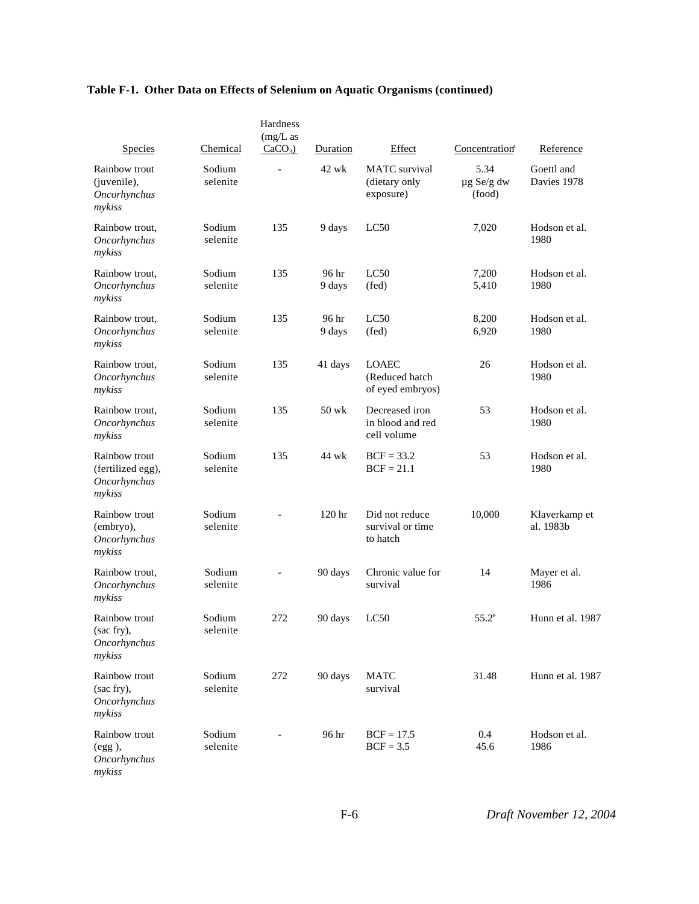|                                                              |                    | Hardness                 |                 |                                                    |                                   |                            |
|--------------------------------------------------------------|--------------------|--------------------------|-----------------|----------------------------------------------------|-----------------------------------|----------------------------|
| Species                                                      | Chemical           | $(mg/L)$ as<br>$CaCO3$ ) | Duration        | Effect                                             | Concentration <sup>a</sup>        | Reference                  |
| Rainbow trout<br>(juvenile),<br>Oncorhynchus<br>mykiss       | Sodium<br>selenite | $\overline{\phantom{0}}$ | $42$ wk         | <b>MATC</b> survival<br>(dietary only<br>exposure) | 5.34<br>$\mu$ g Se/g dw<br>(food) | Goettl and<br>Davies 1978  |
| Rainbow trout,<br>Oncorhynchus<br>mykiss                     | Sodium<br>selenite | 135                      | 9 days          | LC50                                               | 7,020                             | Hodson et al.<br>1980      |
| Rainbow trout,<br><b>Oncorhynchus</b><br>mykiss              | Sodium<br>selenite | 135                      | 96 hr<br>9 days | LC50<br>$(\text{fed})$                             | 7,200<br>5,410                    | Hodson et al.<br>1980      |
| Rainbow trout,<br>Oncorhynchus<br>mykiss                     | Sodium<br>selenite | 135                      | 96 hr<br>9 days | LC50<br>$(\text{fed})$                             | 8,200<br>6,920                    | Hodson et al.<br>1980      |
| Rainbow trout,<br>Oncorhynchus<br>mykiss                     | Sodium<br>selenite | 135                      | 41 days         | <b>LOAEC</b><br>(Reduced hatch<br>of eyed embryos) | 26                                | Hodson et al.<br>1980      |
| Rainbow trout,<br>Oncorhynchus<br>mykiss                     | Sodium<br>selenite | 135                      | $50$ wk         | Decreased iron<br>in blood and red<br>cell volume  | 53                                | Hodson et al.<br>1980      |
| Rainbow trout<br>(fertilized egg),<br>Oncorhynchus<br>mykiss | Sodium<br>selenite | 135                      | 44 wk           | $BCF = 33.2$<br>$BCF = 21.1$                       | 53                                | Hodson et al.<br>1980      |
| Rainbow trout<br>(embryo),<br>Oncorhynchus<br>mykiss         | Sodium<br>selenite |                          | 120 hr          | Did not reduce<br>survival or time<br>to hatch     | 10,000                            | Klaverkamp et<br>al. 1983b |
| Rainbow trout,<br>Oncorhynchus<br>mykiss                     | Sodium<br>selenite |                          | 90 days         | Chronic value for<br>survival                      | 14                                | Mayer et al.<br>1986       |
| Rainbow trout<br>(sac fry),<br>Oncorhynchus<br>mykiss        | Sodium<br>selenite | 272                      | 90 days         | LC50                                               | $55.2^{\circ}$                    | Hunn et al. 1987           |
| Rainbow trout<br>(sac fry),<br>Oncorhynchus<br>mykiss        | Sodium<br>selenite | 272                      | 90 days         | <b>MATC</b><br>survival                            | 31.48                             | Hunn et al. 1987           |
| Rainbow trout<br>(egg),<br>Oncorhynchus<br>mykiss            | Sodium<br>selenite |                          | 96 hr           | $BCF = 17.5$<br>$BCF = 3.5$                        | 0.4<br>45.6                       | Hodson et al.<br>1986      |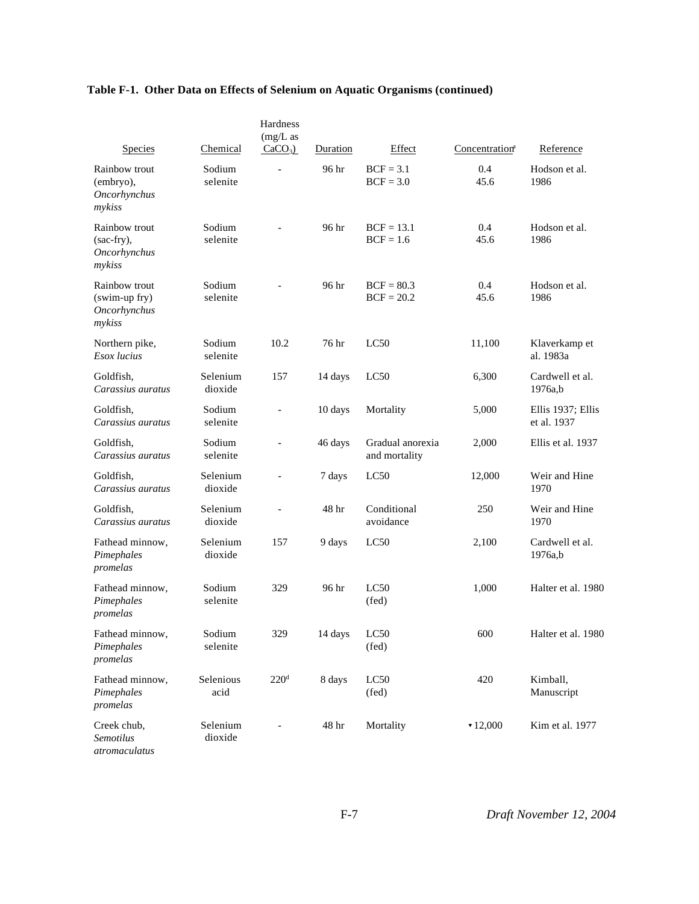| Species                                                         | Chemical            | Hardness<br>$(mg/L)$ as<br>$CaCO3$ ) | Duration | Effect                            | Concentration <sup>a</sup> | Reference                        |
|-----------------------------------------------------------------|---------------------|--------------------------------------|----------|-----------------------------------|----------------------------|----------------------------------|
| Rainbow trout<br>(embryo),<br>Oncorhynchus<br>mykiss            | Sodium<br>selenite  | $\overline{a}$                       | 96 hr    | $BCF = 3.1$<br>$BCF = 3.0$        | 0.4<br>45.6                | Hodson et al.<br>1986            |
| Rainbow trout<br>(sac-fry),<br><b>Oncorhynchus</b><br>mykiss    | Sodium<br>selenite  |                                      | 96 hr    | $BCF = 13.1$<br>$BCF = 1.6$       | 0.4<br>45.6                | Hodson et al.<br>1986            |
| Rainbow trout<br>(swim-up fry)<br><b>Oncorhynchus</b><br>mykiss | Sodium<br>selenite  |                                      | 96 hr    | $BCF = 80.3$<br>$BCF = 20.2$      | 0.4<br>45.6                | Hodson et al.<br>1986            |
| Northern pike,<br>Esox lucius                                   | Sodium<br>selenite  | 10.2                                 | 76 hr    | LC50                              | 11,100                     | Klaverkamp et<br>al. 1983a       |
| Goldfish,<br>Carassius auratus                                  | Selenium<br>dioxide | 157                                  | 14 days  | LC50                              | 6,300                      | Cardwell et al.<br>1976a,b       |
| Goldfish,<br>Carassius auratus                                  | Sodium<br>selenite  | $\overline{\phantom{0}}$             | 10 days  | Mortality                         | 5,000                      | Ellis 1937; Ellis<br>et al. 1937 |
| Goldfish,<br>Carassius auratus                                  | Sodium<br>selenite  | $\overline{a}$                       | 46 days  | Gradual anorexia<br>and mortality | 2,000                      | Ellis et al. 1937                |
| Goldfish,<br>Carassius auratus                                  | Selenium<br>dioxide | $\overline{a}$                       | 7 days   | LC50                              | 12,000                     | Weir and Hine<br>1970            |
| Goldfish,<br>Carassius auratus                                  | Selenium<br>dioxide | $\overline{a}$                       | 48 hr    | Conditional<br>avoidance          | 250                        | Weir and Hine<br>1970            |
| Fathead minnow,<br>Pimephales<br>promelas                       | Selenium<br>dioxide | 157                                  | 9 days   | LC50                              | 2,100                      | Cardwell et al.<br>1976a,b       |
| Fathead minnow,<br>Pimephales<br>promelas                       | Sodium<br>selenite  | 329                                  | 96 hr    | LC50<br>$(\text{fed})$            | 1,000                      | Halter et al. 1980               |
| Fathead minnow,<br>Pimephales<br>promelas                       | Sodium<br>selenite  | 329                                  | 14 days  | LC50<br>$(\text{fed})$            | 600                        | Halter et al. 1980               |
| Fathead minnow,<br>Pimephales<br>promelas                       | Selenious<br>acid   | 220 <sup>d</sup>                     | 8 days   | LC50<br>$(\text{fed})$            | 420                        | Kimball,<br>Manuscript           |
| Creek chub,<br><b>Semotilus</b><br>atromaculatus                | Selenium<br>dioxide | $\overline{\phantom{0}}$             | 48 hr    | Mortality                         | $\times 12,000$            | Kim et al. 1977                  |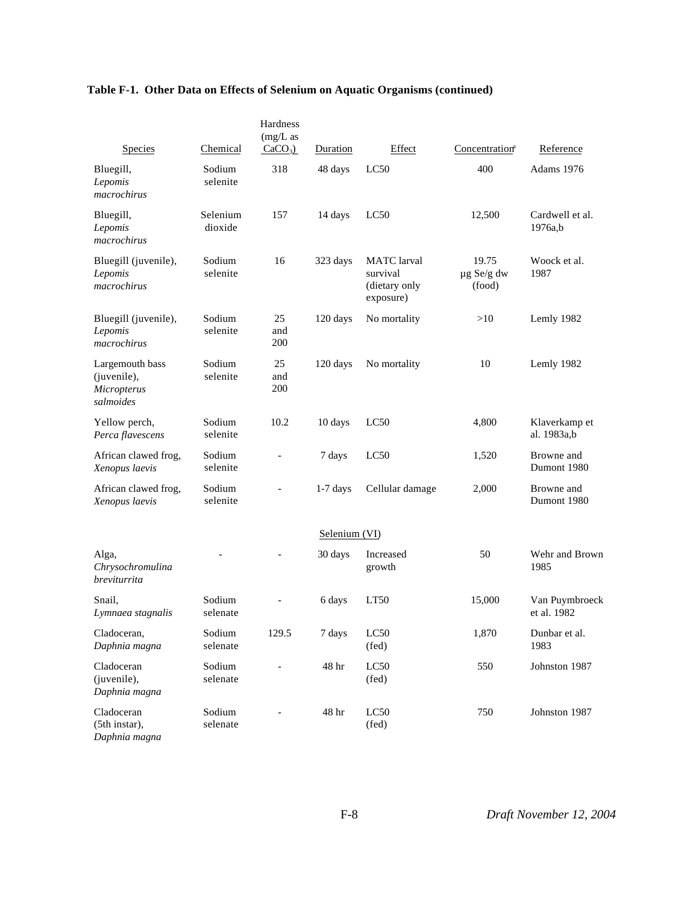| <b>Species</b>                                             | Chemical            | Hardness<br>$(mg/L)$ as<br>$CaCO3$ ) | Duration      | Effect                                                       | Concentration <sup>a</sup>    | Reference                     |
|------------------------------------------------------------|---------------------|--------------------------------------|---------------|--------------------------------------------------------------|-------------------------------|-------------------------------|
| Bluegill,<br>Lepomis<br>macrochirus                        | Sodium<br>selenite  | 318                                  | 48 days       | LC50                                                         | 400                           | Adams 1976                    |
| Bluegill,<br>Lepomis<br>macrochirus                        | Selenium<br>dioxide | 157                                  | 14 days       | LC50                                                         | 12,500                        | Cardwell et al.<br>1976a,b    |
| Bluegill (juvenile),<br>Lepomis<br>macrochirus             | Sodium<br>selenite  | 16                                   | 323 days      | <b>MATC</b> larval<br>survival<br>(dietary only<br>exposure) | 19.75<br>µg Se/g dw<br>(food) | Woock et al.<br>1987          |
| Bluegill (juvenile),<br>Lepomis<br>macrochirus             | Sodium<br>selenite  | 25<br>and<br>200                     | 120 days      | No mortality                                                 | >10                           | Lemly 1982                    |
| Largemouth bass<br>(juvenile),<br>Micropterus<br>salmoides | Sodium<br>selenite  | 25<br>and<br>200                     | 120 days      | No mortality                                                 | 10                            | Lemly 1982                    |
| Yellow perch,<br>Perca flavescens                          | Sodium<br>selenite  | 10.2                                 | 10 days       | LC50                                                         | 4,800                         | Klaverkamp et<br>al. 1983a,b  |
| African clawed frog,<br>Xenopus laevis                     | Sodium<br>selenite  | $\overline{\phantom{a}}$             | 7 days        | LC50                                                         | 1,520                         | Browne and<br>Dumont 1980     |
| African clawed frog,<br>Xenopus laevis                     | Sodium<br>selenite  |                                      | $1-7$ days    | Cellular damage                                              | 2,000                         | Browne and<br>Dumont 1980     |
|                                                            |                     |                                      | Selenium (VI) |                                                              |                               |                               |
| Alga,<br>Chrysochromulina<br>breviturrita                  |                     |                                      | 30 days       | Increased<br>growth                                          | 50                            | Wehr and Brown<br>1985        |
| Snail,<br>Lymnaea stagnalis                                | Sodium<br>selenate  |                                      | 6 days        | LT50                                                         | 15,000                        | Van Puymbroeck<br>et al. 1982 |
| Cladoceran,<br>Daphnia magna                               | Sodium<br>selenate  | 129.5                                | 7 days        | LC50<br>$(\text{fed})$                                       | 1,870                         | Dunbar et al.<br>1983         |
| Cladoceran<br>(juvenile),<br>Daphnia magna                 | Sodium<br>selenate  |                                      | 48 hr         | LC50<br>(fed)                                                | 550                           | Johnston 1987                 |
| Cladoceran<br>(5th instar),<br>Daphnia magna               | Sodium<br>selenate  |                                      | 48 hr         | LC50<br>(fed)                                                | 750                           | Johnston 1987                 |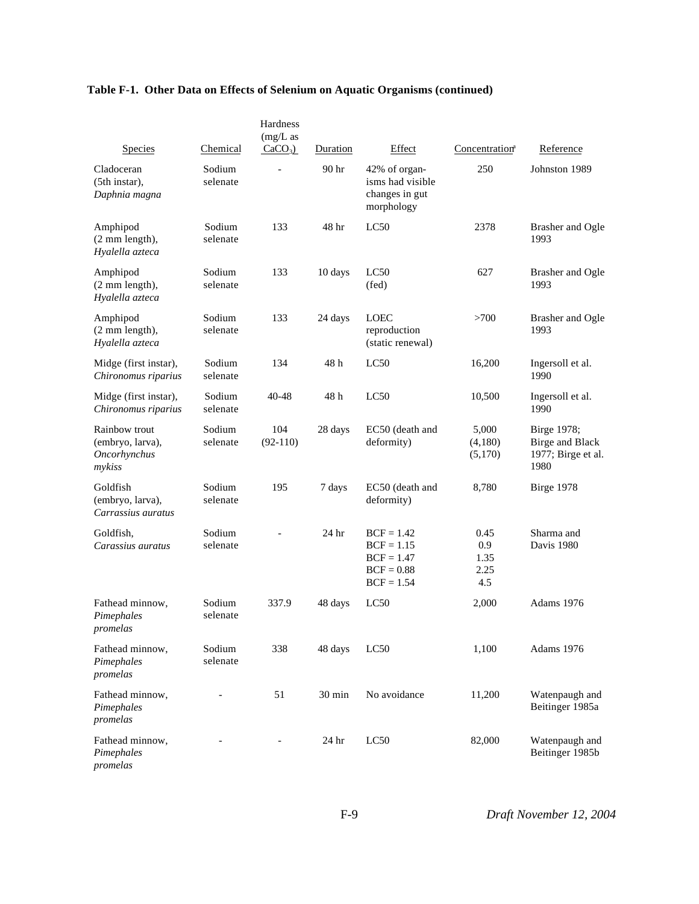|                                                                    |                    | Hardness<br>$(mg/L)$ as |                   |                                                                              |                                    |                                                                     |
|--------------------------------------------------------------------|--------------------|-------------------------|-------------------|------------------------------------------------------------------------------|------------------------------------|---------------------------------------------------------------------|
| <b>Species</b><br>Cladoceran                                       | Chemical<br>Sodium | $CaCO3$ )               | Duration<br>90 hr | Effect<br>42% of organ-                                                      | Concentration <sup>a</sup><br>250  | Reference<br>Johnston 1989                                          |
| (5th instar),<br>Daphnia magna                                     | selenate           |                         |                   | isms had visible<br>changes in gut<br>morphology                             |                                    |                                                                     |
| Amphipod<br>(2 mm length),<br>Hyalella azteca                      | Sodium<br>selenate | 133                     | 48 hr             | LC50                                                                         | 2378                               | <b>Brasher and Ogle</b><br>1993                                     |
| Amphipod<br>(2 mm length),<br>Hyalella azteca                      | Sodium<br>selenate | 133                     | 10 days           | LC50<br>$(\text{fed})$                                                       | 627                                | <b>Brasher</b> and Ogle<br>1993                                     |
| Amphipod<br>(2 mm length),<br>Hyalella azteca                      | Sodium<br>selenate | 133                     | 24 days           | <b>LOEC</b><br>reproduction<br>(static renewal)                              | >700                               | <b>Brasher and Ogle</b><br>1993                                     |
| Midge (first instar),<br>Chironomus riparius                       | Sodium<br>selenate | 134                     | 48h               | LC50                                                                         | 16,200                             | Ingersoll et al.<br>1990                                            |
| Midge (first instar),<br>Chironomus riparius                       | Sodium<br>selenate | 40-48                   | 48 h              | LC50                                                                         | 10,500                             | Ingersoll et al.<br>1990                                            |
| Rainbow trout<br>(embryo, larva),<br><b>Oncorhynchus</b><br>mykiss | Sodium<br>selenate | 104<br>$(92-110)$       | 28 days           | EC50 (death and<br>deformity)                                                | 5,000<br>(4,180)<br>(5,170)        | Birge 1978;<br><b>Birge and Black</b><br>1977; Birge et al.<br>1980 |
| Goldfish<br>(embryo, larva),<br>Carrassius auratus                 | Sodium<br>selenate | 195                     | 7 days            | EC50 (death and<br>deformity)                                                | 8,780                              | Birge 1978                                                          |
| Goldfish,<br>Carassius auratus                                     | Sodium<br>selenate |                         | 24 hr             | $BCF = 1.42$<br>$BCF = 1.15$<br>$BCF = 1.47$<br>$BCF = 0.88$<br>$BCF = 1.54$ | 0.45<br>0.9<br>1.35<br>2.25<br>4.5 | Sharma and<br>Davis 1980                                            |
| Fathead minnow,<br>Pimephales<br>promelas                          | Sodium<br>selenate | 337.9                   | 48 days           | LC50                                                                         | 2,000                              | Adams 1976                                                          |
| Fathead minnow,<br>Pimephales<br>promelas                          | Sodium<br>selenate | 338                     | 48 days           | LC50                                                                         | 1,100                              | Adams 1976                                                          |
| Fathead minnow,<br>Pimephales<br>promelas                          |                    | 51                      | 30 min            | No avoidance                                                                 | 11,200                             | Watenpaugh and<br>Beitinger 1985a                                   |
| Fathead minnow,<br>Pimephales<br>promelas                          |                    |                         | 24 hr             | LC50                                                                         | 82,000                             | Watenpaugh and<br>Beitinger 1985b                                   |

F-9 *Draft November 12, 2004*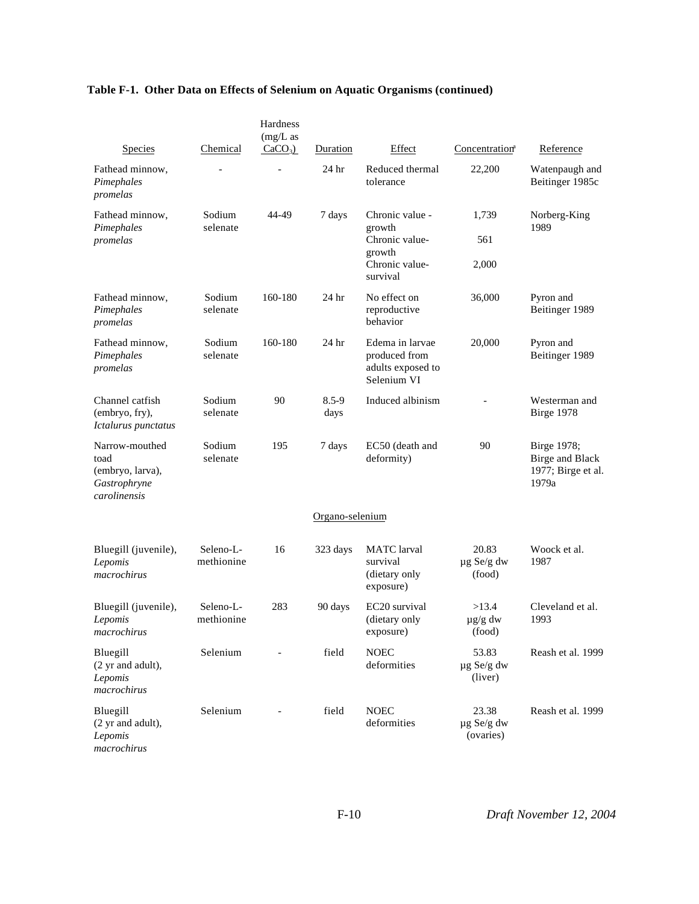| <b>Species</b>                                                             | Chemical                | Hardness<br>$(mg/L)$ as<br>$CaCO3$ ) | Duration          | Effect                                                                              | Concentration <sup>a</sup>         | Reference                                                            |
|----------------------------------------------------------------------------|-------------------------|--------------------------------------|-------------------|-------------------------------------------------------------------------------------|------------------------------------|----------------------------------------------------------------------|
| Fathead minnow,<br>Pimephales<br>promelas                                  |                         |                                      | 24 hr             | Reduced thermal<br>tolerance                                                        | 22,200                             | Watenpaugh and<br>Beitinger 1985c                                    |
| Fathead minnow,<br>Pimephales<br>promelas                                  | Sodium<br>selenate      | 44-49                                | 7 days            | Chronic value -<br>growth<br>Chronic value-<br>growth<br>Chronic value-<br>survival | 1,739<br>561<br>2,000              | Norberg-King<br>1989                                                 |
| Fathead minnow,<br>Pimephales<br>promelas                                  | Sodium<br>selenate      | 160-180                              | 24 hr             | No effect on<br>reproductive<br>behavior                                            | 36,000                             | Pyron and<br>Beitinger 1989                                          |
| Fathead minnow,<br>Pimephales<br>promelas                                  | Sodium<br>selenate      | 160-180                              | 24 <sub>hr</sub>  | Edema in larvae<br>produced from<br>adults exposed to<br>Selenium VI                | 20,000                             | Pyron and<br>Beitinger 1989                                          |
| Channel catfish<br>(embryo, fry),<br>Ictalurus punctatus                   | Sodium<br>selenate      | 90                                   | $8.5 - 9$<br>days | Induced albinism                                                                    |                                    | Westerman and<br>Birge 1978                                          |
| Narrow-mouthed<br>toad<br>(embryo, larva),<br>Gastrophryne<br>carolinensis | Sodium<br>selenate      | 195                                  | 7 days            | EC50 (death and<br>deformity)                                                       | 90                                 | Birge 1978;<br><b>Birge and Black</b><br>1977; Birge et al.<br>1979a |
|                                                                            |                         |                                      | Organo-selenium   |                                                                                     |                                    |                                                                      |
| Bluegill (juvenile),<br>Lepomis<br>macrochirus                             | Seleno-L-<br>methionine | 16                                   | 323 days          | <b>MATC</b> larval<br>survival<br>(dietary only<br>exposure)                        | 20.83<br>$\mu$ g Se/g dw<br>(food) | Woock et al.<br>1987                                                 |
| Bluegill (juvenile),<br>Lepomis<br>macrochirus                             | Seleno-L-<br>methionine | 283                                  | 90 days           | EC <sub>20</sub> survival<br>(dietary only<br>exposure)                             | >13.4<br>$\mu$ g/g dw<br>(food)    | Cleveland et al.<br>1993                                             |
| Bluegill<br>(2 yr and adult),<br>Lepomis<br>macrochirus                    | Selenium                |                                      | field             | <b>NOEC</b><br>deformities                                                          | 53.83<br>µg Se/g dw<br>(liver)     | Reash et al. 1999                                                    |
| Bluegill<br>(2 yr and adult),<br>Lepomis<br>macrochirus                    | Selenium                |                                      | field             | <b>NOEC</b><br>deformities                                                          | 23.38<br>µg Se/g dw<br>(ovaries)   | Reash et al. 1999                                                    |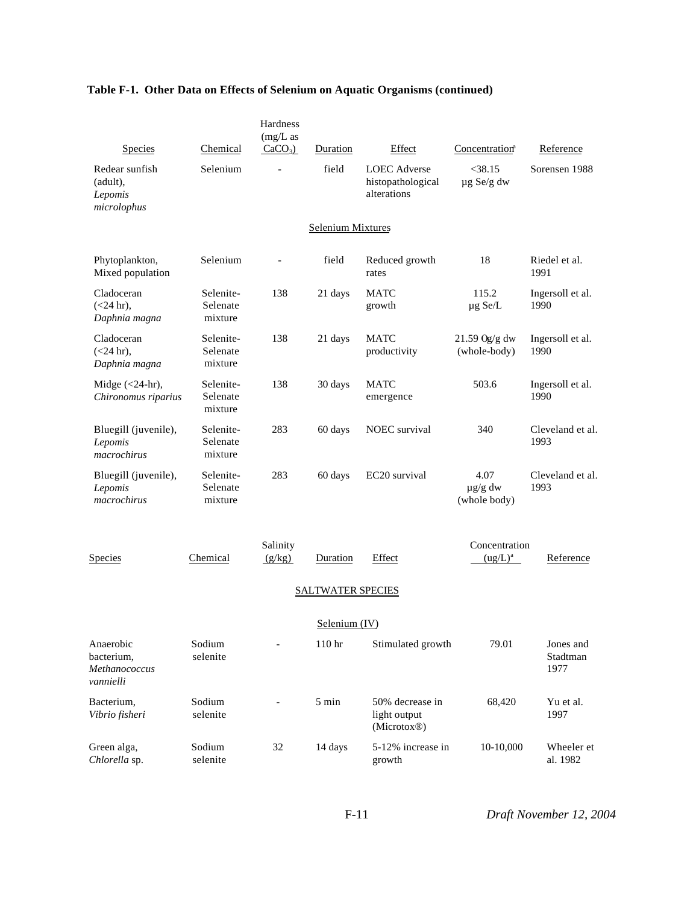| <b>Species</b>                                        | Chemical                         | Hardness<br>$(mg/L)$ as<br>$CaCO3$ ) | Duration                 | Effect                                                  | Concentration <sup>a</sup>           | Reference                     |
|-------------------------------------------------------|----------------------------------|--------------------------------------|--------------------------|---------------------------------------------------------|--------------------------------------|-------------------------------|
| Redear sunfish<br>(adult),<br>Lepomis<br>microlophus  | Selenium                         |                                      | field                    | <b>LOEC</b> Adverse<br>histopathological<br>alterations | $<$ 38.15<br>$\mu$ g Se/g dw         | Sorensen 1988                 |
|                                                       |                                  |                                      | Selenium Mixtures        |                                                         |                                      |                               |
| Phytoplankton,<br>Mixed population                    | Selenium                         |                                      | field                    | Reduced growth<br>rates                                 | 18                                   | Riedel et al.<br>1991         |
| Cladoceran<br>$(<24$ hr),<br>Daphnia magna            | Selenite-<br>Selenate<br>mixture | 138                                  | 21 days                  | MATC<br>growth                                          | 115.2<br>$\mu$ g Se/L                | Ingersoll et al.<br>1990      |
| Cladoceran<br>$(<24$ hr).<br>Daphnia magna            | Selenite-<br>Selenate<br>mixture | 138                                  | 21 days                  | <b>MATC</b><br>productivity                             | 21.59 Og/g dw<br>(whole-body)        | Ingersoll et al.<br>1990      |
| Midge $(<24$ -hr),<br>Chironomus riparius             | Selenite-<br>Selenate<br>mixture | 138                                  | 30 days                  | <b>MATC</b><br>emergence                                | 503.6                                | Ingersoll et al.<br>1990      |
| Bluegill (juvenile),<br>Lepomis<br>macrochirus        | Selenite-<br>Selenate<br>mixture | 283                                  | 60 days                  | <b>NOEC</b> survival                                    | 340                                  | Cleveland et al.<br>1993      |
| Bluegill (juvenile),<br>Lepomis<br>macrochirus        | Selenite-<br>Selenate<br>mixture | 283                                  | 60 days                  | EC20 survival                                           | 4.07<br>$\mu$ g/g dw<br>(whole body) | Cleveland et al.<br>1993      |
| Species                                               | Chemical                         | Salinity<br>(g/kg)                   | Duration                 | Effect                                                  | Concentration<br>$(ug/L)^a$          | Reference                     |
|                                                       |                                  |                                      | <b>SALTWATER SPECIES</b> |                                                         |                                      |                               |
|                                                       |                                  |                                      | Selenium $(IV)$          |                                                         |                                      |                               |
| Anaerobic<br>bacterium,<br>Methanococcus<br>vannielli | Sodium<br>selenite               |                                      | 110 hr                   | Stimulated growth                                       | 79.01                                | Jones and<br>Stadtman<br>1977 |
| Bacterium,<br>Vibrio fisheri                          | Sodium<br>selenite               |                                      | 5 min                    | 50% decrease in<br>light output<br>(Microtox®)          | 68,420                               | Yu et al.<br>1997             |
| Green alga,<br>Chlorella sp.                          | Sodium<br>selenite               | 32                                   | 14 days                  | 5-12% increase in<br>growth                             | 10-10,000                            | Wheeler et<br>al. 1982        |

F-11 *Draft November 12, 2004*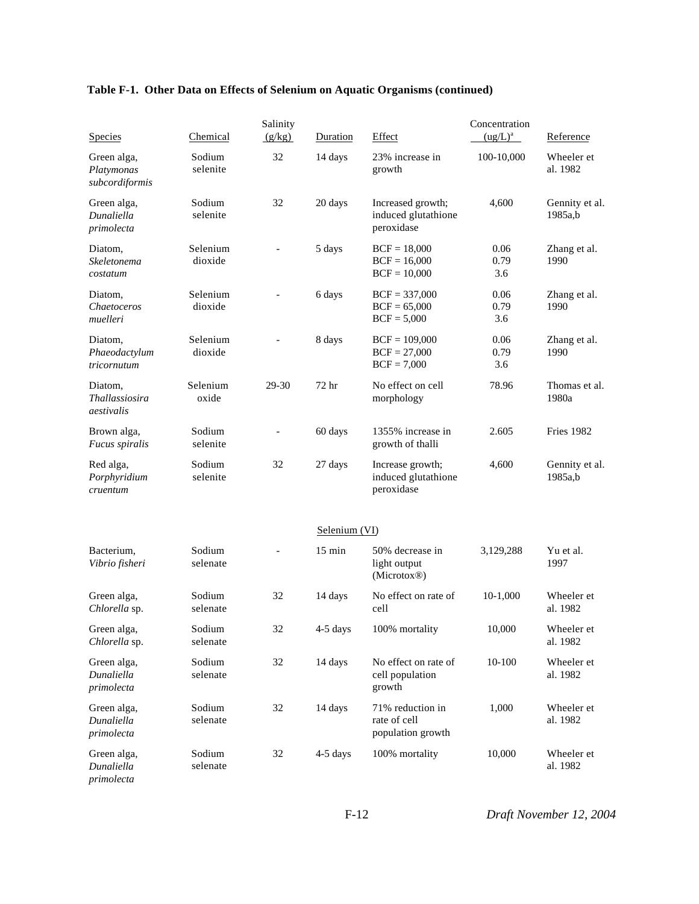| Species                                     | Chemical            | Salinity<br>(g/kg)       | Duration         | Effect                                                 | Concentration<br>$(ug/L)^a$ | Reference                 |
|---------------------------------------------|---------------------|--------------------------|------------------|--------------------------------------------------------|-----------------------------|---------------------------|
| Green alga,<br>Platymonas<br>subcordiformis | Sodium<br>selenite  | 32                       | 14 days          | 23% increase in<br>growth                              | 100-10,000                  | Wheeler et<br>al. 1982    |
| Green alga,<br>Dunaliella<br>primolecta     | Sodium<br>selenite  | 32                       | 20 days          | Increased growth;<br>induced glutathione<br>peroxidase | 4,600                       | Gennity et al.<br>1985a,b |
| Diatom,<br>Skeletonema<br>costatum          | Selenium<br>dioxide |                          | 5 days           | $BCF = 18,000$<br>$BCF = 16,000$<br>$BCF = 10,000$     | 0.06<br>0.79<br>3.6         | Zhang et al.<br>1990      |
| Diatom,<br>Chaetoceros<br>muelleri          | Selenium<br>dioxide |                          | 6 days           | $BCF = 337,000$<br>$BCF = 65,000$<br>$BCF = 5,000$     | 0.06<br>0.79<br>3.6         | Zhang et al.<br>1990      |
| Diatom,<br>Phaeodactylum<br>tricornutum     | Selenium<br>dioxide |                          | 8 days           | $BCF = 109,000$<br>$BCF = 27,000$<br>$BCF = 7,000$     | 0.06<br>0.79<br>3.6         | Zhang et al.<br>1990      |
| Diatom.<br>Thallassiosira<br>aestivalis     | Selenium<br>oxide   | 29-30                    | 72 hr            | No effect on cell<br>morphology                        | 78.96                       | Thomas et al.<br>1980a    |
| Brown alga,<br>Fucus spiralis               | Sodium<br>selenite  |                          | 60 days          | 1355% increase in<br>growth of thalli                  | 2.605                       | <b>Fries 1982</b>         |
| Red alga,<br>Porphyridium<br>cruentum       | Sodium<br>selenite  | 32                       | 27 days          | Increase growth;<br>induced glutathione<br>peroxidase  | 4,600                       | Gennity et al.<br>1985a,b |
|                                             |                     |                          | Selenium (VI)    |                                                        |                             |                           |
| Bacterium,<br>Vibrio fisheri                | Sodium<br>selenate  | $\overline{\phantom{0}}$ | $15 \text{ min}$ | 50% decrease in<br>light output<br>(Microtox®)         | 3,129,288                   | Yu et al.<br>1997         |
| Green alga,<br>Chlorella sp.                | Sodium<br>selenate  | 32                       | 14 days          | No effect on rate of<br>cell                           | 10-1,000                    | Wheeler et<br>al. 1982    |
| Green alga,<br>Chlorella sp.                | Sodium<br>selenate  | 32                       | 4-5 days         | 100% mortality                                         | 10,000                      | Wheeler et<br>al. 1982    |
| Green alga,<br>Dunaliella<br>primolecta     | Sodium<br>selenate  | 32                       | 14 days          | No effect on rate of<br>cell population<br>growth      | 10-100                      | Wheeler et<br>al. 1982    |
| Green alga,<br>Dunaliella<br>primolecta     | Sodium<br>selenate  | 32                       | 14 days          | 71% reduction in<br>rate of cell<br>population growth  | 1,000                       | Wheeler et<br>al. 1982    |
| Green alga,<br>Dunaliella<br>primolecta     | Sodium<br>selenate  | 32                       | $4-5$ days       | 100% mortality                                         | 10,000                      | Wheeler et<br>al. 1982    |

F-12 *Draft November 12, 2004*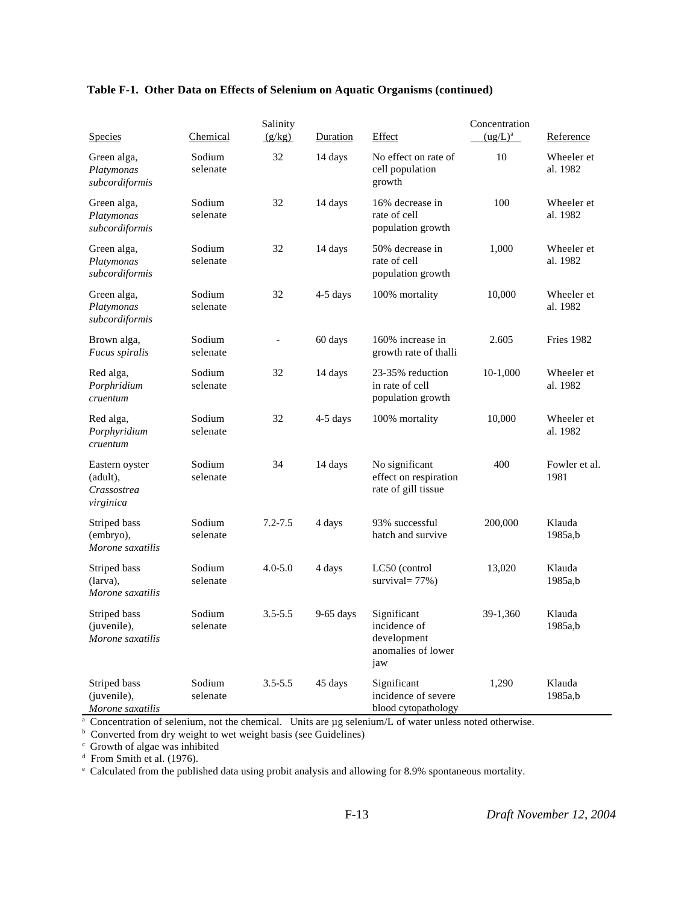| <b>Species</b>                                         | Chemical           | Salinity<br>(g/kg)       | Duration    | Effect                                                                  | Concentration<br>$(ug/L)^a$ | Reference              |
|--------------------------------------------------------|--------------------|--------------------------|-------------|-------------------------------------------------------------------------|-----------------------------|------------------------|
| Green alga,<br>Platymonas<br>subcordiformis            | Sodium<br>selenate | 32                       | 14 days     | No effect on rate of<br>cell population<br>growth                       | 10                          | Wheeler et<br>al. 1982 |
| Green alga,<br>Platymonas<br>subcordiformis            | Sodium<br>selenate | 32                       | 14 days     | 16% decrease in<br>rate of cell<br>population growth                    | 100                         | Wheeler et<br>al. 1982 |
| Green alga,<br>Platymonas<br>subcordiformis            | Sodium<br>selenate | 32                       | 14 days     | 50% decrease in<br>rate of cell<br>population growth                    | 1,000                       | Wheeler et<br>al. 1982 |
| Green alga,<br>Platymonas<br>subcordiformis            | Sodium<br>selenate | 32                       | $4-5$ days  | 100% mortality                                                          | 10,000                      | Wheeler et<br>al. 1982 |
| Brown alga,<br><i>Fucus spiralis</i>                   | Sodium<br>selenate | $\overline{\phantom{a}}$ | 60 days     | 160% increase in<br>growth rate of thalli                               | 2.605                       | <b>Fries 1982</b>      |
| Red alga,<br>Porphridium<br>cruentum                   | Sodium<br>selenate | 32                       | 14 days     | 23-35% reduction<br>in rate of cell<br>population growth                | 10-1,000                    | Wheeler et<br>al. 1982 |
| Red alga,<br>Porphyridium<br>cruentum                  | Sodium<br>selenate | 32                       | $4-5$ days  | 100% mortality                                                          | 10,000                      | Wheeler et<br>al. 1982 |
| Eastern oyster<br>(adult),<br>Crassostrea<br>virginica | Sodium<br>selenate | 34                       | 14 days     | No significant<br>effect on respiration<br>rate of gill tissue          | 400                         | Fowler et al.<br>1981  |
| Striped bass<br>(embryo),<br>Morone saxatilis          | Sodium<br>selenate | $7.2 - 7.5$              | 4 days      | 93% successful<br>hatch and survive                                     | 200,000                     | Klauda<br>1985a,b      |
| Striped bass<br>(larva),<br>Morone saxatilis           | Sodium<br>selenate | $4.0 - 5.0$              | 4 days      | LC50 (control<br>survival= $77\%$ )                                     | 13,020                      | Klauda<br>1985a,b      |
| Striped bass<br>(juvenile),<br>Morone saxatilis        | Sodium<br>selenate | $3.5 - 5.5$              | $9-65$ days | Significant<br>incidence of<br>development<br>anomalies of lower<br>jaw | 39-1,360                    | Klauda<br>1985a,b      |
| Striped bass<br>(juvenile),<br>Morone saxatilis        | Sodium<br>selenate | $3.5 - 5.5$              | 45 days     | Significant<br>incidence of severe<br>blood cytopathology               | 1,290                       | Klauda<br>1985a,b      |

Morone saxatilis<br>
<sup>a</sup> Concentration of selenium, not the chemical. Units are  $\mu$ g selenium/L of water unless noted otherwise.<br>
<sup>b</sup> Converted from dry weight to wet weight basis (see Guidelines)<br>
<sup>c</sup> Growth of algae was i

d From Smith et al. (1976).

e Calculated from the published data using probit analysis and allowing for 8.9% spontaneous mortality.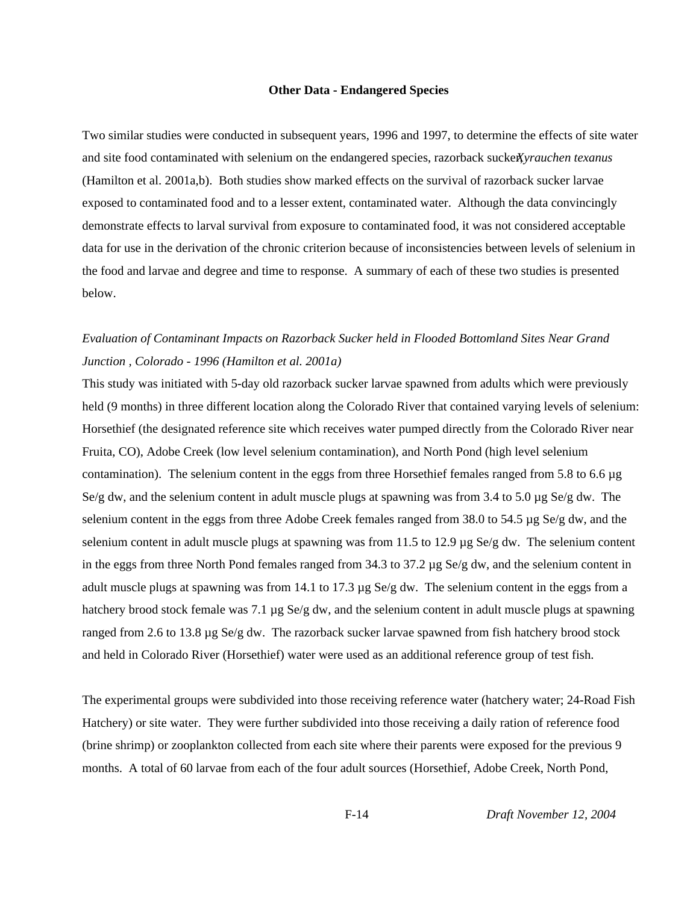#### **Other Data - Endangered Species**

Two similar studies were conducted in subsequent years, 1996 and 1997, to determine the effects of site water and site food contaminated with selenium on the endangered species, razorback sucker, *Xyrauchen texanus* (Hamilton et al. 2001a,b). Both studies show marked effects on the survival of razorback sucker larvae exposed to contaminated food and to a lesser extent, contaminated water. Although the data convincingly demonstrate effects to larval survival from exposure to contaminated food, it was not considered acceptable data for use in the derivation of the chronic criterion because of inconsistencies between levels of selenium in the food and larvae and degree and time to response. A summary of each of these two studies is presented below.

# *Evaluation of Contaminant Impacts on Razorback Sucker held in Flooded Bottomland Sites Near Grand Junction , Colorado - 1996 (Hamilton et al. 2001a)*

This study was initiated with 5-day old razorback sucker larvae spawned from adults which were previously held (9 months) in three different location along the Colorado River that contained varying levels of selenium: Horsethief (the designated reference site which receives water pumped directly from the Colorado River near Fruita, CO), Adobe Creek (low level selenium contamination), and North Pond (high level selenium contamination). The selenium content in the eggs from three Horsethief females ranged from 5.8 to 6.6 µg Se/g dw, and the selenium content in adult muscle plugs at spawning was from 3.4 to 5.0 µg Se/g dw. The selenium content in the eggs from three Adobe Creek females ranged from 38.0 to 54.5 µg Se/g dw, and the selenium content in adult muscle plugs at spawning was from 11.5 to 12.9  $\mu$ g Se/g dw. The selenium content in the eggs from three North Pond females ranged from 34.3 to 37.2 µg Se/g dw, and the selenium content in adult muscle plugs at spawning was from 14.1 to 17.3 µg Se/g dw. The selenium content in the eggs from a hatchery brood stock female was 7.1  $\mu$ g Se/g dw, and the selenium content in adult muscle plugs at spawning ranged from 2.6 to 13.8 µg Se/g dw. The razorback sucker larvae spawned from fish hatchery brood stock and held in Colorado River (Horsethief) water were used as an additional reference group of test fish.

The experimental groups were subdivided into those receiving reference water (hatchery water; 24-Road Fish Hatchery) or site water. They were further subdivided into those receiving a daily ration of reference food (brine shrimp) or zooplankton collected from each site where their parents were exposed for the previous 9 months. A total of 60 larvae from each of the four adult sources (Horsethief, Adobe Creek, North Pond,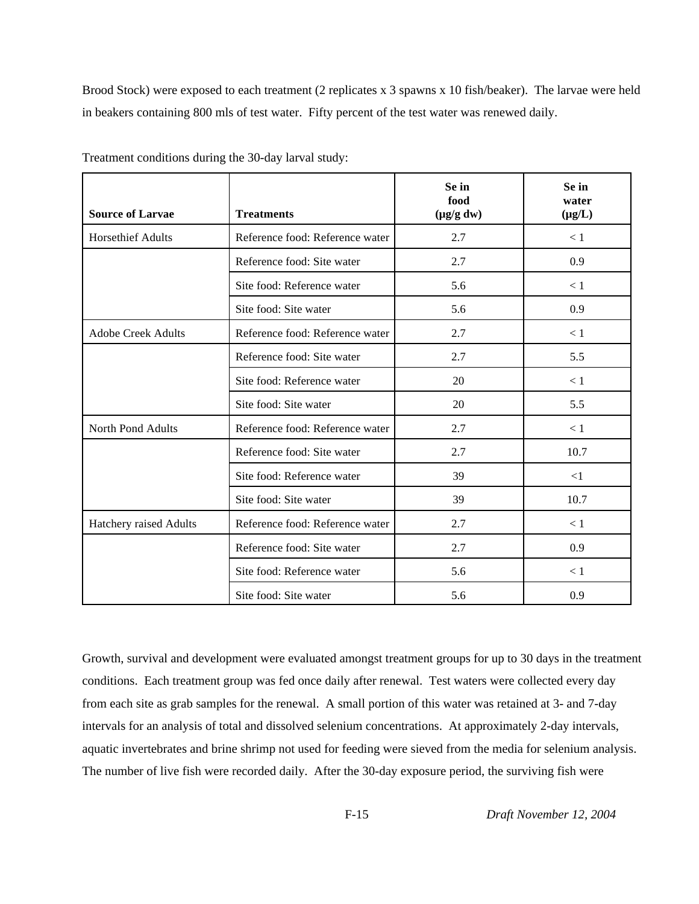Brood Stock) were exposed to each treatment (2 replicates x 3 spawns x 10 fish/beaker). The larvae were held in beakers containing 800 mls of test water. Fifty percent of the test water was renewed daily.

| <b>Source of Larvae</b>   | <b>Treatments</b>               | Se in<br>food<br>$(\mu g/g dw)$ | Se in<br>water<br>$(\mu g/L)$ |
|---------------------------|---------------------------------|---------------------------------|-------------------------------|
| <b>Horsethief Adults</b>  | Reference food: Reference water | 2.7                             | $<1\,$                        |
|                           | Reference food: Site water      | 2.7                             | 0.9                           |
|                           | Site food: Reference water      | 5.6                             | < 1                           |
|                           | Site food: Site water           | 5.6                             | 0.9                           |
| <b>Adobe Creek Adults</b> | Reference food: Reference water | 2.7                             | < 1                           |
|                           | Reference food: Site water      | 2.7                             | 5.5                           |
|                           | Site food: Reference water      | 20                              | $<1\,$                        |
|                           | Site food: Site water           | 20                              | 5.5                           |
| North Pond Adults         | Reference food: Reference water | 2.7                             | < 1                           |
|                           | Reference food: Site water      | 2.7                             | 10.7                          |
|                           | Site food: Reference water      | 39                              | $\leq$ 1                      |
|                           | Site food: Site water           | 39                              | 10.7                          |
| Hatchery raised Adults    | Reference food: Reference water | 2.7                             | $\leq 1$                      |
|                           | Reference food: Site water      | 2.7                             | 0.9                           |
|                           | Site food: Reference water      | 5.6                             | $<1\,$                        |
|                           | Site food: Site water           | 5.6                             | 0.9                           |

Treatment conditions during the 30-day larval study:

Growth, survival and development were evaluated amongst treatment groups for up to 30 days in the treatment conditions. Each treatment group was fed once daily after renewal. Test waters were collected every day from each site as grab samples for the renewal. A small portion of this water was retained at 3- and 7-day intervals for an analysis of total and dissolved selenium concentrations. At approximately 2-day intervals, aquatic invertebrates and brine shrimp not used for feeding were sieved from the media for selenium analysis. The number of live fish were recorded daily. After the 30-day exposure period, the surviving fish were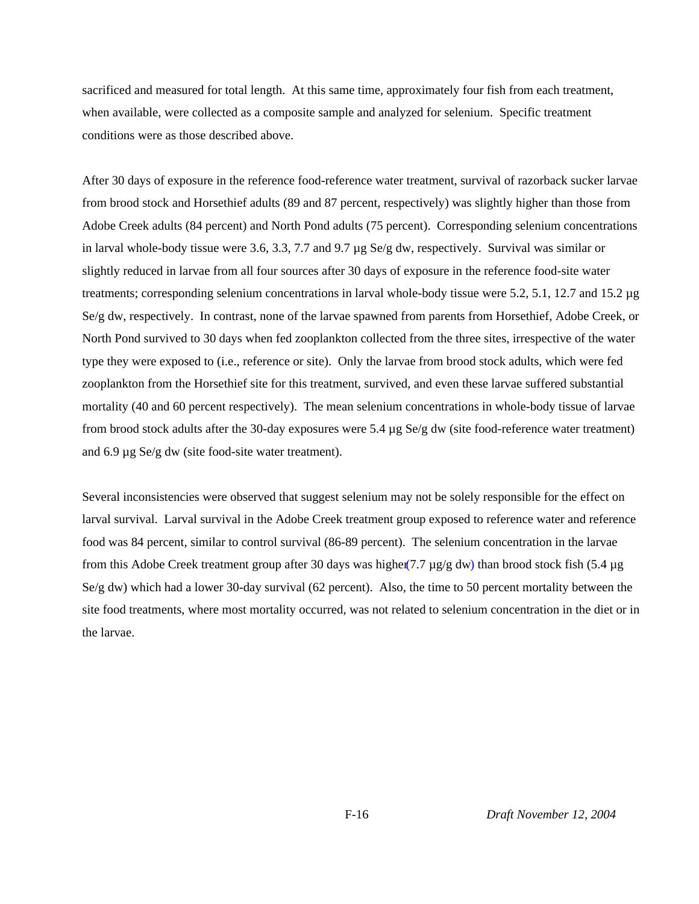sacrificed and measured for total length. At this same time, approximately four fish from each treatment, when available, were collected as a composite sample and analyzed for selenium. Specific treatment conditions were as those described above.

After 30 days of exposure in the reference food-reference water treatment, survival of razorback sucker larvae from brood stock and Horsethief adults (89 and 87 percent, respectively) was slightly higher than those from Adobe Creek adults (84 percent) and North Pond adults (75 percent). Corresponding selenium concentrations in larval whole-body tissue were 3.6, 3.3, 7.7 and 9.7 µg Se/g dw, respectively. Survival was similar or slightly reduced in larvae from all four sources after 30 days of exposure in the reference food-site water treatments; corresponding selenium concentrations in larval whole-body tissue were 5.2, 5.1, 12.7 and 15.2 µg Se/g dw, respectively. In contrast, none of the larvae spawned from parents from Horsethief, Adobe Creek, or North Pond survived to 30 days when fed zooplankton collected from the three sites, irrespective of the water type they were exposed to (i.e., reference or site). Only the larvae from brood stock adults, which were fed zooplankton from the Horsethief site for this treatment, survived, and even these larvae suffered substantial mortality (40 and 60 percent respectively). The mean selenium concentrations in whole-body tissue of larvae from brood stock adults after the 30-day exposures were 5.4 µg Se/g dw (site food-reference water treatment) and 6.9 µg Se/g dw (site food-site water treatment).

Several inconsistencies were observed that suggest selenium may not be solely responsible for the effect on larval survival. Larval survival in the Adobe Creek treatment group exposed to reference water and reference food was 84 percent, similar to control survival (86-89 percent). The selenium concentration in the larvae from this Adobe Creek treatment group after 30 days was higher  $(7.7 \,\mu g/g \, dw)$  than brood stock fish  $(5.4 \,\mu g)$ Se/g dw) which had a lower 30-day survival (62 percent). Also, the time to 50 percent mortality between the site food treatments, where most mortality occurred, was not related to selenium concentration in the diet or in the larvae.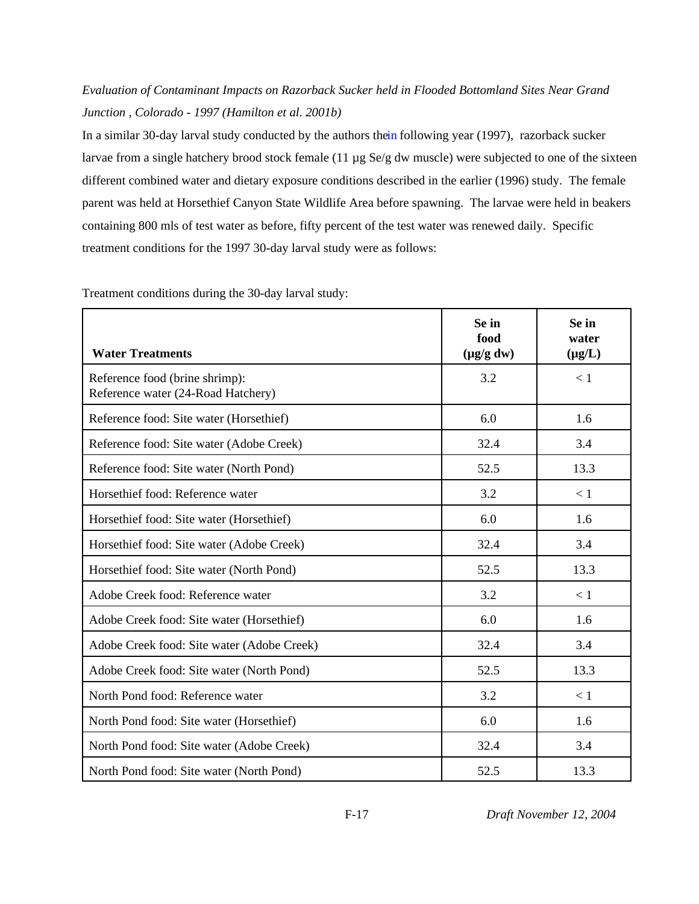# *Evaluation of Contaminant Impacts on Razorback Sucker held in Flooded Bottomland Sites Near Grand Junction , Colorado - 1997 (Hamilton et al. 2001b)*

In a similar 30-day larval study conducted by the authors thein following year (1997), razorback sucker larvae from a single hatchery brood stock female (11 µg Se/g dw muscle) were subjected to one of the sixteen different combined water and dietary exposure conditions described in the earlier (1996) study. The female parent was held at Horsethief Canyon State Wildlife Area before spawning. The larvae were held in beakers containing 800 mls of test water as before, fifty percent of the test water was renewed daily. Specific treatment conditions for the 1997 30-day larval study were as follows:

| <b>Water Treatments</b>                                              | Se in<br>food<br>$(\mu g/g d w)$ | Se in<br>water<br>$(\mu g/L)$ |
|----------------------------------------------------------------------|----------------------------------|-------------------------------|
| Reference food (brine shrimp):<br>Reference water (24-Road Hatchery) | 3.2                              | $\lt 1$                       |
| Reference food: Site water (Horsethief)                              | 6.0                              | 1.6                           |
| Reference food: Site water (Adobe Creek)                             | 32.4                             | 3.4                           |
| Reference food: Site water (North Pond)                              | 52.5                             | 13.3                          |
| Horsethief food: Reference water                                     | 3.2                              | < 1                           |
| Horsethief food: Site water (Horsethief)                             | 6.0                              | 1.6                           |
| Horsethief food: Site water (Adobe Creek)                            | 32.4                             | 3.4                           |
| Horsethief food: Site water (North Pond)                             | 52.5                             | 13.3                          |
| Adobe Creek food: Reference water                                    | 3.2                              | < 1                           |
| Adobe Creek food: Site water (Horsethief)                            | 6.0                              | 1.6                           |
| Adobe Creek food: Site water (Adobe Creek)                           | 32.4                             | 3.4                           |
| Adobe Creek food: Site water (North Pond)                            | 52.5                             | 13.3                          |
| North Pond food: Reference water                                     | 3.2                              | < 1                           |
| North Pond food: Site water (Horsethief)                             | 6.0                              | 1.6                           |
| North Pond food: Site water (Adobe Creek)                            | 32.4                             | 3.4                           |
| North Pond food: Site water (North Pond)                             | 52.5                             | 13.3                          |

Treatment conditions during the 30-day larval study: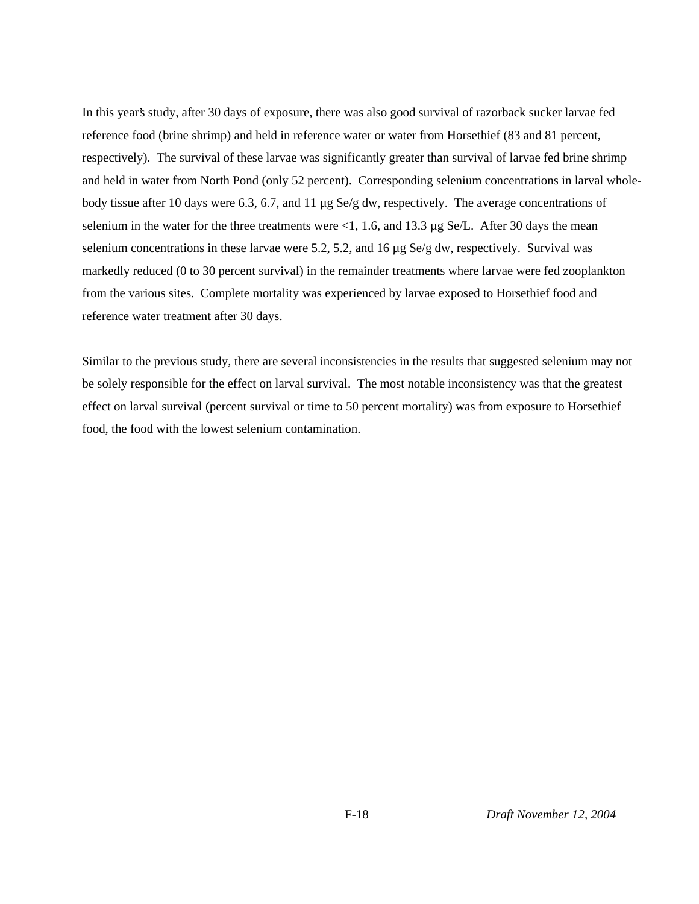In this year's study, after 30 days of exposure, there was also good survival of razorback sucker larvae fed reference food (brine shrimp) and held in reference water or water from Horsethief (83 and 81 percent, respectively). The survival of these larvae was significantly greater than survival of larvae fed brine shrimp and held in water from North Pond (only 52 percent). Corresponding selenium concentrations in larval wholebody tissue after 10 days were 6.3, 6.7, and 11 µg Se/g dw, respectively. The average concentrations of selenium in the water for the three treatments were <1, 1.6, and 13.3 µg Se/L. After 30 days the mean selenium concentrations in these larvae were 5.2, 5.2, and 16 µg Se/g dw, respectively. Survival was markedly reduced (0 to 30 percent survival) in the remainder treatments where larvae were fed zooplankton from the various sites. Complete mortality was experienced by larvae exposed to Horsethief food and reference water treatment after 30 days.

Similar to the previous study, there are several inconsistencies in the results that suggested selenium may not be solely responsible for the effect on larval survival. The most notable inconsistency was that the greatest effect on larval survival (percent survival or time to 50 percent mortality) was from exposure to Horsethief food, the food with the lowest selenium contamination.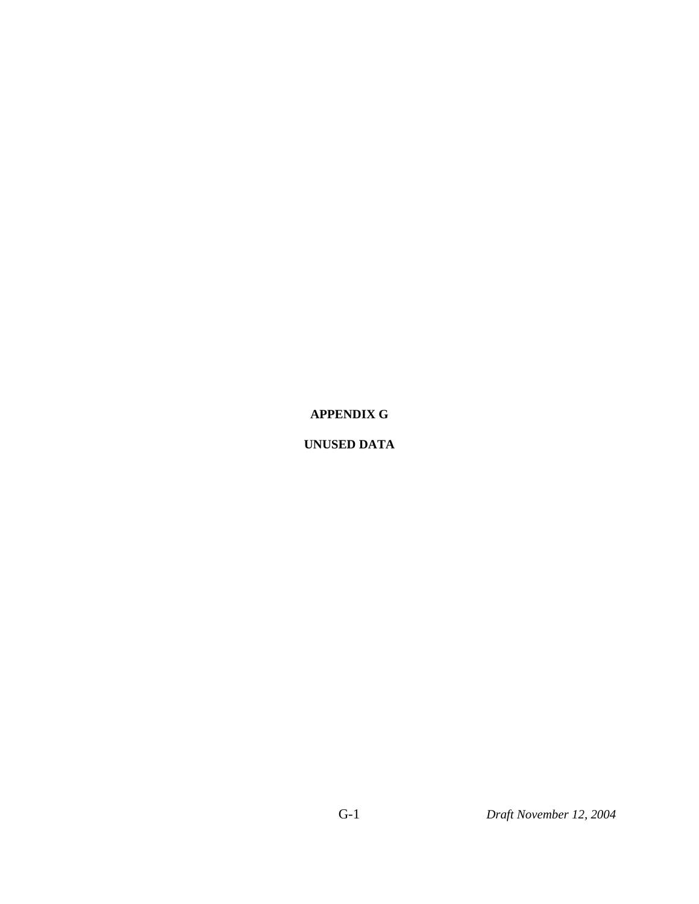### **APPENDIX G**

### **UNUSED DATA**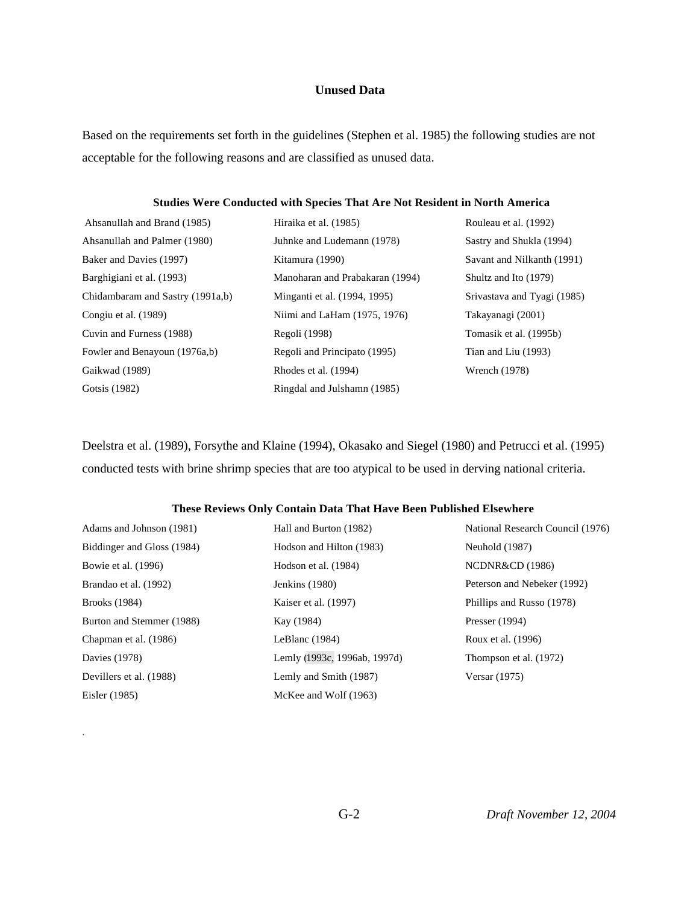### **Unused Data**

Based on the requirements set forth in the guidelines (Stephen et al. 1985) the following studies are not acceptable for the following reasons and are classified as unused data.

#### **Studies Were Conducted with Species That Are Not Resident in North America**

| Ahsanullah and Brand (1985)      | Hiraika et al. (1985)           | Rouleau et al. (1992)       |
|----------------------------------|---------------------------------|-----------------------------|
| Ahsanullah and Palmer (1980)     | Juhnke and Ludemann (1978)      | Sastry and Shukla (1994)    |
| Baker and Davies (1997)          | Kitamura (1990)                 | Savant and Nilkanth (1991)  |
| Barghigiani et al. (1993)        | Manoharan and Prabakaran (1994) | Shultz and Ito (1979)       |
| Chidambaram and Sastry (1991a,b) | Minganti et al. (1994, 1995)    | Srivastava and Tyagi (1985) |
| Congiu et al. (1989)             | Niimi and LaHam (1975, 1976)    | Takayanagi (2001)           |
| Cuvin and Furness (1988)         | Regoli (1998)                   | Tomasik et al. (1995b)      |
| Fowler and Benayoun (1976a,b)    | Regoli and Principato (1995)    | Tian and Liu (1993)         |
| Gaikwad (1989)                   | Rhodes et al. (1994)            | Wrench (1978)               |
| Gotsis (1982)                    | Ringdal and Julshamn (1985)     |                             |

Deelstra et al. (1989), Forsythe and Klaine (1994), Okasako and Siegel (1980) and Petrucci et al. (1995) conducted tests with brine shrimp species that are too atypical to be used in derving national criteria.

### **These Reviews Only Contain Data That Have Been Published Elsewhere**

| Adams and Johnson (1981)   | Hall and Burton (1982)       | National Research Council (1976) |
|----------------------------|------------------------------|----------------------------------|
| Biddinger and Gloss (1984) | Hodson and Hilton (1983)     | Neuhold (1987)                   |
| Bowie et al. (1996)        | Hodson et al. (1984)         | <b>NCDNR&amp;CD</b> (1986)       |
| Brandao et al. (1992)      | Jenkins (1980)               | Peterson and Nebeker (1992)      |
| <b>Brooks</b> (1984)       | Kaiser et al. (1997)         | Phillips and Russo (1978)        |
| Burton and Stemmer (1988)  | Kay (1984)                   | Presser $(1994)$                 |
| Chapman et al. (1986)      | LeBlanc $(1984)$             | Roux et al. (1996)               |
| Davies (1978)              | Lemly (1993c, 1996ab, 1997d) | Thompson et al. (1972)           |
| Devillers et al. (1988)    | Lemly and Smith (1987)       | Versar (1975)                    |
| Eisler (1985)              | McKee and Wolf (1963)        |                                  |

.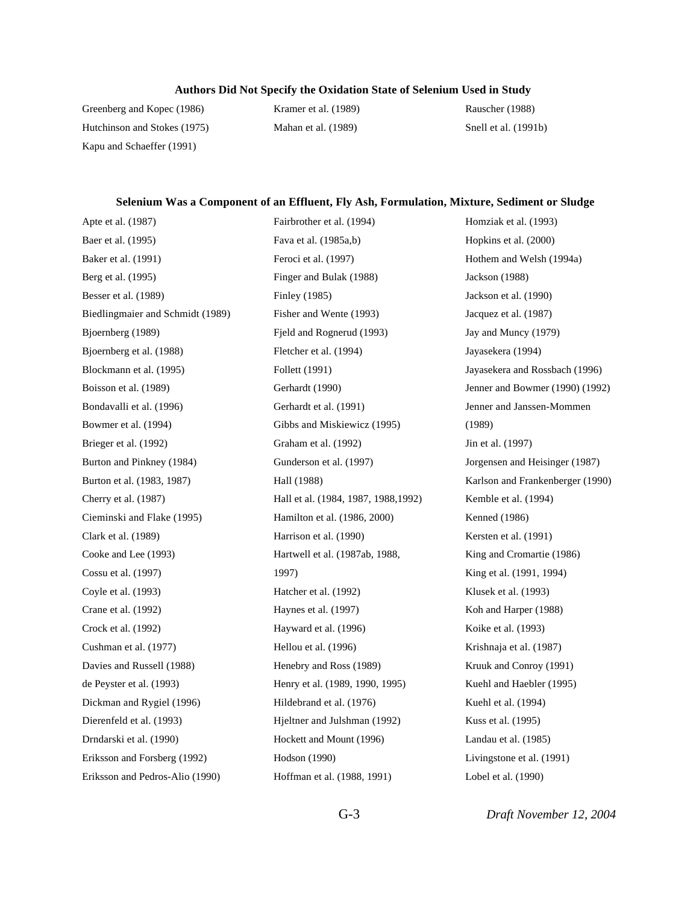#### **Authors Did Not Specify the Oxidation State of Selenium Used in Study**

Greenberg and Kopec (1986) Hutchinson and Stokes (1975) Kapu and Schaeffer (1991)

Kramer et al. (1989) Mahan et al. (1989)

Fairbrother et al. (1994)

Rauscher (1988) Snell et al. (1991b)

Homziak et al. (1993)

#### **Selenium Was a Component of an Effluent, Fly Ash, Formulation, Mixture, Sediment or Sludge**

Apte et al. (1987) Baer et al. (1995) Baker et al. (1991) Berg et al. (1995) Besser et al. (1989) Biedlingmaier and Schmidt (1989) Bjoernberg (1989) Bjoernberg et al. (1988) Blockmann et al. (1995) Boisson et al. (1989) Bondavalli et al. (1996) Bowmer et al. (1994) Brieger et al. (1992) Burton and Pinkney (1984) Burton et al. (1983, 1987) Cherry et al. (1987) Cieminski and Flake (1995) Clark et al. (1989) Cooke and Lee (1993) Cossu et al. (1997) Coyle et al. (1993) Crane et al. (1992) Crock et al. (1992) Cushman et al. (1977) Davies and Russell (1988) de Peyster et al. (1993) Dickman and Rygiel (1996) Dierenfeld et al. (1993) Drndarski et al. (1990) Eriksson and Forsberg (1992) Eriksson and Pedros-Alio (1990)

Fava et al. (1985a,b) Feroci et al. (1997) Finger and Bulak (1988) Finley (1985) Fisher and Wente (1993) Fjeld and Rognerud (1993) Fletcher et al. (1994) Follett (1991) Gerhardt (1990) Gerhardt et al. (1991) Gibbs and Miskiewicz (1995) Graham et al. (1992) Gunderson et al. (1997) Hall (1988) Hall et al. (1984, 1987, 1988,1992) Hamilton et al. (1986, 2000) Harrison et al. (1990) Hartwell et al. (1987ab, 1988, 1997) Hatcher et al. (1992) Haynes et al. (1997) Hayward et al. (1996) Hellou et al. (1996) Henebry and Ross (1989) Henry et al. (1989, 1990, 1995) Hildebrand et al. (1976) Hjeltner and Julshman (1992) Hockett and Mount (1996) Hodson (1990) Hoffman et al. (1988, 1991)

Hopkins et al. (2000) Hothem and Welsh (1994a) Jackson (1988) Jackson et al. (1990) Jacquez et al. (1987) Jay and Muncy (1979) Jayasekera (1994) Jayasekera and Rossbach (1996) Jenner and Bowmer (1990) (1992) Jenner and Janssen-Mommen (1989) Jin et al. (1997) Jorgensen and Heisinger (1987) Karlson and Frankenberger (1990) Kemble et al. (1994) Kenned (1986) Kersten et al. (1991) King and Cromartie (1986) King et al. (1991, 1994) Klusek et al. (1993) Koh and Harper (1988) Koike et al. (1993) Krishnaja et al. (1987) Kruuk and Conroy (1991) Kuehl and Haebler (1995) Kuehl et al. (1994) Kuss et al. (1995) Landau et al. (1985) Livingstone et al. (1991) Lobel et al. (1990)

G-3 *Draft November 12, 2004*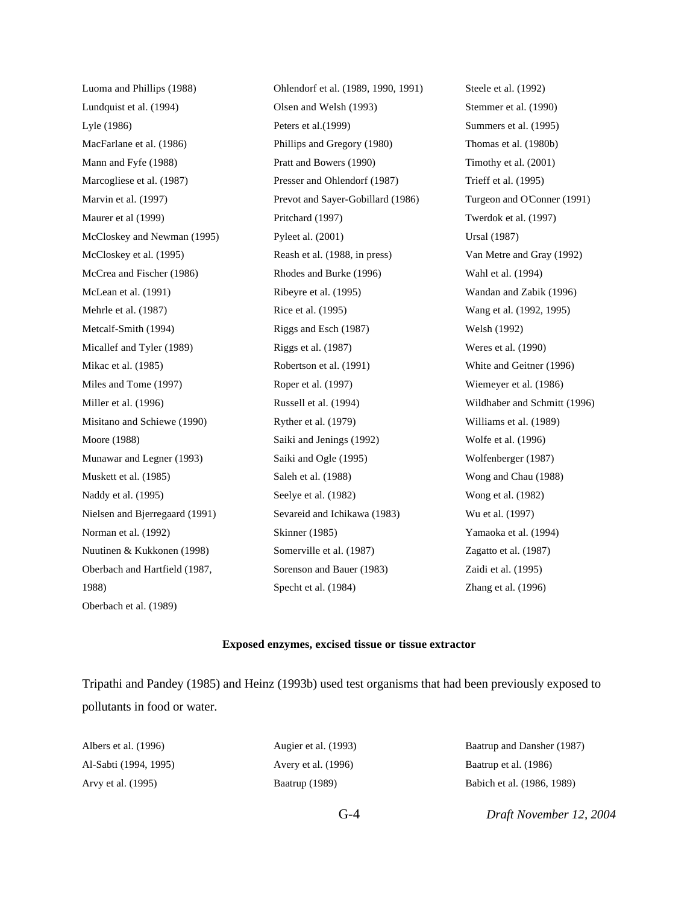Luoma and Phillips (1988) Lundquist et al. (1994) Lyle (1986) MacFarlane et al. (1986) Mann and Fyfe (1988) Marcogliese et al. (1987) Marvin et al. (1997) Maurer et al (1999) McCloskey and Newman (1995) McCloskey et al. (1995) McCrea and Fischer (1986) McLean et al. (1991) Mehrle et al. (1987) Metcalf-Smith (1994) Micallef and Tyler (1989) Mikac et al. (1985) Miles and Tome (1997) Miller et al. (1996) Misitano and Schiewe (1990) Moore (1988) Munawar and Legner (1993) Muskett et al. (1985) Naddy et al. (1995) Nielsen and Bjerregaard (1991) Norman et al. (1992) Nuutinen & Kukkonen (1998) Oberbach and Hartfield (1987, 1988) Oberbach et al. (1989)

Ohlendorf et al. (1989, 1990, 1991) Olsen and Welsh (1993) Peters et al.(1999) Phillips and Gregory (1980) Pratt and Bowers (1990) Presser and Ohlendorf (1987) Prevot and Sayer-Gobillard (1986) Pritchard (1997) Pyleet al. (2001) Reash et al. (1988, in press) Rhodes and Burke (1996) Ribeyre et al. (1995) Rice et al. (1995) Riggs and Esch (1987) Riggs et al. (1987) Robertson et al. (1991) Roper et al. (1997) Russell et al. (1994) Ryther et al. (1979) Saiki and Jenings (1992) Saiki and Ogle (1995) Saleh et al. (1988) Seelye et al. (1982) Sevareid and Ichikawa (1983) Skinner (1985) Somerville et al. (1987) Sorenson and Bauer (1983) Specht et al. (1984)

Steele et al. (1992) Stemmer et al. (1990) Summers et al. (1995) Thomas et al. (1980b) Timothy et al. (2001) Trieff et al. (1995) Turgeon and O'Conner (1991) Twerdok et al. (1997) Ursal (1987) Van Metre and Gray (1992) Wahl et al. (1994) Wandan and Zabik (1996) Wang et al. (1992, 1995) Welsh (1992) Weres et al. (1990) White and Geitner (1996) Wiemeyer et al. (1986) Wildhaber and Schmitt (1996) Williams et al. (1989) Wolfe et al. (1996) Wolfenberger (1987) Wong and Chau (1988) Wong et al. (1982) Wu et al. (1997) Yamaoka et al. (1994) Zagatto et al. (1987) Zaidi et al. (1995) Zhang et al. (1996)

#### **Exposed enzymes, excised tissue or tissue extractor**

Tripathi and Pandey (1985) and Heinz (1993b) used test organisms that had been previously exposed to pollutants in food or water.

| Albers et al. (1996)  | Augier et al. (1993) | Baatrup and Dansher (1987) |
|-----------------------|----------------------|----------------------------|
| Al-Sabti (1994, 1995) | Avery et al. (1996)  | Baatrup et al. (1986)      |
| Arvy et al. (1995)    | Baatrup (1989)       | Babich et al. (1986, 1989) |

G-4 *Draft November 12, 2004*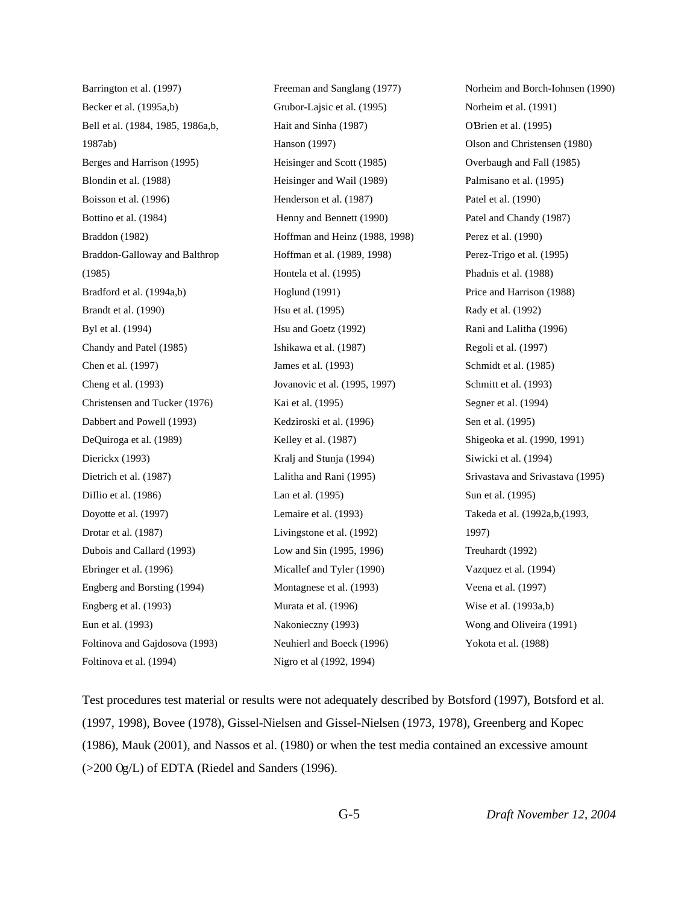Barrington et al. (1997) Becker et al. (1995a,b) Bell et al. (1984, 1985, 1986a,b, 1987ab) Berges and Harrison (1995) Blondin et al. (1988) Boisson et al. (1996) Bottino et al. (1984) Braddon (1982) Braddon-Galloway and Balthrop (1985) Bradford et al. (1994a,b) Brandt et al. (1990) Byl et al. (1994) Chandy and Patel (1985) Chen et al. (1997) Cheng et al. (1993) Christensen and Tucker (1976) Dabbert and Powell (1993) DeQuiroga et al. (1989) Dierickx (1993) Dietrich et al. (1987) DiIlio et al. (1986) Doyotte et al. (1997) Drotar et al. (1987) Dubois and Callard (1993) Ebringer et al. (1996) Engberg and Borsting (1994) Engberg et al. (1993) Eun et al. (1993) Foltinova and Gajdosova (1993) Foltinova et al. (1994)

Freeman and Sanglang (1977) Grubor-Lajsic et al. (1995) Hait and Sinha (1987) Hanson (1997) Heisinger and Scott (1985) Heisinger and Wail (1989) Henderson et al. (1987) Henny and Bennett (1990) Hoffman and Heinz (1988, 1998) Hoffman et al. (1989, 1998) Hontela et al. (1995) Hoglund (1991) Hsu et al. (1995) Hsu and Goetz (1992) Ishikawa et al. (1987) James et al. (1993) Jovanovic et al. (1995, 1997) Kai et al. (1995) Kedziroski et al. (1996) Kelley et al. (1987) Kralj and Stunja (1994) Lalitha and Rani (1995) Lan et al. (1995) Lemaire et al. (1993) Livingstone et al. (1992) Low and Sin (1995, 1996) Micallef and Tyler (1990) Montagnese et al. (1993) Murata et al. (1996) Nakonieczny (1993) Neuhierl and Boeck (1996) Nigro et al (1992, 1994)

Norheim and Borch-Iohnsen (1990) Norheim et al. (1991) O'Brien et al. (1995) Olson and Christensen (1980) Overbaugh and Fall (1985) Palmisano et al. (1995) Patel et al. (1990) Patel and Chandy (1987) Perez et al. (1990) Perez-Trigo et al. (1995) Phadnis et al. (1988) Price and Harrison (1988) Rady et al. (1992) Rani and Lalitha (1996) Regoli et al. (1997) Schmidt et al. (1985) Schmitt et al. (1993) Segner et al. (1994) Sen et al. (1995) Shigeoka et al. (1990, 1991) Siwicki et al. (1994) Srivastava and Srivastava (1995) Sun et al. (1995) Takeda et al. (1992a,b,(1993, 1997) Treuhardt (1992) Vazquez et al. (1994) Veena et al. (1997) Wise et al. (1993a,b) Wong and Oliveira (1991) Yokota et al. (1988)

Test procedures test material or results were not adequately described by Botsford (1997), Botsford et al. (1997, 1998), Bovee (1978), Gissel-Nielsen and Gissel-Nielsen (1973, 1978), Greenberg and Kopec (1986), Mauk (2001), and Nassos et al. (1980) or when the test media contained an excessive amount  $(>200 \text{ Og/L})$  of EDTA (Riedel and Sanders (1996).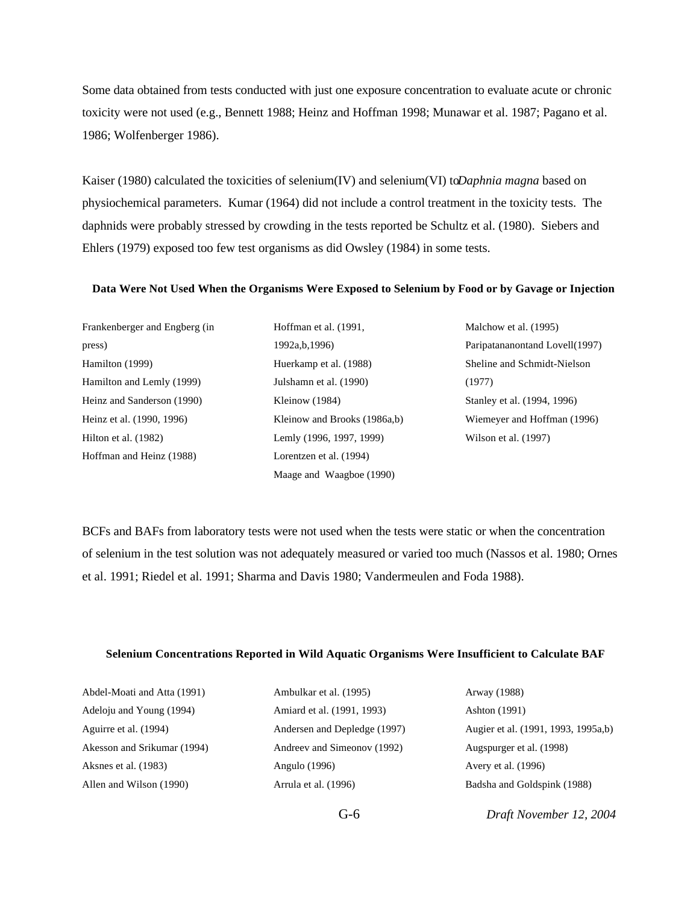Some data obtained from tests conducted with just one exposure concentration to evaluate acute or chronic toxicity were not used (e.g., Bennett 1988; Heinz and Hoffman 1998; Munawar et al. 1987; Pagano et al. 1986; Wolfenberger 1986).

Kaiser (1980) calculated the toxicities of selenium(IV) and selenium(VI) to *Daphnia magna* based on physiochemical parameters. Kumar (1964) did not include a control treatment in the toxicity tests. The daphnids were probably stressed by crowding in the tests reported be Schultz et al. (1980). Siebers and Ehlers (1979) exposed too few test organisms as did Owsley (1984) in some tests.

#### **Data Were Not Used When the Organisms Were Exposed to Selenium by Food or by Gavage or Injection**

| Frankenberger and Engberg (in |
|-------------------------------|
| press)                        |
| Hamilton (1999)               |
| Hamilton and Lemly (1999)     |
| Heinz and Sanderson (1990)    |
| Heinz et al. (1990, 1996)     |
| Hilton et al. (1982)          |
| Hoffman and Heinz (1988)      |
|                               |

Hoffman et al. (1991, 1992a,b,1996) Huerkamp et al. (1988) Julshamn et al. (1990) Kleinow (1984) Kleinow and Brooks (1986a,b) Lemly (1996, 1997, 1999) Lorentzen et al. (1994) Maage and Waagboe (1990)

Malchow et al. (1995) Paripatananontand Lovell(1997) Sheline and Schmidt-Nielson (1977) Stanley et al. (1994, 1996) Wiemeyer and Hoffman (1996) Wilson et al. (1997)

BCFs and BAFs from laboratory tests were not used when the tests were static or when the concentration of selenium in the test solution was not adequately measured or varied too much (Nassos et al. 1980; Ornes et al. 1991; Riedel et al. 1991; Sharma and Davis 1980; Vandermeulen and Foda 1988).

#### **Selenium Concentrations Reported in Wild Aquatic Organisms Were Insufficient to Calculate BAF**

| Abdel-Moati and Atta (1991) |
|-----------------------------|
| Adeloju and Young (1994)    |
| Aguirre et al. (1994)       |
| Akesson and Srikumar (1994) |
| Aksnes et al. (1983)        |
| Allen and Wilson (1990)     |

Ambulkar et al. (1995) Amiard et al. (1991, 1993) Andersen and Depledge (1997) Andreev and Simeonov (1992) Angulo (1996) Arrula et al. (1996)

Arway (1988) Ashton (1991) Augier et al. (1991, 1993, 1995a,b) Augspurger et al. (1998) Avery et al. (1996) Badsha and Goldspink (1988)

G-6 *Draft November 12, 2004*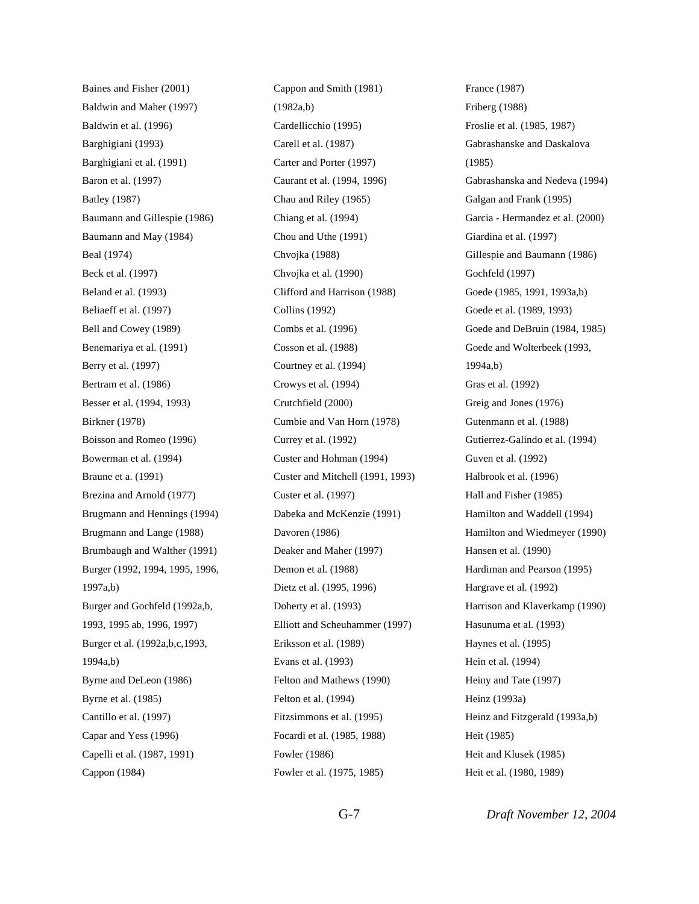Baines and Fisher (2001) Baldwin and Maher (1997) Baldwin et al. (1996) Barghigiani (1993) Barghigiani et al. (1991) Baron et al. (1997) Batley (1987) Baumann and Gillespie (1986) Baumann and May (1984) Beal (1974) Beck et al. (1997) Beland et al. (1993) Beliaeff et al. (1997) Bell and Cowey (1989) Benemariya et al. (1991) Berry et al. (1997) Bertram et al. (1986) Besser et al. (1994, 1993) Birkner (1978) Boisson and Romeo (1996) Bowerman et al. (1994) Braune et a. (1991) Brezina and Arnold (1977) Brugmann and Hennings (1994) Brugmann and Lange (1988) Brumbaugh and Walther (1991) Burger (1992, 1994, 1995, 1996, 1997a,b) Burger and Gochfeld (1992a,b, 1993, 1995 ab, 1996, 1997) Burger et al. (1992a,b,c,1993, 1994a,b) Byrne and DeLeon (1986) Byrne et al. (1985) Cantillo et al. (1997) Capar and Yess (1996) Capelli et al. (1987, 1991) Cappon (1984)

Cappon and Smith (1981) (1982a,b) Cardellicchio (1995) Carell et al. (1987) Carter and Porter (1997) Caurant et al. (1994, 1996) Chau and Riley (1965) Chiang et al. (1994) Chou and Uthe (1991) Chvojka (1988) Chvojka et al. (1990) Clifford and Harrison (1988) Collins (1992) Combs et al. (1996) Cosson et al. (1988) Courtney et al. (1994) Crowys et al. (1994) Crutchfield (2000) Cumbie and Van Horn (1978) Currey et al. (1992) Custer and Hohman (1994) Custer and Mitchell (1991, 1993) Custer et al. (1997) Dabeka and McKenzie (1991) Davoren (1986) Deaker and Maher (1997) Demon et al. (1988) Dietz et al. (1995, 1996) Doherty et al. (1993) Elliott and Scheuhammer (1997) Eriksson et al. (1989) Evans et al. (1993) Felton and Mathews (1990) Felton et al. (1994) Fitzsimmons et al. (1995) Focardi et al. (1985, 1988) Fowler (1986) Fowler et al. (1975, 1985)

France (1987) Friberg (1988) Froslie et al. (1985, 1987) Gabrashanske and Daskalova (1985) Gabrashanska and Nedeva (1994) Galgan and Frank (1995) Garcia - Hermandez et al. (2000) Giardina et al. (1997) Gillespie and Baumann (1986) Gochfeld (1997) Goede (1985, 1991, 1993a,b) Goede et al. (1989, 1993) Goede and DeBruin (1984, 1985) Goede and Wolterbeek (1993, 1994a,b) Gras et al. (1992) Greig and Jones (1976) Gutenmann et al. (1988) Gutierrez-Galindo et al. (1994) Guven et al. (1992) Halbrook et al. (1996) Hall and Fisher (1985) Hamilton and Waddell (1994) Hamilton and Wiedmeyer (1990) Hansen et al. (1990) Hardiman and Pearson (1995) Hargrave et al. (1992) Harrison and Klaverkamp (1990) Hasunuma et al. (1993) Haynes et al. (1995) Hein et al. (1994) Heiny and Tate (1997) Heinz (1993a) Heinz and Fitzgerald (1993a,b) Heit (1985) Heit and Klusek (1985) Heit et al. (1980, 1989)

G-7 *Draft November 12, 2004*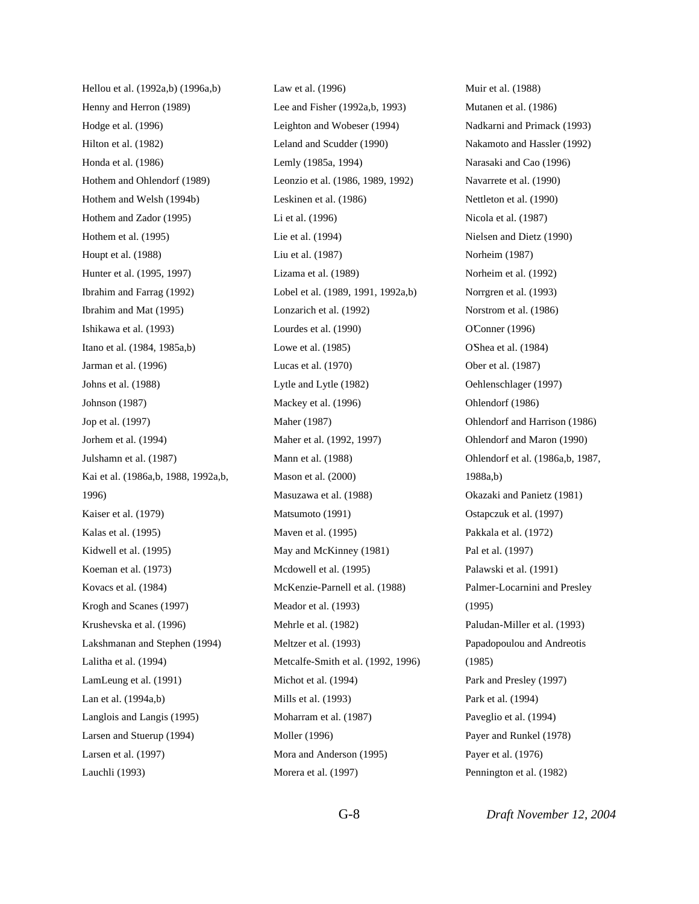Hellou et al. (1992a,b) (1996a,b) Henny and Herron (1989) Hodge et al. (1996) Hilton et al. (1982) Honda et al. (1986) Hothem and Ohlendorf (1989) Hothem and Welsh (1994b) Hothem and Zador (1995) Hothem et al. (1995) Houpt et al. (1988) Hunter et al. (1995, 1997) Ibrahim and Farrag (1992) Ibrahim and Mat (1995) Ishikawa et al. (1993) Itano et al. (1984, 1985a,b) Jarman et al. (1996) Johns et al. (1988) Johnson (1987) Jop et al. (1997) Jorhem et al. (1994) Julshamn et al. (1987) Kai et al. (1986a,b, 1988, 1992a,b, 1996) Kaiser et al. (1979) Kalas et al. (1995) Kidwell et al. (1995) Koeman et al. (1973) Kovacs et al. (1984) Krogh and Scanes (1997) Krushevska et al. (1996) Lakshmanan and Stephen (1994) Lalitha et al. (1994) LamLeung et al. (1991) Lan et al. (1994a,b) Langlois and Langis (1995) Larsen and Stuerup (1994) Larsen et al. (1997) Lauchli (1993)

Law et al. (1996) Lee and Fisher (1992a,b, 1993) Leighton and Wobeser (1994) Leland and Scudder (1990) Lemly (1985a, 1994) Leonzio et al. (1986, 1989, 1992) Leskinen et al. (1986) Li et al. (1996) Lie et al. (1994) Liu et al. (1987) Lizama et al. (1989) Lobel et al. (1989, 1991, 1992a,b) Lonzarich et al. (1992) Lourdes et al. (1990) Lowe et al. (1985) Lucas et al. (1970) Lytle and Lytle (1982) Mackey et al. (1996) Maher (1987) Maher et al. (1992, 1997) Mann et al. (1988) Mason et al. (2000) Masuzawa et al. (1988) Matsumoto (1991) Maven et al. (1995) May and McKinney (1981) Mcdowell et al. (1995) McKenzie-Parnell et al. (1988) Meador et al. (1993) Mehrle et al. (1982) Meltzer et al. (1993) Metcalfe-Smith et al. (1992, 1996) Michot et al. (1994) Mills et al. (1993) Moharram et al. (1987) Moller (1996) Mora and Anderson (1995) Morera et al. (1997)

Muir et al. (1988) Mutanen et al. (1986) Nadkarni and Primack (1993) Nakamoto and Hassler (1992) Narasaki and Cao (1996) Navarrete et al. (1990) Nettleton et al. (1990) Nicola et al. (1987) Nielsen and Dietz (1990) Norheim (1987) Norheim et al. (1992) Norrgren et al. (1993) Norstrom et al. (1986) O'Conner (1996) O'Shea et al. (1984) Ober et al. (1987) Oehlenschlager (1997) Ohlendorf (1986) Ohlendorf and Harrison (1986) Ohlendorf and Maron (1990) Ohlendorf et al. (1986a,b, 1987, 1988a,b) Okazaki and Panietz (1981) Ostapczuk et al. (1997) Pakkala et al. (1972) Pal et al. (1997) Palawski et al. (1991) Palmer-Locarnini and Presley (1995) Paludan-Miller et al. (1993) Papadopoulou and Andreotis (1985) Park and Presley (1997) Park et al. (1994) Paveglio et al. (1994) Payer and Runkel (1978) Payer et al. (1976) Pennington et al. (1982)

G-8 *Draft November 12, 2004*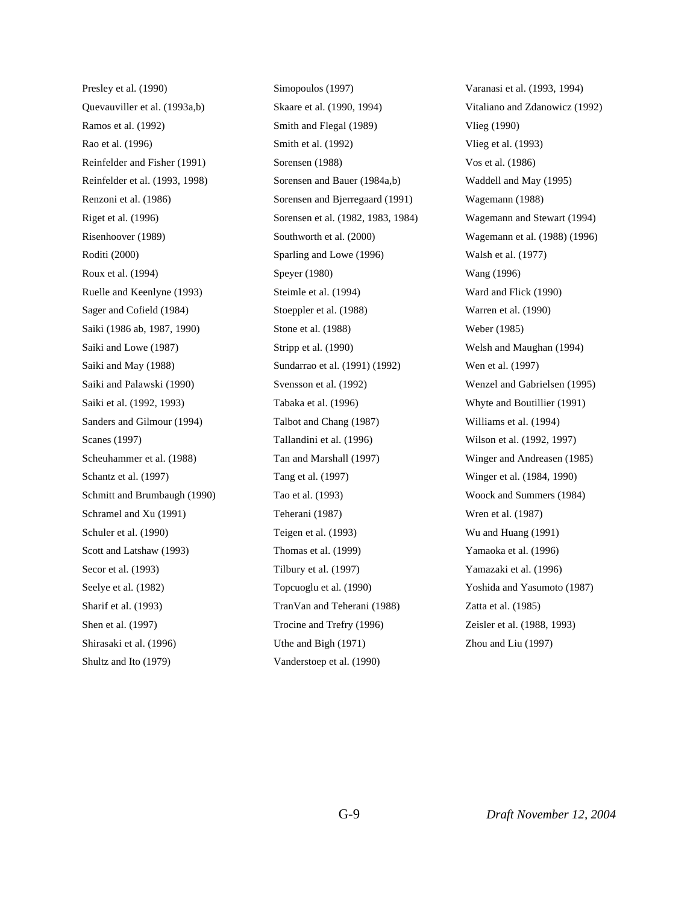Presley et al. (1990) Quevauviller et al. (1993a,b) Ramos et al. (1992) Rao et al. (1996) Reinfelder and Fisher (1991) Reinfelder et al. (1993, 1998) Renzoni et al. (1986) Riget et al. (1996) Risenhoover (1989) Roditi (2000) Roux et al. (1994) Ruelle and Keenlyne (1993) Sager and Cofield (1984) Saiki (1986 ab, 1987, 1990) Saiki and Lowe (1987) Saiki and May (1988) Saiki and Palawski (1990) Saiki et al. (1992, 1993) Sanders and Gilmour (1994) Scanes (1997) Scheuhammer et al. (1988) Schantz et al. (1997) Schmitt and Brumbaugh (1990) Schramel and Xu (1991) Schuler et al. (1990) Scott and Latshaw (1993) Secor et al. (1993) Seelye et al. (1982) Sharif et al. (1993) Shen et al. (1997) Shirasaki et al. (1996) Shultz and Ito (1979)

Simopoulos (1997) Skaare et al. (1990, 1994) Smith and Flegal (1989) Smith et al. (1992) Sorensen (1988) Sorensen and Bauer (1984a,b) Sorensen and Bjerregaard (1991) Sorensen et al. (1982, 1983, 1984) Southworth et al. (2000) Sparling and Lowe (1996) Speyer (1980) Steimle et al. (1994) Stoeppler et al. (1988) Stone et al. (1988) Stripp et al. (1990) Sundarrao et al. (1991) (1992) Svensson et al. (1992) Tabaka et al. (1996) Talbot and Chang (1987) Tallandini et al. (1996) Tan and Marshall (1997) Tang et al. (1997) Tao et al. (1993) Teherani (1987) Teigen et al. (1993) Thomas et al. (1999) Tilbury et al. (1997) Topcuoglu et al. (1990) TranVan and Teherani (1988) Trocine and Trefry (1996) Uthe and Bigh (1971) Vanderstoep et al. (1990)

Varanasi et al. (1993, 1994) Vitaliano and Zdanowicz (1992) Vlieg (1990) Vlieg et al. (1993) Vos et al. (1986) Waddell and May (1995) Wagemann (1988) Wagemann and Stewart (1994) Wagemann et al. (1988) (1996) Walsh et al. (1977) Wang (1996) Ward and Flick (1990) Warren et al. (1990) Weber (1985) Welsh and Maughan (1994) Wen et al. (1997) Wenzel and Gabrielsen (1995) Whyte and Boutillier (1991) Williams et al. (1994) Wilson et al. (1992, 1997) Winger and Andreasen (1985) Winger et al. (1984, 1990) Woock and Summers (1984) Wren et al. (1987) Wu and Huang (1991) Yamaoka et al. (1996) Yamazaki et al. (1996) Yoshida and Yasumoto (1987) Zatta et al. (1985) Zeisler et al. (1988, 1993) Zhou and Liu (1997)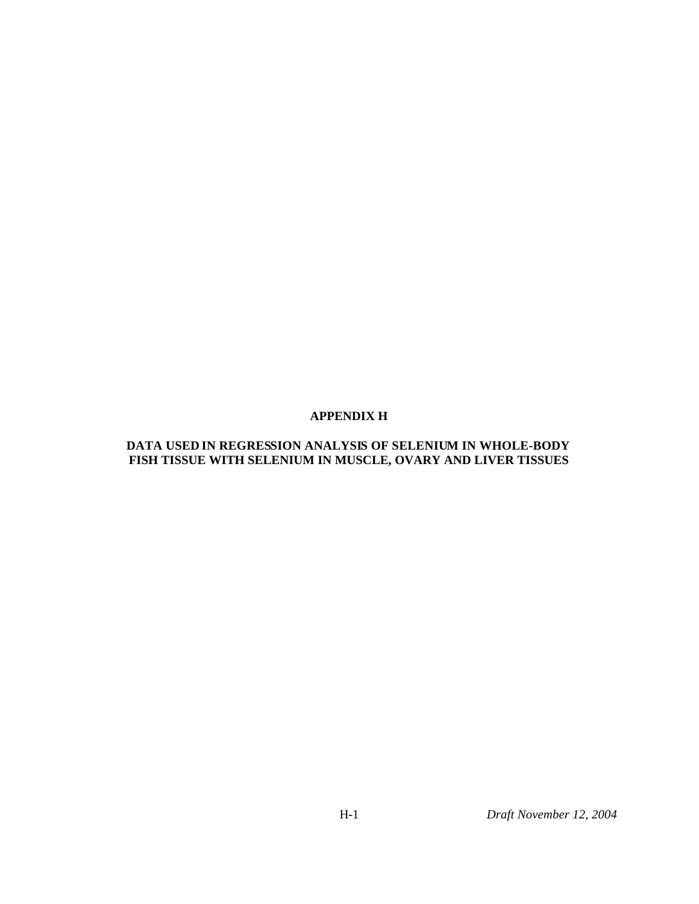### **APPENDIX H**

#### **DATA USED IN REGRESSION ANALYSIS OF SELENIUM IN WHOLE-BODY FISH TISSUE WITH SELENIUM IN MUSCLE, OVARY AND LIVER TISSUES**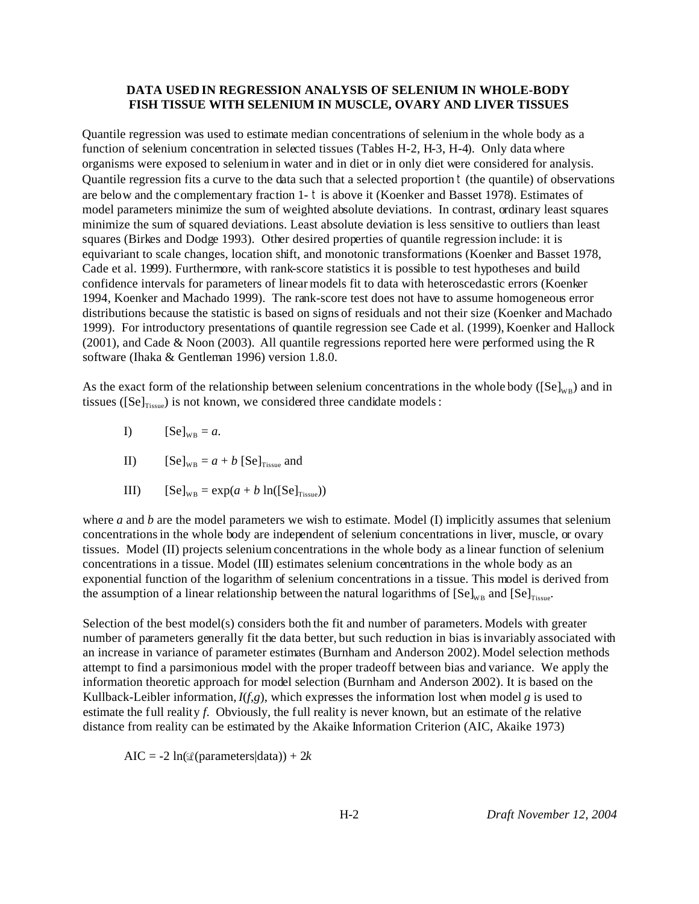#### **DATA USED IN REGRESSION ANALYSIS OF SELENIUM IN WHOLE-BODY FISH TISSUE WITH SELENIUM IN MUSCLE, OVARY AND LIVER TISSUES**

Quantile regression was used to estimate median concentrations of selenium in the whole body as a function of selenium concentration in selected tissues (Tables H-2, H-3, H-4). Only data where organisms were exposed to selenium in water and in diet or in only diet were considered for analysis. Quantile regression fits a curve to the data such that a selected proportion t (the quantile) of observations are below and the complementary fraction 1- t is above it (Koenker and Basset 1978). Estimates of model parameters minimize the sum of weighted absolute deviations. In contrast, ordinary least squares minimize the sum of squared deviations. Least absolute deviation is less sensitive to outliers than least squares (Birkes and Dodge 1993). Other desired properties of quantile regression include: it is equivariant to scale changes, location shift, and monotonic transformations (Koenker and Basset 1978, Cade et al. 1999). Furthermore, with rank-score statistics it is possible to test hypotheses and build confidence intervals for parameters of linear models fit to data with heteroscedastic errors (Koenker 1994, Koenker and Machado 1999). The rank-score test does not have to assume homogeneous error distributions because the statistic is based on signs of residuals and not their size (Koenker and Machado 1999). For introductory presentations of quantile regression see Cade et al. (1999), Koenker and Hallock (2001), and Cade & Noon (2003). All quantile regressions reported here were performed using the R software (Ihaka & Gentleman 1996) version 1.8.0.

As the exact form of the relationship between selenium concentrations in the whole body ( $[Se]_{W_B}$ ) and in tissues ( $[Se]_{Tissue}$ ) is not known, we considered three candidate models :

- I)  $[Se]_{WB} = a.$
- II)  $[Se]_{WB} = a + b [Se]_{Tissue}$  and
- III)  $[Se]_{WB} = \exp(a + b \ln([Se]_{Tissue}))$

where *a* and *b* are the model parameters we wish to estimate. Model (I) implicitly assumes that selenium concentrations in the whole body are independent of selenium concentrations in liver, muscle, or ovary tissues. Model (II) projects selenium concentrations in the whole body as a linear function of selenium concentrations in a tissue. Model (III) estimates selenium concentrations in the whole body as an exponential function of the logarithm of selenium concentrations in a tissue. This model is derived from the assumption of a linear relationship between the natural logarithms of  $[Se]_{\text{WB}}$  and  $[Se]_{\text{Tissue}}$ .

Selection of the best model(s) considers both the fit and number of parameters. Models with greater number of parameters generally fit the data better, but such reduction in bias is invariably associated with an increase in variance of parameter estimates (Burnham and Anderson 2002). Model selection methods attempt to find a parsimonious model with the proper tradeoff between bias and variance. We apply the information theoretic approach for model selection (Burnham and Anderson 2002). It is based on the Kullback-Leibler information,  $I(f,g)$ , which expresses the information lost when model *g* is used to estimate the full reality *f*. Obviously, the full reality is never known, but an estimate of the relative distance from reality can be estimated by the Akaike Information Criterion (AIC, Akaike 1973)

AIC =  $-2 \ln(\mathcal{L}(\text{parameters}|\text{data})) + 2k$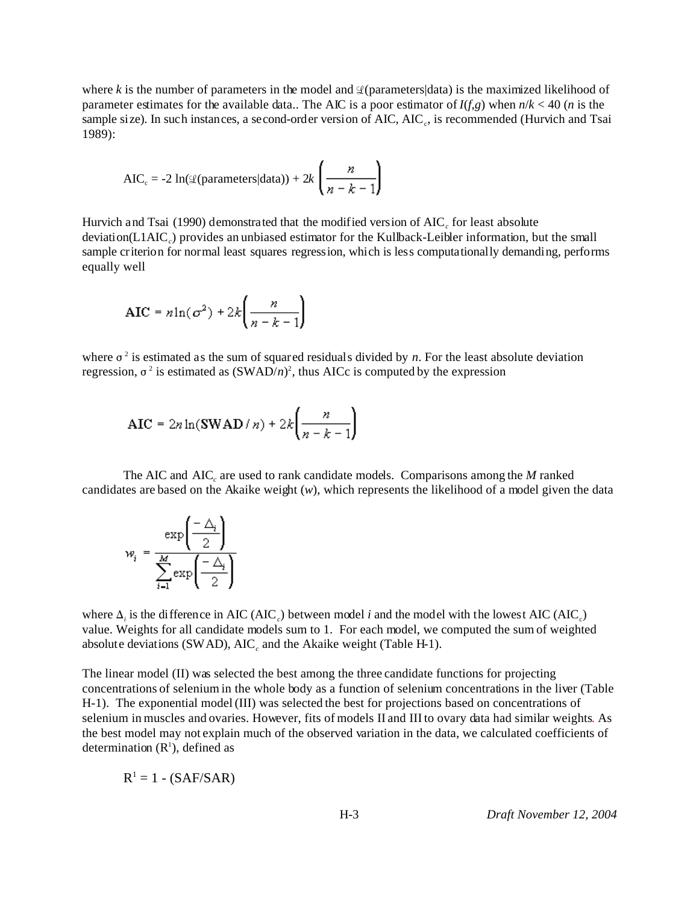where *k* is the number of parameters in the model and  $\mathcal{Q}$ (parameters|data) is the maximized likelihood of parameter estimates for the available data.. The AIC is a poor estimator of  $I(f,g)$  when  $n/k < 40$  (*n* is the sample size). In such instances, a second-order version of AIC, AIC<sub>c</sub>, is recommended (Hurvich and Tsai 1989):

$$
AIC_c = -2 \ln(\mathcal{L}(\text{parameters}|\text{data})) + 2k \left(\frac{n}{n-k-1}\right)
$$

Hurvich and Tsai  $(1990)$  demonstrated that the modified version of  $AIC_c$  for least absolute deviation(L1AIC*<sup>c</sup>* ) provides an unbiased estimator for the Kullback-Leibler information, but the small sample criterion for normal least squares regression, which is less computationally demanding, performs equally well

$$
AIC = n \ln(\sigma^2) + 2k \left( \frac{n}{n-k-1} \right)
$$

where  $\sigma^2$  is estimated as the sum of squared residuals divided by *n*. For the least absolute deviation regression,  $\sigma^2$  is estimated as  $(SWAD/n)^2$ , thus AICc is computed by the expression

$$
AIC = 2n \ln(SWAD/n) + 2k \left( \frac{n}{n-k-1} \right)
$$

The AIC and AIC*<sup>c</sup>* are used to rank candidate models. Comparisons among the *M* ranked candidates are based on the Akaike weight (*w*), which represents the likelihood of a model given the data

$$
w_i = \frac{\exp\left(\frac{-\Delta_i}{2}\right)}{\sum_{i=1}^{M} \exp\left(\frac{-\Delta_i}{2}\right)}
$$

where  $\Delta_i$  is the difference in AIC (AIC<sub>c</sub>) between model *i* and the model with the lowest AIC (AIC<sub>c</sub>) value. Weights for all candidate models sum to 1. For each model, we computed the sum of weighted absolute deviations (SWAD),  $AIC_c$  and the Akaike weight (Table H-1).

The linear model (II) was selected the best among the three candidate functions for projecting concentrations of selenium in the whole body as a function of selenium concentrations in the liver (Table H-1). The exponential model (III) was selected the best for projections based on concentrations of selenium in muscles and ovaries. However, fits of models II and III to ovary data had similar weights. As the best model may not explain much of the observed variation in the data, we calculated coefficients of determination  $(R<sup>1</sup>)$ , defined as

$$
R^1 = 1 - (SAF/SAR)
$$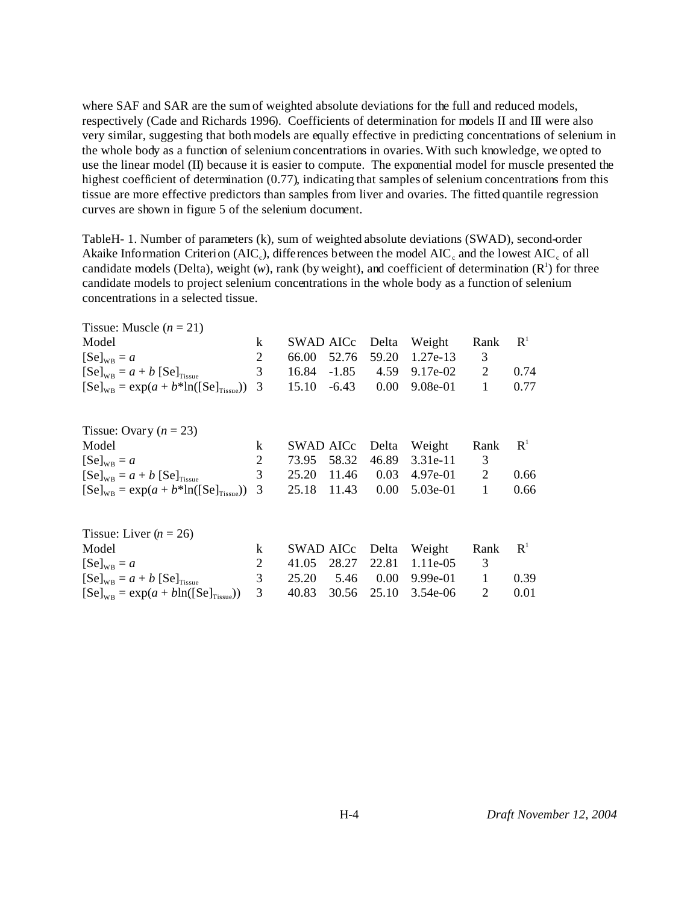where SAF and SAR are the sum of weighted absolute deviations for the full and reduced models, respectively (Cade and Richards 1996). Coefficients of determination for models II and III were also very similar, suggesting that both models are equally effective in predicting concentrations of selenium in the whole body as a function of selenium concentrations in ovaries. With such knowledge, we opted to use the linear model (II) because it is easier to compute. The exponential model for muscle presented the highest coefficient of determination (0.77), indicating that samples of selenium concentrations from this tissue are more effective predictors than samples from liver and ovaries. The fitted quantile regression curves are shown in figure 5 of the selenium document.

TableH- 1. Number of parameters (k), sum of weighted absolute deviations (SWAD), second-order Akaike Information Criterion (AIC<sub>c</sub>), differences between the model AIC<sub>c</sub> and the lowest AIC<sub>c</sub> of all candidate models (Delta), weight  $(w)$ , rank (by weight), and coefficient of determination  $(R<sup>1</sup>)$  for three candidate models to project selenium concentrations in the whole body as a function of selenium concentrations in a selected tissue.

| Tissue: Muscle $(n = 21)$                                          |         |                  |       |            |                |                |
|--------------------------------------------------------------------|---------|------------------|-------|------------|----------------|----------------|
| Model                                                              | $\bf k$ | SWAD AICc        | Delta | Weight     | Rank           | R <sup>1</sup> |
| $[Se]_{WB} = a$                                                    | 2       | 66.00<br>52.76   | 59.20 | $1.27e-13$ | 3              |                |
| $[Se]_{\text{WB}} = a + b [Se]_{\text{Tissue}}$                    | 3       | 16.84<br>$-1.85$ | 4.59  | 9.17e-02   | $\overline{2}$ | 0.74           |
| $[Se]_{\text{WB}} = \exp(a + b^* \text{ln}([Se]_{\text{Tissue}}))$ | 3       | 15.10<br>$-6.43$ | 0.00  | 9.08e-01   | $\mathbf{1}$   | 0.77           |
| Tissue: Ovary $(n = 23)$                                           |         |                  |       |            |                |                |
| Model                                                              | k       | SWAD AICc        | Delta | Weight     | Rank           | R <sup>1</sup> |
| $[Se]_{\text{WB}} = a$                                             | 2       | 58.32<br>73.95   | 46.89 | $3.31e-11$ | 3              |                |
| $[Se]_{\text{WB}} = a + b [Se]_{\text{Tissue}}$                    | 3       | 25.20<br>11.46   | 0.03  | 4.97e-01   | 2              | 0.66           |
| $[Se]_{\text{WR}} = \exp(a + b^* \ln([Se]_{\text{Tissue}}))$       | 3       | 25.18<br>11.43   | 0.00  | $5.03e-01$ | 1              | 0.66           |
| Tissue: Liver $(n = 26)$                                           |         |                  |       |            |                |                |
| Model                                                              | k       | SWAD AICc        | Delta | Weight     | Rank           | $\mathbf{R}^1$ |
| $[Se]_{\text{WB}} = a$                                             | 2       | 41.05<br>28.27   | 22.81 | $1.11e-05$ | 3              |                |
| $[Se]_{\text{WB}} = a + b [Se]_{\text{Tissue}}$                    | 3       | 25.20<br>5.46    | 0.00  | 9.99e-01   | 1              | 0.39           |
| $[Se]_{WB} = exp(a + bln([Se]_{Tissue}))$                          | 3       | 40.83<br>30.56   | 25.10 | $3.54e-06$ | 2              | 0.01           |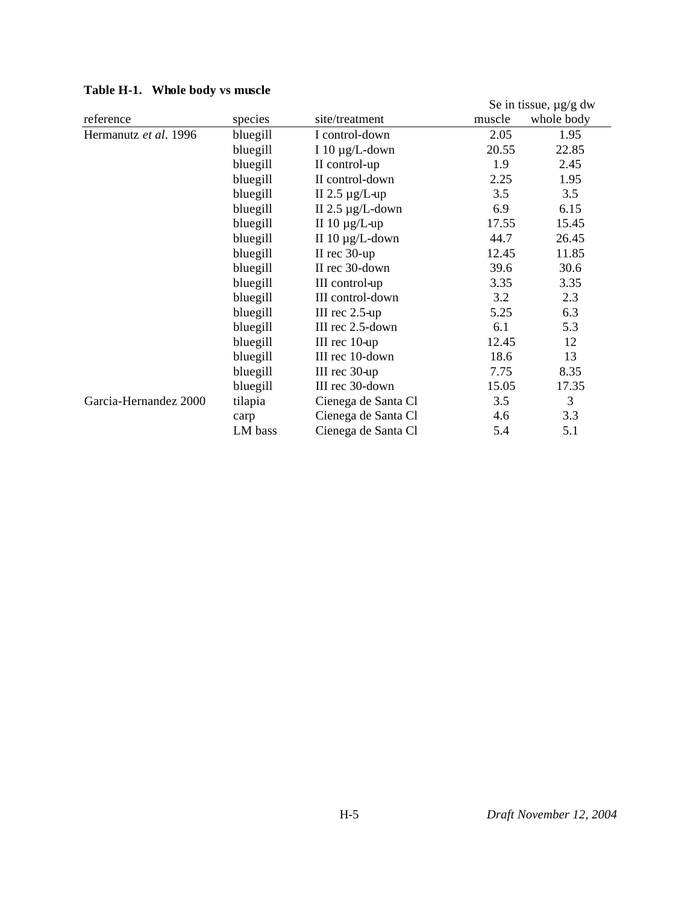| Lable II-1. WHOIE DOUY VS HIUSCIE |          |                       |        | Se in tissue, $\mu$ g/g dw |
|-----------------------------------|----------|-----------------------|--------|----------------------------|
| reference                         | species  | site/treatment        | muscle | whole body                 |
| Hermanutz et al. 1996             | bluegill | I control-down        | 2.05   | 1.95                       |
|                                   | bluegill | I 10 $\mu$ g/L-down   | 20.55  | 22.85                      |
|                                   | bluegill | II control-up         | 1.9    | 2.45                       |
|                                   | bluegill | II control-down       | 2.25   | 1.95                       |
|                                   | bluegill | II 2.5 $\mu$ g/L-up   | 3.5    | 3.5                        |
|                                   | bluegill | II 2.5 $\mu$ g/L-down | 6.9    | 6.15                       |
|                                   | bluegill | II 10 $\mu$ g/L-up    | 17.55  | 15.45                      |
|                                   | bluegill | II $10 \mu g/L$ -down | 44.7   | 26.45                      |
|                                   | bluegill | II rec $30$ -up       | 12.45  | 11.85                      |
|                                   | bluegill | II rec 30-down        | 39.6   | 30.6                       |
|                                   | bluegill | III control-up        | 3.35   | 3.35                       |
|                                   | bluegill | III control-down      | 3.2    | 2.3                        |
|                                   | bluegill | III rec $2.5$ -up     | 5.25   | 6.3                        |
|                                   | bluegill | III rec 2.5-down      | 6.1    | 5.3                        |
|                                   | bluegill | III rec 10-up         | 12.45  | 12                         |
|                                   | bluegill | III rec 10-down       | 18.6   | 13                         |
|                                   | bluegill | III rec 30-up         | 7.75   | 8.35                       |
|                                   | bluegill | III rec 30-down       | 15.05  | 17.35                      |
| Garcia-Hernandez 2000             | tilapia  | Cienega de Santa Cl   | 3.5    | 3                          |
|                                   | carp     | Cienega de Santa Cl   | 4.6    | 3.3                        |
|                                   | LM bass  | Cienega de Santa Cl   | 5.4    | 5.1                        |

# **Table H-1. Whole body vs muscle**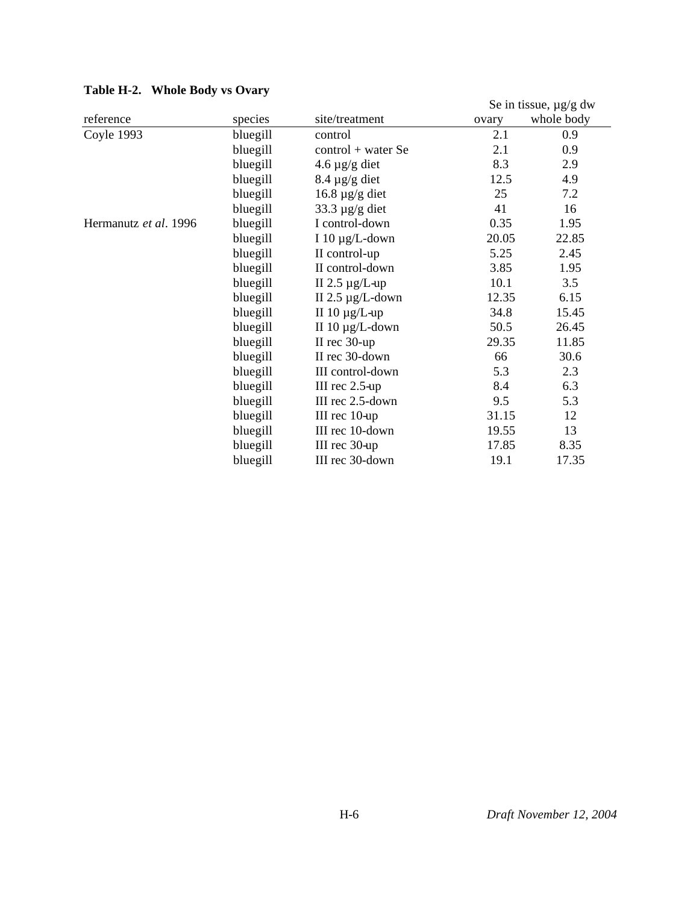| Table H-2. Whole Douy vs Ovary |          |                       |       |                            |
|--------------------------------|----------|-----------------------|-------|----------------------------|
|                                |          |                       |       | Se in tissue, $\mu$ g/g dw |
| reference                      | species  | site/treatment        | ovary | whole body                 |
| Coyle 1993                     | bluegill | control               | 2.1   | 0.9                        |
|                                | bluegill | $control + water Se$  | 2.1   | 0.9                        |
|                                | bluegill | $4.6 \,\mu g/g$ diet  | 8.3   | 2.9                        |
|                                | bluegill | $8.4 \mu g/g$ diet    | 12.5  | 4.9                        |
|                                | bluegill | $16.8 \mu g/g$ diet   | 25    | 7.2                        |
|                                | bluegill | 33.3 $\mu$ g/g diet   | 41    | 16                         |
| Hermanutz et al. 1996          | bluegill | I control-down        | 0.35  | 1.95                       |
|                                | bluegill | I 10 $\mu$ g/L-down   | 20.05 | 22.85                      |
|                                | bluegill | II control-up         | 5.25  | 2.45                       |
|                                | bluegill | II control-down       | 3.85  | 1.95                       |
|                                | bluegill | II 2.5 $\mu$ g/L-up   | 10.1  | 3.5                        |
|                                | bluegill | II 2.5 $\mu$ g/L-down | 12.35 | 6.15                       |
|                                | bluegill | II $10 \mu g/L$ -up   | 34.8  | 15.45                      |
|                                | bluegill | II $10 \mu g/L$ -down | 50.5  | 26.45                      |
|                                | bluegill | II rec $30$ -up       | 29.35 | 11.85                      |
|                                | bluegill | II rec 30-down        | 66    | 30.6                       |
|                                | bluegill | III control-down      | 5.3   | 2.3                        |
|                                | bluegill | III $rec$ 2.5-up      | 8.4   | 6.3                        |
|                                | bluegill | III rec 2.5-down      | 9.5   | 5.3                        |
|                                | bluegill | III rec 10-up         | 31.15 | 12                         |
|                                | bluegill | III rec 10-down       | 19.55 | 13                         |
|                                | bluegill | III rec 30-up         | 17.85 | 8.35                       |
|                                | bluegill | III rec 30-down       | 19.1  | 17.35                      |

# **Table H-2. Whole Body vs Ovary**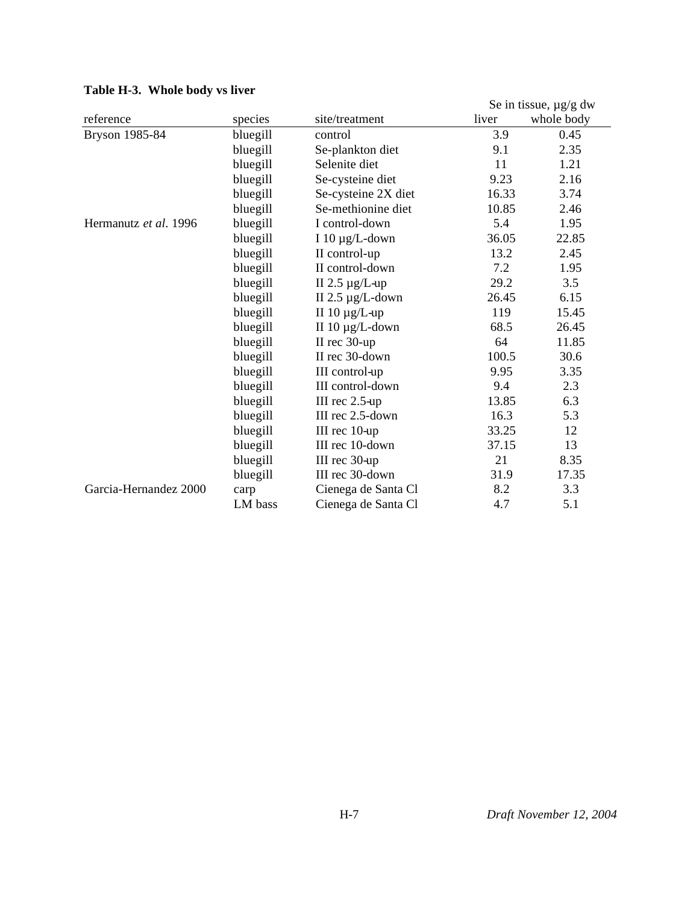|                       |          |                       |       | Se in tissue, $\mu$ g/g dw |
|-----------------------|----------|-----------------------|-------|----------------------------|
| reference             | species  | site/treatment        | liver | whole body                 |
| Bryson 1985-84        | bluegill | control               | 3.9   | 0.45                       |
|                       | bluegill | Se-plankton diet      | 9.1   | 2.35                       |
|                       | bluegill | Selenite diet         | 11    | 1.21                       |
|                       | bluegill | Se-cysteine diet      | 9.23  | 2.16                       |
|                       | bluegill | Se-cysteine 2X diet   | 16.33 | 3.74                       |
|                       | bluegill | Se-methionine diet    | 10.85 | 2.46                       |
| Hermanutz et al. 1996 | bluegill | I control-down        | 5.4   | 1.95                       |
|                       | bluegill | I 10 $\mu$ g/L-down   | 36.05 | 22.85                      |
|                       | bluegill | II control-up         | 13.2  | 2.45                       |
|                       | bluegill | II control-down       | 7.2   | 1.95                       |
|                       | bluegill | II 2.5 $\mu$ g/L-up   | 29.2  | 3.5                        |
|                       | bluegill | II 2.5 $\mu$ g/L-down | 26.45 | 6.15                       |
|                       | bluegill | II $10 \mu g/L$ -up   | 119   | 15.45                      |
|                       | bluegill | II $10 \mu g/L$ -down | 68.5  | 26.45                      |
|                       | bluegill | II rec 30-up          | 64    | 11.85                      |
|                       | bluegill | II rec 30-down        | 100.5 | 30.6                       |
|                       | bluegill | III control-up        | 9.95  | 3.35                       |
|                       | bluegill | III control-down      | 9.4   | 2.3                        |
|                       | bluegill | III rec 2.5-up        | 13.85 | 6.3                        |
|                       | bluegill | III rec 2.5-down      | 16.3  | 5.3                        |
|                       | bluegill | III rec 10-up         | 33.25 | 12                         |
|                       | bluegill | III rec 10-down       | 37.15 | 13                         |
|                       | bluegill | III rec 30-up         | 21    | 8.35                       |
|                       | bluegill | III rec 30-down       | 31.9  | 17.35                      |
| Garcia-Hernandez 2000 | carp     | Cienega de Santa Cl   | 8.2   | 3.3                        |
|                       | LM bass  | Cienega de Santa Cl   | 4.7   | 5.1                        |

# **Table H-3. Whole body vs liver**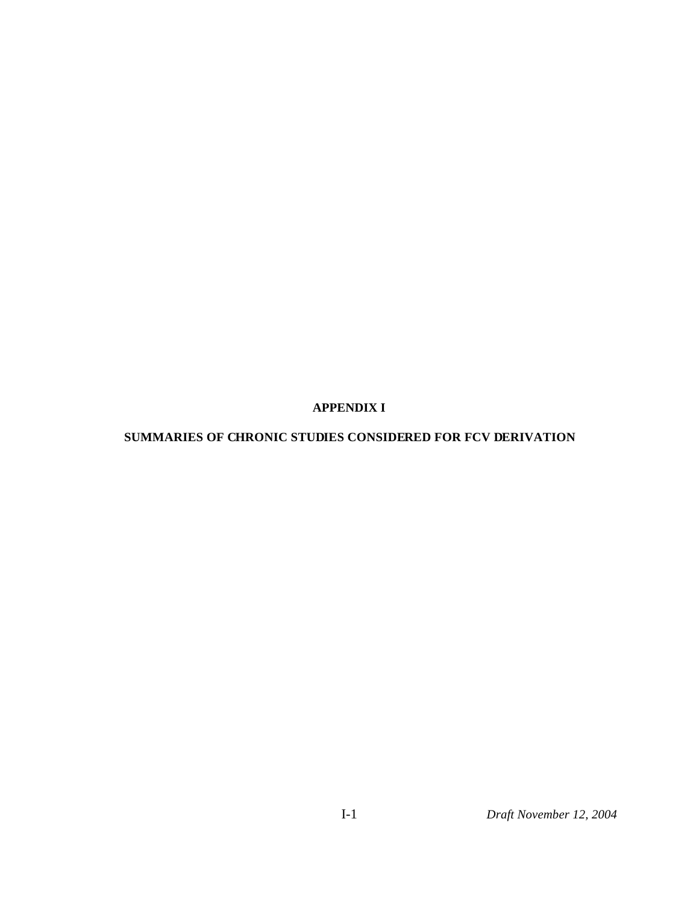## **APPENDIX I**

# **SUMMARIES OF CHRONIC STUDIES CONSIDERED FOR FCV DERIVATION**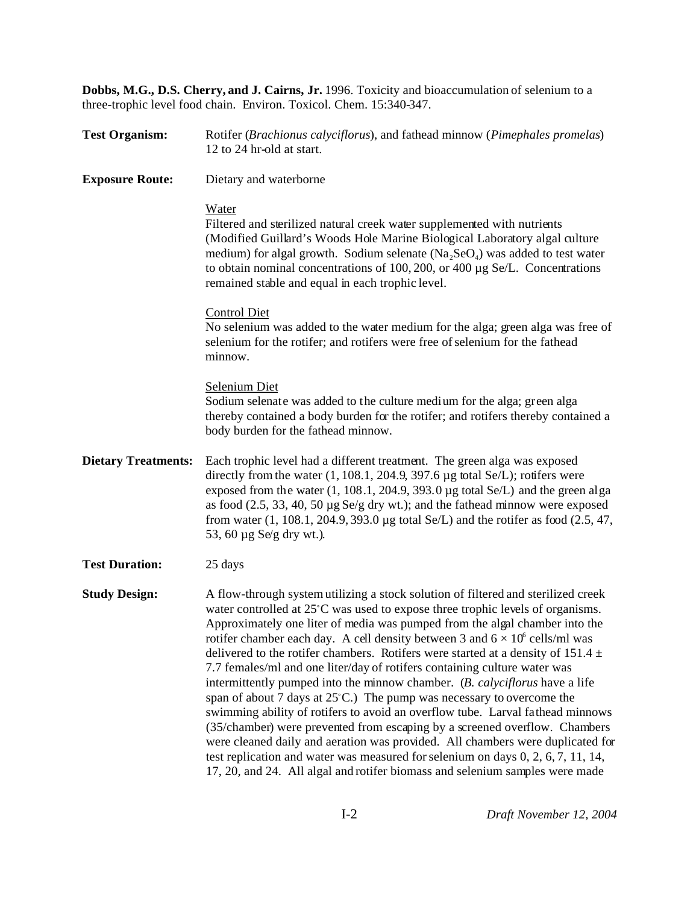**Dobbs, M.G., D.S. Cherry, and J. Cairns, Jr.** 1996. Toxicity and bioaccumulation of selenium to a three-trophic level food chain. Environ. Toxicol. Chem. 15:340-347.

| <b>Test Organism:</b>      | Rotifer (Brachionus calyciflorus), and fathead minnow (Pimephales promelas)<br>12 to 24 hr-old at start.                                                                                                                                                                                                                                                                                                                                                                                                                                                                                                                                                                                                                                                                                                                                                                                                                                                                                                                                                                                               |
|----------------------------|--------------------------------------------------------------------------------------------------------------------------------------------------------------------------------------------------------------------------------------------------------------------------------------------------------------------------------------------------------------------------------------------------------------------------------------------------------------------------------------------------------------------------------------------------------------------------------------------------------------------------------------------------------------------------------------------------------------------------------------------------------------------------------------------------------------------------------------------------------------------------------------------------------------------------------------------------------------------------------------------------------------------------------------------------------------------------------------------------------|
| <b>Exposure Route:</b>     | Dietary and waterborne                                                                                                                                                                                                                                                                                                                                                                                                                                                                                                                                                                                                                                                                                                                                                                                                                                                                                                                                                                                                                                                                                 |
|                            | Water<br>Filtered and sterilized natural creek water supplemented with nutrients<br>(Modified Guillard's Woods Hole Marine Biological Laboratory algal culture<br>medium) for algal growth. Sodium selenate $(Na_2SeO_4)$ was added to test water<br>to obtain nominal concentrations of 100, 200, or 400 µg Se/L. Concentrations<br>remained stable and equal in each trophic level.                                                                                                                                                                                                                                                                                                                                                                                                                                                                                                                                                                                                                                                                                                                  |
|                            | <b>Control Diet</b><br>No selenium was added to the water medium for the alga; green alga was free of<br>selenium for the rotifer; and rotifers were free of selenium for the fathead<br>minnow.                                                                                                                                                                                                                                                                                                                                                                                                                                                                                                                                                                                                                                                                                                                                                                                                                                                                                                       |
|                            | <b>Selenium Diet</b><br>Sodium selenate was added to the culture medium for the alga; green alga<br>thereby contained a body burden for the rotifer; and rotifers thereby contained a<br>body burden for the fathead minnow.                                                                                                                                                                                                                                                                                                                                                                                                                                                                                                                                                                                                                                                                                                                                                                                                                                                                           |
| <b>Dietary Treatments:</b> | Each trophic level had a different treatment. The green alga was exposed<br>directly from the water $(1, 108.1, 204.9, 397.6 \mu g$ total Se/L); rotifers were<br>exposed from the water $(1, 108.1, 204.9, 393.0 \,\mu g$ total Se/L) and the green alga<br>as food $(2.5, 33, 40, 50 \mu g \text{S}e/g \text{ dry wt.})$ ; and the fathead minnow were exposed<br>from water $(1, 108.1, 204.9, 393.0 \,\mu g$ total Se/L) and the rotifer as food $(2.5, 47, 47.0)$<br>53, 60 µg Se/g dry wt.).                                                                                                                                                                                                                                                                                                                                                                                                                                                                                                                                                                                                     |
| <b>Test Duration:</b>      | 25 days                                                                                                                                                                                                                                                                                                                                                                                                                                                                                                                                                                                                                                                                                                                                                                                                                                                                                                                                                                                                                                                                                                |
| <b>Study Design:</b>       | A flow-through system utilizing a stock solution of filtered and sterilized creek<br>water controlled at 25°C was used to expose three trophic levels of organisms.<br>Approximately one liter of media was pumped from the algal chamber into the<br>rotifer chamber each day. A cell density between 3 and $6 \times 10^6$ cells/ml was<br>delivered to the rotifer chambers. Rotifers were started at a density of 151.4 $\pm$<br>7.7 females/ml and one liter/day of rotifers containing culture water was<br>intermittently pumped into the minnow chamber. (B. calyciflorus have a life<br>span of about 7 days at $25^{\circ}$ C.) The pump was necessary to overcome the<br>swimming ability of rotifers to avoid an overflow tube. Larval fathead minnows<br>(35/chamber) were prevented from escaping by a screened overflow. Chambers<br>were cleaned daily and aeration was provided. All chambers were duplicated for<br>test replication and water was measured for selenium on days 0, 2, 6, 7, 11, 14,<br>17, 20, and 24. All algal and rotifer biomass and selenium samples were made |
|                            |                                                                                                                                                                                                                                                                                                                                                                                                                                                                                                                                                                                                                                                                                                                                                                                                                                                                                                                                                                                                                                                                                                        |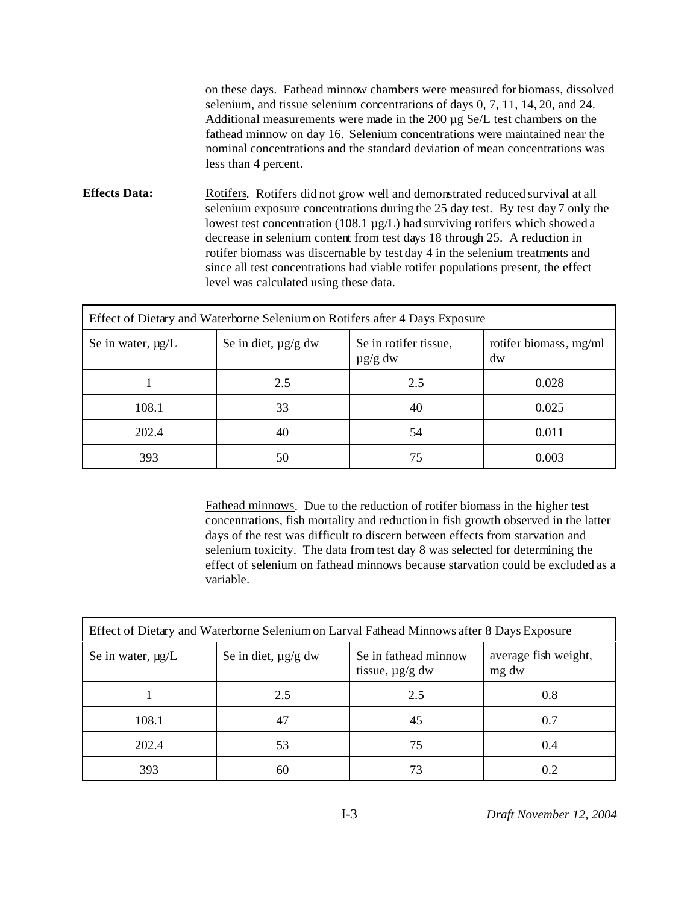on these days. Fathead minnow chambers were measured for biomass, dissolved selenium, and tissue selenium concentrations of days 0, 7, 11, 14, 20, and 24. Additional measurements were made in the 200 µg Se/L test chambers on the fathead minnow on day 16. Selenium concentrations were maintained near the nominal concentrations and the standard deviation of mean concentrations was less than 4 percent.

**Effects Data:** Rotifers. Rotifers did not grow well and demonstrated reduced survival at all selenium exposure concentrations during the 25 day test. By test day 7 only the lowest test concentration (108.1 µg/L) had surviving rotifers which showed a decrease in selenium content from test days 18 through 25. A reduction in rotifer biomass was discernable by test day 4 in the selenium treatments and since all test concentrations had viable rotifer populations present, the effect level was calculated using these data.

| Effect of Dietary and Waterborne Selenium on Rotifers after 4 Days Exposure |                          |                                       |                              |  |  |
|-----------------------------------------------------------------------------|--------------------------|---------------------------------------|------------------------------|--|--|
| Se in water, $\mu g/L$                                                      | Se in diet, $\mu$ g/g dw | Se in rotifer tissue,<br>$\mu$ g/g dw | rotifer biomass, mg/ml<br>dw |  |  |
|                                                                             | 2.5                      | 2.5                                   | 0.028                        |  |  |
| 108.1                                                                       | 33                       | 40                                    | 0.025                        |  |  |
| 202.4                                                                       | 40                       | 54                                    | 0.011                        |  |  |
| 393                                                                         | 50                       | 75                                    | 0.003                        |  |  |

Fathead minnows. Due to the reduction of rotifer biomass in the higher test concentrations, fish mortality and reduction in fish growth observed in the latter days of the test was difficult to discern between effects from starvation and selenium toxicity. The data from test day 8 was selected for determining the effect of selenium on fathead minnows because starvation could be excluded as a variable.

| Effect of Dietary and Waterborne Selenium on Larval Fathead Minnows after 8 Days Exposure |                          |                                              |                               |  |  |
|-------------------------------------------------------------------------------------------|--------------------------|----------------------------------------------|-------------------------------|--|--|
| Se in water, $\mu g/L$                                                                    | Se in diet, $\mu$ g/g dw | Se in fathead minnow<br>tissue, $\mu$ g/g dw | average fish weight,<br>mg dw |  |  |
|                                                                                           | 2.5                      | 2.5                                          | 0.8                           |  |  |
| 108.1                                                                                     | 47                       | 45                                           | 0.7                           |  |  |
| 202.4                                                                                     | 53                       | 75                                           | 0.4                           |  |  |
| 393                                                                                       | 60                       | 73                                           | 0.2                           |  |  |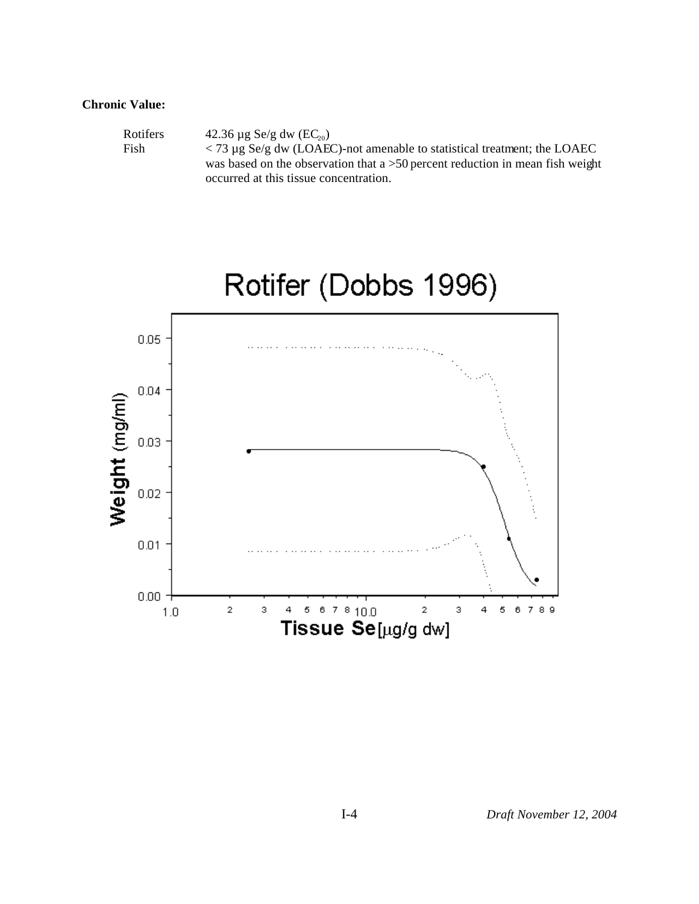#### **Chronic Value:**

| <b>Rotifers</b> | 42.36 $\mu$ g Se/g dw (EC <sub>20</sub> )                                           |
|-----------------|-------------------------------------------------------------------------------------|
| Fish            | $\langle 73 \mu$ g Se/g dw (LOAEC)-not amenable to statistical treatment; the LOAEC |
|                 | was based on the observation that a $>50$ percent reduction in mean fish weight     |
|                 | occurred at this tissue concentration.                                              |

# Rotifer (Dobbs 1996)

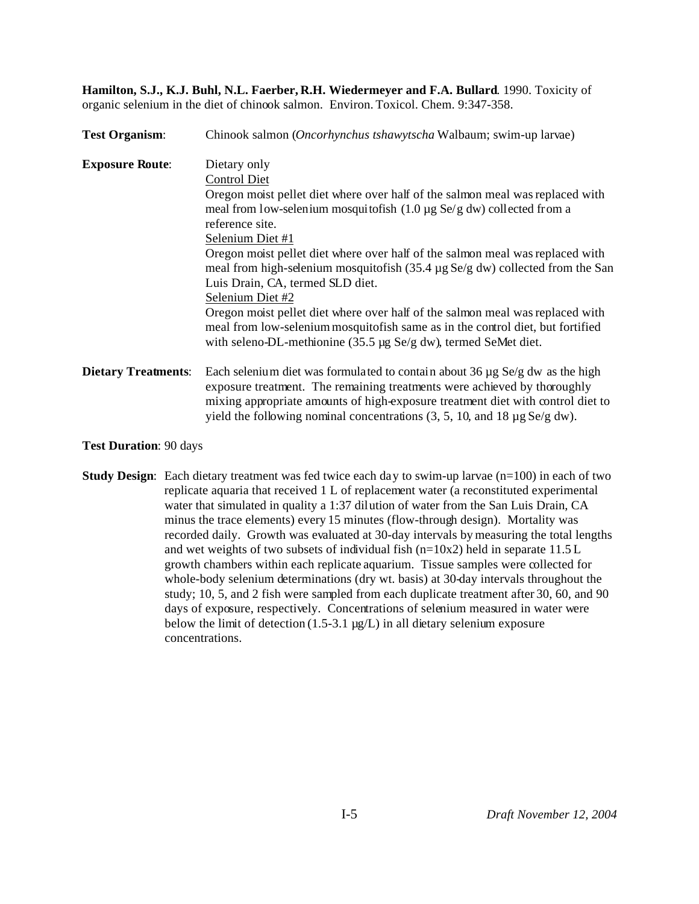**Hamilton, S.J., K.J. Buhl, N.L. Faerber, R.H. Wiedermeyer and F.A. Bullard**. 1990. Toxicity of organic selenium in the diet of chinook salmon. Environ. Toxicol. Chem. 9:347-358.

| <b>Test Organism:</b>      | Chinook salmon (Oncorhynchus tshawytscha Walbaum; swim-up larvae)                                                                                                                                                                                                                                                                                          |
|----------------------------|------------------------------------------------------------------------------------------------------------------------------------------------------------------------------------------------------------------------------------------------------------------------------------------------------------------------------------------------------------|
| <b>Exposure Route:</b>     | Dietary only<br><b>Control Diet</b>                                                                                                                                                                                                                                                                                                                        |
|                            | Oregon moist pellet diet where over half of the salmon meal was replaced with<br>meal from low-selenium mosquitofish $(1.0 \mu g \text{ Se/g} \text{ dw})$ collected from a                                                                                                                                                                                |
|                            | reference site.<br>Selenium Diet #1                                                                                                                                                                                                                                                                                                                        |
|                            | Oregon moist pellet diet where over half of the salmon meal was replaced with<br>meal from high-selenium mosquitofish $(35.4 \mu g \text{ Se/g} \text{ dw})$ collected from the San                                                                                                                                                                        |
|                            | Luis Drain, CA, termed SLD diet.<br>Selenium Diet #2<br>Oregon moist pellet diet where over half of the salmon meal was replaced with<br>meal from low-selenium mosquitofish same as in the control diet, but fortified<br>with seleno-DL-methionine $(35.5 \mu g \text{ Se/g} \text{ dw})$ , termed SeMet diet.                                           |
| <b>Dietary Treatments:</b> | Each selenium diet was formulated to contain about 36 $\mu$ g Se/g dw as the high<br>exposure treatment. The remaining treatments were achieved by thoroughly<br>mixing appropriate amounts of high-exposure treatment diet with control diet to<br>yield the following nominal concentrations $(3, 5, 10, \text{ and } 18 \mu\text{g} \text{ Se/g dw})$ . |

**Test Duration**: 90 days

**Study Design:** Each dietary treatment was fed twice each day to swim-up larvae (n=100) in each of two replicate aquaria that received 1 L of replacement water (a reconstituted experimental water that simulated in quality a 1:37 dilution of water from the San Luis Drain, CA minus the trace elements) every 15 minutes (flow-through design). Mortality was recorded daily. Growth was evaluated at 30-day intervals by measuring the total lengths and wet weights of two subsets of individual fish ( $n=10x2$ ) held in separate 11.5 L growth chambers within each replicate aquarium. Tissue samples were collected for whole-body selenium determinations (dry wt. basis) at 30-day intervals throughout the study; 10, 5, and 2 fish were sampled from each duplicate treatment after 30, 60, and 90 days of exposure, respectively. Concentrations of selenium measured in water were below the limit of detection  $(1.5-3.1 \mu g/L)$  in all dietary selenium exposure concentrations.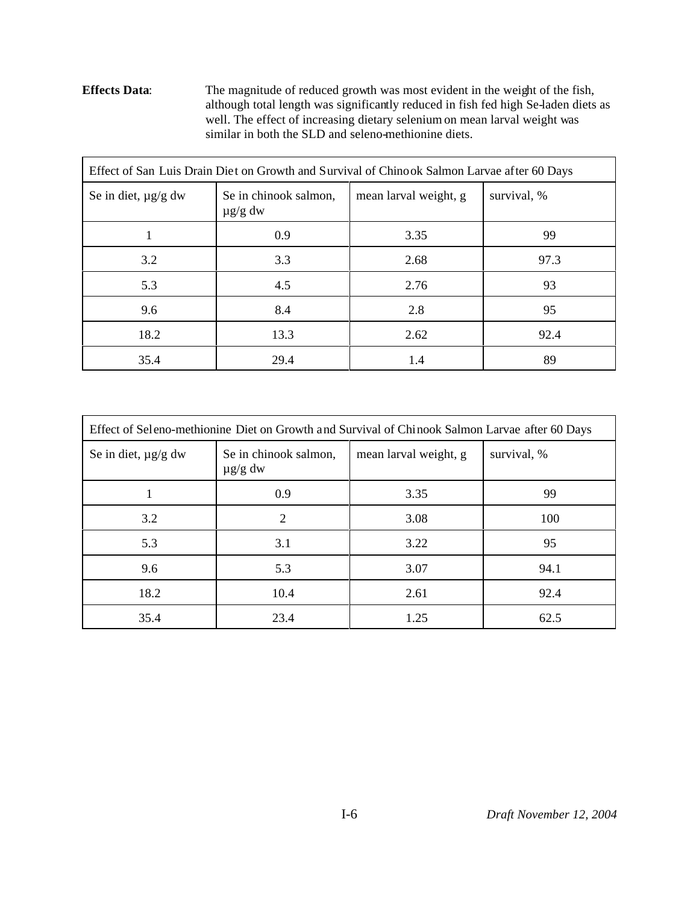**Effects Data**: The magnitude of reduced growth was most evident in the weight of the fish, although total length was significantly reduced in fish fed high Se-laden diets as well. The effect of increasing dietary selenium on mean larval weight was similar in both the SLD and seleno-methionine diets.

| Effect of San Luis Drain Diet on Growth and Survival of Chinook Salmon Larvae after 60 Days |                                       |                       |             |  |  |
|---------------------------------------------------------------------------------------------|---------------------------------------|-----------------------|-------------|--|--|
| Se in diet, $\mu$ g/g dw                                                                    | Se in chinook salmon,<br>$\mu$ g/g dw | mean larval weight, g | survival, % |  |  |
|                                                                                             | 0.9                                   | 3.35                  | 99          |  |  |
| 3.2                                                                                         | 3.3                                   | 2.68                  | 97.3        |  |  |
| 5.3                                                                                         | 4.5                                   | 2.76                  | 93          |  |  |
| 9.6                                                                                         | 8.4                                   | 2.8                   | 95          |  |  |
| 18.2                                                                                        | 13.3                                  | 2.62                  | 92.4        |  |  |
| 35.4                                                                                        | 29.4                                  | 1.4                   | 89          |  |  |

| Effect of Seleno-methionine Diet on Growth and Survival of Chinook Salmon Larvae after 60 Days |                                       |             |      |  |  |
|------------------------------------------------------------------------------------------------|---------------------------------------|-------------|------|--|--|
| Se in diet, $\mu$ g/g dw                                                                       | Se in chinook salmon,<br>$\mu$ g/g dw | survival, % |      |  |  |
|                                                                                                | 0.9                                   | 3.35        | 99   |  |  |
| 3.2                                                                                            | 2                                     | 3.08        | 100  |  |  |
| 5.3                                                                                            | 3.1                                   | 3.22        | 95   |  |  |
| 9.6                                                                                            | 5.3                                   | 3.07        | 94.1 |  |  |
| 18.2                                                                                           | 10.4                                  | 2.61        | 92.4 |  |  |
| 35.4                                                                                           | 23.4                                  | 1.25        | 62.5 |  |  |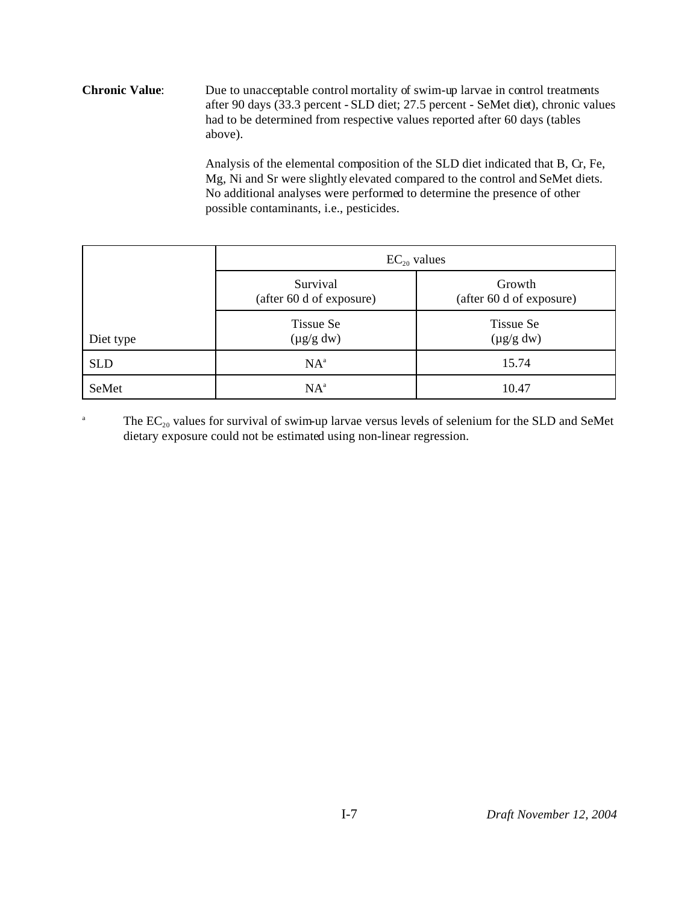**Chronic Value**: Due to unacceptable control mortality of swim-up larvae in control treatments after 90 days (33.3 percent - SLD diet; 27.5 percent - SeMet diet), chronic values had to be determined from respective values reported after 60 days (tables above).

> Analysis of the elemental composition of the SLD diet indicated that B, Cr, Fe, Mg, Ni and Sr were slightly elevated compared to the control and SeMet diets. No additional analyses were performed to determine the presence of other possible contaminants, i.e., pesticides.

|            | $EC_{20}$ values                     |                                    |  |  |
|------------|--------------------------------------|------------------------------------|--|--|
|            | Survival<br>(after 60 d of exposure) | Growth<br>(after 60 d of exposure) |  |  |
| Diet type  | Tissue Se<br>$(\mu g/g dw)$          | Tissue Se<br>$(\mu g/g dw)$        |  |  |
| <b>SLD</b> | $NA^a$                               | 15.74                              |  |  |
| SeMet      | $NA^a$                               | 10.47                              |  |  |

<sup>a</sup> The  $EC_{20}$  values for survival of swim-up larvae versus levels of selenium for the SLD and SeMet dietary exposure could not be estimated using non-linear regression.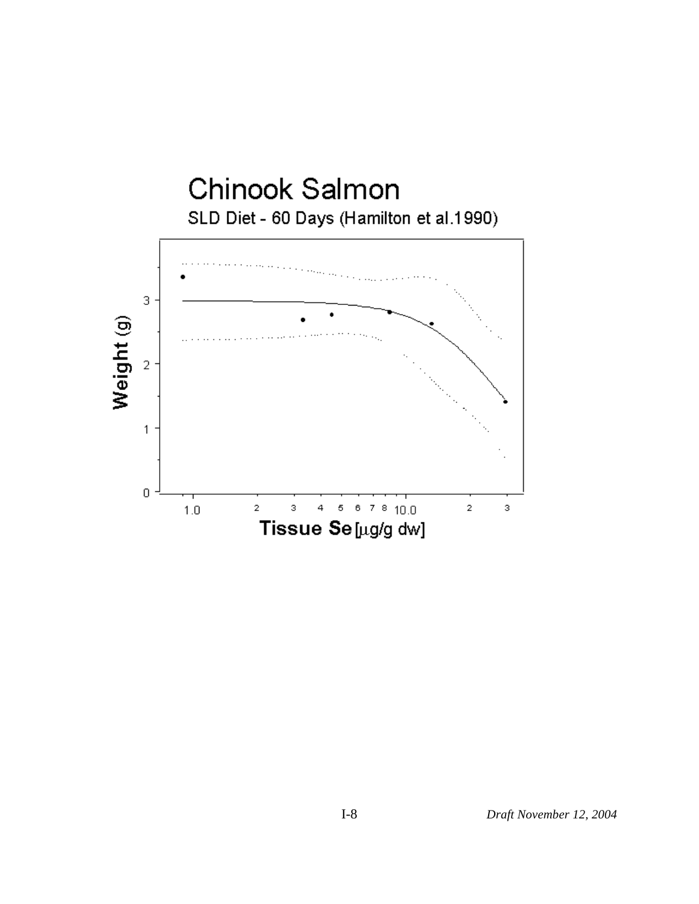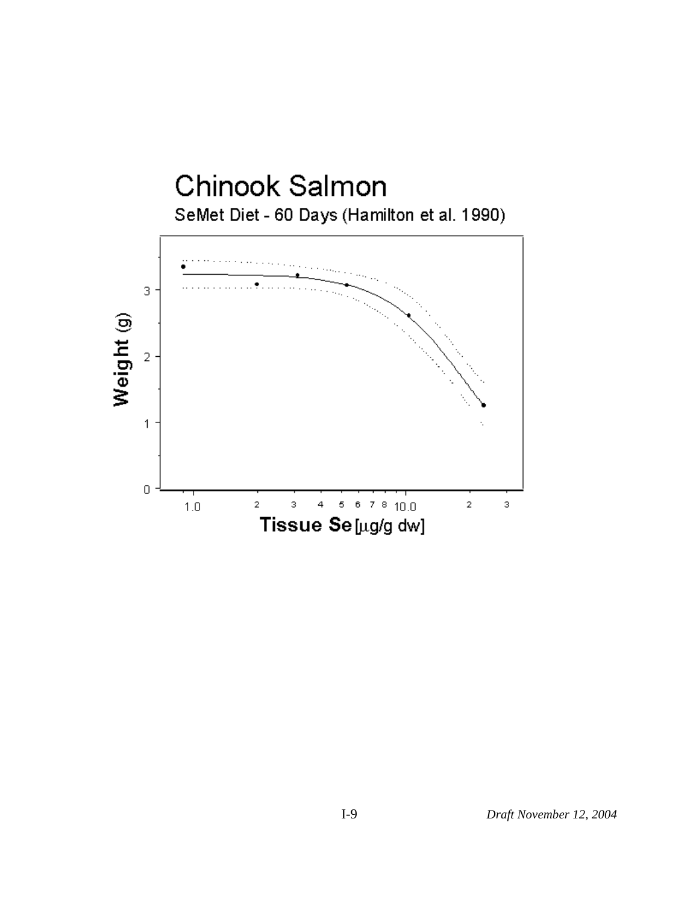

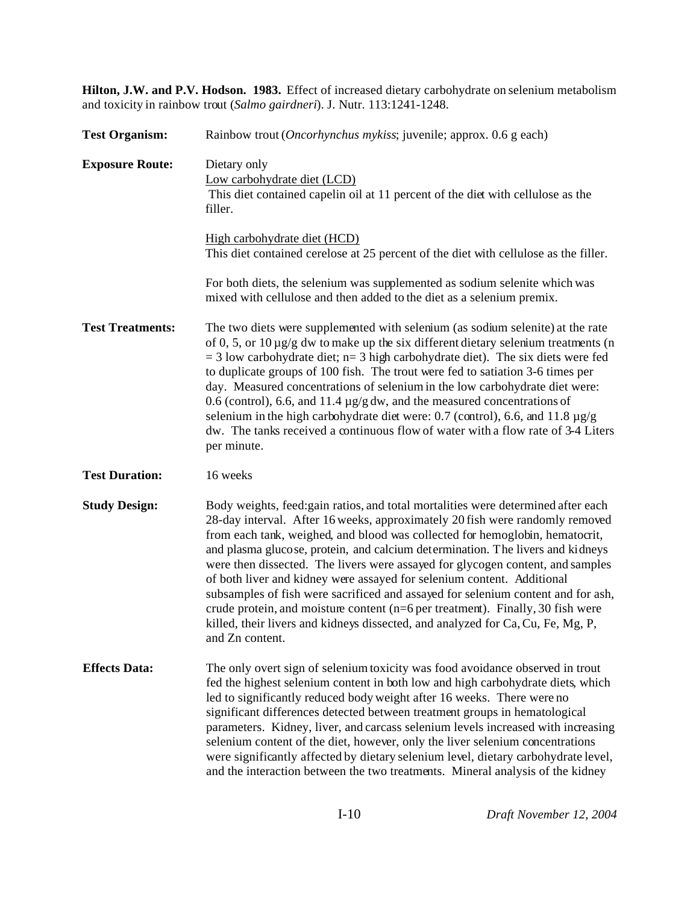**Hilton, J.W. and P.V. Hodson. 1983.** Effect of increased dietary carbohydrate on selenium metabolism and toxicity in rainbow trout (*Salmo gairdneri*). J. Nutr. 113:1241-1248.

| <b>Test Organism:</b>   | Rainbow trout ( <i>Oncorhynchus mykiss</i> ; juvenile; approx. 0.6 g each)                                                                                                                                                                                                                                                                                                                                                                                                                                                                                                                                                                                                                                                                                                     |  |  |  |
|-------------------------|--------------------------------------------------------------------------------------------------------------------------------------------------------------------------------------------------------------------------------------------------------------------------------------------------------------------------------------------------------------------------------------------------------------------------------------------------------------------------------------------------------------------------------------------------------------------------------------------------------------------------------------------------------------------------------------------------------------------------------------------------------------------------------|--|--|--|
| <b>Exposure Route:</b>  | Dietary only<br>Low carbohydrate diet (LCD)<br>This diet contained capelin oil at 11 percent of the diet with cellulose as the<br>filler.                                                                                                                                                                                                                                                                                                                                                                                                                                                                                                                                                                                                                                      |  |  |  |
|                         | High carbohydrate diet (HCD)<br>This diet contained cerelose at 25 percent of the diet with cellulose as the filler.                                                                                                                                                                                                                                                                                                                                                                                                                                                                                                                                                                                                                                                           |  |  |  |
|                         | For both diets, the selenium was supplemented as sodium selenite which was<br>mixed with cellulose and then added to the diet as a selenium premix.                                                                                                                                                                                                                                                                                                                                                                                                                                                                                                                                                                                                                            |  |  |  |
| <b>Test Treatments:</b> | The two diets were supplemented with selenium (as sodium selenite) at the rate<br>of 0, 5, or $10 \mu g/g$ dw to make up the six different dietary selenium treatments (n<br>$=$ 3 low carbohydrate diet; n= 3 high carbohydrate diet). The six diets were fed<br>to duplicate groups of 100 fish. The trout were fed to satiation 3-6 times per<br>day. Measured concentrations of selenium in the low carbohydrate diet were:<br>0.6 (control), 6.6, and 11.4 $\mu$ g/g dw, and the measured concentrations of<br>selenium in the high carbohydrate diet were: 0.7 (control), 6.6, and 11.8 $\mu$ g/g<br>dw. The tanks received a continuous flow of water with a flow rate of 3-4 Liters<br>per minute.                                                                     |  |  |  |
| <b>Test Duration:</b>   | 16 weeks                                                                                                                                                                                                                                                                                                                                                                                                                                                                                                                                                                                                                                                                                                                                                                       |  |  |  |
| <b>Study Design:</b>    | Body weights, feed: gain ratios, and total mortalities were determined after each<br>28-day interval. After 16 weeks, approximately 20 fish were randomly removed<br>from each tank, weighed, and blood was collected for hemoglobin, hematocrit,<br>and plasma glucose, protein, and calcium determination. The livers and kidneys<br>were then dissected. The livers were assayed for glycogen content, and samples<br>of both liver and kidney were assayed for selenium content. Additional<br>subsamples of fish were sacrificed and assayed for selenium content and for ash,<br>crude protein, and moisture content ( $n=6$ per treatment). Finally, 30 fish were<br>killed, their livers and kidneys dissected, and analyzed for Ca, Cu, Fe, Mg, P,<br>and Zn content. |  |  |  |
| <b>Effects Data:</b>    | The only overt sign of selenium toxicity was food avoidance observed in trout<br>fed the highest selenium content in both low and high carbohydrate diets, which<br>led to significantly reduced body weight after 16 weeks. There were no<br>significant differences detected between treatment groups in hematological<br>parameters. Kidney, liver, and carcass selenium levels increased with increasing<br>selenium content of the diet, however, only the liver selenium concentrations<br>were significantly affected by dietary selenium level, dietary carbohydrate level,<br>and the interaction between the two treatments. Mineral analysis of the kidney                                                                                                          |  |  |  |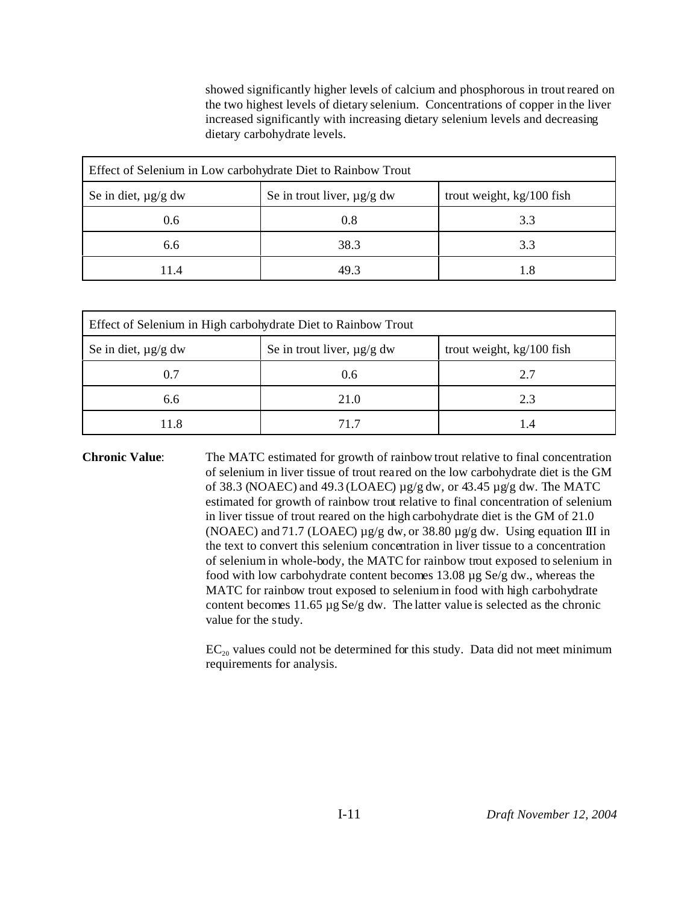showed significantly higher levels of calcium and phosphorous in trout reared on the two highest levels of dietary selenium. Concentrations of copper in the liver increased significantly with increasing dietary selenium levels and decreasing dietary carbohydrate levels.

| Effect of Selenium in Low carbohydrate Diet to Rainbow Trout |                                                              |     |  |  |
|--------------------------------------------------------------|--------------------------------------------------------------|-----|--|--|
| Se in diet, $\mu$ g/g dw                                     | trout weight, kg/100 fish<br>Se in trout liver, $\mu$ g/g dw |     |  |  |
| 0.6                                                          | 0.8                                                          | 3.3 |  |  |
| 6.6                                                          | 38.3                                                         | 3.3 |  |  |
| 11.4                                                         | 49 Z                                                         |     |  |  |

| Effect of Selenium in High carbohydrate Diet to Rainbow Trout |                                                              |     |  |  |
|---------------------------------------------------------------|--------------------------------------------------------------|-----|--|--|
| Se in diet, $\mu$ g/g dw                                      | trout weight, kg/100 fish<br>Se in trout liver, $\mu$ g/g dw |     |  |  |
| 0.7                                                           | 0.6                                                          | 2.7 |  |  |
| 6.6                                                           | 21.0                                                         | 2.3 |  |  |
| 11.8                                                          | 71 7                                                         |     |  |  |

**Chronic Value**: The MATC estimated for growth of rainbow trout relative to final concentration of selenium in liver tissue of trout reared on the low carbohydrate diet is the GM of 38.3 (NOAEC) and 49.3 (LOAEC)  $\mu$ g/g dw, or 43.45  $\mu$ g/g dw. The MATC estimated for growth of rainbow trout relative to final concentration of selenium in liver tissue of trout reared on the high carbohydrate diet is the GM of 21.0 (NOAEC) and 71.7 (LOAEC)  $\mu$ g/g dw, or 38.80  $\mu$ g/g dw. Using equation III in the text to convert this selenium concentration in liver tissue to a concentration of selenium in whole-body, the MATC for rainbow trout exposed to selenium in food with low carbohydrate content becomes 13.08 µg Se/g dw., whereas the MATC for rainbow trout exposed to selenium in food with high carbohydrate content becomes 11.65 µg Se/g dw. The latter value is selected as the chronic value for the study.

> $EC_{20}$  values could not be determined for this study. Data did not meet minimum requirements for analysis.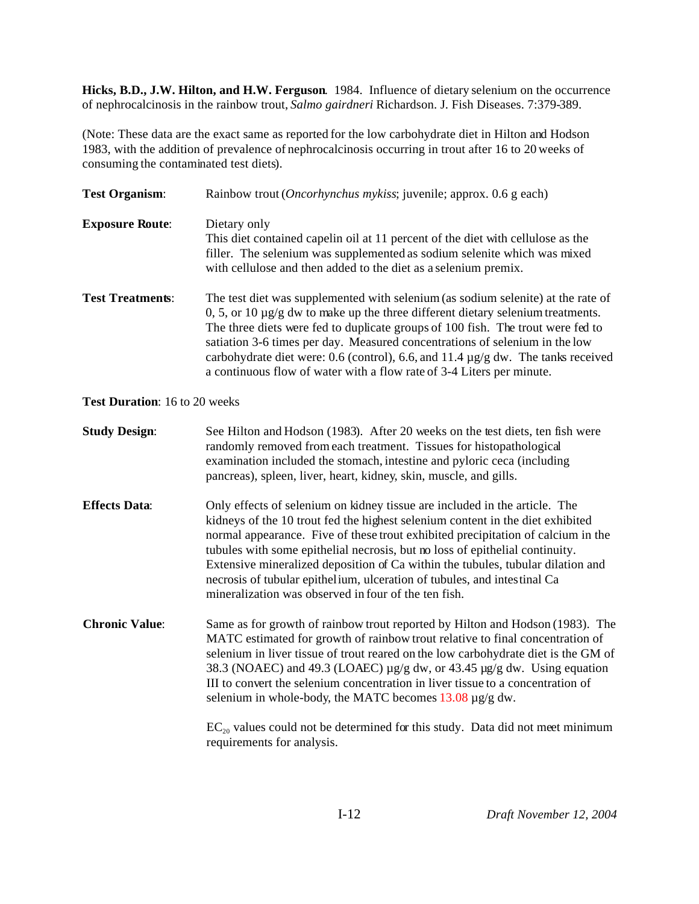**Hicks, B.D., J.W. Hilton, and H.W. Ferguson**. 1984. Influence of dietary selenium on the occurrence of nephrocalcinosis in the rainbow trout, *Salmo gairdneri* Richardson. J. Fish Diseases. 7:379-389.

(Note: These data are the exact same as reported for the low carbohydrate diet in Hilton and Hodson 1983, with the addition of prevalence of nephrocalcinosis occurring in trout after 16 to 20 weeks of consuming the contaminated test diets).

| <b>Test Organism:</b>         | Rainbow trout ( <i>Oncorhynchus mykiss</i> ; juvenile; approx. 0.6 g each)                                                                                                                                                                                                                                                                                                                                                                                                                                                                              |
|-------------------------------|---------------------------------------------------------------------------------------------------------------------------------------------------------------------------------------------------------------------------------------------------------------------------------------------------------------------------------------------------------------------------------------------------------------------------------------------------------------------------------------------------------------------------------------------------------|
| <b>Exposure Route:</b>        | Dietary only<br>This diet contained capelin oil at 11 percent of the diet with cellulose as the<br>filler. The selenium was supplemented as sodium selenite which was mixed<br>with cellulose and then added to the diet as a selenium premix.                                                                                                                                                                                                                                                                                                          |
| <b>Test Treatments:</b>       | The test diet was supplemented with selenium (as sodium selenite) at the rate of<br>$0, 5$ , or 10 $\mu$ g/g dw to make up the three different dietary selenium treatments.<br>The three diets were fed to duplicate groups of 100 fish. The trout were fed to<br>satiation 3-6 times per day. Measured concentrations of selenium in the low<br>carbohydrate diet were: 0.6 (control), 6.6, and 11.4 µg/g dw. The tanks received<br>a continuous flow of water with a flow rate of 3-4 Liters per minute.                                              |
| Test Duration: 16 to 20 weeks |                                                                                                                                                                                                                                                                                                                                                                                                                                                                                                                                                         |
| <b>Study Design:</b>          | See Hilton and Hodson (1983). After 20 weeks on the test diets, ten fish were<br>randomly removed from each treatment. Tissues for histopathological<br>examination included the stomach, intestine and pyloric ceca (including<br>pancreas), spleen, liver, heart, kidney, skin, muscle, and gills.                                                                                                                                                                                                                                                    |
| <b>Effects Data:</b>          | Only effects of selenium on kidney tissue are included in the article. The<br>kidneys of the 10 trout fed the highest selenium content in the diet exhibited<br>normal appearance. Five of these trout exhibited precipitation of calcium in the<br>tubules with some epithelial necrosis, but no loss of epithelial continuity.<br>Extensive mineralized deposition of Ca within the tubules, tubular dilation and<br>necrosis of tubular epithelium, ulceration of tubules, and intestinal Ca<br>mineralization was observed in four of the ten fish. |
| <b>Chronic Value:</b>         | Same as for growth of rainbow trout reported by Hilton and Hodson (1983). The<br>MATC estimated for growth of rainbow trout relative to final concentration of<br>selenium in liver tissue of trout reared on the low carbohydrate diet is the GM of<br>38.3 (NOAEC) and 49.3 (LOAEC) µg/g dw, or 43.45 µg/g dw. Using equation<br>III to convert the selenium concentration in liver tissue to a concentration of<br>selenium in whole-body, the MATC becomes $13.08 \mu g/g dw$ .                                                                     |
|                               | $EC_{20}$ values could not be determined for this study. Data did not meet minimum                                                                                                                                                                                                                                                                                                                                                                                                                                                                      |

requirements for analysis.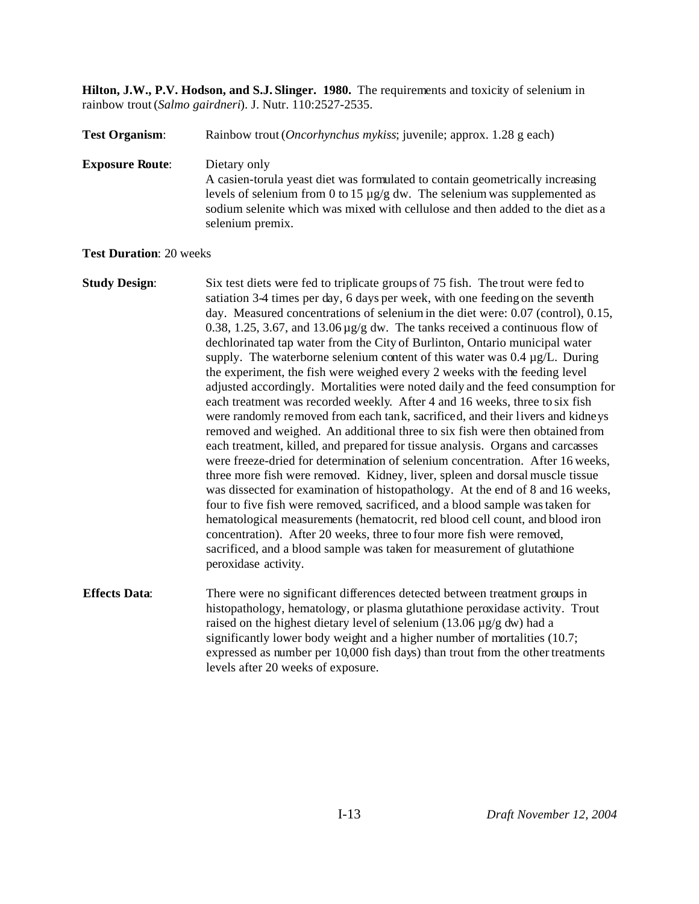**Hilton, J.W., P.V. Hodson, and S.J. Slinger. 1980.** The requirements and toxicity of selenium in rainbow trout (*Salmo gairdneri*). J. Nutr. 110:2527-2535.

# **Test Organism**: Rainbow trout (*Oncorhynchus mykiss*; juvenile; approx. 1.28 g each) **Exposure Route**: Dietary only A casien-torula yeast diet was formulated to contain geometrically increasing levels of selenium from 0 to 15 µg/g dw. The selenium was supplemented as sodium selenite which was mixed with cellulose and then added to the diet as a selenium premix.

**Test Duration**: 20 weeks

**Study Design:** Six test diets were fed to triplicate groups of 75 fish. The trout were fed to satiation 3-4 times per day, 6 days per week, with one feeding on the seventh day. Measured concentrations of selenium in the diet were: 0.07 (control), 0.15, 0.38, 1.25, 3.67, and 13.06 µg/g dw. The tanks received a continuous flow of dechlorinated tap water from the City of Burlinton, Ontario municipal water supply. The waterborne selenium content of this water was 0.4 µg/L. During the experiment, the fish were weighed every 2 weeks with the feeding level adjusted accordingly. Mortalities were noted daily and the feed consumption for each treatment was recorded weekly. After 4 and 16 weeks, three to six fish were randomly removed from each tank, sacrificed, and their livers and kidneys removed and weighed. An additional three to six fish were then obtained from each treatment, killed, and prepared for tissue analysis. Organs and carcasses were freeze-dried for determination of selenium concentration. After 16 weeks, three more fish were removed. Kidney, liver, spleen and dorsal muscle tissue was dissected for examination of histopathology. At the end of 8 and 16 weeks, four to five fish were removed, sacrificed, and a blood sample was taken for hematological measurements (hematocrit, red blood cell count, and blood iron concentration). After 20 weeks, three to four more fish were removed, sacrificed, and a blood sample was taken for measurement of glutathione peroxidase activity. **Effects Data:** There were no significant differences detected between treatment groups in histopathology, hematology, or plasma glutathione peroxidase activity. Trout raised on the highest dietary level of selenium (13.06 µg/g dw) had a significantly lower body weight and a higher number of mortalities (10.7; expressed as number per 10,000 fish days) than trout from the other treatments levels after 20 weeks of exposure.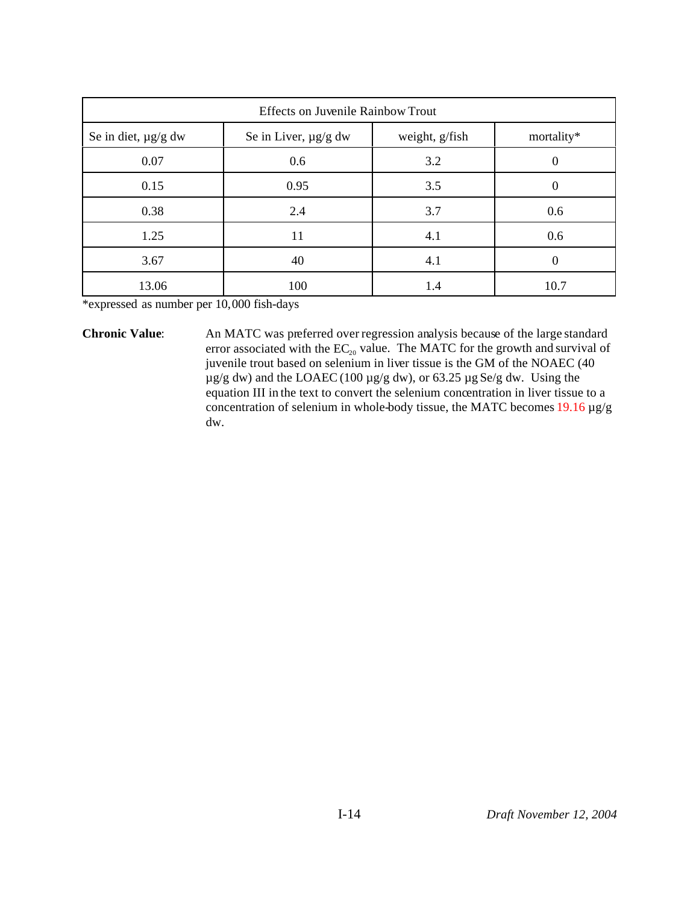| <b>Effects on Juvenile Rainbow Trout</b>                                         |      |     |          |  |  |
|----------------------------------------------------------------------------------|------|-----|----------|--|--|
| weight, g/fish<br>Se in diet, $\mu$ g/g dw<br>Se in Liver, µg/g dw<br>mortality* |      |     |          |  |  |
| 0.07                                                                             | 0.6  | 3.2 | $\theta$ |  |  |
| 0.15                                                                             | 0.95 | 3.5 | 0        |  |  |
| 0.38                                                                             | 2.4  | 3.7 | 0.6      |  |  |
| 1.25                                                                             | 11   | 4.1 | 0.6      |  |  |
| 3.67                                                                             | 40   | 4.1 | 0        |  |  |
| 13.06                                                                            | 100  | 1.4 | 10.7     |  |  |

\*expressed as number per 10,000 fish-days

**Chronic Value**: An MATC was preferred over regression analysis because of the large standard error associated with the  $EC_{20}$  value. The MATC for the growth and survival of juvenile trout based on selenium in liver tissue is the GM of the NOAEC (40 µg/g dw) and the LOAEC (100 µg/g dw), or 63.25 µg Se/g dw. Using the equation III in the text to convert the selenium concentration in liver tissue to a concentration of selenium in whole-body tissue, the MATC becomes 19.16 µg/g dw.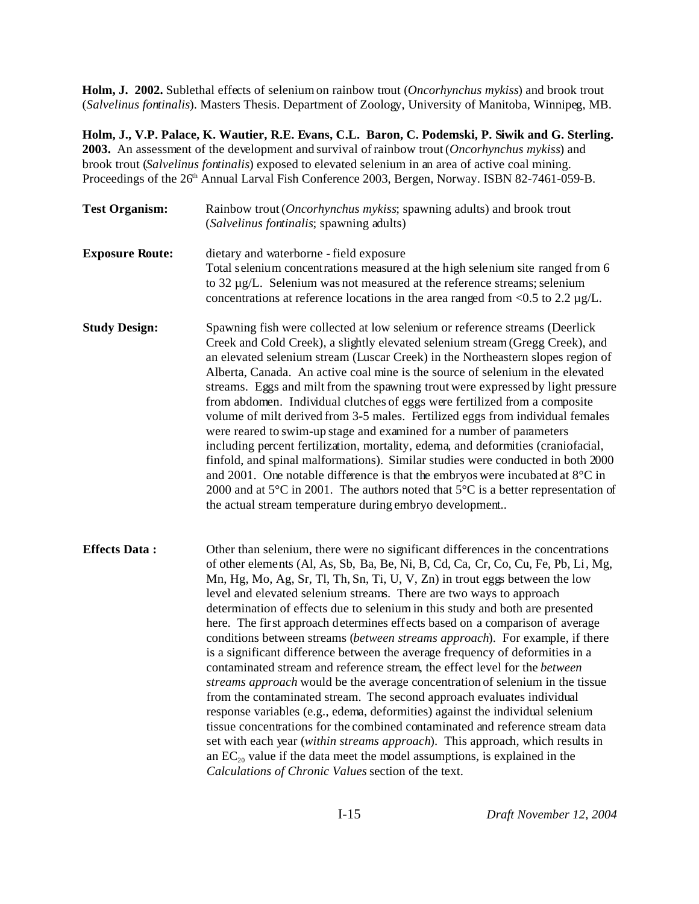**Holm, J. 2002.** Sublethal effects of selenium on rainbow trout (*Oncorhynchus mykiss*) and brook trout (*Salvelinus fontinalis*). Masters Thesis. Department of Zoology, University of Manitoba, Winnipeg, MB.

**Holm, J., V.P. Palace, K. Wautier, R.E. Evans, C.L. Baron, C. Podemski, P. Siwik and G. Sterling. 2003.** An assessment of the development and survival of rainbow trout (*Oncorhynchus mykiss*) and brook trout (*Salvelinus fontinalis*) exposed to elevated selenium in an area of active coal mining. Proceedings of the 26<sup>th</sup> Annual Larval Fish Conference 2003, Bergen, Norway. ISBN 82-7461-059-B.

| <b>Test Organism:</b>  | Rainbow trout (Oncorhynchus mykiss; spawning adults) and brook trout<br>(Salvelinus fontinalis; spawning adults)                                                                                                                                                                                                                                                                                                                                                                                                                                                                                                                                                                                                                                                                                                                                                                                                                                                                                                                                                                                                                                                                                                                                                                                   |  |  |  |
|------------------------|----------------------------------------------------------------------------------------------------------------------------------------------------------------------------------------------------------------------------------------------------------------------------------------------------------------------------------------------------------------------------------------------------------------------------------------------------------------------------------------------------------------------------------------------------------------------------------------------------------------------------------------------------------------------------------------------------------------------------------------------------------------------------------------------------------------------------------------------------------------------------------------------------------------------------------------------------------------------------------------------------------------------------------------------------------------------------------------------------------------------------------------------------------------------------------------------------------------------------------------------------------------------------------------------------|--|--|--|
| <b>Exposure Route:</b> | dietary and waterborne - field exposure<br>Total selenium concentrations measured at the high selenium site ranged from 6<br>to 32 μg/L. Selenium was not measured at the reference streams; selenium<br>concentrations at reference locations in the area ranged from $< 0.5$ to 2.2 $\mu$ g/L.                                                                                                                                                                                                                                                                                                                                                                                                                                                                                                                                                                                                                                                                                                                                                                                                                                                                                                                                                                                                   |  |  |  |
| <b>Study Design:</b>   | Spawning fish were collected at low selenium or reference streams (Deerlick<br>Creek and Cold Creek), a slightly elevated selenium stream (Gregg Creek), and<br>an elevated selenium stream (Luscar Creek) in the Northeastern slopes region of<br>Alberta, Canada. An active coal mine is the source of selenium in the elevated<br>streams. Eggs and milt from the spawning trout were expressed by light pressure<br>from abdomen. Individual clutches of eggs were fertilized from a composite<br>volume of milt derived from 3-5 males. Fertilized eggs from individual females<br>were reared to swim-up stage and examined for a number of parameters<br>including percent fertilization, mortality, edema, and deformities (craniofacial,<br>finfold, and spinal malformations). Similar studies were conducted in both 2000<br>and 2001. One notable difference is that the embryos were incubated at $8^{\circ}$ C in<br>2000 and at $5^{\circ}$ C in 2001. The authors noted that $5^{\circ}$ C is a better representation of<br>the actual stream temperature during embryo development                                                                                                                                                                                                |  |  |  |
| <b>Effects Data:</b>   | Other than selenium, there were no significant differences in the concentrations<br>of other elements (Al, As, Sb, Ba, Be, Ni, B, Cd, Ca, Cr, Co, Cu, Fe, Pb, Li, Mg,<br>Mn, Hg, Mo, Ag, Sr, Tl, Th, Sn, Ti, U, V, Zn) in trout eggs between the low<br>level and elevated selenium streams. There are two ways to approach<br>determination of effects due to selenium in this study and both are presented<br>here. The first approach determines effects based on a comparison of average<br>conditions between streams (between streams approach). For example, if there<br>is a significant difference between the average frequency of deformities in a<br>contaminated stream and reference stream, the effect level for the between<br>streams approach would be the average concentration of selenium in the tissue<br>from the contaminated stream. The second approach evaluates individual<br>response variables (e.g., edema, deformities) against the individual selenium<br>tissue concentrations for the combined contaminated and reference stream data<br>set with each year (within streams approach). This approach, which results in<br>an $EC_{20}$ value if the data meet the model assumptions, is explained in the<br>Calculations of Chronic Values section of the text. |  |  |  |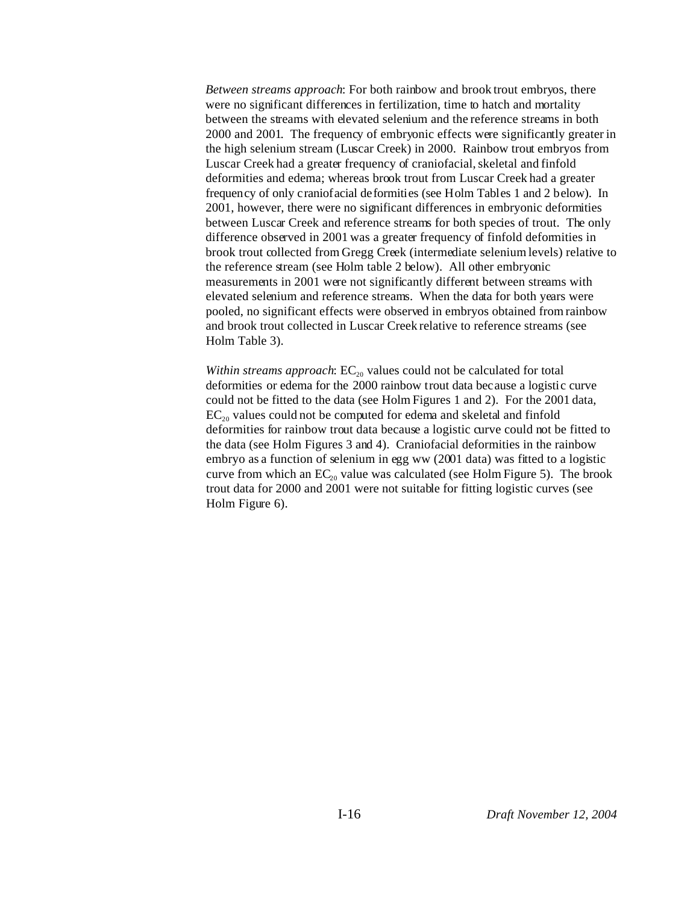*Between streams approach*: For both rainbow and brook trout embryos, there were no significant differences in fertilization, time to hatch and mortality between the streams with elevated selenium and the reference streams in both 2000 and 2001. The frequency of embryonic effects were significantly greater in the high selenium stream (Luscar Creek) in 2000. Rainbow trout embryos from Luscar Creek had a greater frequency of craniofacial, skeletal and finfold deformities and edema; whereas brook trout from Luscar Creek had a greater frequency of only craniofacial deformities (see Holm Tables 1 and 2 below). In 2001, however, there were no significant differences in embryonic deformities between Luscar Creek and reference streams for both species of trout. The only difference observed in 2001 was a greater frequency of finfold deformities in brook trout collected from Gregg Creek (intermediate selenium levels) relative to the reference stream (see Holm table 2 below). All other embryonic measurements in 2001 were not significantly different between streams with elevated selenium and reference streams. When the data for both years were pooled, no significant effects were observed in embryos obtained from rainbow and brook trout collected in Luscar Creek relative to reference streams (see Holm Table 3).

*Within streams approach*:  $EC_{20}$  values could not be calculated for total deformities or edema for the 2000 rainbow trout data because a logistic curve could not be fitted to the data (see Holm Figures 1 and 2). For the 2001 data,  $EC<sub>20</sub>$  values could not be computed for edema and skeletal and finfold deformities for rainbow trout data because a logistic curve could not be fitted to the data (see Holm Figures 3 and 4). Craniofacial deformities in the rainbow embryo as a function of selenium in egg ww (2001 data) was fitted to a logistic curve from which an  $EC_{20}$  value was calculated (see Holm Figure 5). The brook trout data for 2000 and 2001 were not suitable for fitting logistic curves (see Holm Figure 6).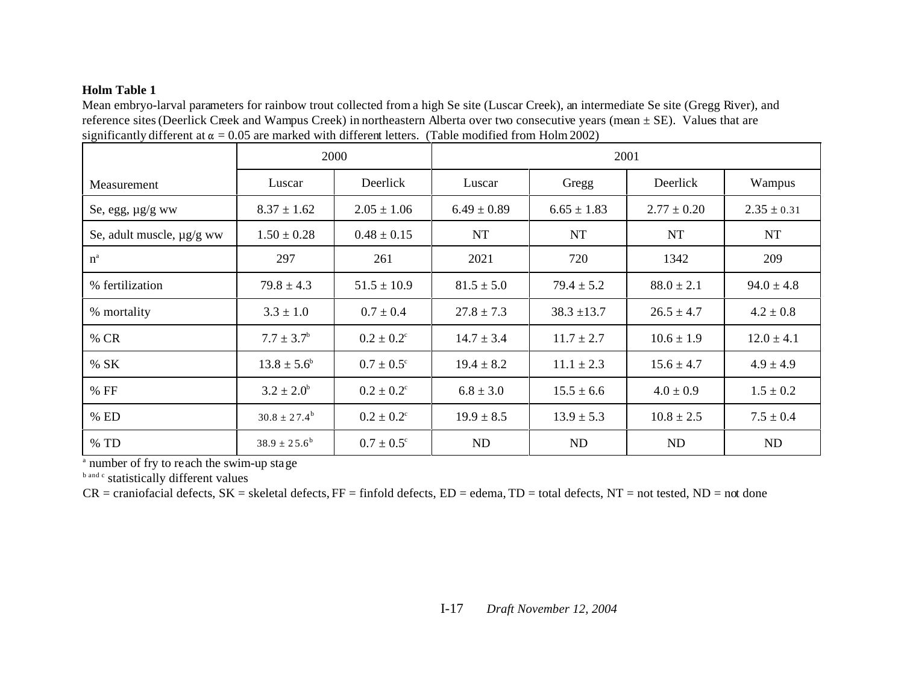#### **Holm Table 1**

Mean embryo-larval parameters for rainbow trout collected from a high Se site (Luscar Creek), an intermediate Se site (Gregg River), and reference sites (Deerlick Creek and Wampus Creek) in northeastern Alberta over two consecutive years (mean ± SE). Values that are significantly different at  $\alpha = 0.05$  are marked with different letters. (Table modified from Holm 2002)

|                           | 2000                    |                       | 2001            |                 |                 |                 |
|---------------------------|-------------------------|-----------------------|-----------------|-----------------|-----------------|-----------------|
| Measurement               | Luscar                  | Deerlick              | Luscar          | Gregg           | Deerlick        | Wampus          |
| Se, egg, $\mu$ g/g ww     | $8.37 \pm 1.62$         | $2.05 \pm 1.06$       | $6.49 \pm 0.89$ | $6.65 \pm 1.83$ | $2.77 \pm 0.20$ | $2.35 \pm 0.31$ |
| Se, adult muscle, µg/g ww | $1.50 \pm 0.28$         | $0.48 \pm 0.15$       | <b>NT</b>       | <b>NT</b>       | <b>NT</b>       | NT              |
| $n^a$                     | 297                     | 261                   | 2021            | 720             | 1342            | 209             |
| % fertilization           | $79.8 \pm 4.3$          | $51.5 \pm 10.9$       | $81.5 \pm 5.0$  | $79.4 \pm 5.2$  | $88.0 \pm 2.1$  | $94.0 \pm 4.8$  |
| % mortality               | $3.3 \pm 1.0$           | $0.7 \pm 0.4$         | $27.8 \pm 7.3$  | $38.3 \pm 13.7$ | $26.5 \pm 4.7$  | $4.2 \pm 0.8$   |
| % CR                      | $7.7 \pm 3.7^{\rm b}$   | $0.2 \pm 0.2^{\circ}$ | $14.7 \pm 3.4$  | $11.7 \pm 2.7$  | $10.6 \pm 1.9$  | $12.0 \pm 4.1$  |
| % SK                      | $13.8 \pm 5.6^{\circ}$  | $0.7 \pm 0.5^{\circ}$ | $19.4 \pm 8.2$  | $11.1 \pm 2.3$  | $15.6 \pm 4.7$  | $4.9 \pm 4.9$   |
| % FF                      | $3.2 \pm 2.0^b$         | $0.2 \pm 0.2^{\circ}$ | $6.8 \pm 3.0$   | $15.5 \pm 6.6$  | $4.0 \pm 0.9$   | $1.5 \pm 0.2$   |
| % ED                      | $30.8 \pm 27.4^{\rm b}$ | $0.2 \pm 0.2^{\circ}$ | $19.9 \pm 8.5$  | $13.9 \pm 5.3$  | $10.8 \pm 2.5$  | $7.5 \pm 0.4$   |
| $\%$ TD                   | $38.9 \pm 25.6^b$       | $0.7 \pm 0.5^{\circ}$ | <b>ND</b>       | ND              | ND              | ND              |

<sup>a</sup> number of fry to reach the swim-up stage

b and c statistically different values

 $CR =$  craniofacial defects,  $SK =$  skeletal defects,  $FF =$  finfold defects,  $ED =$  edema,  $TD =$  total defects,  $NT =$  not tested,  $ND =$  not done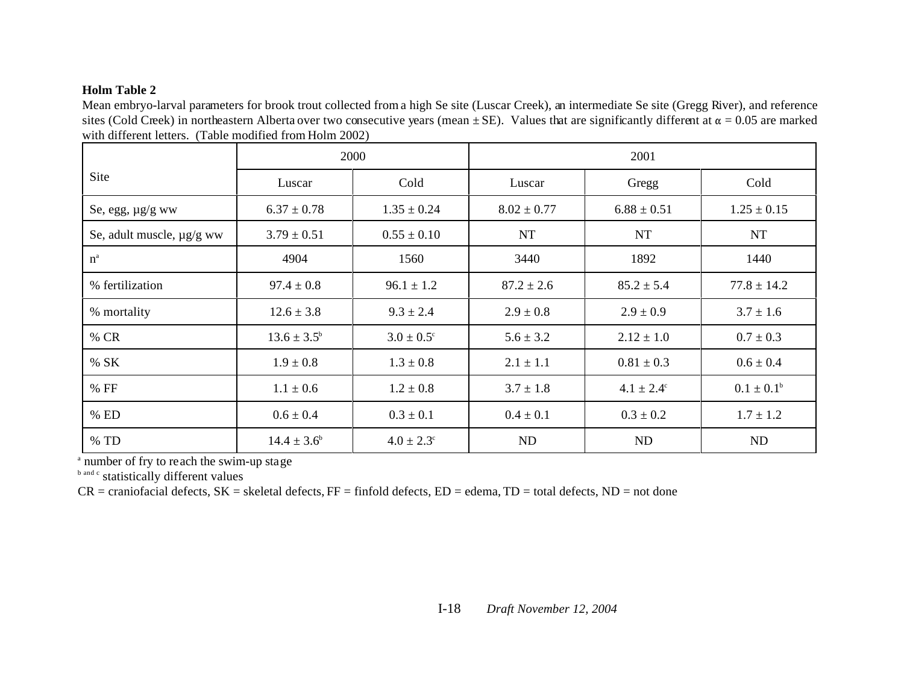#### **Holm Table 2**

Mean embryo-larval parameters for brook trout collected from a high Se site (Luscar Creek), an intermediate Se site (Gregg River), and reference sites (Cold Creek) in northeastern Alberta over two consecutive years (mean  $\pm$  SE). Values that are significantly different at  $\alpha$  = 0.05 are marked with different letters. (Table modified from Holm 2002)

|                                | 2000                   |                       |                 |                       |                 |
|--------------------------------|------------------------|-----------------------|-----------------|-----------------------|-----------------|
| Site                           | Luscar                 | Cold                  | Luscar          | Gregg                 | Cold            |
| Se, egg, $\mu$ g/g ww          | $6.37 \pm 0.78$        | $1.35 \pm 0.24$       | $8.02 \pm 0.77$ | $6.88 \pm 0.51$       | $1.25 \pm 0.15$ |
| Se, adult muscle, $\mu$ g/g ww | $3.79 \pm 0.51$        | $0.55 \pm 0.10$       | <b>NT</b>       | <b>NT</b>             | <b>NT</b>       |
| $n^a$                          | 4904                   | 1560                  | 3440            | 1892                  | 1440            |
| % fertilization                | $97.4 \pm 0.8$         | $96.1 \pm 1.2$        | $87.2 \pm 2.6$  | $85.2 \pm 5.4$        | $77.8 \pm 14.2$ |
| % mortality                    | $12.6 \pm 3.8$         | $9.3 \pm 2.4$         | $2.9 \pm 0.8$   | $2.9 \pm 0.9$         | $3.7 \pm 1.6$   |
| % CR                           | $13.6 \pm 3.5^{\rm b}$ | $3.0 \pm 0.5^{\circ}$ | $5.6 \pm 3.2$   | $2.12 \pm 1.0$        | $0.7 \pm 0.3$   |
| % SK                           | $1.9 \pm 0.8$          | $1.3 \pm 0.8$         | $2.1 \pm 1.1$   | $0.81 \pm 0.3$        | $0.6 \pm 0.4$   |
| % FF                           | $1.1 \pm 0.6$          | $1.2 \pm 0.8$         | $3.7 \pm 1.8$   | $4.1 \pm 2.4^{\circ}$ | $0.1 \pm 0.1^b$ |
| % ED                           | $0.6 \pm 0.4$          | $0.3 \pm 0.1$         | $0.4 \pm 0.1$   | $0.3 \pm 0.2$         | $1.7 \pm 1.2$   |
| % TD                           | $14.4 \pm 3.6^b$       | $4.0 \pm 2.3^{\circ}$ | ND              | ND                    | ND              |

a number of fry to reach the swim-up stage

**b** and c statistically different values

 $CR =$  craniofacial defects,  $SK =$  skeletal defects,  $FF =$  finfold defects,  $ED =$  edema,  $TD =$  total defects,  $ND =$  not done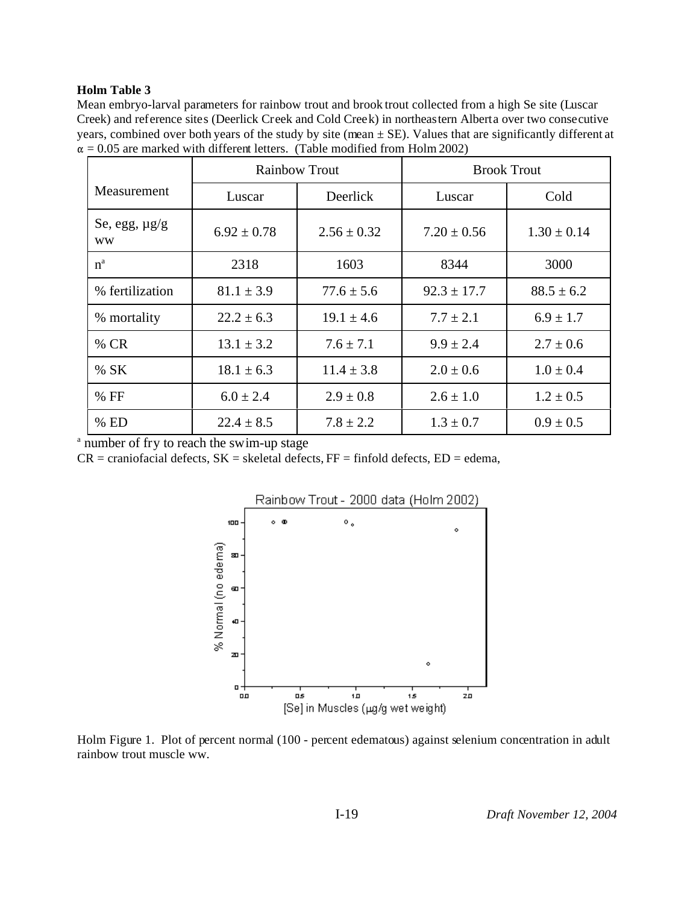#### **Holm Table 3**

Mean embryo-larval parameters for rainbow trout and brook trout collected from a high Se site (Luscar Creek) and reference sites (Deerlick Creek and Cold Creek) in northeastern Alberta over two consecutive years, combined over both years of the study by site (mean  $\pm$  SE). Values that are significantly different at  $\alpha = 0.05$  are marked with different letters. (Table modified from Holm 2002)

|                                 | <b>Rainbow Trout</b> |                 | <b>Brook Trout</b> |                 |  |
|---------------------------------|----------------------|-----------------|--------------------|-----------------|--|
| Measurement                     | Luscar               | Deerlick        | Luscar             | Cold            |  |
| Se, egg, $\mu$ g/g<br><b>WW</b> | $6.92 \pm 0.78$      | $2.56 \pm 0.32$ | $7.20 \pm 0.56$    | $1.30 \pm 0.14$ |  |
| $n^a$                           | 2318                 | 1603            | 8344               | 3000            |  |
| % fertilization                 | $81.1 \pm 3.9$       | $77.6 \pm 5.6$  | $92.3 \pm 17.7$    | $88.5 \pm 6.2$  |  |
| % mortality                     | $22.2 \pm 6.3$       | $19.1 \pm 4.6$  | $7.7 \pm 2.1$      | $6.9 \pm 1.7$   |  |
| % CR                            | $13.1 \pm 3.2$       | $7.6 \pm 7.1$   | $9.9 \pm 2.4$      | $2.7 \pm 0.6$   |  |
| %SK                             | $18.1 \pm 6.3$       | $11.4 \pm 3.8$  | $2.0 \pm 0.6$      | $1.0 \pm 0.4$   |  |
| $%$ FF                          | $6.0 \pm 2.4$        | $2.9 \pm 0.8$   | $2.6 \pm 1.0$      | $1.2 \pm 0.5$   |  |
| $%$ ED                          | $22.4 \pm 8.5$       | $7.8 + 2.2$     | $1.3 \pm 0.7$      | $0.9 \pm 0.5$   |  |

<sup>a</sup> number of fry to reach the swim-up stage

 $CR =$  craniofacial defects,  $SK =$  skeletal defects,  $FF =$  finfold defects,  $ED =$  edema,



Holm Figure 1. Plot of percent normal (100 - percent edematous) against selenium concentration in adult rainbow trout muscle ww.

I-19 *Draft November 12, 2004*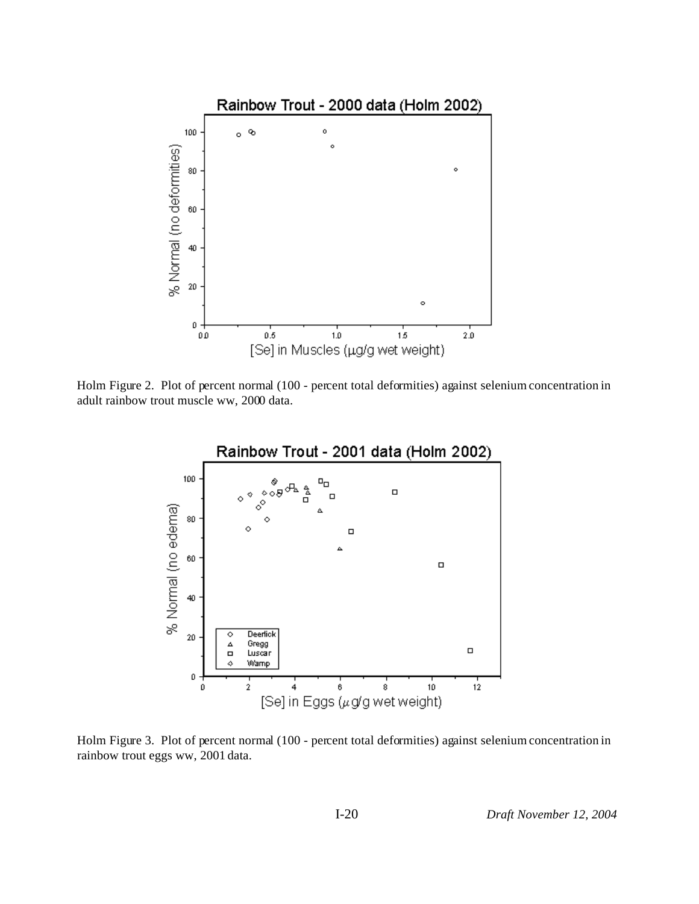

Holm Figure 2. Plot of percent normal (100 - percent total deformities) against selenium concentration in adult rainbow trout muscle ww, 2000 data.



Holm Figure 3. Plot of percent normal (100 - percent total deformities) against selenium concentration in rainbow trout eggs ww, 2001 data.

I-20 *Draft November 12, 2004*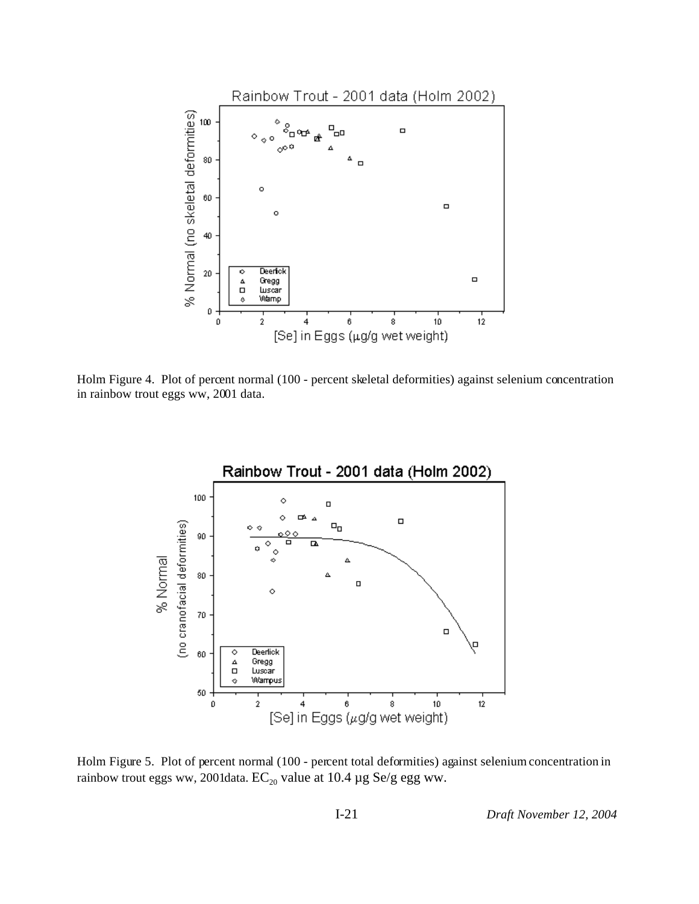

Holm Figure 4. Plot of percent normal (100 - percent skeletal deformities) against selenium concentration in rainbow trout eggs ww, 2001 data.



Holm Figure 5. Plot of percent normal (100 - percent total deformities) against selenium concentration in rainbow trout eggs ww, 2001data.  $EC_{20}$  value at 10.4 µg Se/g egg ww.

I-21 *Draft November 12, 2004*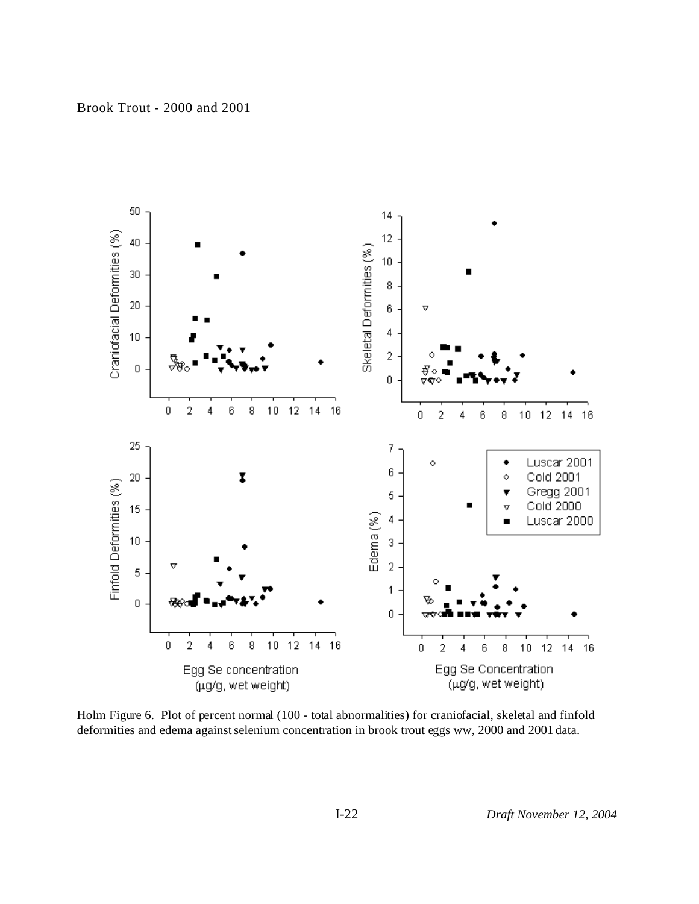

Brook Trout - 2000 and 2001

Holm Figure 6. Plot of percent normal (100 - total abnormalities) for craniofacial, skeletal and finfold deformities and edema against selenium concentration in brook trout eggs ww, 2000 and 2001 data.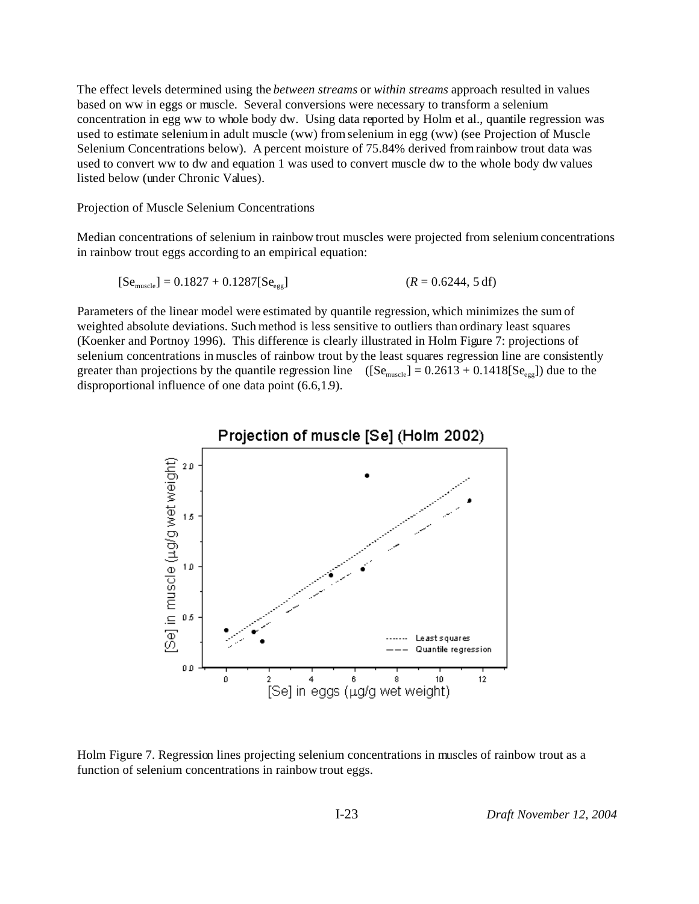The effect levels determined using the *between streams* or *within streams* approach resulted in values based on ww in eggs or muscle. Several conversions were necessary to transform a selenium concentration in egg ww to whole body dw. Using data reported by Holm et al., quantile regression was used to estimate selenium in adult muscle (ww) from selenium in egg (ww) (see Projection of Muscle Selenium Concentrations below). A percent moisture of 75.84% derived from rainbow trout data was used to convert ww to dw and equation 1 was used to convert muscle dw to the whole body dw values listed below (under Chronic Values).

Projection of Muscle Selenium Concentrations

Median concentrations of selenium in rainbow trout muscles were projected from selenium concentrations in rainbow trout eggs according to an empirical equation:

$$
[Semuscle] = 0.1827 + 0.1287[Seegg] \t\t (R = 0.6244, 5 df)
$$

Parameters of the linear model were estimated by quantile regression, which minimizes the sum of weighted absolute deviations. Such method is less sensitive to outliers than ordinary least squares (Koenker and Portnoy 1996). This difference is clearly illustrated in Holm Figure 7: projections of selenium concentrations in muscles of rainbow trout by the least squares regression line are consistently greater than projections by the quantile regression line  $([Se<sub>muscle</sub>] = 0.2613 + 0.1418[Se<sub>eeg</sub>]$  due to the disproportional influence of one data point (6.6,1.9).



Holm Figure 7. Regression lines projecting selenium concentrations in muscles of rainbow trout as a function of selenium concentrations in rainbow trout eggs.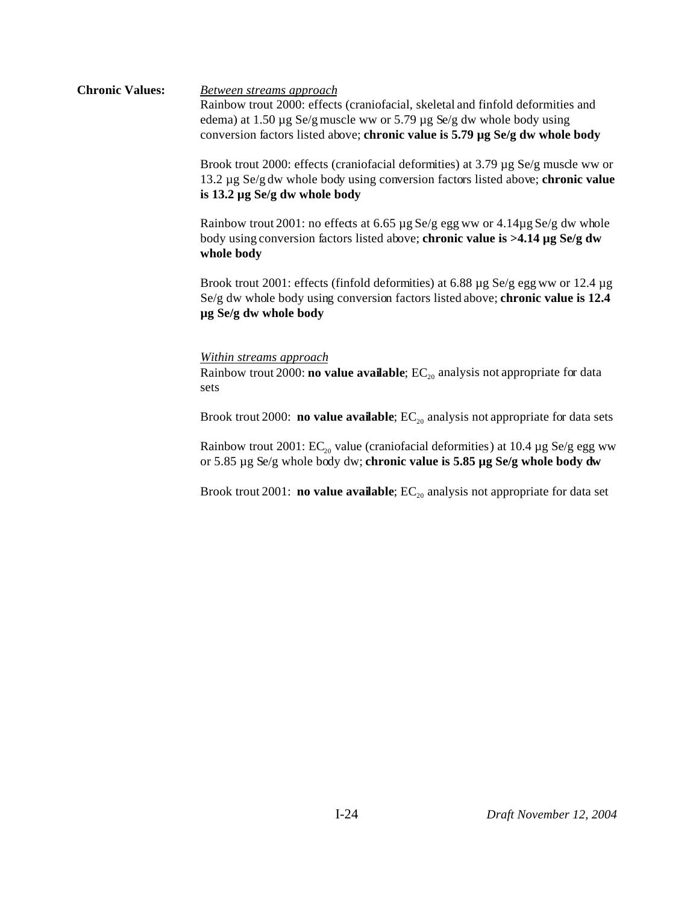#### **Chronic Values:** *Between streams approach* Rainbow trout 2000: effects (craniofacial, skeletal and finfold deformities and edema) at 1.50 µg Se/g muscle ww or 5.79 µg Se/g dw whole body using conversion factors listed above; **chronic value is 5.79 µg Se/g dw whole body**

Brook trout 2000: effects (craniofacial deformities) at 3.79 µg Se/g muscle ww or 13.2 µg Se/g dw whole body using conversion factors listed above; **chronic value is 13.2 µg Se/g dw whole body**

Rainbow trout 2001: no effects at 6.65 µg Se/g egg ww or 4.14µg Se/g dw whole body using conversion factors listed above; **chronic value is >4.14 µg Se/g dw whole body**

Brook trout 2001: effects (finfold deformities) at 6.88 µg Se/g egg ww or 12.4 µg Se/g dw whole body using conversion factors listed above; **chronic value is 12.4 µg Se/g dw whole body**

#### *Within streams approach*

Rainbow trout 2000: **no value available**; EC<sub>20</sub> analysis not appropriate for data sets

Brook trout 2000: **no value available**; EC<sub>20</sub> analysis not appropriate for data sets

Rainbow trout 2001:  $EC_{20}$  value (craniofacial deformities) at 10.4 µg Se/g egg ww or 5.85 µg Se/g whole body dw; **chronic value is 5.85 µg Se/g whole body dw**

Brook trout 2001: **no value available**; EC<sub>20</sub> analysis not appropriate for data set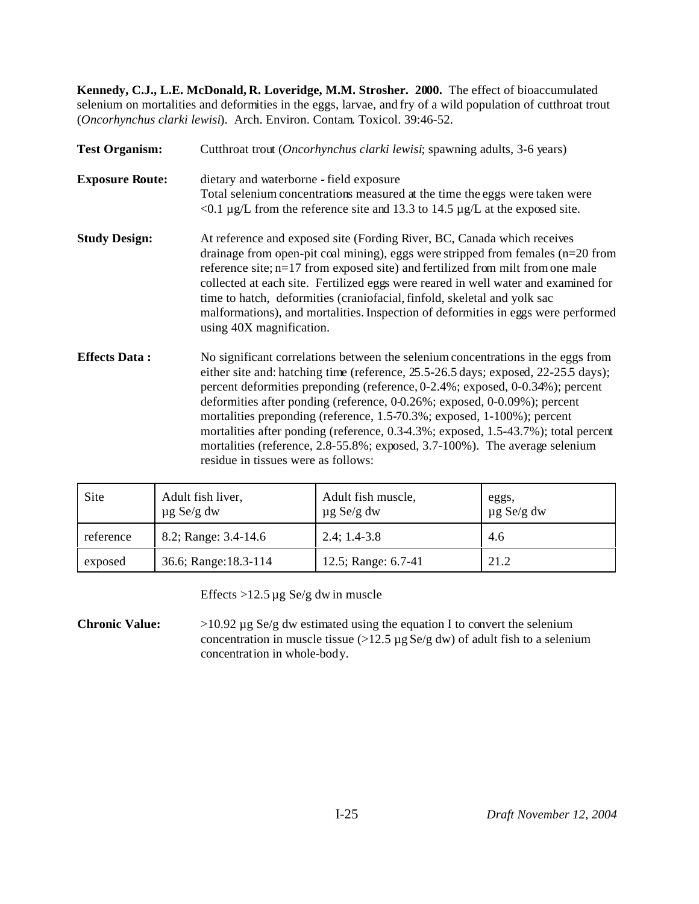**Kennedy, C.J., L.E. McDonald, R. Loveridge, M.M. Strosher. 2000.** The effect of bioaccumulated selenium on mortalities and deformities in the eggs, larvae, and fry of a wild population of cutthroat trout (*Oncorhynchus clarki lewisi*). Arch. Environ. Contam. Toxicol. 39:46-52.

| <b>Test Organism:</b>  | Cutthroat trout (Oncorhynchus clarki lewisi; spawning adults, 3-6 years)<br>dietary and waterborne - field exposure<br>Total selenium concentrations measured at the time the eggs were taken were<br>$\leq 0.1 \,\mu$ g/L from the reference site and 13.3 to 14.5 $\mu$ g/L at the exposed site.                                                                                                                                                                                                                                                                                                                          |  |  |  |  |  |
|------------------------|-----------------------------------------------------------------------------------------------------------------------------------------------------------------------------------------------------------------------------------------------------------------------------------------------------------------------------------------------------------------------------------------------------------------------------------------------------------------------------------------------------------------------------------------------------------------------------------------------------------------------------|--|--|--|--|--|
| <b>Exposure Route:</b> |                                                                                                                                                                                                                                                                                                                                                                                                                                                                                                                                                                                                                             |  |  |  |  |  |
| <b>Study Design:</b>   | At reference and exposed site (Fording River, BC, Canada which receives<br>drainage from open-pit coal mining), eggs were stripped from females $(n=20$ from<br>reference site; n=17 from exposed site) and fertilized from milt from one male<br>collected at each site. Fertilized eggs were reared in well water and examined for<br>time to hatch, deformities (craniofacial, finfold, skeletal and yolk sac<br>malformations), and mortalities. Inspection of deformities in eggs were performed<br>using 40X magnification.                                                                                           |  |  |  |  |  |
| <b>Effects Data:</b>   | No significant correlations between the selenium concentrations in the eggs from<br>either site and: hatching time (reference, 25.5-26.5 days; exposed, 22-25.5 days);<br>percent deformities preponding (reference, 0-2.4%; exposed, 0-0.34%); percent<br>deformities after ponding (reference, 0-0.26%; exposed, 0-0.09%); percent<br>mortalities preponding (reference, 1.5-70.3%; exposed, 1-100%); percent<br>mortalities after ponding (reference, 0.3-4.3%; exposed, 1.5-43.7%); total percent<br>mortalities (reference, 2.8-55.8%; exposed, 3.7-100%). The average selenium<br>residue in tissues were as follows: |  |  |  |  |  |

| Site      | Adult fish liver,<br>$\mu$ g Se/g dw | Adult fish muscle,<br>$\mu$ g Se/g dw | eggs,<br>$\mu$ g Se/g dw |
|-----------|--------------------------------------|---------------------------------------|--------------------------|
| reference | 8.2; Range: 3.4-14.6                 | $2.4; 1.4-3.8$                        | 4.6                      |
| exposed   | 36.6; Range: 18.3-114                | 12.5; Range: 6.7-41                   | 21.2                     |

Effects  $>12.5 \mu g$  Se/g dw in muscle

**Chronic Value:** >10.92 µg Se/g dw estimated using the equation I to convert the selenium concentration in muscle tissue (>12.5  $\mu$ g Se/g dw) of adult fish to a selenium concentration in whole-body.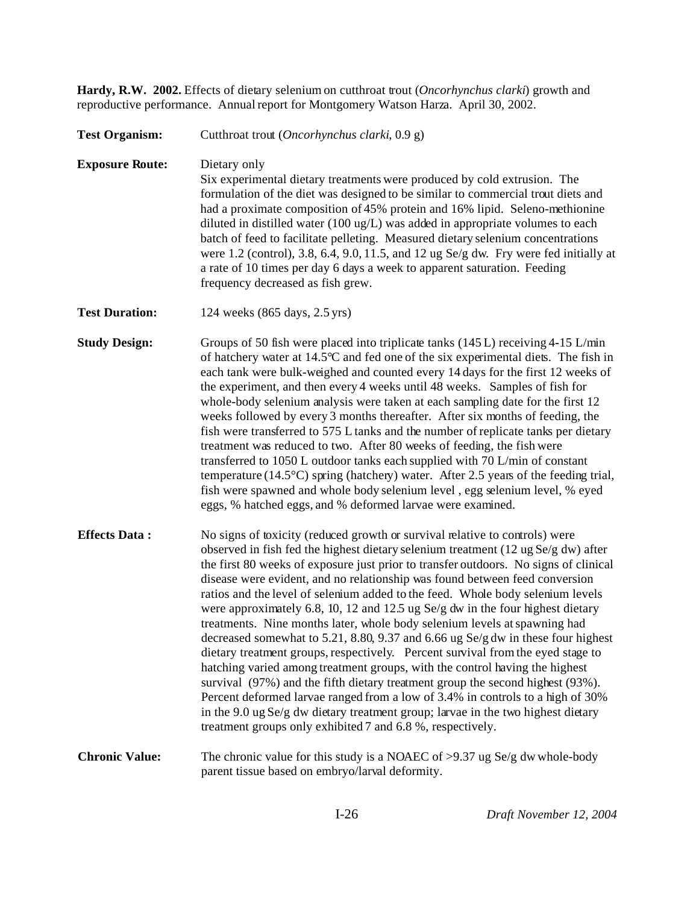**Hardy, R.W. 2002.** Effects of dietary selenium on cutthroat trout (*Oncorhynchus clarki*) growth and reproductive performance. Annual report for Montgomery Watson Harza. April 30, 2002.

# **Test Organism:** Cutthroat trout (*Oncorhynchus clarki*, 0.9 g) **Exposure Route:** Dietary only Six experimental dietary treatments were produced by cold extrusion. The formulation of the diet was designed to be similar to commercial trout diets and had a proximate composition of 45% protein and 16% lipid. Seleno-methionine diluted in distilled water (100 ug/L) was added in appropriate volumes to each batch of feed to facilitate pelleting. Measured dietary selenium concentrations were 1.2 (control), 3.8, 6.4, 9.0, 11.5, and 12 ug Se/g dw. Fry were fed initially at a rate of 10 times per day 6 days a week to apparent saturation. Feeding frequency decreased as fish grew. **Test Duration:** 124 weeks (865 days, 2.5 yrs) **Study Design:** Groups of 50 fish were placed into triplicate tanks (145 L) receiving 4-15 L/min of hatchery water at 14.5°C and fed one of the six experimental diets. The fish in each tank were bulk-weighed and counted every 14 days for the first 12 weeks of the experiment, and then every 4 weeks until 48 weeks. Samples of fish for whole-body selenium analysis were taken at each sampling date for the first 12 weeks followed by every 3 months thereafter. After six months of feeding, the fish were transferred to 575 L tanks and the number of replicate tanks per dietary treatment was reduced to two. After 80 weeks of feeding, the fish were transferred to 1050 L outdoor tanks each supplied with 70 L/min of constant temperature (14.5°C) spring (hatchery) water. After 2.5 years of the feeding trial, fish were spawned and whole body selenium level , egg selenium level, % eyed eggs, % hatched eggs, and % deformed larvae were examined. **Effects Data :** No signs of toxicity (reduced growth or survival relative to controls) were observed in fish fed the highest dietary selenium treatment (12 ug Se/g dw) after the first 80 weeks of exposure just prior to transfer outdoors. No signs of clinical disease were evident, and no relationship was found between feed conversion ratios and the level of selenium added to the feed. Whole body selenium levels were approximately 6.8, 10, 12 and 12.5 ug Se/g dw in the four highest dietary treatments. Nine months later, whole body selenium levels at spawning had decreased somewhat to 5.21, 8.80, 9.37 and 6.66 ug Se/g dw in these four highest dietary treatment groups, respectively. Percent survival from the eyed stage to hatching varied among treatment groups, with the control having the highest survival (97%) and the fifth dietary treatment group the second highest (93%). Percent deformed larvae ranged from a low of 3.4% in controls to a high of 30% in the 9.0 ug Se/g dw dietary treatment group; larvae in the two highest dietary treatment groups only exhibited 7 and 6.8 %, respectively. **Chronic Value:** The chronic value for this study is a NOAEC of >9.37 ug Se/g dw whole-body parent tissue based on embryo/larval deformity.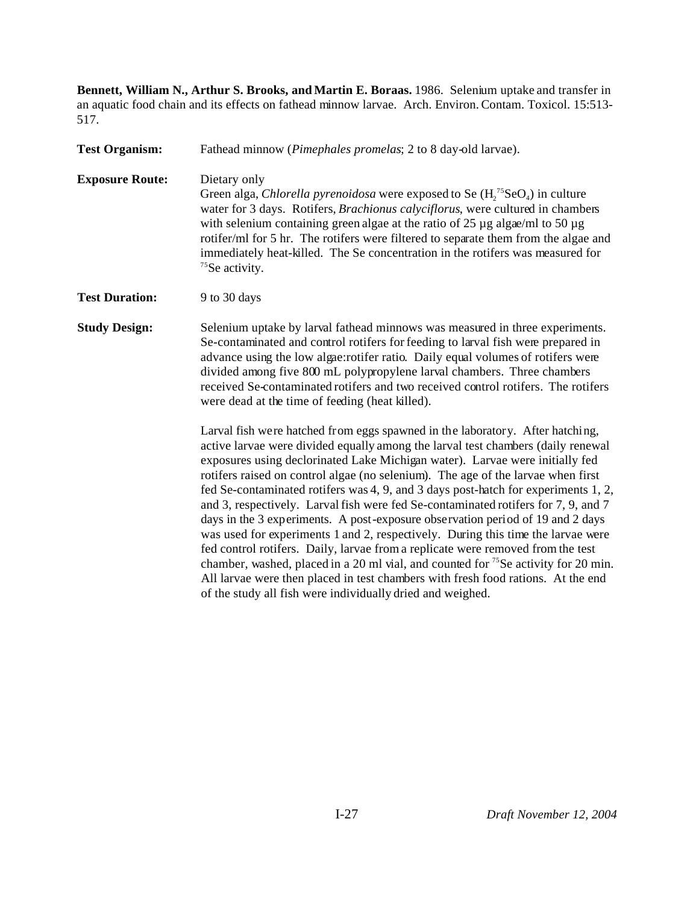**Bennett, William N., Arthur S. Brooks, and Martin E. Boraas.** 1986. Selenium uptake and transfer in an aquatic food chain and its effects on fathead minnow larvae. Arch. Environ. Contam. Toxicol. 15:513- 517.

**Test Organism:** Fathead minnow (*Pimephales promelas*; 2 to 8 day-old larvae). **Exposure Route:** Dietary only Green alga, *Chlorella pyrenoidosa* were exposed to Se  $(H_2^{75}$ SeO<sub>4</sub>) in culture water for 3 days. Rotifers, *Brachionus calyciflorus*, were cultured in chambers with selenium containing green algae at the ratio of  $25 \mu$ g algae/ml to  $50 \mu$ g rotifer/ml for 5 hr. The rotifers were filtered to separate them from the algae and immediately heat-killed. The Se concentration in the rotifers was measured for <sup>75</sup>Se activity. **Test Duration:** 9 to 30 days **Study Design:** Selenium uptake by larval fathead minnows was measured in three experiments. Se-contaminated and control rotifers for feeding to larval fish were prepared in advance using the low algae:rotifer ratio. Daily equal volumes of rotifers were divided among five 800 mL polypropylene larval chambers. Three chambers received Se-contaminated rotifers and two received control rotifers. The rotifers were dead at the time of feeding (heat killed). Larval fish were hatched from eggs spawned in the laboratory. After hatching, active larvae were divided equally among the larval test chambers (daily renewal exposures using declorinated Lake Michigan water). Larvae were initially fed rotifers raised on control algae (no selenium). The age of the larvae when first

fed Se-contaminated rotifers was 4, 9, and 3 days post-hatch for experiments 1, 2, and 3, respectively. Larval fish were fed Se-contaminated rotifers for 7, 9, and 7 days in the 3 experiments. A post-exposure observation period of 19 and 2 days was used for experiments 1 and 2, respectively. During this time the larvae were fed control rotifers. Daily, larvae from a replicate were removed from the test chamber, washed, placed in a 20 ml vial, and counted for  $^{75}$ Se activity for 20 min. All larvae were then placed in test chambers with fresh food rations. At the end of the study all fish were individually dried and weighed.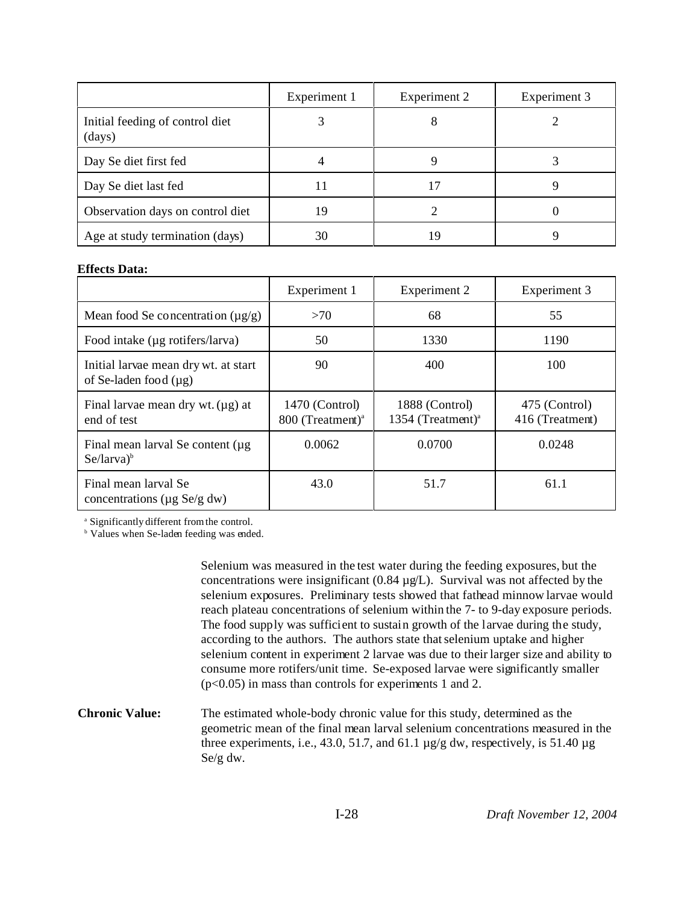|                                           | Experiment 1 | Experiment 2 | Experiment 3 |
|-------------------------------------------|--------------|--------------|--------------|
| Initial feeding of control diet<br>(days) |              |              |              |
| Day Se diet first fed                     |              |              |              |
| Day Se diet last fed                      |              |              |              |
| Observation days on control diet          | 19           |              |              |
| Age at study termination (days)           | 30           | 19           |              |

### **Effects Data:**

|                                                                    | Experiment 1                                   | Experiment 2                                    | Experiment 3                     |  |
|--------------------------------------------------------------------|------------------------------------------------|-------------------------------------------------|----------------------------------|--|
| Mean food Se concentration $(\mu g/g)$                             | >70                                            | 68                                              | 55                               |  |
| Food intake (µg rotifers/larva)                                    | 50                                             | 1330                                            | 1190                             |  |
| Initial larvae mean dry wt. at start<br>of Se-laden food $(\mu g)$ | 90                                             | 400                                             | 100                              |  |
| Final larvae mean dry wt. $(\mu g)$ at<br>end of test              | 1470 (Control)<br>800 (Treatment) <sup>a</sup> | 1888 (Control)<br>1354 (Treatment) <sup>a</sup> | 475 (Control)<br>416 (Treatment) |  |
| Final mean larval Se content (µg)<br>$Se/larva)^b$                 | 0.0062                                         | 0.0700                                          | 0.0248                           |  |
| Final mean larval Se<br>concentrations ( $\mu$ g Se/g dw)          | 43.0                                           | 51.7                                            | 61.1                             |  |

a Significantly different from the control.

<sup>b</sup> Values when Se-laden feeding was ended.

Selenium was measured in the test water during the feeding exposures, but the concentrations were insignificant  $(0.84 \mu g/L)$ . Survival was not affected by the selenium exposures. Preliminary tests showed that fathead minnow larvae would reach plateau concentrations of selenium within the 7- to 9-day exposure periods. The food supply was sufficient to sustain growth of the larvae during the study, according to the authors. The authors state that selenium uptake and higher selenium content in experiment 2 larvae was due to their larger size and ability to consume more rotifers/unit time. Se-exposed larvae were significantly smaller (p<0.05) in mass than controls for experiments 1 and 2.

**Chronic Value:** The estimated whole-body chronic value for this study, determined as the geometric mean of the final mean larval selenium concentrations measured in the three experiments, i.e., 43.0, 51.7, and 61.1  $\mu$ g/g dw, respectively, is 51.40  $\mu$ g Se/g dw.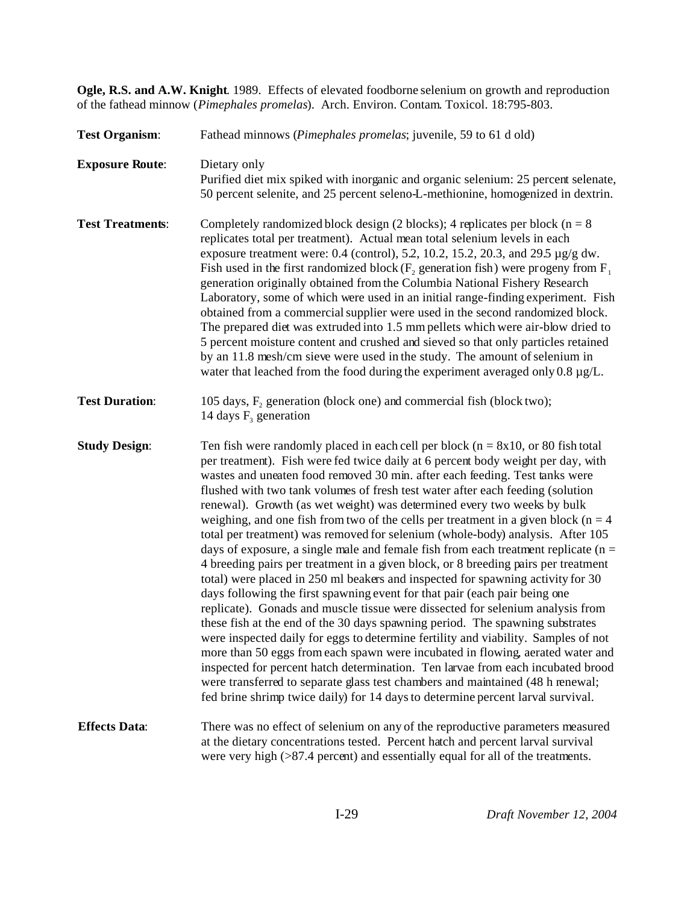**Ogle, R.S. and A.W. Knight**. 1989. Effects of elevated foodborne selenium on growth and reproduction of the fathead minnow (*Pimephales promelas*). Arch. Environ. Contam. Toxicol. 18:795-803.

| <b>Test Organism:</b>   | Fathead minnows (Pimephales promelas; juvenile, 59 to 61 d old)                                                                                                                                                                                                                                                                                                                                                                                                                                                                                                                                                                                                                                                                                                                                                                                                                                                                                                                                                                                                                                                                                                                                                                                                                                                                                                                                                                                                                                                                                      |
|-------------------------|------------------------------------------------------------------------------------------------------------------------------------------------------------------------------------------------------------------------------------------------------------------------------------------------------------------------------------------------------------------------------------------------------------------------------------------------------------------------------------------------------------------------------------------------------------------------------------------------------------------------------------------------------------------------------------------------------------------------------------------------------------------------------------------------------------------------------------------------------------------------------------------------------------------------------------------------------------------------------------------------------------------------------------------------------------------------------------------------------------------------------------------------------------------------------------------------------------------------------------------------------------------------------------------------------------------------------------------------------------------------------------------------------------------------------------------------------------------------------------------------------------------------------------------------------|
| <b>Exposure Route:</b>  | Dietary only<br>Purified diet mix spiked with inorganic and organic selenium: 25 percent selenate,<br>50 percent selenite, and 25 percent seleno-L-methionine, homogenized in dextrin.                                                                                                                                                                                                                                                                                                                                                                                                                                                                                                                                                                                                                                                                                                                                                                                                                                                                                                                                                                                                                                                                                                                                                                                                                                                                                                                                                               |
| <b>Test Treatments:</b> | Completely randomized block design (2 blocks); 4 replicates per block ( $n = 8$ )<br>replicates total per treatment). Actual mean total selenium levels in each<br>exposure treatment were: 0.4 (control), 5.2, 10.2, 15.2, 20.3, and 29.5 $\mu$ g/g dw.<br>Fish used in the first randomized block ( $F_2$ generation fish) were progeny from $F_1$<br>generation originally obtained from the Columbia National Fishery Research<br>Laboratory, some of which were used in an initial range-finding experiment. Fish<br>obtained from a commercial supplier were used in the second randomized block.<br>The prepared diet was extruded into 1.5 mm pellets which were air-blow dried to<br>5 percent moisture content and crushed and sieved so that only particles retained<br>by an 11.8 mesh/cm sieve were used in the study. The amount of selenium in<br>water that leached from the food during the experiment averaged only $0.8 \mu g/L$ .                                                                                                                                                                                                                                                                                                                                                                                                                                                                                                                                                                                                |
| <b>Test Duration:</b>   | 105 days, $F_2$ generation (block one) and commercial fish (block two);<br>14 days $F_3$ generation                                                                                                                                                                                                                                                                                                                                                                                                                                                                                                                                                                                                                                                                                                                                                                                                                                                                                                                                                                                                                                                                                                                                                                                                                                                                                                                                                                                                                                                  |
| <b>Study Design:</b>    | Ten fish were randomly placed in each cell per block ( $n = 8x10$ , or 80 fish total<br>per treatment). Fish were fed twice daily at 6 percent body weight per day, with<br>wastes and uneaten food removed 30 min. after each feeding. Test tanks were<br>flushed with two tank volumes of fresh test water after each feeding (solution<br>renewal). Growth (as wet weight) was determined every two weeks by bulk<br>weighing, and one fish from two of the cells per treatment in a given block ( $n = 4$ )<br>total per treatment) was removed for selenium (whole-body) analysis. After 105<br>days of exposure, a single male and female fish from each treatment replicate ( $n =$<br>4 breeding pairs per treatment in a given block, or 8 breeding pairs per treatment<br>total) were placed in 250 ml beakers and inspected for spawning activity for 30<br>days following the first spawning event for that pair (each pair being one<br>replicate). Gonads and muscle tissue were dissected for selenium analysis from<br>these fish at the end of the 30 days spawning period. The spawning substrates<br>were inspected daily for eggs to determine fertility and viability. Samples of not<br>more than 50 eggs from each spawn were incubated in flowing, aerated water and<br>inspected for percent hatch determination. Ten larvae from each incubated brood<br>were transferred to separate glass test chambers and maintained (48 h renewal;<br>fed brine shrimp twice daily) for 14 days to determine percent larval survival. |
| <b>Effects Data:</b>    | There was no effect of selenium on any of the reproductive parameters measured<br>at the dietary concentrations tested. Percent hatch and percent larval survival<br>were very high $(>\!\!87.4$ percent) and essentially equal for all of the treatments.                                                                                                                                                                                                                                                                                                                                                                                                                                                                                                                                                                                                                                                                                                                                                                                                                                                                                                                                                                                                                                                                                                                                                                                                                                                                                           |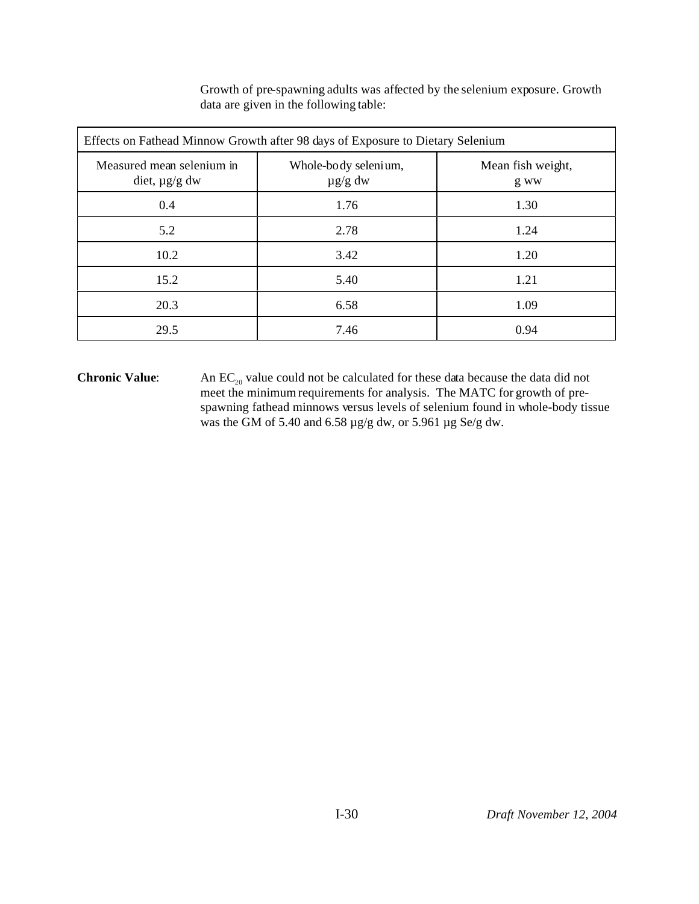| Effects on Fathead Minnow Growth after 98 days of Exposure to Dietary Selenium |                                      |                           |  |  |  |  |  |
|--------------------------------------------------------------------------------|--------------------------------------|---------------------------|--|--|--|--|--|
| Measured mean selenium in<br>diet, $\mu$ g/g dw                                | Whole-body selenium,<br>$\mu$ g/g dw | Mean fish weight,<br>g ww |  |  |  |  |  |
| 0.4                                                                            | 1.76                                 | 1.30                      |  |  |  |  |  |
| 5.2                                                                            | 2.78                                 | 1.24                      |  |  |  |  |  |
| 10.2                                                                           | 3.42                                 | 1.20                      |  |  |  |  |  |
| 15.2                                                                           | 5.40                                 | 1.21                      |  |  |  |  |  |
| 20.3                                                                           | 6.58                                 | 1.09                      |  |  |  |  |  |
| 29.5                                                                           | 7.46                                 | 0.94                      |  |  |  |  |  |

Growth of pre-spawning adults was affected by the selenium exposure. Growth data are given in the following table:

**Chronic Value**: An EC<sub>20</sub> value could not be calculated for these data because the data did not meet the minimum requirements for analysis. The MATC for growth of prespawning fathead minnows versus levels of selenium found in whole-body tissue was the GM of 5.40 and 6.58 µg/g dw, or 5.961 µg Se/g dw.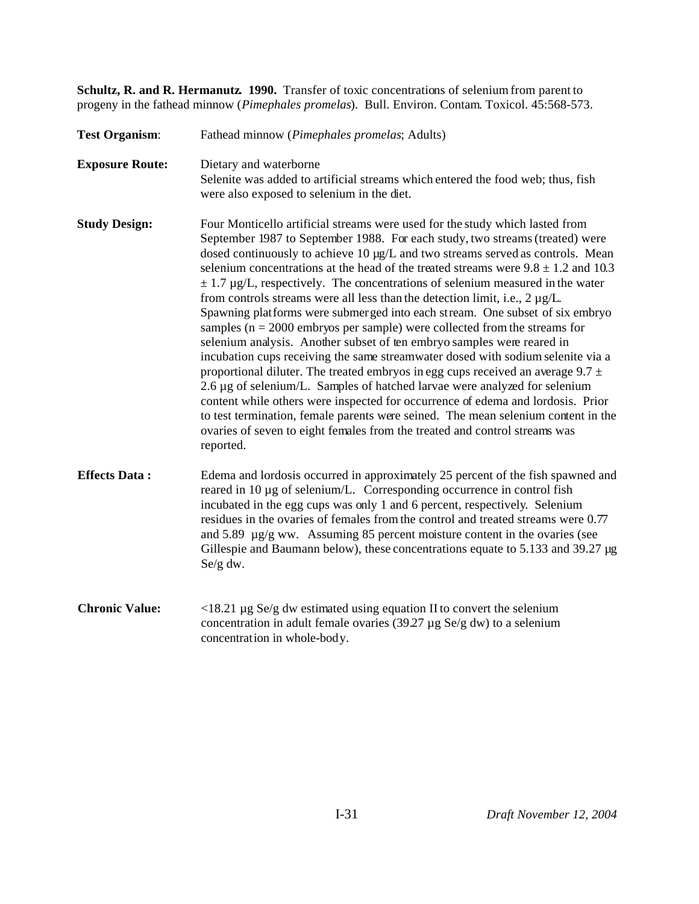**Schultz, R. and R. Hermanutz. 1990.** Transfer of toxic concentrations of selenium from parent to progeny in the fathead minnow (*Pimephales promelas*). Bull. Environ. Contam. Toxicol. 45:568-573.

| <b>Test Organism:</b>  | Fathead minnow (Pimephales promelas; Adults)                                                                                                                                                                                                                                                                                                                                                                                                                                                                                                                                                                                                                                                                                                                                                                                                                                                                                                                                                                                                                                                                                                                                                                                                                                             |
|------------------------|------------------------------------------------------------------------------------------------------------------------------------------------------------------------------------------------------------------------------------------------------------------------------------------------------------------------------------------------------------------------------------------------------------------------------------------------------------------------------------------------------------------------------------------------------------------------------------------------------------------------------------------------------------------------------------------------------------------------------------------------------------------------------------------------------------------------------------------------------------------------------------------------------------------------------------------------------------------------------------------------------------------------------------------------------------------------------------------------------------------------------------------------------------------------------------------------------------------------------------------------------------------------------------------|
| <b>Exposure Route:</b> | Dietary and waterborne<br>Selenite was added to artificial streams which entered the food web; thus, fish<br>were also exposed to selenium in the diet.                                                                                                                                                                                                                                                                                                                                                                                                                                                                                                                                                                                                                                                                                                                                                                                                                                                                                                                                                                                                                                                                                                                                  |
| <b>Study Design:</b>   | Four Monticello artificial streams were used for the study which lasted from<br>September 1987 to September 1988. For each study, two streams (treated) were<br>dosed continuously to achieve 10 µg/L and two streams served as controls. Mean<br>selenium concentrations at the head of the treated streams were $9.8 \pm 1.2$ and 10.3<br>$\pm$ 1.7 µg/L, respectively. The concentrations of selenium measured in the water<br>from controls streams were all less than the detection limit, i.e., $2 \mu g/L$ .<br>Spawning platforms were submerged into each stream. One subset of six embryo<br>samples ( $n = 2000$ embryos per sample) were collected from the streams for<br>selenium analysis. Another subset of ten embryo samples were reared in<br>incubation cups receiving the same streamwater dosed with sodium selenite via a<br>proportional diluter. The treated embryos in egg cups received an average $9.7 \pm$<br>2.6 µg of selenium/L. Samples of hatched larvae were analyzed for selenium<br>content while others were inspected for occurrence of edema and lordosis. Prior<br>to test termination, female parents were seined. The mean selenium content in the<br>ovaries of seven to eight females from the treated and control streams was<br>reported. |
| <b>Effects Data:</b>   | Edema and lordosis occurred in approximately 25 percent of the fish spawned and<br>reared in 10 µg of selenium/L. Corresponding occurrence in control fish<br>incubated in the egg cups was only 1 and 6 percent, respectively. Selenium<br>residues in the ovaries of females from the control and treated streams were 0.77<br>and 5.89 µg/g ww. Assuming 85 percent moisture content in the ovaries (see<br>Gillespie and Baumann below), these concentrations equate to 5.133 and 39.27 µg<br>Se/g dw.                                                                                                                                                                                                                                                                                                                                                                                                                                                                                                                                                                                                                                                                                                                                                                               |
| <b>Chronic Value:</b>  | $\langle 18.21 \,\mu g \,\text{Se/g} \, \text{dw} \, \text{estimated using equation II}$ to convert the selenium<br>concentration in adult female ovaries (39.27 $\mu$ g Se/g dw) to a selenium<br>concentration in whole-body.                                                                                                                                                                                                                                                                                                                                                                                                                                                                                                                                                                                                                                                                                                                                                                                                                                                                                                                                                                                                                                                          |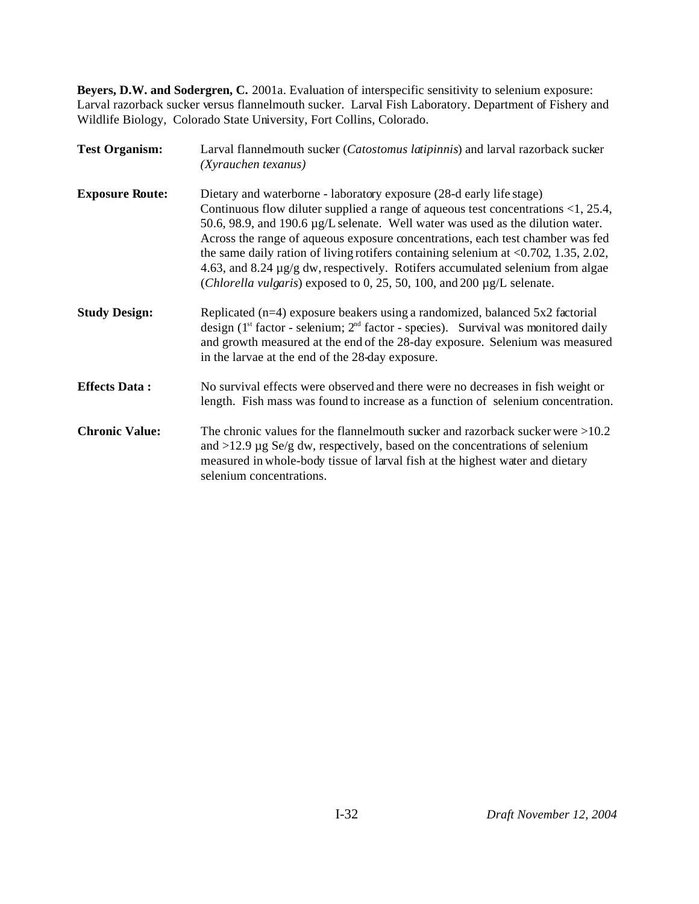**Beyers, D.W. and Sodergren, C.** 2001a. Evaluation of interspecific sensitivity to selenium exposure: Larval razorback sucker versus flannelmouth sucker. Larval Fish Laboratory. Department of Fishery and Wildlife Biology, Colorado State University, Fort Collins, Colorado.

| <b>Test Organism:</b>  | Larval flannelmouth sucker (Catostomus latipinnis) and larval razorback sucker<br>(Xyrauchen texanus)<br>Dietary and waterborne - laboratory exposure (28-d early life stage)<br>Continuous flow diluter supplied a range of aqueous test concentrations $\langle 1, 25.4, 1 \rangle$<br>50.6, 98.9, and 190.6 µg/L selenate. Well water was used as the dilution water.<br>Across the range of aqueous exposure concentrations, each test chamber was fed<br>the same daily ration of living rotifers containing selenium at $\langle 0.702, 1.35, 2.02,$<br>4.63, and 8.24 µg/g dw, respectively. Rotifers accumulated selenium from algae<br>( <i>Chlorella vulgaris</i> ) exposed to 0, 25, 50, 100, and 200 $\mu$ g/L selenate. |  |  |  |  |  |
|------------------------|--------------------------------------------------------------------------------------------------------------------------------------------------------------------------------------------------------------------------------------------------------------------------------------------------------------------------------------------------------------------------------------------------------------------------------------------------------------------------------------------------------------------------------------------------------------------------------------------------------------------------------------------------------------------------------------------------------------------------------------|--|--|--|--|--|
| <b>Exposure Route:</b> |                                                                                                                                                                                                                                                                                                                                                                                                                                                                                                                                                                                                                                                                                                                                      |  |  |  |  |  |
| <b>Study Design:</b>   | Replicated $(n=4)$ exposure beakers using a randomized, balanced 5x2 factorial<br>design $(1^{st}$ factor - selenium; $2^{nd}$ factor - species). Survival was monitored daily<br>and growth measured at the end of the 28-day exposure. Selenium was measured<br>in the larvae at the end of the 28-day exposure.                                                                                                                                                                                                                                                                                                                                                                                                                   |  |  |  |  |  |
| <b>Effects Data:</b>   | No survival effects were observed and there were no decreases in fish weight or<br>length. Fish mass was found to increase as a function of selenium concentration.                                                                                                                                                                                                                                                                                                                                                                                                                                                                                                                                                                  |  |  |  |  |  |
| <b>Chronic Value:</b>  | The chronic values for the flannelmouth sucker and razorback sucker were $>10.2$<br>and $>12.9 \mu$ g Se/g dw, respectively, based on the concentrations of selenium<br>measured in whole-body tissue of larval fish at the highest water and dietary<br>selenium concentrations.                                                                                                                                                                                                                                                                                                                                                                                                                                                    |  |  |  |  |  |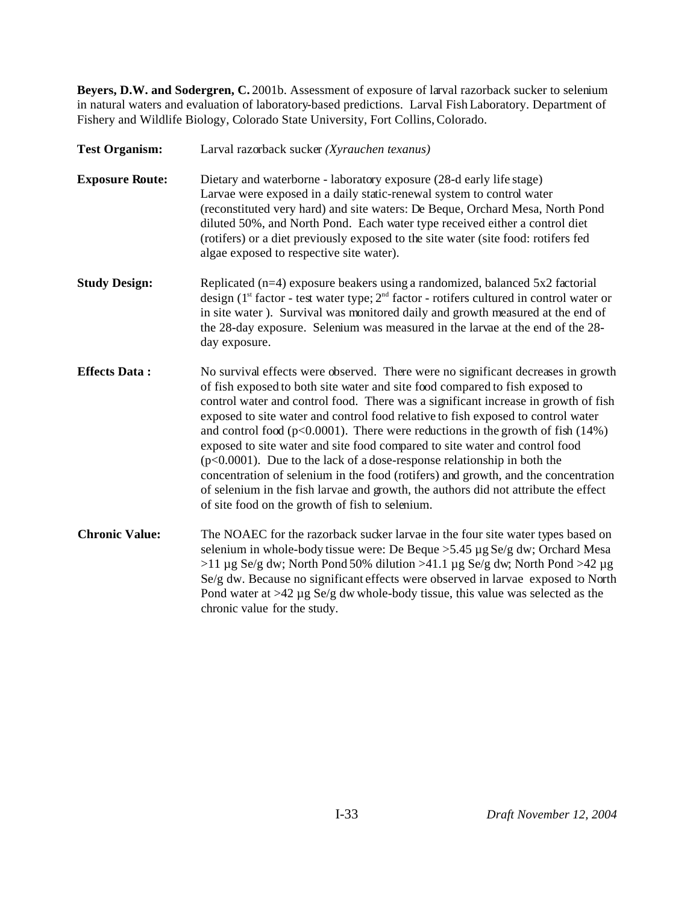**Beyers, D.W. and Sodergren, C.** 2001b. Assessment of exposure of larval razorback sucker to selenium in natural waters and evaluation of laboratory-based predictions. Larval Fish Laboratory. Department of Fishery and Wildlife Biology, Colorado State University, Fort Collins, Colorado.

**Test Organism:** Larval razorback sucker *(Xyrauchen texanus)* **Exposure Route:** Dietary and waterborne - laboratory exposure (28-d early life stage) Larvae were exposed in a daily static-renewal system to control water (reconstituted very hard) and site waters: De Beque, Orchard Mesa, North Pond diluted 50%, and North Pond. Each water type received either a control diet (rotifers) or a diet previously exposed to the site water (site food: rotifers fed algae exposed to respective site water). **Study Design:** Replicated (n=4) exposure beakers using a randomized, balanced 5x2 factorial design ( $1<sup>st</sup>$  factor - test water type;  $2<sup>nd</sup>$  factor - rotifers cultured in control water or in site water ). Survival was monitored daily and growth measured at the end of the 28-day exposure. Selenium was measured in the larvae at the end of the 28 day exposure. **Effects Data :** No survival effects were observed. There were no significant decreases in growth of fish exposed to both site water and site food compared to fish exposed to control water and control food. There was a significant increase in growth of fish exposed to site water and control food relative to fish exposed to control water and control food ( $p<0.0001$ ). There were reductions in the growth of fish (14%) exposed to site water and site food compared to site water and control food  $(p<0.0001)$ . Due to the lack of a dose-response relationship in both the concentration of selenium in the food (rotifers) and growth, and the concentration of selenium in the fish larvae and growth, the authors did not attribute the effect of site food on the growth of fish to selenium. **Chronic Value:** The NOAEC for the razorback sucker larvae in the four site water types based on selenium in whole-body tissue were: De Beque >5.45 µg Se/g dw; Orchard Mesa >11 µg Se/g dw; North Pond 50% dilution >41.1 µg Se/g dw; North Pond >42 µg Se/g dw. Because no significant effects were observed in larvae exposed to North Pond water at >42 µg Se/g dw whole-body tissue, this value was selected as the chronic value for the study.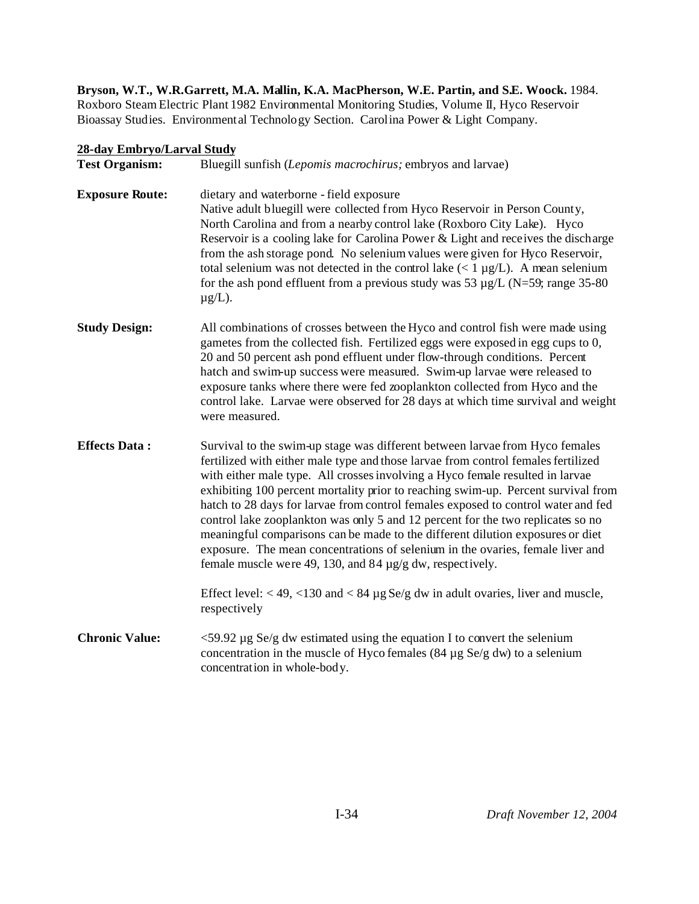**Bryson, W.T., W.R.Garrett, M.A. Mallin, K.A. MacPherson, W.E. Partin, and S.E. Woock.** 1984. Roxboro Steam Electric Plant 1982 Environmental Monitoring Studies, Volume II, Hyco Reservoir Bioassay Studies. Environmental Technology Section. Carolina Power & Light Company.

## **28-day Embryo/Larval Study**

| <b>Test Organism:</b>  | Bluegill sunfish (Lepomis macrochirus; embryos and larvae)                                                                                                                                                                                                                                                                                                                                                                                                                                                                                                                                                                                                                                                                                            |  |  |  |  |  |
|------------------------|-------------------------------------------------------------------------------------------------------------------------------------------------------------------------------------------------------------------------------------------------------------------------------------------------------------------------------------------------------------------------------------------------------------------------------------------------------------------------------------------------------------------------------------------------------------------------------------------------------------------------------------------------------------------------------------------------------------------------------------------------------|--|--|--|--|--|
| <b>Exposure Route:</b> | dietary and waterborne - field exposure<br>Native adult bluegill were collected from Hyco Reservoir in Person County,<br>North Carolina and from a nearby control lake (Roxboro City Lake). Hyco<br>Reservoir is a cooling lake for Carolina Power & Light and receives the discharge<br>from the ash storage pond. No selenium values were given for Hyco Reservoir,<br>total selenium was not detected in the control lake $(< 1 \mu g/L)$ . A mean selenium<br>for the ash pond effluent from a previous study was 53 $\mu$ g/L (N=59; range 35-80)<br>$\mu$ g/L).                                                                                                                                                                                 |  |  |  |  |  |
| <b>Study Design:</b>   | All combinations of crosses between the Hyco and control fish were made using<br>gametes from the collected fish. Fertilized eggs were exposed in egg cups to 0,<br>20 and 50 percent ash pond effluent under flow-through conditions. Percent<br>hatch and swim-up success were measured. Swim-up larvae were released to<br>exposure tanks where there were fed zooplankton collected from Hyco and the<br>control lake. Larvae were observed for 28 days at which time survival and weight<br>were measured.                                                                                                                                                                                                                                       |  |  |  |  |  |
| <b>Effects Data:</b>   | Survival to the swim-up stage was different between larvae from Hyco females<br>fertilized with either male type and those larvae from control females fertilized<br>with either male type. All crosses involving a Hyco female resulted in larvae<br>exhibiting 100 percent mortality prior to reaching swim-up. Percent survival from<br>hatch to 28 days for larvae from control females exposed to control water and fed<br>control lake zooplankton was only 5 and 12 percent for the two replicates so no<br>meaningful comparisons can be made to the different dilution exposures or diet<br>exposure. The mean concentrations of selenium in the ovaries, female liver and<br>female muscle were 49, 130, and 84 $\mu$ g/g dw, respectively. |  |  |  |  |  |
|                        | Effect level: $<$ 49, $<$ 130 and $<$ 84 $\mu$ g Se/g dw in adult ovaries, liver and muscle,<br>respectively                                                                                                                                                                                                                                                                                                                                                                                                                                                                                                                                                                                                                                          |  |  |  |  |  |
| <b>Chronic Value:</b>  | $\leq$ 59.92 µg Se/g dw estimated using the equation I to convert the selenium<br>concentration in the muscle of Hyco females (84 $\mu$ g Se/g dw) to a selenium<br>concentration in whole-body.                                                                                                                                                                                                                                                                                                                                                                                                                                                                                                                                                      |  |  |  |  |  |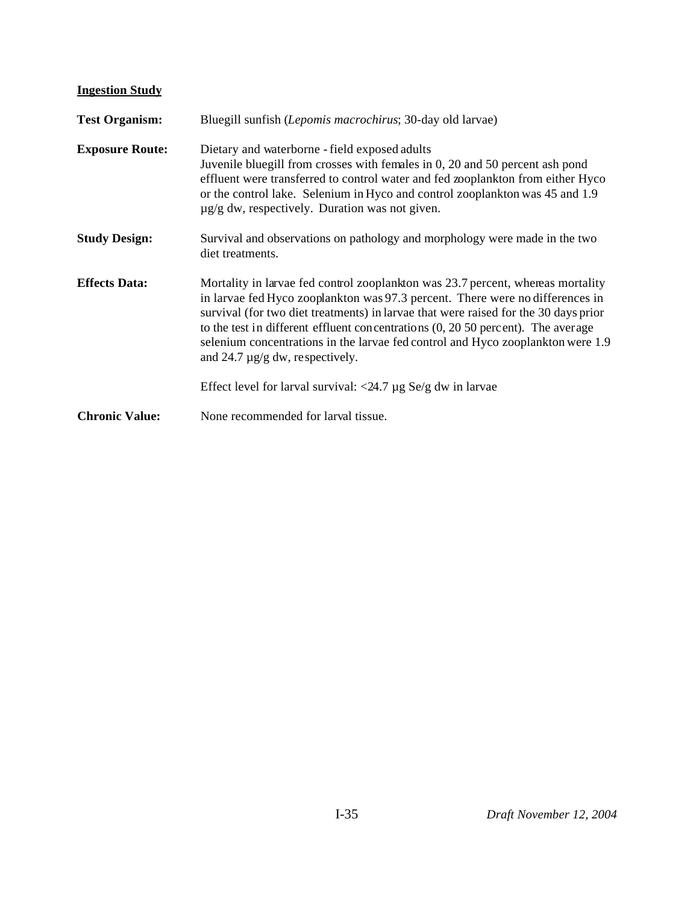# **Ingestion Study**

| <b>Test Organism:</b>  | Bluegill sunfish (Lepomis macrochirus; 30-day old larvae)                                                                                                                                                                                                                                                                                                                                                                                                                      |  |  |  |  |  |
|------------------------|--------------------------------------------------------------------------------------------------------------------------------------------------------------------------------------------------------------------------------------------------------------------------------------------------------------------------------------------------------------------------------------------------------------------------------------------------------------------------------|--|--|--|--|--|
| <b>Exposure Route:</b> | Dietary and waterborne - field exposed adults<br>Juvenile bluegill from crosses with females in 0, 20 and 50 percent ash pond<br>effluent were transferred to control water and fed zooplankton from either Hyco<br>or the control lake. Selenium in Hyco and control zooplankton was 45 and 1.9<br>$\mu$ g/g dw, respectively. Duration was not given.                                                                                                                        |  |  |  |  |  |
| <b>Study Design:</b>   | Survival and observations on pathology and morphology were made in the two<br>diet treatments.                                                                                                                                                                                                                                                                                                                                                                                 |  |  |  |  |  |
| <b>Effects Data:</b>   | Mortality in larvae fed control zooplankton was 23.7 percent, whereas mortality<br>in larvae fed Hyco zooplankton was 97.3 percent. There were no differences in<br>survival (for two diet treatments) in larvae that were raised for the 30 days prior<br>to the test in different effluent concentrations $(0, 20, 50, 20)$ percent). The average<br>selenium concentrations in the larvae fed control and Hyco zooplankton were 1.9<br>and 24.7 $\mu$ g/g dw, respectively. |  |  |  |  |  |
|                        | Effect level for larval survival: $\langle 24.7 \mu g S \rangle$ e/g dw in larvae                                                                                                                                                                                                                                                                                                                                                                                              |  |  |  |  |  |
| <b>Chronic Value:</b>  | None recommended for larval tissue.                                                                                                                                                                                                                                                                                                                                                                                                                                            |  |  |  |  |  |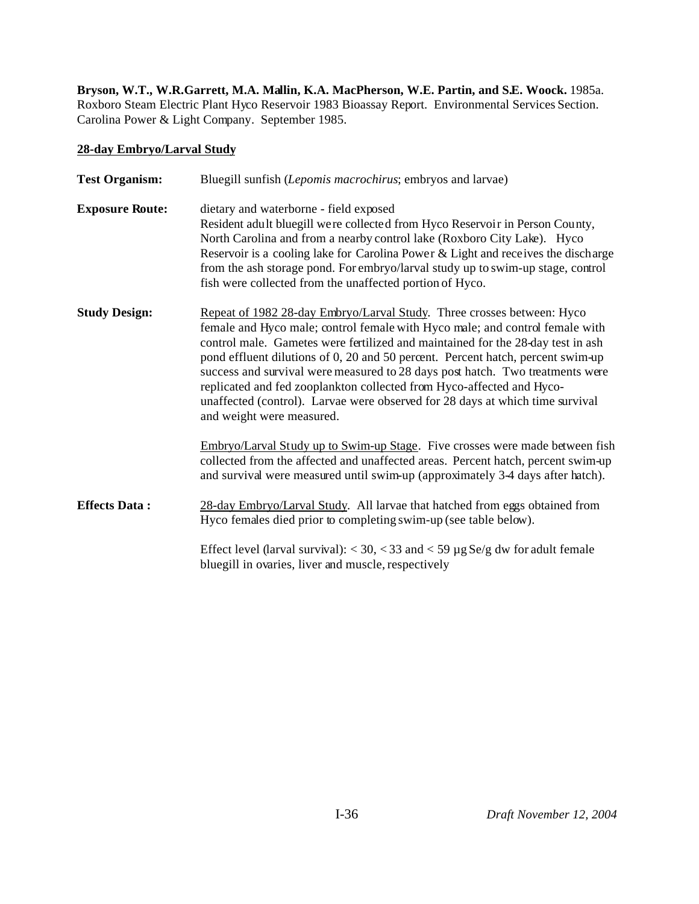**Bryson, W.T., W.R.Garrett, M.A. Mallin, K.A. MacPherson, W.E. Partin, and S.E. Woock.** 1985a. Roxboro Steam Electric Plant Hyco Reservoir 1983 Bioassay Report. Environmental Services Section. Carolina Power & Light Company. September 1985.

## **28-day Embryo/Larval Study**

| <b>Test Organism:</b>  | Bluegill sunfish (Lepomis macrochirus; embryos and larvae)                                                                                                                                                                                                                                                                                                                                                                                                                                                                                                                                           |  |  |  |  |  |  |
|------------------------|------------------------------------------------------------------------------------------------------------------------------------------------------------------------------------------------------------------------------------------------------------------------------------------------------------------------------------------------------------------------------------------------------------------------------------------------------------------------------------------------------------------------------------------------------------------------------------------------------|--|--|--|--|--|--|
| <b>Exposure Route:</b> | dietary and waterborne - field exposed<br>Resident adult bluegill were collected from Hyco Reservoir in Person County,<br>North Carolina and from a nearby control lake (Roxboro City Lake). Hyco<br>Reservoir is a cooling lake for Carolina Power & Light and receives the discharge<br>from the ash storage pond. For embryo/larval study up to swim-up stage, control<br>fish were collected from the unaffected portion of Hyco.                                                                                                                                                                |  |  |  |  |  |  |
| <b>Study Design:</b>   | Repeat of 1982 28-day Embryo/Larval Study. Three crosses between: Hyco<br>female and Hyco male; control female with Hyco male; and control female with<br>control male. Gametes were fertilized and maintained for the 28-day test in ash<br>pond effluent dilutions of 0, 20 and 50 percent. Percent hatch, percent swim-up<br>success and survival were measured to 28 days post hatch. Two treatments were<br>replicated and fed zooplankton collected from Hyco-affected and Hyco-<br>unaffected (control). Larvae were observed for 28 days at which time survival<br>and weight were measured. |  |  |  |  |  |  |
|                        | Embryo/Larval Study up to Swim-up Stage. Five crosses were made between fish<br>collected from the affected and unaffected areas. Percent hatch, percent swim-up<br>and survival were measured until swim-up (approximately 3-4 days after hatch).                                                                                                                                                                                                                                                                                                                                                   |  |  |  |  |  |  |
| <b>Effects Data:</b>   | 28-day Embryo/Larval Study. All larvae that hatched from eggs obtained from<br>Hyco females died prior to completing swim-up (see table below).                                                                                                                                                                                                                                                                                                                                                                                                                                                      |  |  |  |  |  |  |
|                        | Effect level (larval survival): $<$ 30, $<$ 33 and $<$ 59 $\mu$ g Se/g dw for adult female<br>bluegill in ovaries, liver and muscle, respectively                                                                                                                                                                                                                                                                                                                                                                                                                                                    |  |  |  |  |  |  |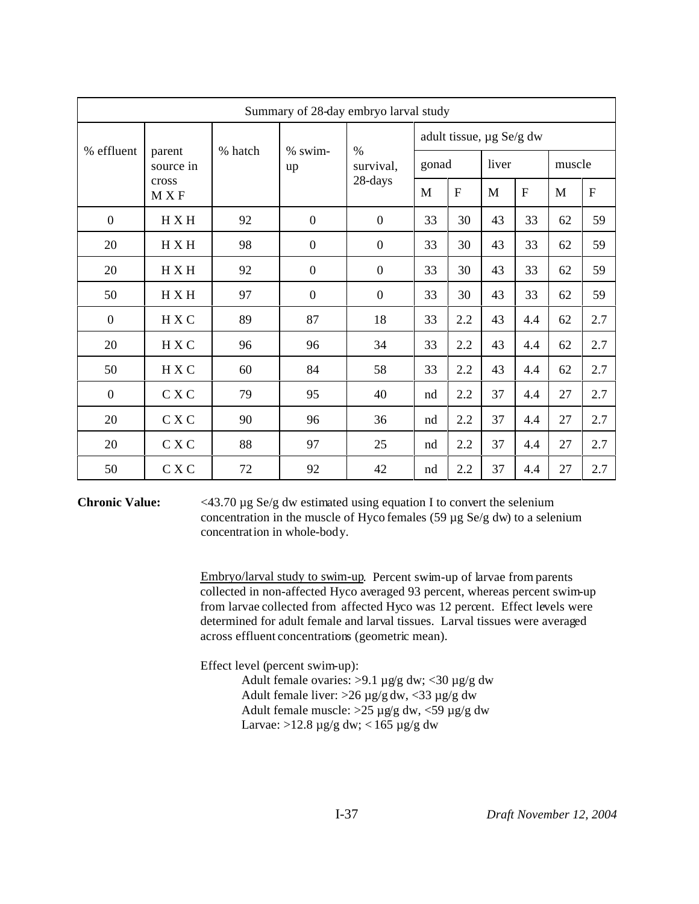| Summary of 28-day embryo larval study |                     |         |                  |                            |                          |              |       |           |              |                |
|---------------------------------------|---------------------|---------|------------------|----------------------------|--------------------------|--------------|-------|-----------|--------------|----------------|
| % effluent                            | parent<br>source in | % hatch | % swim-<br>up    | $\frac{0}{0}$<br>survival, | adult tissue, µg Se/g dw |              |       |           |              |                |
|                                       |                     |         |                  |                            | gonad                    |              | liver |           | muscle       |                |
|                                       | cross<br>M X F      |         |                  | 28-days                    | M                        | $\mathbf{F}$ | M     | ${\bf F}$ | $\mathbf{M}$ | $\overline{F}$ |
| $\mathbf{0}$                          | H X H               | 92      | $\boldsymbol{0}$ | $\boldsymbol{0}$           | 33                       | 30           | 43    | 33        | 62           | 59             |
| 20                                    | H X H               | 98      | $\boldsymbol{0}$ | $\boldsymbol{0}$           | 33                       | 30           | 43    | 33        | 62           | 59             |
| 20                                    | H X H               | 92      | $\boldsymbol{0}$ | $\boldsymbol{0}$           | 33                       | 30           | 43    | 33        | 62           | 59             |
| 50                                    | H X H               | 97      | $\boldsymbol{0}$ | $\boldsymbol{0}$           | 33                       | 30           | 43    | 33        | 62           | 59             |
| $\mathbf{0}$                          | H X C               | 89      | 87               | 18                         | 33                       | 2.2          | 43    | 4.4       | 62           | 2.7            |
| 20                                    | H X C               | 96      | 96               | 34                         | 33                       | 2.2          | 43    | 4.4       | 62           | 2.7            |
| 50                                    | H X C               | 60      | 84               | 58                         | 33                       | 2.2          | 43    | 4.4       | 62           | 2.7            |
| $\boldsymbol{0}$                      | C X C               | 79      | 95               | 40                         | nd                       | 2.2          | 37    | 4.4       | 27           | 2.7            |
| 20                                    | C X C               | 90      | 96               | 36                         | nd                       | 2.2          | 37    | 4.4       | $27\,$       | 2.7            |
| 20                                    | C X C               | 88      | 97               | 25                         | nd                       | 2.2          | 37    | 4.4       | 27           | 2.7            |
| 50                                    | C X C               | $72\,$  | 92               | 42                         | nd                       | 2.2          | 37    | 4.4       | $27\,$       | 2.7            |

**Chronic Value:** <43.70 µg Se/g dw estimated using equation I to convert the selenium concentration in the muscle of Hyco females (59 µg Se/g dw) to a selenium concentration in whole-body.

> Embryo/larval study to swim-up. Percent swim-up of larvae from parents collected in non-affected Hyco averaged 93 percent, whereas percent swim-up from larvae collected from affected Hyco was 12 percent. Effect levels were determined for adult female and larval tissues. Larval tissues were averaged across effluent concentrations (geometric mean).

Effect level (percent swim-up):

Adult female ovaries: >9.1 µg/g dw; <30 µg/g dw Adult female liver:  $>26 \mu g/g dw$ , <33  $\mu g/g dw$ Adult female muscle:  $>25 \mu$ g/g dw, <59  $\mu$ g/g dw Larvae:  $>12.8 \mu$ g/g dw; < 165  $\mu$ g/g dw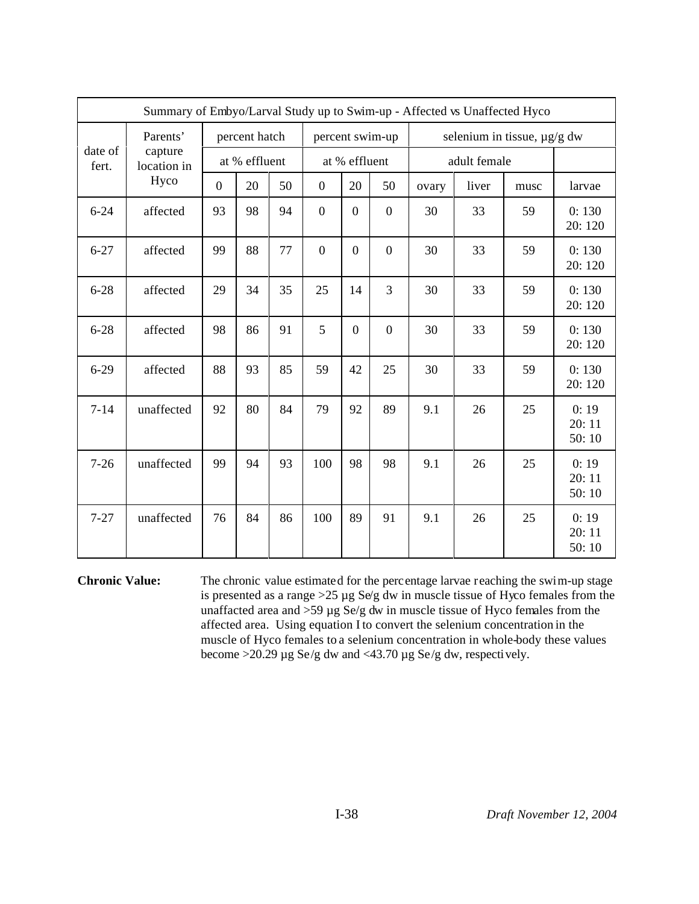|                  | Summary of Embyo/Larval Study up to Swim-up - Affected vs Unaffected Hyco |                |               |    |                  |                  |                             |       |              |      |                        |
|------------------|---------------------------------------------------------------------------|----------------|---------------|----|------------------|------------------|-----------------------------|-------|--------------|------|------------------------|
| Parents'         |                                                                           | percent hatch  |               |    | percent swim-up  |                  | selenium in tissue, µg/g dw |       |              |      |                        |
| date of<br>fert. | capture<br>location in                                                    |                | at % effluent |    |                  | at % effluent    |                             |       | adult female |      |                        |
|                  | Hyco                                                                      | $\overline{0}$ | 20            | 50 | $\boldsymbol{0}$ | 20               | 50                          | ovary | liver        | musc | larvae                 |
| $6 - 24$         | affected                                                                  | 93             | 98            | 94 | $\boldsymbol{0}$ | $\overline{0}$   | $\boldsymbol{0}$            | 30    | 33           | 59   | 0:130<br>20:120        |
| $6 - 27$         | affected                                                                  | 99             | 88            | 77 | $\overline{0}$   | $\overline{0}$   | $\overline{0}$              | 30    | 33           | 59   | 0:130<br>20:120        |
| $6 - 28$         | affected                                                                  | 29             | 34            | 35 | 25               | 14               | 3                           | 30    | 33           | 59   | 0:130<br>20:120        |
| $6 - 28$         | affected                                                                  | 98             | 86            | 91 | 5                | $\boldsymbol{0}$ | $\boldsymbol{0}$            | 30    | 33           | 59   | 0:130<br>20:120        |
| $6 - 29$         | affected                                                                  | 88             | 93            | 85 | 59               | 42               | 25                          | 30    | 33           | 59   | 0:130<br>20:120        |
| $7 - 14$         | unaffected                                                                | 92             | 80            | 84 | 79               | 92               | 89                          | 9.1   | 26           | 25   | 0:19<br>20:11<br>50:10 |
| $7 - 26$         | unaffected                                                                | 99             | 94            | 93 | 100              | 98               | 98                          | 9.1   | 26           | 25   | 0:19<br>20:11<br>50:10 |
| $7 - 27$         | unaffected                                                                | 76             | 84            | 86 | 100              | 89               | 91                          | 9.1   | 26           | 25   | 0:19<br>20:11<br>50:10 |

**Chronic Value:** The chronic value estimated for the percentage larvae reaching the swim-up stage is presented as a range >25 µg Se/g dw in muscle tissue of Hyco females from the unaffacted area and >59 µg Se/g dw in muscle tissue of Hyco females from the affected area. Using equation I to convert the selenium concentration in the muscle of Hyco females to a selenium concentration in whole-body these values become >20.29  $\mu$ g Se/g dw and <43.70  $\mu$ g Se/g dw, respectively.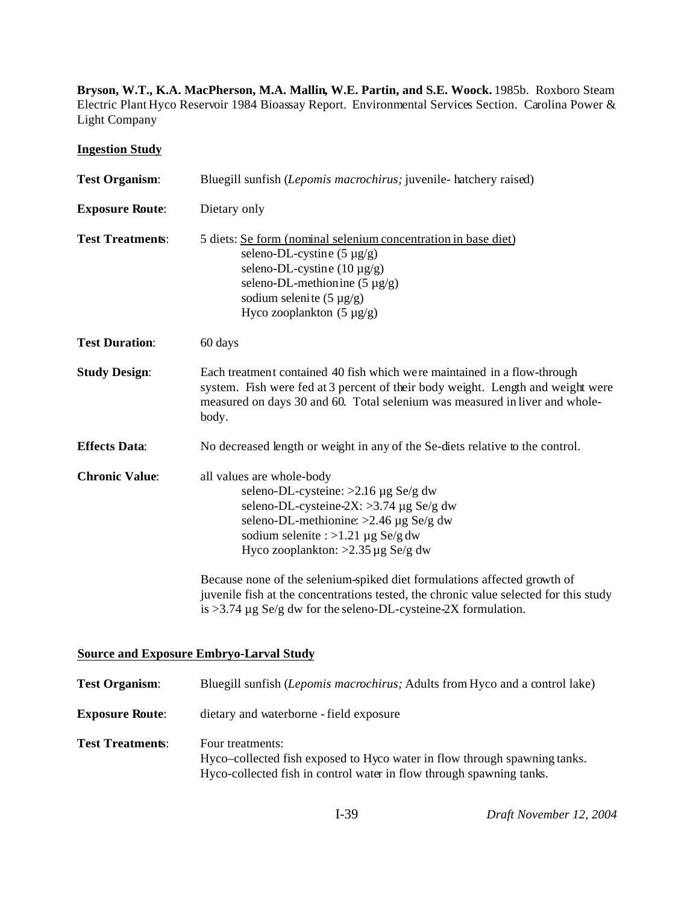Bryson, W.T., K.A. MacPherson, M.A. Mallin, W.E. Partin, and S.E. Woock. 1985b. Roxboro Steam Electric Plant Hyco Reservoir 1984 Bioassay Report. Environmental Services Section. Carolina Power & Light Company

**Ingestion Study**

| <b>Test Organism:</b>   | Bluegill sunfish (Lepomis macrochirus; juvenile- hatchery raised)                                                                                                                                                                                                                                                                                                                                                      |
|-------------------------|------------------------------------------------------------------------------------------------------------------------------------------------------------------------------------------------------------------------------------------------------------------------------------------------------------------------------------------------------------------------------------------------------------------------|
| <b>Exposure Route:</b>  | Dietary only                                                                                                                                                                                                                                                                                                                                                                                                           |
| <b>Test Treatments:</b> | 5 diets: Se form (nominal selenium concentration in base diet)<br>seleno-DL-cystine $(5 \mu g/g)$<br>seleno-DL-cystine $(10 \mu g/g)$<br>seleno-DL-methion ine $(5 \mu g/g)$<br>sodium selenite $(5 \mu g/g)$<br>Hyco zooplankton $(5 \mu g/g)$                                                                                                                                                                        |
| <b>Test Duration:</b>   | 60 days                                                                                                                                                                                                                                                                                                                                                                                                                |
| <b>Study Design:</b>    | Each treatment contained 40 fish which were maintained in a flow-through<br>system. Fish were fed at 3 percent of their body weight. Length and weight were<br>measured on days 30 and 60. Total selenium was measured in liver and whole-<br>body.                                                                                                                                                                    |
| <b>Effects Data:</b>    | No decreased length or weight in any of the Se-diets relative to the control.                                                                                                                                                                                                                                                                                                                                          |
| <b>Chronic Value:</b>   | all values are whole-body<br>seleno-DL-cysteine: $>2.16 \mu g$ Se/g dw<br>seleno-DL-cysteine-2X: >3.74 µg Se/g dw<br>seleno-DL-methionine: $>2.46 \mu g$ Se/g dw<br>sodium selenite : >1.21 µg Se/g dw<br>Hyco zooplankton: $>2.35 \mu g$ Se/g dw<br>Because none of the selenium-spiked diet formulations affected growth of<br>juvenile fish at the concentrations tested, the chronic value selected for this study |
|                         | is >3.74 $\mu$ g Se/g dw for the seleno-DL-cysteine-2X formulation.                                                                                                                                                                                                                                                                                                                                                    |
|                         | <b>Source and Exposure Embryo-Larval Study</b>                                                                                                                                                                                                                                                                                                                                                                         |
| <b>Test Organism:</b>   | Bluegill sunfish <i>(Lepomis macrochirus: Adults from Hyco and a control lake)</i>                                                                                                                                                                                                                                                                                                                                     |

| <b>TOR OF CHILDIII.</b> | Dravgin sunnsn (Depomis maeroem as, Trautis from Hyvo and a control fake)                                                                                             |
|-------------------------|-----------------------------------------------------------------------------------------------------------------------------------------------------------------------|
| <b>Exposure Route:</b>  | dietary and waterborne - field exposure                                                                                                                               |
| <b>Test Treatments:</b> | Four treatments:<br>Hyco–collected fish exposed to Hyco water in flow through spawning tanks.<br>Hyco-collected fish in control water in flow through spawning tanks. |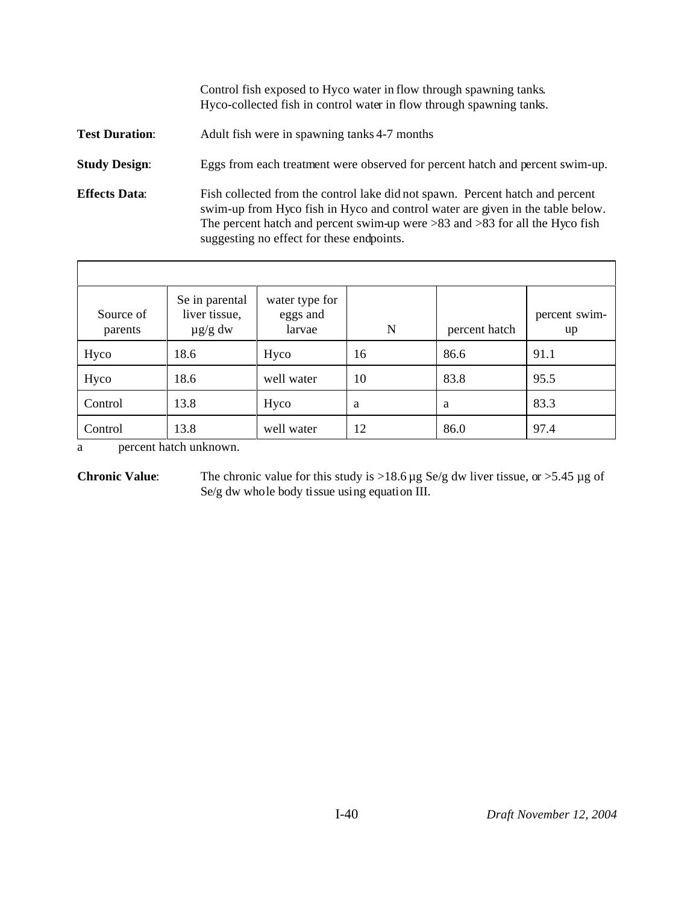|                       | Control fish exposed to Hyco water in flow through spawning tanks.<br>Hyco-collected fish in control water in flow through spawning tanks.                                                                                                                                                       |
|-----------------------|--------------------------------------------------------------------------------------------------------------------------------------------------------------------------------------------------------------------------------------------------------------------------------------------------|
| <b>Test Duration:</b> | Adult fish were in spawning tanks 4-7 months                                                                                                                                                                                                                                                     |
| <b>Study Design:</b>  | Eggs from each treatment were observed for percent hatch and percent swim-up.                                                                                                                                                                                                                    |
| <b>Effects Data:</b>  | Fish collected from the control lake did not spawn. Percent hatch and percent<br>swim-up from Hyco fish in Hyco and control water are given in the table below.<br>The percent hatch and percent swim-up were $>83$ and $>83$ for all the Hyco fish<br>suggesting no effect for these endpoints. |

| Source of<br>parents | Se in parental<br>liver tissue,<br>$\mu$ g/g dw | water type for<br>eggs and<br>larvae | N  | percent hatch | percent swim-<br>up |
|----------------------|-------------------------------------------------|--------------------------------------|----|---------------|---------------------|
| Hyco                 | 18.6                                            | Hyco                                 | 16 | 86.6          | 91.1                |
| Hyco                 | 18.6                                            | well water                           | 10 | 83.8          | 95.5                |
| Control              | 13.8                                            | Hyco                                 | a  | a             | 83.3                |
| Control              | 13.8                                            | well water                           | 12 | 86.0          | 97.4                |

a percent hatch unknown.

**Chronic Value:** The chronic value for this study is >18.6 µg Se/g dw liver tissue, or >5.45 µg of Se/g dw whole body tissue using equation III.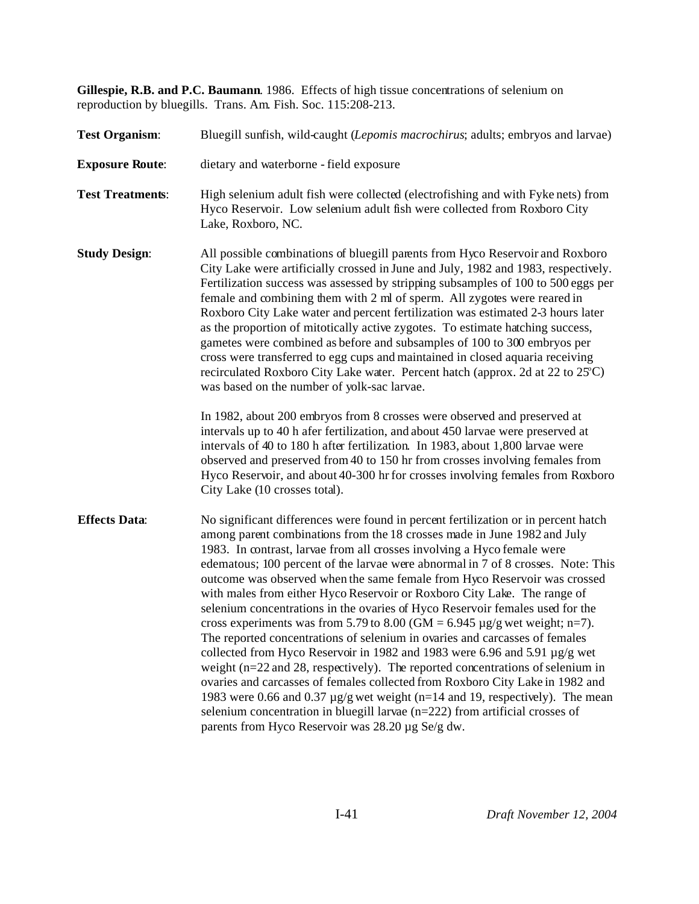**Gillespie, R.B. and P.C. Baumann**. 1986. Effects of high tissue concentrations of selenium on reproduction by bluegills. Trans. Am. Fish. Soc. 115:208-213.

| <b>Test Organism:</b>   | Bluegill sunfish, wild-caught (Lepomis macrochirus; adults; embryos and larvae)                                                                                                                                                                                                                                                                                                                                                                                                                                                                                                                                                                                                                                                                                                                                                                                                                                                                                                                                                                                                                                                                                                                                         |  |  |  |  |  |
|-------------------------|-------------------------------------------------------------------------------------------------------------------------------------------------------------------------------------------------------------------------------------------------------------------------------------------------------------------------------------------------------------------------------------------------------------------------------------------------------------------------------------------------------------------------------------------------------------------------------------------------------------------------------------------------------------------------------------------------------------------------------------------------------------------------------------------------------------------------------------------------------------------------------------------------------------------------------------------------------------------------------------------------------------------------------------------------------------------------------------------------------------------------------------------------------------------------------------------------------------------------|--|--|--|--|--|
| <b>Exposure Route:</b>  | dietary and waterborne - field exposure                                                                                                                                                                                                                                                                                                                                                                                                                                                                                                                                                                                                                                                                                                                                                                                                                                                                                                                                                                                                                                                                                                                                                                                 |  |  |  |  |  |
| <b>Test Treatments:</b> | High selenium adult fish were collected (electrofishing and with Fyke nets) from<br>Hyco Reservoir. Low selenium adult fish were collected from Roxboro City<br>Lake, Roxboro, NC.                                                                                                                                                                                                                                                                                                                                                                                                                                                                                                                                                                                                                                                                                                                                                                                                                                                                                                                                                                                                                                      |  |  |  |  |  |
| <b>Study Design:</b>    | All possible combinations of bluegill parents from Hyco Reservoir and Roxboro<br>City Lake were artificially crossed in June and July, 1982 and 1983, respectively.<br>Fertilization success was assessed by stripping subsamples of 100 to 500 eggs per<br>female and combining them with 2 ml of sperm. All zygotes were reared in<br>Roxboro City Lake water and percent fertilization was estimated 2-3 hours later<br>as the proportion of mitotically active zygotes. To estimate hatching success,<br>gametes were combined as before and subsamples of 100 to 300 embryos per<br>cross were transferred to egg cups and maintained in closed aquaria receiving<br>recirculated Roxboro City Lake water. Percent hatch (approx. 2d at 22 to 25°C)<br>was based on the number of yolk-sac larvae.                                                                                                                                                                                                                                                                                                                                                                                                                 |  |  |  |  |  |
|                         | In 1982, about 200 embryos from 8 crosses were observed and preserved at<br>intervals up to 40 h afer fertilization, and about 450 larvae were preserved at<br>intervals of 40 to 180 h after fertilization. In 1983, about 1,800 larvae were<br>observed and preserved from 40 to 150 hr from crosses involving females from<br>Hyco Reservoir, and about 40-300 hr for crosses involving females from Roxboro<br>City Lake (10 crosses total).                                                                                                                                                                                                                                                                                                                                                                                                                                                                                                                                                                                                                                                                                                                                                                        |  |  |  |  |  |
| <b>Effects Data:</b>    | No significant differences were found in percent fertilization or in percent hatch<br>among parent combinations from the 18 crosses made in June 1982 and July<br>1983. In contrast, larvae from all crosses involving a Hyco female were<br>edematous; 100 percent of the larvae were abnormal in 7 of 8 crosses. Note: This<br>outcome was observed when the same female from Hyco Reservoir was crossed<br>with males from either Hyco Reservoir or Roxboro City Lake. The range of<br>selenium concentrations in the ovaries of Hyco Reservoir females used for the<br>cross experiments was from 5.79 to 8.00 (GM = $6.945 \mu g/g$ wet weight; n=7).<br>The reported concentrations of selenium in ovaries and carcasses of females<br>collected from Hyco Reservoir in 1982 and 1983 were 6.96 and 5.91 µg/g wet<br>weight (n=22 and 28, respectively). The reported concentrations of selenium in<br>ovaries and carcasses of females collected from Roxboro City Lake in 1982 and<br>1983 were 0.66 and 0.37 $\mu$ g/g wet weight (n=14 and 19, respectively). The mean<br>selenium concentration in bluegill larvae $(n=222)$ from artificial crosses of<br>parents from Hyco Reservoir was 28.20 µg Se/g dw. |  |  |  |  |  |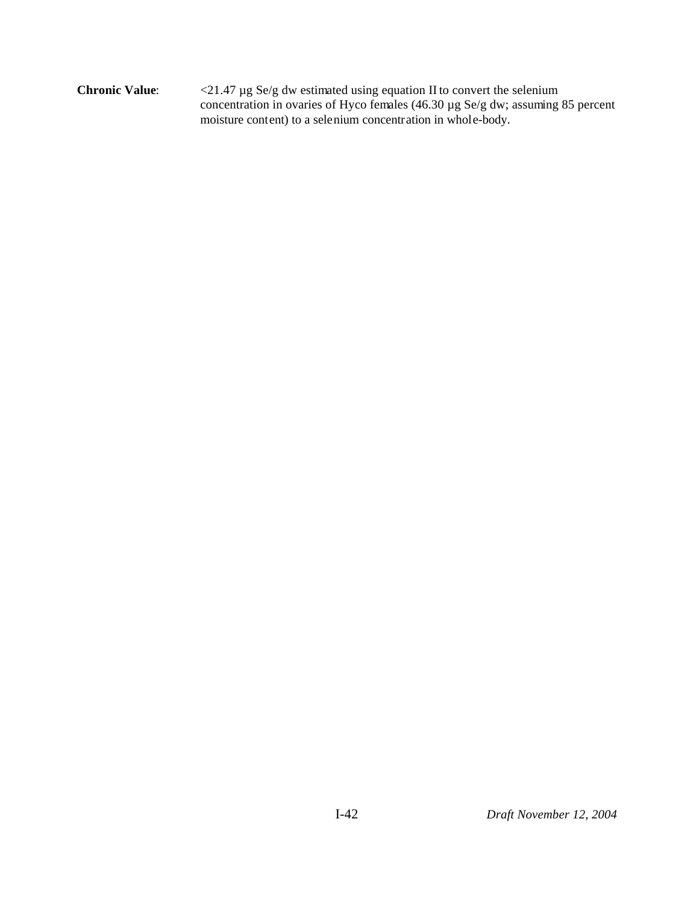**Chronic Value**: <21.47 µg Se/g dw estimated using equation II to convert the selenium concentration in ovaries of Hyco females (46.30 µg Se/g dw; assuming 85 percent moisture content) to a selenium concentration in whole-body.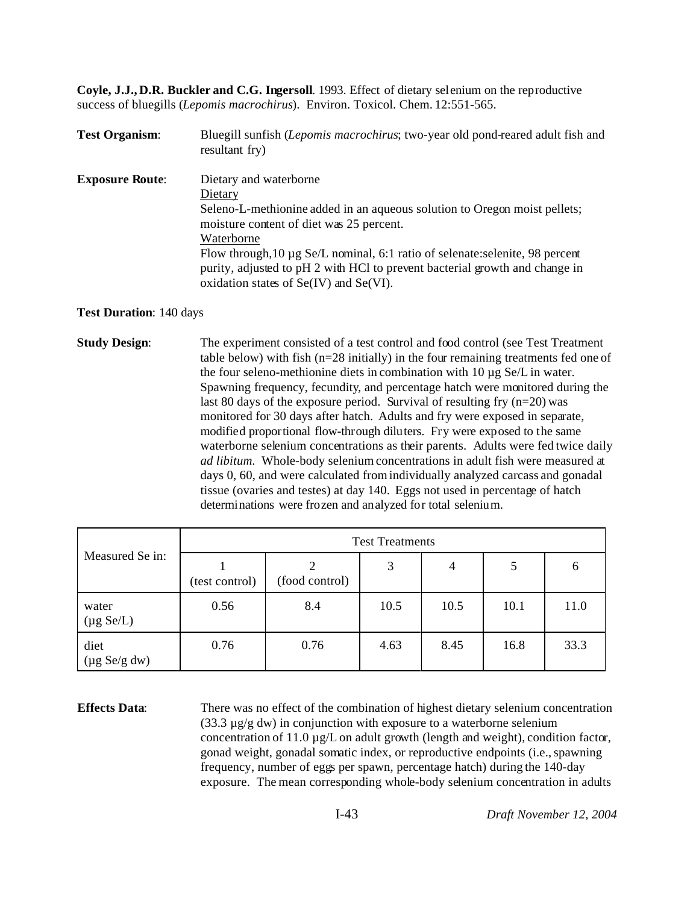**Coyle, J.J., D.R. Buckler and C.G. Ingersoll**. 1993. Effect of dietary selenium on the reproductive success of bluegills (*Lepomis macrochirus*). Environ. Toxicol. Chem. 12:551-565.

| <b>Test Organism:</b>  | Bluegill sunfish (Lepomis macrochirus; two-year old pond-reared adult fish and<br>resultant fry) |
|------------------------|--------------------------------------------------------------------------------------------------|
| <b>Exposure Route:</b> | Dietary and waterborne                                                                           |
|                        | Dietary                                                                                          |
|                        | Seleno-L-methionine added in an aqueous solution to Oregon moist pellets;                        |
|                        | moisture content of diet was 25 percent.                                                         |
|                        | Waterborne                                                                                       |
|                        | Flow through, 10 µg Se/L nominal, 6:1 ratio of selenate: selenite, 98 percent                    |
|                        | purity, adjusted to pH 2 with HCl to prevent bacterial growth and change in                      |
|                        | oxidation states of $Se(IV)$ and $Se(VI)$ .                                                      |

### **Test Duration**: 140 days

**Study Design:** The experiment consisted of a test control and food control (see Test Treatment) table below) with fish (n=28 initially) in the four remaining treatments fed one of the four seleno-methionine diets in combination with 10 µg Se/L in water. Spawning frequency, fecundity, and percentage hatch were monitored during the last 80 days of the exposure period. Survival of resulting fry  $(n=20)$  was monitored for 30 days after hatch. Adults and fry were exposed in separate, modified proportional flow-through diluters. Fry were exposed to the same waterborne selenium concentrations as their parents. Adults were fed twice daily *ad libitum*. Whole-body selenium concentrations in adult fish were measured at days 0, 60, and were calculated from individually analyzed carcass and gonadal tissue (ovaries and testes) at day 140. Eggs not used in percentage of hatch determinations were frozen and analyzed for total selenium.

|                                           | <b>Test Treatments</b> |                |      |                |      |      |  |  |  |
|-------------------------------------------|------------------------|----------------|------|----------------|------|------|--|--|--|
| Measured Se in:                           | (test control)         | (food control) | 3    | $\overline{4}$ | 5    | 6    |  |  |  |
| water<br>$(\mu g Se/L)$                   | 0.56                   | 8.4            | 10.5 | 10.5           | 10.1 | 11.0 |  |  |  |
| diet<br>$(\mu g \text{ Se/g} \text{ dw})$ | 0.76                   | 0.76           | 4.63 | 8.45           | 16.8 | 33.3 |  |  |  |

**Effects Data**: There was no effect of the combination of highest dietary selenium concentration  $(33.3 \text{ µg/g} \text{ dw})$  in conjunction with exposure to a waterborne selenium concentration of 11.0 µg/L on adult growth (length and weight), condition factor, gonad weight, gonadal somatic index, or reproductive endpoints (i.e., spawning frequency, number of eggs per spawn, percentage hatch) during the 140-day exposure. The mean corresponding whole-body selenium concentration in adults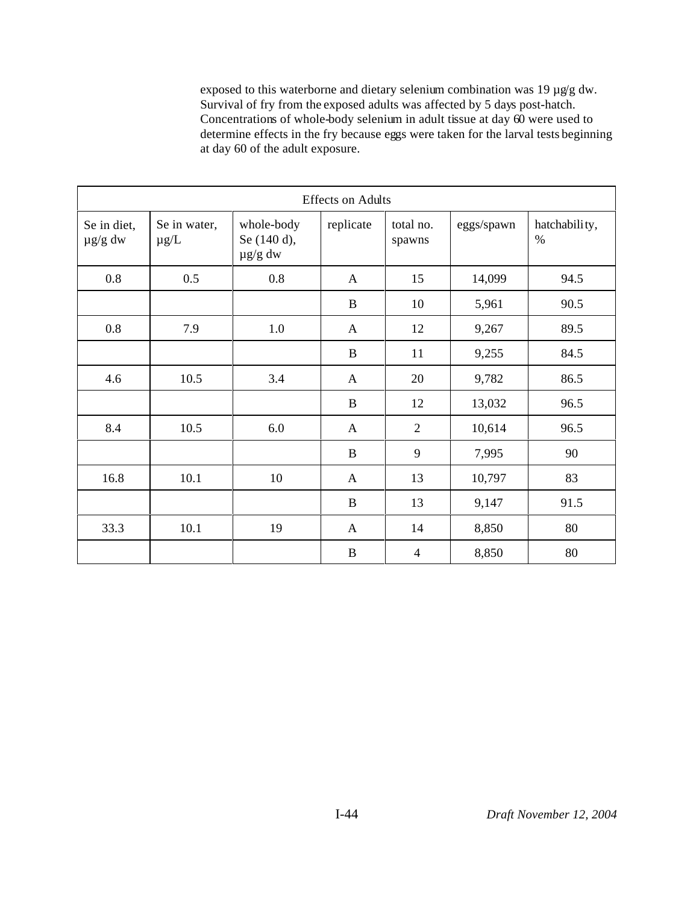exposed to this waterborne and dietary selenium combination was 19 µg/g dw. Survival of fry from the exposed adults was affected by 5 days post-hatch. Concentrations of whole-body selenium in adult tissue at day 60 were used to determine effects in the fry because eggs were taken for the larval tests beginning at day 60 of the adult exposure.

| <b>Effects on Adults</b>    |                           |                                           |              |                     |            |                       |  |
|-----------------------------|---------------------------|-------------------------------------------|--------------|---------------------|------------|-----------------------|--|
| Se in diet,<br>$\mu$ g/g dw | Se in water,<br>$\mu$ g/L | whole-body<br>Se (140 d),<br>$\mu$ g/g dw | replicate    | total no.<br>spawns | eggs/spawn | hatchability,<br>$\%$ |  |
| 0.8                         | 0.5                       | 0.8                                       | $\mathbf{A}$ | 15                  | 14,099     | 94.5                  |  |
|                             |                           |                                           | $\bf{B}$     | 10                  | 5,961      | 90.5                  |  |
| 0.8                         | 7.9                       | 1.0                                       | $\mathbf{A}$ | 12                  | 9,267      | 89.5                  |  |
|                             |                           |                                           | $\bf{B}$     | 11                  | 9,255      | 84.5                  |  |
| 4.6                         | 10.5                      | 3.4                                       | $\mathbf{A}$ | 20                  | 9,782      | 86.5                  |  |
|                             |                           |                                           | $\bf{B}$     | 12                  | 13,032     | 96.5                  |  |
| 8.4                         | 10.5                      | 6.0                                       | $\mathbf{A}$ | $\overline{2}$      | 10,614     | 96.5                  |  |
|                             |                           |                                           | $\bf{B}$     | 9                   | 7,995      | 90                    |  |
| 16.8                        | 10.1                      | 10                                        | $\mathbf{A}$ | 13                  | 10,797     | 83                    |  |
|                             |                           |                                           | $\bf{B}$     | 13                  | 9,147      | 91.5                  |  |
| 33.3                        | 10.1                      | 19                                        | $\mathbf{A}$ | 14                  | 8,850      | 80                    |  |
|                             |                           |                                           | $\bf{B}$     | $\overline{4}$      | 8,850      | 80                    |  |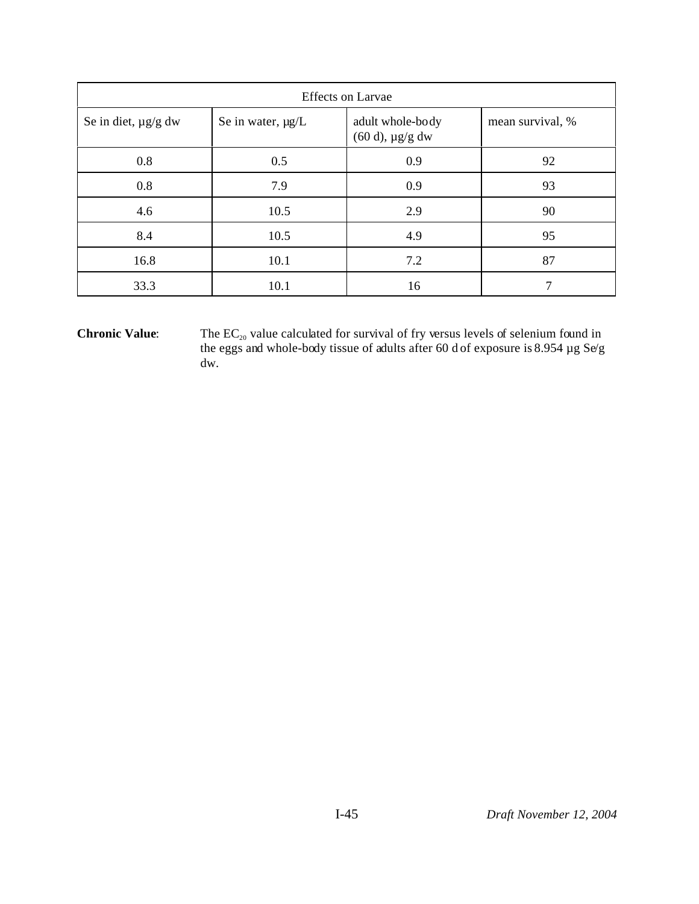| <b>Effects</b> on Larvae |                   |                                             |                  |  |  |  |  |
|--------------------------|-------------------|---------------------------------------------|------------------|--|--|--|--|
| Se in diet, $\mu$ g/g dw | Se in water, µg/L | adult whole-body<br>$(60 d)$ , $\mu$ g/g dw | mean survival, % |  |  |  |  |
| 0.8                      | 0.5               | 0.9                                         | 92               |  |  |  |  |
| 0.8                      | 7.9               | 0.9                                         | 93               |  |  |  |  |
| 4.6                      | 10.5              | 2.9                                         | 90               |  |  |  |  |
| 8.4                      | 10.5              | 4.9                                         | 95               |  |  |  |  |
| 16.8                     | 10.1              | 7.2                                         | 87               |  |  |  |  |
| 33.3                     | 10.1              | 16                                          | 7                |  |  |  |  |

**Chronic Value:** The  $EC_{20}$  value calculated for survival of fry versus levels of selenium found in the eggs and whole-body tissue of adults after 60 d of exposure is 8.954 µg Se/g dw.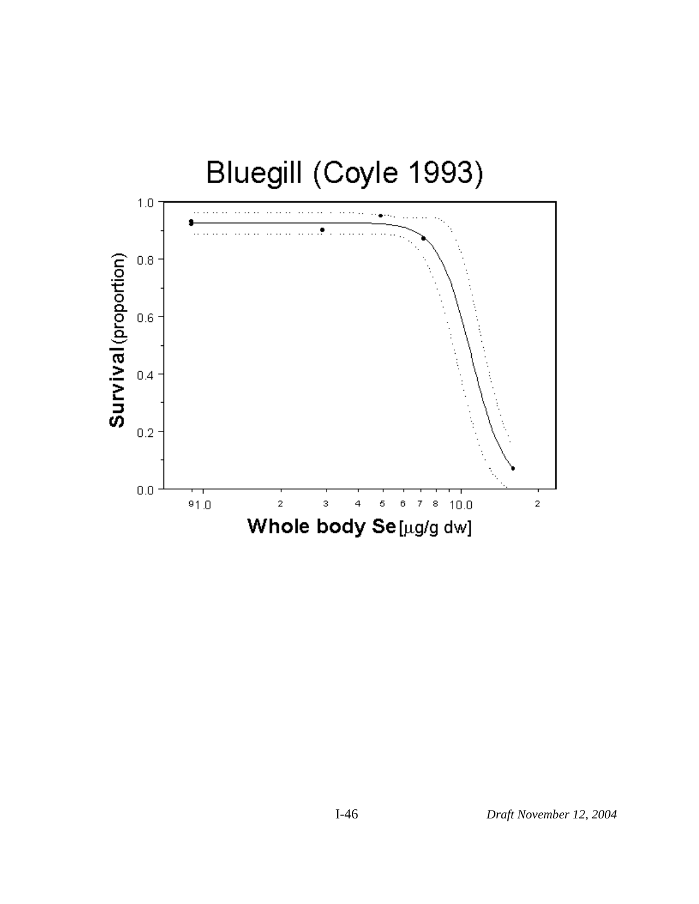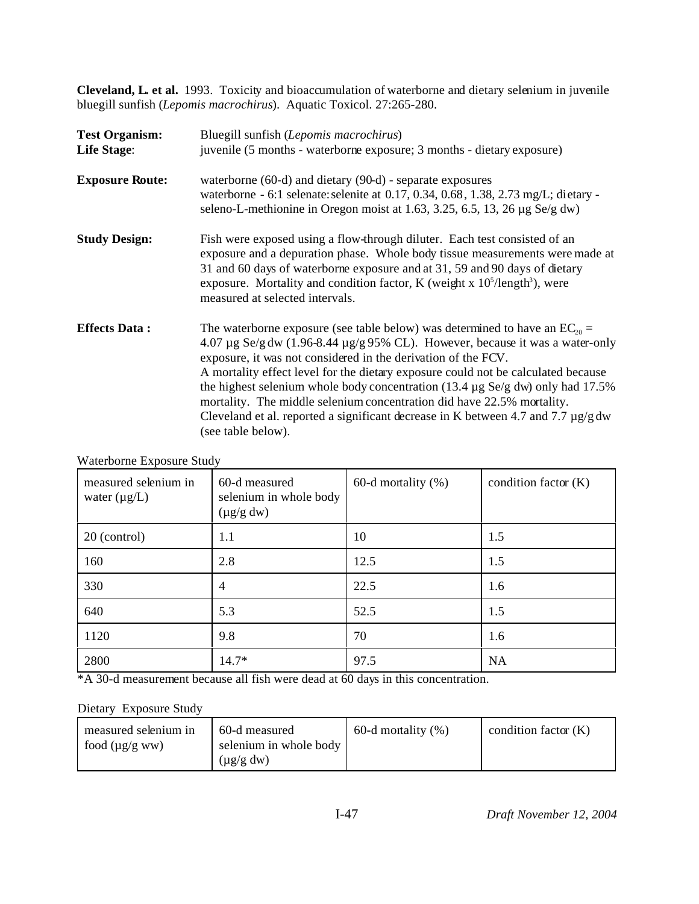**Cleveland, L. et al.** 1993. Toxicity and bioaccumulation of waterborne and dietary selenium in juvenile bluegill sunfish (*Lepomis macrochirus*). Aquatic Toxicol. 27:265-280.

| <b>Test Organism:</b><br><b>Life Stage:</b> | Bluegill sunfish (Lepomis macrochirus)<br>juvenile (5 months - waterborne exposure; 3 months - dietary exposure)                                                                                                                                                                                                                                                                                                                                                                                                                                                                                                               |
|---------------------------------------------|--------------------------------------------------------------------------------------------------------------------------------------------------------------------------------------------------------------------------------------------------------------------------------------------------------------------------------------------------------------------------------------------------------------------------------------------------------------------------------------------------------------------------------------------------------------------------------------------------------------------------------|
| <b>Exposure Route:</b>                      | waterborne $(60-d)$ and dietary $(90-d)$ - separate exposures<br>waterborne - 6:1 selenate: selenite at 0.17, 0.34, 0.68, 1.38, 2.73 mg/L; dietary -<br>seleno-L-methionine in Oregon moist at 1.63, 3.25, 6.5, 13, 26 $\mu$ g Se/g dw)                                                                                                                                                                                                                                                                                                                                                                                        |
| <b>Study Design:</b>                        | Fish were exposed using a flow-through diluter. Each test consisted of an<br>exposure and a depuration phase. Whole body tissue measurements were made at<br>31 and 60 days of waterborne exposure and at 31, 59 and 90 days of dietary<br>exposure. Mortality and condition factor, K (weight x $105/length3$ ), were<br>measured at selected intervals.                                                                                                                                                                                                                                                                      |
| <b>Effects Data:</b>                        | The waterborne exposure (see table below) was determined to have an $EC_{20}$ =<br>4.07 µg Se/g dw $(1.96-8.44 \mu g/g 95\% CL)$ . However, because it was a water-only<br>exposure, it was not considered in the derivation of the FCV.<br>A mortality effect level for the dietary exposure could not be calculated because<br>the highest selenium whole body concentration $(13.4 \mu g \text{ Se/g} \text{ dw})$ only had 17.5%<br>mortality. The middle selenium concentration did have 22.5% mortality.<br>Cleveland et al. reported a significant decrease in K between 4.7 and 7.7 $\mu$ g/g dw<br>(see table below). |

| measured selenium in<br>water $(\mu g/L)$ | 60-d measured<br>selenium in whole body<br>$(\mu g/g dw)$ | $60-d$ mortality $(\%)$ | condition factor $(K)$ |
|-------------------------------------------|-----------------------------------------------------------|-------------------------|------------------------|
| 20 (control)                              | 1.1                                                       | 10                      | 1.5                    |
| 160                                       | 2.8                                                       | 12.5                    | 1.5                    |
| 330                                       | 4                                                         | 22.5                    | 1.6                    |
| 640                                       | 5.3                                                       | 52.5                    | 1.5                    |
| 1120                                      | 9.8                                                       | 70                      | 1.6                    |
| 2800                                      | $14.7*$                                                   | 97.5                    | <b>NA</b>              |

Waterborne Exposure Study

\*A 30-d measurement because all fish were dead at 60 days in this concentration.

# Dietary Exposure Study

| measured selenium in | 60-d measured          | $60-d$ mortality $(\%)$ | condition factor $(K)$ |
|----------------------|------------------------|-------------------------|------------------------|
| food $(\mu g/g ww)$  | selenium in whole body |                         |                        |
|                      | $(\mu$ g/g dw)         |                         |                        |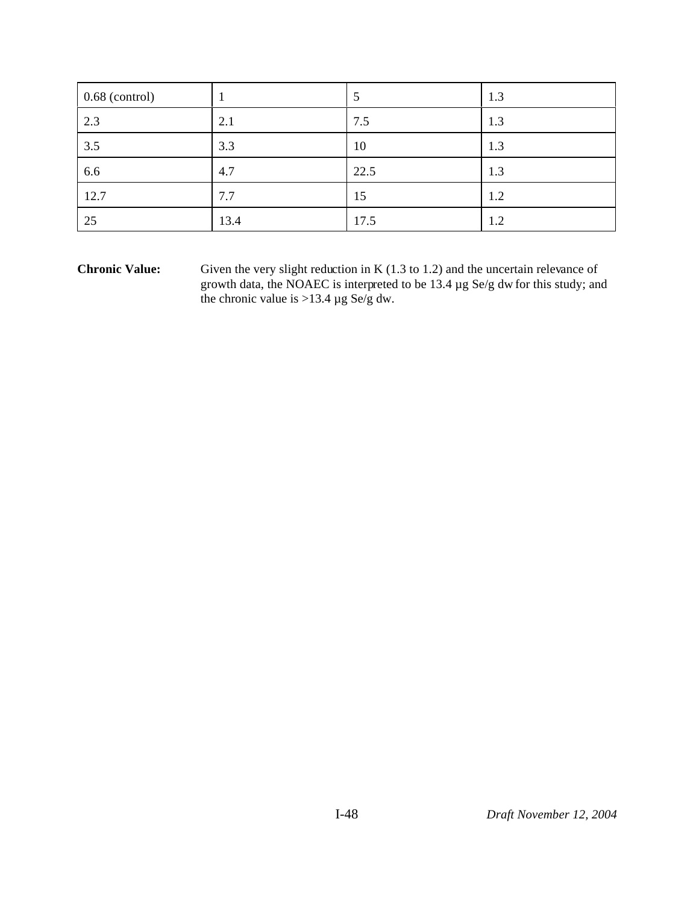| $0.68$ (control) |      | C    | 1.3 |
|------------------|------|------|-----|
| 2.3              | 2.1  | 7.5  | 1.3 |
| 3.5              | 3.3  | 10   | 1.3 |
| 6.6              | 4.7  | 22.5 | 1.3 |
| 12.7             | 7.7  | 15   | 1.2 |
| 25               | 13.4 | 17.5 | 1.2 |

**Chronic Value:** Given the very slight reduction in K (1.3 to 1.2) and the uncertain relevance of growth data, the NOAEC is interpreted to be 13.4 µg Se/g dw for this study; and the chronic value is >13.4  $\mu$ g Se/g dw.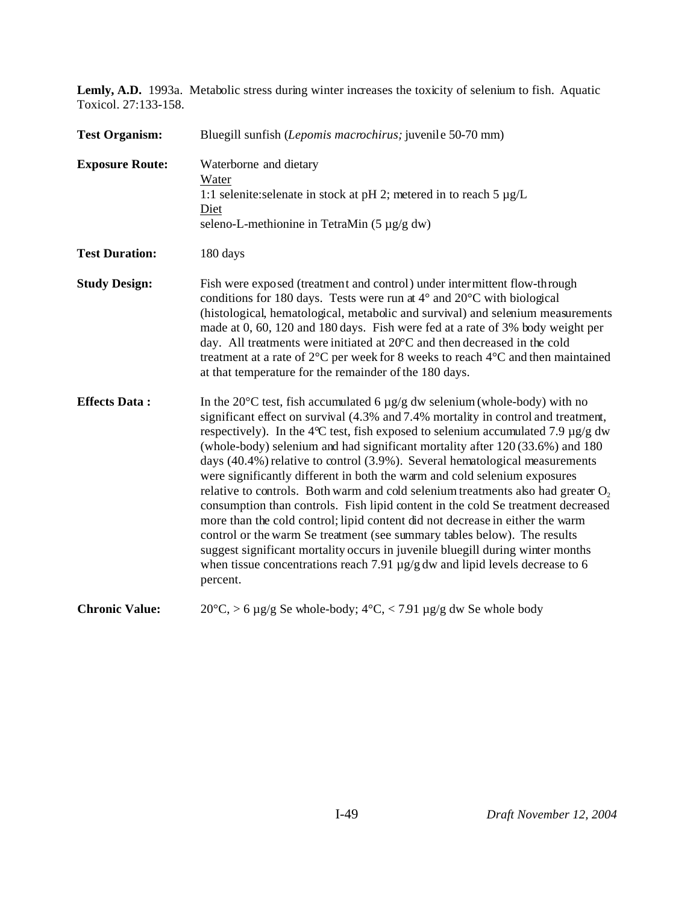**Lemly, A.D.** 1993a. Metabolic stress during winter increases the toxicity of selenium to fish. Aquatic Toxicol. 27:133-158.

| <b>Test Organism:</b>  | Bluegill sunfish (Lepomis macrochirus; juvenile 50-70 mm)                                                                                                                                                                                                                                                                                                                                                                                                                                                                                                                                                                                                                                                                                                                                                                                                                                                                                                                                                                                             |
|------------------------|-------------------------------------------------------------------------------------------------------------------------------------------------------------------------------------------------------------------------------------------------------------------------------------------------------------------------------------------------------------------------------------------------------------------------------------------------------------------------------------------------------------------------------------------------------------------------------------------------------------------------------------------------------------------------------------------------------------------------------------------------------------------------------------------------------------------------------------------------------------------------------------------------------------------------------------------------------------------------------------------------------------------------------------------------------|
| <b>Exposure Route:</b> | Waterborne and dietary<br>Water<br>1:1 selenite: selenate in stock at pH 2; metered in to reach $5 \mu g/L$<br>Diet<br>seleno-L-methionine in TetraMin $(5 \mu g/g dw)$                                                                                                                                                                                                                                                                                                                                                                                                                                                                                                                                                                                                                                                                                                                                                                                                                                                                               |
| <b>Test Duration:</b>  | 180 days                                                                                                                                                                                                                                                                                                                                                                                                                                                                                                                                                                                                                                                                                                                                                                                                                                                                                                                                                                                                                                              |
| <b>Study Design:</b>   | Fish were exposed (treatment and control) under intermittent flow-through<br>conditions for 180 days. Tests were run at $4^{\circ}$ and $20^{\circ}$ C with biological<br>(histological, hematological, metabolic and survival) and selenium measurements<br>made at 0, 60, 120 and 180 days. Fish were fed at a rate of 3% body weight per<br>day. All treatments were initiated at $20^{\circ}$ C and then decreased in the cold<br>treatment at a rate of $2^{\circ}$ C per week for 8 weeks to reach $4^{\circ}$ C and then maintained<br>at that temperature for the remainder of the 180 days.                                                                                                                                                                                                                                                                                                                                                                                                                                                  |
| <b>Effects Data:</b>   | In the 20 $\degree$ C test, fish accumulated 6 $\mu$ g/g dw selenium (whole-body) with no<br>significant effect on survival (4.3% and 7.4% mortality in control and treatment,<br>respectively). In the 4°C test, fish exposed to selenium accumulated 7.9 $\mu$ g/g dw<br>(whole-body) selenium and had significant mortality after 120 (33.6%) and 180<br>days $(40.4\%)$ relative to control $(3.9\%)$ . Several hematological measurements<br>were significantly different in both the warm and cold selenium exposures<br>relative to controls. Both warm and cold selenium treatments also had greater $O2$<br>consumption than controls. Fish lipid content in the cold Se treatment decreased<br>more than the cold control; lipid content did not decrease in either the warm<br>control or the warm Se treatment (see summary tables below). The results<br>suggest significant mortality occurs in juvenile bluegill during winter months<br>when tissue concentrations reach 7.91 $\mu$ g/g dw and lipid levels decrease to 6<br>percent. |
| <b>Chronic Value:</b>  | $20^{\circ}$ C, > 6 μg/g Se whole-body; 4°C, < 7.91 μg/g dw Se whole body                                                                                                                                                                                                                                                                                                                                                                                                                                                                                                                                                                                                                                                                                                                                                                                                                                                                                                                                                                             |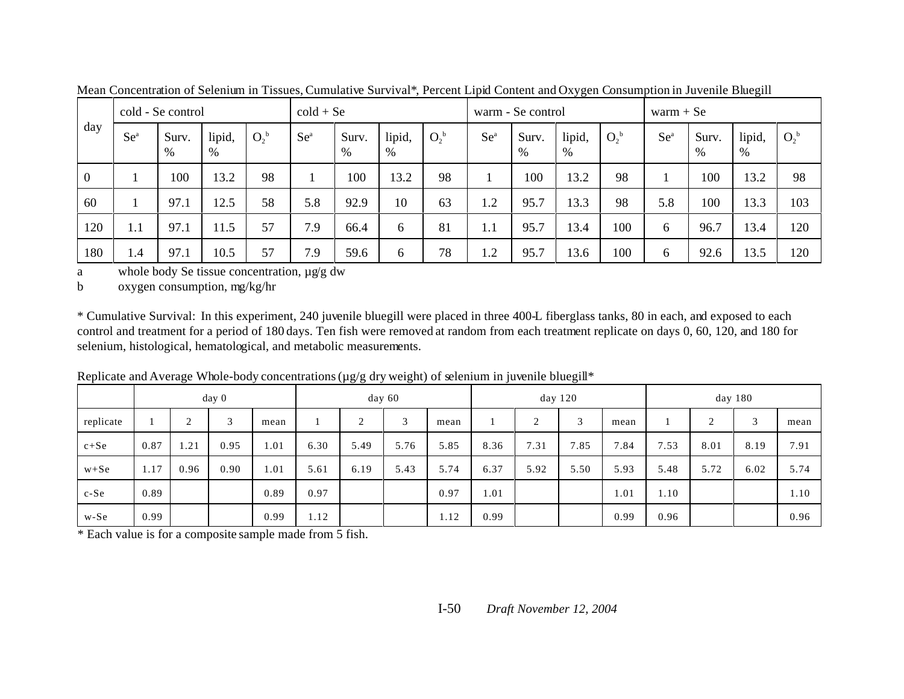|              |         | cold - Se control |                |         |        | $\text{cold} + \text{Se}$ |                |         | warm - Se control |               |                |         | $warm + Se$ |            |             |         |
|--------------|---------|-------------------|----------------|---------|--------|---------------------------|----------------|---------|-------------------|---------------|----------------|---------|-------------|------------|-------------|---------|
| day          | $Se^a$  | Surv.<br>$\%$     | lipid,<br>$\%$ | $O_2^b$ | $Se^a$ | Surv.<br>$\%$             | lipid,<br>$\%$ | $O_2^b$ | $Se^a$            | Surv.<br>$\%$ | lipid,<br>$\%$ | $O_2^b$ | $Se^a$      | Surv.<br>% | lipid,<br>% | $O_2^b$ |
| $\mathbf{0}$ |         | 100               | 13.2           | 98      |        | 100                       | 13.2           | 98      |                   | 100           | 13.2           | 98      |             | 100        | 13.2        | 98      |
| 60           |         | 97.1              | 12.5           | 58      | 5.8    | 92.9                      | 10             | 63      | 1.2               | 95.7          | 13.3           | 98      | 5.8         | 100        | 13.3        | 103     |
| 120          | $1.1\,$ | 97.1              | 11.5           | 57      | 7.9    | 66.4                      | 6              | 81      | 1.1               | 95.7          | 13.4           | 100     | 6           | 96.7       | 13.4        | 120     |
| 180          | 1.4     | 97.1              | 10.5           | 57      | 7.9    | 59.6                      | 6              | 78      | 1.2               | 95.7          | 3.6            | 100     | 6           | 92.6       | 13.5        | 120     |

Mean Concentration of Selenium in Tissues, Cumulative Survival\*, Percent Lipid Content and Oxygen Consumption in Juvenile Bluegill

a whole body Se tissue concentration, µg/g dw

b oxygen consumption, mg/kg/hr

\* Cumulative Survival: In this experiment, 240 juvenile bluegill were placed in three 400-L fiberglass tanks, 80 in each, and exposed to each control and treatment for a period of 180 days. Ten fish were removed at random from each treatment replicate on days 0, 60, 120, and 180 for selenium, histological, hematological, and metabolic measurements.

|           | day 0 |             |      |      | day 60 |        |      | day 120 |      |                | day 180 |      |      |           |      |      |
|-----------|-------|-------------|------|------|--------|--------|------|---------|------|----------------|---------|------|------|-----------|------|------|
| replicate |       | $\sim$<br>∠ | 3    | mean |        | $\sim$ | ⌒    | mean    |      | $\bigcap$<br>∠ | 3       | mean |      | $\bigcap$ | 3    | mean |
| $c + Se$  | 0.87  | l.21        | 0.95 | .01  | 6.30   | 5.49   | 5.76 | 5.85    | 8.36 | 7.31           | 7.85    | 7.84 | 7.53 | 8.01      | 8.19 | 7.91 |
| $w + Se$  | 1.17  | 0.96        | 0.90 | .01  | 5.61   | 6.19   | 5.43 | 5.74    | 6.37 | 5.92           | 5.50    | 5.93 | 5.48 | 5.72      | 6.02 | 5.74 |
| $c-Se$    | 0.89  |             |      | 0.89 | 0.97   |        |      | 0.97    | 1.01 |                |         | 1.01 | 1.10 |           |      | 1.10 |
| w-Se      | 0.99  |             |      | 0.99 | 1.12   |        |      | 1.12    | 0.99 |                |         | 0.99 | 0.96 |           |      | 0.96 |

Replicate and Average Whole-body concentrations (µg/g dry weight) of selenium in juvenile bluegill\*

\* Each value is for a composite sample made from 5 fish.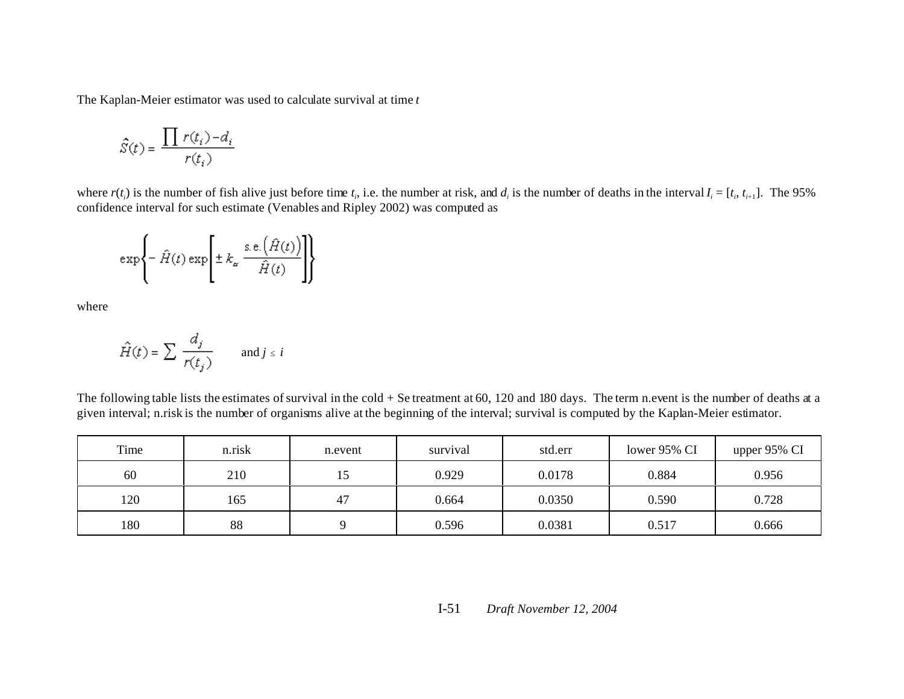The Kaplan-Meier estimator was used to calculate survival at time *t*

$$
\hat{S}(t)=\frac{\prod\,r(t_i)\!-\!d_i}{r(t_i)}
$$

where  $r(t_i)$  is the number of fish alive just before time  $t_i$ , i.e. the number at risk, and  $d_i$  is the number of deaths in the interval  $I_i = [t_i, t_{i+1}]$ . The 95% confidence interval for such estimate (Venables and Ripley 2002) was computed as

$$
\exp\left\{-\hat{H}(t)\exp\left[\pm k_{\alpha}\frac{\sin\left(\hat{H}(t)\right)}{\hat{H}(t)}\right]\right\}
$$

where

$$
\hat{H}(t) = \sum \frac{d_j}{r(t_j)} \quad \text{and } j \leq i
$$

The following table lists the estimates of survival in the cold + Se treatment at 60, 120 and 180 days. The term n.event is the number of deaths at a given interval; n.risk is the number of organisms alive at the beginning of the interval; survival is computed by the Kaplan-Meier estimator.

| Time | n.risk | n.event | survival | std.err | lower 95% CI | upper 95% CI |
|------|--------|---------|----------|---------|--------------|--------------|
| 60   | 210    |         | 0.929    | 0.0178  | 0.884        | 0.956        |
| 120  | 165    | 47      | 0.664    | 0.0350  | 0.590        | 0.728        |
| 180  | 88     |         | 0.596    | 0.0381  | 0.517        | 0.666        |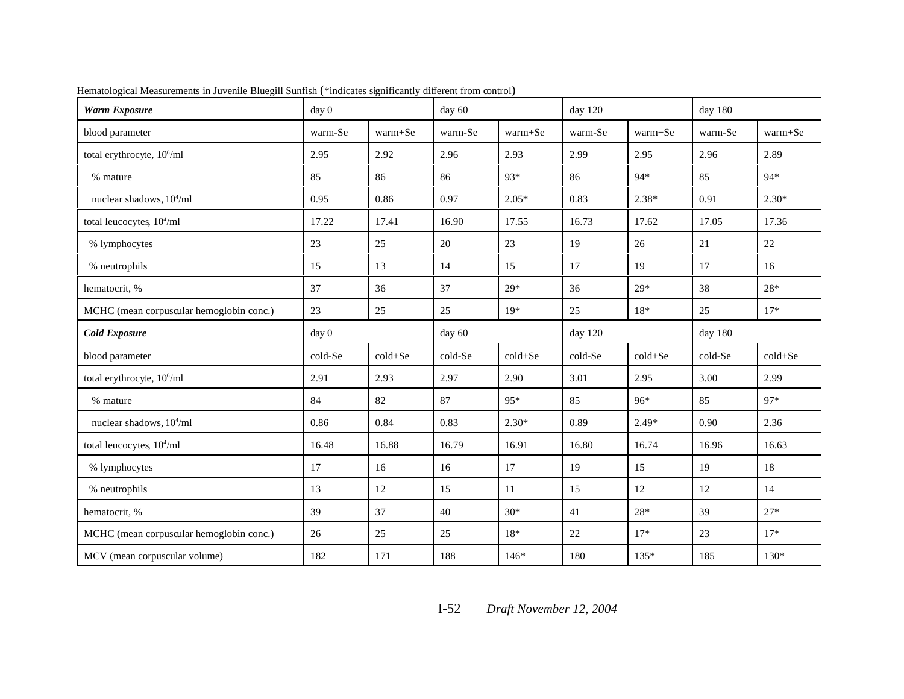| <b>Warm Exposure</b>                     | day <sub>0</sub> |             | day 60  |             | day $120$ |             | day 180 |             |  |
|------------------------------------------|------------------|-------------|---------|-------------|-----------|-------------|---------|-------------|--|
| blood parameter                          | warm-Se          | $warm + Se$ | warm-Se | warm+Se     | warm-Se   | warm+Se     | warm-Se | warm+Se     |  |
| total erythrocyte, 10 <sup>6</sup> /ml   | 2.95             | 2.92        | 2.96    | 2.93        | 2.99      | 2.95        | 2.96    | 2.89        |  |
| % mature                                 | 85               | 86          | 86      | $93*$       | 86        | $94*$       | 85      | $94*$       |  |
| nuclear shadows, 10 <sup>4</sup> /ml     | 0.95             | 0.86        | 0.97    | $2.05*$     | 0.83      | $2.38*$     | 0.91    | $2.30*$     |  |
| total leucocytes, 10 <sup>4</sup> /ml    | 17.22            | 17.41       | 16.90   | 17.55       | 16.73     | 17.62       | 17.05   | 17.36       |  |
| % lymphocytes                            | 23               | 25          | 20      | 23          | 19        | 26          | 21      | 22          |  |
| % neutrophils                            | 15               | 13          | 14      | 15          | 17        | 19          | 17      | 16          |  |
| hematocrit, %                            | 37               | 36          | 37      | $29*$       | 36        | $29*$       | 38      | $28*$       |  |
| MCHC (mean corpuscular hemoglobin conc.) | 23               | 25          | 25      | $19*$       | 25        | $18*$       | 25      | $17*$       |  |
| <b>Cold Exposure</b>                     | day 0            |             | day 60  |             | day 120   |             | day 180 |             |  |
| blood parameter                          | cold-Se          | $cold + Se$ | cold-Se | $cold + Se$ | cold-Se   | $cold + Se$ | cold-Se | $cold + Se$ |  |
| total erythrocyte, 10 <sup>6</sup> /ml   | 2.91             | 2.93        | 2.97    | 2.90        | 3.01      | 2.95        | 3.00    | 2.99        |  |
| % mature                                 | 84               | 82          | 87      | 95*         | 85        | 96*         | 85      | 97*         |  |
| nuclear shadows, $10^4$ /ml              | 0.86             | 0.84        | 0.83    | $2.30*$     | 0.89      | $2.49*$     | 0.90    | 2.36        |  |
| total leucocytes, 10 <sup>4</sup> /ml    | 16.48            | 16.88       | 16.79   | 16.91       | 16.80     | 16.74       | 16.96   | 16.63       |  |
| % lymphocytes                            | 17               | 16          | 16      | 17          | 19        | 15          | 19      | 18          |  |
| % neutrophils                            | 13               | 12          | 15      | 11          | 15        | 12          | 12      | 14          |  |
| hematocrit, %                            | 39               | 37          | 40      | $30*$       | 41        | 28*         | 39      | $27*$       |  |
| MCHC (mean corpuscular hemoglobin conc.) | 26               | 25          | 25      | $18*$       | $22\,$    | $17*$       | 23      | $17*$       |  |
| MCV (mean corpuscular volume)            | 182              | 171         | 188     | $146*$      | 180       | $135*$      | 185     | $130*$      |  |

Hematological Measurements in Juvenile Bluegill Sunfish (\*indicates significantly different from control)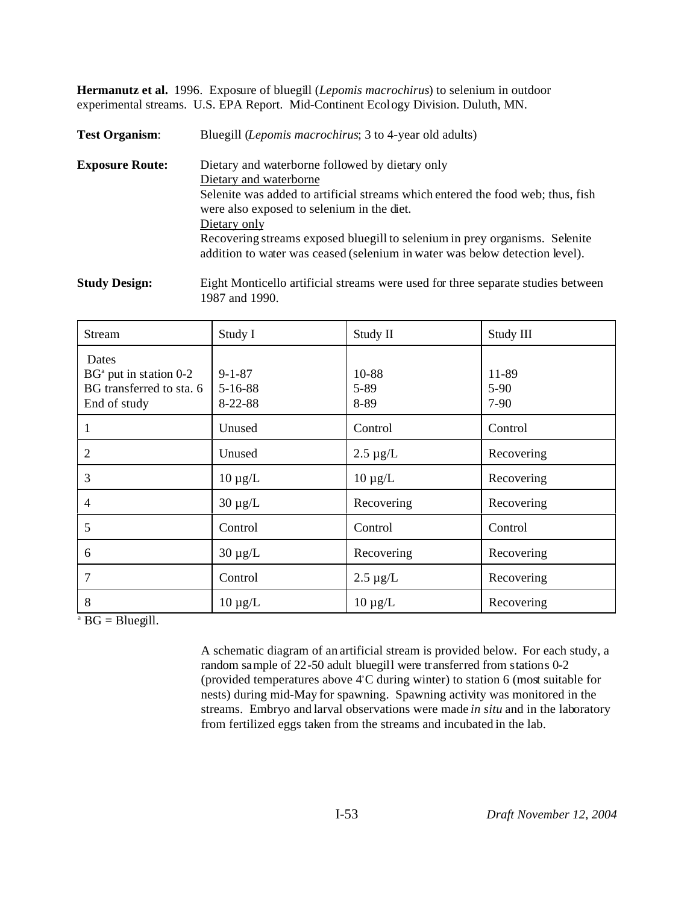**Hermanutz et al.** 1996. Exposure of bluegill (*Lepomis macrochirus*) to selenium in outdoor experimental streams. U.S. EPA Report. Mid-Continent Ecology Division. Duluth, MN.

**Test Organism**: Bluegill (*Lepomis macrochirus*; 3 to 4-year old adults) **Exposure Route:** Dietary and waterborne followed by dietary only Dietary and waterborne Selenite was added to artificial streams which entered the food web; thus, fish were also exposed to selenium in the diet. Dietary only Recovering streams exposed bluegill to selenium in prey organisms. Selenite addition to water was ceased (selenium in water was below detection level).

**Study Design:** Eight Monticello artificial streams were used for three separate studies between 1987 and 1990.

| <b>Stream</b>                                                                 | Study I                                        | Study II              | Study III                 |
|-------------------------------------------------------------------------------|------------------------------------------------|-----------------------|---------------------------|
| Dates<br>$BGa$ put in station 0-2<br>BG transferred to sta. 6<br>End of study | $9 - 1 - 87$<br>$5 - 16 - 88$<br>$8 - 22 - 88$ | 10-88<br>5-89<br>8-89 | 11-89<br>$5-90$<br>$7-90$ |
|                                                                               | Unused                                         | Control               | Control                   |
| $\overline{2}$                                                                | Unused                                         | $2.5 \mu g/L$         | Recovering                |
| 3                                                                             | $10 \mu g/L$                                   | $10 \mu g/L$          | Recovering                |
| 4                                                                             | $30 \mu g/L$                                   | Recovering            | Recovering                |
| 5                                                                             | Control                                        | Control               | Control                   |
| 6                                                                             | $30 \mu g/L$                                   | Recovering            | Recovering                |
| 7                                                                             | Control                                        | $2.5 \mu g/L$         | Recovering                |
| 8                                                                             | $10 \mu g/L$                                   | $10 \mu g/L$          | Recovering                |

 $A^a$  BG = Bluegill.

A schematic diagram of an artificial stream is provided below. For each study, a random sample of 22-50 adult bluegill were transferred from stations 0-2 (provided temperatures above  $4^{\circ}$ C during winter) to station 6 (most suitable for nests) during mid-May for spawning. Spawning activity was monitored in the streams. Embryo and larval observations were made *in situ* and in the laboratory from fertilized eggs taken from the streams and incubated in the lab.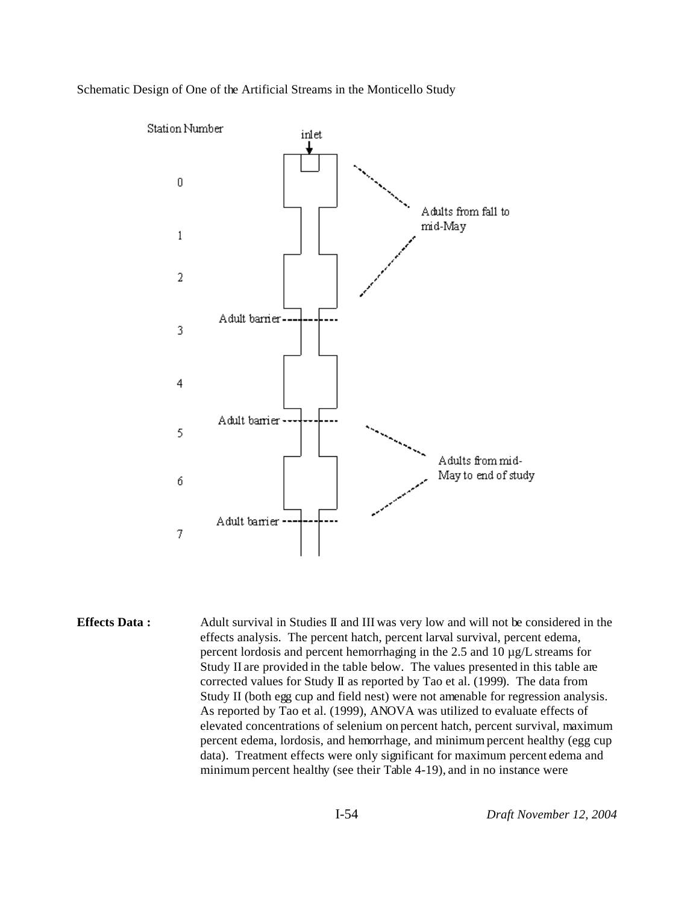### Schematic Design of One of the Artificial Streams in the Monticello Study



**Effects Data :** Adult survival in Studies II and III was very low and will not be considered in the effects analysis. The percent hatch, percent larval survival, percent edema, percent lordosis and percent hemorrhaging in the 2.5 and 10 µg/L streams for Study II are provided in the table below. The values presented in this table are corrected values for Study II as reported by Tao et al. (1999). The data from Study II (both egg cup and field nest) were not amenable for regression analysis. As reported by Tao et al. (1999), ANOVA was utilized to evaluate effects of elevated concentrations of selenium on percent hatch, percent survival, maximum percent edema, lordosis, and hemorrhage, and minimum percent healthy (egg cup data). Treatment effects were only significant for maximum percent edema and minimum percent healthy (see their Table 4-19), and in no instance were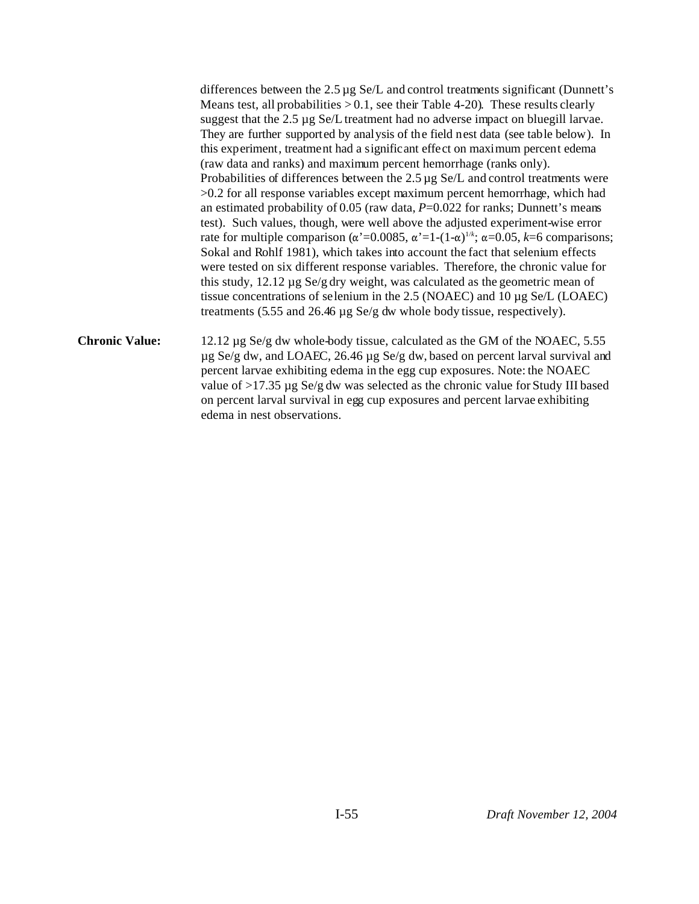differences between the  $2.5 \mu$ g Se/L and control treatments significant (Dunnett's Means test, all probabilities  $> 0.1$ , see their Table 4-20). These results clearly suggest that the 2.5 µg Se/L treatment had no adverse impact on bluegill larvae. They are further supported by analysis of the field nest data (see table below). In this experiment, treatment had a significant effect on maximum percent edema (raw data and ranks) and maximum percent hemorrhage (ranks only). Probabilities of differences between the  $2.5 \mu$ g Se/L and control treatments were >0.2 for all response variables except maximum percent hemorrhage, which had an estimated probability of 0.05 (raw data, *P*=0.022 for ranks; Dunnett's means test). Such values, though, were well above the adjusted experiment-wise error rate for multiple comparison ( $\alpha$ '=0.0085,  $\alpha$ '=1-(1- $\alpha$ )<sup>1/k</sup>;  $\alpha$ =0.05, *k*=6 comparisons; Sokal and Rohlf 1981), which takes into account the fact that selenium effects were tested on six different response variables. Therefore, the chronic value for this study, 12.12 µg Se/g dry weight, was calculated as the geometric mean of tissue concentrations of selenium in the 2.5 (NOAEC) and 10 µg Se/L (LOAEC) treatments (5.55 and 26.46 µg Se/g dw whole body tissue, respectively).

**Chronic Value:** 12.12 µg Se/g dw whole-body tissue, calculated as the GM of the NOAEC, 5.55 µg Se/g dw, and LOAEC, 26.46 µg Se/g dw, based on percent larval survival and percent larvae exhibiting edema in the egg cup exposures. Note: the NOAEC value of >17.35 µg Se/g dw was selected as the chronic value for Study III based on percent larval survival in egg cup exposures and percent larvae exhibiting edema in nest observations.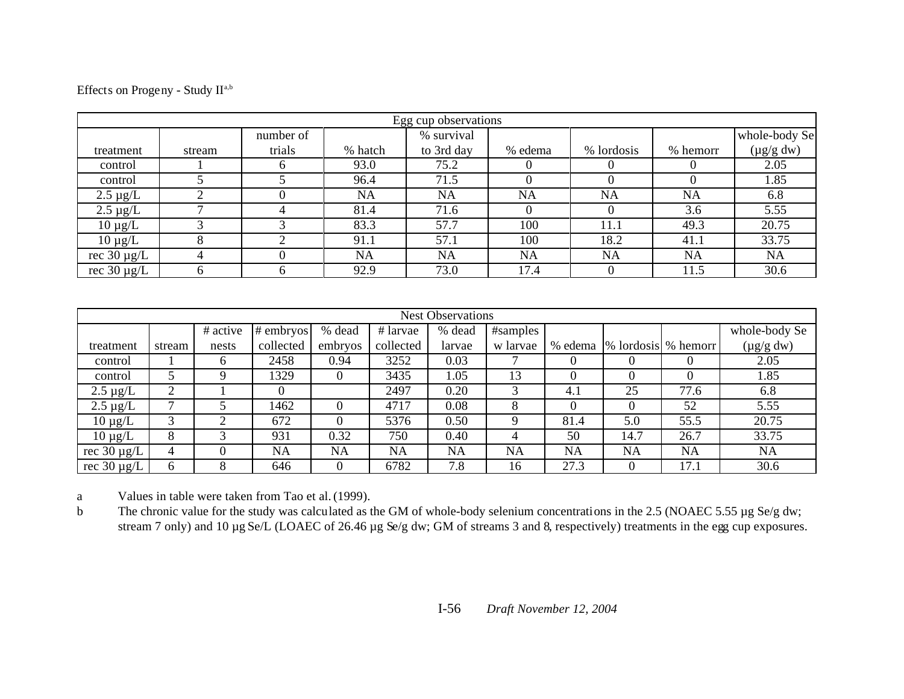| Effects on Progeny - Study IIa,b |  |  |
|----------------------------------|--|--|
|----------------------------------|--|--|

|                                 | Egg cup observations |           |           |            |           |            |           |                |  |  |  |  |  |
|---------------------------------|----------------------|-----------|-----------|------------|-----------|------------|-----------|----------------|--|--|--|--|--|
|                                 |                      | number of |           | % survival |           |            |           | whole-body Se  |  |  |  |  |  |
| treatment                       | stream               | trials    | % hatch   | to 3rd day | % edema   | % lordosis | % hemorr  | $(\mu g/g dw)$ |  |  |  |  |  |
| control                         |                      |           | 93.0      | 75.2       |           |            |           | 2.05           |  |  |  |  |  |
| control                         |                      |           | 96.4      | 71.5       |           |            | 0         | 1.85           |  |  |  |  |  |
| $2.5 \mu g/L$                   | ⌒                    |           | <b>NA</b> | <b>NA</b>  | <b>NA</b> | <b>NA</b>  | <b>NA</b> | 6.8            |  |  |  |  |  |
| $2.5 \mu g/L$                   | ⇁                    | 4         | 81.4      | 71.6       |           |            | 3.6       | 5.55           |  |  |  |  |  |
| $10 \mu g/L$                    |                      |           | 83.3      | 57.7       | 100       | 11.1       | 49.3      | 20.75          |  |  |  |  |  |
| $10 \mu g/L$                    | 8                    |           | 91.1      | 57.1       | 100       | 18.2       | 41.1      | 33.75          |  |  |  |  |  |
| $\overline{\text{rec}}$ 30 µg/L | 4                    |           | NA        | <b>NA</b>  | NA        | NA         | NA        | <b>NA</b>      |  |  |  |  |  |
| rec $30 \mu g/L$                | <sub>0</sub>         |           | 92.9      | 73.0       | 17.4      |            | 11.5      | 30.6           |  |  |  |  |  |

|                  | <b>Nest Observations</b> |              |           |         |           |           |           |           |                     |      |                |  |  |  |
|------------------|--------------------------|--------------|-----------|---------|-----------|-----------|-----------|-----------|---------------------|------|----------------|--|--|--|
|                  |                          | # active     | # embryos | % dead  | # larvae  | % dead    | #samples  |           |                     |      | whole-body Se  |  |  |  |
| treatment        | stream                   | nests        | collected | embryos | collected | larvae    | w larvae  | % edema   | % lordosis % hemorr |      | $(\mu g/g dw)$ |  |  |  |
| control          |                          | <sub>0</sub> | 2458      | 0.94    | 3252      | 0.03      |           | 0         |                     | 0    | 2.05           |  |  |  |
| control          |                          | Q            | 1329      |         | 3435      | 1.05      | 13        | 0         |                     |      | 1.85           |  |  |  |
| $2.5 \mu g/L$    | ◠                        |              | $\theta$  |         | 2497      | 0.20      | 3         | 4.1       | 25                  | 77.6 | 6.8            |  |  |  |
| $2.5 \mu g/L$    |                          |              | 1462      |         | 4717      | 0.08      | 8         | $\theta$  |                     | 52   | 5.55           |  |  |  |
| $10 \mu g/L$     |                          |              | 672       |         | 5376      | 0.50      | 9         | 81.4      | 5.0                 | 55.5 | 20.75          |  |  |  |
| $10 \mu g/L$     | 8                        |              | 931       | 0.32    | 750       | 0.40      | 4         | 50        | 14.7                | 26.7 | 33.75          |  |  |  |
| rec $30 \mu g/L$ | 4                        |              | NA        | NA      | NA        | <b>NA</b> | <b>NA</b> | <b>NA</b> | <b>NA</b>           | NA   | NA             |  |  |  |
| rec $30 \mu g/L$ | 6                        |              | 646       |         | 6782      | 7.8       | 16        | 27.3      |                     | 17.1 | 30.6           |  |  |  |

a Values in table were taken from Tao et al. (1999).

b The chronic value for the study was calculated as the GM of whole-body selenium concentrations in the 2.5 (NOAEC 5.55 µg Se/g dw; stream 7 only) and 10 µg Se/L (LOAEC of 26.46 µg Se/g dw; GM of streams 3 and 8, respectively) treatments in the egg cup exposures.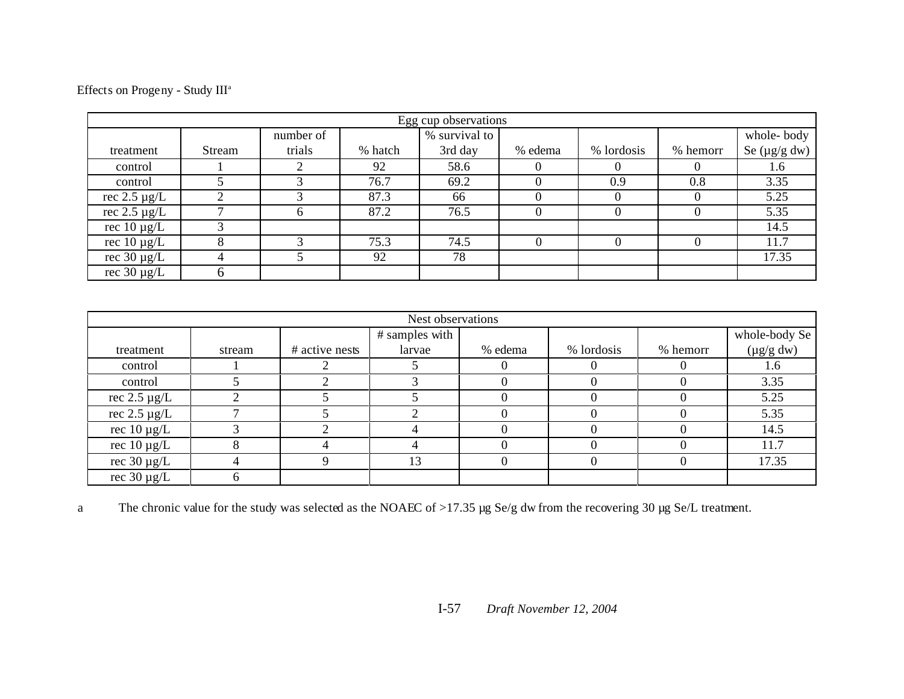Effects on Progeny - Study  $\mathrm{III}^{\mathrm{a}}$ 

|                   | Egg cup observations |                                          |         |         |          |            |          |                   |  |  |  |  |  |  |
|-------------------|----------------------|------------------------------------------|---------|---------|----------|------------|----------|-------------------|--|--|--|--|--|--|
|                   |                      | % survival to<br>whole-body<br>number of |         |         |          |            |          |                   |  |  |  |  |  |  |
| treatment         | Stream               | trials                                   | % hatch | 3rd day | % edema  | % lordosis | % hemorr | Se $(\mu g/g dw)$ |  |  |  |  |  |  |
| control           |                      |                                          | 92      | 58.6    | $\theta$ | 0          |          | 1.6               |  |  |  |  |  |  |
| control           |                      |                                          | 76.7    | 69.2    |          | 0.9        | 0.8      | 3.35              |  |  |  |  |  |  |
| rec $2.5 \mu g/L$ |                      |                                          | 87.3    | 66      |          |            |          | 5.25              |  |  |  |  |  |  |
| rec $2.5 \mu g/L$ |                      | h.                                       | 87.2    | 76.5    |          |            |          | 5.35              |  |  |  |  |  |  |
| rec $10 \mu g/L$  |                      |                                          |         |         |          |            |          | 14.5              |  |  |  |  |  |  |
| rec $10 \mu g/L$  |                      |                                          | 75.3    | 74.5    | $\theta$ | 0          |          | 11.7              |  |  |  |  |  |  |
| rec $30 \mu g/L$  |                      |                                          | 92      | 78      |          |            |          | 17.35             |  |  |  |  |  |  |
| rec $30 \mu g/L$  |                      |                                          |         |         |          |            |          |                   |  |  |  |  |  |  |

| Nest observations |        |                |                |         |            |          |                |  |
|-------------------|--------|----------------|----------------|---------|------------|----------|----------------|--|
|                   |        |                | # samples with |         |            |          | whole-body Se  |  |
| treatment         | stream | # active nests | larvae         | % edema | % lordosis | % hemorr | $(\mu g/g dw)$ |  |
| control           |        |                |                |         |            |          | 1.6            |  |
| control           |        |                |                |         |            |          | 3.35           |  |
| rec $2.5 \mu g/L$ |        |                |                |         |            |          | 5.25           |  |
| rec $2.5 \mu g/L$ |        |                |                |         |            |          | 5.35           |  |
| rec $10 \mu g/L$  |        |                |                |         |            |          | 14.5           |  |
| rec $10 \mu g/L$  |        |                |                |         |            |          | 11.7           |  |
| rec $30 \mu g/L$  |        |                | 13             |         |            |          | 17.35          |  |
| rec $30 \mu g/L$  |        |                |                |         |            |          |                |  |

a The chronic value for the study was selected as the NOAEC of >17.35 µg Se/g dw from the recovering 30 µg Se/L treatment.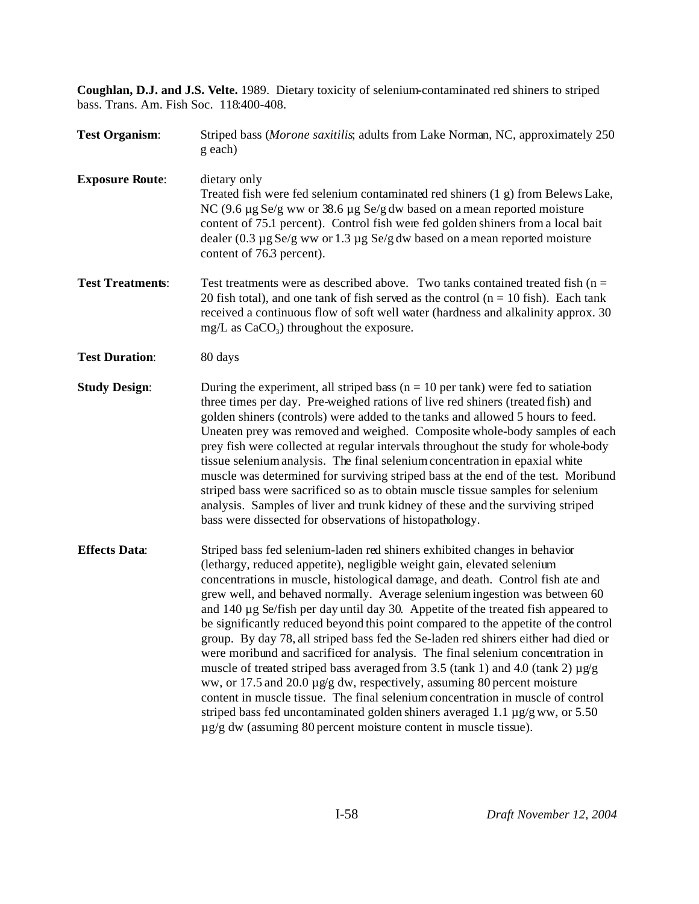**Coughlan, D.J. and J.S. Velte.** 1989. Dietary toxicity of selenium-contaminated red shiners to striped bass. Trans. Am. Fish Soc. 118:400-408.

| <b>Test Organism:</b>   | Striped bass (Morone saxitilis, adults from Lake Norman, NC, approximately 250<br>g each)                                                                                                                                                                                                                                                                                                                                                                                                                                                                                                                                                                                                                                                                                                                                                                                                                                                                                                                                                                                                         |  |
|-------------------------|---------------------------------------------------------------------------------------------------------------------------------------------------------------------------------------------------------------------------------------------------------------------------------------------------------------------------------------------------------------------------------------------------------------------------------------------------------------------------------------------------------------------------------------------------------------------------------------------------------------------------------------------------------------------------------------------------------------------------------------------------------------------------------------------------------------------------------------------------------------------------------------------------------------------------------------------------------------------------------------------------------------------------------------------------------------------------------------------------|--|
| <b>Exposure Route:</b>  | dietary only<br>Treated fish were fed selenium contaminated red shiners (1 g) from Belews Lake,<br>NC $(9.6 \mu g$ Se/g ww or 38.6 $\mu g$ Se/g dw based on a mean reported moisture<br>content of 75.1 percent). Control fish were fed golden shiners from a local bait<br>dealer $(0.3 \mu g \text{ Se/g ww or } 1.3 \mu g \text{ Se/g dw based on a mean reported moisture})$<br>content of 76.3 percent).                                                                                                                                                                                                                                                                                                                                                                                                                                                                                                                                                                                                                                                                                     |  |
| <b>Test Treatments:</b> | Test treatments were as described above. Two tanks contained treated fish ( $n =$<br>20 fish total), and one tank of fish served as the control $(n = 10$ fish). Each tank<br>received a continuous flow of soft well water (hardness and alkalinity approx. 30<br>$mg/L$ as $CaCO3$ ) throughout the exposure.                                                                                                                                                                                                                                                                                                                                                                                                                                                                                                                                                                                                                                                                                                                                                                                   |  |
| <b>Test Duration:</b>   | 80 days                                                                                                                                                                                                                                                                                                                                                                                                                                                                                                                                                                                                                                                                                                                                                                                                                                                                                                                                                                                                                                                                                           |  |
| <b>Study Design:</b>    | During the experiment, all striped bass ( $n = 10$ per tank) were fed to satiation<br>three times per day. Pre-weighed rations of live red shiners (treated fish) and<br>golden shiners (controls) were added to the tanks and allowed 5 hours to feed.<br>Uneaten prey was removed and weighed. Composite whole-body samples of each<br>prey fish were collected at regular intervals throughout the study for whole-body<br>tissue selenium analysis. The final selenium concentration in epaxial white<br>muscle was determined for surviving striped bass at the end of the test. Moribund<br>striped bass were sacrificed so as to obtain muscle tissue samples for selenium<br>analysis. Samples of liver and trunk kidney of these and the surviving striped<br>bass were dissected for observations of histopathology.                                                                                                                                                                                                                                                                    |  |
| <b>Effects Data:</b>    | Striped bass fed selenium-laden red shiners exhibited changes in behavior<br>(lethargy, reduced appetite), negligible weight gain, elevated selenium<br>concentrations in muscle, histological damage, and death. Control fish ate and<br>grew well, and behaved normally. Average selenium ingestion was between 60<br>and $140 \mu$ g Se/fish per day until day 30. Appetite of the treated fish appeared to<br>be significantly reduced beyond this point compared to the appetite of the control<br>group. By day 78, all striped bass fed the Se-laden red shiners either had died or<br>were moribund and sacrificed for analysis. The final selenium concentration in<br>muscle of treated striped bass averaged from 3.5 (tank 1) and 4.0 (tank 2) $\mu$ g/g<br>ww, or 17.5 and 20.0 $\mu$ g/g dw, respectively, assuming 80 percent moisture<br>content in muscle tissue. The final selenium concentration in muscle of control<br>striped bass fed uncontaminated golden shiners averaged 1.1 $\mu$ g/g ww, or 5.50<br>µg/g dw (assuming 80 percent moisture content in muscle tissue). |  |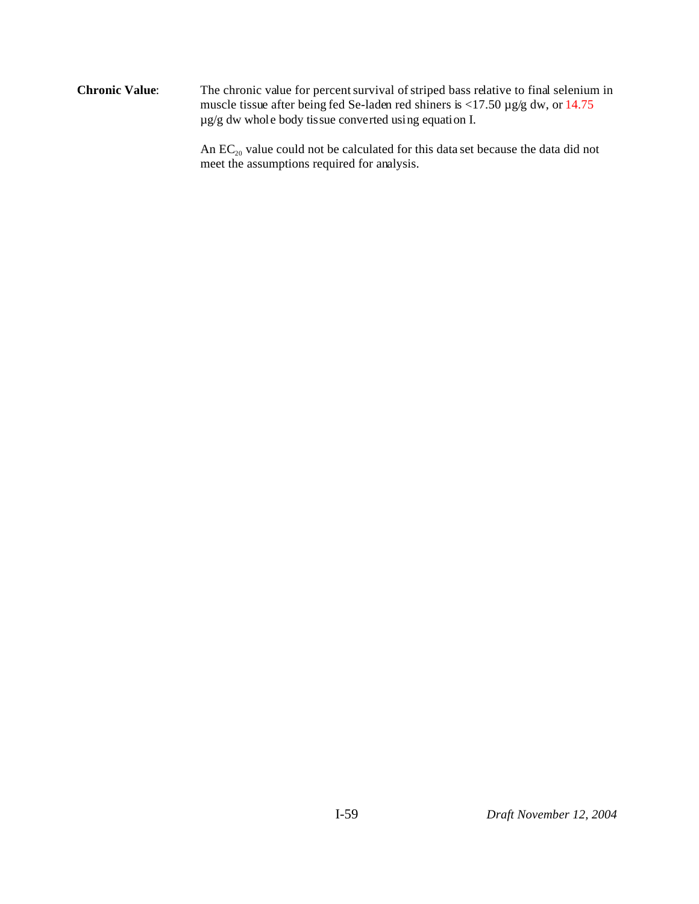**Chronic Value**: The chronic value for percent survival of striped bass relative to final selenium in muscle tissue after being fed Se-laden red shiners is <17.50 µg/g dw, or 14.75 µg/g dw whole body tissue converted using equation I.

> An  $EC_{20}$  value could not be calculated for this data set because the data did not meet the assumptions required for analysis.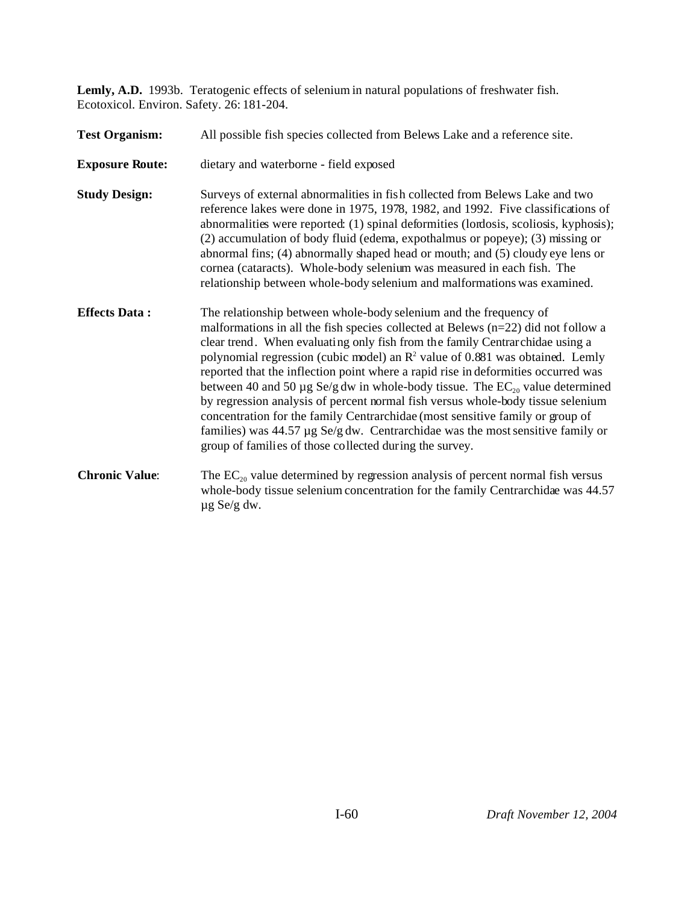**Lemly, A.D.** 1993b. Teratogenic effects of selenium in natural populations of freshwater fish. Ecotoxicol. Environ. Safety. 26: 181-204.

| <b>Test Organism:</b>  | All possible fish species collected from Belews Lake and a reference site.                                                                                                                                                                                                                                                                                                                                                                                                                                                                                                                                                                                                                                                                                                                                                              |  |  |
|------------------------|-----------------------------------------------------------------------------------------------------------------------------------------------------------------------------------------------------------------------------------------------------------------------------------------------------------------------------------------------------------------------------------------------------------------------------------------------------------------------------------------------------------------------------------------------------------------------------------------------------------------------------------------------------------------------------------------------------------------------------------------------------------------------------------------------------------------------------------------|--|--|
| <b>Exposure Route:</b> | dietary and waterborne - field exposed                                                                                                                                                                                                                                                                                                                                                                                                                                                                                                                                                                                                                                                                                                                                                                                                  |  |  |
| <b>Study Design:</b>   | Surveys of external abnormalities in fish collected from Belews Lake and two<br>reference lakes were done in 1975, 1978, 1982, and 1992. Five classifications of<br>abnormalities were reported: (1) spinal deformities (lordosis, scoliosis, kyphosis);<br>(2) accumulation of body fluid (edema, expothalmus or popeye); (3) missing or<br>abnormal fins; (4) abnormally shaped head or mouth; and (5) cloudy eye lens or<br>cornea (cataracts). Whole-body selenium was measured in each fish. The<br>relationship between whole-body selenium and malformations was examined.                                                                                                                                                                                                                                                       |  |  |
| <b>Effects Data:</b>   | The relationship between whole-body selenium and the frequency of<br>malformations in all the fish species collected at Belews $(n=22)$ did not follow a<br>clear trend. When evaluating only fish from the family Centrarchidae using a<br>polynomial regression (cubic model) an $R^2$ value of 0.881 was obtained. Lemly<br>reported that the inflection point where a rapid rise in deformities occurred was<br>between 40 and 50 $\mu$ g Se/g dw in whole-body tissue. The EC <sub>20</sub> value determined<br>by regression analysis of percent normal fish versus whole-body tissue selenium<br>concentration for the family Centrarchidae (most sensitive family or group of<br>families) was $44.57 \mu g$ Se/g dw. Centrarchidae was the most sensitive family or<br>group of families of those collected during the survey. |  |  |
| <b>Chronic Value:</b>  | The $EC_{20}$ value determined by regression analysis of percent normal fish versus<br>whole-body tissue selenium concentration for the family Centrarchidae was 44.57<br>$\mu$ g Se/g dw.                                                                                                                                                                                                                                                                                                                                                                                                                                                                                                                                                                                                                                              |  |  |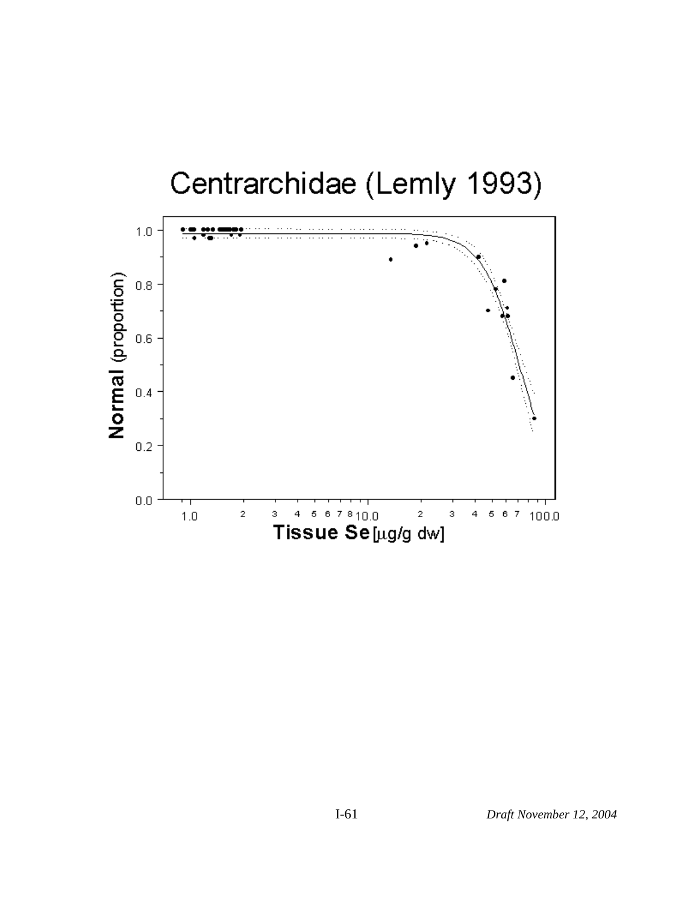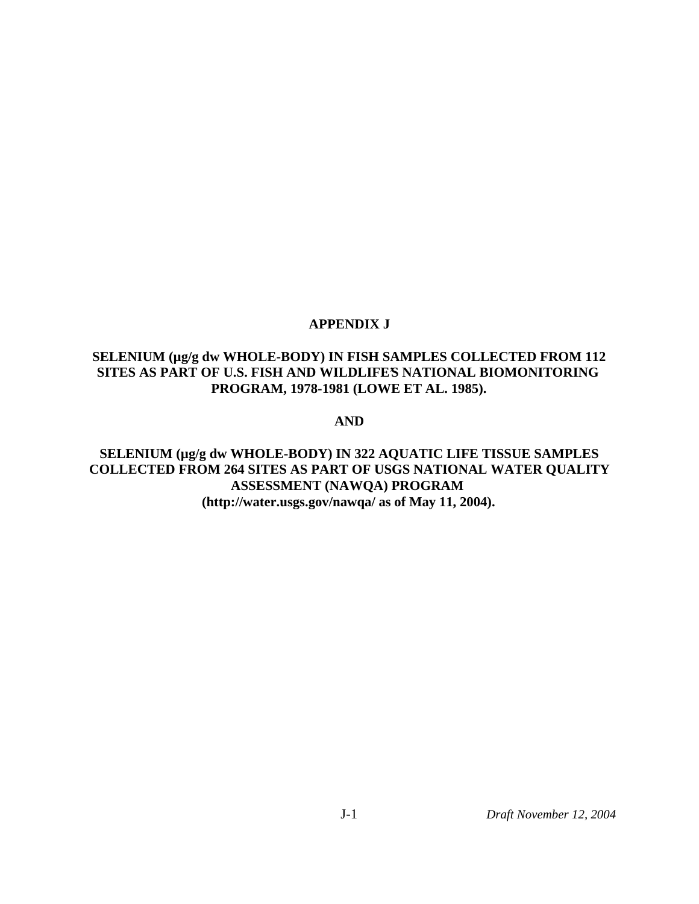## **APPENDIX J**

# **SELENIUM (µg/g dw WHOLE-BODY) IN FISH SAMPLES COLLECTED FROM 112** SITES AS PART OF U.S. FISH AND WILDLIFE'S NATIONAL BIOMONITORING **PROGRAM, 1978-1981 (LOWE ET AL. 1985).**

**AND**

**SELENIUM (µg/g dw WHOLE-BODY) IN 322 AQUATIC LIFE TISSUE SAMPLES COLLECTED FROM 264 SITES AS PART OF USGS NATIONAL WATER QUALITY ASSESSMENT (NAWQA) PROGRAM (http://water.usgs.gov/nawqa/ as of May 11, 2004).**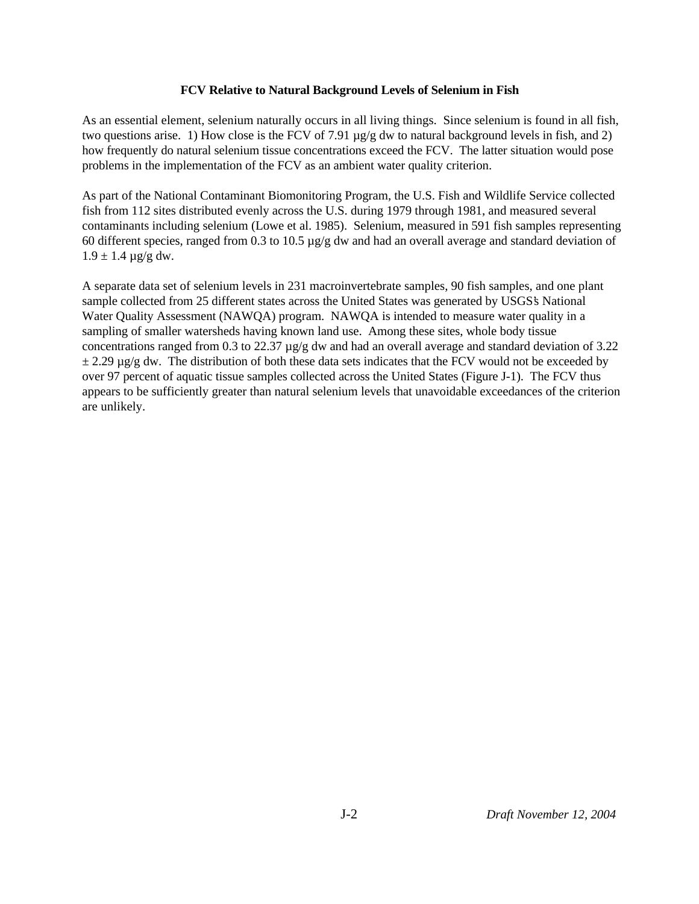### **FCV Relative to Natural Background Levels of Selenium in Fish**

As an essential element, selenium naturally occurs in all living things. Since selenium is found in all fish, two questions arise. 1) How close is the FCV of 7.91 µg/g dw to natural background levels in fish, and 2) how frequently do natural selenium tissue concentrations exceed the FCV. The latter situation would pose problems in the implementation of the FCV as an ambient water quality criterion.

As part of the National Contaminant Biomonitoring Program, the U.S. Fish and Wildlife Service collected fish from 112 sites distributed evenly across the U.S. during 1979 through 1981, and measured several contaminants including selenium (Lowe et al. 1985). Selenium, measured in 591 fish samples representing 60 different species, ranged from 0.3 to 10.5  $\mu$ g/g dw and had an overall average and standard deviation of  $1.9 \pm 1.4 \,\mu g/g \, dw.$ 

A separate data set of selenium levels in 231 macroinvertebrate samples, 90 fish samples, and one plant sample collected from 25 different states across the United States was generated by USGS's National Water Quality Assessment (NAWQA) program. NAWQA is intended to measure water quality in a sampling of smaller watersheds having known land use. Among these sites, whole body tissue concentrations ranged from 0.3 to 22.37 µg/g dw and had an overall average and standard deviation of 3.22  $\pm$  2.29 µg/g dw. The distribution of both these data sets indicates that the FCV would not be exceeded by over 97 percent of aquatic tissue samples collected across the United States (Figure J-1). The FCV thus appears to be sufficiently greater than natural selenium levels that unavoidable exceedances of the criterion are unlikely.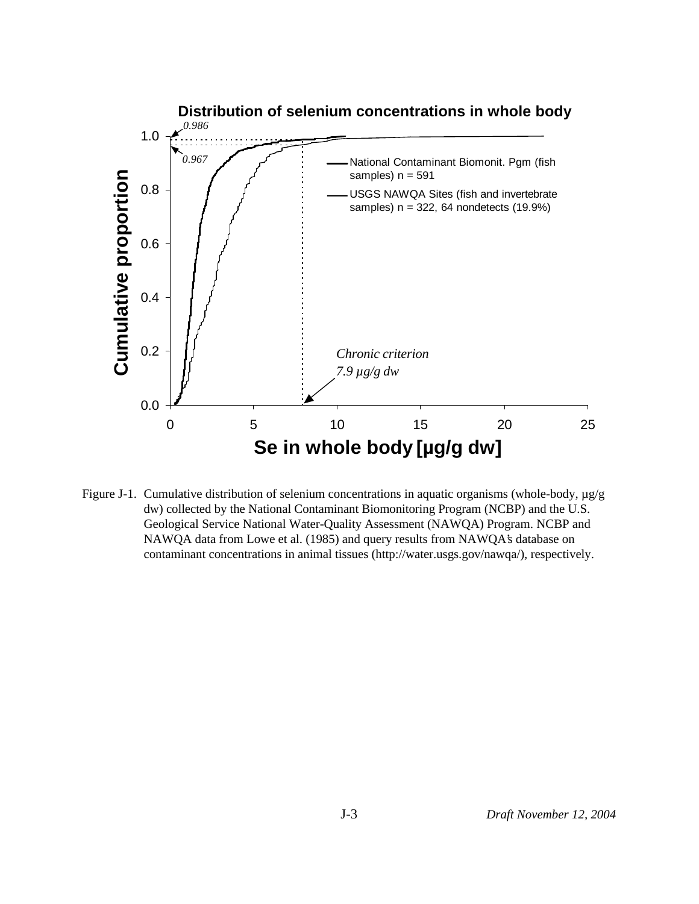

Figure J-1. Cumulative distribution of selenium concentrations in aquatic organisms (whole-body, µg/g dw) collected by the National Contaminant Biomonitoring Program (NCBP) and the U.S. Geological Service National Water-Quality Assessment (NAWQA) Program. NCBP and NAWQA data from Lowe et al. (1985) and query results from NAWQA's database on contaminant concentrations in animal tissues (http://water.usgs.gov/nawqa/), respectively.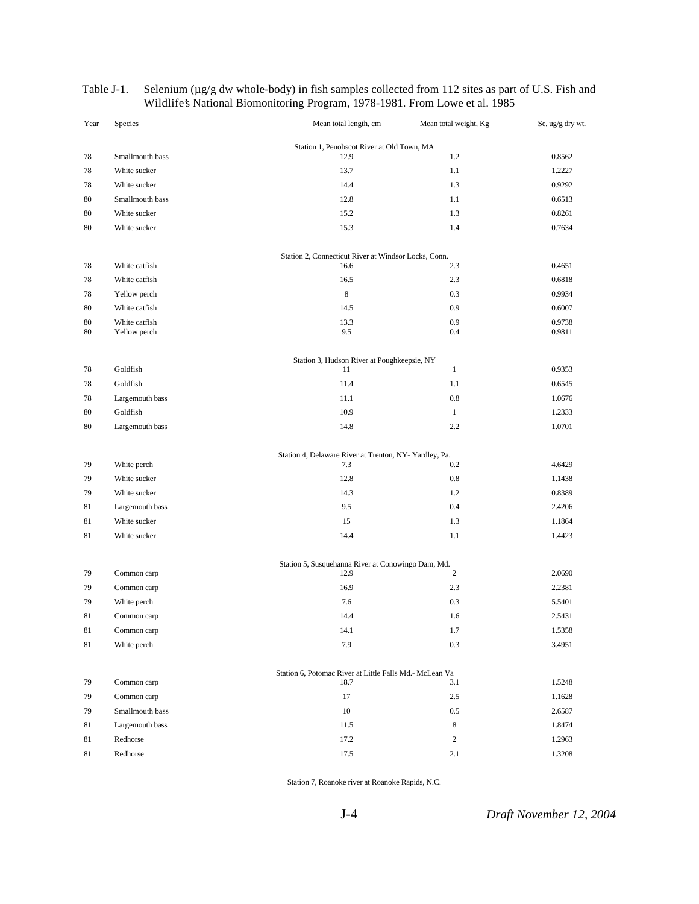| Year     | Species                       | Mean total length, cm                                           | Mean total weight, Kg | Se, ug/g dry wt. |
|----------|-------------------------------|-----------------------------------------------------------------|-----------------------|------------------|
|          |                               | Station 1, Penobscot River at Old Town, MA                      |                       |                  |
| 78       | Smallmouth bass               | 12.9                                                            | 1.2                   | 0.8562           |
| 78       | White sucker                  | 13.7                                                            | 1.1                   | 1.2227           |
| 78       | White sucker                  | 14.4                                                            | 1.3                   | 0.9292           |
| 80       | Smallmouth bass               | 12.8                                                            | 1.1                   | 0.6513           |
| 80       | White sucker                  | 15.2                                                            | 1.3                   | 0.8261           |
| 80       | White sucker                  | 15.3                                                            | 1.4                   | 0.7634           |
|          |                               | Station 2, Connecticut River at Windsor Locks, Conn.            |                       |                  |
| 78       | White catfish                 | 16.6                                                            | 2.3                   | 0.4651           |
| 78       | White catfish                 | 16.5                                                            | 2.3                   | 0.6818           |
| 78       | Yellow perch                  | 8                                                               | 0.3                   | 0.9934           |
| 80       | White catfish                 | 14.5                                                            | 0.9                   | 0.6007           |
| 80<br>80 | White catfish<br>Yellow perch | 13.3<br>9.5                                                     | 0.9<br>0.4            | 0.9738<br>0.9811 |
|          |                               | Station 3, Hudson River at Poughkeepsie, NY                     |                       |                  |
| 78       | Goldfish                      | 11                                                              | $\mathbf{1}$          | 0.9353           |
| 78       | Goldfish                      | 11.4                                                            | 1.1                   | 0.6545           |
| 78       | Largemouth bass               | 11.1                                                            | 0.8                   | 1.0676           |
| 80       | Goldfish                      | 10.9                                                            | $\mathbf{1}$          | 1.2333           |
| 80       | Largemouth bass               | 14.8                                                            | 2.2                   | 1.0701           |
|          |                               | Station 4, Delaware River at Trenton, NY-Yardley, Pa.           |                       |                  |
| 79       | White perch                   | 7.3                                                             | 0.2                   | 4.6429           |
| 79       | White sucker                  | 12.8                                                            | 0.8                   | 1.1438           |
| 79       | White sucker                  | 14.3                                                            | 1.2                   | 0.8389           |
| 81       | Largemouth bass               | 9.5                                                             | 0.4                   | 2.4206           |
| 81       | White sucker                  | 15                                                              | 1.3                   | 1.1864           |
| 81       | White sucker                  | 14.4                                                            | 1.1                   | 1.4423           |
|          |                               | Station 5, Susquehanna River at Conowingo Dam, Md.              |                       |                  |
| 79       | Common carp                   | 12.9                                                            | $\overline{c}$        | 2.0690           |
| 79       | Common carp                   | 16.9                                                            | 2.3                   | 2.2381           |
| 79       | White perch                   | 7.6                                                             | 0.3                   | 5.5401           |
| 81       | Common carp                   | 14.4                                                            | 1.6                   | 2.5431           |
| $81\,$   | Common carp                   | 14.1                                                            | 1.7                   | 1.5358           |
| 81       | White perch                   | 7.9                                                             | 0.3                   | 3.4951           |
| 79       | Common carp                   | Station 6, Potomac River at Little Falls Md.- McLean Va<br>18.7 | 3.1                   | 1.5248           |
| 79       | Common carp                   | 17                                                              | 2.5                   | 1.1628           |
| 79       | Smallmouth bass               | 10                                                              | 0.5                   | 2.6587           |
| 81       | Largemouth bass               | 11.5                                                            | 8                     | 1.8474           |
| 81       | Redhorse                      | 17.2                                                            | $\overline{c}$        | 1.2963           |
| 81       | Redhorse                      | 17.5                                                            | 2.1                   | 1.3208           |
|          |                               |                                                                 |                       |                  |

#### Table J-1. Selenium (µg/g dw whole-body) in fish samples collected from 112 sites as part of U.S. Fish and Wildlife's National Biomonitoring Program, 1978-1981. From Lowe et al. 1985

Station 7, Roanoke river at Roanoke Rapids, N.C.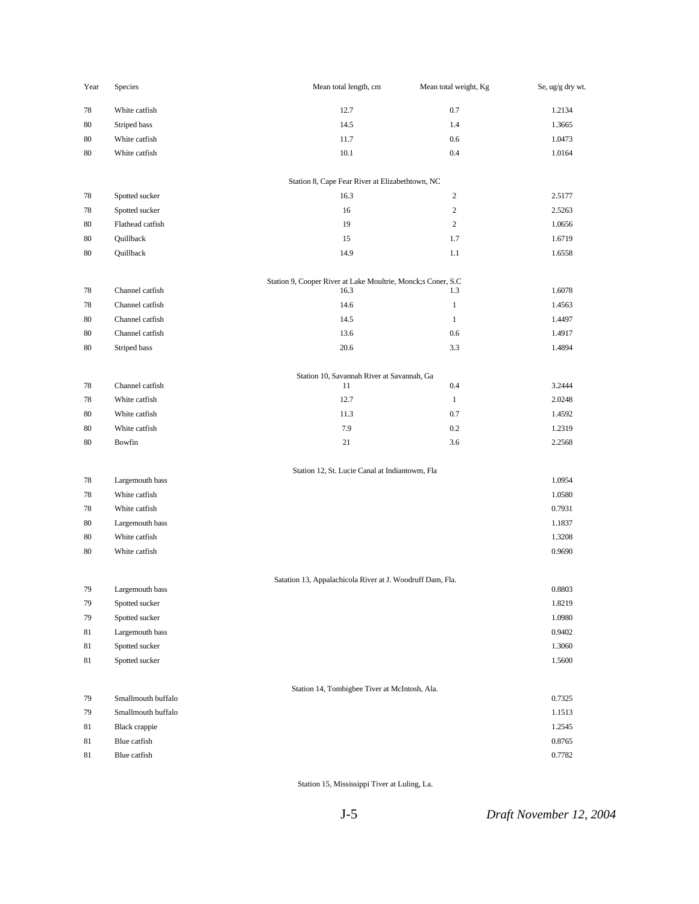| Year     | Species            | Mean total length, cm                                        | Mean total weight, Kg | Se, ug/g dry wt. |
|----------|--------------------|--------------------------------------------------------------|-----------------------|------------------|
| 78       | White catfish      | 12.7                                                         | $0.7\,$               | 1.2134           |
| 80       | Striped bass       | 14.5                                                         | 1.4                   | 1.3665           |
| 80       | White catfish      | 11.7                                                         | $0.6\,$               | 1.0473           |
| 80       | White catfish      | $10.1\,$                                                     | $0.4\,$               | 1.0164           |
|          |                    | Station 8, Cape Fear River at Elizabethtown, NC              |                       |                  |
| 78       | Spotted sucker     | 16.3                                                         | $\boldsymbol{2}$      | 2.5177           |
| 78       | Spotted sucker     | $16\,$                                                       | $\overline{c}$        | 2.5263           |
| 80       | Flathead catfish   | 19                                                           | $\overline{c}$        | 1.0656           |
| 80       | Quillback          | 15                                                           | 1.7                   | 1.6719           |
| 80       | Quillback          | 14.9                                                         | 1.1                   | 1.6558           |
|          |                    | Station 9, Cooper River at Lake Moultrie, Monck;s Coner, S.C |                       |                  |
| 78       | Channel catfish    | 16.3                                                         | 1.3                   | 1.6078           |
| 78       | Channel catfish    | 14.6                                                         | $\mathbf{1}$          | 1.4563           |
| 80       | Channel catfish    | 14.5                                                         | $\mathbf{1}$          | 1.4497           |
| 80       | Channel catfish    | 13.6                                                         | 0.6                   | 1.4917           |
| 80       | Striped bass       | $20.6\,$                                                     | 3.3                   | 1.4894           |
|          | Channel catfish    | Station 10, Savannah River at Savannah, Ga<br>11             | $0.4\,$               | 3.2444           |
| 78<br>78 | White catfish      | 12.7                                                         | $\mathbf{1}$          | 2.0248           |
| 80       | White catfish      | 11.3                                                         | $0.7\,$               | 1.4592           |
| 80       | White catfish      | 7.9                                                          | $0.2\,$               | 1.2319           |
| 80       | Bowfin             | 21                                                           | 3.6                   | 2.2568           |
|          |                    | Station 12, St. Lucie Canal at Indiantowm, Fla               |                       |                  |
| 78       | Largemouth bass    |                                                              |                       | 1.0954           |
| 78       | White catfish      |                                                              |                       | 1.0580           |
| 78       | White catfish      |                                                              |                       | 0.7931           |
| 80       | Largemouth bass    |                                                              |                       | 1.1837           |
| 80       | White catfish      |                                                              |                       | 1.3208           |
| 80       | White catfish      |                                                              |                       | 0.9690           |
|          |                    | Satation 13, Appalachicola River at J. Woodruff Dam, Fla.    |                       |                  |
| 79       | Largemouth bass    |                                                              |                       | 0.8803           |
| 79       | Spotted sucker     |                                                              |                       | 1.8219           |
| 79       | Spotted sucker     |                                                              |                       | 1.0980           |
| 81       | Largemouth bass    |                                                              |                       | 0.9402           |
| 81       | Spotted sucker     |                                                              |                       | 1.3060           |
| 81       | Spotted sucker     |                                                              |                       | 1.5600           |
| 79       | Smallmouth buffalo | Station 14, Tombigbee Tiver at McIntosh, Ala.                |                       | 0.7325           |
| 79       | Smallmouth buffalo |                                                              |                       | 1.1513           |
| 81       | Black crappie      |                                                              |                       | 1.2545           |
| 81       | Blue catfish       |                                                              |                       | 0.8765           |
| 81       | Blue catfish       |                                                              |                       | 0.7782           |
|          |                    |                                                              |                       |                  |

Station 15, Mississippi Tiver at Luling, La.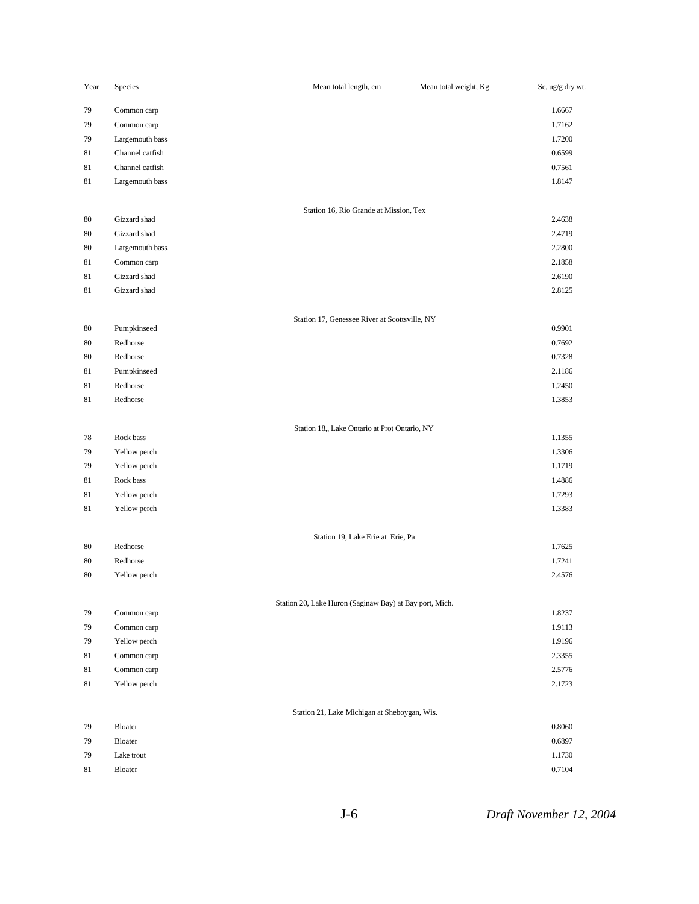| Year | Species         | Mean total length, cm                                   | Mean total weight, Kg | Se, ug/g dry wt. |
|------|-----------------|---------------------------------------------------------|-----------------------|------------------|
| 79   | Common carp     |                                                         |                       | 1.6667           |
| 79   | Common carp     |                                                         |                       | 1.7162           |
| 79   | Largemouth bass |                                                         |                       | 1.7200           |
| 81   | Channel catfish |                                                         |                       | 0.6599           |
| 81   | Channel catfish |                                                         |                       | 0.7561           |
| 81   | Largemouth bass |                                                         |                       | 1.8147           |
|      |                 | Station 16, Rio Grande at Mission, Tex                  |                       |                  |
| 80   | Gizzard shad    |                                                         |                       | 2.4638           |
| 80   | Gizzard shad    |                                                         |                       | 2.4719           |
| 80   | Largemouth bass |                                                         |                       | 2.2800           |
| 81   | Common carp     |                                                         |                       | 2.1858           |
| 81   | Gizzard shad    |                                                         |                       | 2.6190           |
| 81   | Gizzard shad    |                                                         |                       | 2.8125           |
|      |                 | Station 17, Genessee River at Scottsville, NY           |                       |                  |
| 80   | Pumpkinseed     |                                                         |                       | 0.9901           |
| 80   | Redhorse        |                                                         |                       | 0.7692           |
| 80   | Redhorse        |                                                         |                       | 0.7328           |
| 81   | Pumpkinseed     |                                                         |                       | 2.1186           |
| 81   | Redhorse        |                                                         |                       | 1.2450           |
| 81   | Redhorse        |                                                         |                       | 1.3853           |
|      |                 | Station 18,, Lake Ontario at Prot Ontario, NY           |                       |                  |
| 78   | Rock bass       |                                                         |                       | 1.1355           |
| 79   | Yellow perch    |                                                         |                       | 1.3306           |
| 79   | Yellow perch    |                                                         |                       | 1.1719           |
| 81   | Rock bass       |                                                         |                       | 1.4886           |
| 81   | Yellow perch    |                                                         |                       | 1.7293           |
| 81   | Yellow perch    |                                                         |                       | 1.3383           |
|      |                 | Station 19, Lake Erie at Erie, Pa                       |                       |                  |
| 80   | Redhorse        |                                                         |                       | 1.7625<br>1.7241 |
| 80   | Redhorse        |                                                         |                       |                  |
| 80   | Yellow perch    |                                                         |                       | 2.4576           |
| 79   | Common carp     | Station 20, Lake Huron (Saginaw Bay) at Bay port, Mich. |                       | 1.8237           |
| 79   | Common carp     |                                                         |                       | 1.9113           |
| 79   | Yellow perch    |                                                         |                       | 1.9196           |
| 81   | Common carp     |                                                         |                       | 2.3355           |
| 81   | Common carp     |                                                         |                       | 2.5776           |
| 81   | Yellow perch    |                                                         |                       | 2.1723           |
|      |                 |                                                         |                       |                  |
|      |                 | Station 21, Lake Michigan at Sheboygan, Wis.            |                       |                  |
| 79   | Bloater         |                                                         |                       | 0.8060           |
| 79   | Bloater         |                                                         |                       | 0.6897           |
| 79   | Lake trout      |                                                         |                       | 1.1730           |
| 81   | Bloater         |                                                         |                       | 0.7104           |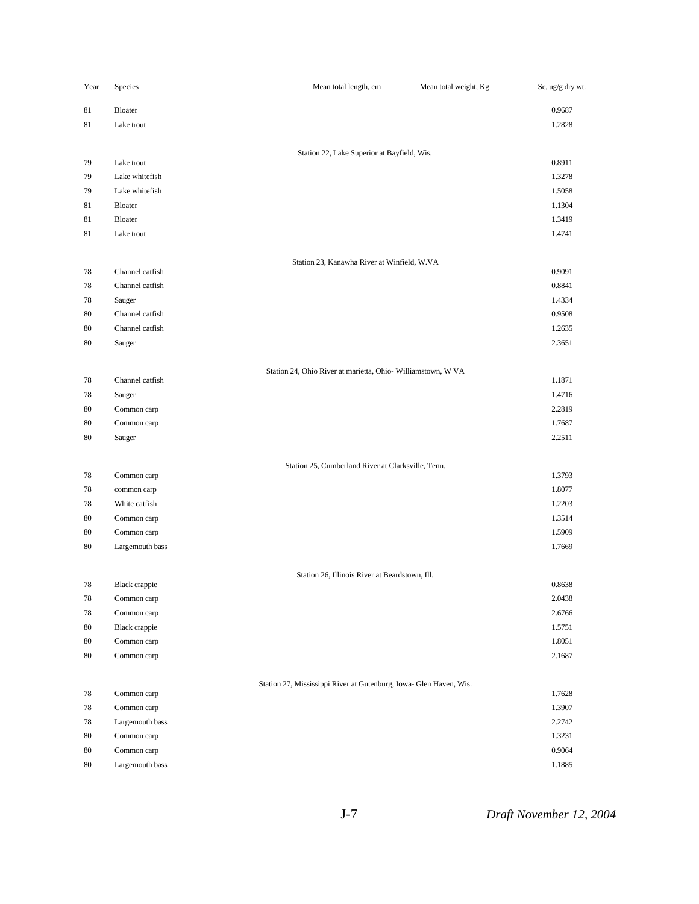| Year     | Species                      | Mean total length, cm                                              | Mean total weight, Kg | Se, ug/g dry wt. |
|----------|------------------------------|--------------------------------------------------------------------|-----------------------|------------------|
| 81       | Bloater                      |                                                                    |                       | 0.9687           |
| 81       | Lake trout                   |                                                                    |                       | 1.2828           |
|          |                              |                                                                    |                       |                  |
|          | Lake trout                   | Station 22, Lake Superior at Bayfield, Wis.                        |                       | 0.8911           |
| 79<br>79 | Lake whitefish               |                                                                    |                       | 1.3278           |
| 79       | Lake whitefish               |                                                                    |                       | 1.5058           |
| 81       | Bloater                      |                                                                    |                       | 1.1304           |
| 81       | Bloater                      |                                                                    |                       | 1.3419           |
| 81       | Lake trout                   |                                                                    |                       | 1.4741           |
|          |                              |                                                                    |                       |                  |
|          |                              | Station 23, Kanawha River at Winfield, W.VA                        |                       |                  |
| 78       | Channel catfish              |                                                                    |                       | 0.9091           |
| 78       | Channel catfish              |                                                                    |                       | 0.8841           |
| 78       | Sauger                       |                                                                    |                       | 1.4334           |
| 80       | Channel catfish              |                                                                    |                       | 0.9508           |
| 80       | Channel catfish              |                                                                    |                       | 1.2635           |
| 80       | Sauger                       |                                                                    |                       | 2.3651           |
|          |                              |                                                                    |                       |                  |
| 78       | Channel catfish              | Station 24, Ohio River at marietta, Ohio- Williamstown, W VA       |                       | 1.1871           |
| 78       | Sauger                       |                                                                    |                       | 1.4716           |
| 80       | Common carp                  |                                                                    |                       | 2.2819           |
| 80       | Common carp                  |                                                                    |                       | 1.7687           |
| 80       | Sauger                       |                                                                    |                       | 2.2511           |
|          |                              |                                                                    |                       |                  |
|          |                              | Station 25, Cumberland River at Clarksville, Tenn.                 |                       |                  |
| 78       | Common carp                  |                                                                    |                       | 1.3793           |
| 78<br>78 | common carp<br>White catfish |                                                                    |                       | 1.8077<br>1.2203 |
|          |                              |                                                                    |                       |                  |
| 80       | Common carp<br>Common carp   |                                                                    |                       | 1.3514<br>1.5909 |
| 80<br>80 | Largemouth bass              |                                                                    |                       | 1.7669           |
|          |                              |                                                                    |                       |                  |
|          |                              | Station 26, Illinois River at Beardstown, Ill.                     |                       |                  |
| 78       | Black crappie                |                                                                    |                       | 0.8638           |
| $78\,$   | Common carp                  |                                                                    |                       | 2.0438           |
| 78       | Common carp                  |                                                                    |                       | 2.6766           |
| 80       | Black crappie                |                                                                    |                       | 1.5751           |
| 80       | Common carp                  |                                                                    |                       | 1.8051           |
| 80       | Common carp                  |                                                                    |                       | 2.1687           |
|          |                              |                                                                    |                       |                  |
| 78       | Common carp                  | Station 27, Mississippi River at Gutenburg, Iowa- Glen Haven, Wis. |                       | 1.7628           |
| 78       | Common carp                  |                                                                    |                       | 1.3907           |
| $78\,$   | Largemouth bass              |                                                                    |                       | 2.2742           |
| 80       | Common carp                  |                                                                    |                       | 1.3231           |
| 80       | Common carp                  |                                                                    |                       | 0.9064           |
| 80       | Largemouth bass              |                                                                    |                       | 1.1885           |
|          |                              |                                                                    |                       |                  |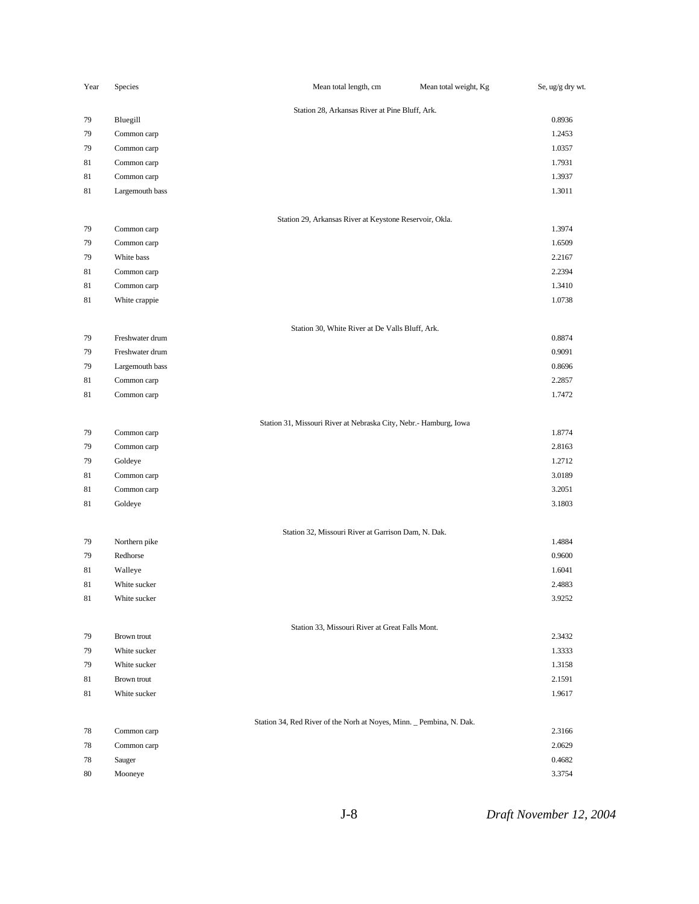| Year   | Species         | Mean total length, cm                                                | Mean total weight, Kg | Se, ug/g dry wt. |
|--------|-----------------|----------------------------------------------------------------------|-----------------------|------------------|
|        |                 | Station 28, Arkansas River at Pine Bluff, Ark.                       |                       |                  |
| 79     | Bluegill        |                                                                      |                       | 0.8936           |
| 79     | Common carp     |                                                                      |                       | 1.2453           |
| 79     | Common carp     |                                                                      |                       | 1.0357           |
| 81     | Common carp     |                                                                      |                       | 1.7931           |
| 81     | Common carp     |                                                                      |                       | 1.3937           |
| 81     | Largemouth bass |                                                                      |                       | 1.3011           |
|        |                 | Station 29, Arkansas River at Keystone Reservoir, Okla.              |                       |                  |
| 79     | Common carp     |                                                                      |                       | 1.3974           |
| 79     | Common carp     |                                                                      |                       | 1.6509           |
| 79     | White bass      |                                                                      |                       | 2.2167           |
| 81     | Common carp     |                                                                      |                       | 2.2394           |
| 81     | Common carp     |                                                                      |                       | 1.3410           |
| 81     | White crappie   |                                                                      |                       | 1.0738           |
|        |                 | Station 30, White River at De Valls Bluff, Ark.                      |                       |                  |
| 79     | Freshwater drum |                                                                      |                       | 0.8874           |
| 79     | Freshwater drum |                                                                      |                       | 0.9091           |
| 79     | Largemouth bass |                                                                      |                       | 0.8696           |
| 81     | Common carp     |                                                                      |                       | 2.2857           |
| 81     | Common carp     |                                                                      |                       | 1.7472           |
|        |                 |                                                                      |                       |                  |
| 79     | Common carp     | Station 31, Missouri River at Nebraska City, Nebr.- Hamburg, Iowa    |                       | 1.8774           |
| 79     | Common carp     |                                                                      |                       | 2.8163           |
| 79     | Goldeye         |                                                                      |                       | 1.2712           |
| 81     | Common carp     |                                                                      |                       | 3.0189           |
| 81     | Common carp     |                                                                      |                       | 3.2051           |
| 81     | Goldeye         |                                                                      |                       | 3.1803           |
|        |                 | Station 32, Missouri River at Garrison Dam, N. Dak.                  |                       |                  |
| 79     | Northern pike   |                                                                      |                       | 1.4884           |
| 79     | Redhorse        |                                                                      |                       | 0.9600           |
| 81     | Walleye         |                                                                      |                       | 1.6041           |
| 81     | White sucker    |                                                                      |                       | 2.4883           |
| $81\,$ | White sucker    |                                                                      |                       | 3.9252           |
|        |                 |                                                                      |                       |                  |
| 79     | Brown trout     | Station 33, Missouri River at Great Falls Mont.                      |                       | 2.3432           |
| 79     | White sucker    |                                                                      |                       | 1.3333           |
| 79     | White sucker    |                                                                      |                       | 1.3158           |
| 81     | Brown trout     |                                                                      |                       | 2.1591           |
| 81     | White sucker    |                                                                      |                       | 1.9617           |
|        |                 |                                                                      |                       |                  |
| 78     | Common carp     | Station 34, Red River of the Norh at Noyes, Minn. _ Pembina, N. Dak. |                       | 2.3166           |
| 78     | Common carp     |                                                                      |                       | 2.0629           |
| 78     | Sauger          |                                                                      |                       | 0.4682           |
| 80     | Mooneye         |                                                                      |                       | 3.3754           |
|        |                 |                                                                      |                       |                  |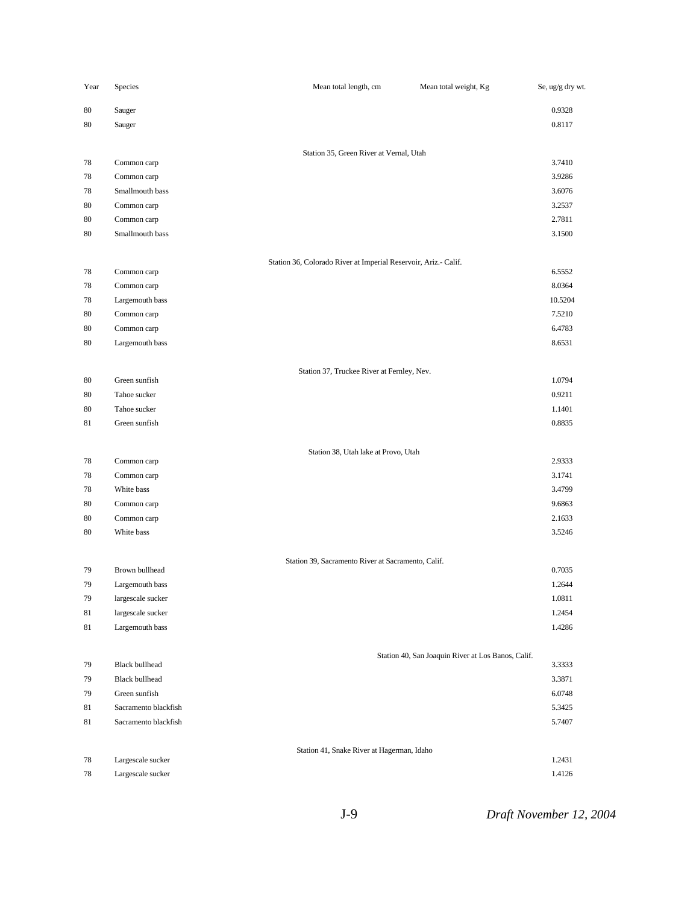| Year | Species               | Mean total length, cm                                           | Mean total weight, Kg                              | Se, ug/g dry wt. |
|------|-----------------------|-----------------------------------------------------------------|----------------------------------------------------|------------------|
| 80   | Sauger                |                                                                 |                                                    | 0.9328           |
| 80   | Sauger                |                                                                 |                                                    | 0.8117           |
|      |                       |                                                                 |                                                    |                  |
|      |                       | Station 35, Green River at Vernal, Utah                         |                                                    |                  |
| 78   | Common carp           |                                                                 |                                                    | 3.7410           |
| 78   | Common carp           |                                                                 |                                                    | 3.9286           |
| 78   | Smallmouth bass       |                                                                 |                                                    | 3.6076           |
| 80   | Common carp           |                                                                 |                                                    | 3.2537           |
| 80   | Common carp           |                                                                 |                                                    | 2.7811           |
| 80   | Smallmouth bass       |                                                                 |                                                    | 3.1500           |
|      |                       | Station 36, Colorado River at Imperial Reservoir, Ariz.- Calif. |                                                    |                  |
| 78   | Common carp           |                                                                 |                                                    | 6.5552           |
| 78   | Common carp           |                                                                 |                                                    | 8.0364           |
| 78   | Largemouth bass       |                                                                 |                                                    | 10.5204          |
| 80   | Common carp           |                                                                 |                                                    | 7.5210           |
| 80   | Common carp           |                                                                 |                                                    | 6.4783           |
| 80   | Largemouth bass       |                                                                 |                                                    | 8.6531           |
|      |                       | Station 37, Truckee River at Fernley, Nev.                      |                                                    |                  |
| 80   | Green sunfish         |                                                                 |                                                    | 1.0794           |
| 80   | Tahoe sucker          |                                                                 |                                                    | 0.9211           |
| 80   | Tahoe sucker          |                                                                 |                                                    | 1.1401           |
| 81   | Green sunfish         |                                                                 |                                                    | 0.8835           |
|      |                       | Station 38, Utah lake at Provo, Utah                            |                                                    |                  |
| 78   | Common carp           |                                                                 |                                                    | 2.9333           |
| 78   | Common carp           |                                                                 |                                                    | 3.1741           |
| 78   | White bass            |                                                                 |                                                    | 3.4799           |
| 80   | Common carp           |                                                                 |                                                    | 9.6863           |
| 80   | Common carp           |                                                                 |                                                    | 2.1633           |
| 80   | White bass            |                                                                 |                                                    | 3.5246           |
|      |                       | Station 39, Sacramento River at Sacramento, Calif.              |                                                    |                  |
| 79   | Brown bullhead        |                                                                 |                                                    | 0.7035           |
| 79   | Largemouth bass       |                                                                 |                                                    | 1.2644           |
| 79   | largescale sucker     |                                                                 |                                                    | 1.0811           |
| 81   | largescale sucker     |                                                                 |                                                    | 1.2454           |
| 81   | Largemouth bass       |                                                                 |                                                    | 1.4286           |
|      |                       |                                                                 | Station 40, San Joaquin River at Los Banos, Calif. |                  |
| 79   | <b>Black bullhead</b> |                                                                 |                                                    | 3.3333           |
| 79   | <b>Black bullhead</b> |                                                                 |                                                    | 3.3871           |
| 79   | Green sunfish         |                                                                 |                                                    | 6.0748           |
| 81   | Sacramento blackfish  |                                                                 |                                                    | 5.3425           |
| 81   | Sacramento blackfish  |                                                                 |                                                    | 5.7407           |
|      |                       | Station 41, Snake River at Hagerman, Idaho                      |                                                    |                  |
| 78   | Largescale sucker     |                                                                 |                                                    | 1.2431           |
| 78   | Largescale sucker     |                                                                 |                                                    | 1.4126           |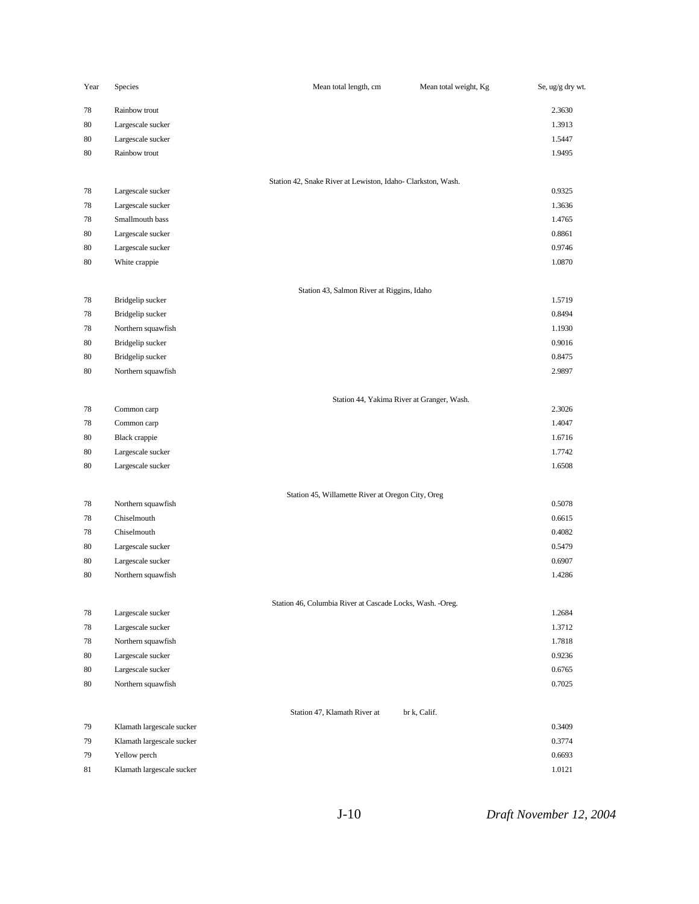| Year     | Species                                | Mean total length, cm                                       | Mean total weight, Kg | Se, ug/g dry wt. |
|----------|----------------------------------------|-------------------------------------------------------------|-----------------------|------------------|
| 78       | Rainbow trout                          |                                                             |                       | 2.3630           |
| 80       | Largescale sucker                      |                                                             |                       | 1.3913           |
| 80       | Largescale sucker                      |                                                             |                       | 1.5447           |
| 80       | Rainbow trout                          |                                                             |                       | 1.9495           |
|          |                                        |                                                             |                       |                  |
| 78       | Largescale sucker                      | Station 42, Snake River at Lewiston, Idaho-Clarkston, Wash. |                       | 0.9325           |
| 78       | Largescale sucker                      |                                                             |                       | 1.3636           |
| 78       | Smallmouth bass                        |                                                             |                       | 1.4765           |
| 80       | Largescale sucker                      |                                                             |                       | 0.8861           |
| 80       | Largescale sucker                      |                                                             |                       | 0.9746           |
| 80       | White crappie                          |                                                             |                       | 1.0870           |
|          |                                        |                                                             |                       |                  |
|          |                                        | Station 43, Salmon River at Riggins, Idaho                  |                       |                  |
| 78       | Bridgelip sucker                       |                                                             |                       | 1.5719           |
| 78       | Bridgelip sucker<br>Northern squawfish |                                                             |                       | 0.8494           |
| 78       | Bridgelip sucker                       |                                                             |                       | 1.1930<br>0.9016 |
| 80<br>80 | Bridgelip sucker                       |                                                             |                       | 0.8475           |
| 80       | Northern squawfish                     |                                                             |                       | 2.9897           |
|          |                                        |                                                             |                       |                  |
|          |                                        | Station 44, Yakima River at Granger, Wash.                  |                       |                  |
| 78       | Common carp                            |                                                             |                       | 2.3026           |
| 78       | Common carp                            |                                                             |                       | 1.4047           |
| 80       | <b>Black</b> crappie                   |                                                             |                       | 1.6716           |
| 80       | Largescale sucker                      |                                                             |                       | 1.7742           |
| 80       | Largescale sucker                      |                                                             |                       | 1.6508           |
|          |                                        | Station 45, Willamette River at Oregon City, Oreg           |                       |                  |
| 78       | Northern squawfish                     |                                                             |                       | 0.5078           |
| 78       | Chiselmouth                            |                                                             |                       | 0.6615           |
| 78       | Chiselmouth                            |                                                             |                       | 0.4082           |
| 80       | Largescale sucker                      |                                                             |                       | 0.5479           |
| 80       | Largescale sucker                      |                                                             |                       | 0.6907           |
| 80       | Northern squawfish                     |                                                             |                       | 1.4286           |
|          |                                        |                                                             |                       |                  |
| 78       | Largescale sucker                      | Station 46, Columbia River at Cascade Locks, Wash. - Oreg.  |                       | 1.2684           |
| 78       | Largescale sucker                      |                                                             |                       | 1.3712           |
| 78       | Northern squawfish                     |                                                             |                       | 1.7818           |
| 80       | Largescale sucker                      |                                                             |                       | 0.9236           |
| 80       | Largescale sucker                      |                                                             |                       | 0.6765           |
| 80       | Northern squawfish                     |                                                             |                       | 0.7025           |
|          |                                        |                                                             |                       |                  |
|          |                                        | Station 47, Klamath River at                                | br k, Calif.          |                  |
| 79       | Klamath largescale sucker              |                                                             |                       | 0.3409           |
| 79       | Klamath largescale sucker              |                                                             |                       | 0.3774           |
| 79       | Yellow perch                           |                                                             |                       | 0.6693           |
| 81       | Klamath largescale sucker              |                                                             |                       | 1.0121           |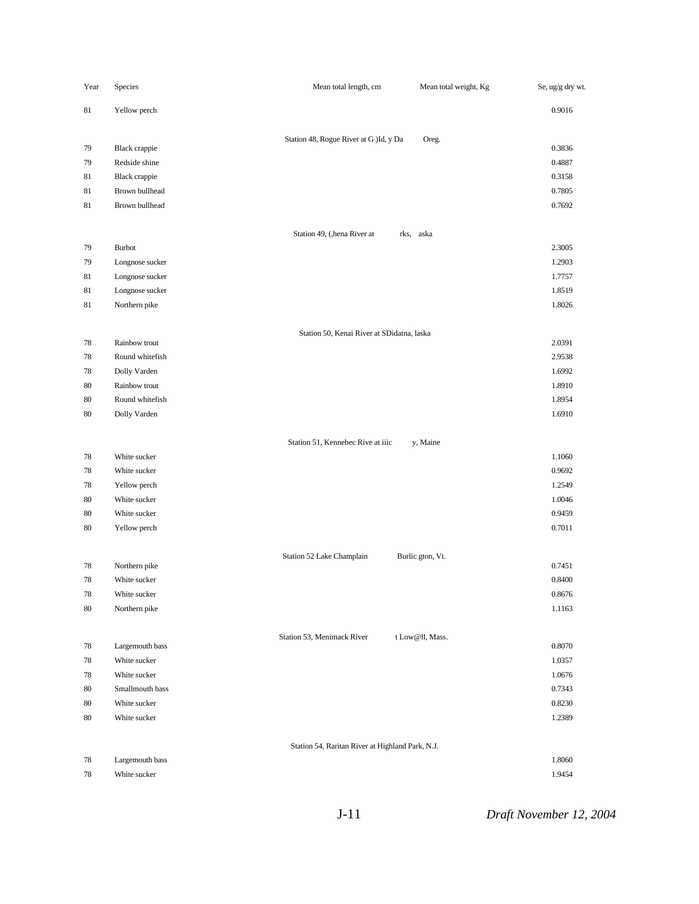| Year     | Species                          | Mean total length, cm                            | Mean total weight, Kg | Se, ug/g dry wt. |
|----------|----------------------------------|--------------------------------------------------|-----------------------|------------------|
| 81       | Yellow perch                     |                                                  |                       | 0.9016           |
|          |                                  | Station 48, Rogue River at G )Id, y Da           | Oreg.                 |                  |
| 79       | <b>Black</b> crappie             |                                                  |                       | 0.3836           |
| 79       | Redside shine                    |                                                  |                       | 0.4887           |
| 81       | <b>Black</b> crappie             |                                                  |                       | 0.3158           |
| 81       | Brown bullhead                   |                                                  |                       | 0.7805           |
| 81       | Brown bullhead                   |                                                  |                       | 0.7692           |
|          |                                  | Station 49, (, hena River at                     | rks, aska             |                  |
| 79       | <b>Burbot</b>                    |                                                  |                       | 2.3005           |
| 79       | Longnose sucker                  |                                                  |                       | 1.2903           |
| 81       | Longnose sucker                  |                                                  |                       | 1.7757           |
| 81       | Longnose sucker                  |                                                  |                       | 1.8519           |
| 81       | Northern pike                    |                                                  |                       | 1.8026           |
|          |                                  | Station 50, Kenai River at SDidatna, laska       |                       |                  |
| 78       | Rainbow trout                    |                                                  |                       | 2.0391           |
| 78       | Round whitefish                  |                                                  |                       | 2.9538           |
| 78       | Dolly Varden                     |                                                  |                       | 1.6992           |
| 80<br>80 | Rainbow trout<br>Round whitefish |                                                  |                       | 1.8910<br>1.8954 |
| 80       |                                  |                                                  |                       | 1.6910           |
|          | Dolly Varden                     |                                                  |                       |                  |
|          |                                  | Station 51, Kennebec Rive at iiic                | y, Maine              |                  |
| 78       | White sucker                     |                                                  |                       | 1.1060           |
| 78       | White sucker                     |                                                  |                       | 0.9692           |
| 78       | Yellow perch                     |                                                  |                       | 1.2549           |
| 80       | White sucker                     |                                                  |                       | 1.0046           |
| 80       | White sucker                     |                                                  |                       | 0.9459           |
| 80       | Yellow perch                     |                                                  |                       | 0.7011           |
| 78       | Northern pike                    | Station 52 Lake Champlain                        | Burlic gton, Vt.      | 0.7451           |
| 78       | White sucker                     |                                                  |                       | 0.8400           |
| 78       | White sucker                     |                                                  |                       |                  |
| 80       | Northern pike                    |                                                  |                       | 0.8676<br>1.1163 |
|          |                                  |                                                  |                       |                  |
| 78       | Largemouth bass                  | Station 53, Menimack River                       | t Low@ll, Mass.       | 0.8070           |
| $78\,$   | White sucker                     |                                                  |                       | 1.0357           |
| 78       | White sucker                     |                                                  |                       | 1.0676           |
| 80       | Smallmouth bass                  |                                                  |                       | 0.7343           |
| $80\,$   | White sucker                     |                                                  |                       | 0.8230           |
| $80\,$   | White sucker                     |                                                  |                       | 1.2389           |
|          |                                  | Station 54, Raritan River at Highland Park, N.J. |                       |                  |
| 78       | Largemouth bass                  |                                                  |                       | 1.8060           |
| 78       | White sucker                     |                                                  |                       | 1.9454           |
|          |                                  |                                                  |                       |                  |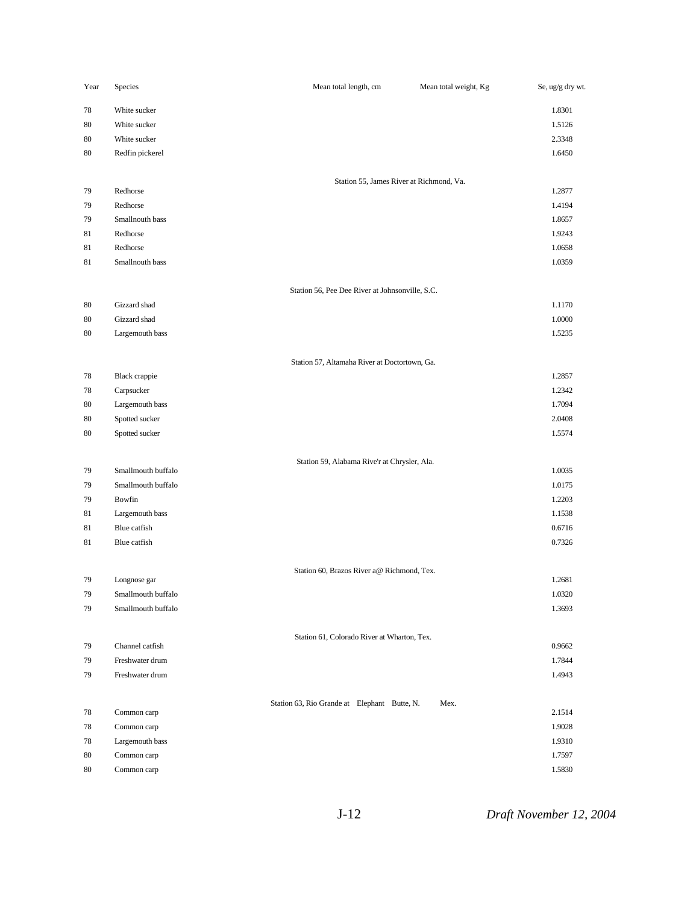| Year | Species            | Mean total length, cm                           | Mean total weight, Kg | Se, ug/g dry wt. |
|------|--------------------|-------------------------------------------------|-----------------------|------------------|
| 78   | White sucker       |                                                 |                       | 1.8301           |
| 80   | White sucker       |                                                 |                       | 1.5126           |
| 80   | White sucker       |                                                 |                       | 2.3348           |
| 80   | Redfin pickerel    |                                                 |                       | 1.6450           |
|      |                    | Station 55, James River at Richmond, Va.        |                       |                  |
| 79   | Redhorse           |                                                 |                       | 1.2877           |
| 79   | Redhorse           |                                                 |                       | 1.4194           |
| 79   | Smallnouth bass    |                                                 |                       | 1.8657           |
| 81   | Redhorse           |                                                 |                       | 1.9243           |
| 81   | Redhorse           |                                                 |                       | 1.0658           |
| 81   | Smallnouth bass    |                                                 |                       | 1.0359           |
|      |                    | Station 56, Pee Dee River at Johnsonville, S.C. |                       |                  |
| 80   | Gizzard shad       |                                                 |                       | 1.1170           |
| 80   | Gizzard shad       |                                                 |                       | 1.0000           |
| 80   | Largemouth bass    |                                                 |                       | 1.5235           |
|      |                    | Station 57, Altamaha River at Doctortown, Ga.   |                       |                  |
| 78   | Black crappie      |                                                 |                       | 1.2857           |
| 78   | Carpsucker         |                                                 |                       | 1.2342           |
| 80   | Largemouth bass    |                                                 |                       | 1.7094           |
| 80   | Spotted sucker     |                                                 |                       | 2.0408           |
| 80   | Spotted sucker     |                                                 |                       | 1.5574           |
|      |                    | Station 59, Alabama Rive'r at Chrysler, Ala.    |                       |                  |
| 79   | Smallmouth buffalo |                                                 |                       | 1.0035           |
| 79   | Smallmouth buffalo |                                                 |                       | 1.0175           |
| 79   | Bowfin             |                                                 |                       | 1.2203           |
| 81   | Largemouth bass    |                                                 |                       | 1.1538           |
| 81   | Blue catfish       |                                                 |                       | 0.6716           |
| 81   | Blue catfish       |                                                 |                       | 0.7326           |
|      |                    | Station 60, Brazos River a@ Richmond, Tex.      |                       |                  |
| 79   | Longnose gar       |                                                 |                       | 1.2681           |
| 79   | Smallmouth buffalo |                                                 |                       | 1.0320           |
| 79   | Smallmouth buffalo |                                                 |                       | 1.3693           |
| 79   | Channel catfish    | Station 61, Colorado River at Wharton, Tex.     |                       | 0.9662           |
| 79   | Freshwater drum    |                                                 |                       | 1.7844           |
| 79   | Freshwater drum    |                                                 |                       | 1.4943           |
|      |                    |                                                 |                       |                  |
| 78   | Common carp        | Station 63, Rio Grande at Elephant Butte, N.    | Mex.                  | 2.1514           |
| 78   | Common carp        |                                                 |                       | 1.9028           |
| 78   | Largemouth bass    |                                                 |                       | 1.9310           |
| 80   | Common carp        |                                                 |                       | 1.7597           |
| 80   | Common carp        |                                                 |                       | 1.5830           |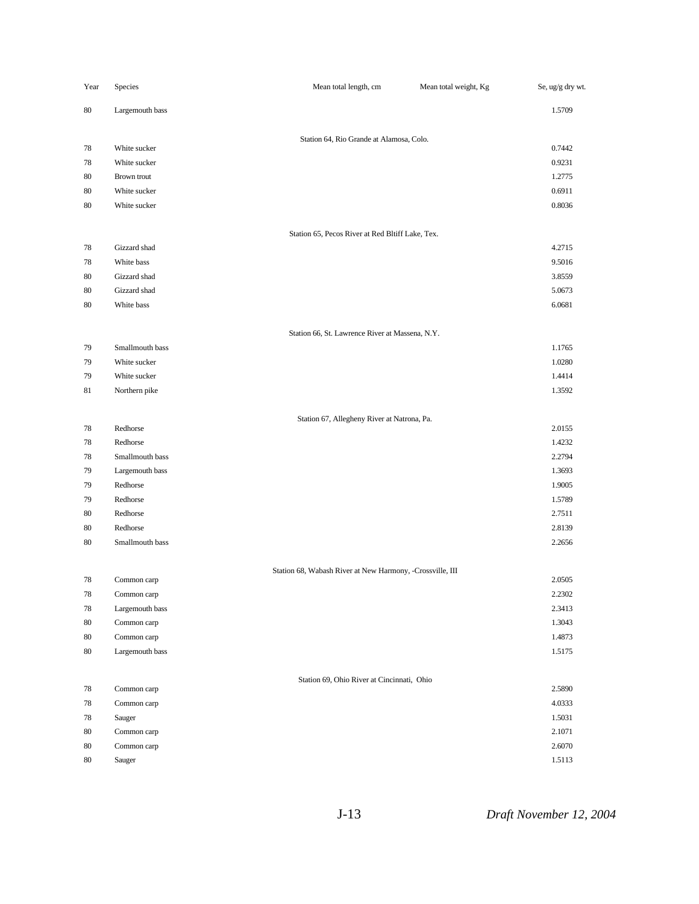| Year | Species         | Mean total length, cm                                     | Mean total weight, Kg | Se, ug/g dry wt. |
|------|-----------------|-----------------------------------------------------------|-----------------------|------------------|
| 80   | Largemouth bass |                                                           |                       | 1.5709           |
|      |                 | Station 64, Rio Grande at Alamosa, Colo.                  |                       |                  |
| 78   | White sucker    |                                                           |                       | 0.7442           |
| 78   | White sucker    |                                                           |                       | 0.9231           |
| 80   | Brown trout     |                                                           |                       | 1.2775           |
| 80   | White sucker    |                                                           |                       | 0.6911           |
| 80   | White sucker    |                                                           |                       | 0.8036           |
|      |                 | Station 65, Pecos River at Red Bltiff Lake, Tex.          |                       |                  |
| 78   | Gizzard shad    |                                                           |                       | 4.2715           |
| 78   | White bass      |                                                           |                       | 9.5016           |
| 80   | Gizzard shad    |                                                           |                       | 3.8559           |
| 80   | Gizzard shad    |                                                           |                       | 5.0673           |
| 80   | White bass      |                                                           |                       | 6.0681           |
|      |                 | Station 66, St. Lawrence River at Massena, N.Y.           |                       |                  |
| 79   | Smallmouth bass |                                                           |                       | 1.1765           |
| 79   | White sucker    |                                                           |                       | 1.0280           |
| 79   | White sucker    |                                                           |                       | 1.4414           |
| 81   | Northern pike   |                                                           |                       | 1.3592           |
|      |                 | Station 67, Allegheny River at Natrona, Pa.               |                       |                  |
| 78   | Redhorse        |                                                           |                       | 2.0155           |
| 78   | Redhorse        |                                                           |                       | 1.4232           |
| 78   | Smallmouth bass |                                                           |                       | 2.2794           |
| 79   | Largemouth bass |                                                           |                       | 1.3693           |
| 79   | Redhorse        |                                                           |                       | 1.9005           |
| 79   | Redhorse        |                                                           |                       | 1.5789           |
| 80   | Redhorse        |                                                           |                       | 2.7511           |
| 80   | Redhorse        |                                                           |                       | 2.8139           |
| 80   | Smallmouth bass |                                                           |                       | 2.2656           |
| 78   | Common carp     | Station 68, Wabash River at New Harmony, -Crossville, III |                       | 2.0505           |
| 78   | Common carp     |                                                           |                       | 2.2302           |
| 78   | Largemouth bass |                                                           |                       | 2.3413           |
| 80   | Common carp     |                                                           |                       | 1.3043           |
| 80   | Common carp     |                                                           |                       | 1.4873           |
| 80   | Largemouth bass |                                                           |                       | 1.5175           |
|      |                 | Station 69, Ohio River at Cincinnati, Ohio                |                       |                  |
| 78   | Common carp     |                                                           |                       | 2.5890           |
| 78   | Common carp     |                                                           |                       | 4.0333           |
| 78   | Sauger          |                                                           |                       | 1.5031           |
| 80   | Common carp     |                                                           |                       | 2.1071           |
| 80   | Common carp     |                                                           |                       | 2.6070           |
| 80   | Sauger          |                                                           |                       | 1.5113           |

J-13 *Draft November 12, 2004*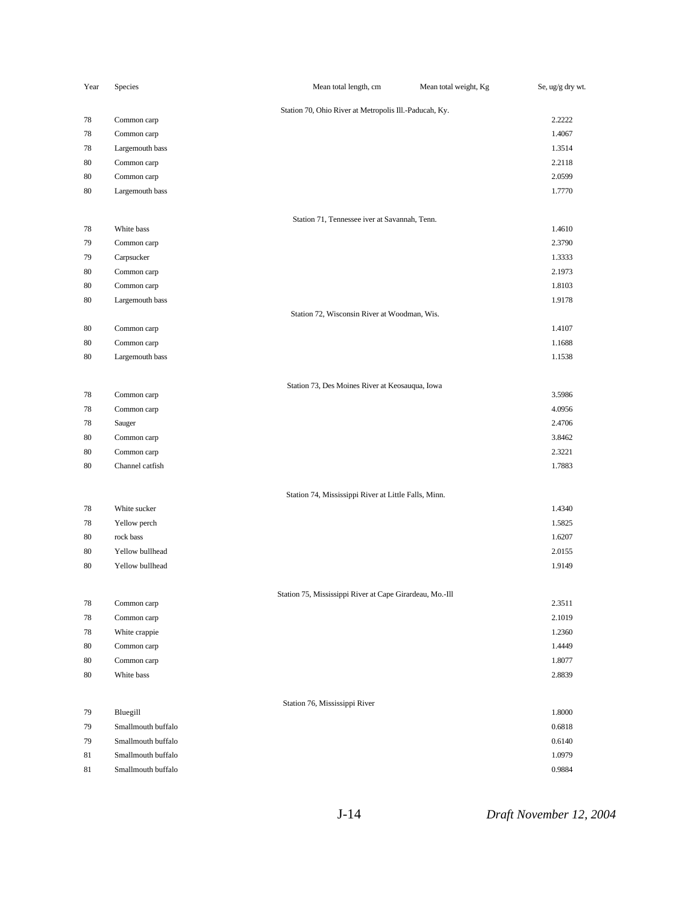| Year | Species            | Mean total length, cm                                    | Mean total weight, Kg | Se, ug/g dry wt. |
|------|--------------------|----------------------------------------------------------|-----------------------|------------------|
|      |                    | Station 70, Ohio River at Metropolis Ill.-Paducah, Ky.   |                       |                  |
| 78   | Common carp        |                                                          |                       | 2.2222           |
| 78   | Common carp        |                                                          |                       | 1.4067           |
| 78   | Largemouth bass    |                                                          |                       | 1.3514           |
| 80   | Common carp        |                                                          |                       | 2.2118           |
| 80   | Common carp        |                                                          |                       | 2.0599           |
| 80   | Largemouth bass    |                                                          |                       | 1.7770           |
|      |                    |                                                          |                       |                  |
| 78   | White bass         | Station 71, Tennessee iver at Savannah, Tenn.            |                       | 1.4610           |
| 79   | Common carp        |                                                          |                       | 2.3790           |
| 79   | Carpsucker         |                                                          |                       | 1.3333           |
| 80   | Common carp        |                                                          |                       | 2.1973           |
| 80   | Common carp        |                                                          |                       | 1.8103           |
| 80   | Largemouth bass    |                                                          |                       | 1.9178           |
|      |                    | Station 72, Wisconsin River at Woodman, Wis.             |                       |                  |
| 80   | Common carp        |                                                          |                       | 1.4107           |
| 80   | Common carp        |                                                          |                       | 1.1688           |
| 80   | Largemouth bass    |                                                          |                       | 1.1538           |
|      |                    |                                                          |                       |                  |
|      |                    | Station 73, Des Moines River at Keosauqua, Iowa          |                       |                  |
| 78   | Common carp        |                                                          |                       | 3.5986           |
| 78   | Common carp        |                                                          |                       | 4.0956           |
| 78   | Sauger             |                                                          |                       | 2.4706           |
| 80   | Common carp        |                                                          |                       | 3.8462           |
| 80   | Common carp        |                                                          |                       | 2.3221           |
| 80   | Channel catfish    |                                                          |                       | 1.7883           |
|      |                    | Station 74, Mississippi River at Little Falls, Minn.     |                       |                  |
| 78   | White sucker       |                                                          |                       | 1.4340           |
| 78   | Yellow perch       |                                                          |                       | 1.5825           |
| 80   | rock bass          |                                                          |                       | 1.6207           |
| 80   | Yellow bullhead    |                                                          |                       | 2.0155           |
| 80   | Yellow bullhead    |                                                          |                       | 1.9149           |
|      |                    |                                                          |                       |                  |
|      |                    | Station 75, Mississippi River at Cape Girardeau, Mo.-Ill |                       |                  |
| 78   | Common carp        |                                                          |                       | 2.3511           |
| 78   | Common carp        |                                                          |                       | 2.1019           |
| 78   | White crappie      |                                                          |                       | 1.2360           |
| 80   | Common carp        |                                                          |                       | 1.4449           |
| 80   | Common carp        |                                                          |                       | 1.8077           |
| 80   | White bass         |                                                          |                       | 2.8839           |
|      |                    | Station 76, Mississippi River                            |                       |                  |
| 79   | Bluegill           |                                                          |                       | 1.8000           |
| 79   | Smallmouth buffalo |                                                          |                       | 0.6818           |
| 79   | Smallmouth buffalo |                                                          |                       | 0.6140           |
| 81   | Smallmouth buffalo |                                                          |                       | 1.0979           |
| 81   | Smallmouth buffalo |                                                          |                       | 0.9884           |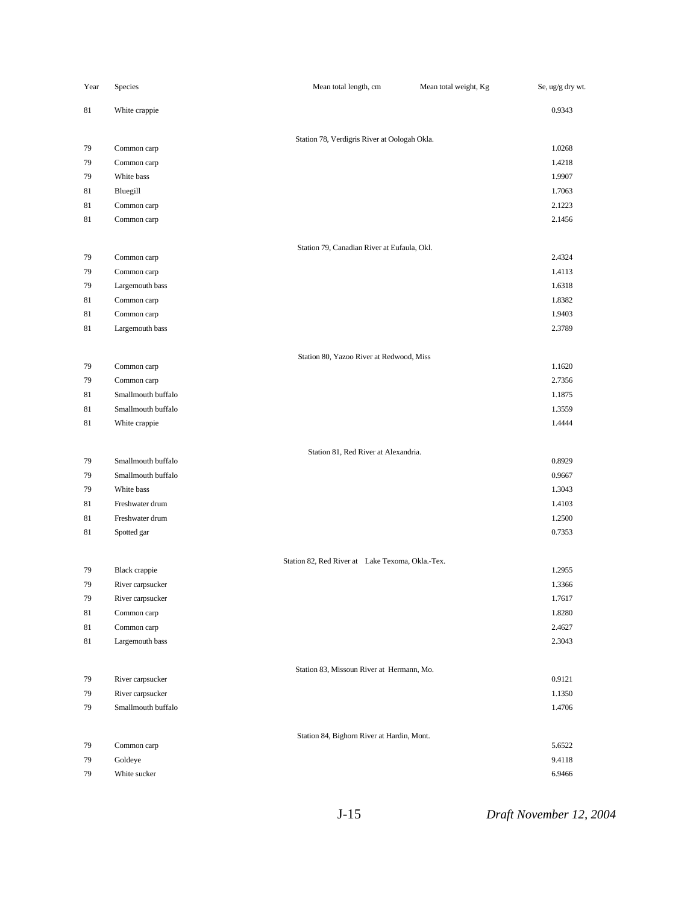| Year     | Species                    | Mean total length, cm                            | Mean total weight, Kg | Se, ug/g dry wt. |
|----------|----------------------------|--------------------------------------------------|-----------------------|------------------|
| 81       | White crappie              |                                                  |                       | 0.9343           |
|          |                            | Station 78, Verdigris River at Oologah Okla.     |                       |                  |
| 79       | Common carp                |                                                  |                       | 1.0268           |
| 79       | Common carp                |                                                  |                       | 1.4218           |
| 79       | White bass                 |                                                  |                       | 1.9907           |
| 81       | Bluegill                   |                                                  |                       | 1.7063           |
| 81       | Common carp                |                                                  |                       | 2.1223           |
| 81       | Common carp                |                                                  |                       | 2.1456           |
|          |                            | Station 79, Canadian River at Eufaula, Okl.      |                       |                  |
| 79       | Common carp<br>Common carp |                                                  |                       | 2.4324<br>1.4113 |
| 79<br>79 | Largemouth bass            |                                                  |                       | 1.6318           |
| 81       | Common carp                |                                                  |                       | 1.8382           |
| 81       | Common carp                |                                                  |                       | 1.9403           |
| 81       | Largemouth bass            |                                                  |                       | 2.3789           |
|          |                            | Station 80, Yazoo River at Redwood, Miss         |                       |                  |
| 79       | Common carp                |                                                  |                       | 1.1620           |
| 79       | Common carp                |                                                  |                       | 2.7356           |
| 81       | Smallmouth buffalo         |                                                  |                       | 1.1875           |
| 81       | Smallmouth buffalo         |                                                  |                       | 1.3559           |
| 81       | White crappie              |                                                  |                       | 1.4444           |
|          |                            | Station 81, Red River at Alexandria.             |                       |                  |
| 79       | Smallmouth buffalo         |                                                  |                       | 0.8929           |
| 79       | Smallmouth buffalo         |                                                  |                       | 0.9667           |
| 79       | White bass                 |                                                  |                       | 1.3043           |
| 81       | Freshwater drum            |                                                  |                       | 1.4103           |
| 81       | Freshwater drum            |                                                  |                       | 1.2500           |
| 81       | Spotted gar                |                                                  |                       | 0.7353           |
| 79       | <b>Black</b> crappie       | Station 82, Red River at Lake Texoma, Okla.-Tex. |                       | 1.2955           |
| 79       | River carpsucker           |                                                  |                       | 1.3366           |
| 79       | River carpsucker           |                                                  |                       | 1.7617           |
| 81       | Common carp                |                                                  |                       | 1.8280           |
| 81       | Common carp                |                                                  |                       | 2.4627           |
| 81       | Largemouth bass            |                                                  |                       | 2.3043           |
|          |                            | Station 83, Missoun River at Hermann, Mo.        |                       |                  |
| 79       | River carpsucker           |                                                  |                       | 0.9121           |
| 79       | River carpsucker           |                                                  |                       | 1.1350           |
| 79       | Smallmouth buffalo         |                                                  |                       | 1.4706           |
|          |                            | Station 84, Bighorn River at Hardin, Mont.       |                       |                  |
| 79       | Common carp                |                                                  |                       | 5.6522           |
| 79       | Goldeye                    |                                                  |                       | 9.4118           |
| 79       | White sucker               |                                                  |                       | 6.9466           |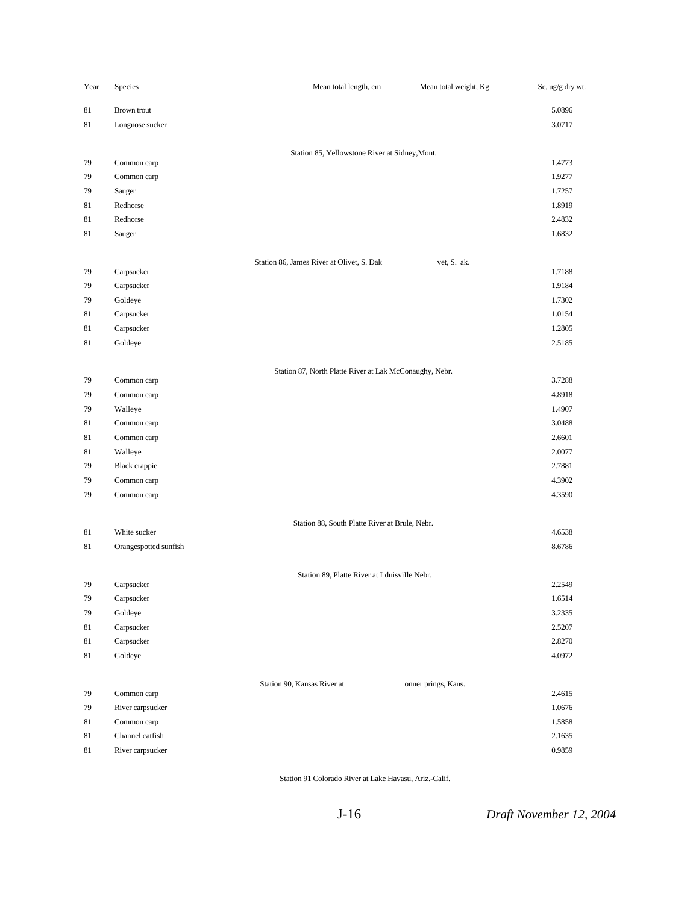| Year | Species               | Mean total length, cm                                   | Mean total weight, Kg | Se, ug/g dry wt. |
|------|-----------------------|---------------------------------------------------------|-----------------------|------------------|
| 81   | Brown trout           |                                                         |                       | 5.0896           |
| 81   | Longnose sucker       |                                                         |                       | 3.0717           |
|      |                       |                                                         |                       |                  |
| 79   | Common carp           | Station 85, Yellowstone River at Sidney, Mont.          |                       | 1.4773           |
| 79   | Common carp           |                                                         |                       | 1.9277           |
| 79   | Sauger                |                                                         |                       | 1.7257           |
| 81   | Redhorse              |                                                         |                       | 1.8919           |
| 81   | Redhorse              |                                                         |                       | 2.4832           |
| 81   | Sauger                |                                                         |                       | 1.6832           |
|      |                       |                                                         |                       |                  |
|      |                       | Station 86, James River at Olivet, S. Dak               | vet, S. ak.           |                  |
| 79   | Carpsucker            |                                                         |                       | 1.7188           |
| 79   | Carpsucker            |                                                         |                       | 1.9184           |
| 79   | Goldeye               |                                                         |                       | 1.7302           |
| 81   | Carpsucker            |                                                         |                       | 1.0154           |
| 81   | Carpsucker            |                                                         |                       | 1.2805           |
| 81   | Goldeye               |                                                         |                       | 2.5185           |
|      |                       |                                                         |                       |                  |
| 79   | Common carp           | Station 87, North Platte River at Lak McConaughy, Nebr. |                       | 3.7288           |
| 79   | Common carp           |                                                         |                       | 4.8918           |
| 79   | Walleye               |                                                         |                       | 1.4907           |
| 81   | Common carp           |                                                         |                       | 3.0488           |
| 81   | Common carp           |                                                         |                       | 2.6601           |
| 81   | Walleye               |                                                         |                       | 2.0077           |
| 79   | Black crappie         |                                                         |                       | 2.7881           |
| 79   | Common carp           |                                                         |                       | 4.3902           |
| 79   | Common carp           |                                                         |                       | 4.3590           |
|      |                       |                                                         |                       |                  |
| 81   | White sucker          | Station 88, South Platte River at Brule, Nebr.          |                       | 4.6538           |
| 81   | Orangespotted sunfish |                                                         |                       | 8.6786           |
|      |                       |                                                         |                       |                  |
|      |                       | Station 89, Platte River at Lduisville Nebr.            |                       |                  |
| 79   | Carpsucker            |                                                         |                       | 2.2549           |
| 79   | Carpsucker            |                                                         |                       | 1.6514           |
| 79   | Goldeye               |                                                         |                       | 3.2335           |
| 81   | Carpsucker            |                                                         |                       | 2.5207           |
| 81   | Carpsucker            |                                                         |                       | 2.8270           |
| 81   | Goldeye               |                                                         |                       | 4.0972           |
|      |                       |                                                         |                       |                  |
| 79   | Common carp           | Station 90, Kansas River at                             | onner prings, Kans.   | 2.4615           |
| 79   | River carpsucker      |                                                         |                       | 1.0676           |
| 81   | Common carp           |                                                         |                       | 1.5858           |
| 81   | Channel catfish       |                                                         |                       | 2.1635           |
| 81   | River carpsucker      |                                                         |                       | 0.9859           |
|      |                       |                                                         |                       |                  |

Station 91 Colorado River at Lake Havasu, Ariz.-Calif.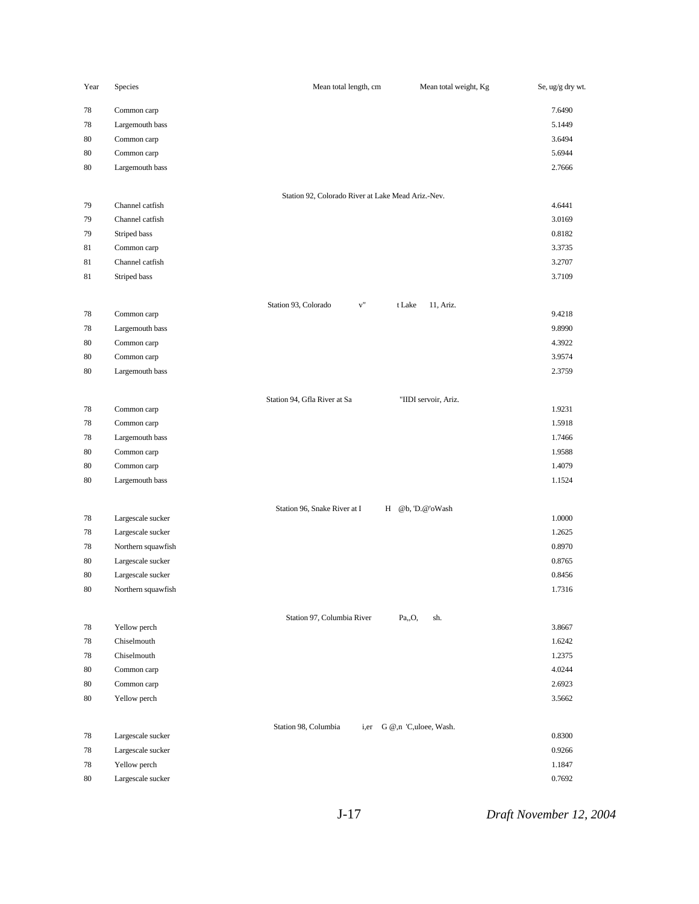| Year     | Species                    | Mean total length, cm                                                     | Mean total weight, Kg<br>Se, ug/g dry wt. |
|----------|----------------------------|---------------------------------------------------------------------------|-------------------------------------------|
| 78       | Common carp                |                                                                           | 7.6490                                    |
| 78       | Largemouth bass            |                                                                           | 5.1449                                    |
| 80       | Common carp                |                                                                           | 3.6494                                    |
| 80       | Common carp                |                                                                           | 5.6944                                    |
| 80       | Largemouth bass            |                                                                           | 2.7666                                    |
|          |                            | Station 92, Colorado River at Lake Mead Ariz.-Nev.                        |                                           |
| 79       | Channel catfish            |                                                                           | 4.6441                                    |
| 79       | Channel catfish            |                                                                           | 3.0169                                    |
| 79       | Striped bass               |                                                                           | 0.8182                                    |
| 81       | Common carp                |                                                                           | 3.3735                                    |
| 81       | Channel catfish            |                                                                           | 3.2707                                    |
| 81       | Striped bass               |                                                                           | 3.7109                                    |
| 78       | Common carp                | Station 93, Colorado<br>$\mathbf{v}^{\text{\tiny{\textsf{H}}}}$<br>t Lake | 11, Ariz.<br>9.4218                       |
|          | Largemouth bass            |                                                                           | 9.8990                                    |
| 78<br>80 | Common carp                |                                                                           | 4.3922                                    |
| 80       | Common carp                |                                                                           | 3.9574                                    |
| 80       | Largemouth bass            |                                                                           | 2.3759                                    |
|          |                            |                                                                           |                                           |
| 78       | Common carp                | Station 94, Gfla River at Sa<br>"IIDI servoir, Ariz.                      | 1.9231                                    |
| 78       | Common carp                |                                                                           | 1.5918                                    |
| 78       | Largemouth bass            |                                                                           | 1.7466                                    |
| 80       | Common carp                |                                                                           | 1.9588                                    |
| 80       | Common carp                |                                                                           | 1.4079                                    |
| 80       | Largemouth bass            |                                                                           | 1.1524                                    |
|          |                            | Station 96, Snake River at I<br>H @b, 'D.@'oWash                          |                                           |
| 78       | Largescale sucker          |                                                                           | 1.0000                                    |
| 78       | Largescale sucker          |                                                                           | 1.2625                                    |
| 78       | Northern squawfish         |                                                                           | 0.8970                                    |
| 80       | Largescale sucker          |                                                                           | 0.8765                                    |
| 80       | Largescale sucker          |                                                                           | 0.8456                                    |
| 80       | Northern squawfish         |                                                                           | 1.7316                                    |
|          |                            | Station 97, Columbia River<br>Pa,,O,                                      | sh.                                       |
| 78       | Yellow perch               |                                                                           | 3.8667                                    |
| 78       | Chiselmouth<br>Chiselmouth |                                                                           | 1.6242                                    |
| 78       | Common carp                |                                                                           | 1.2375<br>4.0244                          |
| 80<br>80 | Common carp                |                                                                           | 2.6923                                    |
|          |                            |                                                                           |                                           |
| 80       | Yellow perch               |                                                                           | 3.5662                                    |
| 78       | Largescale sucker          | Station 98, Columbia<br>i,er G @,n 'C,uloee, Wash.                        | 0.8300                                    |
| 78       | Largescale sucker          |                                                                           | 0.9266                                    |
| 78       | Yellow perch               |                                                                           | 1.1847                                    |
| 80       | Largescale sucker          |                                                                           | 0.7692                                    |
|          |                            |                                                                           |                                           |

J-17 *Draft November 12, 2004*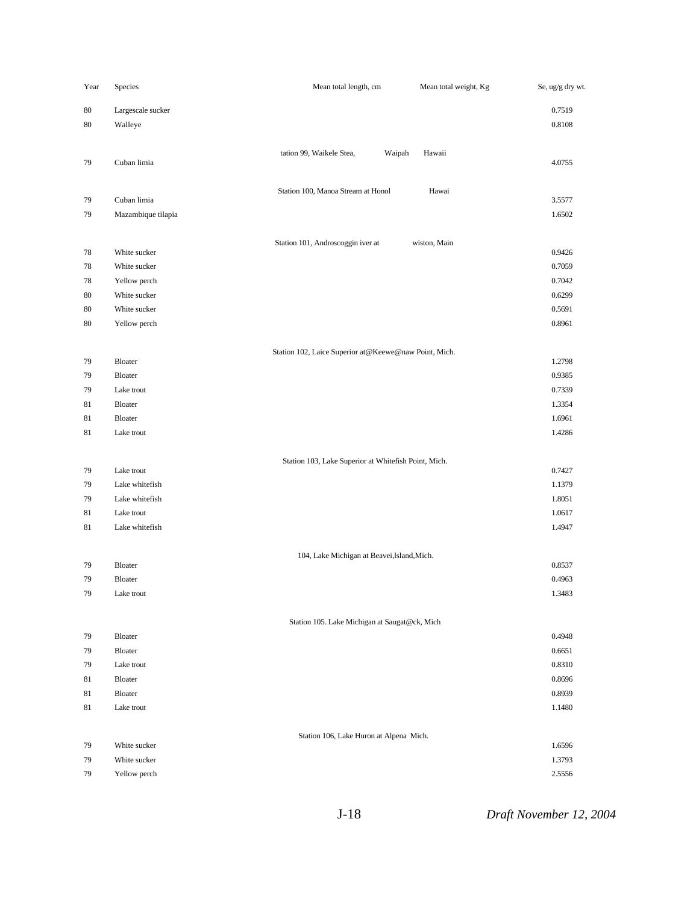| Year     | Species            | Mean total length, cm                                 | Mean total weight, Kg | Se, ug/g dry wt. |
|----------|--------------------|-------------------------------------------------------|-----------------------|------------------|
| 80       | Largescale sucker  |                                                       |                       | 0.7519           |
| 80       | Walleye            |                                                       |                       | 0.8108           |
|          |                    |                                                       |                       |                  |
|          |                    | tation 99, Waikele Stea,                              | Waipah<br>Hawaii      |                  |
| 79       | Cuban limia        |                                                       |                       | 4.0755           |
|          |                    | Station 100, Manoa Stream at Honol                    | Hawai                 |                  |
| 79       | Cuban limia        |                                                       |                       | 3.5577           |
| 79       | Mazambique tilapia |                                                       |                       | 1.6502           |
|          |                    |                                                       |                       |                  |
| 78       | White sucker       | Station 101, Androscoggin iver at                     | wiston, Main          | 0.9426           |
| 78       | White sucker       |                                                       |                       | 0.7059           |
| 78       | Yellow perch       |                                                       |                       | 0.7042           |
| 80       | White sucker       |                                                       |                       | 0.6299           |
| 80       | White sucker       |                                                       |                       | 0.5691           |
| 80       | Yellow perch       |                                                       |                       | 0.8961           |
|          |                    |                                                       |                       |                  |
|          |                    | Station 102, Laice Superior at@Keewe@naw Point, Mich. |                       |                  |
| 79       | Bloater<br>Bloater |                                                       |                       | 1.2798           |
| 79<br>79 | Lake trout         |                                                       |                       | 0.9385<br>0.7339 |
| 81       | Bloater            |                                                       |                       | 1.3354           |
| 81       | Bloater            |                                                       |                       | 1.6961           |
| 81       | Lake trout         |                                                       |                       | 1.4286           |
|          |                    |                                                       |                       |                  |
|          |                    | Station 103, Lake Superior at Whitefish Point, Mich.  |                       |                  |
| 79       | Lake trout         |                                                       |                       | 0.7427           |
| 79       | Lake whitefish     |                                                       |                       | 1.1379           |
| 79       | Lake whitefish     |                                                       |                       | 1.8051           |
| 81       | Lake trout         |                                                       |                       | 1.0617           |
| 81       | Lake whitefish     |                                                       |                       | 1.4947           |
|          |                    | 104, Lake Michigan at Beavei, Island, Mich.           |                       |                  |
| 79       | Bloater            |                                                       |                       | 0.8537           |
| 79       | Bloater            |                                                       |                       | 0.4963           |
| 79       | Lake trout         |                                                       |                       | 1.3483           |
|          |                    |                                                       |                       |                  |
|          |                    | Station 105. Lake Michigan at Saugat@ck, Mich         |                       |                  |
| 79       | Bloater            |                                                       |                       | 0.4948           |
| 79       | Bloater            |                                                       |                       | 0.6651           |
| 79       | Lake trout         |                                                       |                       | 0.8310           |
| 81<br>81 | Bloater<br>Bloater |                                                       |                       | 0.8696<br>0.8939 |
| 81       | Lake trout         |                                                       |                       | 1.1480           |
|          |                    |                                                       |                       |                  |
|          |                    | Station 106, Lake Huron at Alpena Mich.               |                       |                  |
| 79       | White sucker       |                                                       |                       | 1.6596           |
| 79       | White sucker       |                                                       |                       | 1.3793           |
| 79       | Yellow perch       |                                                       |                       | 2.5556           |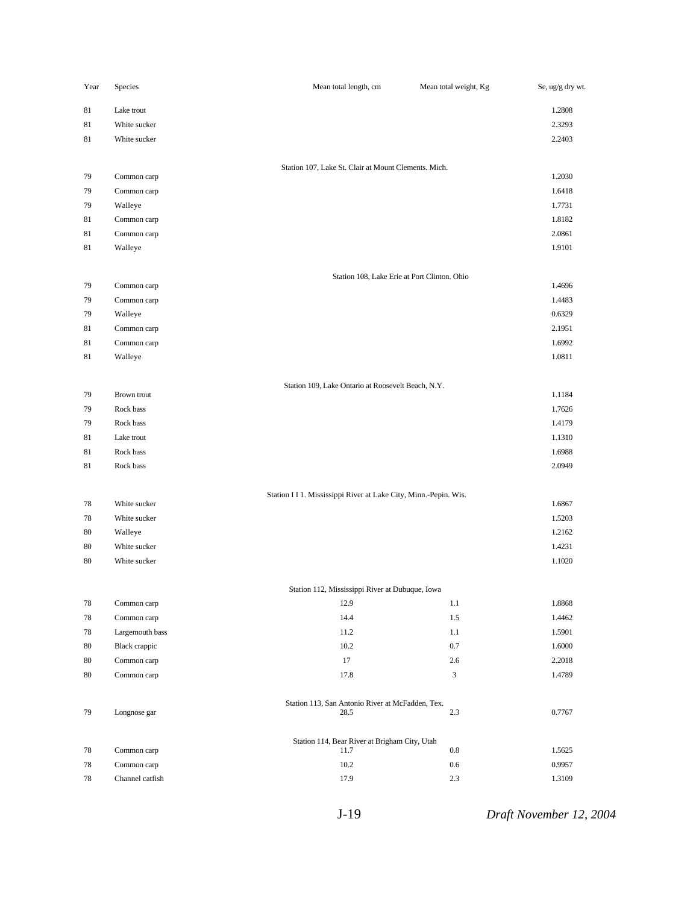| Year     | Species                  | Mean total length, cm                                            | Mean total weight, Kg | Se, ug/g dry wt. |
|----------|--------------------------|------------------------------------------------------------------|-----------------------|------------------|
| 81       | Lake trout               |                                                                  |                       | 1.2808           |
| 81       | White sucker             |                                                                  |                       | 2.3293           |
| 81       | White sucker             |                                                                  |                       | 2.2403           |
|          |                          |                                                                  |                       |                  |
| 79       | Common carp              | Station 107, Lake St. Clair at Mount Clements. Mich.             |                       | 1.2030           |
| 79       | Common carp              |                                                                  |                       | 1.6418           |
| 79       | Walleye                  |                                                                  |                       | 1.7731           |
| 81       | Common carp              |                                                                  |                       | 1.8182           |
| 81       | Common carp              |                                                                  |                       | 2.0861           |
| 81       | Walleye                  |                                                                  |                       | 1.9101           |
|          |                          |                                                                  |                       |                  |
| 79       | Common carp              | Station 108, Lake Erie at Port Clinton. Ohio                     |                       | 1.4696           |
| 79       | Common carp              |                                                                  |                       | 1.4483           |
| 79       | Walleye                  |                                                                  |                       | 0.6329           |
| 81       | Common carp              |                                                                  |                       | 2.1951           |
| 81       | Common carp              |                                                                  |                       | 1.6992           |
| 81       | Walleye                  |                                                                  |                       | 1.0811           |
|          |                          |                                                                  |                       |                  |
|          |                          | Station 109, Lake Ontario at Roosevelt Beach, N.Y.               |                       |                  |
| 79<br>79 | Brown trout<br>Rock bass |                                                                  |                       | 1.1184<br>1.7626 |
| 79       | Rock bass                |                                                                  |                       | 1.4179           |
| 81       | Lake trout               |                                                                  |                       | 1.1310           |
| 81       | Rock bass                |                                                                  |                       | 1.6988           |
| 81       | Rock bass                |                                                                  |                       | 2.0949           |
|          |                          |                                                                  |                       |                  |
|          |                          | Station I I 1. Mississippi River at Lake City, Minn.-Pepin. Wis. |                       |                  |
| 78       | White sucker             |                                                                  |                       | 1.6867           |
| 78       | White sucker             |                                                                  |                       | 1.5203           |
| 80<br>80 | Walleye<br>White sucker  |                                                                  |                       | 1.2162<br>1.4231 |
| 80       | White sucker             |                                                                  |                       | 1.1020           |
|          |                          |                                                                  |                       |                  |
|          |                          | Station 112, Mississippi River at Dubuque, Iowa                  |                       |                  |
| 78       | Common carp              | 12.9                                                             | 1.1                   | 1.8868           |
| 78       | Common carp              | 14.4                                                             | 1.5                   | 1.4462           |
| 78       | Largemouth bass          | 11.2                                                             | $1.1\,$               | 1.5901           |
| 80       | <b>Black</b> crappic     | 10.2                                                             | $0.7\,$               | 1.6000           |
| 80       | Common carp              | 17                                                               | 2.6                   | 2.2018           |
| 80       | Common carp              | 17.8                                                             | 3                     | 1.4789           |
|          |                          | Station 113, San Antonio River at McFadden, Tex.                 |                       |                  |
| 79       | Longnose gar             | 28.5                                                             | 2.3                   | 0.7767           |
|          |                          | Station 114, Bear River at Brigham City, Utah                    |                       |                  |
| 78       | Common carp              | 11.7                                                             | $0.8\,$               | 1.5625           |
| 78       | Common carp              | $10.2\,$                                                         | $0.6\,$               | 0.9957           |
| 78       | Channel catfish          | 17.9                                                             | 2.3                   | 1.3109           |

J-19 *Draft November 12, 2004*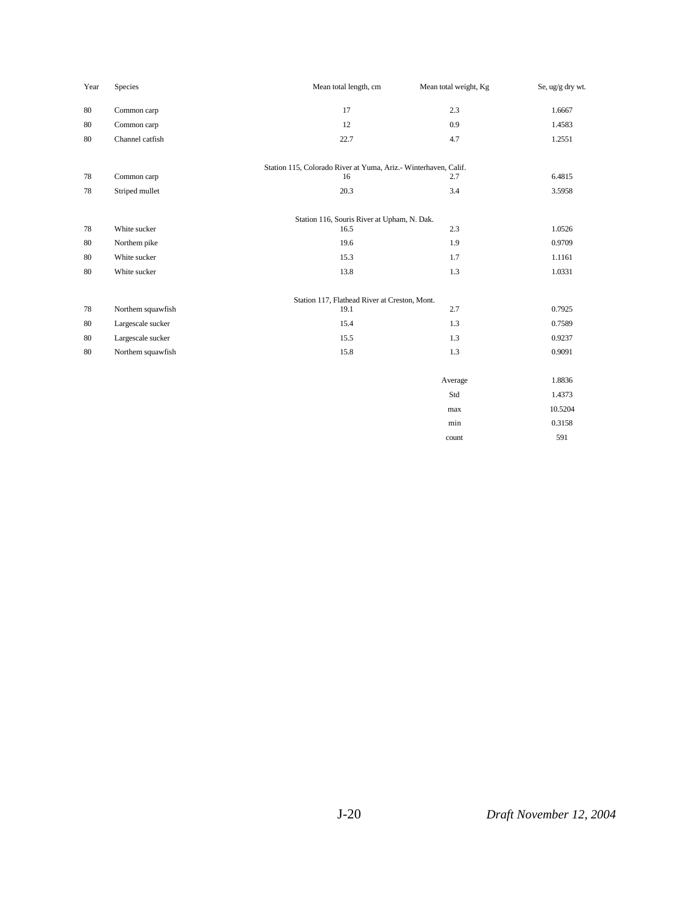| Year   | Species           | Mean total length, cm                                           | Mean total weight, Kg | Se, ug/g dry wt. |
|--------|-------------------|-----------------------------------------------------------------|-----------------------|------------------|
| 80     | Common carp       | 17                                                              | 2.3                   | 1.6667           |
| 80     | Common carp       | 12                                                              | 0.9                   | 1.4583           |
| 80     | Channel catfish   | 22.7                                                            | 4.7                   | 1.2551           |
|        |                   | Station 115, Colorado River at Yuma, Ariz.- Winterhaven, Calif. |                       |                  |
| 78     | Common carp       | 16                                                              | 2.7                   | 6.4815           |
| 78     | Striped mullet    | 20.3                                                            | 3.4                   | 3.5958           |
|        |                   | Station 116, Souris River at Upham, N. Dak.                     |                       |                  |
| 78     | White sucker      | 16.5                                                            | 2.3                   | 1.0526           |
| 80     | Northem pike      | 19.6                                                            | 1.9                   | 0.9709           |
| 80     | White sucker      | 15.3                                                            | 1.7                   | 1.1161           |
| 80     | White sucker      | 13.8                                                            | 1.3                   | 1.0331           |
|        |                   | Station 117, Flathead River at Creston, Mont.                   |                       |                  |
| 78     | Northem squawfish | 19.1                                                            | 2.7                   | 0.7925           |
| $80\,$ | Largescale sucker | 15.4                                                            | 1.3                   | 0.7589           |
| 80     | Largescale sucker | 15.5                                                            | 1.3                   | 0.9237           |
| 80     | Northem squawfish | 15.8                                                            | 1.3                   | 0.9091           |
|        |                   |                                                                 | Average               | 1.8836           |
|        |                   |                                                                 | Std                   | 1.4373           |
|        |                   |                                                                 | max                   | 10.5204          |
|        |                   |                                                                 | min                   | 0.3158           |
|        |                   |                                                                 | count                 | 591              |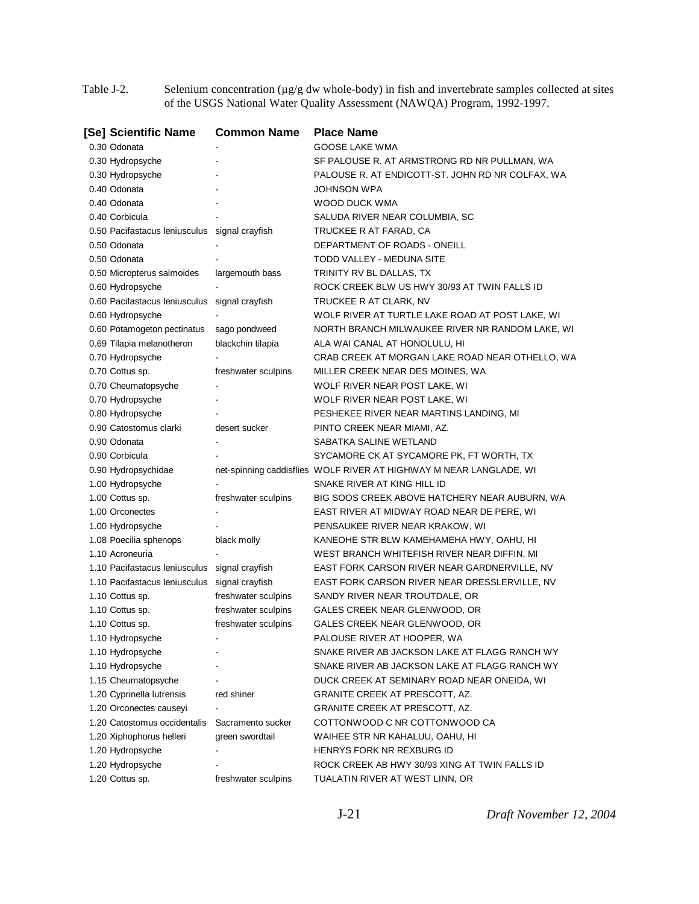Table J-2. Selenium concentration (µg/g dw whole-body) in fish and invertebrate samples collected at sites of the USGS National Water Quality Assessment (NAWQA) Program, 1992-1997.

| [Se] Scientific Name                                    | <b>Common Name</b>  | <b>Place Name</b>                                                          |
|---------------------------------------------------------|---------------------|----------------------------------------------------------------------------|
| 0.30 Odonata                                            |                     | <b>GOOSE LAKE WMA</b>                                                      |
| 0.30 Hydropsyche                                        |                     | SF PALOUSE R. AT ARMSTRONG RD NR PULLMAN, WA                               |
| 0.30 Hydropsyche                                        |                     | PALOUSE R. AT ENDICOTT-ST. JOHN RD NR COLFAX, WA                           |
| 0.40 Odonata                                            |                     | JOHNSON WPA                                                                |
| 0.40 Odonata                                            |                     | WOOD DUCK WMA                                                              |
| 0.40 Corbicula                                          |                     | SALUDA RIVER NEAR COLUMBIA, SC                                             |
| 0.50 Pacifastacus leniusculus signal crayfish           |                     | TRUCKEE R AT FARAD, CA                                                     |
| 0.50 Odonata                                            |                     | DEPARTMENT OF ROADS - ONEILL                                               |
| 0.50 Odonata                                            |                     | TODD VALLEY - MEDUNA SITE                                                  |
| 0.50 Micropterus salmoides                              | largemouth bass     | TRINITY RV BL DALLAS, TX                                                   |
| 0.60 Hydropsyche                                        |                     | ROCK CREEK BLW US HWY 30/93 AT TWIN FALLS ID                               |
| 0.60 Pacifastacus leniusculus                           | signal crayfish     | TRUCKEE R AT CLARK, NV                                                     |
| 0.60 Hydropsyche                                        |                     | WOLF RIVER AT TURTLE LAKE ROAD AT POST LAKE, WI                            |
| 0.60 Potamogeton pectinatus                             | sago pondweed       | NORTH BRANCH MILWAUKEE RIVER NR RANDOM LAKE, WI                            |
| 0.69 Tilapia melanotheron                               | blackchin tilapia   | ALA WAI CANAL AT HONOLULU, HI                                              |
| 0.70 Hydropsyche                                        |                     | CRAB CREEK AT MORGAN LAKE ROAD NEAR OTHELLO, WA                            |
| 0.70 Cottus sp.                                         | freshwater sculpins | MILLER CREEK NEAR DES MOINES, WA                                           |
| 0.70 Cheumatopsyche                                     |                     | WOLF RIVER NEAR POST LAKE, WI                                              |
| 0.70 Hydropsyche                                        |                     | WOLF RIVER NEAR POST LAKE, WI                                              |
| 0.80 Hydropsyche                                        |                     | PESHEKEE RIVER NEAR MARTINS LANDING, MI                                    |
| 0.90 Catostomus clarki                                  | desert sucker       | PINTO CREEK NEAR MIAMI, AZ.                                                |
| 0.90 Odonata                                            |                     | SABATKA SALINE WETLAND                                                     |
| 0.90 Corbicula                                          |                     | SYCAMORE CK AT SYCAMORE PK, FT WORTH, TX                                   |
| 0.90 Hydropsychidae                                     |                     | net-spinning caddisflies WOLF RIVER AT HIGHWAY M NEAR LANGLADE, WI         |
| 1.00 Hydropsyche                                        |                     | SNAKE RIVER AT KING HILL ID                                                |
| 1.00 Cottus sp.                                         | freshwater sculpins | BIG SOOS CREEK ABOVE HATCHERY NEAR AUBURN, WA                              |
| 1.00 Orconectes                                         |                     | EAST RIVER AT MIDWAY ROAD NEAR DE PERE, WI                                 |
| 1.00 Hydropsyche                                        |                     | PENSAUKEE RIVER NEAR KRAKOW, WI                                            |
| 1.08 Poecilia sphenops                                  | black molly         | KANEOHE STR BLW KAMEHAMEHA HWY, OAHU, HI                                   |
| 1.10 Acroneuria                                         |                     | WEST BRANCH WHITEFISH RIVER NEAR DIFFIN, MI                                |
| 1.10 Pacifastacus Ieniusculus                           | signal crayfish     | EAST FORK CARSON RIVER NEAR GARDNERVILLE, NV                               |
| 1.10 Pacifastacus leniusculus                           | signal crayfish     | EAST FORK CARSON RIVER NEAR DRESSLERVILLE, NV                              |
| 1.10 Cottus sp.                                         | freshwater sculpins | SANDY RIVER NEAR TROUTDALE, OR                                             |
| 1.10 Cottus sp.                                         | freshwater sculpins | GALES CREEK NEAR GLENWOOD, OR                                              |
| 1.10 Cottus sp.                                         | freshwater sculpins | GALES CREEK NEAR GLENWOOD, OR                                              |
| 1.10 Hydropsyche                                        |                     | PALOUSE RIVER AT HOOPER, WA                                                |
| 1.10 Hydropsyche                                        |                     | SNAKE RIVER AB JACKSON LAKE AT FLAGG RANCH WY                              |
| 1.10 Hydropsyche                                        |                     | SNAKE RIVER AB JACKSON LAKE AT FLAGG RANCH WY                              |
| 1.15 Cheumatopsyche                                     |                     | DUCK CREEK AT SEMINARY ROAD NEAR ONEIDA, WI                                |
| 1.20 Cyprinella lutrensis                               | red shiner          | GRANITE CREEK AT PRESCOTT, AZ.                                             |
| 1.20 Orconectes causeyi<br>1.20 Catostomus occidentalis |                     | GRANITE CREEK AT PRESCOTT, AZ.<br>COTTONWOOD C NR COTTONWOOD CA            |
|                                                         | Sacramento sucker   |                                                                            |
| 1.20 Xiphophorus helleri                                | green swordtail     | WAIHEE STR NR KAHALUU, OAHU, HI                                            |
| 1.20 Hydropsyche                                        |                     | HENRYS FORK NR REXBURG ID<br>ROCK CREEK AB HWY 30/93 XING AT TWIN FALLS ID |
| 1.20 Hydropsyche                                        |                     | TUALATIN RIVER AT WEST LINN, OR                                            |
| 1.20 Cottus sp.                                         | freshwater sculpins |                                                                            |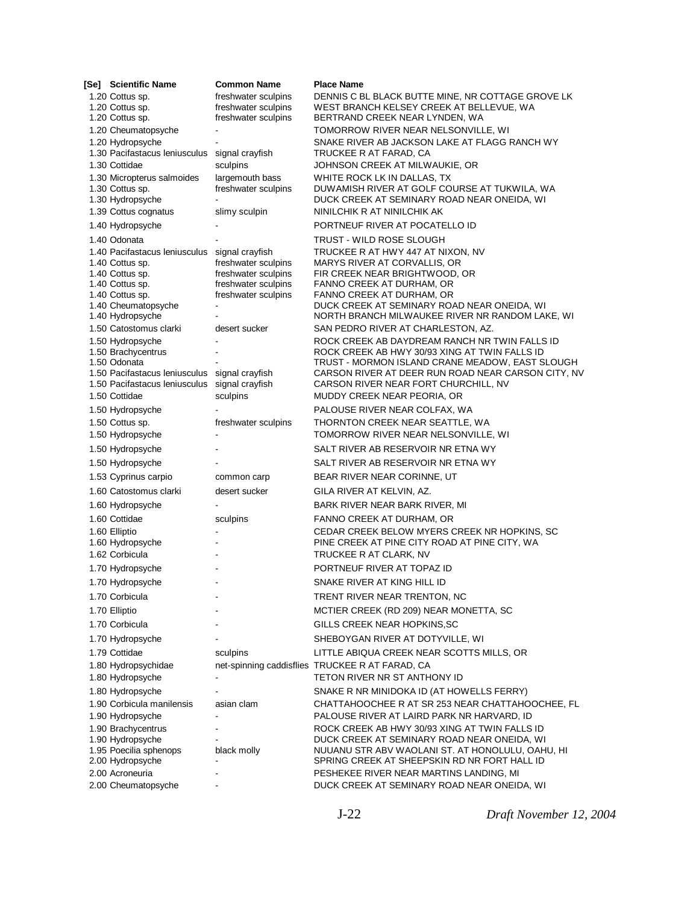| [Se] Scientific Name                                                                                   | <b>Common Name</b>                                                | <b>Place Name</b>                                                                                                                                 |
|--------------------------------------------------------------------------------------------------------|-------------------------------------------------------------------|---------------------------------------------------------------------------------------------------------------------------------------------------|
| 1.20 Cottus sp.<br>1.20 Cottus sp.                                                                     | freshwater sculpins<br>freshwater sculpins                        | DENNIS C BL BLACK BUTTE MINE, NR COTTAGE GROVE LK<br>WEST BRANCH KELSEY CREEK AT BELLEVUE, WA                                                     |
| 1.20 Cottus sp.                                                                                        | freshwater sculpins                                               | BERTRAND CREEK NEAR LYNDEN, WA                                                                                                                    |
| 1.20 Cheumatopsyche                                                                                    |                                                                   | TOMORROW RIVER NEAR NELSONVILLE, WI                                                                                                               |
| 1.20 Hydropsyche                                                                                       |                                                                   | SNAKE RIVER AB JACKSON LAKE AT FLAGG RANCH WY                                                                                                     |
| 1.30 Pacifastacus leniusculus                                                                          | signal crayfish                                                   | TRUCKEE R AT FARAD, CA                                                                                                                            |
| 1.30 Cottidae                                                                                          | sculpins                                                          | JOHNSON CREEK AT MILWAUKIE, OR                                                                                                                    |
| 1.30 Micropterus salmoides<br>1.30 Cottus sp.<br>1.30 Hydropsyche                                      | largemouth bass<br>freshwater sculpins                            | WHITE ROCK LK IN DALLAS, TX<br>DUWAMISH RIVER AT GOLF COURSE AT TUKWILA, WA<br>DUCK CREEK AT SEMINARY ROAD NEAR ONEIDA, WI                        |
| 1.39 Cottus cognatus                                                                                   | slimy sculpin                                                     | NINILCHIK R AT NINILCHIK AK                                                                                                                       |
| 1.40 Hydropsyche                                                                                       |                                                                   | PORTNEUF RIVER AT POCATELLO ID                                                                                                                    |
| 1.40 Odonata                                                                                           |                                                                   | TRUST - WILD ROSE SLOUGH                                                                                                                          |
| 1.40 Pacifastacus leniusculus signal crayfish<br>1.40 Cottus sp.<br>1.40 Cottus sp.<br>1.40 Cottus sp. | freshwater sculpins<br>freshwater sculpins<br>freshwater sculpins | TRUCKEE R AT HWY 447 AT NIXON, NV<br>MARYS RIVER AT CORVALLIS, OR<br>FIR CREEK NEAR BRIGHTWOOD, OR<br>FANNO CREEK AT DURHAM, OR                   |
| 1.40 Cottus sp.                                                                                        | freshwater sculpins                                               | FANNO CREEK AT DURHAM, OR                                                                                                                         |
| 1.40 Cheumatopsyche<br>1.40 Hydropsyche                                                                |                                                                   | DUCK CREEK AT SEMINARY ROAD NEAR ONEIDA, WI<br>NORTH BRANCH MILWAUKEE RIVER NR RANDOM LAKE, WI                                                    |
| 1.50 Catostomus clarki                                                                                 | desert sucker                                                     | SAN PEDRO RIVER AT CHARLESTON, AZ.                                                                                                                |
| 1.50 Hydropsyche<br>1.50 Brachycentrus<br>1.50 Odonata                                                 |                                                                   | ROCK CREEK AB DAYDREAM RANCH NR TWIN FALLS ID<br>ROCK CREEK AB HWY 30/93 XING AT TWIN FALLS ID<br>TRUST - MORMON ISLAND CRANE MEADOW, EAST SLOUGH |
| 1.50 Pacifastacus leniusculus                                                                          | signal crayfish                                                   | CARSON RIVER AT DEER RUN ROAD NEAR CARSON CITY, NV                                                                                                |
| 1.50 Pacifastacus Ieniusculus                                                                          | signal crayfish                                                   | CARSON RIVER NEAR FORT CHURCHILL, NV                                                                                                              |
| 1.50 Cottidae                                                                                          | sculpins                                                          | MUDDY CREEK NEAR PEORIA, OR                                                                                                                       |
| 1.50 Hydropsyche                                                                                       |                                                                   | PALOUSE RIVER NEAR COLFAX, WA                                                                                                                     |
| 1.50 Cottus sp.                                                                                        | freshwater sculpins                                               | THORNTON CREEK NEAR SEATTLE, WA                                                                                                                   |
| 1.50 Hydropsyche                                                                                       |                                                                   | TOMORROW RIVER NEAR NELSONVILLE, WI                                                                                                               |
| 1.50 Hydropsyche                                                                                       |                                                                   | SALT RIVER AB RESERVOIR NR ETNA WY                                                                                                                |
| 1.50 Hydropsyche                                                                                       |                                                                   | SALT RIVER AB RESERVOIR NR ETNA WY                                                                                                                |
| 1.53 Cyprinus carpio                                                                                   | common carp                                                       | BEAR RIVER NEAR CORINNE, UT                                                                                                                       |
| 1.60 Catostomus clarki                                                                                 | desert sucker                                                     | GILA RIVER AT KELVIN, AZ.                                                                                                                         |
| 1.60 Hydropsyche                                                                                       |                                                                   | BARK RIVER NEAR BARK RIVER, MI                                                                                                                    |
| 1.60 Cottidae                                                                                          | sculpins                                                          | FANNO CREEK AT DURHAM, OR                                                                                                                         |
| 1.60 Elliptio<br>1.60 Hydropsyche                                                                      |                                                                   | CEDAR CREEK BELOW MYERS CREEK NR HOPKINS, SC<br>PINE CREEK AT PINE CITY ROAD AT PINE CITY, WA                                                     |
| 1.62 Corbicula                                                                                         |                                                                   | TRUCKEE R AT CLARK, NV                                                                                                                            |
| 1.70 Hydropsyche                                                                                       |                                                                   | PORTNEUF RIVER AT TOPAZ ID                                                                                                                        |
| 1.70 Hydropsyche                                                                                       | $\overline{a}$                                                    | SNAKE RIVER AT KING HILL ID                                                                                                                       |
| 1.70 Corbicula                                                                                         |                                                                   | TRENT RIVER NEAR TRENTON, NC                                                                                                                      |
| 1.70 Elliptio                                                                                          |                                                                   | MCTIER CREEK (RD 209) NEAR MONETTA, SC                                                                                                            |
| 1.70 Corbicula                                                                                         |                                                                   | GILLS CREEK NEAR HOPKINS, SC                                                                                                                      |
| 1.70 Hydropsyche                                                                                       |                                                                   | SHEBOYGAN RIVER AT DOTYVILLE, WI                                                                                                                  |
| 1.79 Cottidae                                                                                          | sculpins                                                          | LITTLE ABIQUA CREEK NEAR SCOTTS MILLS, OR                                                                                                         |
| 1.80 Hydropsychidae                                                                                    |                                                                   | net-spinning caddisflies TRUCKEE R AT FARAD, CA                                                                                                   |
| 1.80 Hydropsyche                                                                                       | $\overline{\phantom{a}}$                                          | TETON RIVER NR ST ANTHONY ID                                                                                                                      |
| 1.80 Hydropsyche                                                                                       |                                                                   | SNAKE R NR MINIDOKA ID (AT HOWELLS FERRY)                                                                                                         |
| 1.90 Corbicula manilensis                                                                              | asian clam                                                        | CHATTAHOOCHEE R AT SR 253 NEAR CHATTAHOOCHEE, FL                                                                                                  |
| 1.90 Hydropsyche                                                                                       |                                                                   | PALOUSE RIVER AT LAIRD PARK NR HARVARD, ID                                                                                                        |
| 1.90 Brachycentrus                                                                                     |                                                                   | ROCK CREEK AB HWY 30/93 XING AT TWIN FALLS ID                                                                                                     |
| 1.90 Hydropsyche                                                                                       |                                                                   | DUCK CREEK AT SEMINARY ROAD NEAR ONEIDA, WI                                                                                                       |
| 1.95 Poecilia sphenops<br>2.00 Hydropsyche                                                             | black molly                                                       | NUUANU STR ABV WAOLANI ST. AT HONOLULU, OAHU, HI<br>SPRING CREEK AT SHEEPSKIN RD NR FORT HALL ID                                                  |
| 2.00 Acroneuria                                                                                        |                                                                   | PESHEKEE RIVER NEAR MARTINS LANDING, MI                                                                                                           |
| 2.00 Cheumatopsyche                                                                                    |                                                                   | DUCK CREEK AT SEMINARY ROAD NEAR ONEIDA, WI                                                                                                       |

J-22 *Draft November 12, 2004*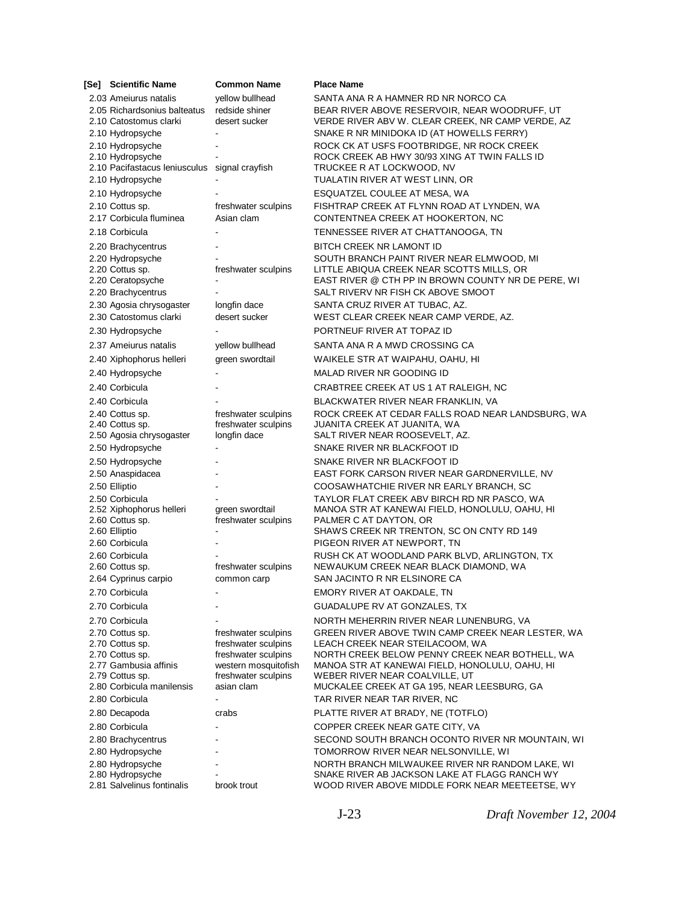| [Se] Scientific Name                          | <b>Common Name</b>   | <b>Place Name</b>                                                                       |
|-----------------------------------------------|----------------------|-----------------------------------------------------------------------------------------|
| 2.03 Ameiurus natalis                         | yellow bullhead      | SANTA ANA R A HAMNER RD NR NORCO CA                                                     |
| 2.05 Richardsonius balteatus                  | redside shiner       | BEAR RIVER ABOVE RESERVOIR, NEAR WOODRUFF, UT                                           |
| 2.10 Catostomus clarki                        | desert sucker        | VERDE RIVER ABV W. CLEAR CREEK, NR CAMP VERDE, AZ                                       |
| 2.10 Hydropsyche                              |                      | SNAKE R NR MINIDOKA ID (AT HOWELLS FERRY)                                               |
| 2.10 Hydropsyche                              |                      | ROCK CK AT USFS FOOTBRIDGE, NR ROCK CREEK                                               |
| 2.10 Hydropsyche                              |                      | ROCK CREEK AB HWY 30/93 XING AT TWIN FALLS ID                                           |
| 2.10 Pacifastacus leniusculus signal crayfish |                      | TRUCKEE R AT LOCKWOOD, NV                                                               |
| 2.10 Hydropsyche                              |                      | TUALATIN RIVER AT WEST LINN, OR                                                         |
| 2.10 Hydropsyche                              |                      | ESQUATZEL COULEE AT MESA, WA                                                            |
| 2.10 Cottus sp.                               | freshwater sculpins  | FISHTRAP CREEK AT FLYNN ROAD AT LYNDEN, WA                                              |
| 2.17 Corbicula fluminea                       | Asian clam           | CONTENTNEA CREEK AT HOOKERTON, NC                                                       |
| 2.18 Corbicula                                |                      | TENNESSEE RIVER AT CHATTANOOGA, TN                                                      |
| 2.20 Brachycentrus                            |                      | <b>BITCH CREEK NR LAMONT ID</b>                                                         |
| 2.20 Hydropsyche                              |                      | SOUTH BRANCH PAINT RIVER NEAR ELMWOOD, MI                                               |
| 2.20 Cottus sp.                               | freshwater sculpins  | LITTLE ABIQUA CREEK NEAR SCOTTS MILLS, OR                                               |
| 2.20 Ceratopsyche                             |                      | EAST RIVER @ CTH PP IN BROWN COUNTY NR DE PERE, WI                                      |
| 2.20 Brachycentrus                            |                      | SALT RIVERV NR FISH CK ABOVE SMOOT                                                      |
| 2.30 Agosia chrysogaster                      | longfin dace         | SANTA CRUZ RIVER AT TUBAC, AZ.                                                          |
| 2.30 Catostomus clarki                        | desert sucker        | WEST CLEAR CREEK NEAR CAMP VERDE, AZ.                                                   |
| 2.30 Hydropsyche                              |                      | PORTNEUF RIVER AT TOPAZ ID                                                              |
| 2.37 Ameiurus natalis                         | yellow bullhead      | SANTA ANA R A MWD CROSSING CA                                                           |
| 2.40 Xiphophorus helleri                      | green swordtail      | WAIKELE STR AT WAIPAHU, OAHU, HI                                                        |
| 2.40 Hydropsyche                              |                      | <b>MALAD RIVER NR GOODING ID</b>                                                        |
| 2.40 Corbicula                                |                      | CRABTREE CREEK AT US 1 AT RALEIGH, NC                                                   |
| 2.40 Corbicula                                |                      | BLACKWATER RIVER NEAR FRANKLIN, VA                                                      |
| 2.40 Cottus sp.                               | freshwater sculpins  | ROCK CREEK AT CEDAR FALLS ROAD NEAR LANDSBURG, WA                                       |
| 2.40 Cottus sp.                               | freshwater sculpins  | JUANITA CREEK AT JUANITA, WA                                                            |
| 2.50 Agosia chrysogaster                      | longfin dace         | SALT RIVER NEAR ROOSEVELT, AZ.                                                          |
| 2.50 Hydropsyche                              |                      | SNAKE RIVER NR BLACKFOOT ID                                                             |
| 2.50 Hydropsyche                              |                      | SNAKE RIVER NR BLACKFOOT ID                                                             |
| 2.50 Anaspidacea                              |                      | EAST FORK CARSON RIVER NEAR GARDNERVILLE, NV                                            |
| 2.50 Elliptio                                 |                      | COOSAWHATCHIE RIVER NR EARLY BRANCH, SC                                                 |
| 2.50 Corbicula                                |                      | TAYLOR FLAT CREEK ABV BIRCH RD NR PASCO, WA                                             |
| 2.52 Xiphophorus helleri                      | green swordtail      | MANOA STR AT KANEWAI FIELD, HONOLULU, OAHU, HI                                          |
| 2.60 Cottus sp.<br>2.60 Elliptio              | freshwater sculpins  | PALMER C AT DAYTON, OR<br>SHAWS CREEK NR TRENTON, SC ON CNTY RD 149                     |
| 2.60 Corbicula                                |                      | PIGEON RIVER AT NEWPORT, TN                                                             |
| 2.60 Corbicula                                |                      | RUSH CK AT WOODLAND PARK BLVD, ARLINGTON, TX                                            |
| 2.60 Cottus sp.                               | freshwater sculpins  | NEWAUKUM CREEK NEAR BLACK DIAMOND, WA                                                   |
| 2.64 Cyprinus carpio                          | common carp          | SAN JACINTO R NR ELSINORE CA                                                            |
| 2.70 Corbicula                                |                      | EMORY RIVER AT OAKDALE, TN                                                              |
| 2.70 Corbicula                                |                      | GUADALUPE RV AT GONZALES, TX                                                            |
| 2.70 Corbicula                                |                      | NORTH MEHERRIN RIVER NEAR LUNENBURG, VA                                                 |
| 2.70 Cottus sp.                               | freshwater sculpins  | GREEN RIVER ABOVE TWIN CAMP CREEK NEAR LESTER, WA                                       |
| 2.70 Cottus sp.                               | freshwater sculpins  | LEACH CREEK NEAR STEILACOOM, WA                                                         |
| 2.70 Cottus sp.                               | freshwater sculpins  | NORTH CREEK BELOW PENNY CREEK NEAR BOTHELL, WA                                          |
| 2.77 Gambusia affinis                         | western mosquitofish | MANOA STR AT KANEWAI FIELD, HONOLULU, OAHU, HI                                          |
| 2.79 Cottus sp.                               | freshwater sculpins  | WEBER RIVER NEAR COALVILLE, UT                                                          |
| 2.80 Corbicula manilensis                     | asian clam           | MUCKALEE CREEK AT GA 195, NEAR LEESBURG, GA                                             |
| 2.80 Corbicula                                |                      | TAR RIVER NEAR TAR RIVER, NC                                                            |
| 2.80 Decapoda                                 | crabs                | PLATTE RIVER AT BRADY, NE (TOTFLO)                                                      |
| 2.80 Corbicula                                |                      | COPPER CREEK NEAR GATE CITY, VA                                                         |
| 2.80 Brachycentrus<br>2.80 Hydropsyche        |                      | SECOND SOUTH BRANCH OCONTO RIVER NR MOUNTAIN, WI<br>TOMORROW RIVER NEAR NELSONVILLE, WI |
|                                               |                      | NORTH BRANCH MILWAUKEE RIVER NR RANDOM LAKE, WI                                         |
| 2.80 Hydropsyche<br>2.80 Hydropsyche          |                      | SNAKE RIVER AB JACKSON LAKE AT FLAGG RANCH WY                                           |
| 2.81 Salvelinus fontinalis                    | brook trout          | WOOD RIVER ABOVE MIDDLE FORK NEAR MEETEETSE, WY                                         |

J-23 *Draft November 12, 2004*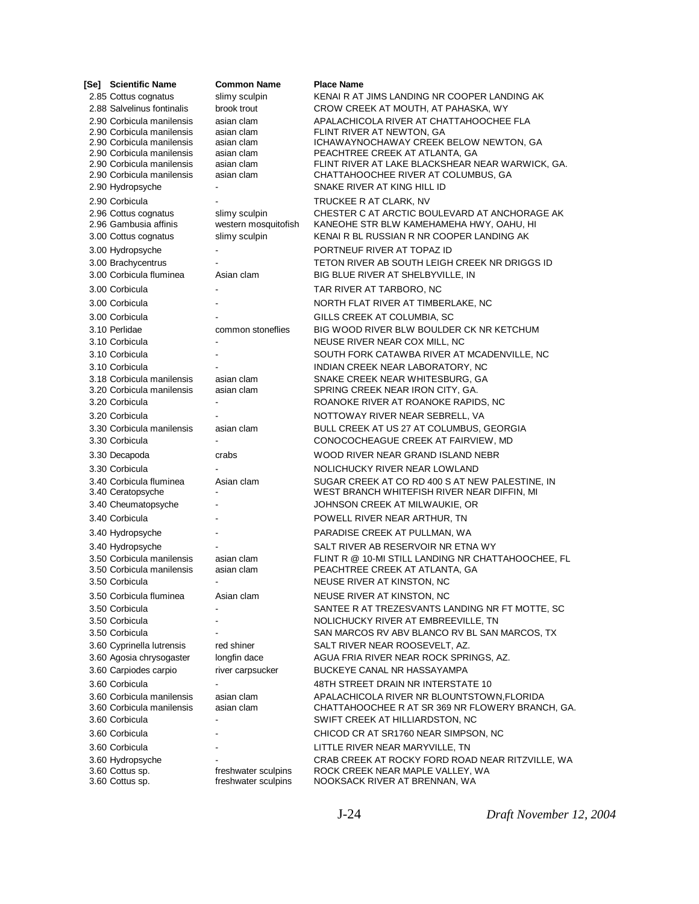| [Se] Scientific Name                                   | <b>Common Name</b>         | <b>Place Name</b>                                                        |
|--------------------------------------------------------|----------------------------|--------------------------------------------------------------------------|
| 2.85 Cottus cognatus                                   | slimy sculpin              | KENAI R AT JIMS LANDING NR COOPER LANDING AK                             |
| 2.88 Salvelinus fontinalis                             | brook trout                | CROW CREEK AT MOUTH, AT PAHASKA, WY                                      |
| 2.90 Corbicula manilensis                              | asian clam                 | APALACHICOLA RIVER AT CHATTAHOOCHEE FLA                                  |
| 2.90 Corbicula manilensis                              | asian clam                 | FLINT RIVER AT NEWTON, GA                                                |
| 2.90 Corbicula manilensis<br>2.90 Corbicula manilensis | asian clam<br>asian clam   | ICHAWAYNOCHAWAY CREEK BELOW NEWTON, GA<br>PEACHTREE CREEK AT ATLANTA, GA |
| 2.90 Corbicula manilensis                              | asian clam                 | FLINT RIVER AT LAKE BLACKSHEAR NEAR WARWICK, GA.                         |
| 2.90 Corbicula manilensis                              | asian clam                 | CHATTAHOOCHEE RIVER AT COLUMBUS, GA                                      |
| 2.90 Hydropsyche                                       |                            | SNAKE RIVER AT KING HILL ID                                              |
| 2.90 Corbicula                                         |                            | TRUCKEE R AT CLARK, NV                                                   |
| 2.96 Cottus cognatus                                   | slimy sculpin              | CHESTER C AT ARCTIC BOULEVARD AT ANCHORAGE AK                            |
| 2.96 Gambusia affinis                                  | western mosquitofish       | KANEOHE STR BLW KAMEHAMEHA HWY, OAHU, HI                                 |
| 3.00 Cottus cognatus                                   | slimy sculpin              | KENAI R BL RUSSIAN R NR COOPER LANDING AK                                |
| 3.00 Hydropsyche                                       |                            | PORTNEUF RIVER AT TOPAZ ID                                               |
| 3.00 Brachycentrus                                     |                            | TETON RIVER AB SOUTH LEIGH CREEK NR DRIGGS ID                            |
| 3.00 Corbicula fluminea                                | Asian clam                 | BIG BLUE RIVER AT SHELBYVILLE, IN                                        |
| 3.00 Corbicula                                         |                            | TAR RIVER AT TARBORO, NC                                                 |
| 3.00 Corbicula                                         |                            | NORTH FLAT RIVER AT TIMBERLAKE, NC                                       |
| 3.00 Corbicula                                         |                            | GILLS CREEK AT COLUMBIA, SC                                              |
| 3.10 Perlidae                                          | common stoneflies          | BIG WOOD RIVER BLW BOULDER CK NR KETCHUM                                 |
| 3.10 Corbicula                                         | $\blacksquare$             | NEUSE RIVER NEAR COX MILL, NC                                            |
| 3.10 Corbicula                                         |                            | SOUTH FORK CATAWBA RIVER AT MCADENVILLE, NC                              |
| 3.10 Corbicula                                         |                            | INDIAN CREEK NEAR LABORATORY, NC                                         |
| 3.18 Corbicula manilensis<br>3.20 Corbicula manilensis | asian clam<br>asian clam   | SNAKE CREEK NEAR WHITESBURG, GA<br>SPRING CREEK NEAR IRON CITY, GA.      |
| 3.20 Corbicula                                         |                            | ROANOKE RIVER AT ROANOKE RAPIDS, NC                                      |
| 3.20 Corbicula                                         |                            | NOTTOWAY RIVER NEAR SEBRELL, VA                                          |
| 3.30 Corbicula manilensis                              | asian clam                 | BULL CREEK AT US 27 AT COLUMBUS, GEORGIA                                 |
| 3.30 Corbicula                                         |                            | CONOCOCHEAGUE CREEK AT FAIRVIEW, MD                                      |
| 3.30 Decapoda                                          | crabs                      | WOOD RIVER NEAR GRAND ISLAND NEBR                                        |
| 3.30 Corbicula                                         |                            | NOLICHUCKY RIVER NEAR LOWLAND                                            |
| 3.40 Corbicula fluminea                                | Asian clam                 | SUGAR CREEK AT CO RD 400 S AT NEW PALESTINE, IN                          |
| 3.40 Ceratopsyche                                      |                            | WEST BRANCH WHITEFISH RIVER NEAR DIFFIN, MI                              |
| 3.40 Cheumatopsyche                                    |                            | JOHNSON CREEK AT MILWAUKIE, OR                                           |
| 3.40 Corbicula                                         |                            | POWELL RIVER NEAR ARTHUR, TN                                             |
| 3.40 Hydropsyche                                       |                            | PARADISE CREEK AT PULLMAN, WA                                            |
| 3.40 Hydropsyche                                       |                            | SALT RIVER AB RESERVOIR NR ETNA WY                                       |
| 3.50 Corbicula manilensis                              | asian clam                 | FLINT R @ 10-MI STILL LANDING NR CHATTAHOOCHEE, FL                       |
| 3.50 Corbicula manilensis                              | asian clam                 | PEACHTREE CREEK AT ATLANTA, GA                                           |
| 3.50 Corbicula                                         |                            | NEUSE RIVER AT KINSTON, NC                                               |
| 3.50 Corbicula fluminea                                | Asian clam                 | NEUSE RIVER AT KINSTON, NC                                               |
| 3.50 Corbicula                                         |                            | SANTEE R AT TREZESVANTS LANDING NR FT MOTTE, SC                          |
| 3.50 Corbicula                                         |                            | NOLICHUCKY RIVER AT EMBREEVILLE, TN                                      |
| 3.50 Corbicula                                         |                            | SAN MARCOS RV ABV BLANCO RV BL SAN MARCOS, TX                            |
| 3.60 Cyprinella lutrensis<br>3.60 Agosia chrysogaster  | red shiner<br>longfin dace | SALT RIVER NEAR ROOSEVELT, AZ.<br>AGUA FRIA RIVER NEAR ROCK SPRINGS, AZ. |
| 3.60 Carpiodes carpio                                  | river carpsucker           | <b>BUCKEYE CANAL NR HASSAYAMPA</b>                                       |
| 3.60 Corbicula                                         |                            | 48TH STREET DRAIN NR INTERSTATE 10                                       |
| 3.60 Corbicula manilensis                              | asian clam                 | APALACHICOLA RIVER NR BLOUNTSTOWN, FLORIDA                               |
| 3.60 Corbicula manilensis                              | asian clam                 | CHATTAHOOCHEE R AT SR 369 NR FLOWERY BRANCH, GA.                         |
| 3.60 Corbicula                                         |                            | SWIFT CREEK AT HILLIARDSTON, NC                                          |
| 3.60 Corbicula                                         |                            | CHICOD CR AT SR1760 NEAR SIMPSON, NC                                     |
| 3.60 Corbicula                                         |                            | LITTLE RIVER NEAR MARYVILLE, TN                                          |
| 3.60 Hydropsyche                                       |                            | CRAB CREEK AT ROCKY FORD ROAD NEAR RITZVILLE, WA                         |
| 3.60 Cottus sp.                                        | freshwater sculpins        | ROCK CREEK NEAR MAPLE VALLEY, WA                                         |
| 3.60 Cottus sp.                                        | freshwater sculpins        | NOOKSACK RIVER AT BRENNAN, WA                                            |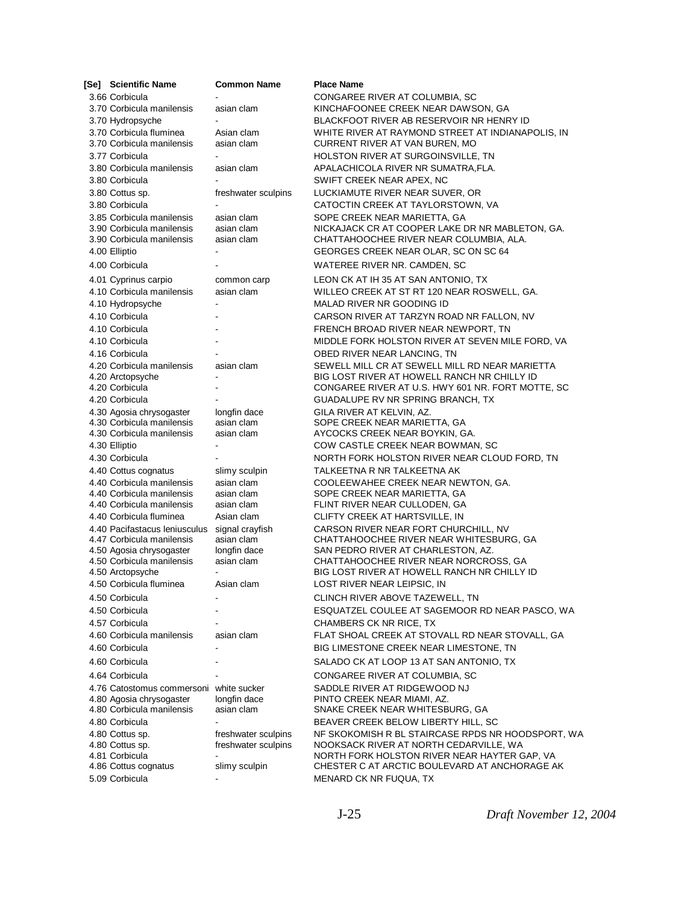| [Se] Scientific Name                                   | <b>Common Name</b>        | <b>Place Name</b>                                                                          |
|--------------------------------------------------------|---------------------------|--------------------------------------------------------------------------------------------|
| 3.66 Corbicula                                         |                           | CONGAREE RIVER AT COLUMBIA, SC                                                             |
| 3.70 Corbicula manilensis                              | asian clam                | KINCHAFOONEE CREEK NEAR DAWSON, GA                                                         |
| 3.70 Hydropsyche                                       |                           | BLACKFOOT RIVER AB RESERVOIR NR HENRY ID                                                   |
| 3.70 Corbicula fluminea                                | Asian clam                | WHITE RIVER AT RAYMOND STREET AT INDIANAPOLIS, IN                                          |
| 3.70 Corbicula manilensis                              | asian clam                | CURRENT RIVER AT VAN BUREN, MO                                                             |
| 3.77 Corbicula                                         |                           | HOLSTON RIVER AT SURGOINSVILLE, TN                                                         |
| 3.80 Corbicula manilensis                              | asian clam                | APALACHICOLA RIVER NR SUMATRA,FLA.                                                         |
| 3.80 Corbicula                                         |                           | SWIFT CREEK NEAR APEX, NC                                                                  |
| 3.80 Cottus sp.                                        | freshwater sculpins       | LUCKIAMUTE RIVER NEAR SUVER, OR                                                            |
| 3.80 Corbicula                                         |                           | CATOCTIN CREEK AT TAYLORSTOWN, VA                                                          |
| 3.85 Corbicula manilensis<br>3.90 Corbicula manilensis | asian clam<br>asian clam  | SOPE CREEK NEAR MARIETTA, GA                                                               |
| 3.90 Corbicula manilensis                              | asian clam                | NICKAJACK CR AT COOPER LAKE DR NR MABLETON, GA.<br>CHATTAHOOCHEE RIVER NEAR COLUMBIA, ALA. |
| 4.00 Elliptio                                          |                           | GEORGES CREEK NEAR OLAR, SC ON SC 64                                                       |
| 4.00 Corbicula                                         |                           | WATEREE RIVER NR. CAMDEN, SC                                                               |
|                                                        |                           |                                                                                            |
| 4.01 Cyprinus carpio<br>4.10 Corbicula manilensis      | common carp<br>asian clam | LEON CK AT IH 35 AT SAN ANTONIO, TX                                                        |
| 4.10 Hydropsyche                                       |                           | WILLEO CREEK AT ST RT 120 NEAR ROSWELL, GA.<br>MALAD RIVER NR GOODING ID                   |
|                                                        |                           |                                                                                            |
| 4.10 Corbicula<br>4.10 Corbicula                       |                           | CARSON RIVER AT TARZYN ROAD NR FALLON, NV<br>FRENCH BROAD RIVER NEAR NEWPORT, TN           |
| 4.10 Corbicula                                         |                           |                                                                                            |
| 4.16 Corbicula                                         |                           | MIDDLE FORK HOLSTON RIVER AT SEVEN MILE FORD, VA<br>OBED RIVER NEAR LANCING, TN            |
| 4.20 Corbicula manilensis                              | asian clam                | SEWELL MILL CR AT SEWELL MILL RD NEAR MARIETTA                                             |
| 4.20 Arctopsyche                                       |                           | BIG LOST RIVER AT HOWELL RANCH NR CHILLY ID                                                |
| 4.20 Corbicula                                         |                           | CONGAREE RIVER AT U.S. HWY 601 NR. FORT MOTTE, SC                                          |
| 4.20 Corbicula                                         |                           | GUADALUPE RV NR SPRING BRANCH, TX                                                          |
| 4.30 Agosia chrysogaster                               | longfin dace              | GILA RIVER AT KELVIN, AZ.                                                                  |
| 4.30 Corbicula manilensis                              | asian clam                | SOPE CREEK NEAR MARIETTA, GA                                                               |
| 4.30 Corbicula manilensis                              | asian clam                | AYCOCKS CREEK NEAR BOYKIN, GA.                                                             |
| 4.30 Elliptio                                          |                           | COW CASTLE CREEK NEAR BOWMAN, SC                                                           |
| 4.30 Corbicula                                         |                           | NORTH FORK HOLSTON RIVER NEAR CLOUD FORD, TN                                               |
| 4.40 Cottus cognatus                                   | slimy sculpin             | TALKEETNA R NR TALKEETNA AK                                                                |
| 4.40 Corbicula manilensis                              | asian clam                | COOLEEWAHEE CREEK NEAR NEWTON, GA.                                                         |
| 4.40 Corbicula manilensis<br>4.40 Corbicula manilensis | asian clam<br>asian clam  | SOPE CREEK NEAR MARIETTA, GA<br>FLINT RIVER NEAR CULLODEN, GA                              |
| 4.40 Corbicula fluminea                                | Asian clam                | CLIFTY CREEK AT HARTSVILLE, IN                                                             |
| 4.40 Pacifastacus Ieniusculus                          | signal crayfish           | CARSON RIVER NEAR FORT CHURCHILL, NV                                                       |
| 4.47 Corbicula manilensis                              | asian clam                | CHATTAHOOCHEE RIVER NEAR WHITESBURG, GA                                                    |
| 4.50 Agosia chrysogaster                               | longfin dace              | SAN PEDRO RIVER AT CHARLESTON, AZ.                                                         |
| 4.50 Corbicula manilensis                              | asian clam                | CHATTAHOOCHEE RIVER NEAR NORCROSS, GA                                                      |
| 4.50 Arctopsyche                                       |                           | BIG LOST RIVER AT HOWELL RANCH NR CHILLY ID                                                |
| 4.50 Corbicula fluminea                                | Asian clam                | LOST RIVER NEAR LEIPSIC, IN                                                                |
| 4.50 Corbicula                                         |                           | CLINCH RIVER ABOVE TAZEWELL, TN                                                            |
| 4.50 Corbicula                                         |                           | ESQUATZEL COULEE AT SAGEMOOR RD NEAR PASCO, WA                                             |
| 4.57 Corbicula                                         |                           | <b>CHAMBERS CK NR RICE, TX</b>                                                             |
| 4.60 Corbicula manilensis                              | asian clam                | FLAT SHOAL CREEK AT STOVALL RD NEAR STOVALL, GA                                            |
| 4.60 Corbicula                                         |                           | BIG LIMESTONE CREEK NEAR LIMESTONE, TN                                                     |
| 4.60 Corbicula                                         |                           | SALADO CK AT LOOP 13 AT SAN ANTONIO, TX                                                    |
| 4.64 Corbicula                                         |                           | CONGAREE RIVER AT COLUMBIA, SC                                                             |
| 4.76 Catostomus commersoni white sucker                |                           | SADDLE RIVER AT RIDGEWOOD NJ                                                               |
| 4.80 Agosia chrysogaster                               | longfin dace              | PINTO CREEK NEAR MIAMI, AZ.                                                                |
| 4.80 Corbicula manilensis                              | asian clam                | SNAKE CREEK NEAR WHITESBURG, GA                                                            |
| 4.80 Corbicula                                         |                           | BEAVER CREEK BELOW LIBERTY HILL, SC                                                        |
| 4.80 Cottus sp.                                        | freshwater sculpins       | NF SKOKOMISH R BL STAIRCASE RPDS NR HOODSPORT, WA                                          |
| 4.80 Cottus sp.<br>4.81 Corbicula                      | freshwater sculpins       | NOOKSACK RIVER AT NORTH CEDARVILLE, WA<br>NORTH FORK HOLSTON RIVER NEAR HAYTER GAP, VA     |
| 4.86 Cottus cognatus                                   | slimy sculpin             | CHESTER C AT ARCTIC BOULEVARD AT ANCHORAGE AK                                              |
| 5.09 Corbicula                                         |                           | MENARD CK NR FUQUA, TX                                                                     |
|                                                        |                           |                                                                                            |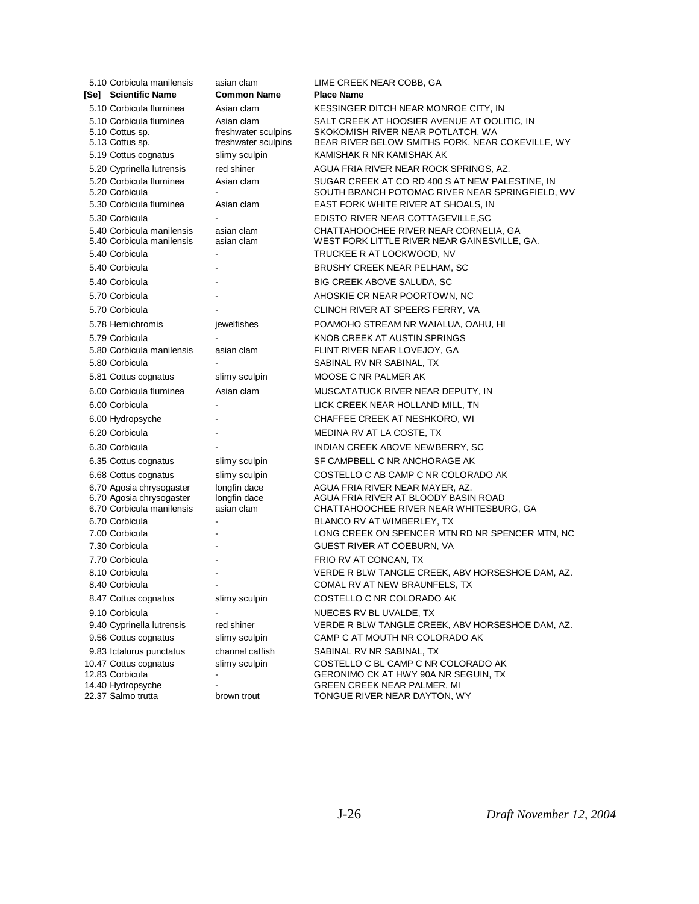| 5.10 Corbicula manilensis                             | asian clam                           | LIME CREEK NEAR COBB, GA                                                                  |
|-------------------------------------------------------|--------------------------------------|-------------------------------------------------------------------------------------------|
| [Se] Scientific Name                                  | <b>Common Name</b>                   | <b>Place Name</b>                                                                         |
| 5.10 Corbicula fluminea                               | Asian clam                           | KESSINGER DITCH NEAR MONROE CITY, IN                                                      |
| 5.10 Corbicula fluminea                               | Asian clam                           | SALT CREEK AT HOOSIER AVENUE AT OOLITIC, IN                                               |
| 5.10 Cottus sp.<br>5.13 Cottus sp.                    | freshwater sculpins                  | SKOKOMISH RIVER NEAR POTLATCH, WA                                                         |
| 5.19 Cottus cognatus                                  | freshwater sculpins<br>slimy sculpin | BEAR RIVER BELOW SMITHS FORK, NEAR COKEVILLE, WY<br>KAMISHAK R NR KAMISHAK AK             |
|                                                       |                                      |                                                                                           |
| 5.20 Cyprinella lutrensis<br>5.20 Corbicula fluminea  | red shiner<br>Asian clam             | AGUA FRIA RIVER NEAR ROCK SPRINGS, AZ.<br>SUGAR CREEK AT CO RD 400 S AT NEW PALESTINE, IN |
| 5.20 Corbicula                                        |                                      | SOUTH BRANCH POTOMAC RIVER NEAR SPRINGFIELD, WV                                           |
| 5.30 Corbicula fluminea                               | Asian clam                           | EAST FORK WHITE RIVER AT SHOALS, IN                                                       |
| 5.30 Corbicula                                        |                                      | EDISTO RIVER NEAR COTTAGEVILLE, SC                                                        |
| 5.40 Corbicula manilensis                             | asian clam                           | CHATTAHOOCHEE RIVER NEAR CORNELIA, GA                                                     |
| 5.40 Corbicula manilensis                             | asian clam                           | WEST FORK LITTLE RIVER NEAR GAINESVILLE, GA.                                              |
| 5.40 Corbicula                                        |                                      | TRUCKEE R AT LOCKWOOD, NV                                                                 |
| 5.40 Corbicula                                        |                                      | BRUSHY CREEK NEAR PELHAM, SC                                                              |
| 5.40 Corbicula                                        |                                      | BIG CREEK ABOVE SALUDA, SC                                                                |
| 5.70 Corbicula                                        |                                      | AHOSKIE CR NEAR POORTOWN, NC                                                              |
| 5.70 Corbicula                                        |                                      | CLINCH RIVER AT SPEERS FERRY, VA                                                          |
| 5.78 Hemichromis                                      | jewelfishes                          | POAMOHO STREAM NR WAIALUA, OAHU, HI                                                       |
| 5.79 Corbicula                                        |                                      | KNOB CREEK AT AUSTIN SPRINGS                                                              |
| 5.80 Corbicula manilensis                             | asian clam                           | FLINT RIVER NEAR LOVEJOY, GA                                                              |
| 5.80 Corbicula                                        |                                      | SABINAL RV NR SABINAL, TX                                                                 |
| 5.81 Cottus cognatus                                  | slimy sculpin                        | MOOSE C NR PALMER AK                                                                      |
| 6.00 Corbicula fluminea                               | Asian clam                           | MUSCATATUCK RIVER NEAR DEPUTY, IN                                                         |
| 6.00 Corbicula                                        |                                      | LICK CREEK NEAR HOLLAND MILL, TN                                                          |
| 6.00 Hydropsyche                                      |                                      | CHAFFEE CREEK AT NESHKORO, WI                                                             |
| 6.20 Corbicula                                        |                                      | MEDINA RV AT LA COSTE, TX                                                                 |
| 6.30 Corbicula                                        |                                      | INDIAN CREEK ABOVE NEWBERRY, SC                                                           |
| 6.35 Cottus cognatus                                  | slimy sculpin                        | SF CAMPBELL C NR ANCHORAGE AK                                                             |
| 6.68 Cottus cognatus                                  | slimy sculpin                        | COSTELLO C AB CAMP C NR COLORADO AK                                                       |
| 6.70 Agosia chrysogaster                              | longfin dace                         | AGUA FRIA RIVER NEAR MAYER, AZ.                                                           |
| 6.70 Agosia chrysogaster<br>6.70 Corbicula manilensis | longfin dace<br>asian clam           | AGUA FRIA RIVER AT BLOODY BASIN ROAD<br>CHATTAHOOCHEE RIVER NEAR WHITESBURG, GA           |
| 6.70 Corbicula                                        |                                      | BLANCO RV AT WIMBERLEY, TX                                                                |
| 7.00 Corbicula                                        |                                      | LONG CREEK ON SPENCER MTN RD NR SPENCER MTN, NC                                           |
| 7.30 Corbicula                                        |                                      | GUEST RIVER AT COEBURN, VA                                                                |
| 7.70 Corbicula                                        |                                      | FRIO RV AT CONCAN, TX                                                                     |
| 8.10 Corbicula                                        |                                      | VERDE R BLW TANGLE CREEK, ABV HORSESHOE DAM, AZ.                                          |
| 8.40 Corbicula                                        | $\blacksquare$                       | COMAL RV AT NEW BRAUNFELS, TX                                                             |
| 8.47 Cottus cognatus                                  | slimy sculpin                        | COSTELLO C NR COLORADO AK                                                                 |
| 9.10 Corbicula                                        |                                      | NUECES RV BL UVALDE, TX                                                                   |
| 9.40 Cyprinella lutrensis                             | red shiner                           | VERDE R BLW TANGLE CREEK, ABV HORSESHOE DAM, AZ.                                          |
| 9.56 Cottus cognatus                                  | slimy sculpin                        | CAMP C AT MOUTH NR COLORADO AK                                                            |
| 9.83 Ictalurus punctatus                              | channel catfish                      | SABINAL RV NR SABINAL, TX                                                                 |
| 10.47 Cottus cognatus                                 | slimy sculpin                        | COSTELLO C BL CAMP C NR COLORADO AK                                                       |
| 12.83 Corbicula<br>14.40 Hydropsyche                  |                                      | GERONIMO CK AT HWY 90A NR SEGUIN, TX<br>GREEN CREEK NEAR PALMER, MI                       |
| 22.37 Salmo trutta                                    | brown trout                          | TONGUE RIVER NEAR DAYTON, WY                                                              |
|                                                       |                                      |                                                                                           |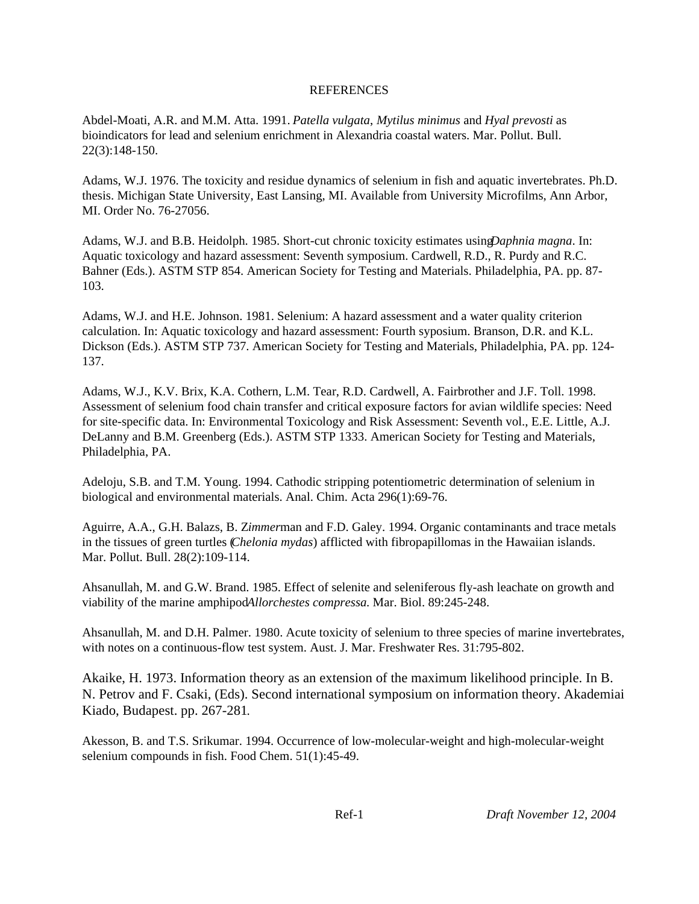### REFERENCES

Abdel-Moati, A.R. and M.M. Atta. 1991. *Patella vulgata*, *Mytilus minimus* and *Hyal prevosti* as bioindicators for lead and selenium enrichment in Alexandria coastal waters. Mar. Pollut. Bull. 22(3):148-150.

Adams, W.J. 1976. The toxicity and residue dynamics of selenium in fish and aquatic invertebrates. Ph.D. thesis. Michigan State University, East Lansing, MI. Available from University Microfilms, Ann Arbor, MI. Order No. 76-27056.

Adams, W.J. and B.B. Heidolph. 1985. Short-cut chronic toxicity estimates using *Daphnia magna*. In: Aquatic toxicology and hazard assessment: Seventh symposium. Cardwell, R.D., R. Purdy and R.C. Bahner (Eds.). ASTM STP 854. American Society for Testing and Materials. Philadelphia, PA. pp. 87- 103.

Adams, W.J. and H.E. Johnson. 1981. Selenium: A hazard assessment and a water quality criterion calculation. In: Aquatic toxicology and hazard assessment: Fourth syposium. Branson, D.R. and K.L. Dickson (Eds.). ASTM STP 737. American Society for Testing and Materials, Philadelphia, PA. pp. 124- 137.

Adams, W.J., K.V. Brix, K.A. Cothern, L.M. Tear, R.D. Cardwell, A. Fairbrother and J.F. Toll. 1998. Assessment of selenium food chain transfer and critical exposure factors for avian wildlife species: Need for site-specific data. In: Environmental Toxicology and Risk Assessment: Seventh vol., E.E. Little, A.J. DeLanny and B.M. Greenberg (Eds.). ASTM STP 1333. American Society for Testing and Materials, Philadelphia, PA.

Adeloju, S.B. and T.M. Young. 1994. Cathodic stripping potentiometric determination of selenium in biological and environmental materials. Anal. Chim. Acta 296(1):69-76.

Aguirre, A.A., G.H. Balazs, B. Z*immer*man and F.D. Galey. 1994. Organic contaminants and trace metals in the tissues of green turtles (*Chelonia mydas*) afflicted with fibropapillomas in the Hawaiian islands. Mar. Pollut. Bull. 28(2):109-114.

Ahsanullah, M. and G.W. Brand. 1985. Effect of selenite and seleniferous fly-ash leachate on growth and viability of the marine amphipodAllorchestes compressa. Mar. Biol. 89:245-248.

Ahsanullah, M. and D.H. Palmer. 1980. Acute toxicity of selenium to three species of marine invertebrates, with notes on a continuous-flow test system. Aust. J. Mar. Freshwater Res. 31:795-802.

Akaike, H. 1973. Information theory as an extension of the maximum likelihood principle. In B. N. Petrov and F. Csaki, (Eds). Second international symposium on information theory. Akademiai Kiado, Budapest. pp. 267-281.

Akesson, B. and T.S. Srikumar. 1994. Occurrence of low-molecular-weight and high-molecular-weight selenium compounds in fish. Food Chem. 51(1):45-49.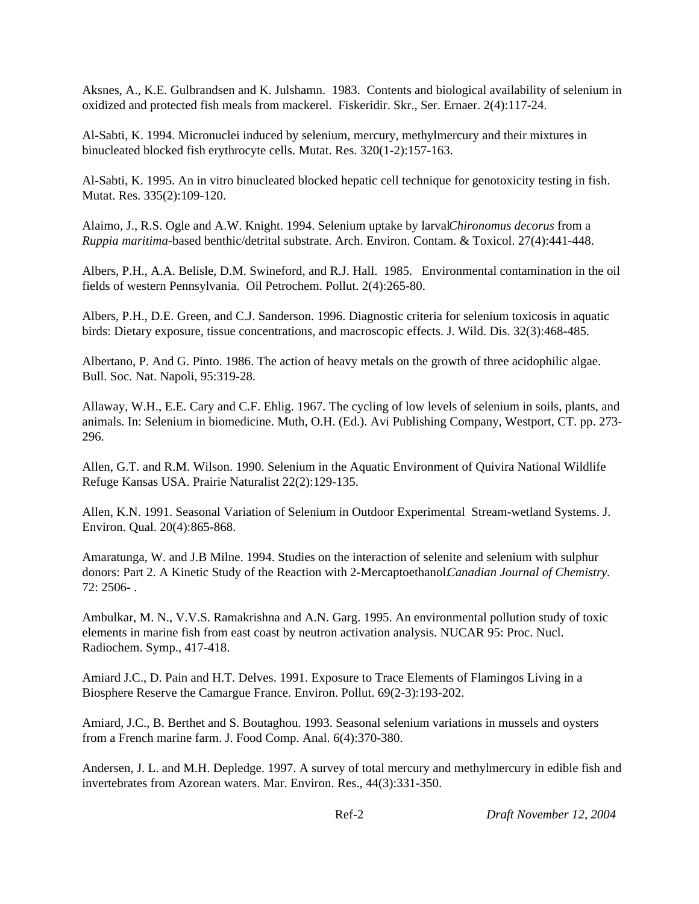Aksnes, A., K.E. Gulbrandsen and K. Julshamn. 1983. Contents and biological availability of selenium in oxidized and protected fish meals from mackerel. Fiskeridir. Skr., Ser. Ernaer. 2(4):117-24.

Al-Sabti, K. 1994. Micronuclei induced by selenium, mercury, methylmercury and their mixtures in binucleated blocked fish erythrocyte cells. Mutat. Res. 320(1-2):157-163.

Al-Sabti, K. 1995. An in vitro binucleated blocked hepatic cell technique for genotoxicity testing in fish. Mutat. Res. 335(2):109-120.

Alaimo, J., R.S. Ogle and A.W. Knight. 1994. Selenium uptake by larval *Chironomus decorus* from a *Ruppia maritima*-based benthic/detrital substrate. Arch. Environ. Contam. & Toxicol. 27(4):441-448.

Albers, P.H., A.A. Belisle, D.M. Swineford, and R.J. Hall. 1985. Environmental contamination in the oil fields of western Pennsylvania. Oil Petrochem. Pollut. 2(4):265-80.

Albers, P.H., D.E. Green, and C.J. Sanderson. 1996. Diagnostic criteria for selenium toxicosis in aquatic birds: Dietary exposure, tissue concentrations, and macroscopic effects. J. Wild. Dis. 32(3):468-485.

Albertano, P. And G. Pinto. 1986. The action of heavy metals on the growth of three acidophilic algae. Bull. Soc. Nat. Napoli, 95:319-28.

Allaway, W.H., E.E. Cary and C.F. Ehlig. 1967. The cycling of low levels of selenium in soils, plants, and animals. In: Selenium in biomedicine. Muth, O.H. (Ed.). Avi Publishing Company, Westport, CT. pp. 273- 296.

Allen, G.T. and R.M. Wilson. 1990. Selenium in the Aquatic Environment of Quivira National Wildlife Refuge Kansas USA. Prairie Naturalist 22(2):129-135.

Allen, K.N. 1991. Seasonal Variation of Selenium in Outdoor Experimental Stream-wetland Systems. J. Environ. Qual. 20(4):865-868.

Amaratunga, W. and J.B Milne. 1994. Studies on the interaction of selenite and selenium with sulphur donors: Part 2. A Kinetic Study of the Reaction with 2-Mercaptoethanol. *Canadian Journal of Chemistry.* 72: 2506- .

Ambulkar, M. N., V.V.S. Ramakrishna and A.N. Garg. 1995. An environmental pollution study of toxic elements in marine fish from east coast by neutron activation analysis. NUCAR 95: Proc. Nucl. Radiochem. Symp., 417-418.

Amiard J.C., D. Pain and H.T. Delves. 1991. Exposure to Trace Elements of Flamingos Living in a Biosphere Reserve the Camargue France. Environ. Pollut. 69(2-3):193-202.

Amiard, J.C., B. Berthet and S. Boutaghou. 1993. Seasonal selenium variations in mussels and oysters from a French marine farm. J. Food Comp. Anal. 6(4):370-380.

Andersen, J. L. and M.H. Depledge. 1997. A survey of total mercury and methylmercury in edible fish and invertebrates from Azorean waters. Mar. Environ. Res., 44(3):331-350.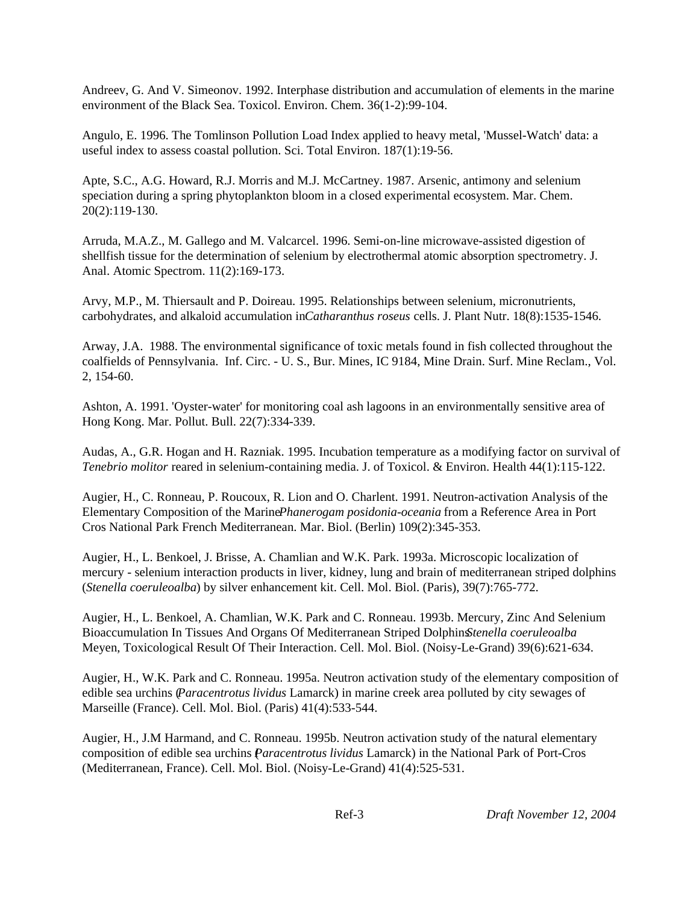Andreev, G. And V. Simeonov. 1992. Interphase distribution and accumulation of elements in the marine environment of the Black Sea. Toxicol. Environ. Chem. 36(1-2):99-104.

Angulo, E. 1996. The Tomlinson Pollution Load Index applied to heavy metal, 'Mussel-Watch' data: a useful index to assess coastal pollution. Sci. Total Environ. 187(1):19-56.

Apte, S.C., A.G. Howard, R.J. Morris and M.J. McCartney. 1987. Arsenic, antimony and selenium speciation during a spring phytoplankton bloom in a closed experimental ecosystem. Mar. Chem. 20(2):119-130.

Arruda, M.A.Z., M. Gallego and M. Valcarcel. 1996. Semi-on-line microwave-assisted digestion of shellfish tissue for the determination of selenium by electrothermal atomic absorption spectrometry. J. Anal. Atomic Spectrom. 11(2):169-173.

Arvy, M.P., M. Thiersault and P. Doireau. 1995. Relationships between selenium, micronutrients, carbohydrates, and alkaloid accumulation in *Catharanthus roseus* cells. J. Plant Nutr. 18(8):1535-1546.

Arway, J.A. 1988. The environmental significance of toxic metals found in fish collected throughout the coalfields of Pennsylvania. Inf. Circ. - U. S., Bur. Mines, IC 9184, Mine Drain. Surf. Mine Reclam., Vol. 2, 154-60.

Ashton, A. 1991. 'Oyster-water' for monitoring coal ash lagoons in an environmentally sensitive area of Hong Kong. Mar. Pollut. Bull. 22(7):334-339.

Audas, A., G.R. Hogan and H. Razniak. 1995. Incubation temperature as a modifying factor on survival of *Tenebrio molitor* reared in selenium-containing media. J. of Toxicol. & Environ. Health 44(1):115-122.

Augier, H., C. Ronneau, P. Roucoux, R. Lion and O. Charlent. 1991. Neutron-activation Analysis of the Elementary Composition of the Marine *Phanerogam posidonia-oceania* from a Reference Area in Port Cros National Park French Mediterranean. Mar. Biol. (Berlin) 109(2):345-353.

Augier, H., L. Benkoel, J. Brisse, A. Chamlian and W.K. Park. 1993a. Microscopic localization of mercury - selenium interaction products in liver, kidney, lung and brain of mediterranean striped dolphins (*Stenella coeruleoalba*) by silver enhancement kit. Cell. Mol. Biol. (Paris), 39(7):765-772.

Augier, H., L. Benkoel, A. Chamlian, W.K. Park and C. Ronneau. 1993b. Mercury, Zinc And Selenium Bioaccumulation In Tissues And Organs Of Mediterranean Striped Dolphins *Stenella coeruleoalba* Meyen, Toxicological Result Of Their Interaction. Cell. Mol. Biol. (Noisy-Le-Grand) 39(6):621-634.

Augier, H., W.K. Park and C. Ronneau. 1995a. Neutron activation study of the elementary composition of edible sea urchins (*Paracentrotus lividus* Lamarck) in marine creek area polluted by city sewages of Marseille (France). Cell. Mol. Biol. (Paris) 41(4):533-544.

Augier, H., J.M Harmand, and C. Ronneau. 1995b. Neutron activation study of the natural elementary composition of edible sea urchins (*Paracentrotus lividus* Lamarck) in the National Park of Port-Cros (Mediterranean, France). Cell. Mol. Biol. (Noisy-Le-Grand) 41(4):525-531.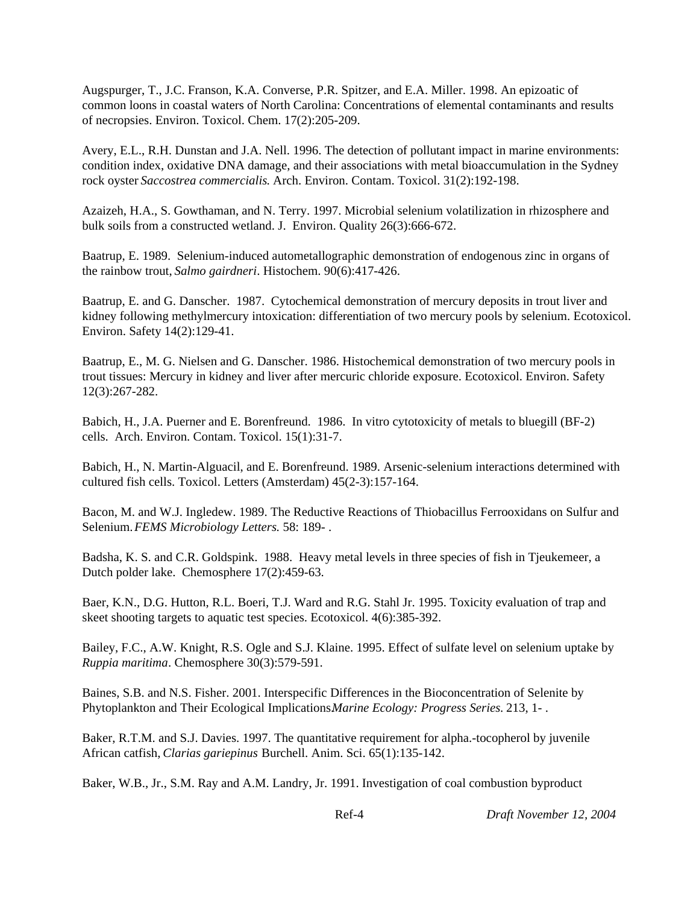Augspurger, T., J.C. Franson, K.A. Converse, P.R. Spitzer, and E.A. Miller. 1998. An epizoatic of common loons in coastal waters of North Carolina: Concentrations of elemental contaminants and results of necropsies. Environ. Toxicol. Chem. 17(2):205-209.

Avery, E.L., R.H. Dunstan and J.A. Nell. 1996. The detection of pollutant impact in marine environments: condition index, oxidative DNA damage, and their associations with metal bioaccumulation in the Sydney rock oyster *Saccostrea commercialis*. Arch. Environ. Contam. Toxicol. 31(2):192-198.

Azaizeh, H.A., S. Gowthaman, and N. Terry. 1997. Microbial selenium volatilization in rhizosphere and bulk soils from a constructed wetland. J. Environ. Quality 26(3):666-672.

Baatrup, E. 1989. Selenium-induced autometallographic demonstration of endogenous zinc in organs of the rainbow trout, *Salmo gairdneri*. Histochem. 90(6):417-426.

Baatrup, E. and G. Danscher. 1987. Cytochemical demonstration of mercury deposits in trout liver and kidney following methylmercury intoxication: differentiation of two mercury pools by selenium. Ecotoxicol. Environ. Safety 14(2):129-41.

Baatrup, E., M. G. Nielsen and G. Danscher. 1986. Histochemical demonstration of two mercury pools in trout tissues: Mercury in kidney and liver after mercuric chloride exposure. Ecotoxicol. Environ. Safety 12(3):267-282.

Babich, H., J.A. Puerner and E. Borenfreund. 1986. In vitro cytotoxicity of metals to bluegill (BF-2) cells. Arch. Environ. Contam. Toxicol. 15(1):31-7.

Babich, H., N. Martin-Alguacil, and E. Borenfreund. 1989. Arsenic-selenium interactions determined with cultured fish cells. Toxicol. Letters (Amsterdam) 45(2-3):157-164.

Bacon, M. and W.J. Ingledew. 1989. The Reductive Reactions of Thiobacillus Ferrooxidans on Sulfur and Selenium. *FEMS Microbiology Letters.* 58: 189- .

Badsha, K. S. and C.R. Goldspink. 1988. Heavy metal levels in three species of fish in Tjeukemeer, a Dutch polder lake. Chemosphere 17(2):459-63.

Baer, K.N., D.G. Hutton, R.L. Boeri, T.J. Ward and R.G. Stahl Jr. 1995. Toxicity evaluation of trap and skeet shooting targets to aquatic test species. Ecotoxicol. 4(6):385-392.

Bailey, F.C., A.W. Knight, R.S. Ogle and S.J. Klaine. 1995. Effect of sulfate level on selenium uptake by *Ruppia maritima*. Chemosphere 30(3):579-591.

Baines, S.B. and N.S. Fisher. 2001. Interspecific Differences in the Bioconcentration of Selenite by Phytoplankton and Their Ecological Implications. *Marine Ecology: Progress Series.* 213, 1- .

Baker, R.T.M. and S.J. Davies. 1997. The quantitative requirement for alpha.-tocopherol by juvenile African catfish, *Clarias gariepinus* Burchell. Anim. Sci. 65(1):135-142.

Baker, W.B., Jr., S.M. Ray and A.M. Landry, Jr. 1991. Investigation of coal combustion byproduct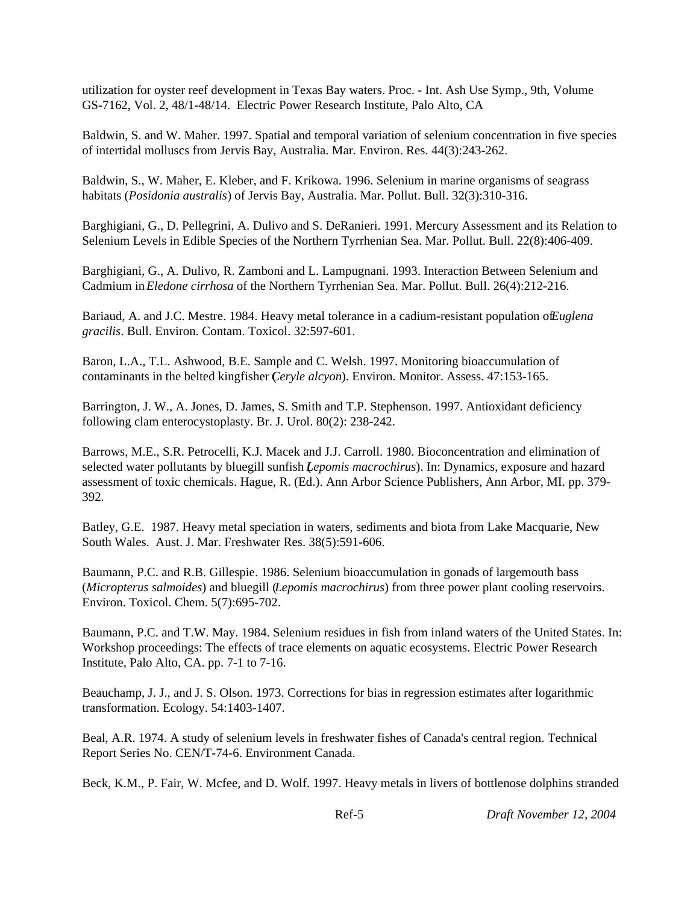utilization for oyster reef development in Texas Bay waters. Proc. - Int. Ash Use Symp., 9th, Volume GS-7162, Vol. 2, 48/1-48/14. Electric Power Research Institute, Palo Alto, CA

Baldwin, S. and W. Maher. 1997. Spatial and temporal variation of selenium concentration in five species of intertidal molluscs from Jervis Bay, Australia. Mar. Environ. Res. 44(3):243-262.

Baldwin, S., W. Maher, E. Kleber, and F. Krikowa. 1996. Selenium in marine organisms of seagrass habitats (*Posidonia australis*) of Jervis Bay, Australia. Mar. Pollut. Bull. 32(3):310-316.

Barghigiani, G., D. Pellegrini, A. Dulivo and S. DeRanieri. 1991. Mercury Assessment and its Relation to Selenium Levels in Edible Species of the Northern Tyrrhenian Sea. Mar. Pollut. Bull. 22(8):406-409.

Barghigiani, G., A. Dulivo, R. Zamboni and L. Lampugnani. 1993. Interaction Between Selenium and Cadmium in *Eledone cirrhosa* of the Northern Tyrrhenian Sea. Mar. Pollut. Bull. 26(4):212-216.

Bariaud, A. and J.C. Mestre. 1984. Heavy metal tolerance in a cadium-resistant population of *Euglena gracilis*. Bull. Environ. Contam. Toxicol. 32:597-601.

Baron, L.A., T.L. Ashwood, B.E. Sample and C. Welsh. 1997. Monitoring bioaccumulation of contaminants in the belted kingfisher (*Ceryle alcyon*). Environ. Monitor. Assess. 47:153-165.

Barrington, J. W., A. Jones, D. James, S. Smith and T.P. Stephenson. 1997. Antioxidant deficiency following clam enterocystoplasty. Br. J. Urol. 80(2): 238-242.

Barrows, M.E., S.R. Petrocelli, K.J. Macek and J.J. Carroll. 1980. Bioconcentration and elimination of selected water pollutants by bluegill sunfish (*Lepomis macrochirus*). In: Dynamics, exposure and hazard assessment of toxic chemicals. Hague, R. (Ed.). Ann Arbor Science Publishers, Ann Arbor, MI. pp. 379- 392.

Batley, G.E. 1987. Heavy metal speciation in waters, sediments and biota from Lake Macquarie, New South Wales. Aust. J. Mar. Freshwater Res. 38(5):591-606.

Baumann, P.C. and R.B. Gillespie. 1986. Selenium bioaccumulation in gonads of largemouth bass (*Micropterus salmoides*) and bluegill (*Lepomis macrochirus*) from three power plant cooling reservoirs. Environ. Toxicol. Chem. 5(7):695-702.

Baumann, P.C. and T.W. May. 1984. Selenium residues in fish from inland waters of the United States. In: Workshop proceedings: The effects of trace elements on aquatic ecosystems. Electric Power Research Institute, Palo Alto, CA. pp. 7-1 to 7-16.

Beauchamp, J. J., and J. S. Olson. 1973. Corrections for bias in regression estimates after logarithmic transformation. Ecology. 54:1403-1407.

Beal, A.R. 1974. A study of selenium levels in freshwater fishes of Canada's central region. Technical Report Series No. CEN/T-74-6. Environment Canada.

Beck, K.M., P. Fair, W. Mcfee, and D. Wolf. 1997. Heavy metals in livers of bottlenose dolphins stranded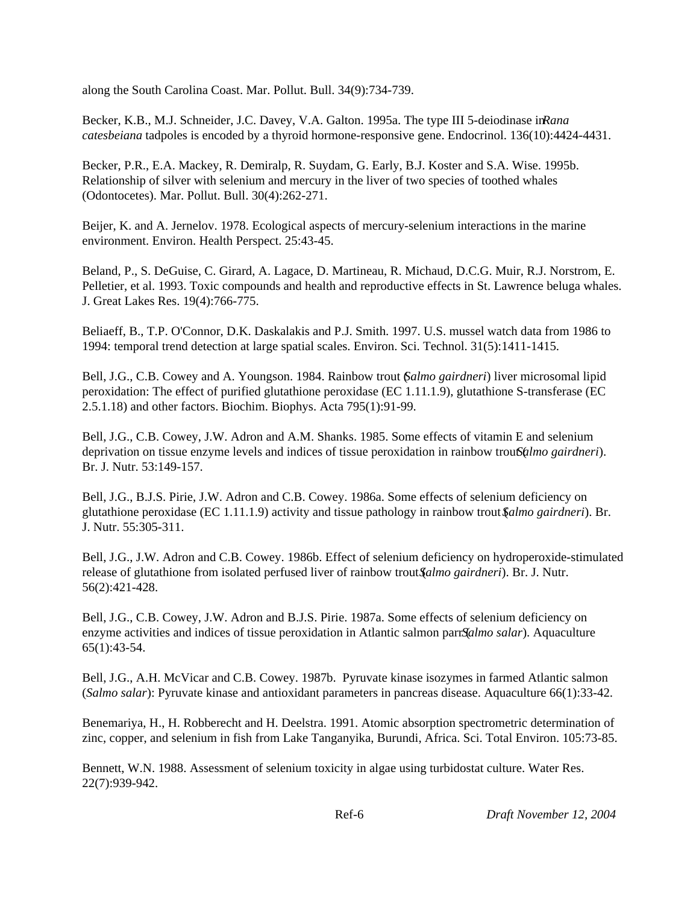along the South Carolina Coast. Mar. Pollut. Bull. 34(9):734-739.

Becker, K.B., M.J. Schneider, J.C. Davey, V.A. Galton. 1995a. The type III 5-deiodinase in *Rana catesbeiana* tadpoles is encoded by a thyroid hormone-responsive gene. Endocrinol. 136(10):4424-4431.

Becker, P.R., E.A. Mackey, R. Demiralp, R. Suydam, G. Early, B.J. Koster and S.A. Wise. 1995b. Relationship of silver with selenium and mercury in the liver of two species of toothed whales (Odontocetes). Mar. Pollut. Bull. 30(4):262-271.

Beijer, K. and A. Jernelov. 1978. Ecological aspects of mercury-selenium interactions in the marine environment. Environ. Health Perspect. 25:43-45.

Beland, P., S. DeGuise, C. Girard, A. Lagace, D. Martineau, R. Michaud, D.C.G. Muir, R.J. Norstrom, E. Pelletier, et al. 1993. Toxic compounds and health and reproductive effects in St. Lawrence beluga whales. J. Great Lakes Res. 19(4):766-775.

Beliaeff, B., T.P. O'Connor, D.K. Daskalakis and P.J. Smith. 1997. U.S. mussel watch data from 1986 to 1994: temporal trend detection at large spatial scales. Environ. Sci. Technol. 31(5):1411-1415.

Bell, J.G., C.B. Cowey and A. Youngson. 1984. Rainbow trout (*Salmo gairdneri*) liver microsomal lipid peroxidation: The effect of purified glutathione peroxidase (EC 1.11.1.9), glutathione S-transferase (EC 2.5.1.18) and other factors. Biochim. Biophys. Acta 795(1):91-99.

Bell, J.G., C.B. Cowey, J.W. Adron and A.M. Shanks. 1985. Some effects of vitamin E and selenium deprivation on tissue enzyme levels and indices of tissue peroxidation in rainbow trout (almo gairdneri). Br. J. Nutr. 53:149-157.

Bell, J.G., B.J.S. Pirie, J.W. Adron and C.B. Cowey. 1986a. Some effects of selenium deficiency on glutathione peroxidase (EC 1.11.1.9) activity and tissue pathology in rainbow trout (*Salmo gairdneri*). Br. J. Nutr. 55:305-311.

Bell, J.G., J.W. Adron and C.B. Cowey. 1986b. Effect of selenium deficiency on hydroperoxide-stimulated release of glutathione from isolated perfused liver of rainbow trout (*Salmo gairdneri*). Br. J. Nutr. 56(2):421-428.

Bell, J.G., C.B. Cowey, J.W. Adron and B.J.S. Pirie. 1987a. Some effects of selenium deficiency on enzyme activities and indices of tissue peroxidation in Atlantic salmon parr *Salmo salar*). Aquaculture 65(1):43-54.

Bell, J.G., A.H. McVicar and C.B. Cowey. 1987b. Pyruvate kinase isozymes in farmed Atlantic salmon (*Salmo salar*): Pyruvate kinase and antioxidant parameters in pancreas disease. Aquaculture 66(1):33-42.

Benemariya, H., H. Robberecht and H. Deelstra. 1991. Atomic absorption spectrometric determination of zinc, copper, and selenium in fish from Lake Tanganyika, Burundi, Africa. Sci. Total Environ. 105:73-85.

Bennett, W.N. 1988. Assessment of selenium toxicity in algae using turbidostat culture. Water Res. 22(7):939-942.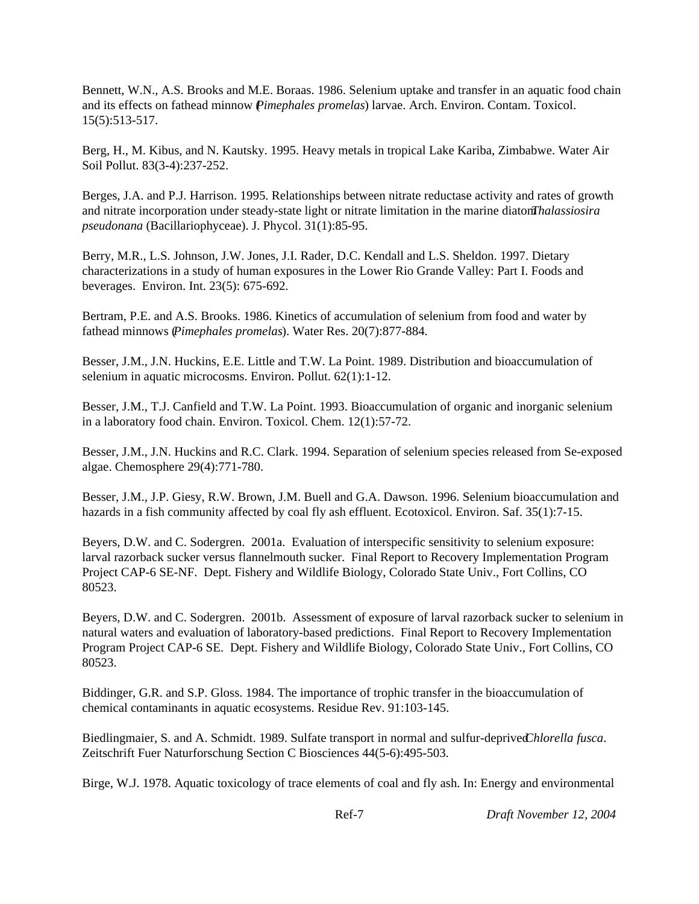Bennett, W.N., A.S. Brooks and M.E. Boraas. 1986. Selenium uptake and transfer in an aquatic food chain and its effects on fathead minnow (*Pimephales promelas*) larvae. Arch. Environ. Contam. Toxicol. 15(5):513-517.

Berg, H., M. Kibus, and N. Kautsky. 1995. Heavy metals in tropical Lake Kariba, Zimbabwe. Water Air Soil Pollut. 83(3-4):237-252.

Berges, J.A. and P.J. Harrison. 1995. Relationships between nitrate reductase activity and rates of growth and nitrate incorporation under steady-state light or nitrate limitation in the marine diatom *Thalassiosira pseudonana* (Bacillariophyceae). J. Phycol. 31(1):85-95.

Berry, M.R., L.S. Johnson, J.W. Jones, J.I. Rader, D.C. Kendall and L.S. Sheldon. 1997. Dietary characterizations in a study of human exposures in the Lower Rio Grande Valley: Part I. Foods and beverages. Environ. Int. 23(5): 675-692.

Bertram, P.E. and A.S. Brooks. 1986. Kinetics of accumulation of selenium from food and water by fathead minnows (*Pimephales promelas*). Water Res. 20(7):877-884.

Besser, J.M., J.N. Huckins, E.E. Little and T.W. La Point. 1989. Distribution and bioaccumulation of selenium in aquatic microcosms. Environ. Pollut. 62(1):1-12.

Besser, J.M., T.J. Canfield and T.W. La Point. 1993. Bioaccumulation of organic and inorganic selenium in a laboratory food chain. Environ. Toxicol. Chem. 12(1):57-72.

Besser, J.M., J.N. Huckins and R.C. Clark. 1994. Separation of selenium species released from Se-exposed algae. Chemosphere 29(4):771-780.

Besser, J.M., J.P. Giesy, R.W. Brown, J.M. Buell and G.A. Dawson. 1996. Selenium bioaccumulation and hazards in a fish community affected by coal fly ash effluent. Ecotoxicol. Environ. Saf. 35(1):7-15.

Beyers, D.W. and C. Sodergren. 2001a. Evaluation of interspecific sensitivity to selenium exposure: larval razorback sucker versus flannelmouth sucker. Final Report to Recovery Implementation Program Project CAP-6 SE-NF. Dept. Fishery and Wildlife Biology, Colorado State Univ., Fort Collins, CO 80523.

Beyers, D.W. and C. Sodergren. 2001b. Assessment of exposure of larval razorback sucker to selenium in natural waters and evaluation of laboratory-based predictions. Final Report to Recovery Implementation Program Project CAP-6 SE. Dept. Fishery and Wildlife Biology, Colorado State Univ., Fort Collins, CO 80523.

Biddinger, G.R. and S.P. Gloss. 1984. The importance of trophic transfer in the bioaccumulation of chemical contaminants in aquatic ecosystems. Residue Rev. 91:103-145.

Biedlingmaier, S. and A. Schmidt. 1989. Sulfate transport in normal and sulfur-deprived *Chlorella fusca*. Zeitschrift Fuer Naturforschung Section C Biosciences 44(5-6):495-503.

Birge, W.J. 1978. Aquatic toxicology of trace elements of coal and fly ash. In: Energy and environmental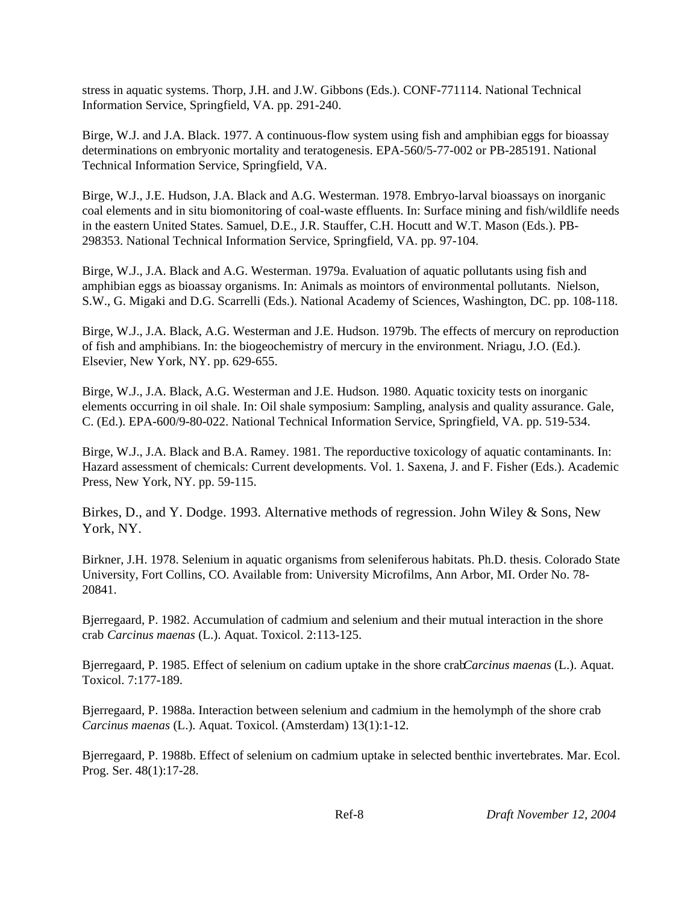stress in aquatic systems. Thorp, J.H. and J.W. Gibbons (Eds.). CONF-771114. National Technical Information Service, Springfield, VA. pp. 291-240.

Birge, W.J. and J.A. Black. 1977. A continuous-flow system using fish and amphibian eggs for bioassay determinations on embryonic mortality and teratogenesis. EPA-560/5-77-002 or PB-285191. National Technical Information Service, Springfield, VA.

Birge, W.J., J.E. Hudson, J.A. Black and A.G. Westerman. 1978. Embryo-larval bioassays on inorganic coal elements and in situ biomonitoring of coal-waste effluents. In: Surface mining and fish/wildlife needs in the eastern United States. Samuel, D.E., J.R. Stauffer, C.H. Hocutt and W.T. Mason (Eds.). PB-298353. National Technical Information Service, Springfield, VA. pp. 97-104.

Birge, W.J., J.A. Black and A.G. Westerman. 1979a. Evaluation of aquatic pollutants using fish and amphibian eggs as bioassay organisms. In: Animals as mointors of environmental pollutants. Nielson, S.W., G. Migaki and D.G. Scarrelli (Eds.). National Academy of Sciences, Washington, DC. pp. 108-118.

Birge, W.J., J.A. Black, A.G. Westerman and J.E. Hudson. 1979b. The effects of mercury on reproduction of fish and amphibians. In: the biogeochemistry of mercury in the environment. Nriagu, J.O. (Ed.). Elsevier, New York, NY. pp. 629-655.

Birge, W.J., J.A. Black, A.G. Westerman and J.E. Hudson. 1980. Aquatic toxicity tests on inorganic elements occurring in oil shale. In: Oil shale symposium: Sampling, analysis and quality assurance. Gale, C. (Ed.). EPA-600/9-80-022. National Technical Information Service, Springfield, VA. pp. 519-534.

Birge, W.J., J.A. Black and B.A. Ramey. 1981. The reporductive toxicology of aquatic contaminants. In: Hazard assessment of chemicals: Current developments. Vol. 1. Saxena, J. and F. Fisher (Eds.). Academic Press, New York, NY. pp. 59-115.

Birkes, D., and Y. Dodge. 1993. Alternative methods of regression. John Wiley & Sons, New York, NY.

Birkner, J.H. 1978. Selenium in aquatic organisms from seleniferous habitats. Ph.D. thesis. Colorado State University, Fort Collins, CO. Available from: University Microfilms, Ann Arbor, MI. Order No. 78- 20841.

Bjerregaard, P. 1982. Accumulation of cadmium and selenium and their mutual interaction in the shore crab *Carcinus maenas* (L.). Aquat. Toxicol. 2:113-125.

Bjerregaard, P. 1985. Effect of selenium on cadium uptake in the shore crab *Carcinus maenas* (L.). Aquat. Toxicol. 7:177-189.

Bjerregaard, P. 1988a. Interaction between selenium and cadmium in the hemolymph of the shore crab *Carcinus maenas* (L.). Aquat. Toxicol. (Amsterdam) 13(1):1-12.

Bjerregaard, P. 1988b. Effect of selenium on cadmium uptake in selected benthic invertebrates. Mar. Ecol. Prog. Ser. 48(1):17-28.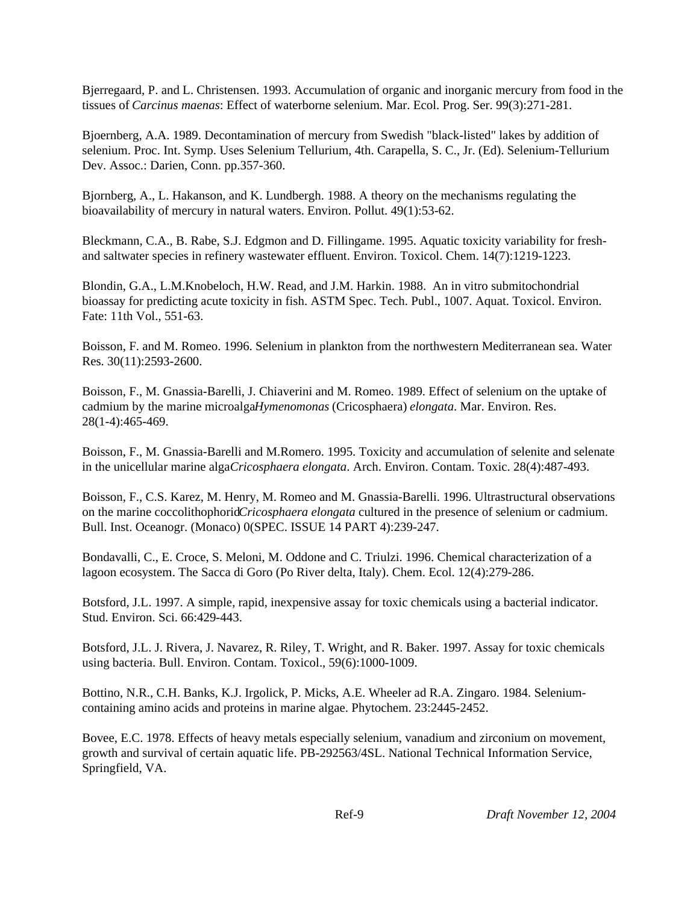Bjerregaard, P. and L. Christensen. 1993. Accumulation of organic and inorganic mercury from food in the tissues of *Carcinus maenas*: Effect of waterborne selenium. Mar. Ecol. Prog. Ser. 99(3):271-281.

Bjoernberg, A.A. 1989. Decontamination of mercury from Swedish "black-listed" lakes by addition of selenium. Proc. Int. Symp. Uses Selenium Tellurium, 4th. Carapella, S. C., Jr. (Ed). Selenium-Tellurium Dev. Assoc.: Darien, Conn. pp.357-360.

Bjornberg, A., L. Hakanson, and K. Lundbergh. 1988. A theory on the mechanisms regulating the bioavailability of mercury in natural waters. Environ. Pollut. 49(1):53-62.

Bleckmann, C.A., B. Rabe, S.J. Edgmon and D. Fillingame. 1995. Aquatic toxicity variability for freshand saltwater species in refinery wastewater effluent. Environ. Toxicol. Chem. 14(7):1219-1223.

Blondin, G.A., L.M.Knobeloch, H.W. Read, and J.M. Harkin. 1988. An in vitro submitochondrial bioassay for predicting acute toxicity in fish. ASTM Spec. Tech. Publ., 1007. Aquat. Toxicol. Environ. Fate: 11th Vol., 551-63.

Boisson, F. and M. Romeo. 1996. Selenium in plankton from the northwestern Mediterranean sea. Water Res. 30(11):2593-2600.

Boisson, F., M. Gnassia-Barelli, J. Chiaverini and M. Romeo. 1989. Effect of selenium on the uptake of cadmium by the marine microalga *Hymenomonas* (Cricosphaera) *elongata*. Mar. Environ. Res. 28(1-4):465-469.

Boisson, F., M. Gnassia-Barelli and M.Romero. 1995. Toxicity and accumulation of selenite and selenate in the unicellular marine alga *Cricosphaera elongata*. Arch. Environ. Contam. Toxic. 28(4):487-493.

Boisson, F., C.S. Karez, M. Henry, M. Romeo and M. Gnassia-Barelli. 1996. Ultrastructural observations on the marine coccolithophorid *Cricosphaera elongata* cultured in the presence of selenium or cadmium. Bull. Inst. Oceanogr. (Monaco) 0(SPEC. ISSUE 14 PART 4):239-247.

Bondavalli, C., E. Croce, S. Meloni, M. Oddone and C. Triulzi. 1996. Chemical characterization of a lagoon ecosystem. The Sacca di Goro (Po River delta, Italy). Chem. Ecol. 12(4):279-286.

Botsford, J.L. 1997. A simple, rapid, inexpensive assay for toxic chemicals using a bacterial indicator. Stud. Environ. Sci. 66:429-443.

Botsford, J.L. J. Rivera, J. Navarez, R. Riley, T. Wright, and R. Baker. 1997. Assay for toxic chemicals using bacteria. Bull. Environ. Contam. Toxicol., 59(6):1000-1009.

Bottino, N.R., C.H. Banks, K.J. Irgolick, P. Micks, A.E. Wheeler ad R.A. Zingaro. 1984. Seleniumcontaining amino acids and proteins in marine algae. Phytochem. 23:2445-2452.

Bovee, E.C. 1978. Effects of heavy metals especially selenium, vanadium and zirconium on movement, growth and survival of certain aquatic life. PB-292563/4SL. National Technical Information Service, Springfield, VA.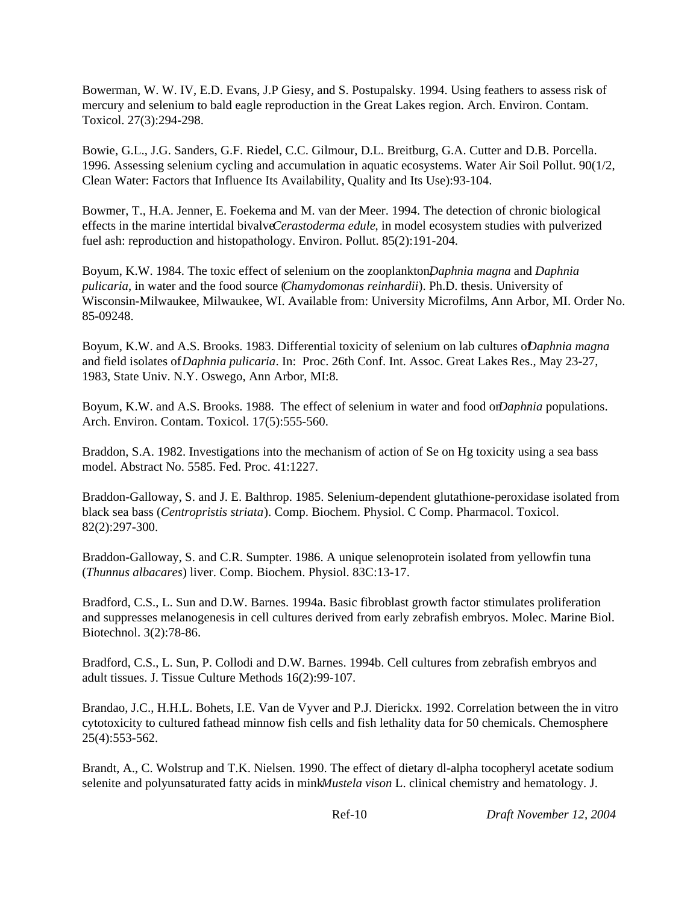Bowerman, W. W. IV, E.D. Evans, J.P Giesy, and S. Postupalsky. 1994. Using feathers to assess risk of mercury and selenium to bald eagle reproduction in the Great Lakes region. Arch. Environ. Contam. Toxicol. 27(3):294-298.

Bowie, G.L., J.G. Sanders, G.F. Riedel, C.C. Gilmour, D.L. Breitburg, G.A. Cutter and D.B. Porcella. 1996. Assessing selenium cycling and accumulation in aquatic ecosystems. Water Air Soil Pollut. 90(1/2, Clean Water: Factors that Influence Its Availability, Quality and Its Use):93-104.

Bowmer, T., H.A. Jenner, E. Foekema and M. van der Meer. 1994. The detection of chronic biological effects in the marine intertidal bivalve *Cerastoderma edule*, in model ecosystem studies with pulverized fuel ash: reproduction and histopathology. Environ. Pollut. 85(2):191-204.

Boyum, K.W. 1984. The toxic effect of selenium on the zooplankton, *Daphnia magna* and *Daphnia pulicaria*, in water and the food source (*Chamydomonas reinhardii*). Ph.D. thesis. University of Wisconsin-Milwaukee, Milwaukee, WI. Available from: University Microfilms, Ann Arbor, MI. Order No. 85-09248.

Boyum, K.W. and A.S. Brooks. 1983. Differential toxicity of selenium on lab cultures of *Daphnia magna* and field isolates of *Daphnia pulicaria*. In: Proc. 26th Conf. Int. Assoc. Great Lakes Res., May 23-27, 1983, State Univ. N.Y. Oswego, Ann Arbor, MI:8.

Boyum, K.W. and A.S. Brooks. 1988. The effect of selenium in water and food on *Daphnia* populations. Arch. Environ. Contam. Toxicol. 17(5):555-560.

Braddon, S.A. 1982. Investigations into the mechanism of action of Se on Hg toxicity using a sea bass model. Abstract No. 5585. Fed. Proc. 41:1227.

Braddon-Galloway, S. and J. E. Balthrop. 1985. Selenium-dependent glutathione-peroxidase isolated from black sea bass (*Centropristis striata*). Comp. Biochem. Physiol. C Comp. Pharmacol. Toxicol. 82(2):297-300.

Braddon-Galloway, S. and C.R. Sumpter. 1986. A unique selenoprotein isolated from yellowfin tuna (*Thunnus albacares*) liver. Comp. Biochem. Physiol. 83C:13-17.

Bradford, C.S., L. Sun and D.W. Barnes. 1994a. Basic fibroblast growth factor stimulates proliferation and suppresses melanogenesis in cell cultures derived from early zebrafish embryos. Molec. Marine Biol. Biotechnol. 3(2):78-86.

Bradford, C.S., L. Sun, P. Collodi and D.W. Barnes. 1994b. Cell cultures from zebrafish embryos and adult tissues. J. Tissue Culture Methods 16(2):99-107.

Brandao, J.C., H.H.L. Bohets, I.E. Van de Vyver and P.J. Dierickx. 1992. Correlation between the in vitro cytotoxicity to cultured fathead minnow fish cells and fish lethality data for 50 chemicals. Chemosphere 25(4):553-562.

Brandt, A., C. Wolstrup and T.K. Nielsen. 1990. The effect of dietary dl-alpha tocopheryl acetate sodium selenite and polyunsaturated fatty acids in mink *Mustela vison* L. clinical chemistry and hematology. J.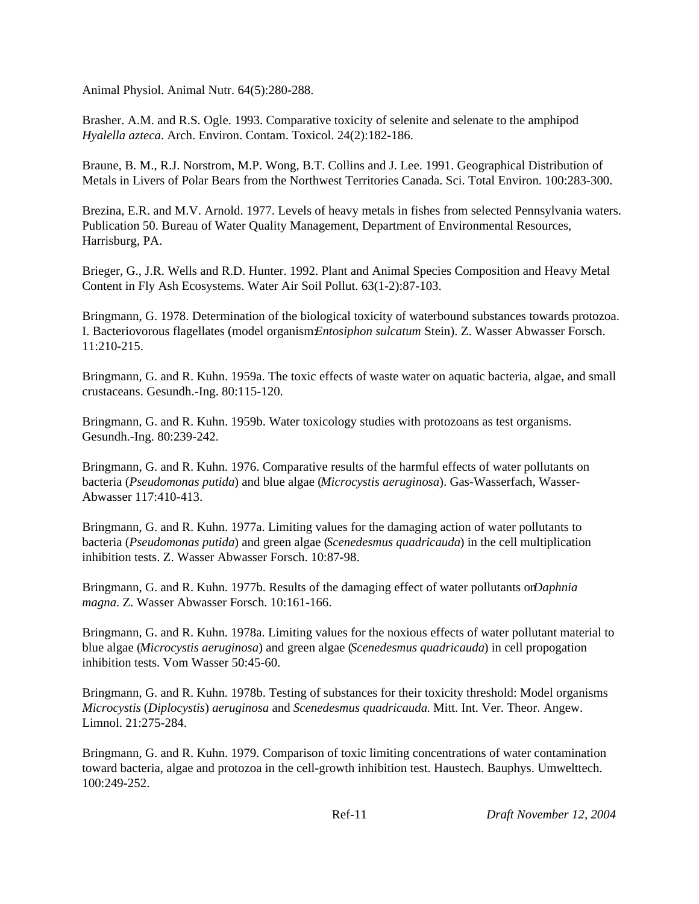Animal Physiol. Animal Nutr. 64(5):280-288.

Brasher. A.M. and R.S. Ogle. 1993. Comparative toxicity of selenite and selenate to the amphipod *Hyalella azteca*. Arch. Environ. Contam. Toxicol. 24(2):182-186.

Braune, B. M., R.J. Norstrom, M.P. Wong, B.T. Collins and J. Lee. 1991. Geographical Distribution of Metals in Livers of Polar Bears from the Northwest Territories Canada. Sci. Total Environ. 100:283-300.

Brezina, E.R. and M.V. Arnold. 1977. Levels of heavy metals in fishes from selected Pennsylvania waters. Publication 50. Bureau of Water Quality Management, Department of Environmental Resources, Harrisburg, PA.

Brieger, G., J.R. Wells and R.D. Hunter. 1992. Plant and Animal Species Composition and Heavy Metal Content in Fly Ash Ecosystems. Water Air Soil Pollut. 63(1-2):87-103.

Bringmann, G. 1978. Determination of the biological toxicity of waterbound substances towards protozoa. I. Bacteriovorous flagellates (model organism: *Entosiphon sulcatum* Stein). Z. Wasser Abwasser Forsch. 11:210-215.

Bringmann, G. and R. Kuhn. 1959a. The toxic effects of waste water on aquatic bacteria, algae, and small crustaceans. Gesundh.-Ing. 80:115-120.

Bringmann, G. and R. Kuhn. 1959b. Water toxicology studies with protozoans as test organisms. Gesundh.-Ing. 80:239-242.

Bringmann, G. and R. Kuhn. 1976. Comparative results of the harmful effects of water pollutants on bacteria (*Pseudomonas putida*) and blue algae (*Microcystis aeruginosa*). Gas-Wasserfach, Wasser-Abwasser 117:410-413.

Bringmann, G. and R. Kuhn. 1977a. Limiting values for the damaging action of water pollutants to bacteria (*Pseudomonas putida*) and green algae (*Scenedesmus quadricauda*) in the cell multiplication inhibition tests. Z. Wasser Abwasser Forsch. 10:87-98.

Bringmann, G. and R. Kuhn. 1977b. Results of the damaging effect of water pollutants on *Daphnia magna*. Z. Wasser Abwasser Forsch. 10:161-166.

Bringmann, G. and R. Kuhn. 1978a. Limiting values for the noxious effects of water pollutant material to blue algae (*Microcystis aeruginosa*) and green algae (*Scenedesmus quadricauda*) in cell propogation inhibition tests. Vom Wasser 50:45-60.

Bringmann, G. and R. Kuhn. 1978b. Testing of substances for their toxicity threshold: Model organisms *Microcystis* (*Diplocystis*) *aeruginosa* and *Scenedesmus quadricauda*. Mitt. Int. Ver. Theor. Angew. Limnol. 21:275-284.

Bringmann, G. and R. Kuhn. 1979. Comparison of toxic limiting concentrations of water contamination toward bacteria, algae and protozoa in the cell-growth inhibition test. Haustech. Bauphys. Umwelttech. 100:249-252.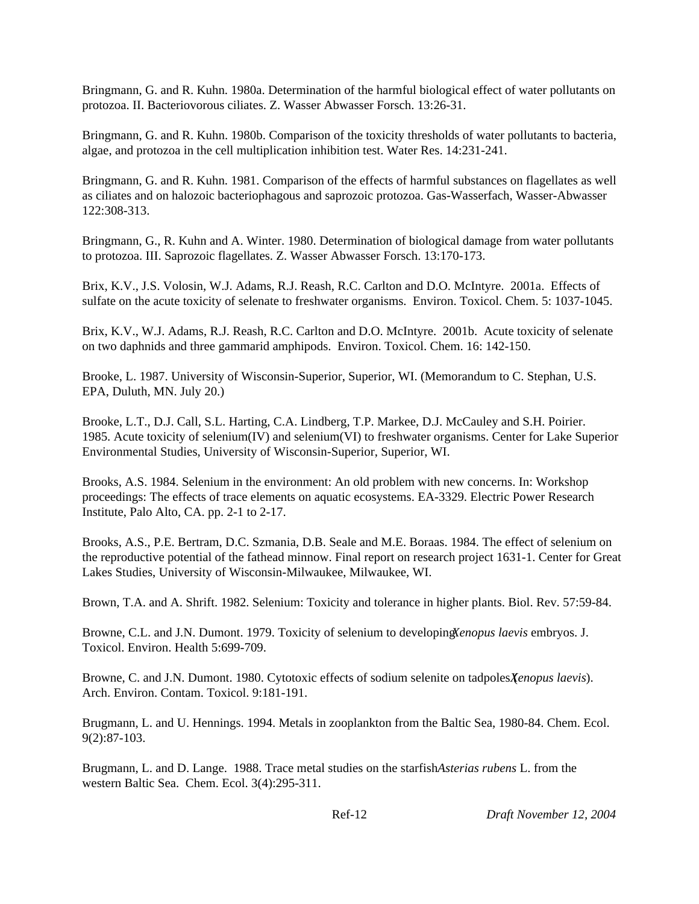Bringmann, G. and R. Kuhn. 1980a. Determination of the harmful biological effect of water pollutants on protozoa. II. Bacteriovorous ciliates. Z. Wasser Abwasser Forsch. 13:26-31.

Bringmann, G. and R. Kuhn. 1980b. Comparison of the toxicity thresholds of water pollutants to bacteria, algae, and protozoa in the cell multiplication inhibition test. Water Res. 14:231-241.

Bringmann, G. and R. Kuhn. 1981. Comparison of the effects of harmful substances on flagellates as well as ciliates and on halozoic bacteriophagous and saprozoic protozoa. Gas-Wasserfach, Wasser-Abwasser 122:308-313.

Bringmann, G., R. Kuhn and A. Winter. 1980. Determination of biological damage from water pollutants to protozoa. III. Saprozoic flagellates. Z. Wasser Abwasser Forsch. 13:170-173.

Brix, K.V., J.S. Volosin, W.J. Adams, R.J. Reash, R.C. Carlton and D.O. McIntyre. 2001a. Effects of sulfate on the acute toxicity of selenate to freshwater organisms. Environ. Toxicol. Chem. 5: 1037-1045.

Brix, K.V., W.J. Adams, R.J. Reash, R.C. Carlton and D.O. McIntyre. 2001b. Acute toxicity of selenate on two daphnids and three gammarid amphipods. Environ. Toxicol. Chem. 16: 142-150.

Brooke, L. 1987. University of Wisconsin-Superior, Superior, WI. (Memorandum to C. Stephan, U.S. EPA, Duluth, MN. July 20.)

Brooke, L.T., D.J. Call, S.L. Harting, C.A. Lindberg, T.P. Markee, D.J. McCauley and S.H. Poirier. 1985. Acute toxicity of selenium(IV) and selenium(VI) to freshwater organisms. Center for Lake Superior Environmental Studies, University of Wisconsin-Superior, Superior, WI.

Brooks, A.S. 1984. Selenium in the environment: An old problem with new concerns. In: Workshop proceedings: The effects of trace elements on aquatic ecosystems. EA-3329. Electric Power Research Institute, Palo Alto, CA. pp. 2-1 to 2-17.

Brooks, A.S., P.E. Bertram, D.C. Szmania, D.B. Seale and M.E. Boraas. 1984. The effect of selenium on the reproductive potential of the fathead minnow. Final report on research project 1631-1. Center for Great Lakes Studies, University of Wisconsin-Milwaukee, Milwaukee, WI.

Brown, T.A. and A. Shrift. 1982. Selenium: Toxicity and tolerance in higher plants. Biol. Rev. 57:59-84.

Browne, C.L. and J.N. Dumont. 1979. Toxicity of selenium to developing *Xenopus laevis* embryos. J. Toxicol. Environ. Health 5:699-709.

Browne, C. and J.N. Dumont. 1980. Cytotoxic effects of sodium selenite on tadpoles *Xenopus laevis*). Arch. Environ. Contam. Toxicol. 9:181-191.

Brugmann, L. and U. Hennings. 1994. Metals in zooplankton from the Baltic Sea, 1980-84. Chem. Ecol. 9(2):87-103.

Brugmann, L. and D. Lange. 1988. Trace metal studies on the starfish *Asterias rubens* L. from the western Baltic Sea. Chem. Ecol. 3(4):295-311.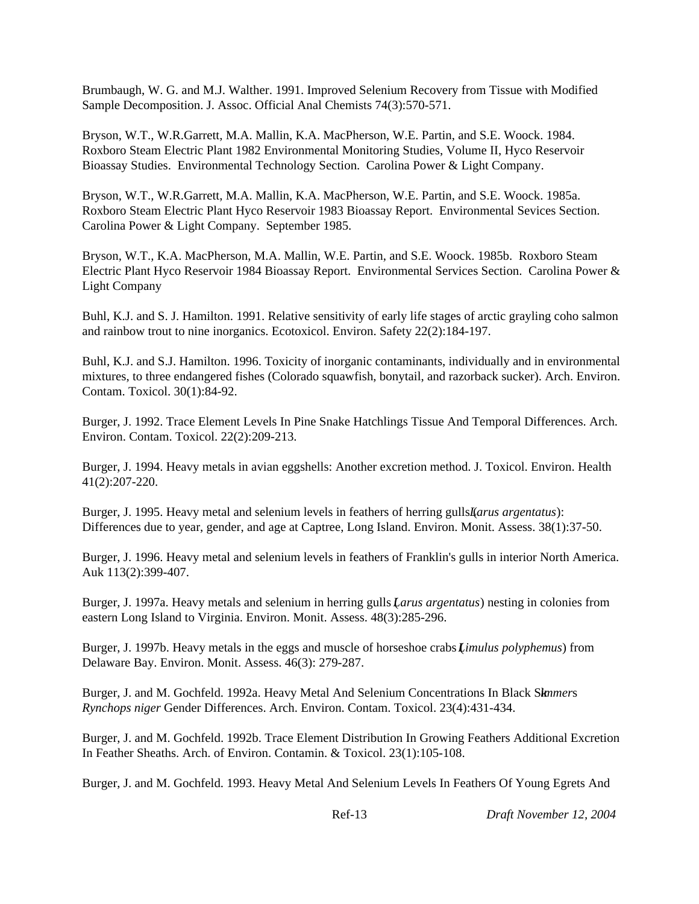Brumbaugh, W. G. and M.J. Walther. 1991. Improved Selenium Recovery from Tissue with Modified Sample Decomposition. J. Assoc. Official Anal Chemists 74(3):570-571.

Bryson, W.T., W.R.Garrett, M.A. Mallin, K.A. MacPherson, W.E. Partin, and S.E. Woock. 1984. Roxboro Steam Electric Plant 1982 Environmental Monitoring Studies, Volume II, Hyco Reservoir Bioassay Studies. Environmental Technology Section. Carolina Power & Light Company.

Bryson, W.T., W.R.Garrett, M.A. Mallin, K.A. MacPherson, W.E. Partin, and S.E. Woock. 1985a. Roxboro Steam Electric Plant Hyco Reservoir 1983 Bioassay Report. Environmental Sevices Section. Carolina Power & Light Company. September 1985.

Bryson, W.T., K.A. MacPherson, M.A. Mallin, W.E. Partin, and S.E. Woock. 1985b. Roxboro Steam Electric Plant Hyco Reservoir 1984 Bioassay Report. Environmental Services Section. Carolina Power & Light Company

Buhl, K.J. and S. J. Hamilton. 1991. Relative sensitivity of early life stages of arctic grayling coho salmon and rainbow trout to nine inorganics. Ecotoxicol. Environ. Safety 22(2):184-197.

Buhl, K.J. and S.J. Hamilton. 1996. Toxicity of inorganic contaminants, individually and in environmental mixtures, to three endangered fishes (Colorado squawfish, bonytail, and razorback sucker). Arch. Environ. Contam. Toxicol. 30(1):84-92.

Burger, J. 1992. Trace Element Levels In Pine Snake Hatchlings Tissue And Temporal Differences. Arch. Environ. Contam. Toxicol. 22(2):209-213.

Burger, J. 1994. Heavy metals in avian eggshells: Another excretion method. J. Toxicol. Environ. Health 41(2):207-220.

Burger, J. 1995. Heavy metal and selenium levels in feathers of herring gulls (*Larus argentatus*): Differences due to year, gender, and age at Captree, Long Island. Environ. Monit. Assess. 38(1):37-50.

Burger, J. 1996. Heavy metal and selenium levels in feathers of Franklin's gulls in interior North America. Auk 113(2):399-407.

Burger, J. 1997a. Heavy metals and selenium in herring gulls (*Larus argentatus*) nesting in colonies from eastern Long Island to Virginia. Environ. Monit. Assess. 48(3):285-296.

Burger, J. 1997b. Heavy metals in the eggs and muscle of horseshoe crabs (*Limulus polyphemus*) from Delaware Bay. Environ. Monit. Assess. 46(3): 279-287.

Burger, J. and M. Gochfeld. 1992a. Heavy Metal And Selenium Concentrations In Black Sk*immer*s *Rynchops niger* Gender Differences. Arch. Environ. Contam. Toxicol. 23(4):431-434.

Burger, J. and M. Gochfeld. 1992b. Trace Element Distribution In Growing Feathers Additional Excretion In Feather Sheaths. Arch. of Environ. Contamin. & Toxicol. 23(1):105-108.

Burger, J. and M. Gochfeld. 1993. Heavy Metal And Selenium Levels In Feathers Of Young Egrets And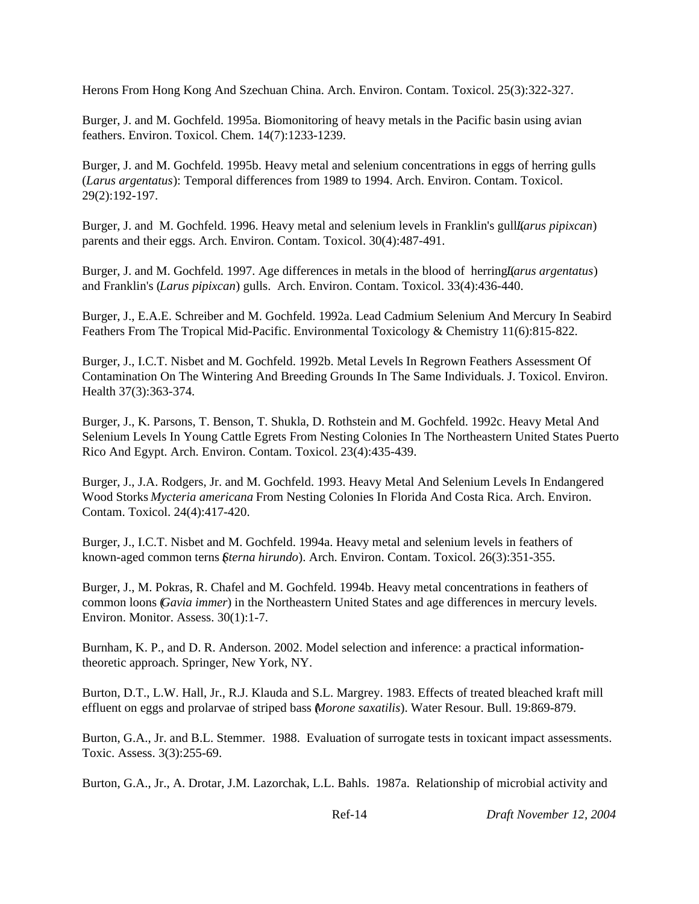Herons From Hong Kong And Szechuan China. Arch. Environ. Contam. Toxicol. 25(3):322-327.

Burger, J. and M. Gochfeld. 1995a. Biomonitoring of heavy metals in the Pacific basin using avian feathers. Environ. Toxicol. Chem. 14(7):1233-1239.

Burger, J. and M. Gochfeld. 1995b. Heavy metal and selenium concentrations in eggs of herring gulls (*Larus argentatus*): Temporal differences from 1989 to 1994. Arch. Environ. Contam. Toxicol. 29(2):192-197.

Burger, J. and M. Gochfeld. 1996. Heavy metal and selenium levels in Franklin's guill *(arus pipixcan*) parents and their eggs. Arch. Environ. Contam. Toxicol. 30(4):487-491.

Burger, J. and M. Gochfeld. 1997. Age differences in metals in the blood of herring *Larus argentatus*) and Franklin's (*Larus pipixcan*) gulls. Arch. Environ. Contam. Toxicol. 33(4):436-440.

Burger, J., E.A.E. Schreiber and M. Gochfeld. 1992a. Lead Cadmium Selenium And Mercury In Seabird Feathers From The Tropical Mid-Pacific. Environmental Toxicology & Chemistry 11(6):815-822.

Burger, J., I.C.T. Nisbet and M. Gochfeld. 1992b. Metal Levels In Regrown Feathers Assessment Of Contamination On The Wintering And Breeding Grounds In The Same Individuals. J. Toxicol. Environ. Health 37(3):363-374.

Burger, J., K. Parsons, T. Benson, T. Shukla, D. Rothstein and M. Gochfeld. 1992c. Heavy Metal And Selenium Levels In Young Cattle Egrets From Nesting Colonies In The Northeastern United States Puerto Rico And Egypt. Arch. Environ. Contam. Toxicol. 23(4):435-439.

Burger, J., J.A. Rodgers, Jr. and M. Gochfeld. 1993. Heavy Metal And Selenium Levels In Endangered Wood Storks *Mycteria americana* From Nesting Colonies In Florida And Costa Rica. Arch. Environ. Contam. Toxicol. 24(4):417-420.

Burger, J., I.C.T. Nisbet and M. Gochfeld. 1994a. Heavy metal and selenium levels in feathers of known-aged common terns (*Sterna hirundo*). Arch. Environ. Contam. Toxicol. 26(3):351-355.

Burger, J., M. Pokras, R. Chafel and M. Gochfeld. 1994b. Heavy metal concentrations in feathers of common loons (*Gavia immer*) in the Northeastern United States and age differences in mercury levels. Environ. Monitor. Assess. 30(1):1-7.

Burnham, K. P., and D. R. Anderson. 2002. Model selection and inference: a practical informationtheoretic approach. Springer, New York, NY.

Burton, D.T., L.W. Hall, Jr., R.J. Klauda and S.L. Margrey. 1983. Effects of treated bleached kraft mill effluent on eggs and prolarvae of striped bass (*Morone saxatilis*). Water Resour. Bull. 19:869-879.

Burton, G.A., Jr. and B.L. Stemmer. 1988. Evaluation of surrogate tests in toxicant impact assessments. Toxic. Assess. 3(3):255-69.

Burton, G.A., Jr., A. Drotar, J.M. Lazorchak, L.L. Bahls. 1987a. Relationship of microbial activity and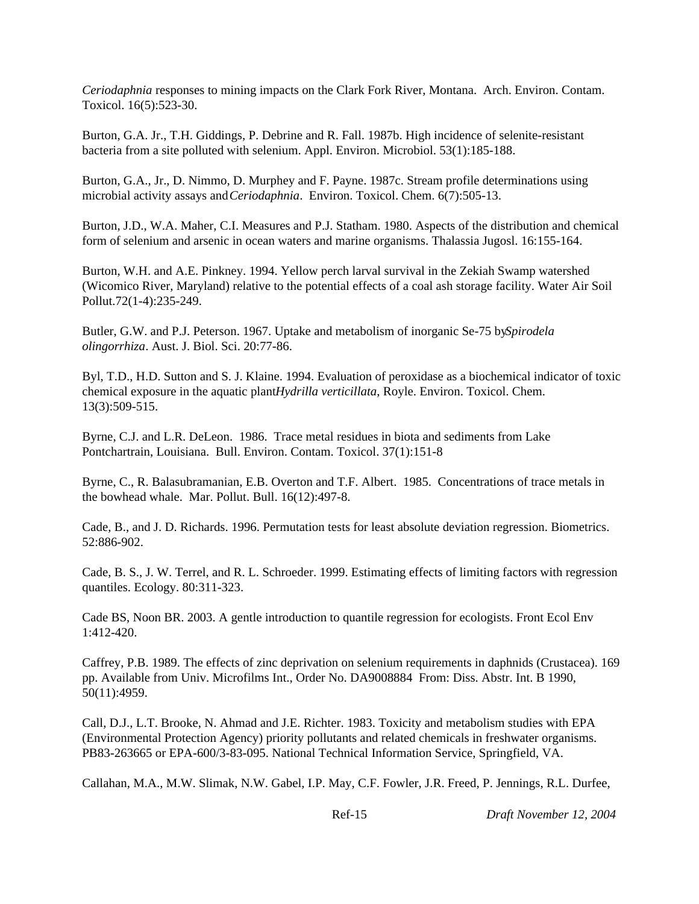*Ceriodaphnia* responses to mining impacts on the Clark Fork River, Montana. Arch. Environ. Contam. Toxicol. 16(5):523-30.

Burton, G.A. Jr., T.H. Giddings, P. Debrine and R. Fall. 1987b. High incidence of selenite-resistant bacteria from a site polluted with selenium. Appl. Environ. Microbiol. 53(1):185-188.

Burton, G.A., Jr., D. Nimmo, D. Murphey and F. Payne. 1987c. Stream profile determinations using microbial activity assays and *Ceriodaphnia*. Environ. Toxicol. Chem. 6(7):505-13.

Burton, J.D., W.A. Maher, C.I. Measures and P.J. Statham. 1980. Aspects of the distribution and chemical form of selenium and arsenic in ocean waters and marine organisms. Thalassia Jugosl. 16:155-164.

Burton, W.H. and A.E. Pinkney. 1994. Yellow perch larval survival in the Zekiah Swamp watershed (Wicomico River, Maryland) relative to the potential effects of a coal ash storage facility. Water Air Soil Pollut.72(1-4):235-249.

Butler, G.W. and P.J. Peterson. 1967. Uptake and metabolism of inorganic Se-75 by *Spirodela olingorrhiza*. Aust. J. Biol. Sci. 20:77-86.

Byl, T.D., H.D. Sutton and S. J. Klaine. 1994. Evaluation of peroxidase as a biochemical indicator of toxic chemical exposure in the aquatic plant *Hydrilla verticillata*, Royle. Environ. Toxicol. Chem. 13(3):509-515.

Byrne, C.J. and L.R. DeLeon. 1986. Trace metal residues in biota and sediments from Lake Pontchartrain, Louisiana. Bull. Environ. Contam. Toxicol. 37(1):151-8

Byrne, C., R. Balasubramanian, E.B. Overton and T.F. Albert. 1985. Concentrations of trace metals in the bowhead whale. Mar. Pollut. Bull. 16(12):497-8.

Cade, B., and J. D. Richards. 1996. Permutation tests for least absolute deviation regression. Biometrics. 52:886-902.

Cade, B. S., J. W. Terrel, and R. L. Schroeder. 1999. Estimating effects of limiting factors with regression quantiles. Ecology. 80:311-323.

Cade BS, Noon BR. 2003. A gentle introduction to quantile regression for ecologists. Front Ecol Env 1:412-420.

Caffrey, P.B. 1989. The effects of zinc deprivation on selenium requirements in daphnids (Crustacea). 169 pp. Available from Univ. Microfilms Int., Order No. DA9008884 From: Diss. Abstr. Int. B 1990, 50(11):4959.

Call, D.J., L.T. Brooke, N. Ahmad and J.E. Richter. 1983. Toxicity and metabolism studies with EPA (Environmental Protection Agency) priority pollutants and related chemicals in freshwater organisms. PB83-263665 or EPA-600/3-83-095. National Technical Information Service, Springfield, VA.

Callahan, M.A., M.W. Slimak, N.W. Gabel, I.P. May, C.F. Fowler, J.R. Freed, P. Jennings, R.L. Durfee,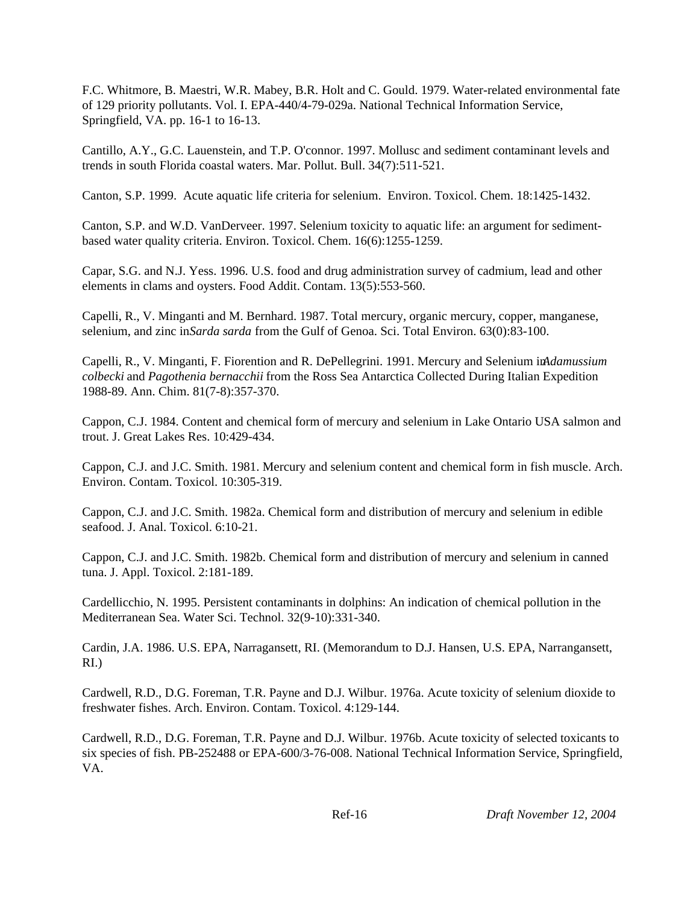F.C. Whitmore, B. Maestri, W.R. Mabey, B.R. Holt and C. Gould. 1979. Water-related environmental fate of 129 priority pollutants. Vol. I. EPA-440/4-79-029a. National Technical Information Service, Springfield, VA. pp. 16-1 to 16-13.

Cantillo, A.Y., G.C. Lauenstein, and T.P. O'connor. 1997. Mollusc and sediment contaminant levels and trends in south Florida coastal waters. Mar. Pollut. Bull. 34(7):511-521.

Canton, S.P. 1999. Acute aquatic life criteria for selenium. Environ. Toxicol. Chem. 18:1425-1432.

Canton, S.P. and W.D. VanDerveer. 1997. Selenium toxicity to aquatic life: an argument for sedimentbased water quality criteria. Environ. Toxicol. Chem. 16(6):1255-1259.

Capar, S.G. and N.J. Yess. 1996. U.S. food and drug administration survey of cadmium, lead and other elements in clams and oysters. Food Addit. Contam. 13(5):553-560.

Capelli, R., V. Minganti and M. Bernhard. 1987. Total mercury, organic mercury, copper, manganese, selenium, and zinc in *Sarda sarda* from the Gulf of Genoa. Sci. Total Environ. 63(0):83-100.

Capelli, R., V. Minganti, F. Fiorention and R. DePellegrini. 1991. Mercury and Selenium in *Adamussium colbecki* and *Pagothenia bernacchii* from the Ross Sea Antarctica Collected During Italian Expedition 1988-89. Ann. Chim. 81(7-8):357-370.

Cappon, C.J. 1984. Content and chemical form of mercury and selenium in Lake Ontario USA salmon and trout. J. Great Lakes Res. 10:429-434.

Cappon, C.J. and J.C. Smith. 1981. Mercury and selenium content and chemical form in fish muscle. Arch. Environ. Contam. Toxicol. 10:305-319.

Cappon, C.J. and J.C. Smith. 1982a. Chemical form and distribution of mercury and selenium in edible seafood. J. Anal. Toxicol. 6:10-21.

Cappon, C.J. and J.C. Smith. 1982b. Chemical form and distribution of mercury and selenium in canned tuna. J. Appl. Toxicol. 2:181-189.

Cardellicchio, N. 1995. Persistent contaminants in dolphins: An indication of chemical pollution in the Mediterranean Sea. Water Sci. Technol. 32(9-10):331-340.

Cardin, J.A. 1986. U.S. EPA, Narragansett, RI. (Memorandum to D.J. Hansen, U.S. EPA, Narrangansett, RI.)

Cardwell, R.D., D.G. Foreman, T.R. Payne and D.J. Wilbur. 1976a. Acute toxicity of selenium dioxide to freshwater fishes. Arch. Environ. Contam. Toxicol. 4:129-144.

Cardwell, R.D., D.G. Foreman, T.R. Payne and D.J. Wilbur. 1976b. Acute toxicity of selected toxicants to six species of fish. PB-252488 or EPA-600/3-76-008. National Technical Information Service, Springfield, VA.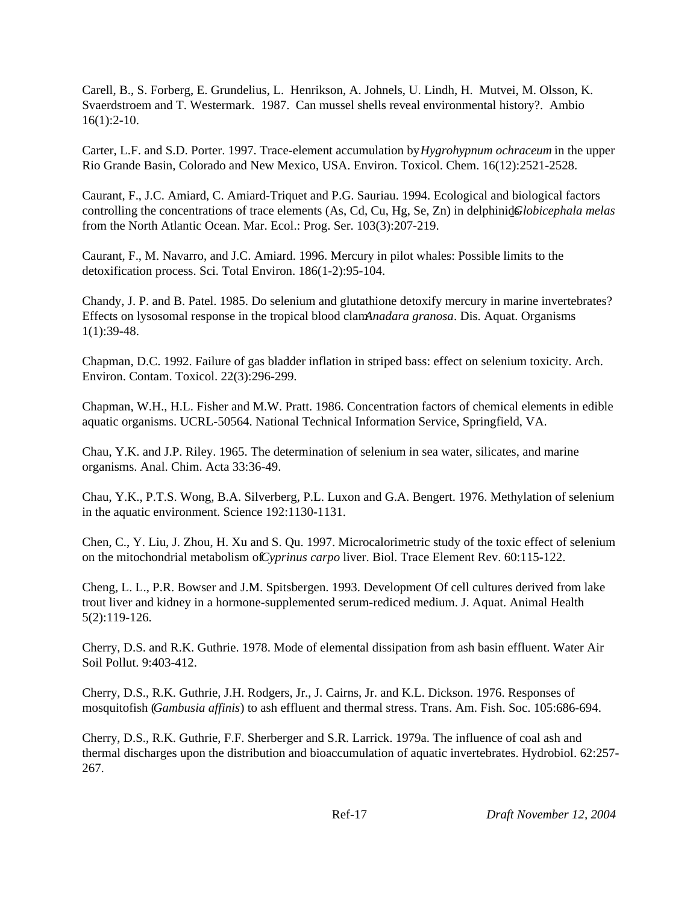Carell, B., S. Forberg, E. Grundelius, L. Henrikson, A. Johnels, U. Lindh, H. Mutvei, M. Olsson, K. Svaerdstroem and T. Westermark. 1987. Can mussel shells reveal environmental history?. Ambio 16(1):2-10.

Carter, L.F. and S.D. Porter. 1997. Trace-element accumulation by *Hygrohypnum ochraceum* in the upper Rio Grande Basin, Colorado and New Mexico, USA. Environ. Toxicol. Chem. 16(12):2521-2528.

Caurant, F., J.C. Amiard, C. Amiard-Triquet and P.G. Sauriau. 1994. Ecological and biological factors controlling the concentrations of trace elements (As, Cd, Cu, Hg, Se, Zn) in delphinids*Globicephala melas* from the North Atlantic Ocean. Mar. Ecol.: Prog. Ser. 103(3):207-219.

Caurant, F., M. Navarro, and J.C. Amiard. 1996. Mercury in pilot whales: Possible limits to the detoxification process. Sci. Total Environ. 186(1-2):95-104.

Chandy, J. P. and B. Patel. 1985. Do selenium and glutathione detoxify mercury in marine invertebrates? Effects on lysosomal response in the tropical blood clam *Anadara granosa*. Dis. Aquat. Organisms 1(1):39-48.

Chapman, D.C. 1992. Failure of gas bladder inflation in striped bass: effect on selenium toxicity. Arch. Environ. Contam. Toxicol. 22(3):296-299.

Chapman, W.H., H.L. Fisher and M.W. Pratt. 1986. Concentration factors of chemical elements in edible aquatic organisms. UCRL-50564. National Technical Information Service, Springfield, VA.

Chau, Y.K. and J.P. Riley. 1965. The determination of selenium in sea water, silicates, and marine organisms. Anal. Chim. Acta 33:36-49.

Chau, Y.K., P.T.S. Wong, B.A. Silverberg, P.L. Luxon and G.A. Bengert. 1976. Methylation of selenium in the aquatic environment. Science 192:1130-1131.

Chen, C., Y. Liu, J. Zhou, H. Xu and S. Qu. 1997. Microcalorimetric study of the toxic effect of selenium on the mitochondrial metabolism of *Cyprinus carpo* liver. Biol. Trace Element Rev. 60:115-122.

Cheng, L. L., P.R. Bowser and J.M. Spitsbergen. 1993. Development Of cell cultures derived from lake trout liver and kidney in a hormone-supplemented serum-rediced medium. J. Aquat. Animal Health 5(2):119-126.

Cherry, D.S. and R.K. Guthrie. 1978. Mode of elemental dissipation from ash basin effluent. Water Air Soil Pollut. 9:403-412.

Cherry, D.S., R.K. Guthrie, J.H. Rodgers, Jr., J. Cairns, Jr. and K.L. Dickson. 1976. Responses of mosquitofish (*Gambusia affinis*) to ash effluent and thermal stress. Trans. Am. Fish. Soc. 105:686-694.

Cherry, D.S., R.K. Guthrie, F.F. Sherberger and S.R. Larrick. 1979a. The influence of coal ash and thermal discharges upon the distribution and bioaccumulation of aquatic invertebrates. Hydrobiol. 62:257- 267.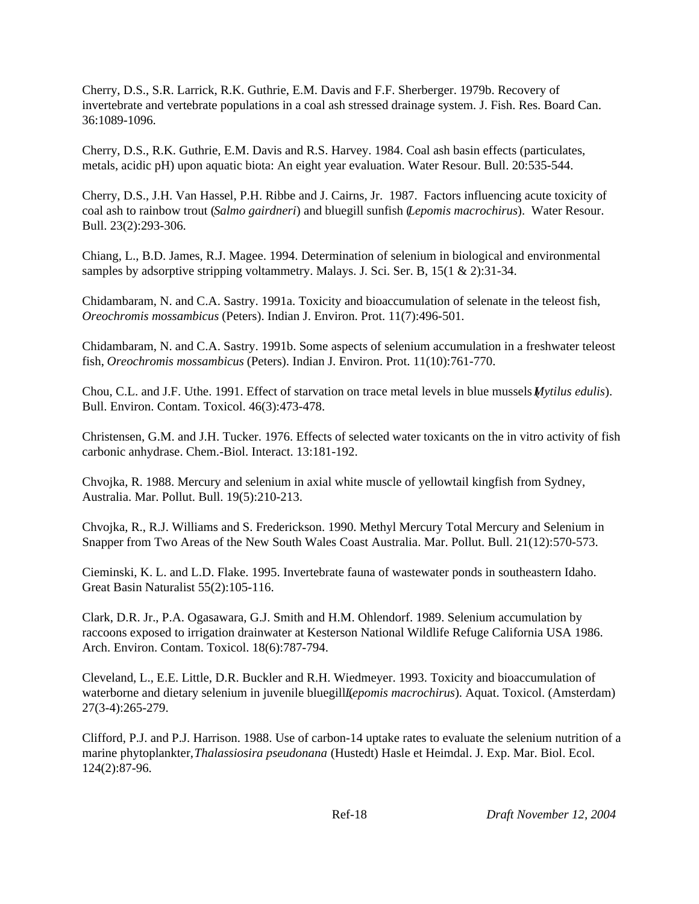Cherry, D.S., S.R. Larrick, R.K. Guthrie, E.M. Davis and F.F. Sherberger. 1979b. Recovery of invertebrate and vertebrate populations in a coal ash stressed drainage system. J. Fish. Res. Board Can. 36:1089-1096.

Cherry, D.S., R.K. Guthrie, E.M. Davis and R.S. Harvey. 1984. Coal ash basin effects (particulates, metals, acidic pH) upon aquatic biota: An eight year evaluation. Water Resour. Bull. 20:535-544.

Cherry, D.S., J.H. Van Hassel, P.H. Ribbe and J. Cairns, Jr. 1987. Factors influencing acute toxicity of coal ash to rainbow trout (*Salmo gairdneri*) and bluegill sunfish (*Lepomis macrochirus*). Water Resour. Bull. 23(2):293-306.

Chiang, L., B.D. James, R.J. Magee. 1994. Determination of selenium in biological and environmental samples by adsorptive stripping voltammetry. Malays. J. Sci. Ser. B, 15(1 & 2):31-34.

Chidambaram, N. and C.A. Sastry. 1991a. Toxicity and bioaccumulation of selenate in the teleost fish, *Oreochromis mossambicus* (Peters). Indian J. Environ. Prot. 11(7):496-501.

Chidambaram, N. and C.A. Sastry. 1991b. Some aspects of selenium accumulation in a freshwater teleost fish, *Oreochromis mossambicus* (Peters). Indian J. Environ. Prot. 11(10):761-770.

Chou, C.L. and J.F. Uthe. 1991. Effect of starvation on trace metal levels in blue mussels (*Mytilus edulis*). Bull. Environ. Contam. Toxicol. 46(3):473-478.

Christensen, G.M. and J.H. Tucker. 1976. Effects of selected water toxicants on the in vitro activity of fish carbonic anhydrase. Chem.-Biol. Interact. 13:181-192.

Chvojka, R. 1988. Mercury and selenium in axial white muscle of yellowtail kingfish from Sydney, Australia. Mar. Pollut. Bull. 19(5):210-213.

Chvojka, R., R.J. Williams and S. Frederickson. 1990. Methyl Mercury Total Mercury and Selenium in Snapper from Two Areas of the New South Wales Coast Australia. Mar. Pollut. Bull. 21(12):570-573.

Cieminski, K. L. and L.D. Flake. 1995. Invertebrate fauna of wastewater ponds in southeastern Idaho. Great Basin Naturalist 55(2):105-116.

Clark, D.R. Jr., P.A. Ogasawara, G.J. Smith and H.M. Ohlendorf. 1989. Selenium accumulation by raccoons exposed to irrigation drainwater at Kesterson National Wildlife Refuge California USA 1986. Arch. Environ. Contam. Toxicol. 18(6):787-794.

Cleveland, L., E.E. Little, D.R. Buckler and R.H. Wiedmeyer. 1993. Toxicity and bioaccumulation of waterborne and dietary selenium in juvenile bluegill *Lepomis macrochirus*). Aquat. Toxicol. (Amsterdam) 27(3-4):265-279.

Clifford, P.J. and P.J. Harrison. 1988. Use of carbon-14 uptake rates to evaluate the selenium nutrition of a marine phytoplankter, *Thalassiosira pseudonana* (Hustedt) Hasle et Heimdal. J. Exp. Mar. Biol. Ecol. 124(2):87-96.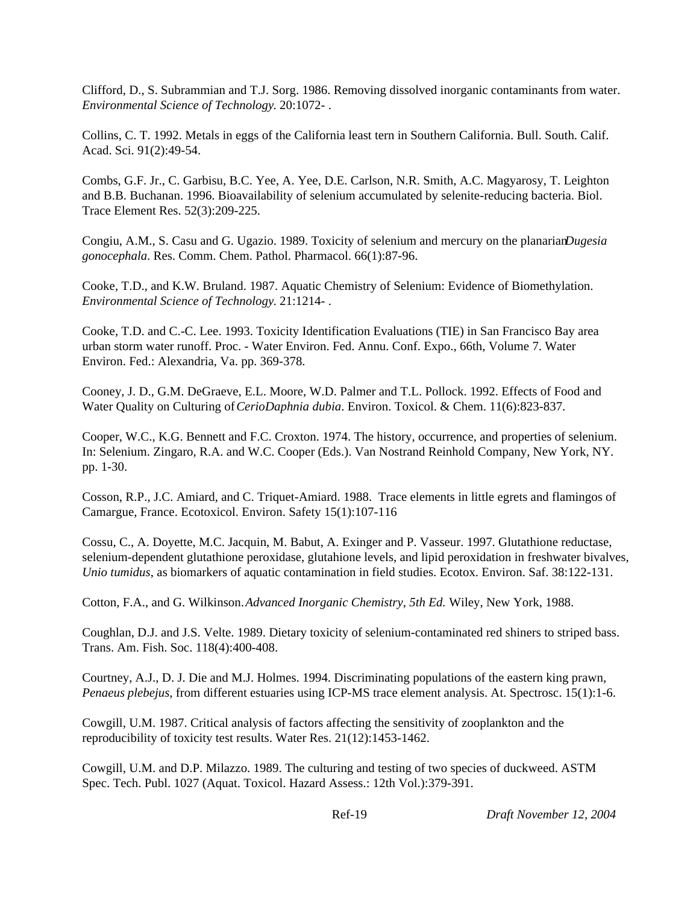Clifford, D., S. Subrammian and T.J. Sorg. 1986. Removing dissolved inorganic contaminants from water. *Environmental Science of Technology*. 20:1072- .

Collins, C. T. 1992. Metals in eggs of the California least tern in Southern California. Bull. South. Calif. Acad. Sci. 91(2):49-54.

Combs, G.F. Jr., C. Garbisu, B.C. Yee, A. Yee, D.E. Carlson, N.R. Smith, A.C. Magyarosy, T. Leighton and B.B. Buchanan. 1996. Bioavailability of selenium accumulated by selenite-reducing bacteria. Biol. Trace Element Res. 52(3):209-225.

Congiu, A.M., S. Casu and G. Ugazio. 1989. Toxicity of selenium and mercury on the planarian *Dugesia gonocephala*. Res. Comm. Chem. Pathol. Pharmacol. 66(1):87-96.

Cooke, T.D., and K.W. Bruland. 1987. Aquatic Chemistry of Selenium: Evidence of Biomethylation. *Environmental Science of Technology*. 21:1214- .

Cooke, T.D. and C.-C. Lee. 1993. Toxicity Identification Evaluations (TIE) in San Francisco Bay area urban storm water runoff. Proc. - Water Environ. Fed. Annu. Conf. Expo., 66th, Volume 7. Water Environ. Fed.: Alexandria, Va. pp. 369-378.

Cooney, J. D., G.M. DeGraeve, E.L. Moore, W.D. Palmer and T.L. Pollock. 1992. Effects of Food and Water Quality on Culturing of *CerioDaphnia dubia*. Environ. Toxicol. & Chem. 11(6):823-837.

Cooper, W.C., K.G. Bennett and F.C. Croxton. 1974. The history, occurrence, and properties of selenium. In: Selenium. Zingaro, R.A. and W.C. Cooper (Eds.). Van Nostrand Reinhold Company, New York, NY. pp. 1-30.

Cosson, R.P., J.C. Amiard, and C. Triquet-Amiard. 1988. Trace elements in little egrets and flamingos of Camargue, France. Ecotoxicol. Environ. Safety 15(1):107-116

Cossu, C., A. Doyette, M.C. Jacquin, M. Babut, A. Exinger and P. Vasseur. 1997. Glutathione reductase, selenium-dependent glutathione peroxidase, glutahione levels, and lipid peroxidation in freshwater bivalves, *Unio tumidus*, as biomarkers of aquatic contamination in field studies. Ecotox. Environ. Saf. 38:122-131.

Cotton, F.A., and G. Wilkinson. *Advanced Inorganic Chemistry, 5th Ed.* Wiley, New York, 1988.

Coughlan, D.J. and J.S. Velte. 1989. Dietary toxicity of selenium-contaminated red shiners to striped bass. Trans. Am. Fish. Soc. 118(4):400-408.

Courtney, A.J., D. J. Die and M.J. Holmes. 1994. Discriminating populations of the eastern king prawn, *Penaeus plebejus*, from different estuaries using ICP-MS trace element analysis. At. Spectrosc. 15(1):1-6.

Cowgill, U.M. 1987. Critical analysis of factors affecting the sensitivity of zooplankton and the reproducibility of toxicity test results. Water Res. 21(12):1453-1462.

Cowgill, U.M. and D.P. Milazzo. 1989. The culturing and testing of two species of duckweed. ASTM Spec. Tech. Publ. 1027 (Aquat. Toxicol. Hazard Assess.: 12th Vol.):379-391.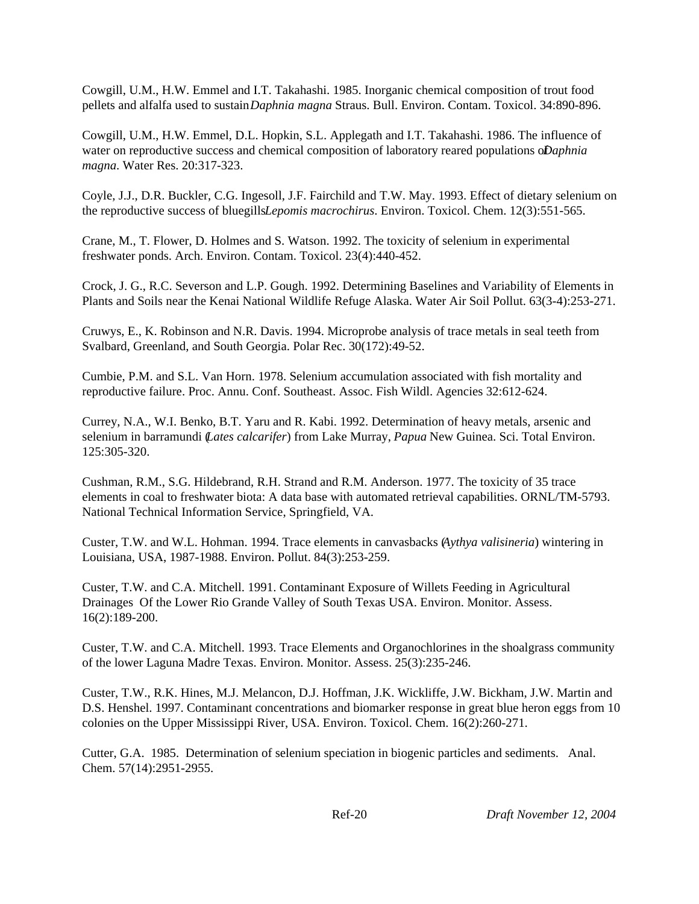Cowgill, U.M., H.W. Emmel and I.T. Takahashi. 1985. Inorganic chemical composition of trout food pellets and alfalfa used to sustain *Daphnia magna* Straus. Bull. Environ. Contam. Toxicol. 34:890-896.

Cowgill, U.M., H.W. Emmel, D.L. Hopkin, S.L. Applegath and I.T. Takahashi. 1986. The influence of water on reproductive success and chemical composition of laboratory reared populations of *Daphnia magna*. Water Res. 20:317-323.

Coyle, J.J., D.R. Buckler, C.G. Ingesoll, J.F. Fairchild and T.W. May. 1993. Effect of dietary selenium on the reproductive success of bluegills *Lepomis macrochirus*. Environ. Toxicol. Chem. 12(3):551-565.

Crane, M., T. Flower, D. Holmes and S. Watson. 1992. The toxicity of selenium in experimental freshwater ponds. Arch. Environ. Contam. Toxicol. 23(4):440-452.

Crock, J. G., R.C. Severson and L.P. Gough. 1992. Determining Baselines and Variability of Elements in Plants and Soils near the Kenai National Wildlife Refuge Alaska. Water Air Soil Pollut. 63(3-4):253-271.

Cruwys, E., K. Robinson and N.R. Davis. 1994. Microprobe analysis of trace metals in seal teeth from Svalbard, Greenland, and South Georgia. Polar Rec. 30(172):49-52.

Cumbie, P.M. and S.L. Van Horn. 1978. Selenium accumulation associated with fish mortality and reproductive failure. Proc. Annu. Conf. Southeast. Assoc. Fish Wildl. Agencies 32:612-624.

Currey, N.A., W.I. Benko, B.T. Yaru and R. Kabi. 1992. Determination of heavy metals, arsenic and selenium in barramundi (*Lates calcarifer*) from Lake Murray, *Papua* New Guinea. Sci. Total Environ. 125:305-320.

Cushman, R.M., S.G. Hildebrand, R.H. Strand and R.M. Anderson. 1977. The toxicity of 35 trace elements in coal to freshwater biota: A data base with automated retrieval capabilities. ORNL/TM-5793. National Technical Information Service, Springfield, VA.

Custer, T.W. and W.L. Hohman. 1994. Trace elements in canvasbacks (*Aythya valisineria*) wintering in Louisiana, USA, 1987-1988. Environ. Pollut. 84(3):253-259.

Custer, T.W. and C.A. Mitchell. 1991. Contaminant Exposure of Willets Feeding in Agricultural Drainages Of the Lower Rio Grande Valley of South Texas USA. Environ. Monitor. Assess. 16(2):189-200.

Custer, T.W. and C.A. Mitchell. 1993. Trace Elements and Organochlorines in the shoalgrass community of the lower Laguna Madre Texas. Environ. Monitor. Assess. 25(3):235-246.

Custer, T.W., R.K. Hines, M.J. Melancon, D.J. Hoffman, J.K. Wickliffe, J.W. Bickham, J.W. Martin and D.S. Henshel. 1997. Contaminant concentrations and biomarker response in great blue heron eggs from 10 colonies on the Upper Mississippi River, USA. Environ. Toxicol. Chem. 16(2):260-271.

Cutter, G.A. 1985. Determination of selenium speciation in biogenic particles and sediments. Anal. Chem. 57(14):2951-2955.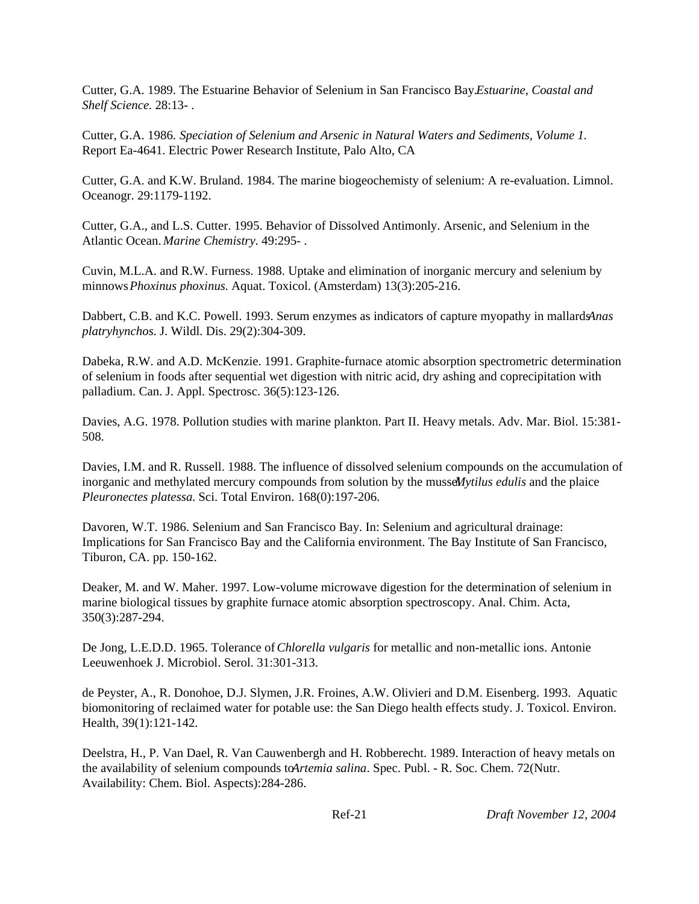Cutter, G.A. 1989. The Estuarine Behavior of Selenium in San Francisco Bay. *Estuarine, Coastal and Shelf Science.* 28:13- .

Cutter, G.A. 1986. *Speciation of Selenium and Arsenic in Natural Waters and Sediments, Volume 1.* Report Ea-4641. Electric Power Research Institute, Palo Alto, CA

Cutter, G.A. and K.W. Bruland. 1984. The marine biogeochemisty of selenium: A re-evaluation. Limnol. Oceanogr. 29:1179-1192.

Cutter, G.A., and L.S. Cutter. 1995. Behavior of Dissolved Antimonly. Arsenic, and Selenium in the Atlantic Ocean. *Marine Chemistry*. 49:295- .

Cuvin, M.L.A. and R.W. Furness. 1988. Uptake and elimination of inorganic mercury and selenium by minnows *Phoxinus phoxinus*. Aquat. Toxicol. (Amsterdam) 13(3):205-216.

Dabbert, C.B. and K.C. Powell. 1993. Serum enzymes as indicators of capture myopathy in mallards *Anas platryhynchos*. J. Wildl. Dis. 29(2):304-309.

Dabeka, R.W. and A.D. McKenzie. 1991. Graphite-furnace atomic absorption spectrometric determination of selenium in foods after sequential wet digestion with nitric acid, dry ashing and coprecipitation with palladium. Can. J. Appl. Spectrosc. 36(5):123-126.

Davies, A.G. 1978. Pollution studies with marine plankton. Part II. Heavy metals. Adv. Mar. Biol. 15:381- 508.

Davies, I.M. and R. Russell. 1988. The influence of dissolved selenium compounds on the accumulation of inorganic and methylated mercury compounds from solution by the mussel *Mytilus edulis* and the plaice *Pleuronectes platessa.* Sci. Total Environ. 168(0):197-206.

Davoren, W.T. 1986. Selenium and San Francisco Bay. In: Selenium and agricultural drainage: Implications for San Francisco Bay and the California environment. The Bay Institute of San Francisco, Tiburon, CA. pp. 150-162.

Deaker, M. and W. Maher. 1997. Low-volume microwave digestion for the determination of selenium in marine biological tissues by graphite furnace atomic absorption spectroscopy. Anal. Chim. Acta, 350(3):287-294.

De Jong, L.E.D.D. 1965. Tolerance of *Chlorella vulgaris* for metallic and non-metallic ions. Antonie Leeuwenhoek J. Microbiol. Serol. 31:301-313.

de Peyster, A., R. Donohoe, D.J. Slymen, J.R. Froines, A.W. Olivieri and D.M. Eisenberg. 1993. Aquatic biomonitoring of reclaimed water for potable use: the San Diego health effects study. J. Toxicol. Environ. Health, 39(1):121-142.

Deelstra, H., P. Van Dael, R. Van Cauwenbergh and H. Robberecht. 1989. Interaction of heavy metals on the availability of selenium compounds to *Artemia salina*. Spec. Publ. - R. Soc. Chem. 72(Nutr. Availability: Chem. Biol. Aspects):284-286.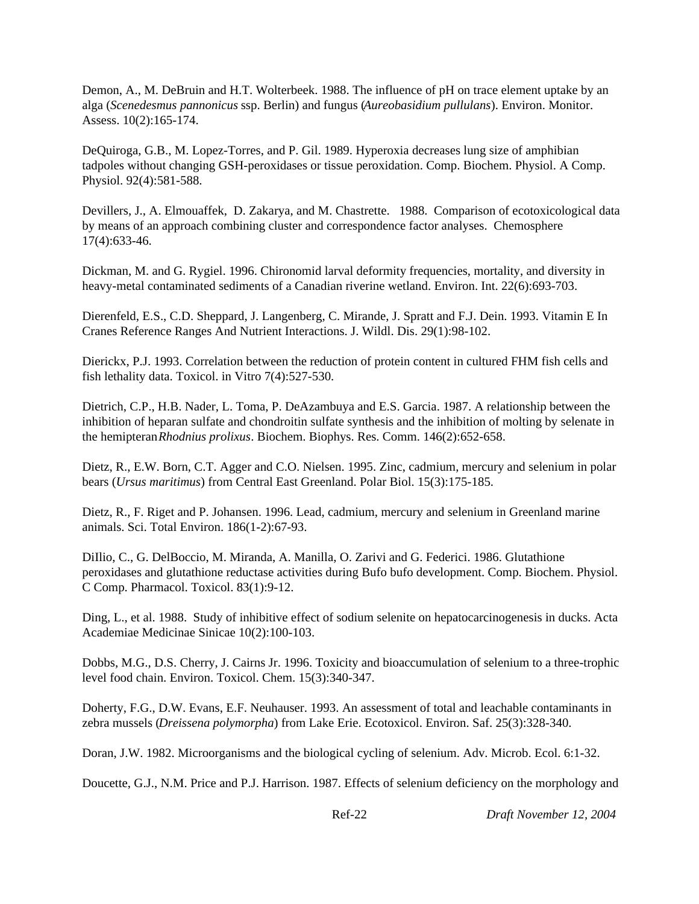Demon, A., M. DeBruin and H.T. Wolterbeek. 1988. The influence of pH on trace element uptake by an alga (*Scenedesmus pannonicus* ssp. Berlin) and fungus (*Aureobasidium pullulans*). Environ. Monitor. Assess. 10(2):165-174.

DeQuiroga, G.B., M. Lopez-Torres, and P. Gil. 1989. Hyperoxia decreases lung size of amphibian tadpoles without changing GSH-peroxidases or tissue peroxidation. Comp. Biochem. Physiol. A Comp. Physiol. 92(4):581-588.

Devillers, J., A. Elmouaffek, D. Zakarya, and M. Chastrette. 1988. Comparison of ecotoxicological data by means of an approach combining cluster and correspondence factor analyses. Chemosphere 17(4):633-46.

Dickman, M. and G. Rygiel. 1996. Chironomid larval deformity frequencies, mortality, and diversity in heavy-metal contaminated sediments of a Canadian riverine wetland. Environ. Int. 22(6):693-703.

Dierenfeld, E.S., C.D. Sheppard, J. Langenberg, C. Mirande, J. Spratt and F.J. Dein. 1993. Vitamin E In Cranes Reference Ranges And Nutrient Interactions. J. Wildl. Dis. 29(1):98-102.

Dierickx, P.J. 1993. Correlation between the reduction of protein content in cultured FHM fish cells and fish lethality data. Toxicol. in Vitro 7(4):527-530.

Dietrich, C.P., H.B. Nader, L. Toma, P. DeAzambuya and E.S. Garcia. 1987. A relationship between the inhibition of heparan sulfate and chondroitin sulfate synthesis and the inhibition of molting by selenate in the hemipteran *Rhodnius prolixus*. Biochem. Biophys. Res. Comm. 146(2):652-658.

Dietz, R., E.W. Born, C.T. Agger and C.O. Nielsen. 1995. Zinc, cadmium, mercury and selenium in polar bears (*Ursus maritimus*) from Central East Greenland. Polar Biol. 15(3):175-185.

Dietz, R., F. Riget and P. Johansen. 1996. Lead, cadmium, mercury and selenium in Greenland marine animals. Sci. Total Environ. 186(1-2):67-93.

DiIlio, C., G. DelBoccio, M. Miranda, A. Manilla, O. Zarivi and G. Federici. 1986. Glutathione peroxidases and glutathione reductase activities during Bufo bufo development. Comp. Biochem. Physiol. C Comp. Pharmacol. Toxicol. 83(1):9-12.

Ding, L., et al. 1988. Study of inhibitive effect of sodium selenite on hepatocarcinogenesis in ducks. Acta Academiae Medicinae Sinicae 10(2):100-103.

Dobbs, M.G., D.S. Cherry, J. Cairns Jr. 1996. Toxicity and bioaccumulation of selenium to a three-trophic level food chain. Environ. Toxicol. Chem. 15(3):340-347.

Doherty, F.G., D.W. Evans, E.F. Neuhauser. 1993. An assessment of total and leachable contaminants in zebra mussels (*Dreissena polymorpha*) from Lake Erie. Ecotoxicol. Environ. Saf. 25(3):328-340.

Doran, J.W. 1982. Microorganisms and the biological cycling of selenium. Adv. Microb. Ecol. 6:1-32.

Doucette, G.J., N.M. Price and P.J. Harrison. 1987. Effects of selenium deficiency on the morphology and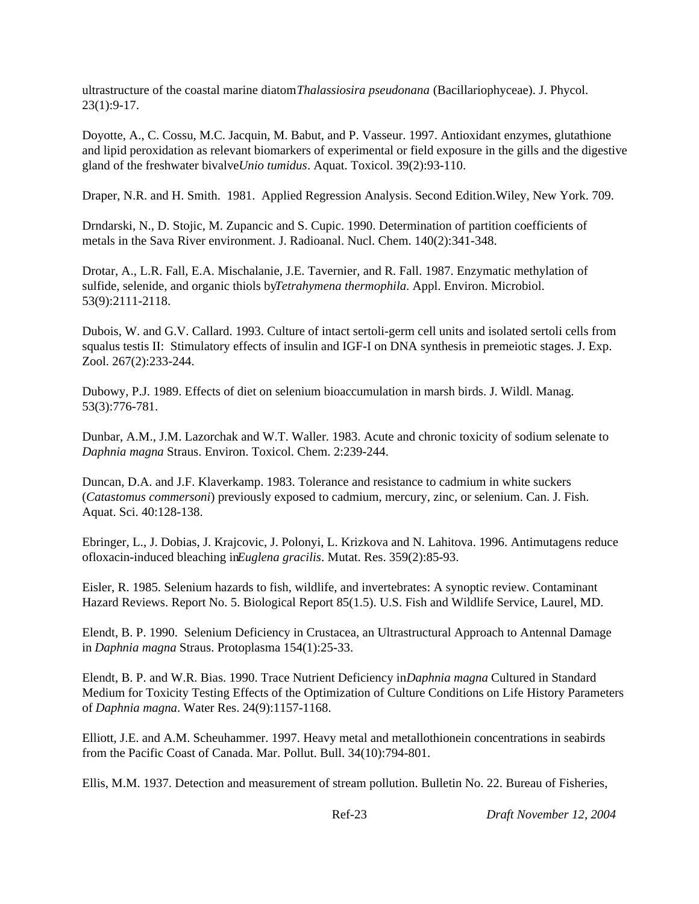ultrastructure of the coastal marine diatom *Thalassiosira pseudonana* (Bacillariophyceae). J. Phycol. 23(1):9-17.

Doyotte, A., C. Cossu, M.C. Jacquin, M. Babut, and P. Vasseur. 1997. Antioxidant enzymes, glutathione and lipid peroxidation as relevant biomarkers of experimental or field exposure in the gills and the digestive gland of the freshwater bivalve *Unio tumidus*. Aquat. Toxicol. 39(2):93-110.

Draper, N.R. and H. Smith. 1981. Applied Regression Analysis. Second Edition.Wiley, New York. 709.

Drndarski, N., D. Stojic, M. Zupancic and S. Cupic. 1990. Determination of partition coefficients of metals in the Sava River environment. J. Radioanal. Nucl. Chem. 140(2):341-348.

Drotar, A., L.R. Fall, E.A. Mischalanie, J.E. Tavernier, and R. Fall. 1987. Enzymatic methylation of sulfide, selenide, and organic thiols by *Tetrahymena thermophila*. Appl. Environ. Microbiol. 53(9):2111-2118.

Dubois, W. and G.V. Callard. 1993. Culture of intact sertoli-germ cell units and isolated sertoli cells from squalus testis II: Stimulatory effects of insulin and IGF-I on DNA synthesis in premeiotic stages. J. Exp. Zool. 267(2):233-244.

Dubowy, P.J. 1989. Effects of diet on selenium bioaccumulation in marsh birds. J. Wildl. Manag. 53(3):776-781.

Dunbar, A.M., J.M. Lazorchak and W.T. Waller. 1983. Acute and chronic toxicity of sodium selenate to *Daphnia magna* Straus. Environ. Toxicol. Chem. 2:239-244.

Duncan, D.A. and J.F. Klaverkamp. 1983. Tolerance and resistance to cadmium in white suckers (*Catastomus commersoni*) previously exposed to cadmium, mercury, zinc, or selenium. Can. J. Fish. Aquat. Sci. 40:128-138.

Ebringer, L., J. Dobias, J. Krajcovic, J. Polonyi, L. Krizkova and N. Lahitova. 1996. Antimutagens reduce ofloxacin-induced bleaching in *Euglena gracilis*. Mutat. Res. 359(2):85-93.

Eisler, R. 1985. Selenium hazards to fish, wildlife, and invertebrates: A synoptic review. Contaminant Hazard Reviews. Report No. 5. Biological Report 85(1.5). U.S. Fish and Wildlife Service, Laurel, MD.

Elendt, B. P. 1990. Selenium Deficiency in Crustacea, an Ultrastructural Approach to Antennal Damage in *Daphnia magna* Straus. Protoplasma 154(1):25-33.

Elendt, B. P. and W.R. Bias. 1990. Trace Nutrient Deficiency in *Daphnia magna* Cultured in Standard Medium for Toxicity Testing Effects of the Optimization of Culture Conditions on Life History Parameters of *Daphnia magna*. Water Res. 24(9):1157-1168.

Elliott, J.E. and A.M. Scheuhammer. 1997. Heavy metal and metallothionein concentrations in seabirds from the Pacific Coast of Canada. Mar. Pollut. Bull. 34(10):794-801.

Ellis, M.M. 1937. Detection and measurement of stream pollution. Bulletin No. 22. Bureau of Fisheries,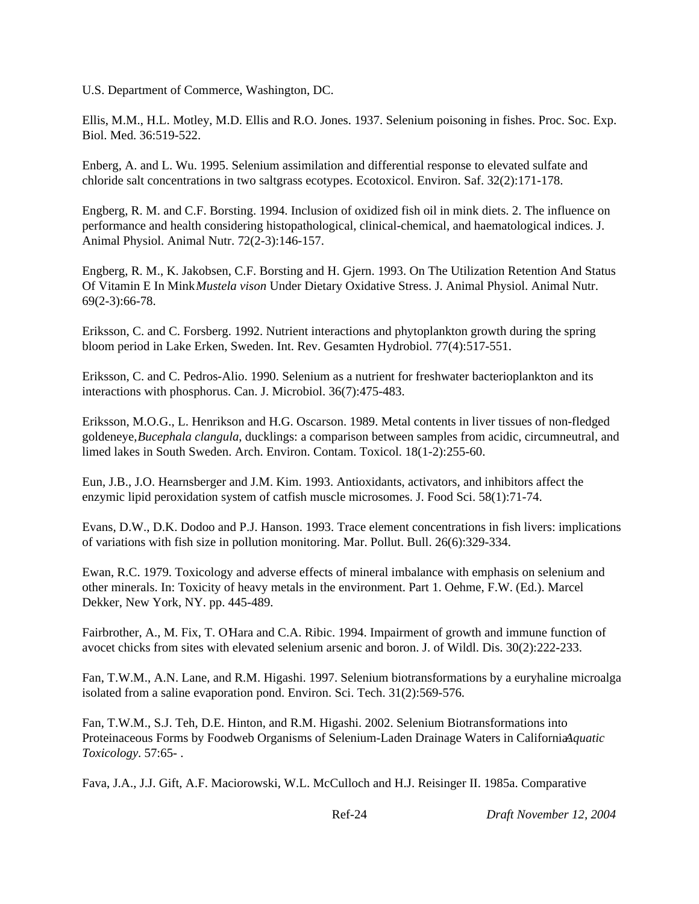U.S. Department of Commerce, Washington, DC.

Ellis, M.M., H.L. Motley, M.D. Ellis and R.O. Jones. 1937. Selenium poisoning in fishes. Proc. Soc. Exp. Biol. Med. 36:519-522.

Enberg, A. and L. Wu. 1995. Selenium assimilation and differential response to elevated sulfate and chloride salt concentrations in two saltgrass ecotypes. Ecotoxicol. Environ. Saf. 32(2):171-178.

Engberg, R. M. and C.F. Borsting. 1994. Inclusion of oxidized fish oil in mink diets. 2. The influence on performance and health considering histopathological, clinical-chemical, and haematological indices. J. Animal Physiol. Animal Nutr. 72(2-3):146-157.

Engberg, R. M., K. Jakobsen, C.F. Borsting and H. Gjern. 1993. On The Utilization Retention And Status Of Vitamin E In Mink *Mustela vison* Under Dietary Oxidative Stress. J. Animal Physiol. Animal Nutr. 69(2-3):66-78.

Eriksson, C. and C. Forsberg. 1992. Nutrient interactions and phytoplankton growth during the spring bloom period in Lake Erken, Sweden. Int. Rev. Gesamten Hydrobiol. 77(4):517-551.

Eriksson, C. and C. Pedros-Alio. 1990. Selenium as a nutrient for freshwater bacterioplankton and its interactions with phosphorus. Can. J. Microbiol. 36(7):475-483.

Eriksson, M.O.G., L. Henrikson and H.G. Oscarson. 1989. Metal contents in liver tissues of non-fledged goldeneye, *Bucephala clangula*, ducklings: a comparison between samples from acidic, circumneutral, and limed lakes in South Sweden. Arch. Environ. Contam. Toxicol. 18(1-2):255-60.

Eun, J.B., J.O. Hearnsberger and J.M. Kim. 1993. Antioxidants, activators, and inhibitors affect the enzymic lipid peroxidation system of catfish muscle microsomes. J. Food Sci. 58(1):71-74.

Evans, D.W., D.K. Dodoo and P.J. Hanson. 1993. Trace element concentrations in fish livers: implications of variations with fish size in pollution monitoring. Mar. Pollut. Bull. 26(6):329-334.

Ewan, R.C. 1979. Toxicology and adverse effects of mineral imbalance with emphasis on selenium and other minerals. In: Toxicity of heavy metals in the environment. Part 1. Oehme, F.W. (Ed.). Marcel Dekker, New York, NY. pp. 445-489.

Fairbrother, A., M. Fix, T. O'Hara and C.A. Ribic. 1994. Impairment of growth and immune function of avocet chicks from sites with elevated selenium arsenic and boron. J. of Wildl. Dis. 30(2):222-233.

Fan, T.W.M., A.N. Lane, and R.M. Higashi. 1997. Selenium biotransformations by a euryhaline microalga isolated from a saline evaporation pond. Environ. Sci. Tech. 31(2):569-576.

Fan, T.W.M., S.J. Teh, D.E. Hinton, and R.M. Higashi. 2002. Selenium Biotransformations into Proteinaceous Forms by Foodweb Organisms of Selenium-Laden Drainage Waters in CaliforniaA*quatic Toxicology*. 57:65- .

Fava, J.A., J.J. Gift, A.F. Maciorowski, W.L. McCulloch and H.J. Reisinger II. 1985a. Comparative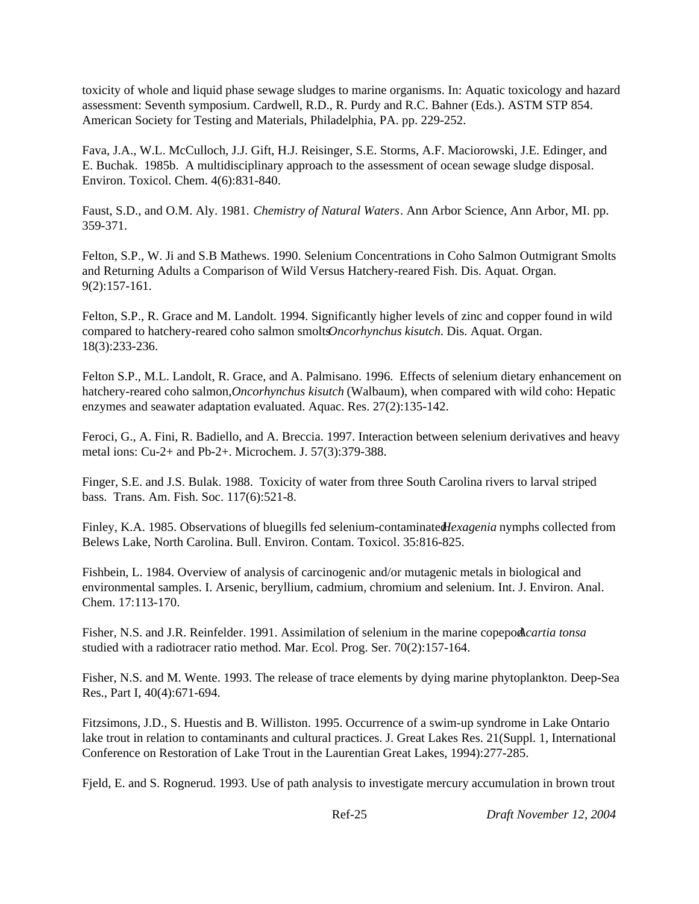toxicity of whole and liquid phase sewage sludges to marine organisms. In: Aquatic toxicology and hazard assessment: Seventh symposium. Cardwell, R.D., R. Purdy and R.C. Bahner (Eds.). ASTM STP 854. American Society for Testing and Materials, Philadelphia, PA. pp. 229-252.

Fava, J.A., W.L. McCulloch, J.J. Gift, H.J. Reisinger, S.E. Storms, A.F. Maciorowski, J.E. Edinger, and E. Buchak. 1985b. A multidisciplinary approach to the assessment of ocean sewage sludge disposal. Environ. Toxicol. Chem. 4(6):831-840.

Faust, S.D., and O.M. Aly. 1981. *Chemistry of Natural Waters*. Ann Arbor Science, Ann Arbor, MI. pp. 359-371.

Felton, S.P., W. Ji and S.B Mathews. 1990. Selenium Concentrations in Coho Salmon Outmigrant Smolts and Returning Adults a Comparison of Wild Versus Hatchery-reared Fish. Dis. Aquat. Organ. 9(2):157-161.

Felton, S.P., R. Grace and M. Landolt. 1994. Significantly higher levels of zinc and copper found in wild compared to hatchery-reared coho salmon smolts *Oncorhynchus kisutch*. Dis. Aquat. Organ. 18(3):233-236.

Felton S.P., M.L. Landolt, R. Grace, and A. Palmisano. 1996. Effects of selenium dietary enhancement on hatchery-reared coho salmon, *Oncorhynchus kisutch* (Walbaum), when compared with wild coho: Hepatic enzymes and seawater adaptation evaluated. Aquac. Res. 27(2):135-142.

Feroci, G., A. Fini, R. Badiello, and A. Breccia. 1997. Interaction between selenium derivatives and heavy metal ions: Cu-2+ and Pb-2+. Microchem. J. 57(3):379-388.

Finger, S.E. and J.S. Bulak. 1988. Toxicity of water from three South Carolina rivers to larval striped bass. Trans. Am. Fish. Soc. 117(6):521-8.

Finley, K.A. 1985. Observations of bluegills fed selenium-contaminated *Hexagenia* nymphs collected from Belews Lake, North Carolina. Bull. Environ. Contam. Toxicol. 35:816-825.

Fishbein, L. 1984. Overview of analysis of carcinogenic and/or mutagenic metals in biological and environmental samples. I. Arsenic, beryllium, cadmium, chromium and selenium. Int. J. Environ. Anal. Chem. 17:113-170.

Fisher, N.S. and J.R. Reinfelder. 1991. Assimilation of selenium in the marine copepod *cartia tonsa* studied with a radiotracer ratio method. Mar. Ecol. Prog. Ser. 70(2):157-164.

Fisher, N.S. and M. Wente. 1993. The release of trace elements by dying marine phytoplankton. Deep-Sea Res., Part I, 40(4):671-694.

Fitzsimons, J.D., S. Huestis and B. Williston. 1995. Occurrence of a swim-up syndrome in Lake Ontario lake trout in relation to contaminants and cultural practices. J. Great Lakes Res. 21(Suppl. 1, International Conference on Restoration of Lake Trout in the Laurentian Great Lakes, 1994):277-285.

Fjeld, E. and S. Rognerud. 1993. Use of path analysis to investigate mercury accumulation in brown trout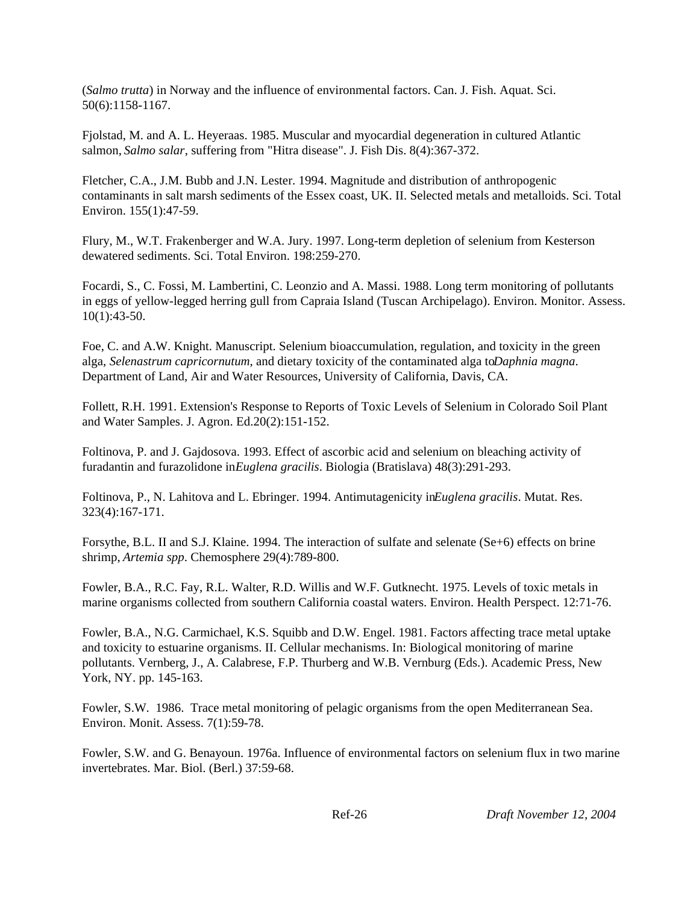(*Salmo trutta*) in Norway and the influence of environmental factors. Can. J. Fish. Aquat. Sci. 50(6):1158-1167.

Fjolstad, M. and A. L. Heyeraas. 1985. Muscular and myocardial degeneration in cultured Atlantic salmon, *Salmo salar*, suffering from "Hitra disease". J. Fish Dis. 8(4):367-372.

Fletcher, C.A., J.M. Bubb and J.N. Lester. 1994. Magnitude and distribution of anthropogenic contaminants in salt marsh sediments of the Essex coast, UK. II. Selected metals and metalloids. Sci. Total Environ. 155(1):47-59.

Flury, M., W.T. Frakenberger and W.A. Jury. 1997. Long-term depletion of selenium from Kesterson dewatered sediments. Sci. Total Environ. 198:259-270.

Focardi, S., C. Fossi, M. Lambertini, C. Leonzio and A. Massi. 1988. Long term monitoring of pollutants in eggs of yellow-legged herring gull from Capraia Island (Tuscan Archipelago). Environ. Monitor. Assess. 10(1):43-50.

Foe, C. and A.W. Knight. Manuscript. Selenium bioaccumulation, regulation, and toxicity in the green alga, *Selenastrum capricornutum*, and dietary toxicity of the contaminated alga to *Daphnia magna*. Department of Land, Air and Water Resources, University of California, Davis, CA.

Follett, R.H. 1991. Extension's Response to Reports of Toxic Levels of Selenium in Colorado Soil Plant and Water Samples. J. Agron. Ed.20(2):151-152.

Foltinova, P. and J. Gajdosova. 1993. Effect of ascorbic acid and selenium on bleaching activity of furadantin and furazolidone in *Euglena gracilis*. Biologia (Bratislava) 48(3):291-293.

Foltinova, P., N. Lahitova and L. Ebringer. 1994. Antimutagenicity in *Euglena gracilis*. Mutat. Res. 323(4):167-171.

Forsythe, B.L. II and S.J. Klaine. 1994. The interaction of sulfate and selenate (Se+6) effects on brine shrimp, *Artemia spp*. Chemosphere 29(4):789-800.

Fowler, B.A., R.C. Fay, R.L. Walter, R.D. Willis and W.F. Gutknecht. 1975. Levels of toxic metals in marine organisms collected from southern California coastal waters. Environ. Health Perspect. 12:71-76.

Fowler, B.A., N.G. Carmichael, K.S. Squibb and D.W. Engel. 1981. Factors affecting trace metal uptake and toxicity to estuarine organisms. II. Cellular mechanisms. In: Biological monitoring of marine pollutants. Vernberg, J., A. Calabrese, F.P. Thurberg and W.B. Vernburg (Eds.). Academic Press, New York, NY. pp. 145-163.

Fowler, S.W. 1986. Trace metal monitoring of pelagic organisms from the open Mediterranean Sea. Environ. Monit. Assess. 7(1):59-78.

Fowler, S.W. and G. Benayoun. 1976a. Influence of environmental factors on selenium flux in two marine invertebrates. Mar. Biol. (Berl.) 37:59-68.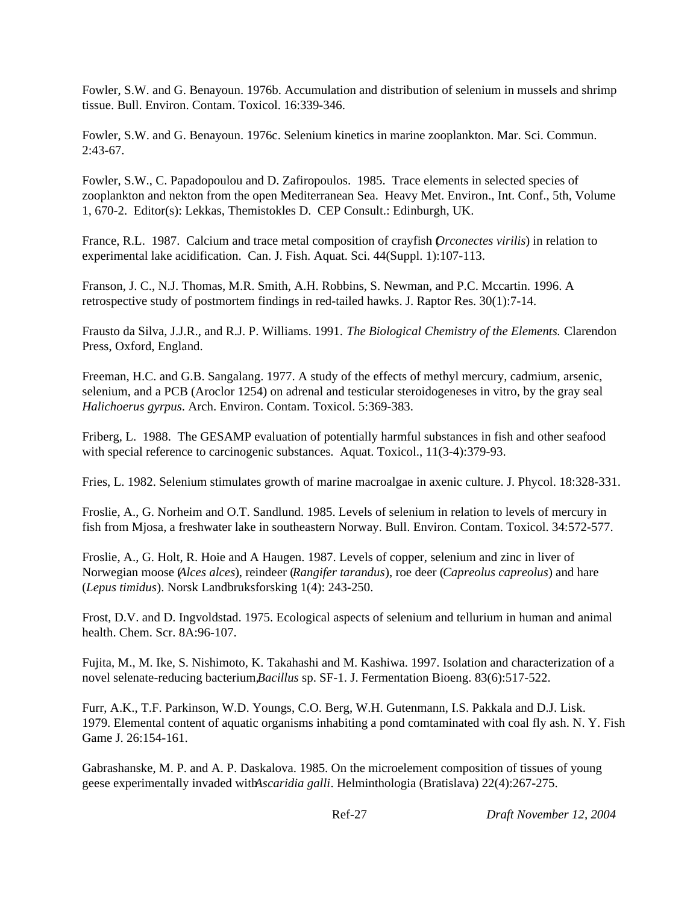Fowler, S.W. and G. Benayoun. 1976b. Accumulation and distribution of selenium in mussels and shrimp tissue. Bull. Environ. Contam. Toxicol. 16:339-346.

Fowler, S.W. and G. Benayoun. 1976c. Selenium kinetics in marine zooplankton. Mar. Sci. Commun.  $2:43-67.$ 

Fowler, S.W., C. Papadopoulou and D. Zafiropoulos. 1985. Trace elements in selected species of zooplankton and nekton from the open Mediterranean Sea. Heavy Met. Environ., Int. Conf., 5th, Volume 1, 670-2. Editor(s): Lekkas, Themistokles D. CEP Consult.: Edinburgh, UK.

France, R.L. 1987. Calcium and trace metal composition of crayfish (*Orconectes virilis*) in relation to experimental lake acidification. Can. J. Fish. Aquat. Sci. 44(Suppl. 1):107-113.

Franson, J. C., N.J. Thomas, M.R. Smith, A.H. Robbins, S. Newman, and P.C. Mccartin. 1996. A retrospective study of postmortem findings in red-tailed hawks. J. Raptor Res. 30(1):7-14.

Frausto da Silva, J.J.R., and R.J. P. Williams. 1991. *The Biological Chemistry of the Elements.* Clarendon Press, Oxford, England.

Freeman, H.C. and G.B. Sangalang. 1977. A study of the effects of methyl mercury, cadmium, arsenic, selenium, and a PCB (Aroclor 1254) on adrenal and testicular steroidogeneses in vitro, by the gray seal *Halichoerus gyrpus*. Arch. Environ. Contam. Toxicol. 5:369-383.

Friberg, L. 1988. The GESAMP evaluation of potentially harmful substances in fish and other seafood with special reference to carcinogenic substances. Aquat. Toxicol., 11(3-4):379-93.

Fries, L. 1982. Selenium stimulates growth of marine macroalgae in axenic culture. J. Phycol. 18:328-331.

Froslie, A., G. Norheim and O.T. Sandlund. 1985. Levels of selenium in relation to levels of mercury in fish from Mjosa, a freshwater lake in southeastern Norway. Bull. Environ. Contam. Toxicol. 34:572-577.

Froslie, A., G. Holt, R. Hoie and A Haugen. 1987. Levels of copper, selenium and zinc in liver of Norwegian moose (*Alces alces*), reindeer (*Rangifer tarandus*), roe deer (*Capreolus capreolus*) and hare (*Lepus timidus*). Norsk Landbruksforsking 1(4): 243-250.

Frost, D.V. and D. Ingvoldstad. 1975. Ecological aspects of selenium and tellurium in human and animal health. Chem. Scr. 8A:96-107.

Fujita, M., M. Ike, S. Nishimoto, K. Takahashi and M. Kashiwa. 1997. Isolation and characterization of a novel selenate-reducing bacterium, *Bacillus* sp. SF-1. J. Fermentation Bioeng. 83(6): 517-522.

Furr, A.K., T.F. Parkinson, W.D. Youngs, C.O. Berg, W.H. Gutenmann, I.S. Pakkala and D.J. Lisk. 1979. Elemental content of aquatic organisms inhabiting a pond comtaminated with coal fly ash. N. Y. Fish Game J. 26:154-161.

Gabrashanske, M. P. and A. P. Daskalova. 1985. On the microelement composition of tissues of young geese experimentally invaded with *Ascaridia galli*. Helminthologia (Bratislava) 22(4):267-275.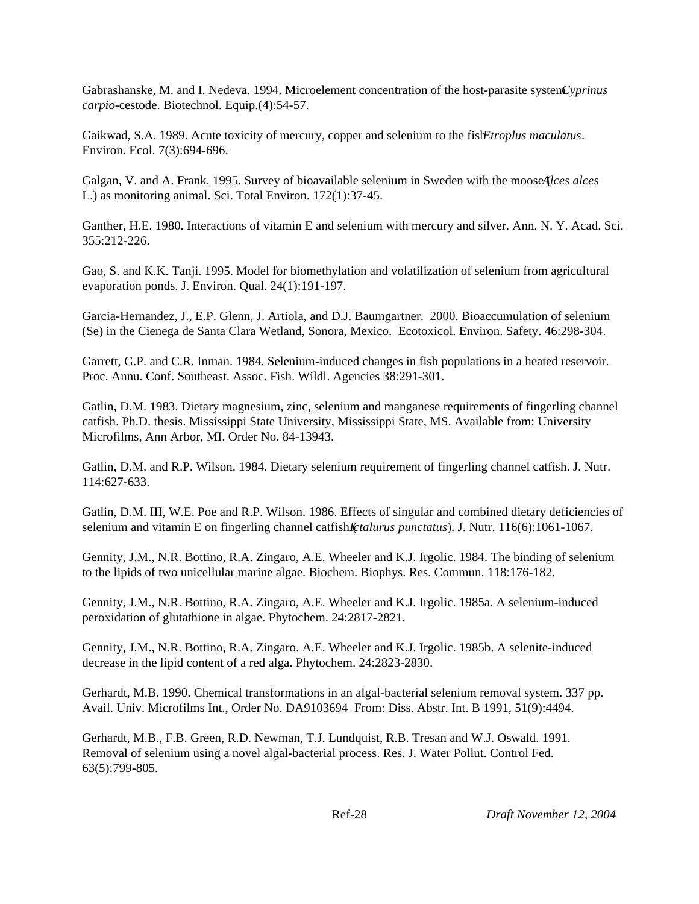Gabrashanske, M. and I. Nedeva. 1994. Microelement concentration of the host-parasite system *Cyprinus carpio*-cestode. Biotechnol. Equip.(4):54-57.

Gaikwad, S.A. 1989. Acute toxicity of mercury, copper and selenium to the fish *Etroplus maculatus*. Environ. Ecol. 7(3):694-696.

Galgan, V. and A. Frank. 1995. Survey of bioavailable selenium in Sweden with the mooseAlces alces L.) as monitoring animal. Sci. Total Environ. 172(1):37-45.

Ganther, H.E. 1980. Interactions of vitamin E and selenium with mercury and silver. Ann. N. Y. Acad. Sci. 355:212-226.

Gao, S. and K.K. Tanji. 1995. Model for biomethylation and volatilization of selenium from agricultural evaporation ponds. J. Environ. Qual. 24(1):191-197.

Garcia-Hernandez, J., E.P. Glenn, J. Artiola, and D.J. Baumgartner. 2000. Bioaccumulation of selenium (Se) in the Cienega de Santa Clara Wetland, Sonora, Mexico. Ecotoxicol. Environ. Safety. 46:298-304.

Garrett, G.P. and C.R. Inman. 1984. Selenium-induced changes in fish populations in a heated reservoir. Proc. Annu. Conf. Southeast. Assoc. Fish. Wildl. Agencies 38:291-301.

Gatlin, D.M. 1983. Dietary magnesium, zinc, selenium and manganese requirements of fingerling channel catfish. Ph.D. thesis. Mississippi State University, Mississippi State, MS. Available from: University Microfilms, Ann Arbor, MI. Order No. 84-13943.

Gatlin, D.M. and R.P. Wilson. 1984. Dietary selenium requirement of fingerling channel catfish. J. Nutr. 114:627-633.

Gatlin, D.M. III, W.E. Poe and R.P. Wilson. 1986. Effects of singular and combined dietary deficiencies of selenium and vitamin E on fingerling channel catfish *I*(*talurus punctatus*). J. Nutr. 116(6):1061-1067.

Gennity, J.M., N.R. Bottino, R.A. Zingaro, A.E. Wheeler and K.J. Irgolic. 1984. The binding of selenium to the lipids of two unicellular marine algae. Biochem. Biophys. Res. Commun. 118:176-182.

Gennity, J.M., N.R. Bottino, R.A. Zingaro, A.E. Wheeler and K.J. Irgolic. 1985a. A selenium-induced peroxidation of glutathione in algae. Phytochem. 24:2817-2821.

Gennity, J.M., N.R. Bottino, R.A. Zingaro. A.E. Wheeler and K.J. Irgolic. 1985b. A selenite-induced decrease in the lipid content of a red alga. Phytochem. 24:2823-2830.

Gerhardt, M.B. 1990. Chemical transformations in an algal-bacterial selenium removal system. 337 pp. Avail. Univ. Microfilms Int., Order No. DA9103694 From: Diss. Abstr. Int. B 1991, 51(9):4494.

Gerhardt, M.B., F.B. Green, R.D. Newman, T.J. Lundquist, R.B. Tresan and W.J. Oswald. 1991. Removal of selenium using a novel algal-bacterial process. Res. J. Water Pollut. Control Fed. 63(5):799-805.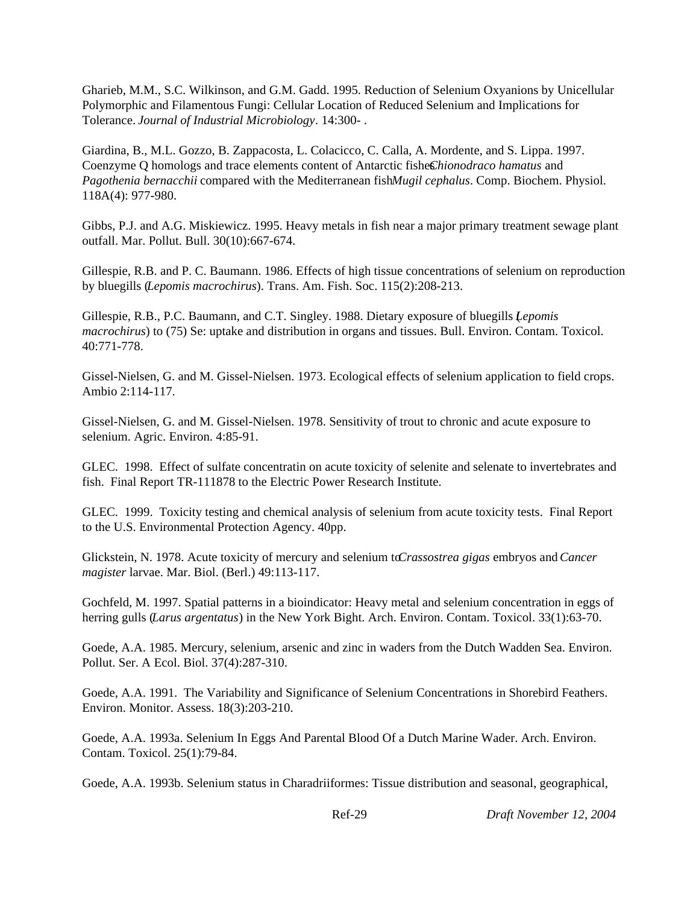Gharieb, M.M., S.C. Wilkinson, and G.M. Gadd. 1995. Reduction of Selenium Oxyanions by Unicellular Polymorphic and Filamentous Fungi: Cellular Location of Reduced Selenium and Implications for Tolerance. *Journal of Industrial Microbiology*. 14:300- .

Giardina, B., M.L. Gozzo, B. Zappacosta, L. Colacicco, C. Calla, A. Mordente, and S. Lippa. 1997. Coenzyme Q homologs and trace elements content of Antarctic fishes *Chionodraco hamatus* and *Pagothenia bernacchii* compared with the Mediterranean fish *Mugil cephalus*. Comp. Biochem. Physiol. 118A(4): 977-980.

Gibbs, P.J. and A.G. Miskiewicz. 1995. Heavy metals in fish near a major primary treatment sewage plant outfall. Mar. Pollut. Bull. 30(10):667-674.

Gillespie, R.B. and P. C. Baumann. 1986. Effects of high tissue concentrations of selenium on reproduction by bluegills (*Lepomis macrochirus*). Trans. Am. Fish. Soc. 115(2):208-213.

Gillespie, R.B., P.C. Baumann, and C.T. Singley. 1988. Dietary exposure of bluegills (*Lepomis macrochirus*) to (75) Se: uptake and distribution in organs and tissues. Bull. Environ. Contam. Toxicol. 40:771-778.

Gissel-Nielsen, G. and M. Gissel-Nielsen. 1973. Ecological effects of selenium application to field crops. Ambio 2:114-117.

Gissel-Nielsen, G. and M. Gissel-Nielsen. 1978. Sensitivity of trout to chronic and acute exposure to selenium. Agric. Environ. 4:85-91.

GLEC. 1998. Effect of sulfate concentratin on acute toxicity of selenite and selenate to invertebrates and fish. Final Report TR-111878 to the Electric Power Research Institute.

GLEC. 1999. Toxicity testing and chemical analysis of selenium from acute toxicity tests. Final Report to the U.S. Environmental Protection Agency. 40pp.

Glickstein, N. 1978. Acute toxicity of mercury and selenium to *Crassostrea* gigas embryos and *Cancer magister* larvae. Mar. Biol. (Berl.) 49:113-117.

Gochfeld, M. 1997. Spatial patterns in a bioindicator: Heavy metal and selenium concentration in eggs of herring gulls (*Larus argentatus*) in the New York Bight. Arch. Environ. Contam. Toxicol. 33(1):63-70.

Goede, A.A. 1985. Mercury, selenium, arsenic and zinc in waders from the Dutch Wadden Sea. Environ. Pollut. Ser. A Ecol. Biol. 37(4):287-310.

Goede, A.A. 1991. The Variability and Significance of Selenium Concentrations in Shorebird Feathers. Environ. Monitor. Assess. 18(3):203-210.

Goede, A.A. 1993a. Selenium In Eggs And Parental Blood Of a Dutch Marine Wader. Arch. Environ. Contam. Toxicol. 25(1):79-84.

Goede, A.A. 1993b. Selenium status in Charadriiformes: Tissue distribution and seasonal, geographical,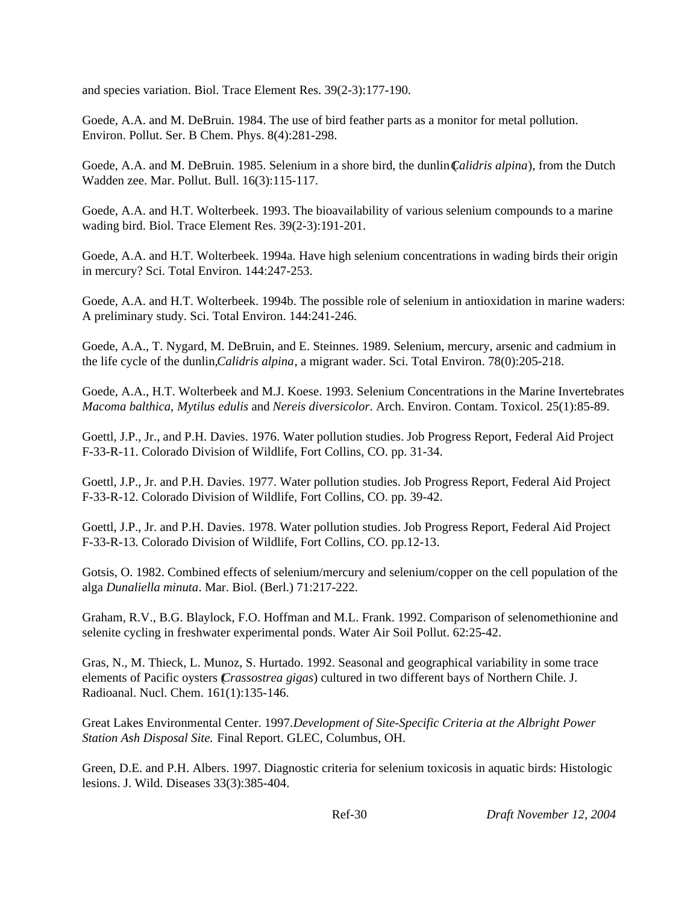and species variation. Biol. Trace Element Res. 39(2-3):177-190.

Goede, A.A. and M. DeBruin. 1984. The use of bird feather parts as a monitor for metal pollution. Environ. Pollut. Ser. B Chem. Phys. 8(4):281-298.

Goede, A.A. and M. DeBruin. 1985. Selenium in a shore bird, the dunlin *Calidris alpina*), from the Dutch Wadden zee. Mar. Pollut. Bull. 16(3):115-117.

Goede, A.A. and H.T. Wolterbeek. 1993. The bioavailability of various selenium compounds to a marine wading bird. Biol. Trace Element Res. 39(2-3):191-201.

Goede, A.A. and H.T. Wolterbeek. 1994a. Have high selenium concentrations in wading birds their origin in mercury? Sci. Total Environ. 144:247-253.

Goede, A.A. and H.T. Wolterbeek. 1994b. The possible role of selenium in antioxidation in marine waders: A preliminary study. Sci. Total Environ. 144:241-246.

Goede, A.A., T. Nygard, M. DeBruin, and E. Steinnes. 1989. Selenium, mercury, arsenic and cadmium in the life cycle of the dunlin, *Calidris alpina*, a migrant wader. Sci. Total Environ. 78(0):205-218.

Goede, A.A., H.T. Wolterbeek and M.J. Koese. 1993. Selenium Concentrations in the Marine Invertebrates *Macoma balthica*, *Mytilus edulis* and *Nereis diversicolor*. Arch. Environ. Contam. Toxicol. 25(1):85-89.

Goettl, J.P., Jr., and P.H. Davies. 1976. Water pollution studies. Job Progress Report, Federal Aid Project F-33-R-11. Colorado Division of Wildlife, Fort Collins, CO. pp. 31-34.

Goettl, J.P., Jr. and P.H. Davies. 1977. Water pollution studies. Job Progress Report, Federal Aid Project F-33-R-12. Colorado Division of Wildlife, Fort Collins, CO. pp. 39-42.

Goettl, J.P., Jr. and P.H. Davies. 1978. Water pollution studies. Job Progress Report, Federal Aid Project F-33-R-13. Colorado Division of Wildlife, Fort Collins, CO. pp.12-13.

Gotsis, O. 1982. Combined effects of selenium/mercury and selenium/copper on the cell population of the alga *Dunaliella minuta*. Mar. Biol. (Berl.) 71:217-222.

Graham, R.V., B.G. Blaylock, F.O. Hoffman and M.L. Frank. 1992. Comparison of selenomethionine and selenite cycling in freshwater experimental ponds. Water Air Soil Pollut. 62:25-42.

Gras, N., M. Thieck, L. Munoz, S. Hurtado. 1992. Seasonal and geographical variability in some trace elements of Pacific oysters (*Crassostrea gigas*) cultured in two different bays of Northern Chile. J. Radioanal. Nucl. Chem. 161(1):135-146.

Great Lakes Environmental Center. 1997. *Development of Site-Specific Criteria at the Albright Power Station Ash Disposal Site.* Final Report. GLEC, Columbus, OH.

Green, D.E. and P.H. Albers. 1997. Diagnostic criteria for selenium toxicosis in aquatic birds: Histologic lesions. J. Wild. Diseases 33(3):385-404.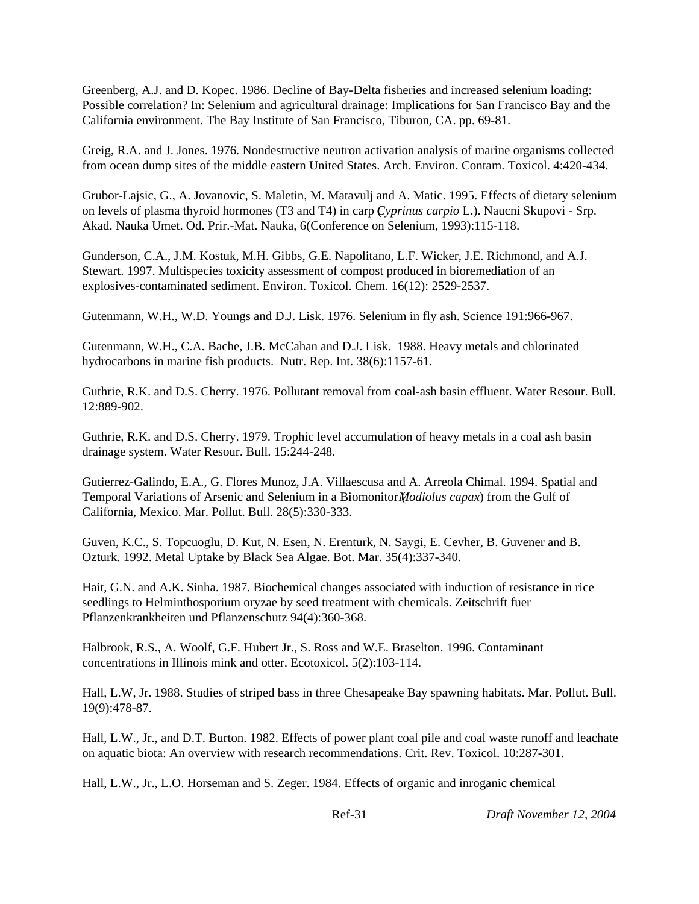Greenberg, A.J. and D. Kopec. 1986. Decline of Bay-Delta fisheries and increased selenium loading: Possible correlation? In: Selenium and agricultural drainage: Implications for San Francisco Bay and the California environment. The Bay Institute of San Francisco, Tiburon, CA. pp. 69-81.

Greig, R.A. and J. Jones. 1976. Nondestructive neutron activation analysis of marine organisms collected from ocean dump sites of the middle eastern United States. Arch. Environ. Contam. Toxicol. 4:420-434.

Grubor-Lajsic, G., A. Jovanovic, S. Maletin, M. Matavulj and A. Matic. 1995. Effects of dietary selenium on levels of plasma thyroid hormones (T3 and T4) in carp (*Cyprinus carpio* L.). Naucni Skupovi - Srp. Akad. Nauka Umet. Od. Prir.-Mat. Nauka, 6(Conference on Selenium, 1993):115-118.

Gunderson, C.A., J.M. Kostuk, M.H. Gibbs, G.E. Napolitano, L.F. Wicker, J.E. Richmond, and A.J. Stewart. 1997. Multispecies toxicity assessment of compost produced in bioremediation of an explosives-contaminated sediment. Environ. Toxicol. Chem. 16(12): 2529-2537.

Gutenmann, W.H., W.D. Youngs and D.J. Lisk. 1976. Selenium in fly ash. Science 191:966-967.

Gutenmann, W.H., C.A. Bache, J.B. McCahan and D.J. Lisk. 1988. Heavy metals and chlorinated hydrocarbons in marine fish products. Nutr. Rep. Int. 38(6):1157-61.

Guthrie, R.K. and D.S. Cherry. 1976. Pollutant removal from coal-ash basin effluent. Water Resour. Bull. 12:889-902.

Guthrie, R.K. and D.S. Cherry. 1979. Trophic level accumulation of heavy metals in a coal ash basin drainage system. Water Resour. Bull. 15:244-248.

Gutierrez-Galindo, E.A., G. Flores Munoz, J.A. Villaescusa and A. Arreola Chimal. 1994. Spatial and Temporal Variations of Arsenic and Selenium in a Biomonitor (*Modiolus capax*) from the Gulf of California, Mexico. Mar. Pollut. Bull. 28(5):330-333.

Guven, K.C., S. Topcuoglu, D. Kut, N. Esen, N. Erenturk, N. Saygi, E. Cevher, B. Guvener and B. Ozturk. 1992. Metal Uptake by Black Sea Algae. Bot. Mar. 35(4):337-340.

Hait, G.N. and A.K. Sinha. 1987. Biochemical changes associated with induction of resistance in rice seedlings to Helminthosporium oryzae by seed treatment with chemicals. Zeitschrift fuer Pflanzenkrankheiten und Pflanzenschutz 94(4):360-368.

Halbrook, R.S., A. Woolf, G.F. Hubert Jr., S. Ross and W.E. Braselton. 1996. Contaminant concentrations in Illinois mink and otter. Ecotoxicol. 5(2):103-114.

Hall, L.W, Jr. 1988. Studies of striped bass in three Chesapeake Bay spawning habitats. Mar. Pollut. Bull. 19(9):478-87.

Hall, L.W., Jr., and D.T. Burton. 1982. Effects of power plant coal pile and coal waste runoff and leachate on aquatic biota: An overview with research recommendations. Crit. Rev. Toxicol. 10:287-301.

Hall, L.W., Jr., L.O. Horseman and S. Zeger. 1984. Effects of organic and inroganic chemical

Ref-31 *Draft November 12, 2004*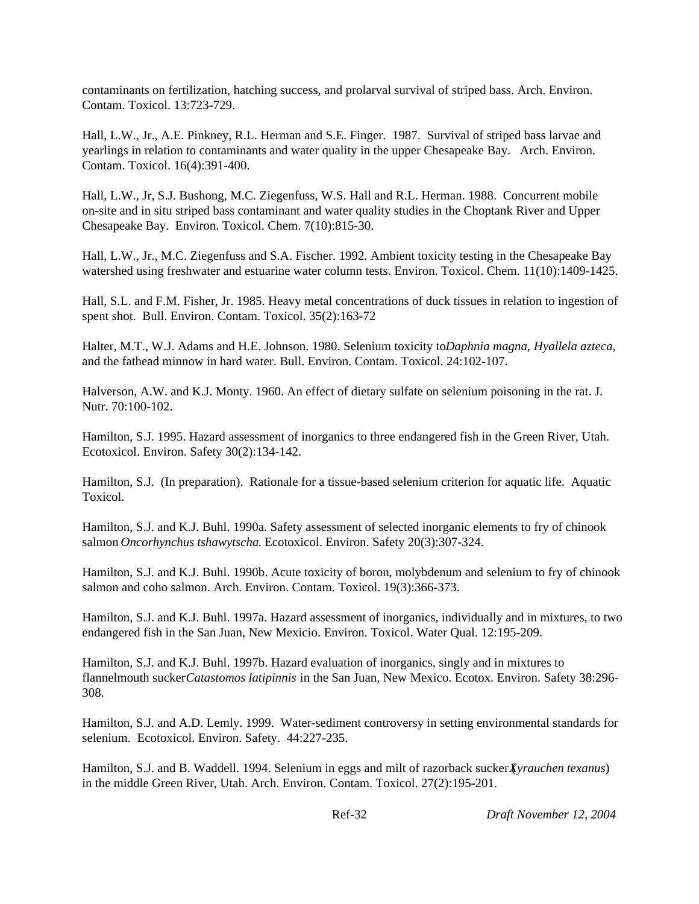contaminants on fertilization, hatching success, and prolarval survival of striped bass. Arch. Environ. Contam. Toxicol. 13:723-729.

Hall, L.W., Jr., A.E. Pinkney, R.L. Herman and S.E. Finger. 1987. Survival of striped bass larvae and yearlings in relation to contaminants and water quality in the upper Chesapeake Bay. Arch. Environ. Contam. Toxicol. 16(4):391-400.

Hall, L.W., Jr, S.J. Bushong, M.C. Ziegenfuss, W.S. Hall and R.L. Herman. 1988. Concurrent mobile on-site and in situ striped bass contaminant and water quality studies in the Choptank River and Upper Chesapeake Bay. Environ. Toxicol. Chem. 7(10):815-30.

Hall, L.W., Jr., M.C. Ziegenfuss and S.A. Fischer. 1992. Ambient toxicity testing in the Chesapeake Bay watershed using freshwater and estuarine water column tests. Environ. Toxicol. Chem. 11(10):1409-1425.

Hall, S.L. and F.M. Fisher, Jr. 1985. Heavy metal concentrations of duck tissues in relation to ingestion of spent shot. Bull. Environ. Contam. Toxicol. 35(2):163-72

Halter, M.T., W.J. Adams and H.E. Johnson. 1980. Selenium toxicity to *Daphnia magna*, *Hyallela azteca*, and the fathead minnow in hard water. Bull. Environ. Contam. Toxicol. 24:102-107.

Halverson, A.W. and K.J. Monty. 1960. An effect of dietary sulfate on selenium poisoning in the rat. J. Nutr. 70:100-102.

Hamilton, S.J. 1995. Hazard assessment of inorganics to three endangered fish in the Green River, Utah. Ecotoxicol. Environ. Safety 30(2):134-142.

Hamilton, S.J. (In preparation). Rationale for a tissue-based selenium criterion for aquatic life. Aquatic Toxicol.

Hamilton, S.J. and K.J. Buhl. 1990a. Safety assessment of selected inorganic elements to fry of chinook salmon *Oncorhynchus tshawytscha*. Ecotoxicol. Environ. Safety 20(3):307-324.

Hamilton, S.J. and K.J. Buhl. 1990b. Acute toxicity of boron, molybdenum and selenium to fry of chinook salmon and coho salmon. Arch. Environ. Contam. Toxicol. 19(3):366-373.

Hamilton, S.J. and K.J. Buhl. 1997a. Hazard assessment of inorganics, individually and in mixtures, to two endangered fish in the San Juan, New Mexicio. Environ. Toxicol. Water Qual. 12:195-209.

Hamilton, S.J. and K.J. Buhl. 1997b. Hazard evaluation of inorganics, singly and in mixtures to flannelmouth sucker *Catastomos latipinnis* in the San Juan, New Mexico. Ecotox. Environ. Safety 38:296- 308.

Hamilton, S.J. and A.D. Lemly. 1999. Water-sediment controversy in setting environmental standards for selenium. Ecotoxicol. Environ. Safety. 44:227-235.

Hamilton, S.J. and B. Waddell. 1994. Selenium in eggs and milt of razorback sucker *Xyrauchen texanus*) in the middle Green River, Utah. Arch. Environ. Contam. Toxicol. 27(2):195-201.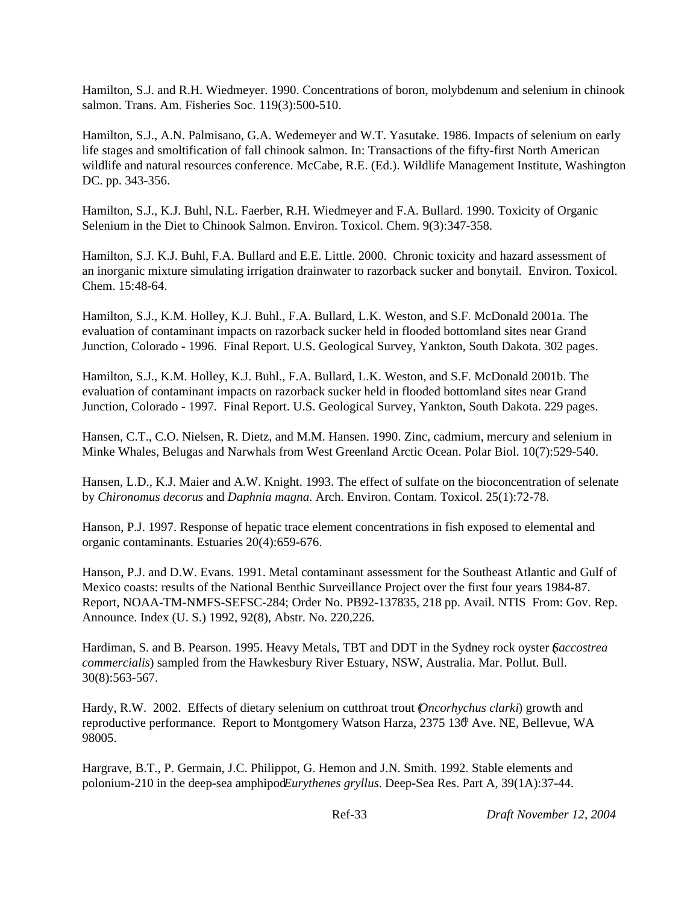Hamilton, S.J. and R.H. Wiedmeyer. 1990. Concentrations of boron, molybdenum and selenium in chinook salmon. Trans. Am. Fisheries Soc. 119(3):500-510.

Hamilton, S.J., A.N. Palmisano, G.A. Wedemeyer and W.T. Yasutake. 1986. Impacts of selenium on early life stages and smoltification of fall chinook salmon. In: Transactions of the fifty-first North American wildlife and natural resources conference. McCabe, R.E. (Ed.). Wildlife Management Institute, Washington DC. pp. 343-356.

Hamilton, S.J., K.J. Buhl, N.L. Faerber, R.H. Wiedmeyer and F.A. Bullard. 1990. Toxicity of Organic Selenium in the Diet to Chinook Salmon. Environ. Toxicol. Chem. 9(3):347-358.

Hamilton, S.J. K.J. Buhl, F.A. Bullard and E.E. Little. 2000. Chronic toxicity and hazard assessment of an inorganic mixture simulating irrigation drainwater to razorback sucker and bonytail. Environ. Toxicol. Chem. 15:48-64.

Hamilton, S.J., K.M. Holley, K.J. Buhl., F.A. Bullard, L.K. Weston, and S.F. McDonald 2001a. The evaluation of contaminant impacts on razorback sucker held in flooded bottomland sites near Grand Junction, Colorado - 1996. Final Report. U.S. Geological Survey, Yankton, South Dakota. 302 pages.

Hamilton, S.J., K.M. Holley, K.J. Buhl., F.A. Bullard, L.K. Weston, and S.F. McDonald 2001b. The evaluation of contaminant impacts on razorback sucker held in flooded bottomland sites near Grand Junction, Colorado - 1997. Final Report. U.S. Geological Survey, Yankton, South Dakota. 229 pages.

Hansen, C.T., C.O. Nielsen, R. Dietz, and M.M. Hansen. 1990. Zinc, cadmium, mercury and selenium in Minke Whales, Belugas and Narwhals from West Greenland Arctic Ocean. Polar Biol. 10(7):529-540.

Hansen, L.D., K.J. Maier and A.W. Knight. 1993. The effect of sulfate on the bioconcentration of selenate by *Chironomus decorus* and *Daphnia magna*. Arch. Environ. Contam. Toxicol. 25(1):72-78.

Hanson, P.J. 1997. Response of hepatic trace element concentrations in fish exposed to elemental and organic contaminants. Estuaries 20(4):659-676.

Hanson, P.J. and D.W. Evans. 1991. Metal contaminant assessment for the Southeast Atlantic and Gulf of Mexico coasts: results of the National Benthic Surveillance Project over the first four years 1984-87. Report, NOAA-TM-NMFS-SEFSC-284; Order No. PB92-137835, 218 pp. Avail. NTIS From: Gov. Rep. Announce. Index (U. S.) 1992, 92(8), Abstr. No. 220,226.

Hardiman, S. and B. Pearson. 1995. Heavy Metals, TBT and DDT in the Sydney rock oyster (*Saccostrea commercialis*) sampled from the Hawkesbury River Estuary, NSW, Australia. Mar. Pollut. Bull. 30(8):563-567.

Hardy, R.W. 2002. Effects of dietary selenium on cutthroat trout (*Oncorhychus clarki*) growth and reproductive performance. Report to Montgomery Watson Harza, 2375 130 Ave. NE, Bellevue, WA 98005.

Hargrave, B.T., P. Germain, J.C. Philippot, G. Hemon and J.N. Smith. 1992. Stable elements and polonium-210 in the deep-sea amphipod *Eurythenes gryllus*. Deep-Sea Res. Part A, 39(1A):37-44.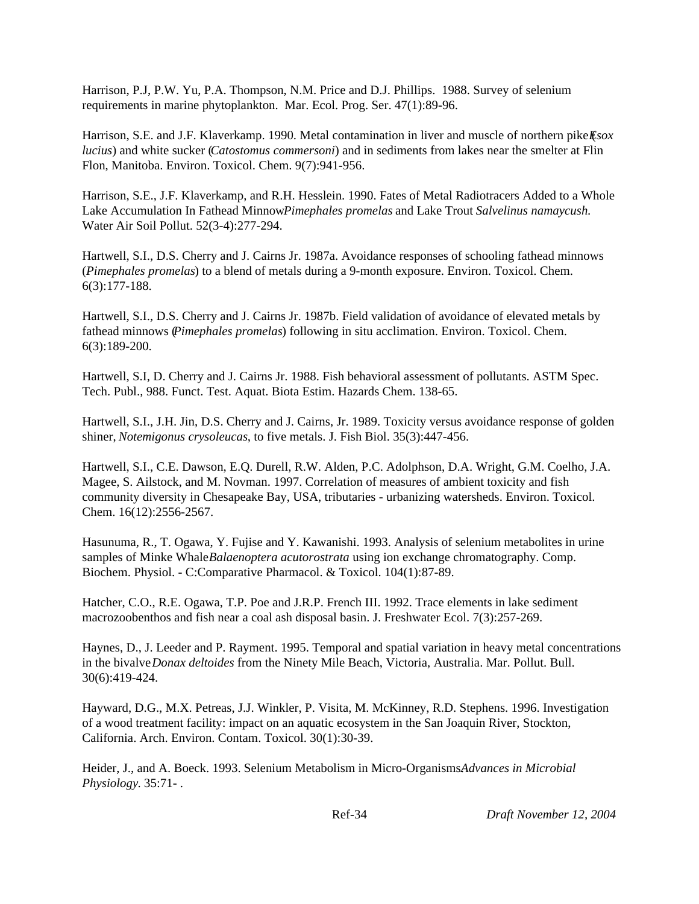Harrison, P.J, P.W. Yu, P.A. Thompson, N.M. Price and D.J. Phillips. 1988. Survey of selenium requirements in marine phytoplankton. Mar. Ecol. Prog. Ser. 47(1):89-96.

Harrison, S.E. and J.F. Klaverkamp. 1990. Metal contamination in liver and muscle of northern pike *Esox lucius*) and white sucker (*Catostomus commersoni*) and in sediments from lakes near the smelter at Flin Flon, Manitoba. Environ. Toxicol. Chem. 9(7):941-956.

Harrison, S.E., J.F. Klaverkamp, and R.H. Hesslein. 1990. Fates of Metal Radiotracers Added to a Whole Lake Accumulation In Fathead Minnow *Pimephales promelas* and Lake Trout *Salvelinus namaycush*. Water Air Soil Pollut. 52(3-4):277-294.

Hartwell, S.I., D.S. Cherry and J. Cairns Jr. 1987a. Avoidance responses of schooling fathead minnows (*Pimephales promelas*) to a blend of metals during a 9-month exposure. Environ. Toxicol. Chem. 6(3):177-188.

Hartwell, S.I., D.S. Cherry and J. Cairns Jr. 1987b. Field validation of avoidance of elevated metals by fathead minnows (*Pimephales promelas*) following in situ acclimation. Environ. Toxicol. Chem. 6(3):189-200.

Hartwell, S.I, D. Cherry and J. Cairns Jr. 1988. Fish behavioral assessment of pollutants. ASTM Spec. Tech. Publ., 988. Funct. Test. Aquat. Biota Estim. Hazards Chem. 138-65.

Hartwell, S.I., J.H. Jin, D.S. Cherry and J. Cairns, Jr. 1989. Toxicity versus avoidance response of golden shiner, *Notemigonus crysoleucas*, to five metals. J. Fish Biol. 35(3):447-456.

Hartwell, S.I., C.E. Dawson, E.Q. Durell, R.W. Alden, P.C. Adolphson, D.A. Wright, G.M. Coelho, J.A. Magee, S. Ailstock, and M. Novman. 1997. Correlation of measures of ambient toxicity and fish community diversity in Chesapeake Bay, USA, tributaries - urbanizing watersheds. Environ. Toxicol. Chem. 16(12):2556-2567.

Hasunuma, R., T. Ogawa, Y. Fujise and Y. Kawanishi. 1993. Analysis of selenium metabolites in urine samples of Minke Whale *Balaenoptera acutorostrata* using ion exchange chromatography. Comp. Biochem. Physiol. - C:Comparative Pharmacol. & Toxicol. 104(1):87-89.

Hatcher, C.O., R.E. Ogawa, T.P. Poe and J.R.P. French III. 1992. Trace elements in lake sediment macrozoobenthos and fish near a coal ash disposal basin. J. Freshwater Ecol. 7(3):257-269.

Haynes, D., J. Leeder and P. Rayment. 1995. Temporal and spatial variation in heavy metal concentrations in the bivalve *Donax deltoides* from the Ninety Mile Beach, Victoria, Australia. Mar. Pollut. Bull. 30(6):419-424.

Hayward, D.G., M.X. Petreas, J.J. Winkler, P. Visita, M. McKinney, R.D. Stephens. 1996. Investigation of a wood treatment facility: impact on an aquatic ecosystem in the San Joaquin River, Stockton, California. Arch. Environ. Contam. Toxicol. 30(1):30-39.

Heider, J., and A. Boeck. 1993. Selenium Metabolism in Micro-Organisms. *Advances in Microbial Physiology*. 35:71- .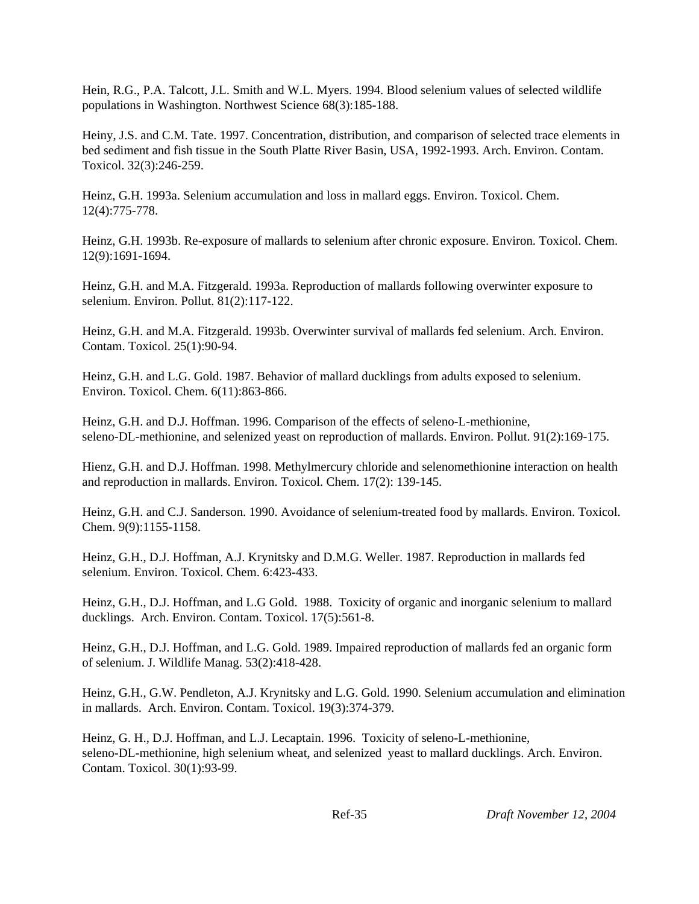Hein, R.G., P.A. Talcott, J.L. Smith and W.L. Myers. 1994. Blood selenium values of selected wildlife populations in Washington. Northwest Science 68(3):185-188.

Heiny, J.S. and C.M. Tate. 1997. Concentration, distribution, and comparison of selected trace elements in bed sediment and fish tissue in the South Platte River Basin, USA, 1992-1993. Arch. Environ. Contam. Toxicol. 32(3):246-259.

Heinz, G.H. 1993a. Selenium accumulation and loss in mallard eggs. Environ. Toxicol. Chem. 12(4):775-778.

Heinz, G.H. 1993b. Re-exposure of mallards to selenium after chronic exposure. Environ. Toxicol. Chem. 12(9):1691-1694.

Heinz, G.H. and M.A. Fitzgerald. 1993a. Reproduction of mallards following overwinter exposure to selenium. Environ. Pollut. 81(2):117-122.

Heinz, G.H. and M.A. Fitzgerald. 1993b. Overwinter survival of mallards fed selenium. Arch. Environ. Contam. Toxicol. 25(1):90-94.

Heinz, G.H. and L.G. Gold. 1987. Behavior of mallard ducklings from adults exposed to selenium. Environ. Toxicol. Chem. 6(11):863-866.

Heinz, G.H. and D.J. Hoffman. 1996. Comparison of the effects of seleno-L-methionine, seleno-DL-methionine, and selenized yeast on reproduction of mallards. Environ. Pollut. 91(2):169-175.

Hienz, G.H. and D.J. Hoffman. 1998. Methylmercury chloride and selenomethionine interaction on health and reproduction in mallards. Environ. Toxicol. Chem. 17(2): 139-145.

Heinz, G.H. and C.J. Sanderson. 1990. Avoidance of selenium-treated food by mallards. Environ. Toxicol. Chem. 9(9):1155-1158.

Heinz, G.H., D.J. Hoffman, A.J. Krynitsky and D.M.G. Weller. 1987. Reproduction in mallards fed selenium. Environ. Toxicol. Chem. 6:423-433.

Heinz, G.H., D.J. Hoffman, and L.G Gold. 1988. Toxicity of organic and inorganic selenium to mallard ducklings. Arch. Environ. Contam. Toxicol. 17(5):561-8.

Heinz, G.H., D.J. Hoffman, and L.G. Gold. 1989. Impaired reproduction of mallards fed an organic form of selenium. J. Wildlife Manag. 53(2):418-428.

Heinz, G.H., G.W. Pendleton, A.J. Krynitsky and L.G. Gold. 1990. Selenium accumulation and elimination in mallards. Arch. Environ. Contam. Toxicol. 19(3):374-379.

Heinz, G. H., D.J. Hoffman, and L.J. Lecaptain. 1996. Toxicity of seleno-L-methionine, seleno-DL-methionine, high selenium wheat, and selenized yeast to mallard ducklings. Arch. Environ. Contam. Toxicol. 30(1):93-99.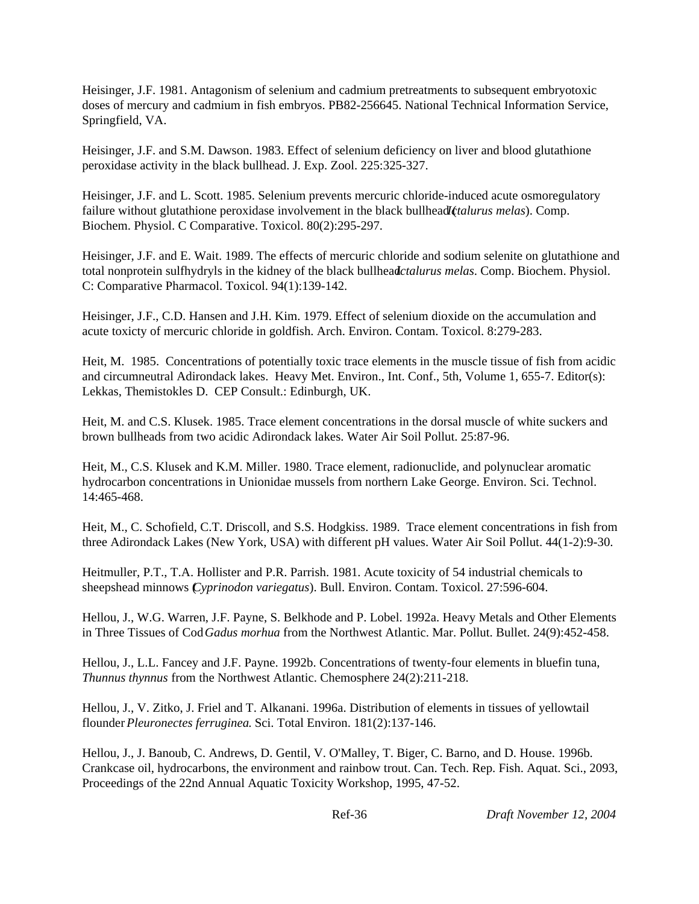Heisinger, J.F. 1981. Antagonism of selenium and cadmium pretreatments to subsequent embryotoxic doses of mercury and cadmium in fish embryos. PB82-256645. National Technical Information Service, Springfield, VA.

Heisinger, J.F. and S.M. Dawson. 1983. Effect of selenium deficiency on liver and blood glutathione peroxidase activity in the black bullhead. J. Exp. Zool. 225:325-327.

Heisinger, J.F. and L. Scott. 1985. Selenium prevents mercuric chloride-induced acute osmoregulatory failure without glutathione peroxidase involvement in the black bullhead (*Ictalurus melas*). Comp. Biochem. Physiol. C Comparative. Toxicol. 80(2):295-297.

Heisinger, J.F. and E. Wait. 1989. The effects of mercuric chloride and sodium selenite on glutathione and total nonprotein sulfhydryls in the kidney of the black bullhead *Ictalurus melas*. Comp. Biochem. Physiol. C: Comparative Pharmacol. Toxicol. 94(1):139-142.

Heisinger, J.F., C.D. Hansen and J.H. Kim. 1979. Effect of selenium dioxide on the accumulation and acute toxicty of mercuric chloride in goldfish. Arch. Environ. Contam. Toxicol. 8:279-283.

Heit, M. 1985. Concentrations of potentially toxic trace elements in the muscle tissue of fish from acidic and circumneutral Adirondack lakes. Heavy Met. Environ., Int. Conf., 5th, Volume 1, 655-7. Editor(s): Lekkas, Themistokles D. CEP Consult.: Edinburgh, UK.

Heit, M. and C.S. Klusek. 1985. Trace element concentrations in the dorsal muscle of white suckers and brown bullheads from two acidic Adirondack lakes. Water Air Soil Pollut. 25:87-96.

Heit, M., C.S. Klusek and K.M. Miller. 1980. Trace element, radionuclide, and polynuclear aromatic hydrocarbon concentrations in Unionidae mussels from northern Lake George. Environ. Sci. Technol. 14:465-468.

Heit, M., C. Schofield, C.T. Driscoll, and S.S. Hodgkiss. 1989. Trace element concentrations in fish from three Adirondack Lakes (New York, USA) with different pH values. Water Air Soil Pollut. 44(1-2):9-30.

Heitmuller, P.T., T.A. Hollister and P.R. Parrish. 1981. Acute toxicity of 54 industrial chemicals to sheepshead minnows (*Cyprinodon variegatus*). Bull. Environ. Contam. Toxicol. 27:596-604.

Hellou, J., W.G. Warren, J.F. Payne, S. Belkhode and P. Lobel. 1992a. Heavy Metals and Other Elements in Three Tissues of Cod *Gadus morhua* from the Northwest Atlantic. Mar. Pollut. Bullet. 24(9):452-458.

Hellou, J., L.L. Fancey and J.F. Payne. 1992b. Concentrations of twenty-four elements in bluefin tuna, *Thunnus thynnus* from the Northwest Atlantic. Chemosphere 24(2):211-218.

Hellou, J., V. Zitko, J. Friel and T. Alkanani. 1996a. Distribution of elements in tissues of yellowtail flounder *Pleuronectes ferruginea*. Sci. Total Environ. 181(2):137-146.

Hellou, J., J. Banoub, C. Andrews, D. Gentil, V. O'Malley, T. Biger, C. Barno, and D. House. 1996b. Crankcase oil, hydrocarbons, the environment and rainbow trout. Can. Tech. Rep. Fish. Aquat. Sci., 2093, Proceedings of the 22nd Annual Aquatic Toxicity Workshop, 1995, 47-52.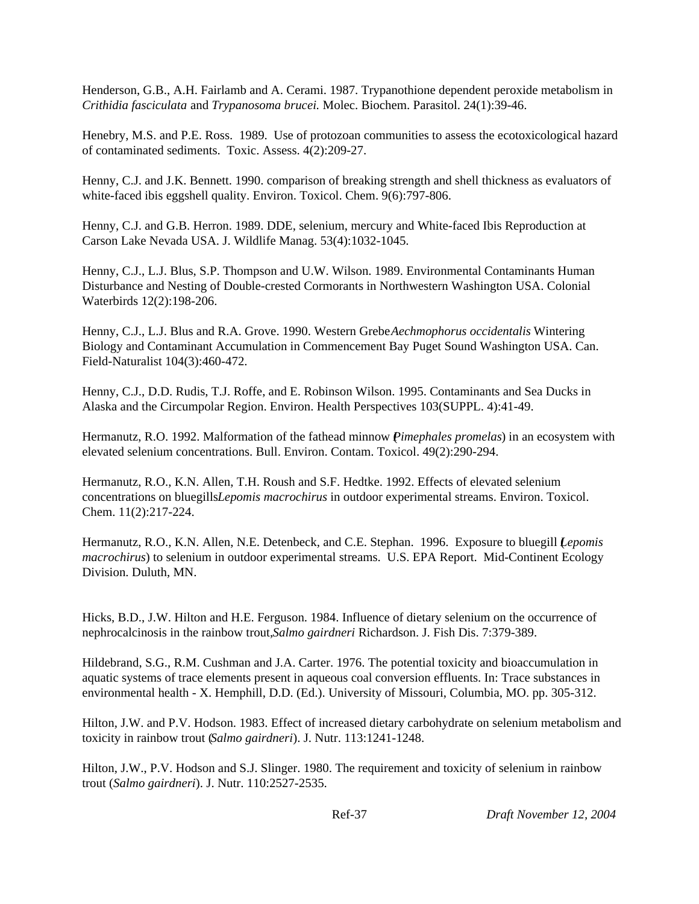Henderson, G.B., A.H. Fairlamb and A. Cerami. 1987. Trypanothione dependent peroxide metabolism in *Crithidia fasciculata* and *Trypanosoma brucei.* Molec. Biochem. Parasitol. 24(1):39-46.

Henebry, M.S. and P.E. Ross. 1989. Use of protozoan communities to assess the ecotoxicological hazard of contaminated sediments. Toxic. Assess. 4(2):209-27.

Henny, C.J. and J.K. Bennett. 1990. comparison of breaking strength and shell thickness as evaluators of white-faced ibis eggshell quality. Environ. Toxicol. Chem. 9(6):797-806.

Henny, C.J. and G.B. Herron. 1989. DDE, selenium, mercury and White-faced Ibis Reproduction at Carson Lake Nevada USA. J. Wildlife Manag. 53(4):1032-1045.

Henny, C.J., L.J. Blus, S.P. Thompson and U.W. Wilson. 1989. Environmental Contaminants Human Disturbance and Nesting of Double-crested Cormorants in Northwestern Washington USA. Colonial Waterbirds 12(2):198-206.

Henny, C.J., L.J. Blus and R.A. Grove. 1990. Western Grebe *Aechmophorus occidentalis* Wintering Biology and Contaminant Accumulation in Commencement Bay Puget Sound Washington USA. Can. Field-Naturalist 104(3):460-472.

Henny, C.J., D.D. Rudis, T.J. Roffe, and E. Robinson Wilson. 1995. Contaminants and Sea Ducks in Alaska and the Circumpolar Region. Environ. Health Perspectives 103(SUPPL. 4):41-49.

Hermanutz, R.O. 1992. Malformation of the fathead minnow (*Pimephales promelas*) in an ecosystem with elevated selenium concentrations. Bull. Environ. Contam. Toxicol. 49(2):290-294.

Hermanutz, R.O., K.N. Allen, T.H. Roush and S.F. Hedtke. 1992. Effects of elevated selenium concentrations on bluegills *Lepomis macrochirus* in outdoor experimental streams. Environ. Toxicol. Chem. 11(2):217-224.

Hermanutz, R.O., K.N. Allen, N.E. Detenbeck, and C.E. Stephan. 1996. Exposure to bluegill (*Lepomis macrochirus*) to selenium in outdoor experimental streams. U.S. EPA Report. Mid-Continent Ecology Division. Duluth, MN.

Hicks, B.D., J.W. Hilton and H.E. Ferguson. 1984. Influence of dietary selenium on the occurrence of nephrocalcinosis in the rainbow trout, *Salmo gairdneri* Richardson. J. Fish Dis. 7:379-389.

Hildebrand, S.G., R.M. Cushman and J.A. Carter. 1976. The potential toxicity and bioaccumulation in aquatic systems of trace elements present in aqueous coal conversion effluents. In: Trace substances in environmental health - X. Hemphill, D.D. (Ed.). University of Missouri, Columbia, MO. pp. 305-312.

Hilton, J.W. and P.V. Hodson. 1983. Effect of increased dietary carbohydrate on selenium metabolism and toxicity in rainbow trout (*Salmo gairdneri*). J. Nutr. 113:1241-1248.

Hilton, J.W., P.V. Hodson and S.J. Slinger. 1980. The requirement and toxicity of selenium in rainbow trout (*Salmo gairdneri*). J. Nutr. 110:2527-2535.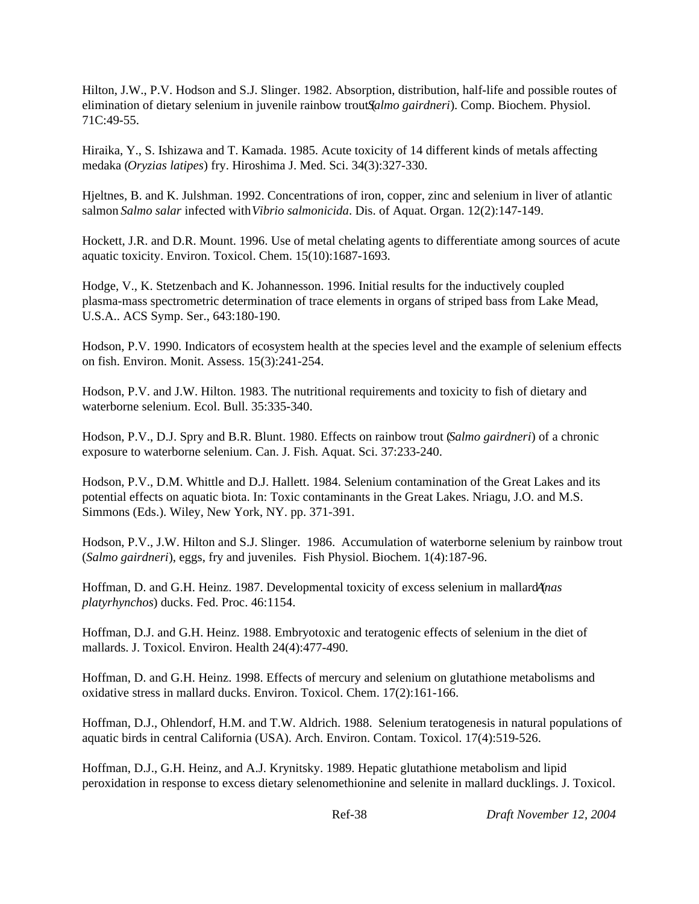Hilton, J.W., P.V. Hodson and S.J. Slinger. 1982. Absorption, distribution, half-life and possible routes of elimination of dietary selenium in juvenile rainbow trout (*Salmo gairdneri*). Comp. Biochem. Physiol. 71C:49-55.

Hiraika, Y., S. Ishizawa and T. Kamada. 1985. Acute toxicity of 14 different kinds of metals affecting medaka (*Oryzias latipes*) fry. Hiroshima J. Med. Sci. 34(3):327-330.

Hjeltnes, B. and K. Julshman. 1992. Concentrations of iron, copper, zinc and selenium in liver of atlantic salmon *Salmo salar* infected with *Vibrio salmonicida*. Dis. of Aquat. Organ. 12(2):147-149.

Hockett, J.R. and D.R. Mount. 1996. Use of metal chelating agents to differentiate among sources of acute aquatic toxicity. Environ. Toxicol. Chem. 15(10):1687-1693.

Hodge, V., K. Stetzenbach and K. Johannesson. 1996. Initial results for the inductively coupled plasma-mass spectrometric determination of trace elements in organs of striped bass from Lake Mead, U.S.A.. ACS Symp. Ser., 643:180-190.

Hodson, P.V. 1990. Indicators of ecosystem health at the species level and the example of selenium effects on fish. Environ. Monit. Assess. 15(3):241-254.

Hodson, P.V. and J.W. Hilton. 1983. The nutritional requirements and toxicity to fish of dietary and waterborne selenium. Ecol. Bull. 35:335-340.

Hodson, P.V., D.J. Spry and B.R. Blunt. 1980. Effects on rainbow trout (*Salmo gairdneri*) of a chronic exposure to waterborne selenium. Can. J. Fish. Aquat. Sci. 37:233-240.

Hodson, P.V., D.M. Whittle and D.J. Hallett. 1984. Selenium contamination of the Great Lakes and its potential effects on aquatic biota. In: Toxic contaminants in the Great Lakes. Nriagu, J.O. and M.S. Simmons (Eds.). Wiley, New York, NY. pp. 371-391.

Hodson, P.V., J.W. Hilton and S.J. Slinger. 1986. Accumulation of waterborne selenium by rainbow trout (*Salmo gairdneri*), eggs, fry and juveniles. Fish Physiol. Biochem. 1(4):187-96.

Hoffman, D. and G.H. Heinz. 1987. Developmental toxicity of excess selenium in mallard *Anas platyrhynchos*) ducks. Fed. Proc. 46:1154.

Hoffman, D.J. and G.H. Heinz. 1988. Embryotoxic and teratogenic effects of selenium in the diet of mallards. J. Toxicol. Environ. Health 24(4):477-490.

Hoffman, D. and G.H. Heinz. 1998. Effects of mercury and selenium on glutathione metabolisms and oxidative stress in mallard ducks. Environ. Toxicol. Chem. 17(2):161-166.

Hoffman, D.J., Ohlendorf, H.M. and T.W. Aldrich. 1988. Selenium teratogenesis in natural populations of aquatic birds in central California (USA). Arch. Environ. Contam. Toxicol. 17(4):519-526.

Hoffman, D.J., G.H. Heinz, and A.J. Krynitsky. 1989. Hepatic glutathione metabolism and lipid peroxidation in response to excess dietary selenomethionine and selenite in mallard ducklings. J. Toxicol.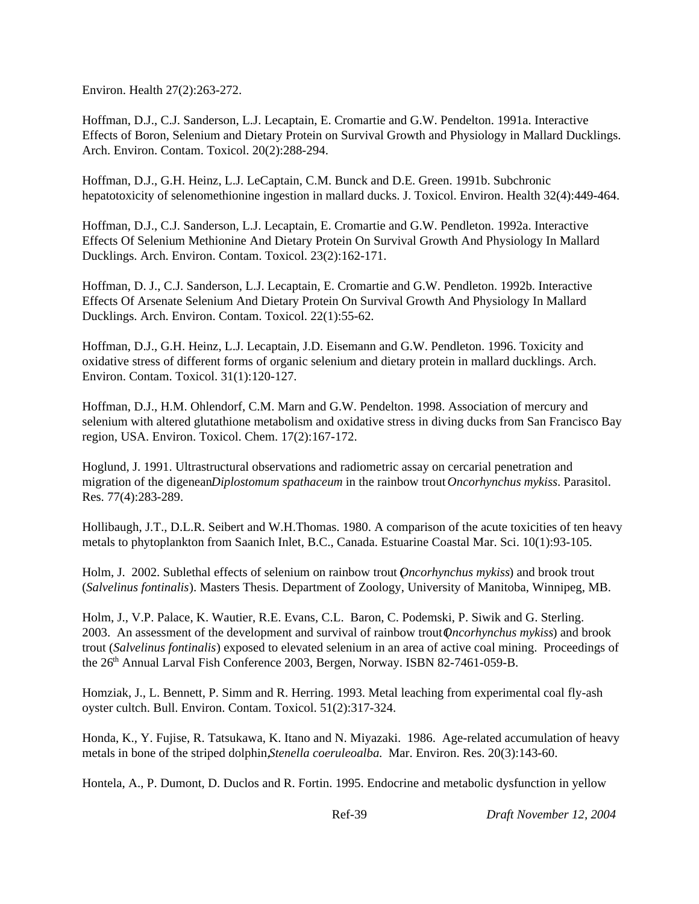Environ. Health 27(2):263-272.

Hoffman, D.J., C.J. Sanderson, L.J. Lecaptain, E. Cromartie and G.W. Pendelton. 1991a. Interactive Effects of Boron, Selenium and Dietary Protein on Survival Growth and Physiology in Mallard Ducklings. Arch. Environ. Contam. Toxicol. 20(2):288-294.

Hoffman, D.J., G.H. Heinz, L.J. LeCaptain, C.M. Bunck and D.E. Green. 1991b. Subchronic hepatotoxicity of selenomethionine ingestion in mallard ducks. J. Toxicol. Environ. Health 32(4):449-464.

Hoffman, D.J., C.J. Sanderson, L.J. Lecaptain, E. Cromartie and G.W. Pendleton. 1992a. Interactive Effects Of Selenium Methionine And Dietary Protein On Survival Growth And Physiology In Mallard Ducklings. Arch. Environ. Contam. Toxicol. 23(2):162-171.

Hoffman, D. J., C.J. Sanderson, L.J. Lecaptain, E. Cromartie and G.W. Pendleton. 1992b. Interactive Effects Of Arsenate Selenium And Dietary Protein On Survival Growth And Physiology In Mallard Ducklings. Arch. Environ. Contam. Toxicol. 22(1):55-62.

Hoffman, D.J., G.H. Heinz, L.J. Lecaptain, J.D. Eisemann and G.W. Pendleton. 1996. Toxicity and oxidative stress of different forms of organic selenium and dietary protein in mallard ducklings. Arch. Environ. Contam. Toxicol. 31(1):120-127.

Hoffman, D.J., H.M. Ohlendorf, C.M. Marn and G.W. Pendelton. 1998. Association of mercury and selenium with altered glutathione metabolism and oxidative stress in diving ducks from San Francisco Bay region, USA. Environ. Toxicol. Chem. 17(2):167-172.

Hoglund, J. 1991. Ultrastructural observations and radiometric assay on cercarial penetration and migration of the digenean *Diplostomum spathaceum* in the rainbow trout *Oncorhynchus mykiss*. Parasitol. Res. 77(4):283-289.

Hollibaugh, J.T., D.L.R. Seibert and W.H.Thomas. 1980. A comparison of the acute toxicities of ten heavy metals to phytoplankton from Saanich Inlet, B.C., Canada. Estuarine Coastal Mar. Sci. 10(1):93-105.

Holm, J. 2002. Sublethal effects of selenium on rainbow trout (*Oncorhynchus mykiss*) and brook trout (*Salvelinus fontinalis*). Masters Thesis. Department of Zoology, University of Manitoba, Winnipeg, MB.

Holm, J., V.P. Palace, K. Wautier, R.E. Evans, C.L. Baron, C. Podemski, P. Siwik and G. Sterling. 2003. An assessment of the development and survival of rainbow trout (*Oncorhynchus mykiss*) and brook trout (*Salvelinus fontinalis*) exposed to elevated selenium in an area of active coal mining. Proceedings of the 26<sup>th</sup> Annual Larval Fish Conference 2003, Bergen, Norway. ISBN 82-7461-059-B.

Homziak, J., L. Bennett, P. Simm and R. Herring. 1993. Metal leaching from experimental coal fly-ash oyster cultch. Bull. Environ. Contam. Toxicol. 51(2):317-324.

Honda, K., Y. Fujise, R. Tatsukawa, K. Itano and N. Miyazaki. 1986. Age-related accumulation of heavy metals in bone of the striped dolphin, *Stenella coeruleoalba*. Mar. Environ. Res. 20(3):143-60.

Hontela, A., P. Dumont, D. Duclos and R. Fortin. 1995. Endocrine and metabolic dysfunction in yellow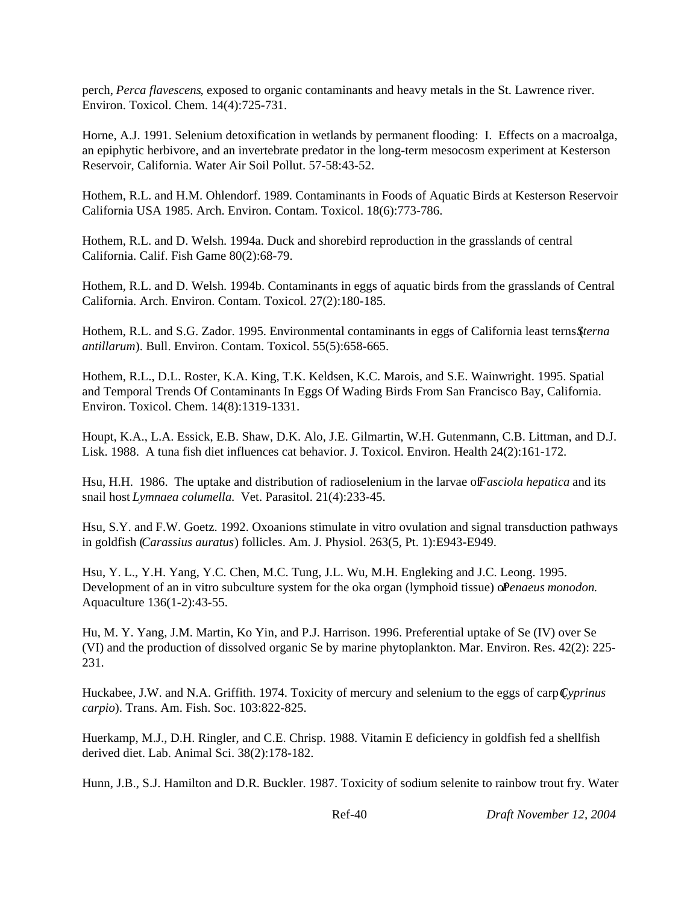perch, *Perca flavescens*, exposed to organic contaminants and heavy metals in the St. Lawrence river. Environ. Toxicol. Chem. 14(4):725-731.

Horne, A.J. 1991. Selenium detoxification in wetlands by permanent flooding: I. Effects on a macroalga, an epiphytic herbivore, and an invertebrate predator in the long-term mesocosm experiment at Kesterson Reservoir, California. Water Air Soil Pollut. 57-58:43-52.

Hothem, R.L. and H.M. Ohlendorf. 1989. Contaminants in Foods of Aquatic Birds at Kesterson Reservoir California USA 1985. Arch. Environ. Contam. Toxicol. 18(6):773-786.

Hothem, R.L. and D. Welsh. 1994a. Duck and shorebird reproduction in the grasslands of central California. Calif. Fish Game 80(2):68-79.

Hothem, R.L. and D. Welsh. 1994b. Contaminants in eggs of aquatic birds from the grasslands of Central California. Arch. Environ. Contam. Toxicol. 27(2):180-185.

Hothem, R.L. and S.G. Zador. 1995. Environmental contaminants in eggs of California least terns (*Sterna antillarum*). Bull. Environ. Contam. Toxicol. 55(5):658-665.

Hothem, R.L., D.L. Roster, K.A. King, T.K. Keldsen, K.C. Marois, and S.E. Wainwright. 1995. Spatial and Temporal Trends Of Contaminants In Eggs Of Wading Birds From San Francisco Bay, California. Environ. Toxicol. Chem. 14(8):1319-1331.

Houpt, K.A., L.A. Essick, E.B. Shaw, D.K. Alo, J.E. Gilmartin, W.H. Gutenmann, C.B. Littman, and D.J. Lisk. 1988. A tuna fish diet influences cat behavior. J. Toxicol. Environ. Health 24(2):161-172.

Hsu, H.H. 1986. The uptake and distribution of radioselenium in the larvae of *Fasciola hepatica* and its snail host *Lymnaea columella*. Vet. Parasitol. 21(4):233-45.

Hsu, S.Y. and F.W. Goetz. 1992. Oxoanions stimulate in vitro ovulation and signal transduction pathways in goldfish (*Carassius auratus*) follicles. Am. J. Physiol. 263(5, Pt. 1):E943-E949.

Hsu, Y. L., Y.H. Yang, Y.C. Chen, M.C. Tung, J.L. Wu, M.H. Engleking and J.C. Leong. 1995. Development of an in vitro subculture system for the oka organ (lymphoid tissue) of *Penaeus monodon*. Aquaculture 136(1-2):43-55.

Hu, M. Y. Yang, J.M. Martin, Ko Yin, and P.J. Harrison. 1996. Preferential uptake of Se (IV) over Se (VI) and the production of dissolved organic Se by marine phytoplankton. Mar. Environ. Res. 42(2): 225- 231.

Huckabee, J.W. and N.A. Griffith. 1974. Toxicity of mercury and selenium to the eggs of carp (*Cyprinus carpio*). Trans. Am. Fish. Soc. 103:822-825.

Huerkamp, M.J., D.H. Ringler, and C.E. Chrisp. 1988. Vitamin E deficiency in goldfish fed a shellfish derived diet. Lab. Animal Sci. 38(2):178-182.

Hunn, J.B., S.J. Hamilton and D.R. Buckler. 1987. Toxicity of sodium selenite to rainbow trout fry. Water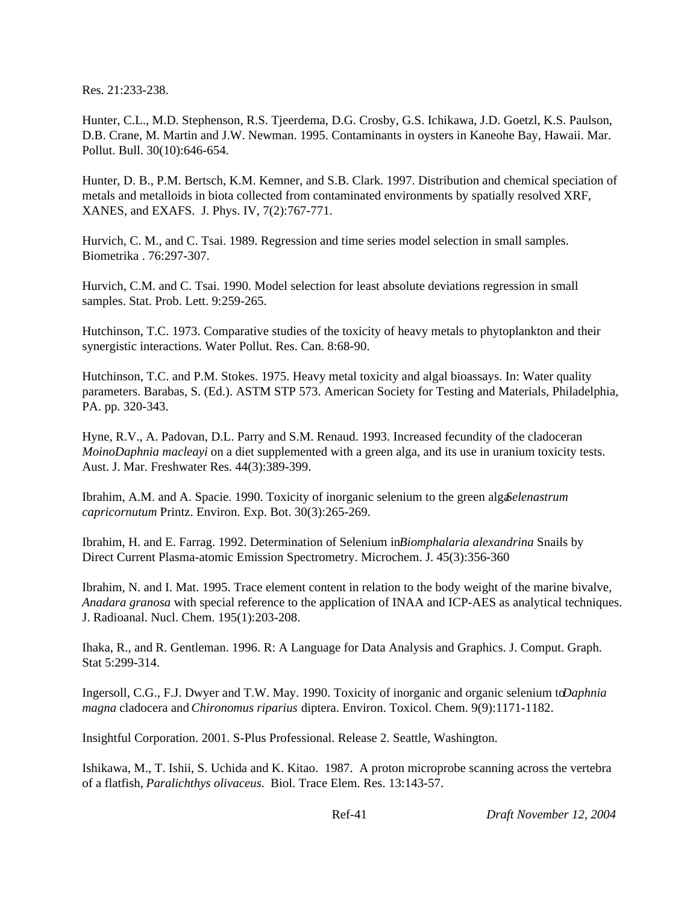Res. 21:233-238.

Hunter, C.L., M.D. Stephenson, R.S. Tjeerdema, D.G. Crosby, G.S. Ichikawa, J.D. Goetzl, K.S. Paulson, D.B. Crane, M. Martin and J.W. Newman. 1995. Contaminants in oysters in Kaneohe Bay, Hawaii. Mar. Pollut. Bull. 30(10):646-654.

Hunter, D. B., P.M. Bertsch, K.M. Kemner, and S.B. Clark. 1997. Distribution and chemical speciation of metals and metalloids in biota collected from contaminated environments by spatially resolved XRF, XANES, and EXAFS. J. Phys. IV, 7(2):767-771.

Hurvich, C. M., and C. Tsai. 1989. Regression and time series model selection in small samples. Biometrika . 76:297-307.

Hurvich, C.M. and C. Tsai. 1990. Model selection for least absolute deviations regression in small samples. Stat. Prob. Lett. 9:259-265.

Hutchinson, T.C. 1973. Comparative studies of the toxicity of heavy metals to phytoplankton and their synergistic interactions. Water Pollut. Res. Can. 8:68-90.

Hutchinson, T.C. and P.M. Stokes. 1975. Heavy metal toxicity and algal bioassays. In: Water quality parameters. Barabas, S. (Ed.). ASTM STP 573. American Society for Testing and Materials, Philadelphia, PA. pp. 320-343.

Hyne, R.V., A. Padovan, D.L. Parry and S.M. Renaud. 1993. Increased fecundity of the cladoceran *MoinoDaphnia macleayi* on a diet supplemented with a green alga, and its use in uranium toxicity tests. Aust. J. Mar. Freshwater Res. 44(3):389-399.

Ibrahim, A.M. and A. Spacie. 1990. Toxicity of inorganic selenium to the green alga *Selenastrum capricornutum* Printz. Environ. Exp. Bot. 30(3):265-269.

Ibrahim, H. and E. Farrag. 1992. Determination of Selenium in *Biomphalaria alexandrina* Snails by Direct Current Plasma-atomic Emission Spectrometry. Microchem. J. 45(3):356-360

Ibrahim, N. and I. Mat. 1995. Trace element content in relation to the body weight of the marine bivalve, *Anadara granosa* with special reference to the application of INAA and ICP-AES as analytical techniques. J. Radioanal. Nucl. Chem. 195(1):203-208.

Ihaka, R., and R. Gentleman. 1996. R: A Language for Data Analysis and Graphics. J. Comput. Graph. Stat 5:299-314.

Ingersoll, C.G., F.J. Dwyer and T.W. May. 1990. Toxicity of inorganic and organic selenium to *Daphnia magna* cladocera and *Chironomus riparius* diptera. Environ. Toxicol. Chem. 9(9):1171-1182.

Insightful Corporation. 2001. S-Plus Professional. Release 2. Seattle, Washington.

Ishikawa, M., T. Ishii, S. Uchida and K. Kitao. 1987. A proton microprobe scanning across the vertebra of a flatfish, *Paralichthys olivaceus.* Biol. Trace Elem. Res. 13:143-57.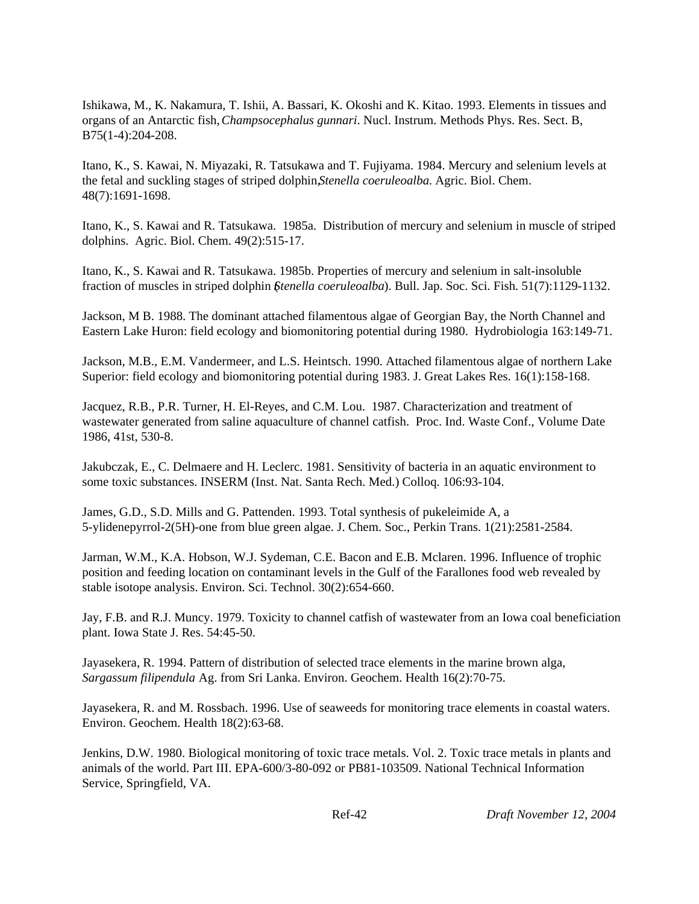Ishikawa, M., K. Nakamura, T. Ishii, A. Bassari, K. Okoshi and K. Kitao. 1993. Elements in tissues and organs of an Antarctic fish, *Champsocephalus gunnari*. Nucl. Instrum. Methods Phys. Res. Sect. B, B75(1-4):204-208.

Itano, K., S. Kawai, N. Miyazaki, R. Tatsukawa and T. Fujiyama. 1984. Mercury and selenium levels at the fetal and suckling stages of striped dolphin, *Stenella coeruleoalba*. Agric. Biol. Chem. 48(7):1691-1698.

Itano, K., S. Kawai and R. Tatsukawa. 1985a. Distribution of mercury and selenium in muscle of striped dolphins. Agric. Biol. Chem. 49(2):515-17.

Itano, K., S. Kawai and R. Tatsukawa. 1985b. Properties of mercury and selenium in salt-insoluble fraction of muscles in striped dolphin (*Stenella coeruleoalba*). Bull. Jap. Soc. Sci. Fish. 51(7):1129-1132.

Jackson, M B. 1988. The dominant attached filamentous algae of Georgian Bay, the North Channel and Eastern Lake Huron: field ecology and biomonitoring potential during 1980. Hydrobiologia 163:149-71.

Jackson, M.B., E.M. Vandermeer, and L.S. Heintsch. 1990. Attached filamentous algae of northern Lake Superior: field ecology and biomonitoring potential during 1983. J. Great Lakes Res. 16(1):158-168.

Jacquez, R.B., P.R. Turner, H. El-Reyes, and C.M. Lou. 1987. Characterization and treatment of wastewater generated from saline aquaculture of channel catfish. Proc. Ind. Waste Conf., Volume Date 1986, 41st, 530-8.

Jakubczak, E., C. Delmaere and H. Leclerc. 1981. Sensitivity of bacteria in an aquatic environment to some toxic substances. INSERM (Inst. Nat. Santa Rech. Med.) Colloq. 106:93-104.

James, G.D., S.D. Mills and G. Pattenden. 1993. Total synthesis of pukeleimide A, a 5-ylidenepyrrol-2(5H)-one from blue green algae. J. Chem. Soc., Perkin Trans. 1(21):2581-2584.

Jarman, W.M., K.A. Hobson, W.J. Sydeman, C.E. Bacon and E.B. Mclaren. 1996. Influence of trophic position and feeding location on contaminant levels in the Gulf of the Farallones food web revealed by stable isotope analysis. Environ. Sci. Technol. 30(2):654-660.

Jay, F.B. and R.J. Muncy. 1979. Toxicity to channel catfish of wastewater from an Iowa coal beneficiation plant. Iowa State J. Res. 54:45-50.

Jayasekera, R. 1994. Pattern of distribution of selected trace elements in the marine brown alga, *Sargassum filipendula* Ag. from Sri Lanka. Environ. Geochem. Health 16(2):70-75.

Jayasekera, R. and M. Rossbach. 1996. Use of seaweeds for monitoring trace elements in coastal waters. Environ. Geochem. Health 18(2):63-68.

Jenkins, D.W. 1980. Biological monitoring of toxic trace metals. Vol. 2. Toxic trace metals in plants and animals of the world. Part III. EPA-600/3-80-092 or PB81-103509. National Technical Information Service, Springfield, VA.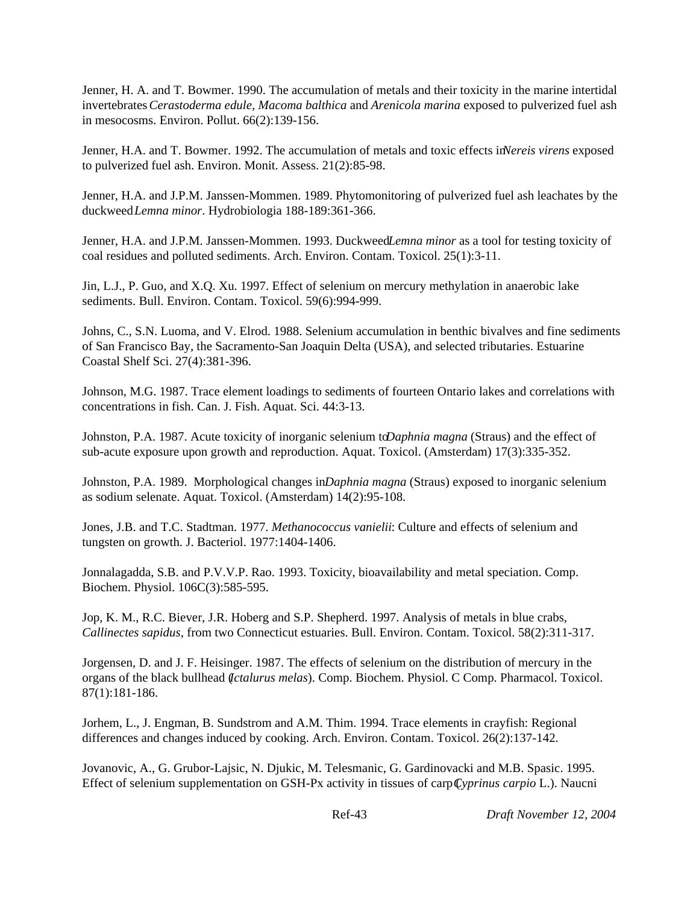Jenner, H. A. and T. Bowmer. 1990. The accumulation of metals and their toxicity in the marine intertidal invertebrates *Cerastoderma edule, Macoma balthica* and *Arenicola marina* exposed to pulverized fuel ash in mesocosms. Environ. Pollut. 66(2):139-156.

Jenner, H.A. and T. Bowmer. 1992. The accumulation of metals and toxic effects in *Nereis virens* exposed to pulverized fuel ash. Environ. Monit. Assess. 21(2):85-98.

Jenner, H.A. and J.P.M. Janssen-Mommen. 1989. Phytomonitoring of pulverized fuel ash leachates by the duckweed *Lemna minor*. Hydrobiologia 188-189:361-366.

Jenner, H.A. and J.P.M. Janssen-Mommen. 1993. Duckweed *Lemna minor* as a tool for testing toxicity of coal residues and polluted sediments. Arch. Environ. Contam. Toxicol. 25(1):3-11.

Jin, L.J., P. Guo, and X.Q. Xu. 1997. Effect of selenium on mercury methylation in anaerobic lake sediments. Bull. Environ. Contam. Toxicol. 59(6):994-999.

Johns, C., S.N. Luoma, and V. Elrod. 1988. Selenium accumulation in benthic bivalves and fine sediments of San Francisco Bay, the Sacramento-San Joaquin Delta (USA), and selected tributaries. Estuarine Coastal Shelf Sci. 27(4):381-396.

Johnson, M.G. 1987. Trace element loadings to sediments of fourteen Ontario lakes and correlations with concentrations in fish. Can. J. Fish. Aquat. Sci. 44:3-13.

Johnston, P.A. 1987. Acute toxicity of inorganic selenium to *Daphnia magna* (Straus) and the effect of sub-acute exposure upon growth and reproduction. Aquat. Toxicol. (Amsterdam) 17(3):335-352.

Johnston, P.A. 1989. Morphological changes in *Daphnia magna* (Straus) exposed to inorganic selenium as sodium selenate. Aquat. Toxicol. (Amsterdam) 14(2):95-108.

Jones, J.B. and T.C. Stadtman. 1977. *Methanococcus vanielii*: Culture and effects of selenium and tungsten on growth. J. Bacteriol. 1977:1404-1406.

Jonnalagadda, S.B. and P.V.V.P. Rao. 1993. Toxicity, bioavailability and metal speciation. Comp. Biochem. Physiol. 106C(3):585-595.

Jop, K. M., R.C. Biever, J.R. Hoberg and S.P. Shepherd. 1997. Analysis of metals in blue crabs, *Callinectes sapidus*, from two Connecticut estuaries. Bull. Environ. Contam. Toxicol. 58(2):311-317.

Jorgensen, D. and J. F. Heisinger. 1987. The effects of selenium on the distribution of mercury in the organs of the black bullhead (*Ictalurus melas*). Comp. Biochem. Physiol. C Comp. Pharmacol. Toxicol. 87(1):181-186.

Jorhem, L., J. Engman, B. Sundstrom and A.M. Thim. 1994. Trace elements in crayfish: Regional differences and changes induced by cooking. Arch. Environ. Contam. Toxicol. 26(2):137-142.

Jovanovic, A., G. Grubor-Lajsic, N. Djukic, M. Telesmanic, G. Gardinovacki and M.B. Spasic. 1995. Effect of selenium supplementation on GSH-Px activity in tissues of carp (*Cyprinus carpio* L.). Naucni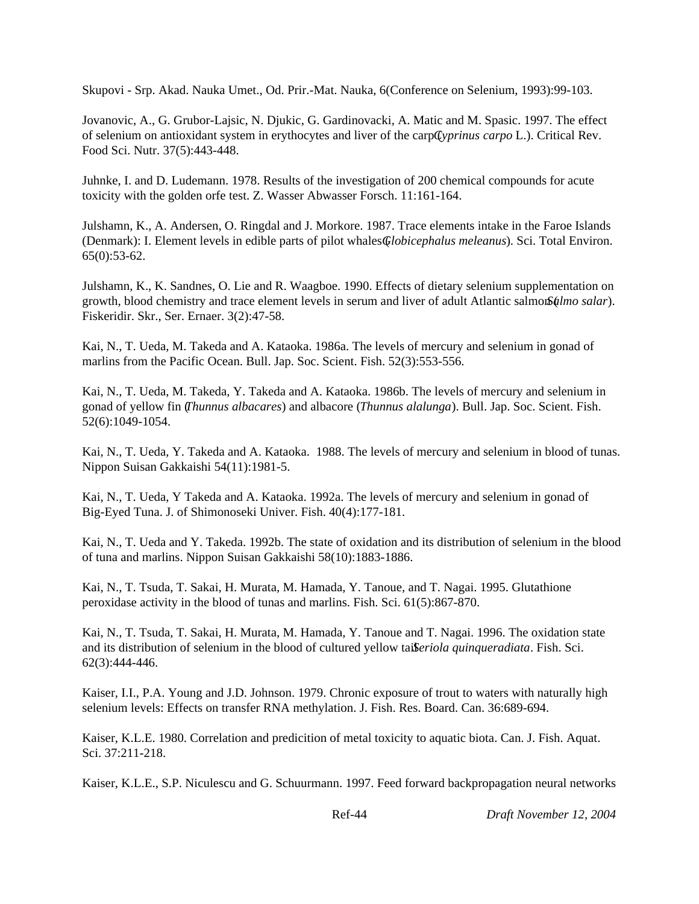Skupovi - Srp. Akad. Nauka Umet., Od. Prir.-Mat. Nauka, 6(Conference on Selenium, 1993):99-103.

Jovanovic, A., G. Grubor-Lajsic, N. Djukic, G. Gardinovacki, A. Matic and M. Spasic. 1997. The effect of selenium on antioxidant system in erythocytes and liver of the carp (*Cyprinus carpo* L.). Critical Rev. Food Sci. Nutr. 37(5):443-448.

Juhnke, I. and D. Ludemann. 1978. Results of the investigation of 200 chemical compounds for acute toxicity with the golden orfe test. Z. Wasser Abwasser Forsch. 11:161-164.

Julshamn, K., A. Andersen, O. Ringdal and J. Morkore. 1987. Trace elements intake in the Faroe Islands (Denmark): I. Element levels in edible parts of pilot whales (*Globicephalus meleanus*). Sci. Total Environ. 65(0):53-62.

Julshamn, K., K. Sandnes, O. Lie and R. Waagboe. 1990. Effects of dietary selenium supplementation on growth, blood chemistry and trace element levels in serum and liver of adult Atlantic salmon (*salar*). Fiskeridir. Skr., Ser. Ernaer. 3(2):47-58.

Kai, N., T. Ueda, M. Takeda and A. Kataoka. 1986a. The levels of mercury and selenium in gonad of marlins from the Pacific Ocean. Bull. Jap. Soc. Scient. Fish. 52(3):553-556.

Kai, N., T. Ueda, M. Takeda, Y. Takeda and A. Kataoka. 1986b. The levels of mercury and selenium in gonad of yellow fin (*Thunnus albacares*) and albacore (*Thunnus alalunga*). Bull. Jap. Soc. Scient. Fish. 52(6):1049-1054.

Kai, N., T. Ueda, Y. Takeda and A. Kataoka. 1988. The levels of mercury and selenium in blood of tunas. Nippon Suisan Gakkaishi 54(11):1981-5.

Kai, N., T. Ueda, Y Takeda and A. Kataoka. 1992a. The levels of mercury and selenium in gonad of Big-Eyed Tuna. J. of Shimonoseki Univer. Fish. 40(4):177-181.

Kai, N., T. Ueda and Y. Takeda. 1992b. The state of oxidation and its distribution of selenium in the blood of tuna and marlins. Nippon Suisan Gakkaishi 58(10):1883-1886.

Kai, N., T. Tsuda, T. Sakai, H. Murata, M. Hamada, Y. Tanoue, and T. Nagai. 1995. Glutathione peroxidase activity in the blood of tunas and marlins. Fish. Sci. 61(5):867-870.

Kai, N., T. Tsuda, T. Sakai, H. Murata, M. Hamada, Y. Tanoue and T. Nagai. 1996. The oxidation state and its distribution of selenium in the blood of cultured yellow taileriola quinqueradiata. Fish. Sci. 62(3):444-446.

Kaiser, I.I., P.A. Young and J.D. Johnson. 1979. Chronic exposure of trout to waters with naturally high selenium levels: Effects on transfer RNA methylation. J. Fish. Res. Board. Can. 36:689-694.

Kaiser, K.L.E. 1980. Correlation and predicition of metal toxicity to aquatic biota. Can. J. Fish. Aquat. Sci. 37:211-218.

Kaiser, K.L.E., S.P. Niculescu and G. Schuurmann. 1997. Feed forward backpropagation neural networks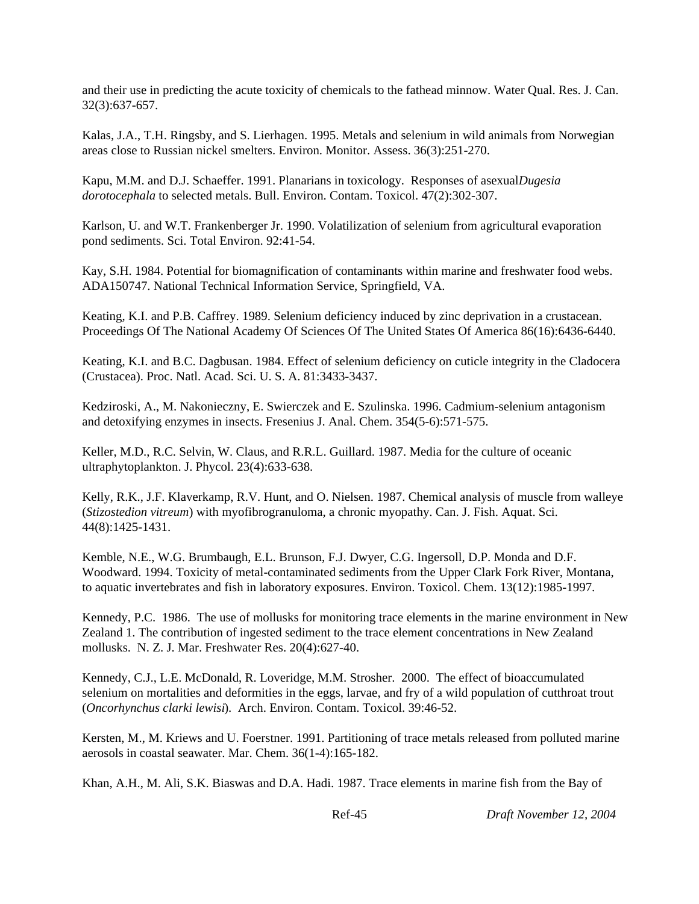and their use in predicting the acute toxicity of chemicals to the fathead minnow. Water Qual. Res. J. Can. 32(3):637-657.

Kalas, J.A., T.H. Ringsby, and S. Lierhagen. 1995. Metals and selenium in wild animals from Norwegian areas close to Russian nickel smelters. Environ. Monitor. Assess. 36(3):251-270.

Kapu, M.M. and D.J. Schaeffer. 1991. Planarians in toxicology. Responses of asexual *Dugesia dorotocephala* to selected metals. Bull. Environ. Contam. Toxicol. 47(2):302-307.

Karlson, U. and W.T. Frankenberger Jr. 1990. Volatilization of selenium from agricultural evaporation pond sediments. Sci. Total Environ. 92:41-54.

Kay, S.H. 1984. Potential for biomagnification of contaminants within marine and freshwater food webs. ADA150747. National Technical Information Service, Springfield, VA.

Keating, K.I. and P.B. Caffrey. 1989. Selenium deficiency induced by zinc deprivation in a crustacean. Proceedings Of The National Academy Of Sciences Of The United States Of America 86(16):6436-6440.

Keating, K.I. and B.C. Dagbusan. 1984. Effect of selenium deficiency on cuticle integrity in the Cladocera (Crustacea). Proc. Natl. Acad. Sci. U. S. A. 81:3433-3437.

Kedziroski, A., M. Nakonieczny, E. Swierczek and E. Szulinska. 1996. Cadmium-selenium antagonism and detoxifying enzymes in insects. Fresenius J. Anal. Chem. 354(5-6):571-575.

Keller, M.D., R.C. Selvin, W. Claus, and R.R.L. Guillard. 1987. Media for the culture of oceanic ultraphytoplankton. J. Phycol. 23(4):633-638.

Kelly, R.K., J.F. Klaverkamp, R.V. Hunt, and O. Nielsen. 1987. Chemical analysis of muscle from walleye (*Stizostedion vitreum*) with myofibrogranuloma, a chronic myopathy. Can. J. Fish. Aquat. Sci. 44(8):1425-1431.

Kemble, N.E., W.G. Brumbaugh, E.L. Brunson, F.J. Dwyer, C.G. Ingersoll, D.P. Monda and D.F. Woodward. 1994. Toxicity of metal-contaminated sediments from the Upper Clark Fork River, Montana, to aquatic invertebrates and fish in laboratory exposures. Environ. Toxicol. Chem. 13(12):1985-1997.

Kennedy, P.C. 1986. The use of mollusks for monitoring trace elements in the marine environment in New Zealand 1. The contribution of ingested sediment to the trace element concentrations in New Zealand mollusks. N. Z. J. Mar. Freshwater Res. 20(4):627-40.

Kennedy, C.J., L.E. McDonald, R. Loveridge, M.M. Strosher. 2000. The effect of bioaccumulated selenium on mortalities and deformities in the eggs, larvae, and fry of a wild population of cutthroat trout (*Oncorhynchus clarki lewisi*). Arch. Environ. Contam. Toxicol. 39:46-52.

Kersten, M., M. Kriews and U. Foerstner. 1991. Partitioning of trace metals released from polluted marine aerosols in coastal seawater. Mar. Chem. 36(1-4):165-182.

Khan, A.H., M. Ali, S.K. Biaswas and D.A. Hadi. 1987. Trace elements in marine fish from the Bay of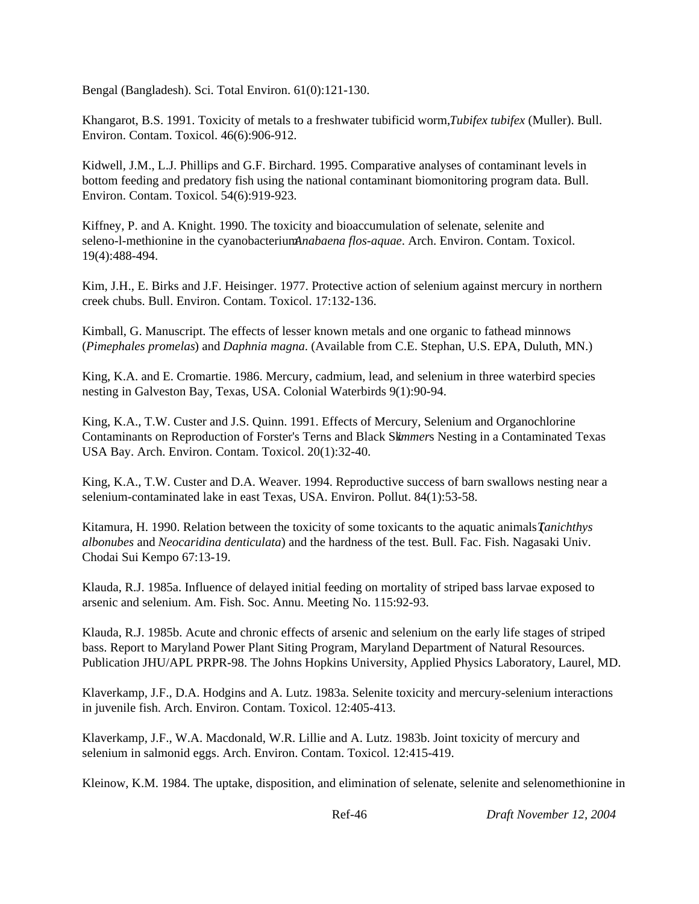Bengal (Bangladesh). Sci. Total Environ. 61(0):121-130.

Khangarot, B.S. 1991. Toxicity of metals to a freshwater tubificid worm, *Tubifex tubifex* (Muller). Bull. Environ. Contam. Toxicol. 46(6):906-912.

Kidwell, J.M., L.J. Phillips and G.F. Birchard. 1995. Comparative analyses of contaminant levels in bottom feeding and predatory fish using the national contaminant biomonitoring program data. Bull. Environ. Contam. Toxicol. 54(6):919-923.

Kiffney, P. and A. Knight. 1990. The toxicity and bioaccumulation of selenate, selenite and seleno-l-methionine in the cyanobacterium *Anabaena flos-aquae*. Arch. Environ. Contam. Toxicol. 19(4):488-494.

Kim, J.H., E. Birks and J.F. Heisinger. 1977. Protective action of selenium against mercury in northern creek chubs. Bull. Environ. Contam. Toxicol. 17:132-136.

Kimball, G. Manuscript. The effects of lesser known metals and one organic to fathead minnows (*Pimephales promelas*) and *Daphnia magna*. (Available from C.E. Stephan, U.S. EPA, Duluth, MN.)

King, K.A. and E. Cromartie. 1986. Mercury, cadmium, lead, and selenium in three waterbird species nesting in Galveston Bay, Texas, USA. Colonial Waterbirds 9(1):90-94.

King, K.A., T.W. Custer and J.S. Quinn. 1991. Effects of Mercury, Selenium and Organochlorine Contaminants on Reproduction of Forster's Terns and Black Sk*immer*s Nesting in a Contaminated Texas USA Bay. Arch. Environ. Contam. Toxicol. 20(1):32-40.

King, K.A., T.W. Custer and D.A. Weaver. 1994. Reproductive success of barn swallows nesting near a selenium-contaminated lake in east Texas, USA. Environ. Pollut. 84(1):53-58.

Kitamura, H. 1990. Relation between the toxicity of some toxicants to the aquatic animals (*Tanichthys albonubes* and *Neocaridina denticulata*) and the hardness of the test. Bull. Fac. Fish. Nagasaki Univ. Chodai Sui Kempo 67:13-19.

Klauda, R.J. 1985a. Influence of delayed initial feeding on mortality of striped bass larvae exposed to arsenic and selenium. Am. Fish. Soc. Annu. Meeting No. 115:92-93.

Klauda, R.J. 1985b. Acute and chronic effects of arsenic and selenium on the early life stages of striped bass. Report to Maryland Power Plant Siting Program, Maryland Department of Natural Resources. Publication JHU/APL PRPR-98. The Johns Hopkins University, Applied Physics Laboratory, Laurel, MD.

Klaverkamp, J.F., D.A. Hodgins and A. Lutz. 1983a. Selenite toxicity and mercury-selenium interactions in juvenile fish. Arch. Environ. Contam. Toxicol. 12:405-413.

Klaverkamp, J.F., W.A. Macdonald, W.R. Lillie and A. Lutz. 1983b. Joint toxicity of mercury and selenium in salmonid eggs. Arch. Environ. Contam. Toxicol. 12:415-419.

Kleinow, K.M. 1984. The uptake, disposition, and elimination of selenate, selenite and selenomethionine in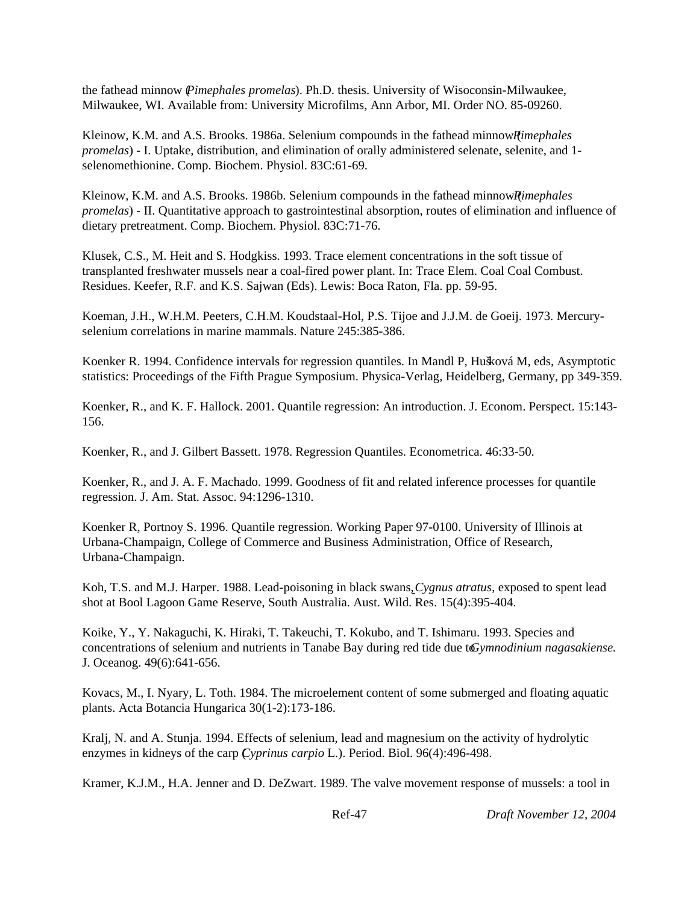the fathead minnow (*Pimephales promelas*). Ph.D. thesis. University of Wisoconsin-Milwaukee, Milwaukee, WI. Available from: University Microfilms, Ann Arbor, MI. Order NO. 85-09260.

Kleinow, K.M. and A.S. Brooks. 1986a. Selenium compounds in the fathead minnow *Rimephales promelas*) - I. Uptake, distribution, and elimination of orally administered selenate, selenite, and 1 selenomethionine. Comp. Biochem. Physiol. 83C:61-69.

Kleinow, K.M. and A.S. Brooks. 1986b. Selenium compounds in the fathead minnow *Rimephales promelas*) - II. Quantitative approach to gastrointestinal absorption, routes of elimination and influence of dietary pretreatment. Comp. Biochem. Physiol. 83C:71-76.

Klusek, C.S., M. Heit and S. Hodgkiss. 1993. Trace element concentrations in the soft tissue of transplanted freshwater mussels near a coal-fired power plant. In: Trace Elem. Coal Coal Combust. Residues. Keefer, R.F. and K.S. Sajwan (Eds). Lewis: Boca Raton, Fla. pp. 59-95.

Koeman, J.H., W.H.M. Peeters, C.H.M. Koudstaal-Hol, P.S. Tijoe and J.J.M. de Goeij. 1973. Mercuryselenium correlations in marine mammals. Nature 245:385-386.

Koenker R. 1994. Confidence intervals for regression quantiles. In Mandl P, Hušková M, eds, Asymptotic statistics: Proceedings of the Fifth Prague Symposium. Physica-Verlag, Heidelberg, Germany, pp 349-359.

Koenker, R., and K. F. Hallock. 2001. Quantile regression: An introduction. J. Econom. Perspect. 15:143- 156.

Koenker, R., and J. Gilbert Bassett. 1978. Regression Quantiles. Econometrica. 46:33-50.

Koenker, R., and J. A. F. Machado. 1999. Goodness of fit and related inference processes for quantile regression. J. Am. Stat. Assoc. 94:1296-1310.

Koenker R, Portnoy S. 1996. Quantile regression. Working Paper 97-0100. University of Illinois at Urbana-Champaign, College of Commerce and Business Administration, Office of Research, Urbana-Champaign.

Koh, T.S. and M.J. Harper. 1988. Lead-poisoning in black swans,*Cygnus atratus*, exposed to spent lead shot at Bool Lagoon Game Reserve, South Australia. Aust. Wild. Res. 15(4):395-404.

Koike, Y., Y. Nakaguchi, K. Hiraki, T. Takeuchi, T. Kokubo, and T. Ishimaru. 1993. Species and concentrations of selenium and nutrients in Tanabe Bay during red tide due to *Gymnodinium nagasakiense*. J. Oceanog. 49(6):641-656.

Kovacs, M., I. Nyary, L. Toth. 1984. The microelement content of some submerged and floating aquatic plants. Acta Botancia Hungarica 30(1-2):173-186.

Kralj, N. and A. Stunja. 1994. Effects of selenium, lead and magnesium on the activity of hydrolytic enzymes in kidneys of the carp (*Cyprinus carpio* L.). Period. Biol. 96(4):496-498.

Kramer, K.J.M., H.A. Jenner and D. DeZwart. 1989. The valve movement response of mussels: a tool in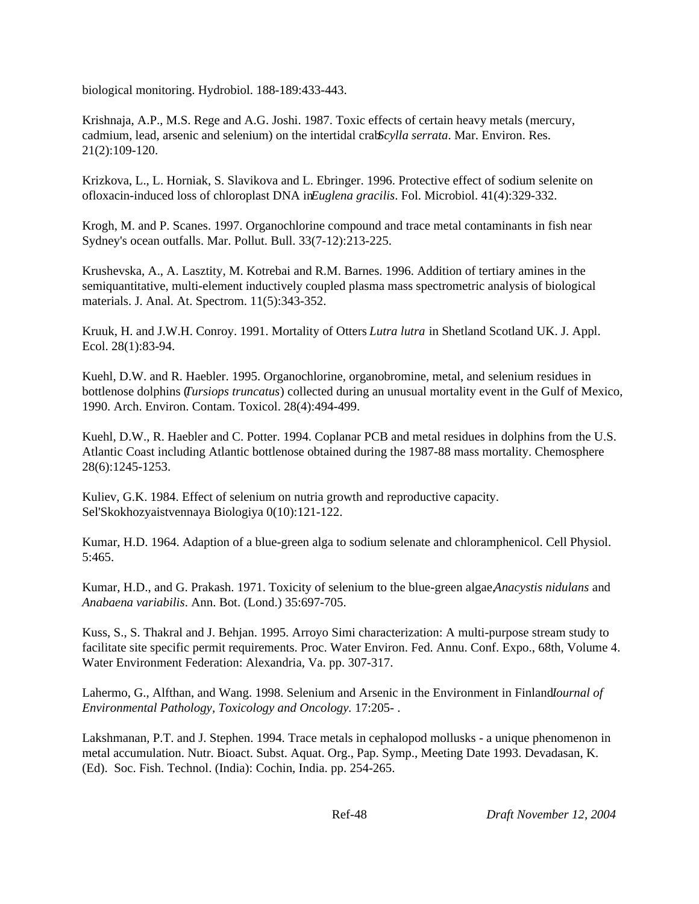biological monitoring. Hydrobiol. 188-189:433-443.

Krishnaja, A.P., M.S. Rege and A.G. Joshi. 1987. Toxic effects of certain heavy metals (mercury, cadmium, lead, arsenic and selenium) on the intertidal crab *Scylla serrata*. Mar. Environ. Res. 21(2):109-120.

Krizkova, L., L. Horniak, S. Slavikova and L. Ebringer. 1996. Protective effect of sodium selenite on ofloxacin-induced loss of chloroplast DNA in *Euglena gracilis*. Fol. Microbiol. 41(4):329-332.

Krogh, M. and P. Scanes. 1997. Organochlorine compound and trace metal contaminants in fish near Sydney's ocean outfalls. Mar. Pollut. Bull. 33(7-12):213-225.

Krushevska, A., A. Lasztity, M. Kotrebai and R.M. Barnes. 1996. Addition of tertiary amines in the semiquantitative, multi-element inductively coupled plasma mass spectrometric analysis of biological materials. J. Anal. At. Spectrom. 11(5):343-352.

Kruuk, H. and J.W.H. Conroy. 1991. Mortality of Otters *Lutra lutra* in Shetland Scotland UK. J. Appl. Ecol. 28(1):83-94.

Kuehl, D.W. and R. Haebler. 1995. Organochlorine, organobromine, metal, and selenium residues in bottlenose dolphins (*Tursiops truncatus*) collected during an unusual mortality event in the Gulf of Mexico, 1990. Arch. Environ. Contam. Toxicol. 28(4):494-499.

Kuehl, D.W., R. Haebler and C. Potter. 1994. Coplanar PCB and metal residues in dolphins from the U.S. Atlantic Coast including Atlantic bottlenose obtained during the 1987-88 mass mortality. Chemosphere 28(6):1245-1253.

Kuliev, G.K. 1984. Effect of selenium on nutria growth and reproductive capacity. Sel'Skokhozyaistvennaya Biologiya 0(10):121-122.

Kumar, H.D. 1964. Adaption of a blue-green alga to sodium selenate and chloramphenicol. Cell Physiol. 5:465.

Kumar, H.D., and G. Prakash. 1971. Toxicity of selenium to the blue-green algae, *Anacystis nidulans* and *Anabaena variabilis*. Ann. Bot. (Lond.) 35:697-705.

Kuss, S., S. Thakral and J. Behjan. 1995. Arroyo Simi characterization: A multi-purpose stream study to facilitate site specific permit requirements. Proc. Water Environ. Fed. Annu. Conf. Expo., 68th, Volume 4. Water Environment Federation: Alexandria, Va. pp. 307-317.

Lahermo, G., Alfthan, and Wang. 1998. Selenium and Arsenic in the Environment in Finland*Iournal of Environmental Pathology, Toxicology and Oncology.* 17:205- .

Lakshmanan, P.T. and J. Stephen. 1994. Trace metals in cephalopod mollusks - a unique phenomenon in metal accumulation. Nutr. Bioact. Subst. Aquat. Org., Pap. Symp., Meeting Date 1993. Devadasan, K. (Ed). Soc. Fish. Technol. (India): Cochin, India. pp. 254-265.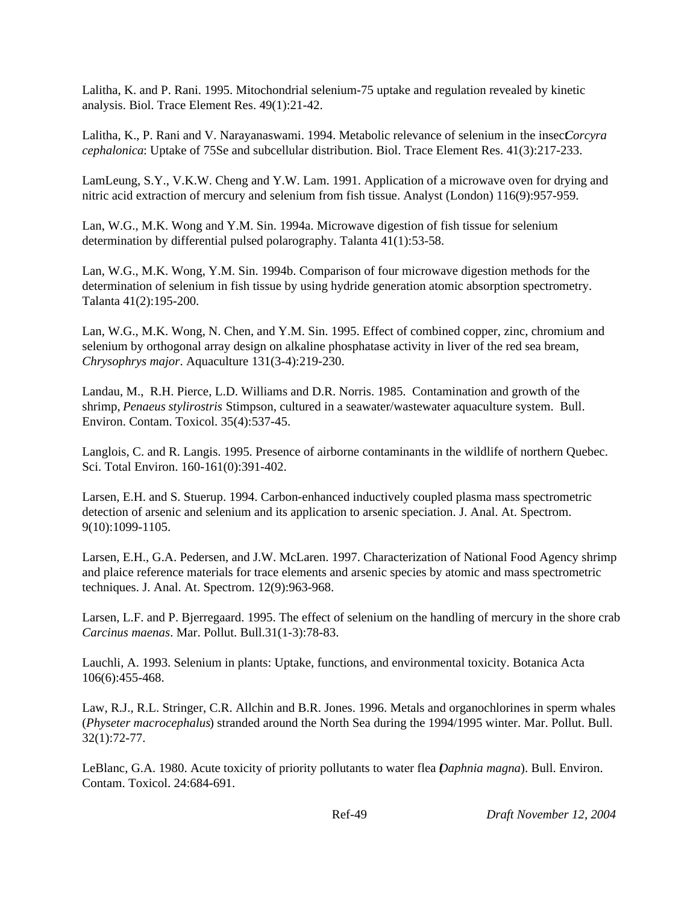Lalitha, K. and P. Rani. 1995. Mitochondrial selenium-75 uptake and regulation revealed by kinetic analysis. Biol. Trace Element Res. 49(1):21-42.

Lalitha, K., P. Rani and V. Narayanaswami. 1994. Metabolic relevance of selenium in the insec*Corcyra cephalonica*: Uptake of 75Se and subcellular distribution. Biol. Trace Element Res. 41(3):217-233.

LamLeung, S.Y., V.K.W. Cheng and Y.W. Lam. 1991. Application of a microwave oven for drying and nitric acid extraction of mercury and selenium from fish tissue. Analyst (London) 116(9):957-959.

Lan, W.G., M.K. Wong and Y.M. Sin. 1994a. Microwave digestion of fish tissue for selenium determination by differential pulsed polarography. Talanta 41(1):53-58.

Lan, W.G., M.K. Wong, Y.M. Sin. 1994b. Comparison of four microwave digestion methods for the determination of selenium in fish tissue by using hydride generation atomic absorption spectrometry. Talanta 41(2):195-200.

Lan, W.G., M.K. Wong, N. Chen, and Y.M. Sin. 1995. Effect of combined copper, zinc, chromium and selenium by orthogonal array design on alkaline phosphatase activity in liver of the red sea bream, *Chrysophrys major*. Aquaculture 131(3-4):219-230.

Landau, M., R.H. Pierce, L.D. Williams and D.R. Norris. 1985. Contamination and growth of the shrimp, *Penaeus stylirostris* Stimpson, cultured in a seawater/wastewater aquaculture system. Bull. Environ. Contam. Toxicol. 35(4):537-45.

Langlois, C. and R. Langis. 1995. Presence of airborne contaminants in the wildlife of northern Quebec. Sci. Total Environ. 160-161(0):391-402.

Larsen, E.H. and S. Stuerup. 1994. Carbon-enhanced inductively coupled plasma mass spectrometric detection of arsenic and selenium and its application to arsenic speciation. J. Anal. At. Spectrom. 9(10):1099-1105.

Larsen, E.H., G.A. Pedersen, and J.W. McLaren. 1997. Characterization of National Food Agency shrimp and plaice reference materials for trace elements and arsenic species by atomic and mass spectrometric techniques. J. Anal. At. Spectrom. 12(9):963-968.

Larsen, L.F. and P. Bjerregaard. 1995. The effect of selenium on the handling of mercury in the shore crab *Carcinus maenas*. Mar. Pollut. Bull.31(1-3):78-83.

Lauchli, A. 1993. Selenium in plants: Uptake, functions, and environmental toxicity. Botanica Acta 106(6):455-468.

Law, R.J., R.L. Stringer, C.R. Allchin and B.R. Jones. 1996. Metals and organochlorines in sperm whales (*Physeter macrocephalus*) stranded around the North Sea during the 1994/1995 winter. Mar. Pollut. Bull. 32(1):72-77.

LeBlanc, G.A. 1980. Acute toxicity of priority pollutants to water flea (*Daphnia magna*). Bull. Environ. Contam. Toxicol. 24:684-691.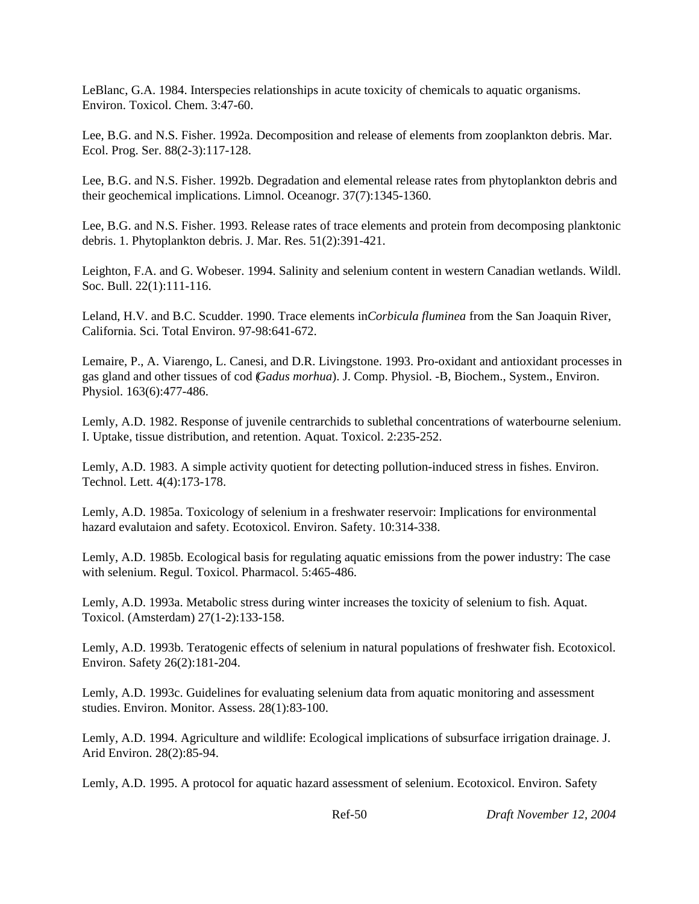LeBlanc, G.A. 1984. Interspecies relationships in acute toxicity of chemicals to aquatic organisms. Environ. Toxicol. Chem. 3:47-60.

Lee, B.G. and N.S. Fisher. 1992a. Decomposition and release of elements from zooplankton debris. Mar. Ecol. Prog. Ser. 88(2-3):117-128.

Lee, B.G. and N.S. Fisher. 1992b. Degradation and elemental release rates from phytoplankton debris and their geochemical implications. Limnol. Oceanogr. 37(7):1345-1360.

Lee, B.G. and N.S. Fisher. 1993. Release rates of trace elements and protein from decomposing planktonic debris. 1. Phytoplankton debris. J. Mar. Res. 51(2):391-421.

Leighton, F.A. and G. Wobeser. 1994. Salinity and selenium content in western Canadian wetlands. Wildl. Soc. Bull. 22(1):111-116.

Leland, H.V. and B.C. Scudder. 1990. Trace elements in *Corbicula fluminea* from the San Joaquin River, California. Sci. Total Environ. 97-98:641-672.

Lemaire, P., A. Viarengo, L. Canesi, and D.R. Livingstone. 1993. Pro-oxidant and antioxidant processes in gas gland and other tissues of cod (*Gadus morhua*). J. Comp. Physiol. -B, Biochem., System., Environ. Physiol. 163(6):477-486.

Lemly, A.D. 1982. Response of juvenile centrarchids to sublethal concentrations of waterbourne selenium. I. Uptake, tissue distribution, and retention. Aquat. Toxicol. 2:235-252.

Lemly, A.D. 1983. A simple activity quotient for detecting pollution-induced stress in fishes. Environ. Technol. Lett. 4(4):173-178.

Lemly, A.D. 1985a. Toxicology of selenium in a freshwater reservoir: Implications for environmental hazard evalutaion and safety. Ecotoxicol. Environ. Safety. 10:314-338.

Lemly, A.D. 1985b. Ecological basis for regulating aquatic emissions from the power industry: The case with selenium. Regul. Toxicol. Pharmacol. 5:465-486.

Lemly, A.D. 1993a. Metabolic stress during winter increases the toxicity of selenium to fish. Aquat. Toxicol. (Amsterdam) 27(1-2):133-158.

Lemly, A.D. 1993b. Teratogenic effects of selenium in natural populations of freshwater fish. Ecotoxicol. Environ. Safety 26(2):181-204.

Lemly, A.D. 1993c. Guidelines for evaluating selenium data from aquatic monitoring and assessment studies. Environ. Monitor. Assess. 28(1):83-100.

Lemly, A.D. 1994. Agriculture and wildlife: Ecological implications of subsurface irrigation drainage. J. Arid Environ. 28(2):85-94.

Lemly, A.D. 1995. A protocol for aquatic hazard assessment of selenium. Ecotoxicol. Environ. Safety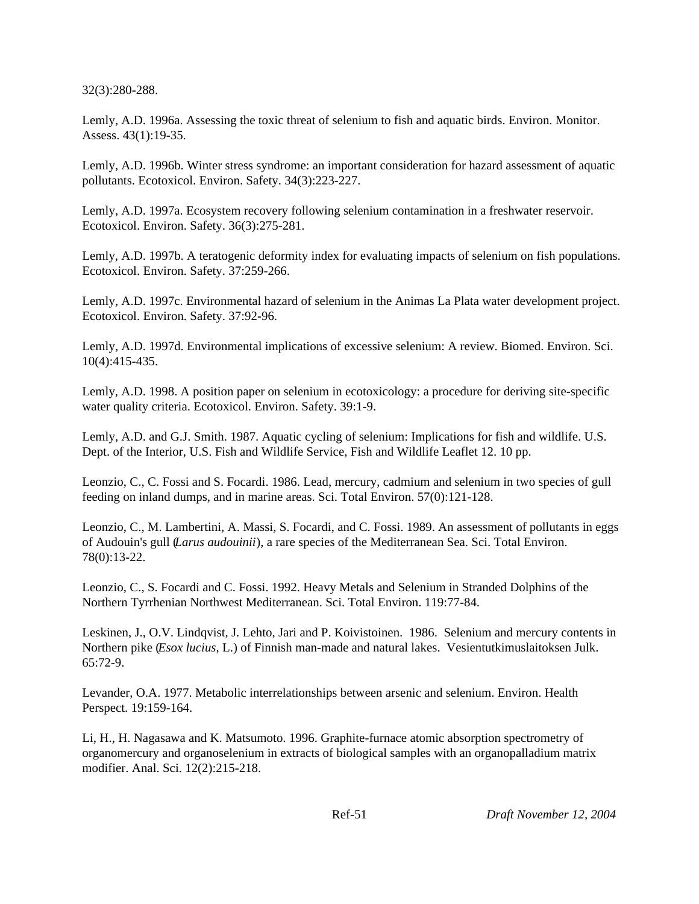32(3):280-288.

Lemly, A.D. 1996a. Assessing the toxic threat of selenium to fish and aquatic birds. Environ. Monitor. Assess. 43(1):19-35.

Lemly, A.D. 1996b. Winter stress syndrome: an important consideration for hazard assessment of aquatic pollutants. Ecotoxicol. Environ. Safety. 34(3):223-227.

Lemly, A.D. 1997a. Ecosystem recovery following selenium contamination in a freshwater reservoir. Ecotoxicol. Environ. Safety. 36(3):275-281.

Lemly, A.D. 1997b. A teratogenic deformity index for evaluating impacts of selenium on fish populations. Ecotoxicol. Environ. Safety. 37:259-266.

Lemly, A.D. 1997c. Environmental hazard of selenium in the Animas La Plata water development project. Ecotoxicol. Environ. Safety. 37:92-96.

Lemly, A.D. 1997d. Environmental implications of excessive selenium: A review. Biomed. Environ. Sci. 10(4):415-435.

Lemly, A.D. 1998. A position paper on selenium in ecotoxicology: a procedure for deriving site-specific water quality criteria. Ecotoxicol. Environ. Safety. 39:1-9.

Lemly, A.D. and G.J. Smith. 1987. Aquatic cycling of selenium: Implications for fish and wildlife. U.S. Dept. of the Interior, U.S. Fish and Wildlife Service, Fish and Wildlife Leaflet 12. 10 pp.

Leonzio, C., C. Fossi and S. Focardi. 1986. Lead, mercury, cadmium and selenium in two species of gull feeding on inland dumps, and in marine areas. Sci. Total Environ. 57(0):121-128.

Leonzio, C., M. Lambertini, A. Massi, S. Focardi, and C. Fossi. 1989. An assessment of pollutants in eggs of Audouin's gull (*Larus audouinii*), a rare species of the Mediterranean Sea. Sci. Total Environ. 78(0):13-22.

Leonzio, C., S. Focardi and C. Fossi. 1992. Heavy Metals and Selenium in Stranded Dolphins of the Northern Tyrrhenian Northwest Mediterranean. Sci. Total Environ. 119:77-84.

Leskinen, J., O.V. Lindqvist, J. Lehto, Jari and P. Koivistoinen. 1986. Selenium and mercury contents in Northern pike (*Esox lucius*, L.) of Finnish man-made and natural lakes. Vesientutkimuslaitoksen Julk. 65:72-9.

Levander, O.A. 1977. Metabolic interrelationships between arsenic and selenium. Environ. Health Perspect. 19:159-164.

Li, H., H. Nagasawa and K. Matsumoto. 1996. Graphite-furnace atomic absorption spectrometry of organomercury and organoselenium in extracts of biological samples with an organopalladium matrix modifier. Anal. Sci. 12(2):215-218.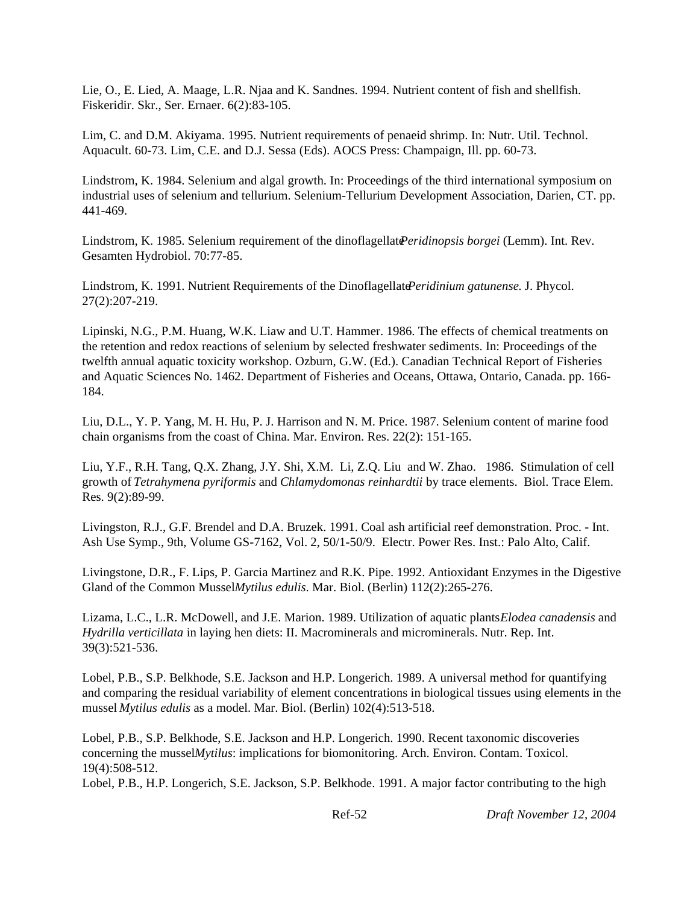Lie, O., E. Lied, A. Maage, L.R. Njaa and K. Sandnes. 1994. Nutrient content of fish and shellfish. Fiskeridir. Skr., Ser. Ernaer. 6(2):83-105.

Lim, C. and D.M. Akiyama. 1995. Nutrient requirements of penaeid shrimp. In: Nutr. Util. Technol. Aquacult. 60-73. Lim, C.E. and D.J. Sessa (Eds). AOCS Press: Champaign, Ill. pp. 60-73.

Lindstrom, K. 1984. Selenium and algal growth. In: Proceedings of the third international symposium on industrial uses of selenium and tellurium. Selenium-Tellurium Development Association, Darien, CT. pp. 441-469.

Lindstrom, K. 1985. Selenium requirement of the dinoflagellate *Peridinopsis borgei* (Lemm). Int. Rev. Gesamten Hydrobiol. 70:77-85.

Lindstrom, K. 1991. Nutrient Requirements of the Dinoflagellate *Peridinium gatunense*. J. Phycol. 27(2):207-219.

Lipinski, N.G., P.M. Huang, W.K. Liaw and U.T. Hammer. 1986. The effects of chemical treatments on the retention and redox reactions of selenium by selected freshwater sediments. In: Proceedings of the twelfth annual aquatic toxicity workshop. Ozburn, G.W. (Ed.). Canadian Technical Report of Fisheries and Aquatic Sciences No. 1462. Department of Fisheries and Oceans, Ottawa, Ontario, Canada. pp. 166- 184.

Liu, D.L., Y. P. Yang, M. H. Hu, P. J. Harrison and N. M. Price. 1987. Selenium content of marine food chain organisms from the coast of China. Mar. Environ. Res. 22(2): 151-165.

Liu, Y.F., R.H. Tang, Q.X. Zhang, J.Y. Shi, X.M. Li, Z.Q. Liu and W. Zhao. 1986. Stimulation of cell growth of *Tetrahymena pyriformis* and *Chlamydomonas reinhardtii* by trace elements. Biol. Trace Elem. Res. 9(2):89-99.

Livingston, R.J., G.F. Brendel and D.A. Bruzek. 1991. Coal ash artificial reef demonstration. Proc. - Int. Ash Use Symp., 9th, Volume GS-7162, Vol. 2, 50/1-50/9. Electr. Power Res. Inst.: Palo Alto, Calif.

Livingstone, D.R., F. Lips, P. Garcia Martinez and R.K. Pipe. 1992. Antioxidant Enzymes in the Digestive Gland of the Common MusselMytilus *edulis*. Mar. Biol. (Berlin) 112(2):265-276.

Lizama, L.C., L.R. McDowell, and J.E. Marion. 1989. Utilization of aquatic plants *Elodea canadensis* and *Hydrilla verticillata* in laying hen diets: II. Macrominerals and microminerals. Nutr. Rep. Int. 39(3):521-536.

Lobel, P.B., S.P. Belkhode, S.E. Jackson and H.P. Longerich. 1989. A universal method for quantifying and comparing the residual variability of element concentrations in biological tissues using elements in the mussel *Mytilus edulis* as a model. Mar. Biol. (Berlin) 102(4):513-518.

Lobel, P.B., S.P. Belkhode, S.E. Jackson and H.P. Longerich. 1990. Recent taxonomic discoveries concerning the mussel *Mytilus*: implications for biomonitoring. Arch. Environ. Contam. Toxicol. 19(4):508-512.

Lobel, P.B., H.P. Longerich, S.E. Jackson, S.P. Belkhode. 1991. A major factor contributing to the high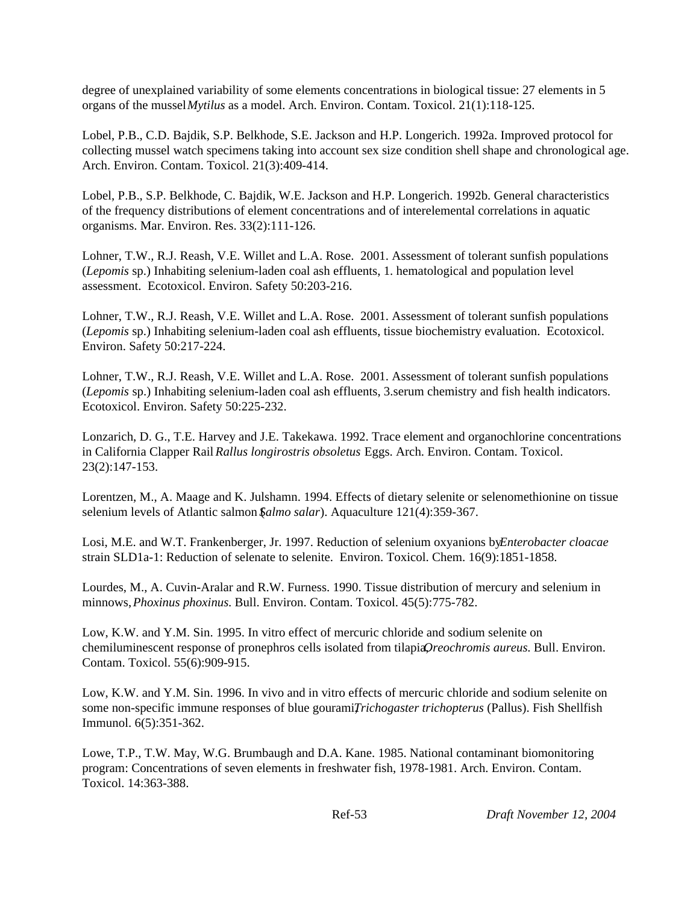degree of unexplained variability of some elements concentrations in biological tissue: 27 elements in 5 organs of the mussel *Mytilus* as a model. Arch. Environ. Contam. Toxicol. 21(1):118-125.

Lobel, P.B., C.D. Bajdik, S.P. Belkhode, S.E. Jackson and H.P. Longerich. 1992a. Improved protocol for collecting mussel watch specimens taking into account sex size condition shell shape and chronological age. Arch. Environ. Contam. Toxicol. 21(3):409-414.

Lobel, P.B., S.P. Belkhode, C. Bajdik, W.E. Jackson and H.P. Longerich. 1992b. General characteristics of the frequency distributions of element concentrations and of interelemental correlations in aquatic organisms. Mar. Environ. Res. 33(2):111-126.

Lohner, T.W., R.J. Reash, V.E. Willet and L.A. Rose. 2001. Assessment of tolerant sunfish populations (*Lepomis* sp.) Inhabiting selenium-laden coal ash effluents, 1. hematological and population level assessment. Ecotoxicol. Environ. Safety 50:203-216.

Lohner, T.W., R.J. Reash, V.E. Willet and L.A. Rose. 2001. Assessment of tolerant sunfish populations (*Lepomis* sp.) Inhabiting selenium-laden coal ash effluents, tissue biochemistry evaluation. Ecotoxicol. Environ. Safety 50:217-224.

Lohner, T.W., R.J. Reash, V.E. Willet and L.A. Rose. 2001. Assessment of tolerant sunfish populations (*Lepomis* sp.) Inhabiting selenium-laden coal ash effluents, 3.serum chemistry and fish health indicators. Ecotoxicol. Environ. Safety 50:225-232.

Lonzarich, D. G., T.E. Harvey and J.E. Takekawa. 1992. Trace element and organochlorine concentrations in California Clapper Rail *Rallus longirostris obsoletus* Eggs. Arch. Environ. Contam. Toxicol. 23(2):147-153.

Lorentzen, M., A. Maage and K. Julshamn. 1994. Effects of dietary selenite or selenomethionine on tissue selenium levels of Atlantic salmon (*Salmo salar*). Aquaculture 121(4):359-367.

Losi, M.E. and W.T. Frankenberger, Jr. 1997. Reduction of selenium oxyanions by *Enterobacter cloacae* strain SLD1a-1: Reduction of selenate to selenite. Environ. Toxicol. Chem. 16(9):1851-1858.

Lourdes, M., A. Cuvin-Aralar and R.W. Furness. 1990. Tissue distribution of mercury and selenium in minnows, *Phoxinus phoxinus*. Bull. Environ. Contam. Toxicol. 45(5):775-782.

Low, K.W. and Y.M. Sin. 1995. In vitro effect of mercuric chloride and sodium selenite on chemiluminescent response of pronephros cells isolated from tilapia*Qreochromis aureus*. Bull. Environ. Contam. Toxicol. 55(6):909-915.

Low, K.W. and Y.M. Sin. 1996. In vivo and in vitro effects of mercuric chloride and sodium selenite on some non-specific immune responses of blue gourami*Trichogaster trichopterus* (Pallus). Fish Shellfish Immunol. 6(5):351-362.

Lowe, T.P., T.W. May, W.G. Brumbaugh and D.A. Kane. 1985. National contaminant biomonitoring program: Concentrations of seven elements in freshwater fish, 1978-1981. Arch. Environ. Contam. Toxicol. 14:363-388.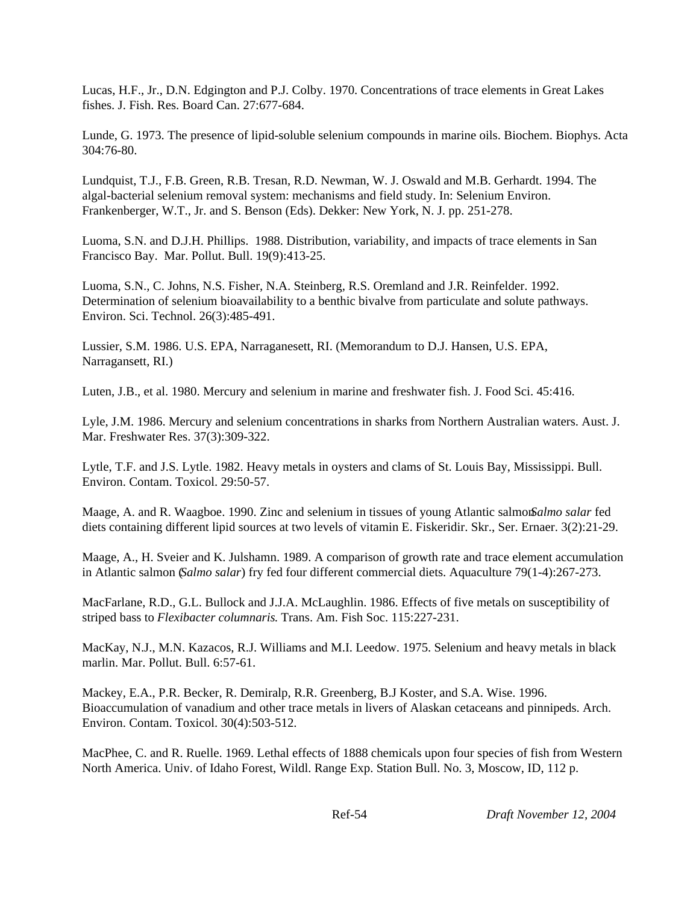Lucas, H.F., Jr., D.N. Edgington and P.J. Colby. 1970. Concentrations of trace elements in Great Lakes fishes. J. Fish. Res. Board Can. 27:677-684.

Lunde, G. 1973. The presence of lipid-soluble selenium compounds in marine oils. Biochem. Biophys. Acta 304:76-80.

Lundquist, T.J., F.B. Green, R.B. Tresan, R.D. Newman, W. J. Oswald and M.B. Gerhardt. 1994. The algal-bacterial selenium removal system: mechanisms and field study. In: Selenium Environ. Frankenberger, W.T., Jr. and S. Benson (Eds). Dekker: New York, N. J. pp. 251-278.

Luoma, S.N. and D.J.H. Phillips. 1988. Distribution, variability, and impacts of trace elements in San Francisco Bay. Mar. Pollut. Bull. 19(9):413-25.

Luoma, S.N., C. Johns, N.S. Fisher, N.A. Steinberg, R.S. Oremland and J.R. Reinfelder. 1992. Determination of selenium bioavailability to a benthic bivalve from particulate and solute pathways. Environ. Sci. Technol. 26(3):485-491.

Lussier, S.M. 1986. U.S. EPA, Narraganesett, RI. (Memorandum to D.J. Hansen, U.S. EPA, Narragansett, RI.)

Luten, J.B., et al. 1980. Mercury and selenium in marine and freshwater fish. J. Food Sci. 45:416.

Lyle, J.M. 1986. Mercury and selenium concentrations in sharks from Northern Australian waters. Aust. J. Mar. Freshwater Res. 37(3):309-322.

Lytle, T.F. and J.S. Lytle. 1982. Heavy metals in oysters and clams of St. Louis Bay, Mississippi. Bull. Environ. Contam. Toxicol. 29:50-57.

Maage, A. and R. Waagboe. 1990. Zinc and selenium in tissues of young Atlantic salmon *Salmo salar* fed diets containing different lipid sources at two levels of vitamin E. Fiskeridir. Skr., Ser. Ernaer. 3(2):21-29.

Maage, A., H. Sveier and K. Julshamn. 1989. A comparison of growth rate and trace element accumulation in Atlantic salmon (*Salmo salar*) fry fed four different commercial diets. Aquaculture 79(1-4):267-273.

MacFarlane, R.D., G.L. Bullock and J.J.A. McLaughlin. 1986. Effects of five metals on susceptibility of striped bass to *Flexibacter columnaris*. Trans. Am. Fish Soc. 115:227-231.

MacKay, N.J., M.N. Kazacos, R.J. Williams and M.I. Leedow. 1975. Selenium and heavy metals in black marlin. Mar. Pollut. Bull. 6:57-61.

Mackey, E.A., P.R. Becker, R. Demiralp, R.R. Greenberg, B.J Koster, and S.A. Wise. 1996. Bioaccumulation of vanadium and other trace metals in livers of Alaskan cetaceans and pinnipeds. Arch. Environ. Contam. Toxicol. 30(4):503-512.

MacPhee, C. and R. Ruelle. 1969. Lethal effects of 1888 chemicals upon four species of fish from Western North America. Univ. of Idaho Forest, Wildl. Range Exp. Station Bull. No. 3, Moscow, ID, 112 p.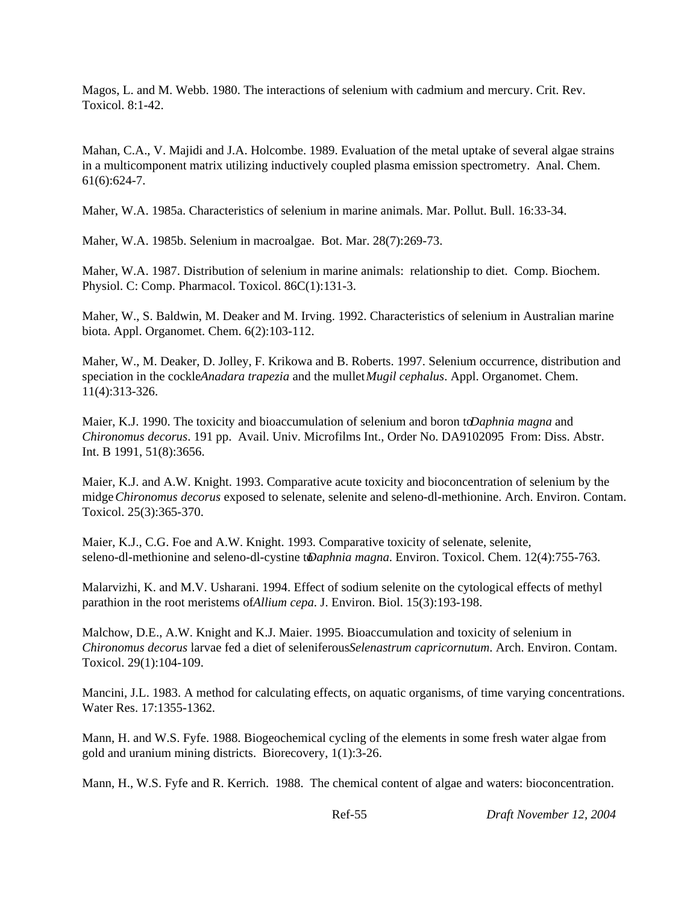Magos, L. and M. Webb. 1980. The interactions of selenium with cadmium and mercury. Crit. Rev. Toxicol. 8:1-42.

Mahan, C.A., V. Majidi and J.A. Holcombe. 1989. Evaluation of the metal uptake of several algae strains in a multicomponent matrix utilizing inductively coupled plasma emission spectrometry. Anal. Chem. 61(6):624-7.

Maher, W.A. 1985a. Characteristics of selenium in marine animals. Mar. Pollut. Bull. 16:33-34.

Maher, W.A. 1985b. Selenium in macroalgae. Bot. Mar. 28(7):269-73.

Maher, W.A. 1987. Distribution of selenium in marine animals: relationship to diet. Comp. Biochem. Physiol. C: Comp. Pharmacol. Toxicol. 86C(1):131-3.

Maher, W., S. Baldwin, M. Deaker and M. Irving. 1992. Characteristics of selenium in Australian marine biota. Appl. Organomet. Chem. 6(2):103-112.

Maher, W., M. Deaker, D. Jolley, F. Krikowa and B. Roberts. 1997. Selenium occurrence, distribution and speciation in the cockle*Anadara trapezia* and the mullet *Mugil cephalus*. Appl. Organomet. Chem. 11(4):313-326.

Maier, K.J. 1990. The toxicity and bioaccumulation of selenium and boron to *Daphnia magna* and *Chironomus decorus*. 191 pp. Avail. Univ. Microfilms Int., Order No. DA9102095 From: Diss. Abstr. Int. B 1991, 51(8):3656.

Maier, K.J. and A.W. Knight. 1993. Comparative acute toxicity and bioconcentration of selenium by the midge *Chironomus decorus* exposed to selenate, selenite and seleno-dl-methionine. Arch. Environ. Contam. Toxicol. 25(3):365-370.

Maier, K.J., C.G. Foe and A.W. Knight. 1993. Comparative toxicity of selenate, selenite, seleno-dl-methionine and seleno-dl-cystine to *Daphnia magna*. Environ. Toxicol. Chem. 12(4):755-763.

Malarvizhi, K. and M.V. Usharani. 1994. Effect of sodium selenite on the cytological effects of methyl parathion in the root meristems of *Allium cepa*. J. Environ. Biol. 15(3):193-198.

Malchow, D.E., A.W. Knight and K.J. Maier. 1995. Bioaccumulation and toxicity of selenium in *Chironomus decorus* larvae fed a diet of seleniferous *Selenastrum capricornutum*. Arch. Environ. Contam. Toxicol. 29(1):104-109.

Mancini, J.L. 1983. A method for calculating effects, on aquatic organisms, of time varying concentrations. Water Res. 17:1355-1362.

Mann, H. and W.S. Fyfe. 1988. Biogeochemical cycling of the elements in some fresh water algae from gold and uranium mining districts. Biorecovery, 1(1):3-26.

Mann, H., W.S. Fyfe and R. Kerrich. 1988. The chemical content of algae and waters: bioconcentration.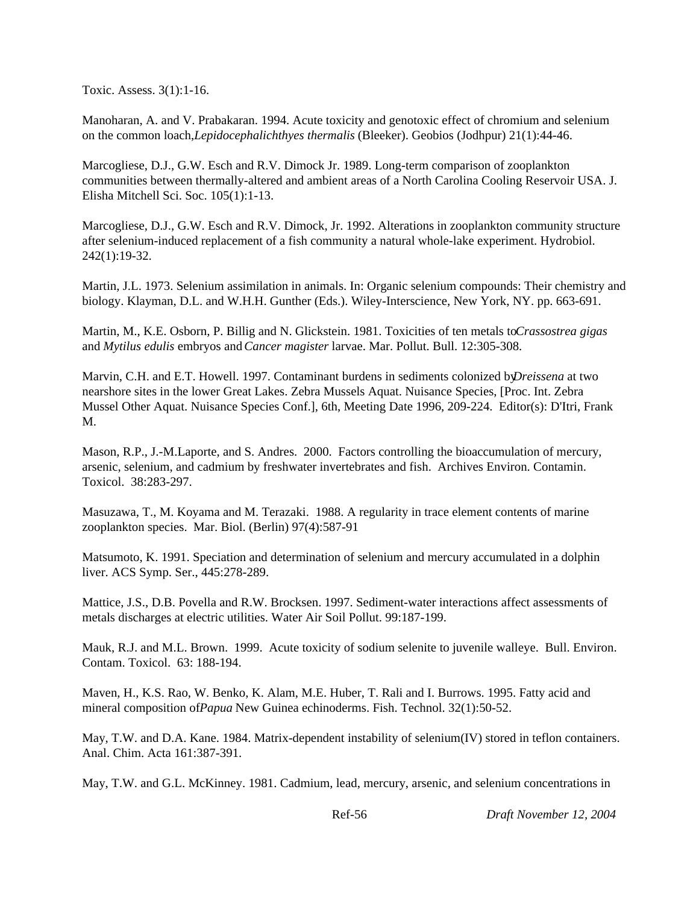Toxic. Assess. 3(1):1-16.

Manoharan, A. and V. Prabakaran. 1994. Acute toxicity and genotoxic effect of chromium and selenium on the common loach, *Lepidocephalichthyes thermalis* (Bleeker). Geobios (Jodhpur) 21(1):44-46.

Marcogliese, D.J., G.W. Esch and R.V. Dimock Jr. 1989. Long-term comparison of zooplankton communities between thermally-altered and ambient areas of a North Carolina Cooling Reservoir USA. J. Elisha Mitchell Sci. Soc. 105(1):1-13.

Marcogliese, D.J., G.W. Esch and R.V. Dimock, Jr. 1992. Alterations in zooplankton community structure after selenium-induced replacement of a fish community a natural whole-lake experiment. Hydrobiol. 242(1):19-32.

Martin, J.L. 1973. Selenium assimilation in animals. In: Organic selenium compounds: Their chemistry and biology. Klayman, D.L. and W.H.H. Gunther (Eds.). Wiley-Interscience, New York, NY. pp. 663-691.

Martin, M., K.E. Osborn, P. Billig and N. Glickstein. 1981. Toxicities of ten metals to *Crassostrea gigas* and *Mytilus edulis* embryos and *Cancer magister* larvae. Mar. Pollut. Bull. 12:305-308.

Marvin, C.H. and E.T. Howell. 1997. Contaminant burdens in sediments colonized by *Dreissena* at two nearshore sites in the lower Great Lakes. Zebra Mussels Aquat. Nuisance Species, [Proc. Int. Zebra Mussel Other Aquat. Nuisance Species Conf.], 6th, Meeting Date 1996, 209-224. Editor(s): D'Itri, Frank M.

Mason, R.P., J.-M.Laporte, and S. Andres. 2000. Factors controlling the bioaccumulation of mercury, arsenic, selenium, and cadmium by freshwater invertebrates and fish. Archives Environ. Contamin. Toxicol. 38:283-297.

Masuzawa, T., M. Koyama and M. Terazaki. 1988. A regularity in trace element contents of marine zooplankton species. Mar. Biol. (Berlin) 97(4):587-91

Matsumoto, K. 1991. Speciation and determination of selenium and mercury accumulated in a dolphin liver. ACS Symp. Ser., 445:278-289.

Mattice, J.S., D.B. Povella and R.W. Brocksen. 1997. Sediment-water interactions affect assessments of metals discharges at electric utilities. Water Air Soil Pollut. 99:187-199.

Mauk, R.J. and M.L. Brown. 1999. Acute toxicity of sodium selenite to juvenile walleye. Bull. Environ. Contam. Toxicol. 63: 188-194.

Maven, H., K.S. Rao, W. Benko, K. Alam, M.E. Huber, T. Rali and I. Burrows. 1995. Fatty acid and mineral composition of *Papua* New Guinea echinoderms. Fish. Technol. 32(1):50-52.

May, T.W. and D.A. Kane. 1984. Matrix-dependent instability of selenium(IV) stored in teflon containers. Anal. Chim. Acta 161:387-391.

May, T.W. and G.L. McKinney. 1981. Cadmium, lead, mercury, arsenic, and selenium concentrations in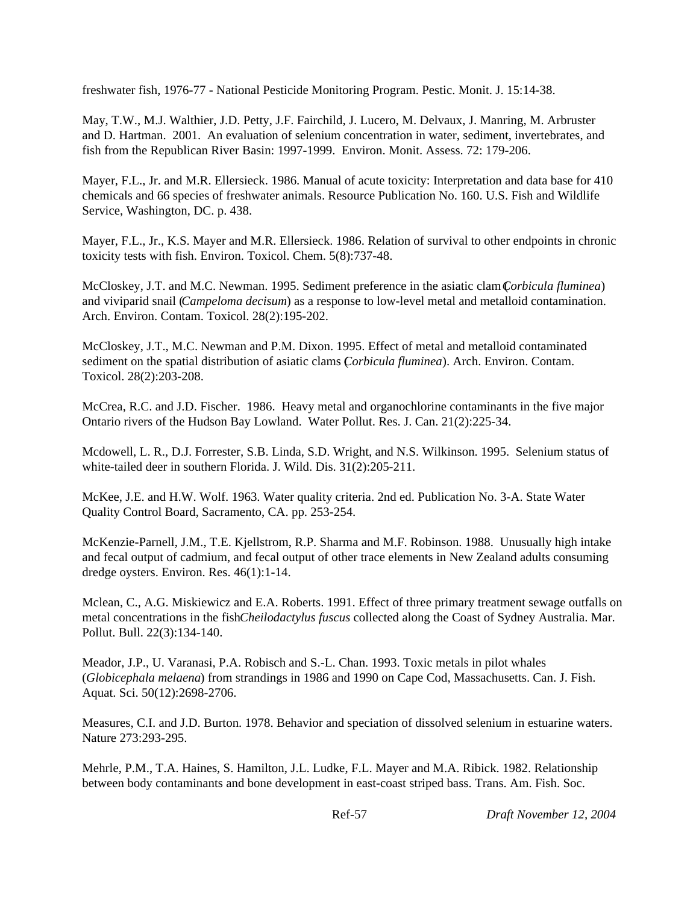freshwater fish, 1976-77 - National Pesticide Monitoring Program. Pestic. Monit. J. 15:14-38.

May, T.W., M.J. Walthier, J.D. Petty, J.F. Fairchild, J. Lucero, M. Delvaux, J. Manring, M. Arbruster and D. Hartman. 2001. An evaluation of selenium concentration in water, sediment, invertebrates, and fish from the Republican River Basin: 1997-1999. Environ. Monit. Assess. 72: 179-206.

Mayer, F.L., Jr. and M.R. Ellersieck. 1986. Manual of acute toxicity: Interpretation and data base for 410 chemicals and 66 species of freshwater animals. Resource Publication No. 160. U.S. Fish and Wildlife Service, Washington, DC. p. 438.

Mayer, F.L., Jr., K.S. Mayer and M.R. Ellersieck. 1986. Relation of survival to other endpoints in chronic toxicity tests with fish. Environ. Toxicol. Chem. 5(8):737-48.

McCloskey, J.T. and M.C. Newman. 1995. Sediment preference in the asiatic clam (*Corbicula fluminea*) and viviparid snail (*Campeloma decisum*) as a response to low-level metal and metalloid contamination. Arch. Environ. Contam. Toxicol. 28(2):195-202.

McCloskey, J.T., M.C. Newman and P.M. Dixon. 1995. Effect of metal and metalloid contaminated sediment on the spatial distribution of asiatic clams (*Corbicula fluminea*). Arch. Environ. Contam. Toxicol. 28(2):203-208.

McCrea, R.C. and J.D. Fischer. 1986. Heavy metal and organochlorine contaminants in the five major Ontario rivers of the Hudson Bay Lowland. Water Pollut. Res. J. Can. 21(2):225-34.

Mcdowell, L. R., D.J. Forrester, S.B. Linda, S.D. Wright, and N.S. Wilkinson. 1995. Selenium status of white-tailed deer in southern Florida. J. Wild. Dis. 31(2):205-211.

McKee, J.E. and H.W. Wolf. 1963. Water quality criteria. 2nd ed. Publication No. 3-A. State Water Quality Control Board, Sacramento, CA. pp. 253-254.

McKenzie-Parnell, J.M., T.E. Kjellstrom, R.P. Sharma and M.F. Robinson. 1988. Unusually high intake and fecal output of cadmium, and fecal output of other trace elements in New Zealand adults consuming dredge oysters. Environ. Res. 46(1):1-14.

Mclean, C., A.G. Miskiewicz and E.A. Roberts. 1991. Effect of three primary treatment sewage outfalls on metal concentrations in the fish *Cheilodactylus fuscus* collected along the Coast of Sydney Australia. Mar. Pollut. Bull. 22(3):134-140.

Meador, J.P., U. Varanasi, P.A. Robisch and S.-L. Chan. 1993. Toxic metals in pilot whales (*Globicephala melaena*) from strandings in 1986 and 1990 on Cape Cod, Massachusetts. Can. J. Fish. Aquat. Sci. 50(12):2698-2706.

Measures, C.I. and J.D. Burton. 1978. Behavior and speciation of dissolved selenium in estuarine waters. Nature 273:293-295.

Mehrle, P.M., T.A. Haines, S. Hamilton, J.L. Ludke, F.L. Mayer and M.A. Ribick. 1982. Relationship between body contaminants and bone development in east-coast striped bass. Trans. Am. Fish. Soc.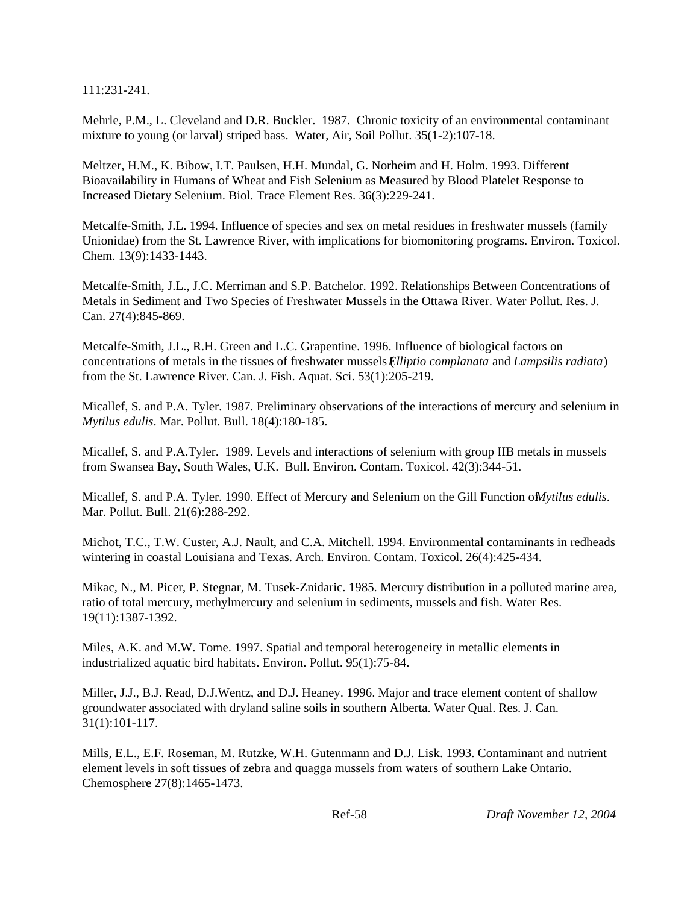111:231-241.

Mehrle, P.M., L. Cleveland and D.R. Buckler. 1987. Chronic toxicity of an environmental contaminant mixture to young (or larval) striped bass. Water, Air, Soil Pollut. 35(1-2):107-18.

Meltzer, H.M., K. Bibow, I.T. Paulsen, H.H. Mundal, G. Norheim and H. Holm. 1993. Different Bioavailability in Humans of Wheat and Fish Selenium as Measured by Blood Platelet Response to Increased Dietary Selenium. Biol. Trace Element Res. 36(3):229-241.

Metcalfe-Smith, J.L. 1994. Influence of species and sex on metal residues in freshwater mussels (family Unionidae) from the St. Lawrence River, with implications for biomonitoring programs. Environ. Toxicol. Chem. 13(9):1433-1443.

Metcalfe-Smith, J.L., J.C. Merriman and S.P. Batchelor. 1992. Relationships Between Concentrations of Metals in Sediment and Two Species of Freshwater Mussels in the Ottawa River. Water Pollut. Res. J. Can. 27(4):845-869.

Metcalfe-Smith, J.L., R.H. Green and L.C. Grapentine. 1996. Influence of biological factors on concentrations of metals in the tissues of freshwater mussels (*Elliptio complanata* and *Lampsilis radiata*) from the St. Lawrence River. Can. J. Fish. Aquat. Sci. 53(1):205-219.

Micallef, S. and P.A. Tyler. 1987. Preliminary observations of the interactions of mercury and selenium in *Mytilus edulis*. Mar. Pollut. Bull. 18(4):180-185.

Micallef, S. and P.A.Tyler. 1989. Levels and interactions of selenium with group IIB metals in mussels from Swansea Bay, South Wales, U.K. Bull. Environ. Contam. Toxicol. 42(3):344-51.

Micallef, S. and P.A. Tyler. 1990. Effect of Mercury and Selenium on the Gill Function of *Mytilus edulis*. Mar. Pollut. Bull. 21(6):288-292.

Michot, T.C., T.W. Custer, A.J. Nault, and C.A. Mitchell. 1994. Environmental contaminants in redheads wintering in coastal Louisiana and Texas. Arch. Environ. Contam. Toxicol. 26(4):425-434.

Mikac, N., M. Picer, P. Stegnar, M. Tusek-Znidaric. 1985. Mercury distribution in a polluted marine area, ratio of total mercury, methylmercury and selenium in sediments, mussels and fish. Water Res. 19(11):1387-1392.

Miles, A.K. and M.W. Tome. 1997. Spatial and temporal heterogeneity in metallic elements in industrialized aquatic bird habitats. Environ. Pollut. 95(1):75-84.

Miller, J.J., B.J. Read, D.J.Wentz, and D.J. Heaney. 1996. Major and trace element content of shallow groundwater associated with dryland saline soils in southern Alberta. Water Qual. Res. J. Can. 31(1):101-117.

Mills, E.L., E.F. Roseman, M. Rutzke, W.H. Gutenmann and D.J. Lisk. 1993. Contaminant and nutrient element levels in soft tissues of zebra and quagga mussels from waters of southern Lake Ontario. Chemosphere 27(8):1465-1473.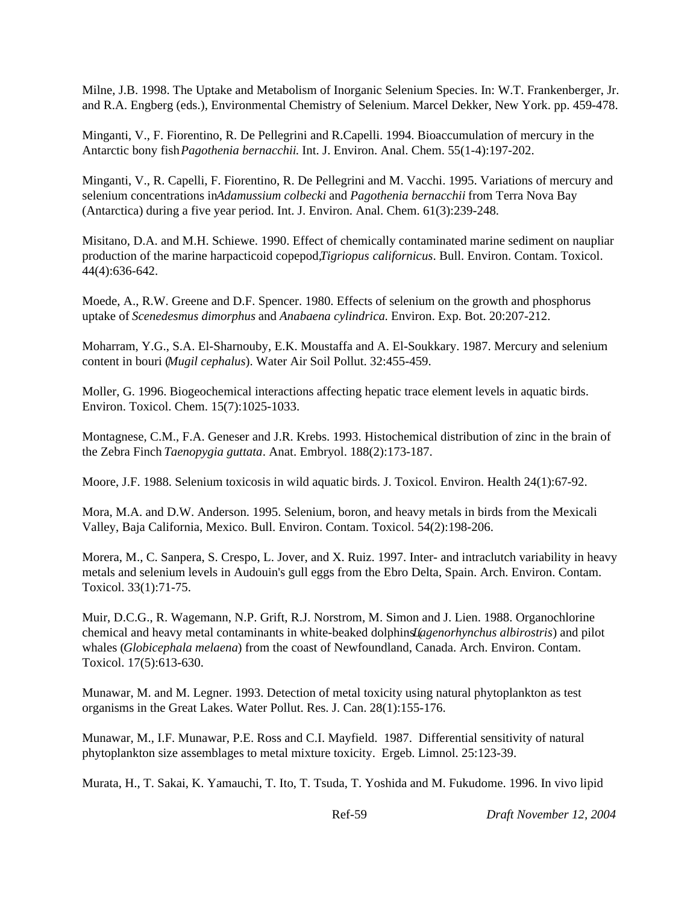Milne, J.B. 1998. The Uptake and Metabolism of Inorganic Selenium Species. In: W.T. Frankenberger, Jr. and R.A. Engberg (eds.), Environmental Chemistry of Selenium. Marcel Dekker, New York. pp. 459-478.

Minganti, V., F. Fiorentino, R. De Pellegrini and R.Capelli. 1994. Bioaccumulation of mercury in the Antarctic bony fish *Pagothenia bernacchii*. Int. J. Environ. Anal. Chem. 55(1-4):197-202.

Minganti, V., R. Capelli, F. Fiorentino, R. De Pellegrini and M. Vacchi. 1995. Variations of mercury and selenium concentrations in *Adamussium colbecki* and *Pagothenia bernacchii* from Terra Nova Bay (Antarctica) during a five year period. Int. J. Environ. Anal. Chem. 61(3):239-248.

Misitano, D.A. and M.H. Schiewe. 1990. Effect of chemically contaminated marine sediment on naupliar production of the marine harpacticoid copepod, *Tigriopus californicus*. Bull. Environ. Contam. Toxicol. 44(4):636-642.

Moede, A., R.W. Greene and D.F. Spencer. 1980. Effects of selenium on the growth and phosphorus uptake of *Scenedesmus dimorphus* and *Anabaena cylindrica*. Environ. Exp. Bot. 20:207-212.

Moharram, Y.G., S.A. El-Sharnouby, E.K. Moustaffa and A. El-Soukkary. 1987. Mercury and selenium content in bouri (*Mugil cephalus*). Water Air Soil Pollut. 32:455-459.

Moller, G. 1996. Biogeochemical interactions affecting hepatic trace element levels in aquatic birds. Environ. Toxicol. Chem. 15(7):1025-1033.

Montagnese, C.M., F.A. Geneser and J.R. Krebs. 1993. Histochemical distribution of zinc in the brain of the Zebra Finch *Taenopygia guttata*. Anat. Embryol. 188(2):173-187.

Moore, J.F. 1988. Selenium toxicosis in wild aquatic birds. J. Toxicol. Environ. Health 24(1):67-92.

Mora, M.A. and D.W. Anderson. 1995. Selenium, boron, and heavy metals in birds from the Mexicali Valley, Baja California, Mexico. Bull. Environ. Contam. Toxicol. 54(2):198-206.

Morera, M., C. Sanpera, S. Crespo, L. Jover, and X. Ruiz. 1997. Inter- and intraclutch variability in heavy metals and selenium levels in Audouin's gull eggs from the Ebro Delta, Spain. Arch. Environ. Contam. Toxicol. 33(1):71-75.

Muir, D.C.G., R. Wagemann, N.P. Grift, R.J. Norstrom, M. Simon and J. Lien. 1988. Organochlorine chemical and heavy metal contaminants in white-beaked dolphins (*Lagenorhynchus albirostris*) and pilot whales (*Globicephala melaena*) from the coast of Newfoundland, Canada. Arch. Environ. Contam. Toxicol. 17(5):613-630.

Munawar, M. and M. Legner. 1993. Detection of metal toxicity using natural phytoplankton as test organisms in the Great Lakes. Water Pollut. Res. J. Can. 28(1):155-176.

Munawar, M., I.F. Munawar, P.E. Ross and C.I. Mayfield. 1987. Differential sensitivity of natural phytoplankton size assemblages to metal mixture toxicity. Ergeb. Limnol. 25:123-39.

Murata, H., T. Sakai, K. Yamauchi, T. Ito, T. Tsuda, T. Yoshida and M. Fukudome. 1996. In vivo lipid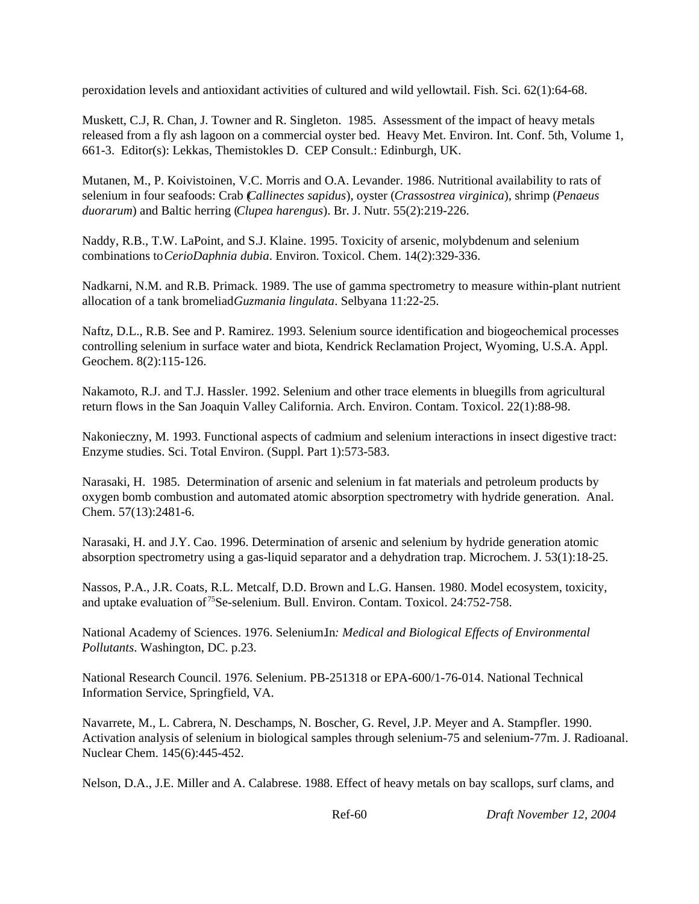peroxidation levels and antioxidant activities of cultured and wild yellowtail. Fish. Sci. 62(1):64-68.

Muskett, C.J, R. Chan, J. Towner and R. Singleton. 1985. Assessment of the impact of heavy metals released from a fly ash lagoon on a commercial oyster bed. Heavy Met. Environ. Int. Conf. 5th, Volume 1, 661-3. Editor(s): Lekkas, Themistokles D. CEP Consult.: Edinburgh, UK.

Mutanen, M., P. Koivistoinen, V.C. Morris and O.A. Levander. 1986. Nutritional availability to rats of selenium in four seafoods: Crab (*Callinectes sapidus*), oyster (*Crassostrea virginica*), shrimp (*Penaeus duorarum*) and Baltic herring (*Clupea harengus*). Br. J. Nutr. 55(2):219-226.

Naddy, R.B., T.W. LaPoint, and S.J. Klaine. 1995. Toxicity of arsenic, molybdenum and selenium combinations to *CerioDaphnia dubia*. Environ. Toxicol. Chem. 14(2):329-336.

Nadkarni, N.M. and R.B. Primack. 1989. The use of gamma spectrometry to measure within-plant nutrient allocation of a tank bromeliad *Guzmania lingulata*. Selbyana 11:22-25.

Naftz, D.L., R.B. See and P. Ramirez. 1993. Selenium source identification and biogeochemical processes controlling selenium in surface water and biota, Kendrick Reclamation Project, Wyoming, U.S.A. Appl. Geochem. 8(2):115-126.

Nakamoto, R.J. and T.J. Hassler. 1992. Selenium and other trace elements in bluegills from agricultural return flows in the San Joaquin Valley California. Arch. Environ. Contam. Toxicol. 22(1):88-98.

Nakonieczny, M. 1993. Functional aspects of cadmium and selenium interactions in insect digestive tract: Enzyme studies. Sci. Total Environ. (Suppl. Part 1):573-583.

Narasaki, H. 1985. Determination of arsenic and selenium in fat materials and petroleum products by oxygen bomb combustion and automated atomic absorption spectrometry with hydride generation. Anal. Chem. 57(13):2481-6.

Narasaki, H. and J.Y. Cao. 1996. Determination of arsenic and selenium by hydride generation atomic absorption spectrometry using a gas-liquid separator and a dehydration trap. Microchem. J. 53(1):18-25.

Nassos, P.A., J.R. Coats, R.L. Metcalf, D.D. Brown and L.G. Hansen. 1980. Model ecosystem, toxicity, and uptake evaluation of <sup>75</sup>Se-selenium. Bull. Environ. Contam. Toxicol. 24:752-758.

National Academy of Sciences. 1976. Selenium.In*: Medical and Biological Effects of Environmental Pollutants*. Washington, DC. p.23.

National Research Council. 1976. Selenium. PB-251318 or EPA-600/1-76-014. National Technical Information Service, Springfield, VA.

Navarrete, M., L. Cabrera, N. Deschamps, N. Boscher, G. Revel, J.P. Meyer and A. Stampfler. 1990. Activation analysis of selenium in biological samples through selenium-75 and selenium-77m. J. Radioanal. Nuclear Chem. 145(6):445-452.

Nelson, D.A., J.E. Miller and A. Calabrese. 1988. Effect of heavy metals on bay scallops, surf clams, and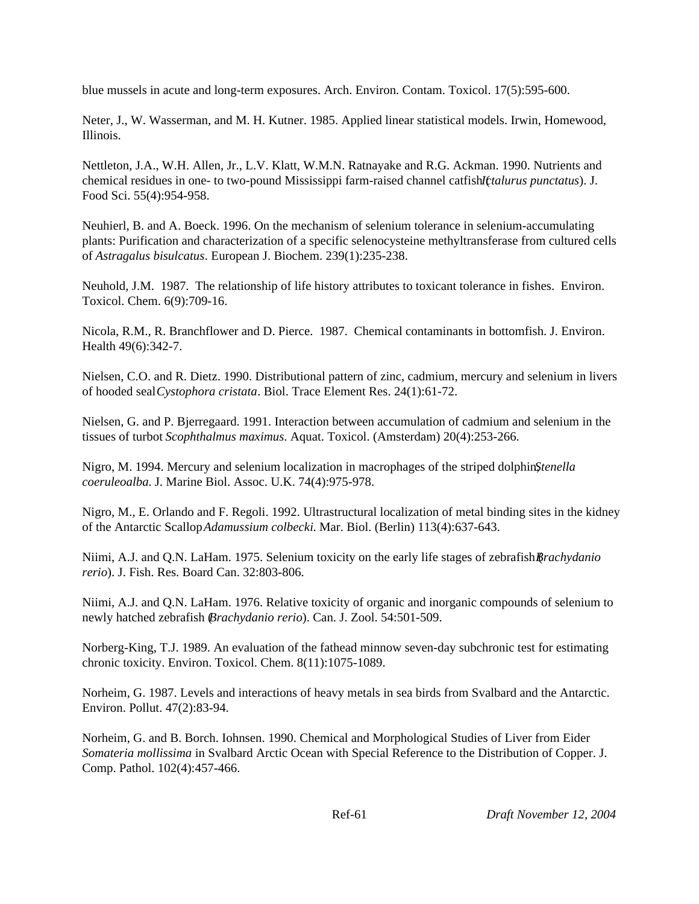blue mussels in acute and long-term exposures. Arch. Environ. Contam. Toxicol. 17(5):595-600.

Neter, J., W. Wasserman, and M. H. Kutner. 1985. Applied linear statistical models. Irwin, Homewood, Illinois.

Nettleton, J.A., W.H. Allen, Jr., L.V. Klatt, W.M.N. Ratnayake and R.G. Ackman. 1990. Nutrients and chemical residues in one- to two-pound Mississippi farm-raised channel catfish (*Ictalurus punctatus*). J. Food Sci. 55(4):954-958.

Neuhierl, B. and A. Boeck. 1996. On the mechanism of selenium tolerance in selenium-accumulating plants: Purification and characterization of a specific selenocysteine methyltransferase from cultured cells of *Astragalus bisulcatus*. European J. Biochem. 239(1):235-238.

Neuhold, J.M. 1987. The relationship of life history attributes to toxicant tolerance in fishes. Environ. Toxicol. Chem. 6(9):709-16.

Nicola, R.M., R. Branchflower and D. Pierce. 1987. Chemical contaminants in bottomfish. J. Environ. Health 49(6):342-7.

Nielsen, C.O. and R. Dietz. 1990. Distributional pattern of zinc, cadmium, mercury and selenium in livers of hooded seal *Cystophora cristata*. Biol. Trace Element Res. 24(1):61-72.

Nielsen, G. and P. Bjerregaard. 1991. Interaction between accumulation of cadmium and selenium in the tissues of turbot *Scophthalmus maximus*. Aquat. Toxicol. (Amsterdam) 20(4):253-266.

Nigro, M. 1994. Mercury and selenium localization in macrophages of the striped dolphin $\mathfrak{S}$ *tenella coeruleoalba*. J. Marine Biol. Assoc. U.K. 74(4):975-978.

Nigro, M., E. Orlando and F. Regoli. 1992. Ultrastructural localization of metal binding sites in the kidney of the Antarctic Scallop *Adamussium colbecki*. Mar. Biol. (Berlin) 113(4):637-643.

Niimi, A.J. and Q.N. LaHam. 1975. Selenium toxicity on the early life stages of zebrafish (*Brachydanio rerio*). J. Fish. Res. Board Can. 32:803-806.

Niimi, A.J. and Q.N. LaHam. 1976. Relative toxicity of organic and inorganic compounds of selenium to newly hatched zebrafish (*Brachydanio rerio*). Can. J. Zool. 54:501-509.

Norberg-King, T.J. 1989. An evaluation of the fathead minnow seven-day subchronic test for estimating chronic toxicity. Environ. Toxicol. Chem. 8(11):1075-1089.

Norheim, G. 1987. Levels and interactions of heavy metals in sea birds from Svalbard and the Antarctic. Environ. Pollut. 47(2):83-94.

Norheim, G. and B. Borch. Iohnsen. 1990. Chemical and Morphological Studies of Liver from Eider *Somateria mollissima* in Svalbard Arctic Ocean with Special Reference to the Distribution of Copper. J. Comp. Pathol. 102(4):457-466.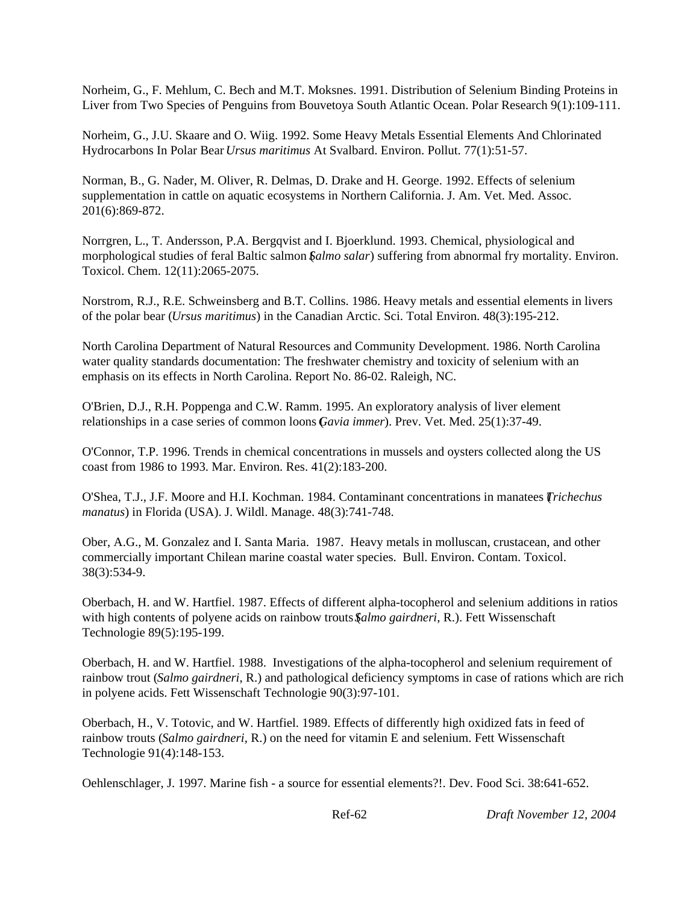Norheim, G., F. Mehlum, C. Bech and M.T. Moksnes. 1991. Distribution of Selenium Binding Proteins in Liver from Two Species of Penguins from Bouvetoya South Atlantic Ocean. Polar Research 9(1):109-111.

Norheim, G., J.U. Skaare and O. Wiig. 1992. Some Heavy Metals Essential Elements And Chlorinated Hydrocarbons In Polar Bear *Ursus maritimus* At Svalbard. Environ. Pollut. 77(1):51-57.

Norman, B., G. Nader, M. Oliver, R. Delmas, D. Drake and H. George. 1992. Effects of selenium supplementation in cattle on aquatic ecosystems in Northern California. J. Am. Vet. Med. Assoc. 201(6):869-872.

Norrgren, L., T. Andersson, P.A. Bergqvist and I. Bjoerklund. 1993. Chemical, physiological and morphological studies of feral Baltic salmon (*Salmo salar*) suffering from abnormal fry mortality. Environ. Toxicol. Chem. 12(11):2065-2075.

Norstrom, R.J., R.E. Schweinsberg and B.T. Collins. 1986. Heavy metals and essential elements in livers of the polar bear (*Ursus maritimus*) in the Canadian Arctic. Sci. Total Environ. 48(3):195-212.

North Carolina Department of Natural Resources and Community Development. 1986. North Carolina water quality standards documentation: The freshwater chemistry and toxicity of selenium with an emphasis on its effects in North Carolina. Report No. 86-02. Raleigh, NC.

O'Brien, D.J., R.H. Poppenga and C.W. Ramm. 1995. An exploratory analysis of liver element relationships in a case series of common loons (*Gavia immer*). Prev. Vet. Med. 25(1):37-49.

O'Connor, T.P. 1996. Trends in chemical concentrations in mussels and oysters collected along the US coast from 1986 to 1993. Mar. Environ. Res. 41(2):183-200.

O'Shea, T.J., J.F. Moore and H.I. Kochman. 1984. Contaminant concentrations in manatees (*Trichechus manatus*) in Florida (USA). J. Wildl. Manage. 48(3):741-748.

Ober, A.G., M. Gonzalez and I. Santa Maria. 1987. Heavy metals in molluscan, crustacean, and other commercially important Chilean marine coastal water species. Bull. Environ. Contam. Toxicol. 38(3):534-9.

Oberbach, H. and W. Hartfiel. 1987. Effects of different alpha-tocopherol and selenium additions in ratios with high contents of polyene acids on rainbow trouts  $\mathcal{S}$ *almo gairdneri*, R.). Fett Wissenschaft Technologie 89(5):195-199.

Oberbach, H. and W. Hartfiel. 1988. Investigations of the alpha-tocopherol and selenium requirement of rainbow trout (*Salmo gairdneri*, R.) and pathological deficiency symptoms in case of rations which are rich in polyene acids. Fett Wissenschaft Technologie 90(3):97-101.

Oberbach, H., V. Totovic, and W. Hartfiel. 1989. Effects of differently high oxidized fats in feed of rainbow trouts (*Salmo gairdneri*, R.) on the need for vitamin E and selenium. Fett Wissenschaft Technologie 91(4):148-153.

Oehlenschlager, J. 1997. Marine fish - a source for essential elements?!. Dev. Food Sci. 38:641-652.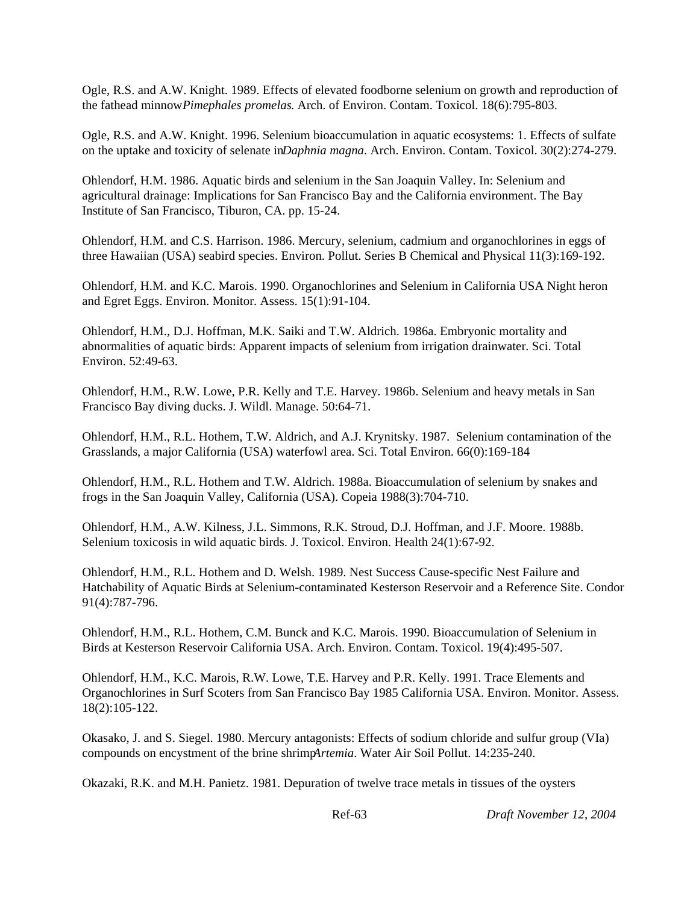Ogle, R.S. and A.W. Knight. 1989. Effects of elevated foodborne selenium on growth and reproduction of the fathead minnow *Pimephales promelas*. Arch. of Environ. Contam. Toxicol. 18(6):795-803.

Ogle, R.S. and A.W. Knight. 1996. Selenium bioaccumulation in aquatic ecosystems: 1. Effects of sulfate on the uptake and toxicity of selenate in *Daphnia magna*. Arch. Environ. Contam. Toxicol. 30(2):274-279.

Ohlendorf, H.M. 1986. Aquatic birds and selenium in the San Joaquin Valley. In: Selenium and agricultural drainage: Implications for San Francisco Bay and the California environment. The Bay Institute of San Francisco, Tiburon, CA. pp. 15-24.

Ohlendorf, H.M. and C.S. Harrison. 1986. Mercury, selenium, cadmium and organochlorines in eggs of three Hawaiian (USA) seabird species. Environ. Pollut. Series B Chemical and Physical 11(3):169-192.

Ohlendorf, H.M. and K.C. Marois. 1990. Organochlorines and Selenium in California USA Night heron and Egret Eggs. Environ. Monitor. Assess. 15(1):91-104.

Ohlendorf, H.M., D.J. Hoffman, M.K. Saiki and T.W. Aldrich. 1986a. Embryonic mortality and abnormalities of aquatic birds: Apparent impacts of selenium from irrigation drainwater. Sci. Total Environ. 52:49-63.

Ohlendorf, H.M., R.W. Lowe, P.R. Kelly and T.E. Harvey. 1986b. Selenium and heavy metals in San Francisco Bay diving ducks. J. Wildl. Manage. 50:64-71.

Ohlendorf, H.M., R.L. Hothem, T.W. Aldrich, and A.J. Krynitsky. 1987. Selenium contamination of the Grasslands, a major California (USA) waterfowl area. Sci. Total Environ. 66(0):169-184

Ohlendorf, H.M., R.L. Hothem and T.W. Aldrich. 1988a. Bioaccumulation of selenium by snakes and frogs in the San Joaquin Valley, California (USA). Copeia 1988(3):704-710.

Ohlendorf, H.M., A.W. Kilness, J.L. Simmons, R.K. Stroud, D.J. Hoffman, and J.F. Moore. 1988b. Selenium toxicosis in wild aquatic birds. J. Toxicol. Environ. Health 24(1):67-92.

Ohlendorf, H.M., R.L. Hothem and D. Welsh. 1989. Nest Success Cause-specific Nest Failure and Hatchability of Aquatic Birds at Selenium-contaminated Kesterson Reservoir and a Reference Site. Condor 91(4):787-796.

Ohlendorf, H.M., R.L. Hothem, C.M. Bunck and K.C. Marois. 1990. Bioaccumulation of Selenium in Birds at Kesterson Reservoir California USA. Arch. Environ. Contam. Toxicol. 19(4):495-507.

Ohlendorf, H.M., K.C. Marois, R.W. Lowe, T.E. Harvey and P.R. Kelly. 1991. Trace Elements and Organochlorines in Surf Scoters from San Francisco Bay 1985 California USA. Environ. Monitor. Assess. 18(2):105-122.

Okasako, J. and S. Siegel. 1980. Mercury antagonists: Effects of sodium chloride and sulfur group (VIa) compounds on encystment of the brine shrimp *Artemia*. Water Air Soil Pollut. 14:235-240.

Okazaki, R.K. and M.H. Panietz. 1981. Depuration of twelve trace metals in tissues of the oysters

Ref-63 *Draft November 12, 2004*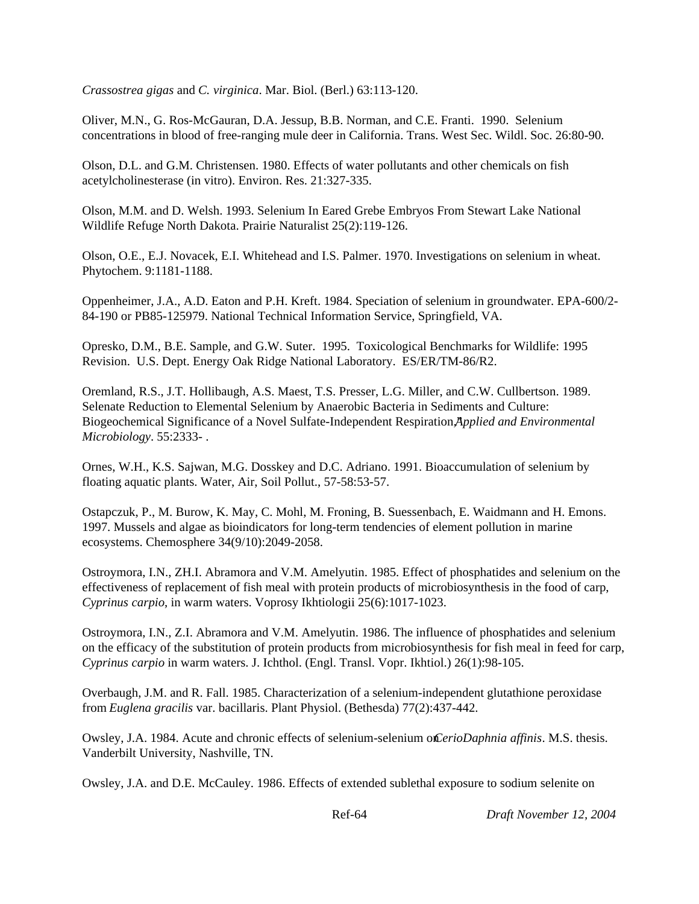*Crassostrea gigas* and *C. virginica*. Mar. Biol. (Berl.) 63:113-120.

Oliver, M.N., G. Ros-McGauran, D.A. Jessup, B.B. Norman, and C.E. Franti. 1990. Selenium concentrations in blood of free-ranging mule deer in California. Trans. West Sec. Wildl. Soc. 26:80-90.

Olson, D.L. and G.M. Christensen. 1980. Effects of water pollutants and other chemicals on fish acetylcholinesterase (in vitro). Environ. Res. 21:327-335.

Olson, M.M. and D. Welsh. 1993. Selenium In Eared Grebe Embryos From Stewart Lake National Wildlife Refuge North Dakota. Prairie Naturalist 25(2):119-126.

Olson, O.E., E.J. Novacek, E.I. Whitehead and I.S. Palmer. 1970. Investigations on selenium in wheat. Phytochem. 9:1181-1188.

Oppenheimer, J.A., A.D. Eaton and P.H. Kreft. 1984. Speciation of selenium in groundwater. EPA-600/2- 84-190 or PB85-125979. National Technical Information Service, Springfield, VA.

Opresko, D.M., B.E. Sample, and G.W. Suter. 1995. Toxicological Benchmarks for Wildlife: 1995 Revision. U.S. Dept. Energy Oak Ridge National Laboratory. ES/ER/TM-86/R2.

Oremland, R.S., J.T. Hollibaugh, A.S. Maest, T.S. Presser, L.G. Miller, and C.W. Cullbertson. 1989. Selenate Reduction to Elemental Selenium by Anaerobic Bacteria in Sediments and Culture: Biogeochemical Significance of a Novel Sulfate-Independent Respiration,*Applied and Environmental* " *Microbiology*. 55:2333- .

Ornes, W.H., K.S. Sajwan, M.G. Dosskey and D.C. Adriano. 1991. Bioaccumulation of selenium by floating aquatic plants. Water, Air, Soil Pollut., 57-58:53-57.

Ostapczuk, P., M. Burow, K. May, C. Mohl, M. Froning, B. Suessenbach, E. Waidmann and H. Emons. 1997. Mussels and algae as bioindicators for long-term tendencies of element pollution in marine ecosystems. Chemosphere 34(9/10):2049-2058.

Ostroymora, I.N., ZH.I. Abramora and V.M. Amelyutin. 1985. Effect of phosphatides and selenium on the effectiveness of replacement of fish meal with protein products of microbiosynthesis in the food of carp, *Cyprinus carpio*, in warm waters. Voprosy Ikhtiologii 25(6):1017-1023.

Ostroymora, I.N., Z.I. Abramora and V.M. Amelyutin. 1986. The influence of phosphatides and selenium on the efficacy of the substitution of protein products from microbiosynthesis for fish meal in feed for carp, *Cyprinus carpio* in warm waters. J. Ichthol. (Engl. Transl. Vopr. Ikhtiol.) 26(1):98-105.

Overbaugh, J.M. and R. Fall. 1985. Characterization of a selenium-independent glutathione peroxidase from *Euglena gracilis* var. bacillaris. Plant Physiol. (Bethesda) 77(2):437-442.

Owsley, J.A. 1984. Acute and chronic effects of selenium-selenium on *CerioDaphnia affinis*. M.S. thesis. Vanderbilt University, Nashville, TN.

Owsley, J.A. and D.E. McCauley. 1986. Effects of extended sublethal exposure to sodium selenite on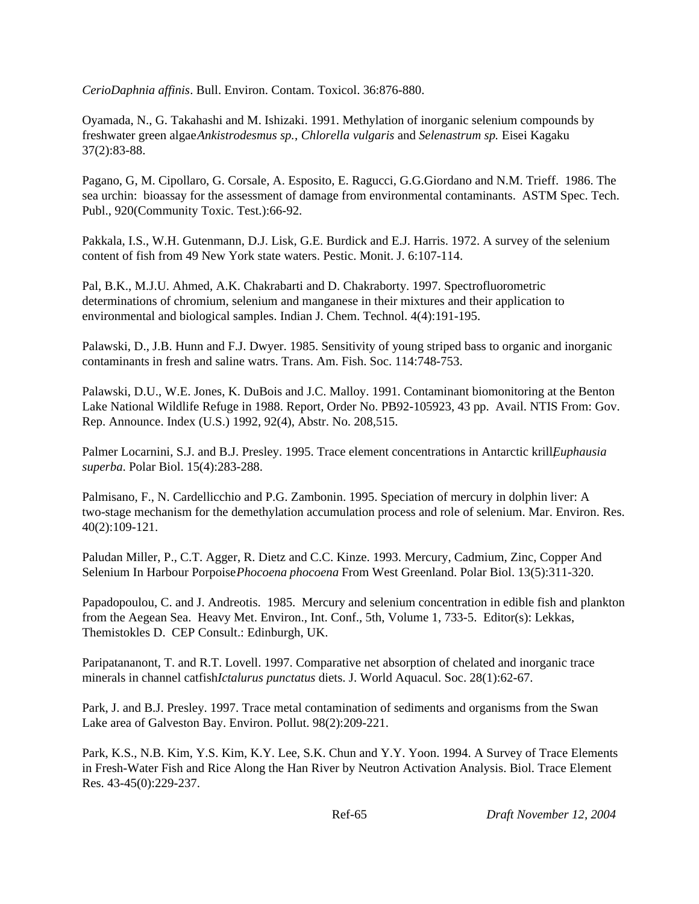*CerioDaphnia affinis*. Bull. Environ. Contam. Toxicol. 36:876-880.

Oyamada, N., G. Takahashi and M. Ishizaki. 1991. Methylation of inorganic selenium compounds by freshwater green algae *Ankistrodesmus sp.*, *Chlorella vulgaris* and *Selenastrum sp.* Eisei Kagaku 37(2):83-88.

Pagano, G, M. Cipollaro, G. Corsale, A. Esposito, E. Ragucci, G.G.Giordano and N.M. Trieff. 1986. The sea urchin: bioassay for the assessment of damage from environmental contaminants. ASTM Spec. Tech. Publ., 920(Community Toxic. Test.):66-92.

Pakkala, I.S., W.H. Gutenmann, D.J. Lisk, G.E. Burdick and E.J. Harris. 1972. A survey of the selenium content of fish from 49 New York state waters. Pestic. Monit. J. 6:107-114.

Pal, B.K., M.J.U. Ahmed, A.K. Chakrabarti and D. Chakraborty. 1997. Spectrofluorometric determinations of chromium, selenium and manganese in their mixtures and their application to environmental and biological samples. Indian J. Chem. Technol. 4(4):191-195.

Palawski, D., J.B. Hunn and F.J. Dwyer. 1985. Sensitivity of young striped bass to organic and inorganic contaminants in fresh and saline watrs. Trans. Am. Fish. Soc. 114:748-753.

Palawski, D.U., W.E. Jones, K. DuBois and J.C. Malloy. 1991. Contaminant biomonitoring at the Benton Lake National Wildlife Refuge in 1988. Report, Order No. PB92-105923, 43 pp. Avail. NTIS From: Gov. Rep. Announce. Index (U.S.) 1992, 92(4), Abstr. No. 208,515.

Palmer Locarnini, S.J. and B.J. Presley. 1995. Trace element concentrations in Antarctic krill *Euphausia superba*. Polar Biol. 15(4):283-288.

Palmisano, F., N. Cardellicchio and P.G. Zambonin. 1995. Speciation of mercury in dolphin liver: A two-stage mechanism for the demethylation accumulation process and role of selenium. Mar. Environ. Res. 40(2):109-121.

Paludan Miller, P., C.T. Agger, R. Dietz and C.C. Kinze. 1993. Mercury, Cadmium, Zinc, Copper And Selenium In Harbour Porpoise *Phocoena phocoena* From West Greenland. Polar Biol. 13(5):311-320.

Papadopoulou, C. and J. Andreotis. 1985. Mercury and selenium concentration in edible fish and plankton from the Aegean Sea. Heavy Met. Environ., Int. Conf., 5th, Volume 1, 733-5. Editor(s): Lekkas, Themistokles D. CEP Consult.: Edinburgh, UK.

Paripatananont, T. and R.T. Lovell. 1997. Comparative net absorption of chelated and inorganic trace minerals in channel catfish *Ictalurus punctatus* diets. J. World Aquacul. Soc. 28(1):62-67.

Park, J. and B.J. Presley. 1997. Trace metal contamination of sediments and organisms from the Swan Lake area of Galveston Bay. Environ. Pollut. 98(2):209-221.

Park, K.S., N.B. Kim, Y.S. Kim, K.Y. Lee, S.K. Chun and Y.Y. Yoon. 1994. A Survey of Trace Elements in Fresh-Water Fish and Rice Along the Han River by Neutron Activation Analysis. Biol. Trace Element Res. 43-45(0):229-237.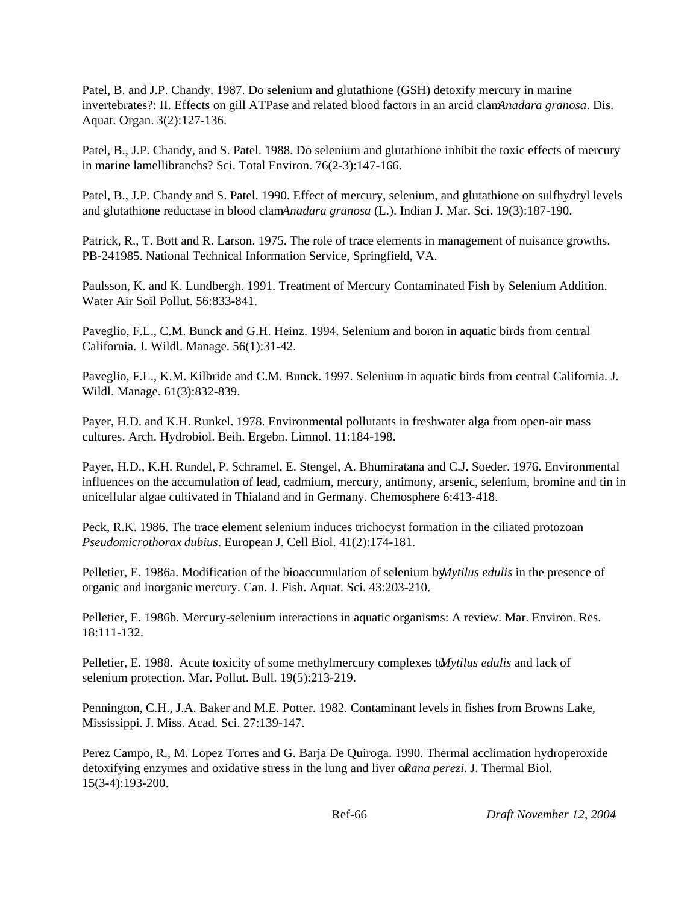Patel, B. and J.P. Chandy. 1987. Do selenium and glutathione (GSH) detoxify mercury in marine invertebrates?: II. Effects on gill ATPase and related blood factors in an arcid clamAnadara granosa. Dis. Aquat. Organ. 3(2):127-136.

Patel, B., J.P. Chandy, and S. Patel. 1988. Do selenium and glutathione inhibit the toxic effects of mercury in marine lamellibranchs? Sci. Total Environ. 76(2-3):147-166.

Patel, B., J.P. Chandy and S. Patel. 1990. Effect of mercury, selenium, and glutathione on sulfhydryl levels and glutathione reductase in blood clam *Anadara granosa* (L.). Indian J. Mar. Sci. 19(3):187-190.

Patrick, R., T. Bott and R. Larson. 1975. The role of trace elements in management of nuisance growths. PB-241985. National Technical Information Service, Springfield, VA.

Paulsson, K. and K. Lundbergh. 1991. Treatment of Mercury Contaminated Fish by Selenium Addition. Water Air Soil Pollut. 56:833-841.

Paveglio, F.L., C.M. Bunck and G.H. Heinz. 1994. Selenium and boron in aquatic birds from central California. J. Wildl. Manage. 56(1):31-42.

Paveglio, F.L., K.M. Kilbride and C.M. Bunck. 1997. Selenium in aquatic birds from central California. J. Wildl. Manage. 61(3):832-839.

Payer, H.D. and K.H. Runkel. 1978. Environmental pollutants in freshwater alga from open-air mass cultures. Arch. Hydrobiol. Beih. Ergebn. Limnol. 11:184-198.

Payer, H.D., K.H. Rundel, P. Schramel, E. Stengel, A. Bhumiratana and C.J. Soeder. 1976. Environmental influences on the accumulation of lead, cadmium, mercury, antimony, arsenic, selenium, bromine and tin in unicellular algae cultivated in Thialand and in Germany. Chemosphere 6:413-418.

Peck, R.K. 1986. The trace element selenium induces trichocyst formation in the ciliated protozoan *Pseudomicrothorax dubius*. European J. Cell Biol. 41(2):174-181.

Pelletier, E. 1986a. Modification of the bioaccumulation of selenium by *Mytilus edulis* in the presence of organic and inorganic mercury. Can. J. Fish. Aquat. Sci. 43:203-210.

Pelletier, E. 1986b. Mercury-selenium interactions in aquatic organisms: A review. Mar. Environ. Res. 18:111-132.

Pelletier, E. 1988. Acute toxicity of some methylmercury complexes to *Mytilus edulis* and lack of selenium protection. Mar. Pollut. Bull. 19(5):213-219.

Pennington, C.H., J.A. Baker and M.E. Potter. 1982. Contaminant levels in fishes from Browns Lake, Mississippi. J. Miss. Acad. Sci. 27:139-147.

Perez Campo, R., M. Lopez Torres and G. Barja De Quiroga. 1990. Thermal acclimation hydroperoxide detoxifying enzymes and oxidative stress in the lung and liver of *Rana perezi*. J. Thermal Biol. 15(3-4):193-200.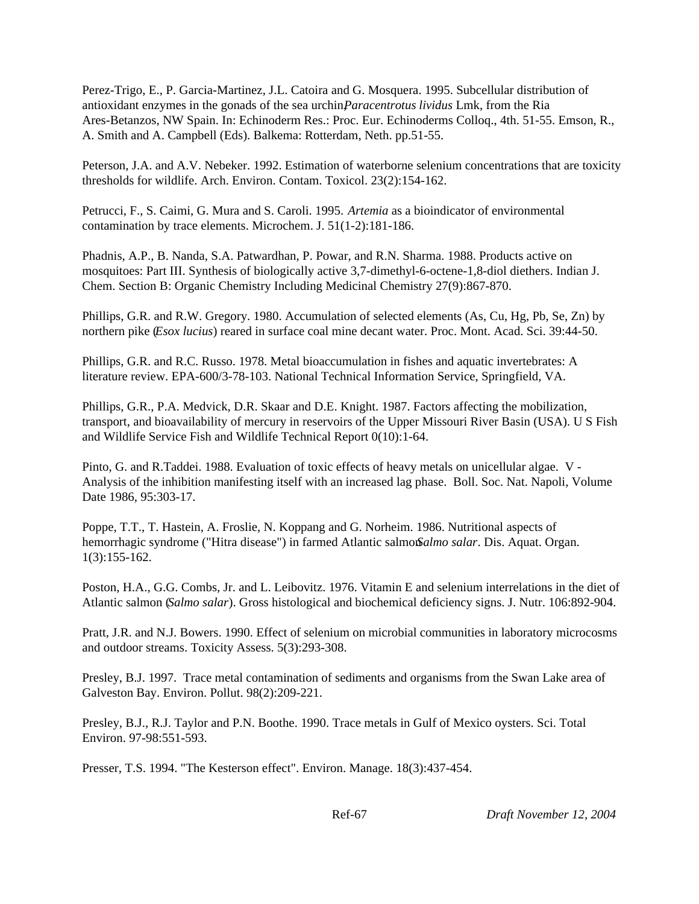Perez-Trigo, E., P. Garcia-Martinez, J.L. Catoira and G. Mosquera. 1995. Subcellular distribution of antioxidant enzymes in the gonads of the sea urchin, *Paracentrotus lividus* Lmk, from the Ria Ares-Betanzos, NW Spain. In: Echinoderm Res.: Proc. Eur. Echinoderms Colloq., 4th. 51-55. Emson, R., A. Smith and A. Campbell (Eds). Balkema: Rotterdam, Neth. pp.51-55.

Peterson, J.A. and A.V. Nebeker. 1992. Estimation of waterborne selenium concentrations that are toxicity thresholds for wildlife. Arch. Environ. Contam. Toxicol. 23(2):154-162.

Petrucci, F., S. Caimi, G. Mura and S. Caroli. 1995. *Artemia* as a bioindicator of environmental contamination by trace elements. Microchem. J. 51(1-2):181-186.

Phadnis, A.P., B. Nanda, S.A. Patwardhan, P. Powar, and R.N. Sharma. 1988. Products active on mosquitoes: Part III. Synthesis of biologically active 3,7-dimethyl-6-octene-1,8-diol diethers. Indian J. Chem. Section B: Organic Chemistry Including Medicinal Chemistry 27(9):867-870.

Phillips, G.R. and R.W. Gregory. 1980. Accumulation of selected elements (As, Cu, Hg, Pb, Se, Zn) by northern pike (*Esox lucius*) reared in surface coal mine decant water. Proc. Mont. Acad. Sci. 39:44-50.

Phillips, G.R. and R.C. Russo. 1978. Metal bioaccumulation in fishes and aquatic invertebrates: A literature review. EPA-600/3-78-103. National Technical Information Service, Springfield, VA.

Phillips, G.R., P.A. Medvick, D.R. Skaar and D.E. Knight. 1987. Factors affecting the mobilization, transport, and bioavailability of mercury in reservoirs of the Upper Missouri River Basin (USA). U S Fish and Wildlife Service Fish and Wildlife Technical Report 0(10):1-64.

Pinto, G. and R.Taddei. 1988. Evaluation of toxic effects of heavy metals on unicellular algae. V - Analysis of the inhibition manifesting itself with an increased lag phase. Boll. Soc. Nat. Napoli, Volume Date 1986, 95:303-17.

Poppe, T.T., T. Hastein, A. Froslie, N. Koppang and G. Norheim. 1986. Nutritional aspects of hemorrhagic syndrome ("Hitra disease") in farmed Atlantic salmon *Salmo salar*. Dis. Aquat. Organ. 1(3):155-162.

Poston, H.A., G.G. Combs, Jr. and L. Leibovitz. 1976. Vitamin E and selenium interrelations in the diet of Atlantic salmon (*Salmo salar*). Gross histological and biochemical deficiency signs. J. Nutr. 106:892-904.

Pratt, J.R. and N.J. Bowers. 1990. Effect of selenium on microbial communities in laboratory microcosms and outdoor streams. Toxicity Assess. 5(3):293-308.

Presley, B.J. 1997. Trace metal contamination of sediments and organisms from the Swan Lake area of Galveston Bay. Environ. Pollut. 98(2):209-221.

Presley, B.J., R.J. Taylor and P.N. Boothe. 1990. Trace metals in Gulf of Mexico oysters. Sci. Total Environ. 97-98:551-593.

Presser, T.S. 1994. "The Kesterson effect". Environ. Manage. 18(3):437-454.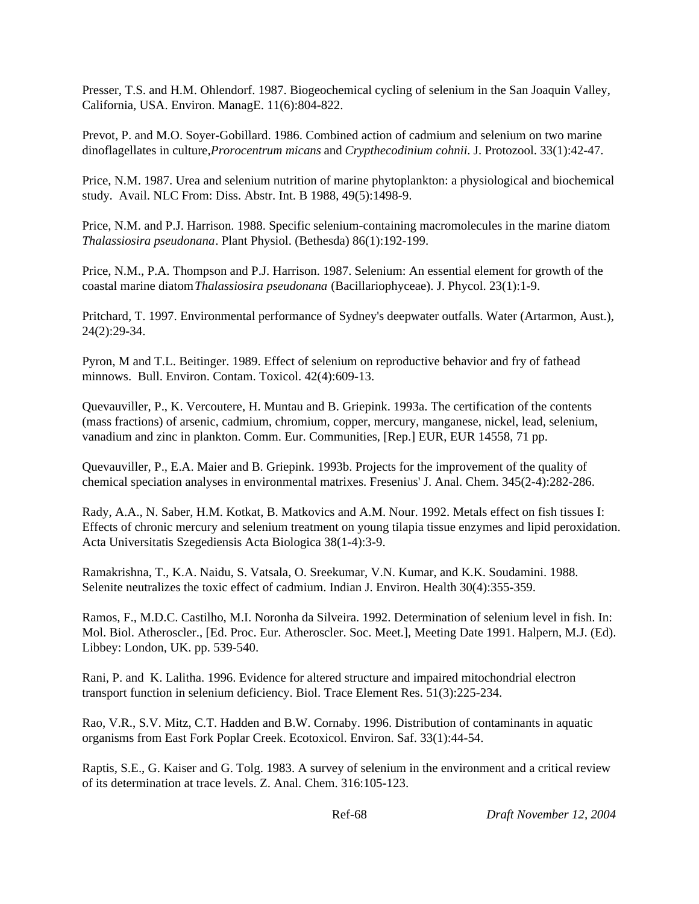Presser, T.S. and H.M. Ohlendorf. 1987. Biogeochemical cycling of selenium in the San Joaquin Valley, California, USA. Environ. ManagE. 11(6):804-822.

Prevot, P. and M.O. Soyer-Gobillard. 1986. Combined action of cadmium and selenium on two marine dinoflagellates in culture, *Prorocentrum micans* and *Crypthecodinium cohnii*. J. Protozool. 33(1):42-47.

Price, N.M. 1987. Urea and selenium nutrition of marine phytoplankton: a physiological and biochemical study. Avail. NLC From: Diss. Abstr. Int. B 1988, 49(5):1498-9.

Price, N.M. and P.J. Harrison. 1988. Specific selenium-containing macromolecules in the marine diatom *Thalassiosira pseudonana*. Plant Physiol. (Bethesda) 86(1):192-199.

Price, N.M., P.A. Thompson and P.J. Harrison. 1987. Selenium: An essential element for growth of the coastal marine diatom *Thalassiosira pseudonana* (Bacillariophyceae). J. Phycol. 23(1):1-9.

Pritchard, T. 1997. Environmental performance of Sydney's deepwater outfalls. Water (Artarmon, Aust.), 24(2):29-34.

Pyron, M and T.L. Beitinger. 1989. Effect of selenium on reproductive behavior and fry of fathead minnows. Bull. Environ. Contam. Toxicol. 42(4):609-13.

Quevauviller, P., K. Vercoutere, H. Muntau and B. Griepink. 1993a. The certification of the contents (mass fractions) of arsenic, cadmium, chromium, copper, mercury, manganese, nickel, lead, selenium, vanadium and zinc in plankton. Comm. Eur. Communities, [Rep.] EUR, EUR 14558, 71 pp.

Quevauviller, P., E.A. Maier and B. Griepink. 1993b. Projects for the improvement of the quality of chemical speciation analyses in environmental matrixes. Fresenius' J. Anal. Chem. 345(2-4):282-286.

Rady, A.A., N. Saber, H.M. Kotkat, B. Matkovics and A.M. Nour. 1992. Metals effect on fish tissues I: Effects of chronic mercury and selenium treatment on young tilapia tissue enzymes and lipid peroxidation. Acta Universitatis Szegediensis Acta Biologica 38(1-4):3-9.

Ramakrishna, T., K.A. Naidu, S. Vatsala, O. Sreekumar, V.N. Kumar, and K.K. Soudamini. 1988. Selenite neutralizes the toxic effect of cadmium. Indian J. Environ. Health 30(4):355-359.

Ramos, F., M.D.C. Castilho, M.I. Noronha da Silveira. 1992. Determination of selenium level in fish. In: Mol. Biol. Atheroscler., [Ed. Proc. Eur. Atheroscler. Soc. Meet.], Meeting Date 1991. Halpern, M.J. (Ed). Libbey: London, UK. pp. 539-540.

Rani, P. and K. Lalitha. 1996. Evidence for altered structure and impaired mitochondrial electron transport function in selenium deficiency. Biol. Trace Element Res. 51(3):225-234.

Rao, V.R., S.V. Mitz, C.T. Hadden and B.W. Cornaby. 1996. Distribution of contaminants in aquatic organisms from East Fork Poplar Creek. Ecotoxicol. Environ. Saf. 33(1):44-54.

Raptis, S.E., G. Kaiser and G. Tolg. 1983. A survey of selenium in the environment and a critical review of its determination at trace levels. Z. Anal. Chem. 316:105-123.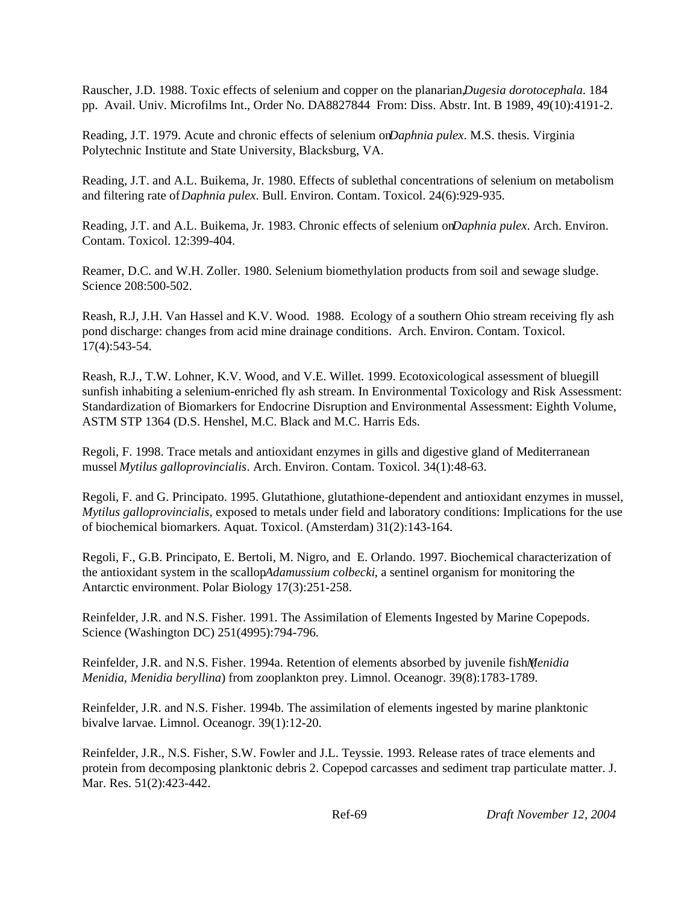Rauscher, J.D. 1988. Toxic effects of selenium and copper on the planarian, *Dugesia dorotocephala*. 184 pp. Avail. Univ. Microfilms Int., Order No. DA8827844 From: Diss. Abstr. Int. B 1989, 49(10):4191-2.

Reading, J.T. 1979. Acute and chronic effects of selenium on *Daphnia pulex*. M.S. thesis. Virginia Polytechnic Institute and State University, Blacksburg, VA.

Reading, J.T. and A.L. Buikema, Jr. 1980. Effects of sublethal concentrations of selenium on metabolism and filtering rate of *Daphnia pulex*. Bull. Environ. Contam. Toxicol. 24(6):929-935.

Reading, J.T. and A.L. Buikema, Jr. 1983. Chronic effects of selenium on *Daphnia pulex*. Arch. Environ. Contam. Toxicol. 12:399-404.

Reamer, D.C. and W.H. Zoller. 1980. Selenium biomethylation products from soil and sewage sludge. Science 208:500-502.

Reash, R.J, J.H. Van Hassel and K.V. Wood. 1988. Ecology of a southern Ohio stream receiving fly ash pond discharge: changes from acid mine drainage conditions. Arch. Environ. Contam. Toxicol. 17(4):543-54.

Reash, R.J., T.W. Lohner, K.V. Wood, and V.E. Willet. 1999. Ecotoxicological assessment of bluegill sunfish inhabiting a selenium-enriched fly ash stream. In Environmental Toxicology and Risk Assessment: Standardization of Biomarkers for Endocrine Disruption and Environmental Assessment: Eighth Volume, ASTM STP 1364 (D.S. Henshel, M.C. Black and M.C. Harris Eds.

Regoli, F. 1998. Trace metals and antioxidant enzymes in gills and digestive gland of Mediterranean mussel *Mytilus galloprovincialis*. Arch. Environ. Contam. Toxicol. 34(1):48-63.

Regoli, F. and G. Principato. 1995. Glutathione, glutathione-dependent and antioxidant enzymes in mussel, *Mytilus galloprovincialis*, exposed to metals under field and laboratory conditions: Implications for the use of biochemical biomarkers. Aquat. Toxicol. (Amsterdam) 31(2):143-164.

Regoli, F., G.B. Principato, E. Bertoli, M. Nigro, and E. Orlando. 1997. Biochemical characterization of the antioxidant system in the scallop *Adamussium colbecki*, a sentinel organism for monitoring the Antarctic environment. Polar Biology 17(3):251-258.

Reinfelder, J.R. and N.S. Fisher. 1991. The Assimilation of Elements Ingested by Marine Copepods. Science (Washington DC) 251(4995):794-796.

Reinfelder, J.R. and N.S. Fisher. 1994a. Retention of elements absorbed by juvenile fish (*Menidia Menidia*, *Menidia beryllina*) from zooplankton prey. Limnol. Oceanogr. 39(8):1783-1789.

Reinfelder, J.R. and N.S. Fisher. 1994b. The assimilation of elements ingested by marine planktonic bivalve larvae. Limnol. Oceanogr. 39(1):12-20.

Reinfelder, J.R., N.S. Fisher, S.W. Fowler and J.L. Teyssie. 1993. Release rates of trace elements and protein from decomposing planktonic debris 2. Copepod carcasses and sediment trap particulate matter. J. Mar. Res. 51(2):423-442.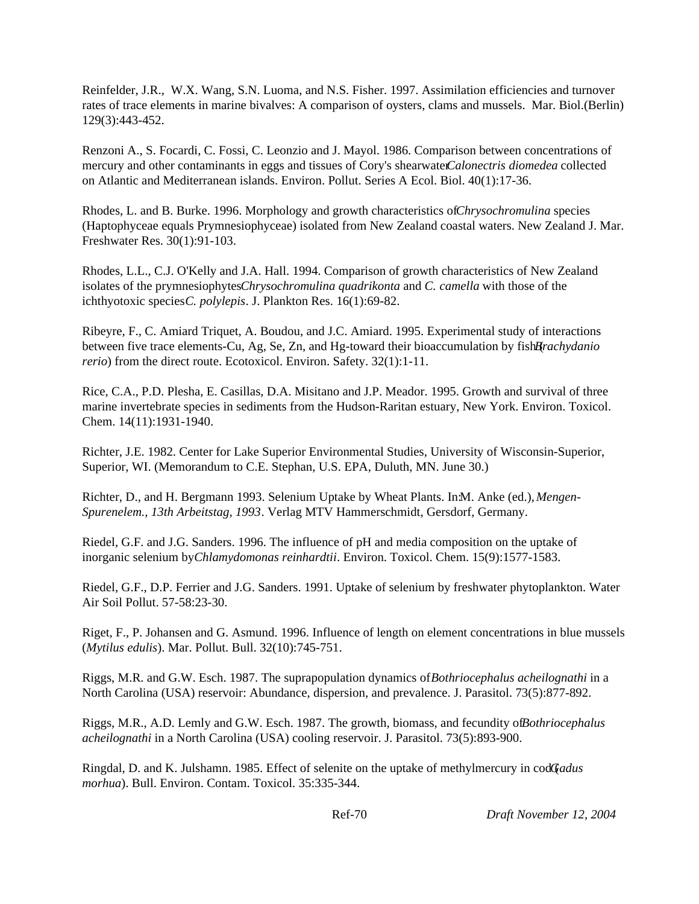Reinfelder, J.R., W.X. Wang, S.N. Luoma, and N.S. Fisher. 1997. Assimilation efficiencies and turnover rates of trace elements in marine bivalves: A comparison of oysters, clams and mussels. Mar. Biol.(Berlin) 129(3):443-452.

Renzoni A., S. Focardi, C. Fossi, C. Leonzio and J. Mayol. 1986. Comparison between concentrations of mercury and other contaminants in eggs and tissues of Cory's shearwater *Calonectris diomedea* collected on Atlantic and Mediterranean islands. Environ. Pollut. Series A Ecol. Biol. 40(1):17-36.

Rhodes, L. and B. Burke. 1996. Morphology and growth characteristics of *Chrysochromulina* species (Haptophyceae equals Prymnesiophyceae) isolated from New Zealand coastal waters. New Zealand J. Mar. Freshwater Res. 30(1):91-103.

Rhodes, L.L., C.J. O'Kelly and J.A. Hall. 1994. Comparison of growth characteristics of New Zealand isolates of the prymnesiophytes *Chrysochromulina quadrikonta* and *C. camella* with those of the ichthyotoxic species *C. polylepis*. J. Plankton Res. 16(1):69-82.

Ribeyre, F., C. Amiard Triquet, A. Boudou, and J.C. Amiard. 1995. Experimental study of interactions between five trace elements-Cu, Ag, Se, Zn, and Hg-toward their bioaccumulation by fish *Brachydanio rerio*) from the direct route. Ecotoxicol. Environ. Safety. 32(1):1-11.

Rice, C.A., P.D. Plesha, E. Casillas, D.A. Misitano and J.P. Meador. 1995. Growth and survival of three marine invertebrate species in sediments from the Hudson-Raritan estuary, New York. Environ. Toxicol. Chem. 14(11):1931-1940.

Richter, J.E. 1982. Center for Lake Superior Environmental Studies, University of Wisconsin-Superior, Superior, WI. (Memorandum to C.E. Stephan, U.S. EPA, Duluth, MN. June 30.)

Richter, D., and H. Bergmann 1993. Selenium Uptake by Wheat Plants. In:M. Anke (ed.), *Mengen-Spurenelem., 13th Arbeitstag, 1993*. Verlag MTV Hammerschmidt, Gersdorf, Germany.

Riedel, G.F. and J.G. Sanders. 1996. The influence of pH and media composition on the uptake of inorganic selenium by *Chlamydomonas reinhardtii*. Environ. Toxicol. Chem. 15(9):1577-1583.

Riedel, G.F., D.P. Ferrier and J.G. Sanders. 1991. Uptake of selenium by freshwater phytoplankton. Water Air Soil Pollut. 57-58:23-30.

Riget, F., P. Johansen and G. Asmund. 1996. Influence of length on element concentrations in blue mussels (*Mytilus edulis*). Mar. Pollut. Bull. 32(10):745-751.

Riggs, M.R. and G.W. Esch. 1987. The suprapopulation dynamics of *Bothriocephalus acheilognathi* in a North Carolina (USA) reservoir: Abundance, dispersion, and prevalence. J. Parasitol. 73(5):877-892.

Riggs, M.R., A.D. Lemly and G.W. Esch. 1987. The growth, biomass, and fecundity of *Bothriocephalus acheilognathi* in a North Carolina (USA) cooling reservoir. J. Parasitol. 73(5):893-900.

Ringdal, D. and K. Julshamn. 1985. Effect of selenite on the uptake of methylmercury in cod (*Gadus morhua*). Bull. Environ. Contam. Toxicol. 35:335-344.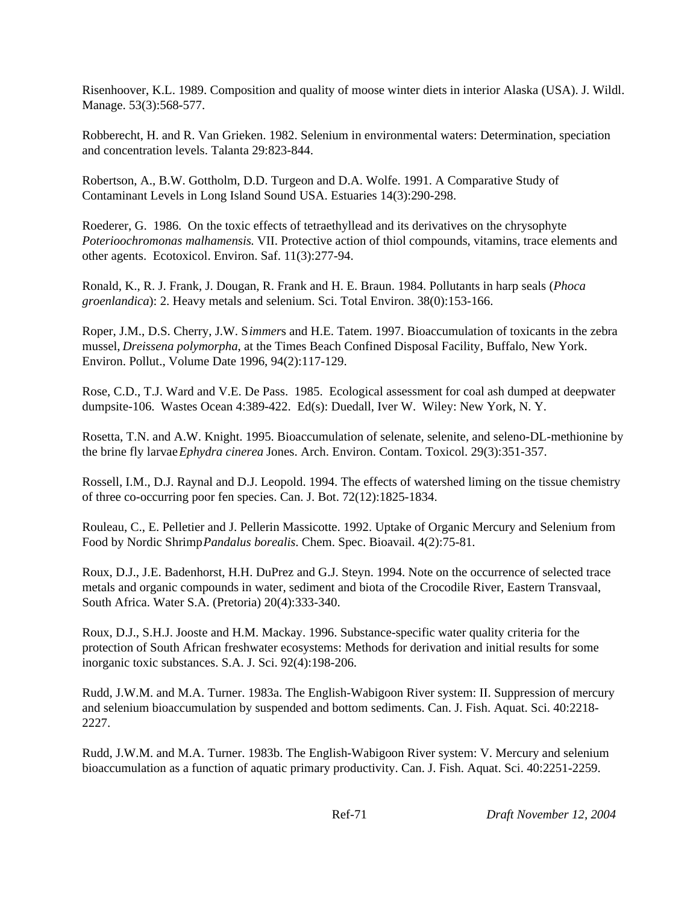Risenhoover, K.L. 1989. Composition and quality of moose winter diets in interior Alaska (USA). J. Wildl. Manage. 53(3):568-577.

Robberecht, H. and R. Van Grieken. 1982. Selenium in environmental waters: Determination, speciation and concentration levels. Talanta 29:823-844.

Robertson, A., B.W. Gottholm, D.D. Turgeon and D.A. Wolfe. 1991. A Comparative Study of Contaminant Levels in Long Island Sound USA. Estuaries 14(3):290-298.

Roederer, G. 1986. On the toxic effects of tetraethyllead and its derivatives on the chrysophyte *Poterioochromonas malhamensis*. VII. Protective action of thiol compounds, vitamins, trace elements and other agents. Ecotoxicol. Environ. Saf. 11(3):277-94.

Ronald, K., R. J. Frank, J. Dougan, R. Frank and H. E. Braun. 1984. Pollutants in harp seals (*Phoca groenlandica*): 2. Heavy metals and selenium. Sci. Total Environ. 38(0):153-166.

Roper, J.M., D.S. Cherry, J.W. S*immer*s and H.E. Tatem. 1997. Bioaccumulation of toxicants in the zebra mussel, *Dreissena polymorpha*, at the Times Beach Confined Disposal Facility, Buffalo, New York. Environ. Pollut., Volume Date 1996, 94(2):117-129.

Rose, C.D., T.J. Ward and V.E. De Pass. 1985. Ecological assessment for coal ash dumped at deepwater dumpsite-106. Wastes Ocean 4:389-422. Ed(s): Duedall, Iver W. Wiley: New York, N. Y.

Rosetta, T.N. and A.W. Knight. 1995. Bioaccumulation of selenate, selenite, and seleno-DL-methionine by the brine fly larvae *Ephydra cinerea* Jones. Arch. Environ. Contam. Toxicol. 29(3):351-357.

Rossell, I.M., D.J. Raynal and D.J. Leopold. 1994. The effects of watershed liming on the tissue chemistry of three co-occurring poor fen species. Can. J. Bot. 72(12):1825-1834.

Rouleau, C., E. Pelletier and J. Pellerin Massicotte. 1992. Uptake of Organic Mercury and Selenium from Food by Nordic Shrimp *Pandalus borealis*. Chem. Spec. Bioavail. 4(2):75-81.

Roux, D.J., J.E. Badenhorst, H.H. DuPrez and G.J. Steyn. 1994. Note on the occurrence of selected trace metals and organic compounds in water, sediment and biota of the Crocodile River, Eastern Transvaal, South Africa. Water S.A. (Pretoria) 20(4):333-340.

Roux, D.J., S.H.J. Jooste and H.M. Mackay. 1996. Substance-specific water quality criteria for the protection of South African freshwater ecosystems: Methods for derivation and initial results for some inorganic toxic substances. S.A. J. Sci. 92(4):198-206.

Rudd, J.W.M. and M.A. Turner. 1983a. The English-Wabigoon River system: II. Suppression of mercury and selenium bioaccumulation by suspended and bottom sediments. Can. J. Fish. Aquat. Sci. 40:2218- 2227.

Rudd, J.W.M. and M.A. Turner. 1983b. The English-Wabigoon River system: V. Mercury and selenium bioaccumulation as a function of aquatic primary productivity. Can. J. Fish. Aquat. Sci. 40:2251-2259.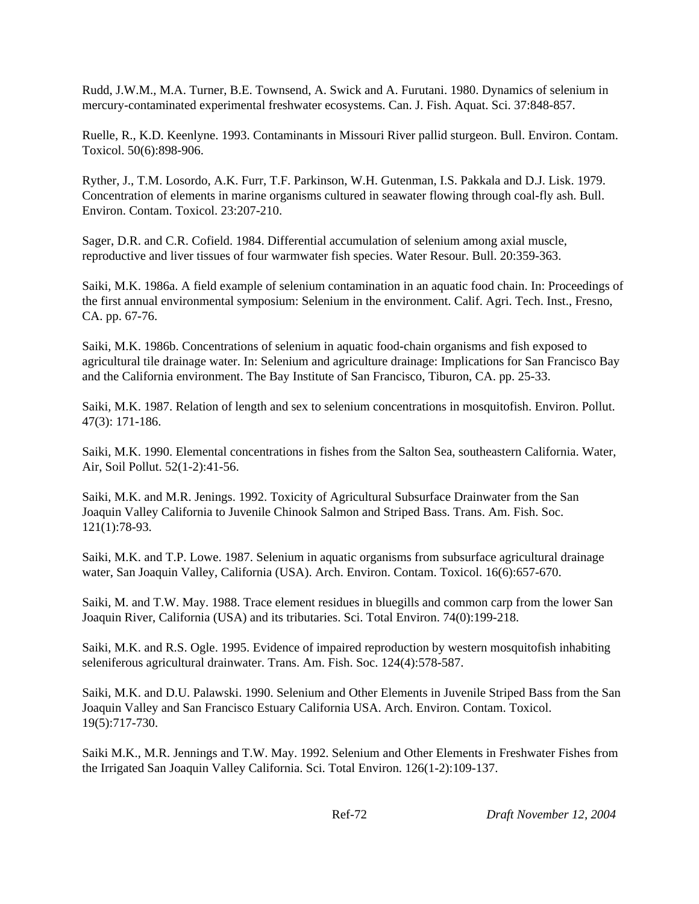Rudd, J.W.M., M.A. Turner, B.E. Townsend, A. Swick and A. Furutani. 1980. Dynamics of selenium in mercury-contaminated experimental freshwater ecosystems. Can. J. Fish. Aquat. Sci. 37:848-857.

Ruelle, R., K.D. Keenlyne. 1993. Contaminants in Missouri River pallid sturgeon. Bull. Environ. Contam. Toxicol. 50(6):898-906.

Ryther, J., T.M. Losordo, A.K. Furr, T.F. Parkinson, W.H. Gutenman, I.S. Pakkala and D.J. Lisk. 1979. Concentration of elements in marine organisms cultured in seawater flowing through coal-fly ash. Bull. Environ. Contam. Toxicol. 23:207-210.

Sager, D.R. and C.R. Cofield. 1984. Differential accumulation of selenium among axial muscle, reproductive and liver tissues of four warmwater fish species. Water Resour. Bull. 20:359-363.

Saiki, M.K. 1986a. A field example of selenium contamination in an aquatic food chain. In: Proceedings of the first annual environmental symposium: Selenium in the environment. Calif. Agri. Tech. Inst., Fresno, CA. pp. 67-76.

Saiki, M.K. 1986b. Concentrations of selenium in aquatic food-chain organisms and fish exposed to agricultural tile drainage water. In: Selenium and agriculture drainage: Implications for San Francisco Bay and the California environment. The Bay Institute of San Francisco, Tiburon, CA. pp. 25-33.

Saiki, M.K. 1987. Relation of length and sex to selenium concentrations in mosquitofish. Environ. Pollut. 47(3): 171-186.

Saiki, M.K. 1990. Elemental concentrations in fishes from the Salton Sea, southeastern California. Water, Air, Soil Pollut. 52(1-2):41-56.

Saiki, M.K. and M.R. Jenings. 1992. Toxicity of Agricultural Subsurface Drainwater from the San Joaquin Valley California to Juvenile Chinook Salmon and Striped Bass. Trans. Am. Fish. Soc. 121(1):78-93.

Saiki, M.K. and T.P. Lowe. 1987. Selenium in aquatic organisms from subsurface agricultural drainage water, San Joaquin Valley, California (USA). Arch. Environ. Contam. Toxicol. 16(6):657-670.

Saiki, M. and T.W. May. 1988. Trace element residues in bluegills and common carp from the lower San Joaquin River, California (USA) and its tributaries. Sci. Total Environ. 74(0):199-218.

Saiki, M.K. and R.S. Ogle. 1995. Evidence of impaired reproduction by western mosquitofish inhabiting seleniferous agricultural drainwater. Trans. Am. Fish. Soc. 124(4):578-587.

Saiki, M.K. and D.U. Palawski. 1990. Selenium and Other Elements in Juvenile Striped Bass from the San Joaquin Valley and San Francisco Estuary California USA. Arch. Environ. Contam. Toxicol. 19(5):717-730.

Saiki M.K., M.R. Jennings and T.W. May. 1992. Selenium and Other Elements in Freshwater Fishes from the Irrigated San Joaquin Valley California. Sci. Total Environ. 126(1-2):109-137.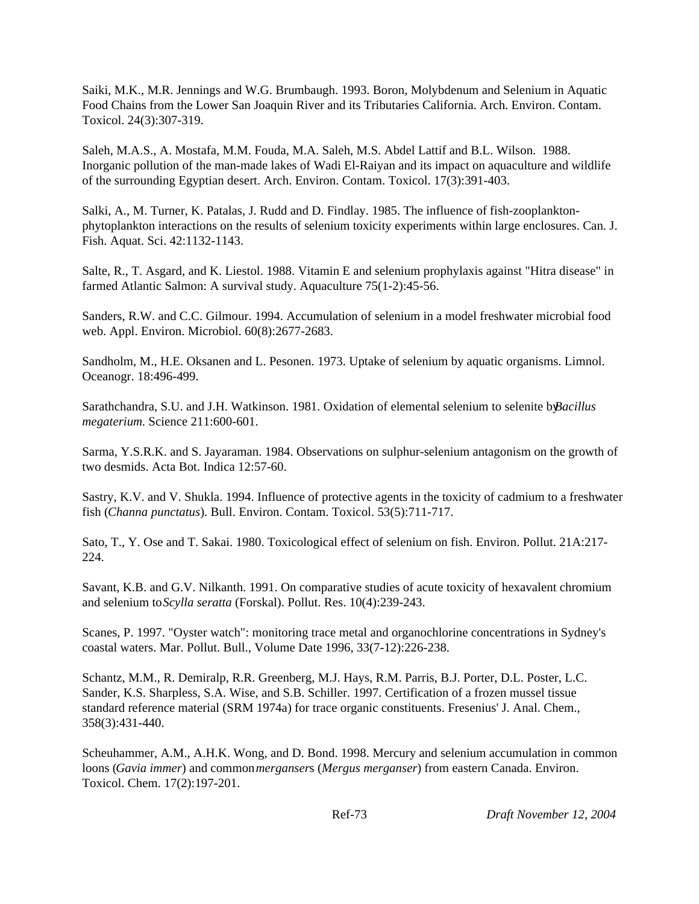Saiki, M.K., M.R. Jennings and W.G. Brumbaugh. 1993. Boron, Molybdenum and Selenium in Aquatic Food Chains from the Lower San Joaquin River and its Tributaries California. Arch. Environ. Contam. Toxicol. 24(3):307-319.

Saleh, M.A.S., A. Mostafa, M.M. Fouda, M.A. Saleh, M.S. Abdel Lattif and B.L. Wilson. 1988. Inorganic pollution of the man-made lakes of Wadi El-Raiyan and its impact on aquaculture and wildlife of the surrounding Egyptian desert. Arch. Environ. Contam. Toxicol. 17(3):391-403.

Salki, A., M. Turner, K. Patalas, J. Rudd and D. Findlay. 1985. The influence of fish-zooplanktonphytoplankton interactions on the results of selenium toxicity experiments within large enclosures. Can. J. Fish. Aquat. Sci. 42:1132-1143.

Salte, R., T. Asgard, and K. Liestol. 1988. Vitamin E and selenium prophylaxis against "Hitra disease" in farmed Atlantic Salmon: A survival study. Aquaculture 75(1-2):45-56.

Sanders, R.W. and C.C. Gilmour. 1994. Accumulation of selenium in a model freshwater microbial food web. Appl. Environ. Microbiol. 60(8):2677-2683.

Sandholm, M., H.E. Oksanen and L. Pesonen. 1973. Uptake of selenium by aquatic organisms. Limnol. Oceanogr. 18:496-499.

Sarathchandra, S.U. and J.H. Watkinson. 1981. Oxidation of elemental selenium to selenite by *Bacillus megaterium*. Science 211:600-601.

Sarma, Y.S.R.K. and S. Jayaraman. 1984. Observations on sulphur-selenium antagonism on the growth of two desmids. Acta Bot. Indica 12:57-60.

Sastry, K.V. and V. Shukla. 1994. Influence of protective agents in the toxicity of cadmium to a freshwater fish (*Channa punctatus*). Bull. Environ. Contam. Toxicol. 53(5):711-717.

Sato, T., Y. Ose and T. Sakai. 1980. Toxicological effect of selenium on fish. Environ. Pollut. 21A:217- 224.

Savant, K.B. and G.V. Nilkanth. 1991. On comparative studies of acute toxicity of hexavalent chromium and selenium to *Scylla seratta* (Forskal). Pollut. Res. 10(4):239-243.

Scanes, P. 1997. "Oyster watch": monitoring trace metal and organochlorine concentrations in Sydney's coastal waters. Mar. Pollut. Bull., Volume Date 1996, 33(7-12):226-238.

Schantz, M.M., R. Demiralp, R.R. Greenberg, M.J. Hays, R.M. Parris, B.J. Porter, D.L. Poster, L.C. Sander, K.S. Sharpless, S.A. Wise, and S.B. Schiller. 1997. Certification of a frozen mussel tissue standard reference material (SRM 1974a) for trace organic constituents. Fresenius' J. Anal. Chem., 358(3):431-440.

Scheuhammer, A.M., A.H.K. Wong, and D. Bond. 1998. Mercury and selenium accumulation in common loons (*Gavia immer*) and common *merganser*s (*Mergus merganser*) from eastern Canada. Environ. Toxicol. Chem. 17(2):197-201.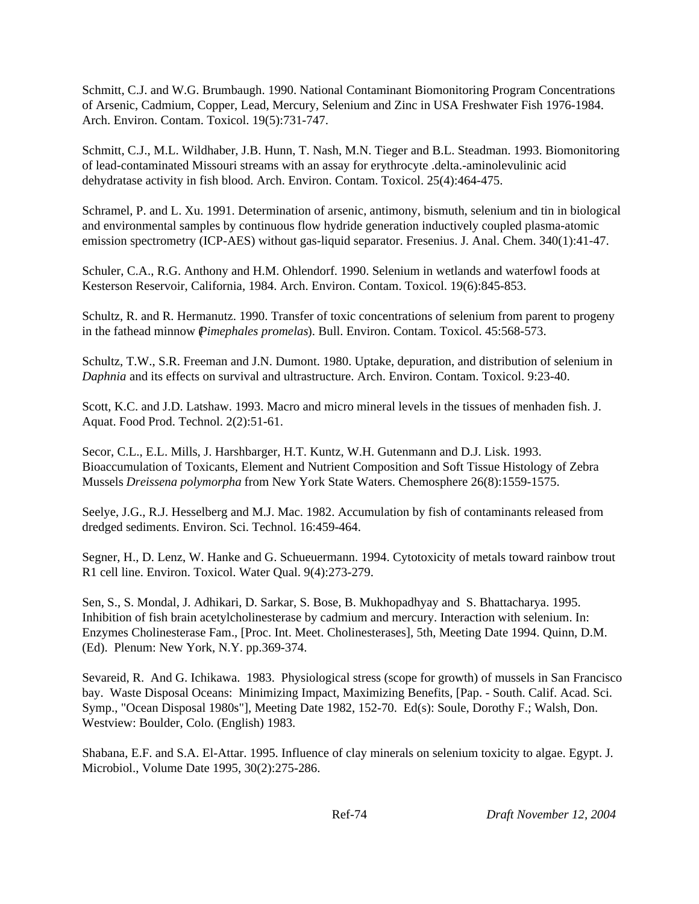Schmitt, C.J. and W.G. Brumbaugh. 1990. National Contaminant Biomonitoring Program Concentrations of Arsenic, Cadmium, Copper, Lead, Mercury, Selenium and Zinc in USA Freshwater Fish 1976-1984. Arch. Environ. Contam. Toxicol. 19(5):731-747.

Schmitt, C.J., M.L. Wildhaber, J.B. Hunn, T. Nash, M.N. Tieger and B.L. Steadman. 1993. Biomonitoring of lead-contaminated Missouri streams with an assay for erythrocyte .delta.-aminolevulinic acid dehydratase activity in fish blood. Arch. Environ. Contam. Toxicol. 25(4):464-475.

Schramel, P. and L. Xu. 1991. Determination of arsenic, antimony, bismuth, selenium and tin in biological and environmental samples by continuous flow hydride generation inductively coupled plasma-atomic emission spectrometry (ICP-AES) without gas-liquid separator. Fresenius. J. Anal. Chem. 340(1):41-47.

Schuler, C.A., R.G. Anthony and H.M. Ohlendorf. 1990. Selenium in wetlands and waterfowl foods at Kesterson Reservoir, California, 1984. Arch. Environ. Contam. Toxicol. 19(6):845-853.

Schultz, R. and R. Hermanutz. 1990. Transfer of toxic concentrations of selenium from parent to progeny in the fathead minnow (*Pimephales promelas*). Bull. Environ. Contam. Toxicol. 45:568-573.

Schultz, T.W., S.R. Freeman and J.N. Dumont. 1980. Uptake, depuration, and distribution of selenium in *Daphnia* and its effects on survival and ultrastructure. Arch. Environ. Contam. Toxicol. 9:23-40.

Scott, K.C. and J.D. Latshaw. 1993. Macro and micro mineral levels in the tissues of menhaden fish. J. Aquat. Food Prod. Technol. 2(2):51-61.

Secor, C.L., E.L. Mills, J. Harshbarger, H.T. Kuntz, W.H. Gutenmann and D.J. Lisk. 1993. Bioaccumulation of Toxicants, Element and Nutrient Composition and Soft Tissue Histology of Zebra Mussels *Dreissena polymorpha* from New York State Waters. Chemosphere 26(8):1559-1575.

Seelye, J.G., R.J. Hesselberg and M.J. Mac. 1982. Accumulation by fish of contaminants released from dredged sediments. Environ. Sci. Technol. 16:459-464.

Segner, H., D. Lenz, W. Hanke and G. Schueuermann. 1994. Cytotoxicity of metals toward rainbow trout R1 cell line. Environ. Toxicol. Water Qual. 9(4):273-279.

Sen, S., S. Mondal, J. Adhikari, D. Sarkar, S. Bose, B. Mukhopadhyay and S. Bhattacharya. 1995. Inhibition of fish brain acetylcholinesterase by cadmium and mercury. Interaction with selenium. In: Enzymes Cholinesterase Fam., [Proc. Int. Meet. Cholinesterases], 5th, Meeting Date 1994. Quinn, D.M. (Ed). Plenum: New York, N.Y. pp.369-374.

Sevareid, R. And G. Ichikawa. 1983. Physiological stress (scope for growth) of mussels in San Francisco bay. Waste Disposal Oceans: Minimizing Impact, Maximizing Benefits, [Pap. - South. Calif. Acad. Sci. Symp., "Ocean Disposal 1980s"], Meeting Date 1982, 152-70. Ed(s): Soule, Dorothy F.; Walsh, Don. Westview: Boulder, Colo. (English) 1983.

Shabana, E.F. and S.A. El-Attar. 1995. Influence of clay minerals on selenium toxicity to algae. Egypt. J. Microbiol., Volume Date 1995, 30(2):275-286.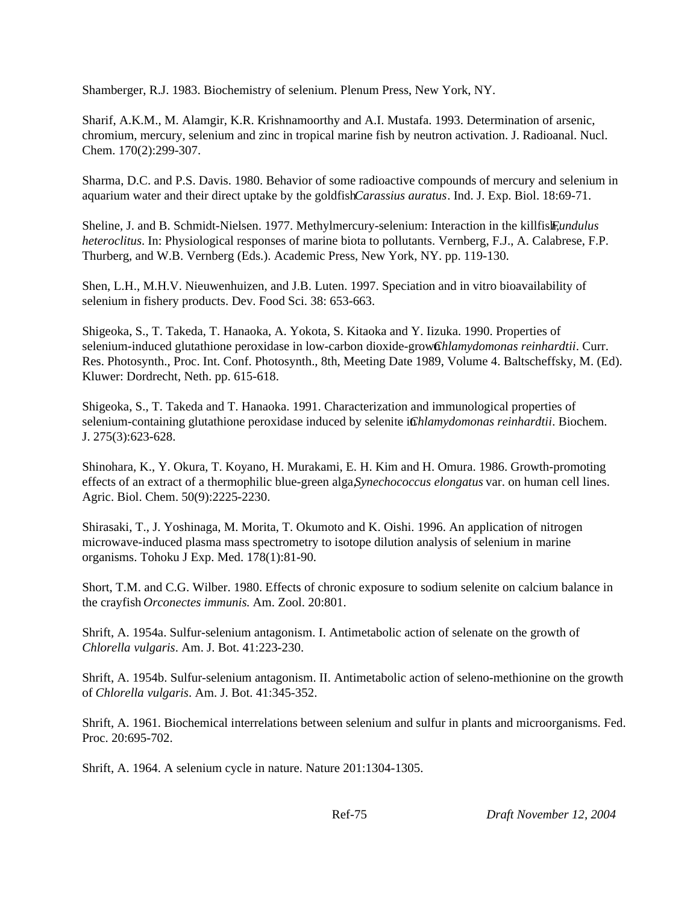Shamberger, R.J. 1983. Biochemistry of selenium. Plenum Press, New York, NY.

Sharif, A.K.M., M. Alamgir, K.R. Krishnamoorthy and A.I. Mustafa. 1993. Determination of arsenic, chromium, mercury, selenium and zinc in tropical marine fish by neutron activation. J. Radioanal. Nucl. Chem. 170(2):299-307.

Sharma, D.C. and P.S. Davis. 1980. Behavior of some radioactive compounds of mercury and selenium in aquarium water and their direct uptake by the goldfish *Carassius auratus*. Ind. J. Exp. Biol. 18:69-71.

Sheline, J. and B. Schmidt-Nielsen. 1977. Methylmercury-selenium: Interaction in the killfish, *Fundulus heteroclitus*. In: Physiological responses of marine biota to pollutants. Vernberg, F.J., A. Calabrese, F.P. Thurberg, and W.B. Vernberg (Eds.). Academic Press, New York, NY. pp. 119-130.

Shen, L.H., M.H.V. Nieuwenhuizen, and J.B. Luten. 1997. Speciation and in vitro bioavailability of selenium in fishery products. Dev. Food Sci. 38: 653-663.

Shigeoka, S., T. Takeda, T. Hanaoka, A. Yokota, S. Kitaoka and Y. Iizuka. 1990. Properties of selenium-induced glutathione peroxidase in low-carbon dioxide-grow *Ghlamydomonas reinhardtii*. Curr. Res. Photosynth., Proc. Int. Conf. Photosynth., 8th, Meeting Date 1989, Volume 4. Baltscheffsky, M. (Ed). Kluwer: Dordrecht, Neth. pp. 615-618.

Shigeoka, S., T. Takeda and T. Hanaoka. 1991. Characterization and immunological properties of selenium-containing glutathione peroxidase induced by selenite in *Ghlamydomonas reinhardtii*. Biochem. J. 275(3):623-628.

Shinohara, K., Y. Okura, T. Koyano, H. Murakami, E. H. Kim and H. Omura. 1986. Growth-promoting effects of an extract of a thermophilic blue-green alga, *Synechococcus elongatus* var. on human cell lines. Agric. Biol. Chem. 50(9):2225-2230.

Shirasaki, T., J. Yoshinaga, M. Morita, T. Okumoto and K. Oishi. 1996. An application of nitrogen microwave-induced plasma mass spectrometry to isotope dilution analysis of selenium in marine organisms. Tohoku J Exp. Med. 178(1):81-90.

Short, T.M. and C.G. Wilber. 1980. Effects of chronic exposure to sodium selenite on calcium balance in the crayfish *Orconectes immunis*. Am. Zool. 20:801.

Shrift, A. 1954a. Sulfur-selenium antagonism. I. Antimetabolic action of selenate on the growth of *Chlorella vulgaris*. Am. J. Bot. 41:223-230.

Shrift, A. 1954b. Sulfur-selenium antagonism. II. Antimetabolic action of seleno-methionine on the growth of *Chlorella vulgaris*. Am. J. Bot. 41:345-352.

Shrift, A. 1961. Biochemical interrelations between selenium and sulfur in plants and microorganisms. Fed. Proc. 20:695-702.

Shrift, A. 1964. A selenium cycle in nature. Nature 201:1304-1305.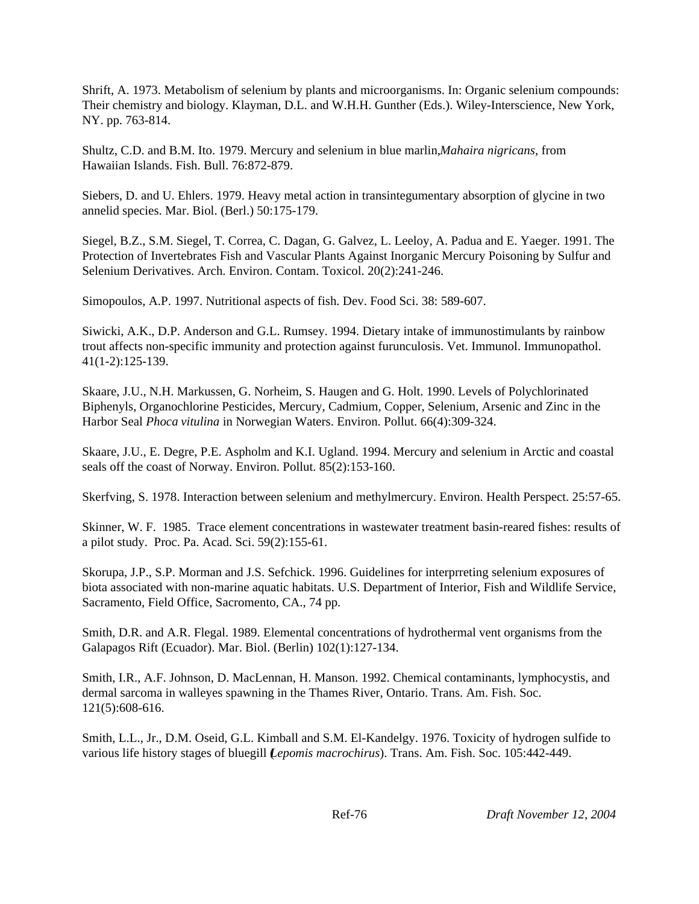Shrift, A. 1973. Metabolism of selenium by plants and microorganisms. In: Organic selenium compounds: Their chemistry and biology. Klayman, D.L. and W.H.H. Gunther (Eds.). Wiley-Interscience, New York, NY. pp. 763-814.

Shultz, C.D. and B.M. Ito. 1979. Mercury and selenium in blue marlin, *Mahaira nigricans*, from Hawaiian Islands. Fish. Bull. 76:872-879.

Siebers, D. and U. Ehlers. 1979. Heavy metal action in transintegumentary absorption of glycine in two annelid species. Mar. Biol. (Berl.) 50:175-179.

Siegel, B.Z., S.M. Siegel, T. Correa, C. Dagan, G. Galvez, L. Leeloy, A. Padua and E. Yaeger. 1991. The Protection of Invertebrates Fish and Vascular Plants Against Inorganic Mercury Poisoning by Sulfur and Selenium Derivatives. Arch. Environ. Contam. Toxicol. 20(2):241-246.

Simopoulos, A.P. 1997. Nutritional aspects of fish. Dev. Food Sci. 38: 589-607.

Siwicki, A.K., D.P. Anderson and G.L. Rumsey. 1994. Dietary intake of immunostimulants by rainbow trout affects non-specific immunity and protection against furunculosis. Vet. Immunol. Immunopathol. 41(1-2):125-139.

Skaare, J.U., N.H. Markussen, G. Norheim, S. Haugen and G. Holt. 1990. Levels of Polychlorinated Biphenyls, Organochlorine Pesticides, Mercury, Cadmium, Copper, Selenium, Arsenic and Zinc in the Harbor Seal *Phoca vitulina* in Norwegian Waters. Environ. Pollut. 66(4):309-324.

Skaare, J.U., E. Degre, P.E. Aspholm and K.I. Ugland. 1994. Mercury and selenium in Arctic and coastal seals off the coast of Norway. Environ. Pollut. 85(2):153-160.

Skerfving, S. 1978. Interaction between selenium and methylmercury. Environ. Health Perspect. 25:57-65.

Skinner, W. F. 1985. Trace element concentrations in wastewater treatment basin-reared fishes: results of a pilot study. Proc. Pa. Acad. Sci. 59(2):155-61.

Skorupa, J.P., S.P. Morman and J.S. Sefchick. 1996. Guidelines for interprreting selenium exposures of biota associated with non-marine aquatic habitats. U.S. Department of Interior, Fish and Wildlife Service, Sacramento, Field Office, Sacromento, CA., 74 pp.

Smith, D.R. and A.R. Flegal. 1989. Elemental concentrations of hydrothermal vent organisms from the Galapagos Rift (Ecuador). Mar. Biol. (Berlin) 102(1):127-134.

Smith, I.R., A.F. Johnson, D. MacLennan, H. Manson. 1992. Chemical contaminants, lymphocystis, and dermal sarcoma in walleyes spawning in the Thames River, Ontario. Trans. Am. Fish. Soc. 121(5):608-616.

Smith, L.L., Jr., D.M. Oseid, G.L. Kimball and S.M. El-Kandelgy. 1976. Toxicity of hydrogen sulfide to various life history stages of bluegill (*Lepomis macrochirus*). Trans. Am. Fish. Soc. 105:442-449.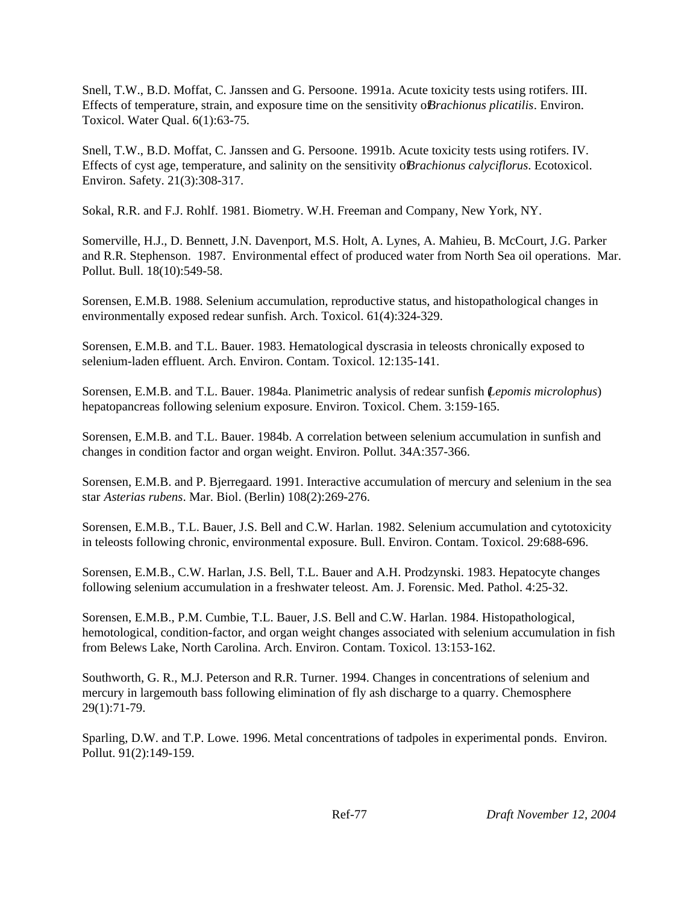Snell, T.W., B.D. Moffat, C. Janssen and G. Persoone. 1991a. Acute toxicity tests using rotifers. III. Effects of temperature, strain, and exposure time on the sensitivity of *Brachionus plicatilis*. Environ. Toxicol. Water Qual. 6(1):63-75.

Snell, T.W., B.D. Moffat, C. Janssen and G. Persoone. 1991b. Acute toxicity tests using rotifers. IV. Effects of cyst age, temperature, and salinity on the sensitivity of *Brachionus calyciflorus*. Ecotoxicol. Environ. Safety. 21(3):308-317.

Sokal, R.R. and F.J. Rohlf. 1981. Biometry. W.H. Freeman and Company, New York, NY.

Somerville, H.J., D. Bennett, J.N. Davenport, M.S. Holt, A. Lynes, A. Mahieu, B. McCourt, J.G. Parker and R.R. Stephenson. 1987. Environmental effect of produced water from North Sea oil operations. Mar. Pollut. Bull. 18(10):549-58.

Sorensen, E.M.B. 1988. Selenium accumulation, reproductive status, and histopathological changes in environmentally exposed redear sunfish. Arch. Toxicol. 61(4):324-329.

Sorensen, E.M.B. and T.L. Bauer. 1983. Hematological dyscrasia in teleosts chronically exposed to selenium-laden effluent. Arch. Environ. Contam. Toxicol. 12:135-141.

Sorensen, E.M.B. and T.L. Bauer. 1984a. Planimetric analysis of redear sunfish (*Lepomis microlophus*) hepatopancreas following selenium exposure. Environ. Toxicol. Chem. 3:159-165.

Sorensen, E.M.B. and T.L. Bauer. 1984b. A correlation between selenium accumulation in sunfish and changes in condition factor and organ weight. Environ. Pollut. 34A:357-366.

Sorensen, E.M.B. and P. Bjerregaard. 1991. Interactive accumulation of mercury and selenium in the sea star *Asterias rubens*. Mar. Biol. (Berlin) 108(2):269-276.

Sorensen, E.M.B., T.L. Bauer, J.S. Bell and C.W. Harlan. 1982. Selenium accumulation and cytotoxicity in teleosts following chronic, environmental exposure. Bull. Environ. Contam. Toxicol. 29:688-696.

Sorensen, E.M.B., C.W. Harlan, J.S. Bell, T.L. Bauer and A.H. Prodzynski. 1983. Hepatocyte changes following selenium accumulation in a freshwater teleost. Am. J. Forensic. Med. Pathol. 4:25-32.

Sorensen, E.M.B., P.M. Cumbie, T.L. Bauer, J.S. Bell and C.W. Harlan. 1984. Histopathological, hemotological, condition-factor, and organ weight changes associated with selenium accumulation in fish from Belews Lake, North Carolina. Arch. Environ. Contam. Toxicol. 13:153-162.

Southworth, G. R., M.J. Peterson and R.R. Turner. 1994. Changes in concentrations of selenium and mercury in largemouth bass following elimination of fly ash discharge to a quarry. Chemosphere 29(1):71-79.

Sparling, D.W. and T.P. Lowe. 1996. Metal concentrations of tadpoles in experimental ponds. Environ. Pollut. 91(2):149-159.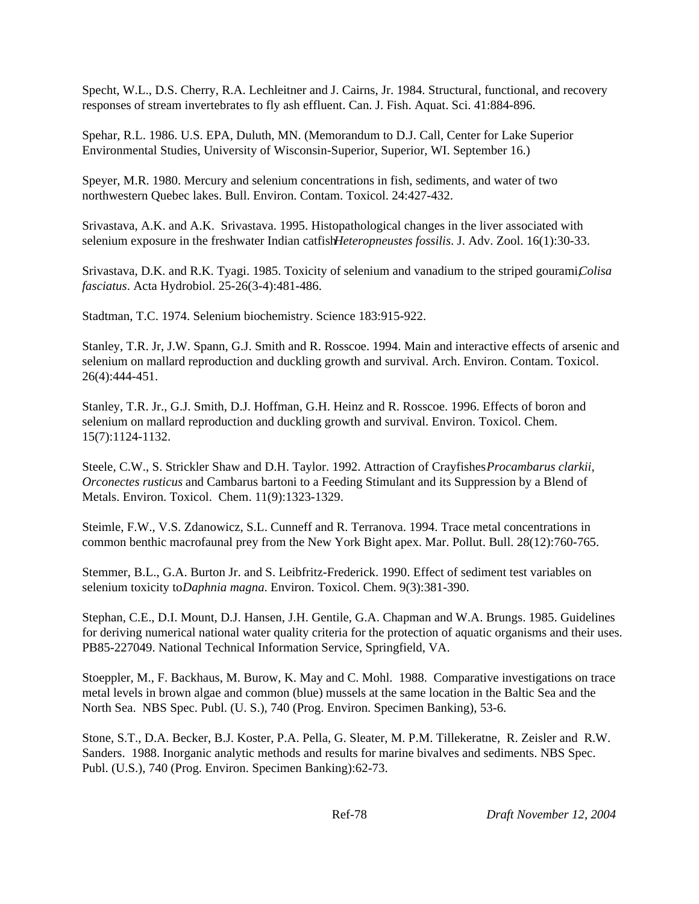Specht, W.L., D.S. Cherry, R.A. Lechleitner and J. Cairns, Jr. 1984. Structural, functional, and recovery responses of stream invertebrates to fly ash effluent. Can. J. Fish. Aquat. Sci. 41:884-896.

Spehar, R.L. 1986. U.S. EPA, Duluth, MN. (Memorandum to D.J. Call, Center for Lake Superior Environmental Studies, University of Wisconsin-Superior, Superior, WI. September 16.)

Speyer, M.R. 1980. Mercury and selenium concentrations in fish, sediments, and water of two northwestern Quebec lakes. Bull. Environ. Contam. Toxicol. 24:427-432.

Srivastava, A.K. and A.K. Srivastava. 1995. Histopathological changes in the liver associated with selenium exposure in the freshwater Indian catfish *Heteropneustes fossilis*. J. Adv. Zool. 16(1):30-33.

Srivastava, D.K. and R.K. Tyagi. 1985. Toxicity of selenium and vanadium to the striped gourami, *Colisa fasciatus*. Acta Hydrobiol. 25-26(3-4):481-486.

Stadtman, T.C. 1974. Selenium biochemistry. Science 183:915-922.

Stanley, T.R. Jr, J.W. Spann, G.J. Smith and R. Rosscoe. 1994. Main and interactive effects of arsenic and selenium on mallard reproduction and duckling growth and survival. Arch. Environ. Contam. Toxicol. 26(4):444-451.

Stanley, T.R. Jr., G.J. Smith, D.J. Hoffman, G.H. Heinz and R. Rosscoe. 1996. Effects of boron and selenium on mallard reproduction and duckling growth and survival. Environ. Toxicol. Chem. 15(7):1124-1132.

Steele, C.W., S. Strickler Shaw and D.H. Taylor. 1992. Attraction of Crayfishes *Procambarus clarkii, Orconectes rusticus* and Cambarus bartoni to a Feeding Stimulant and its Suppression by a Blend of Metals. Environ. Toxicol. Chem. 11(9):1323-1329.

Steimle, F.W., V.S. Zdanowicz, S.L. Cunneff and R. Terranova. 1994. Trace metal concentrations in common benthic macrofaunal prey from the New York Bight apex. Mar. Pollut. Bull. 28(12):760-765.

Stemmer, B.L., G.A. Burton Jr. and S. Leibfritz-Frederick. 1990. Effect of sediment test variables on selenium toxicity to *Daphnia magna*. Environ. Toxicol. Chem. 9(3):381-390.

Stephan, C.E., D.I. Mount, D.J. Hansen, J.H. Gentile, G.A. Chapman and W.A. Brungs. 1985. Guidelines for deriving numerical national water quality criteria for the protection of aquatic organisms and their uses. PB85-227049. National Technical Information Service, Springfield, VA.

Stoeppler, M., F. Backhaus, M. Burow, K. May and C. Mohl. 1988. Comparative investigations on trace metal levels in brown algae and common (blue) mussels at the same location in the Baltic Sea and the North Sea. NBS Spec. Publ. (U. S.), 740 (Prog. Environ. Specimen Banking), 53-6.

Stone, S.T., D.A. Becker, B.J. Koster, P.A. Pella, G. Sleater, M. P.M. Tillekeratne, R. Zeisler and R.W. Sanders. 1988. Inorganic analytic methods and results for marine bivalves and sediments. NBS Spec. Publ. (U.S.), 740 (Prog. Environ. Specimen Banking):62-73.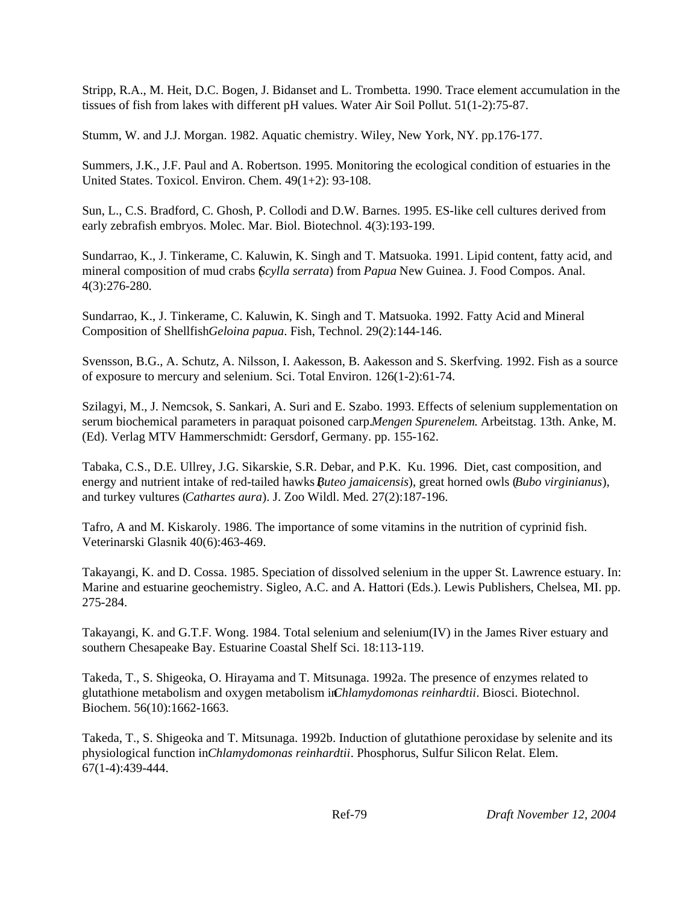Stripp, R.A., M. Heit, D.C. Bogen, J. Bidanset and L. Trombetta. 1990. Trace element accumulation in the tissues of fish from lakes with different pH values. Water Air Soil Pollut. 51(1-2):75-87.

Stumm, W. and J.J. Morgan. 1982. Aquatic chemistry. Wiley, New York, NY. pp.176-177.

Summers, J.K., J.F. Paul and A. Robertson. 1995. Monitoring the ecological condition of estuaries in the United States. Toxicol. Environ. Chem. 49(1+2): 93-108.

Sun, L., C.S. Bradford, C. Ghosh, P. Collodi and D.W. Barnes. 1995. ES-like cell cultures derived from early zebrafish embryos. Molec. Mar. Biol. Biotechnol. 4(3):193-199.

Sundarrao, K., J. Tinkerame, C. Kaluwin, K. Singh and T. Matsuoka. 1991. Lipid content, fatty acid, and mineral composition of mud crabs (*Scylla serrata*) from *Papua* New Guinea. J. Food Compos. Anal. 4(3):276-280.

Sundarrao, K., J. Tinkerame, C. Kaluwin, K. Singh and T. Matsuoka. 1992. Fatty Acid and Mineral Composition of Shellfish *Geloina papua*. Fish, Technol. 29(2):144-146.

Svensson, B.G., A. Schutz, A. Nilsson, I. Aakesson, B. Aakesson and S. Skerfving. 1992. Fish as a source of exposure to mercury and selenium. Sci. Total Environ. 126(1-2):61-74.

Szilagyi, M., J. Nemcsok, S. Sankari, A. Suri and E. Szabo. 1993. Effects of selenium supplementation on serum biochemical parameters in paraquat poisoned carp. *Mengen Spurenelem*. Arbeitstag. 13th. Anke, M. (Ed). Verlag MTV Hammerschmidt: Gersdorf, Germany. pp. 155-162.

Tabaka, C.S., D.E. Ullrey, J.G. Sikarskie, S.R. Debar, and P.K. Ku. 1996. Diet, cast composition, and energy and nutrient intake of red-tailed hawks *Buteo jamaicensis*), great horned owls *(Bubo virginianus*), and turkey vultures (*Cathartes aura*). J. Zoo Wildl. Med. 27(2):187-196.

Tafro, A and M. Kiskaroly. 1986. The importance of some vitamins in the nutrition of cyprinid fish. Veterinarski Glasnik 40(6):463-469.

Takayangi, K. and D. Cossa. 1985. Speciation of dissolved selenium in the upper St. Lawrence estuary. In: Marine and estuarine geochemistry. Sigleo, A.C. and A. Hattori (Eds.). Lewis Publishers, Chelsea, MI. pp. 275-284.

Takayangi, K. and G.T.F. Wong. 1984. Total selenium and selenium(IV) in the James River estuary and southern Chesapeake Bay. Estuarine Coastal Shelf Sci. 18:113-119.

Takeda, T., S. Shigeoka, O. Hirayama and T. Mitsunaga. 1992a. The presence of enzymes related to glutathione metabolism and oxygen metabolism in *Chlamydomonas reinhardtii*. Biosci. Biotechnol. Biochem. 56(10):1662-1663.

Takeda, T., S. Shigeoka and T. Mitsunaga. 1992b. Induction of glutathione peroxidase by selenite and its physiological function in *Chlamydomonas reinhardtii*. Phosphorus, Sulfur Silicon Relat. Elem. 67(1-4):439-444.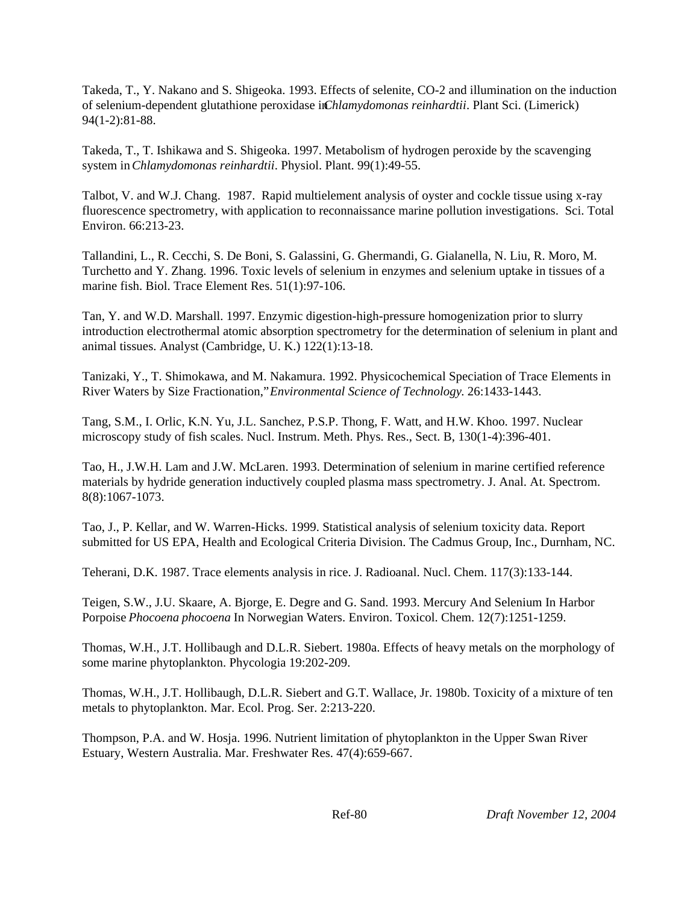Takeda, T., Y. Nakano and S. Shigeoka. 1993. Effects of selenite, CO-2 and illumination on the induction of selenium-dependent glutathione peroxidase in *Chlamydomonas reinhardtii*. Plant Sci. (Limerick) 94(1-2):81-88.

Takeda, T., T. Ishikawa and S. Shigeoka. 1997. Metabolism of hydrogen peroxide by the scavenging system in *Chlamydomonas reinhardtii*. Physiol. Plant. 99(1):49-55.

Talbot, V. and W.J. Chang. 1987. Rapid multielement analysis of oyster and cockle tissue using x-ray fluorescence spectrometry, with application to reconnaissance marine pollution investigations. Sci. Total Environ. 66:213-23.

Tallandini, L., R. Cecchi, S. De Boni, S. Galassini, G. Ghermandi, G. Gialanella, N. Liu, R. Moro, M. Turchetto and Y. Zhang. 1996. Toxic levels of selenium in enzymes and selenium uptake in tissues of a marine fish. Biol. Trace Element Res. 51(1):97-106.

Tan, Y. and W.D. Marshall. 1997. Enzymic digestion-high-pressure homogenization prior to slurry introduction electrothermal atomic absorption spectrometry for the determination of selenium in plant and animal tissues. Analyst (Cambridge, U. K.) 122(1):13-18.

Tanizaki, Y., T. Shimokawa, and M. Nakamura. 1992. Physicochemical Speciation of Trace Elements in River Waters by Size Fractionation," *Environmental Science of Technology*. 26:1433-1443.

Tang, S.M., I. Orlic, K.N. Yu, J.L. Sanchez, P.S.P. Thong, F. Watt, and H.W. Khoo. 1997. Nuclear microscopy study of fish scales. Nucl. Instrum. Meth. Phys. Res., Sect. B, 130(1-4):396-401.

Tao, H., J.W.H. Lam and J.W. McLaren. 1993. Determination of selenium in marine certified reference materials by hydride generation inductively coupled plasma mass spectrometry. J. Anal. At. Spectrom. 8(8):1067-1073.

Tao, J., P. Kellar, and W. Warren-Hicks. 1999. Statistical analysis of selenium toxicity data. Report submitted for US EPA, Health and Ecological Criteria Division. The Cadmus Group, Inc., Durnham, NC.

Teherani, D.K. 1987. Trace elements analysis in rice. J. Radioanal. Nucl. Chem. 117(3):133-144.

Teigen, S.W., J.U. Skaare, A. Bjorge, E. Degre and G. Sand. 1993. Mercury And Selenium In Harbor Porpoise *Phocoena phocoena* In Norwegian Waters. Environ. Toxicol. Chem. 12(7):1251-1259.

Thomas, W.H., J.T. Hollibaugh and D.L.R. Siebert. 1980a. Effects of heavy metals on the morphology of some marine phytoplankton. Phycologia 19:202-209.

Thomas, W.H., J.T. Hollibaugh, D.L.R. Siebert and G.T. Wallace, Jr. 1980b. Toxicity of a mixture of ten metals to phytoplankton. Mar. Ecol. Prog. Ser. 2:213-220.

Thompson, P.A. and W. Hosja. 1996. Nutrient limitation of phytoplankton in the Upper Swan River Estuary, Western Australia. Mar. Freshwater Res. 47(4):659-667.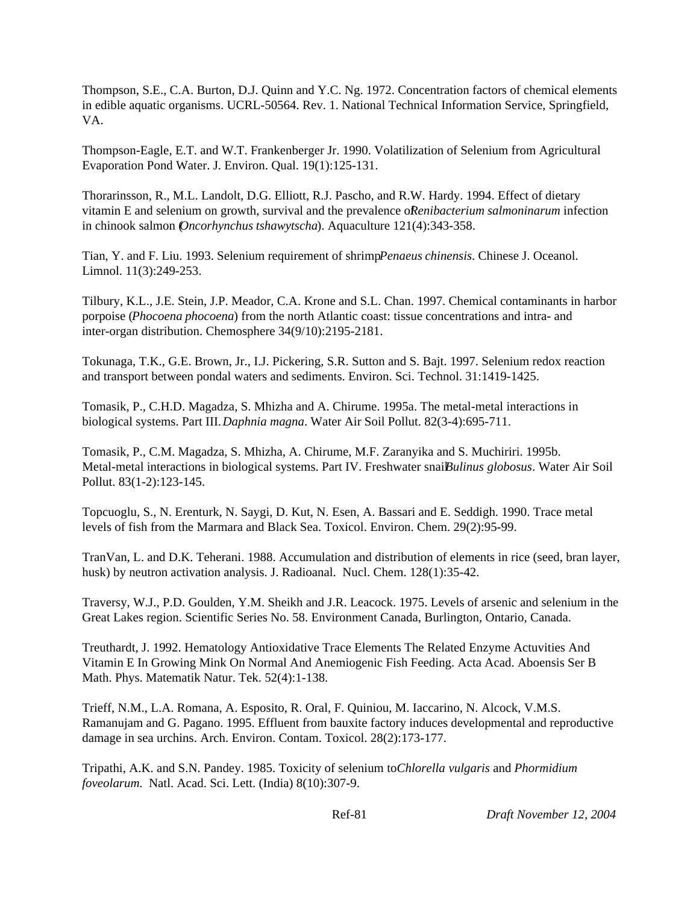Thompson, S.E., C.A. Burton, D.J. Quinn and Y.C. Ng. 1972. Concentration factors of chemical elements in edible aquatic organisms. UCRL-50564. Rev. 1. National Technical Information Service, Springfield, VA.

Thompson-Eagle, E.T. and W.T. Frankenberger Jr. 1990. Volatilization of Selenium from Agricultural Evaporation Pond Water. J. Environ. Qual. 19(1):125-131.

Thorarinsson, R., M.L. Landolt, D.G. Elliott, R.J. Pascho, and R.W. Hardy. 1994. Effect of dietary vitamin E and selenium on growth, survival and the prevalence of *Renibacterium salmoninarum* infection in chinook salmon (*Oncorhynchus tshawytscha*). Aquaculture 121(4):343-358.

Tian, Y. and F. Liu. 1993. Selenium requirement of shrimp *Penaeus chinensis*. Chinese J. Oceanol. Limnol. 11(3):249-253.

Tilbury, K.L., J.E. Stein, J.P. Meador, C.A. Krone and S.L. Chan. 1997. Chemical contaminants in harbor porpoise (*Phocoena phocoena*) from the north Atlantic coast: tissue concentrations and intra- and inter-organ distribution. Chemosphere 34(9/10):2195-2181.

Tokunaga, T.K., G.E. Brown, Jr., I.J. Pickering, S.R. Sutton and S. Bajt. 1997. Selenium redox reaction and transport between pondal waters and sediments. Environ. Sci. Technol. 31:1419-1425.

Tomasik, P., C.H.D. Magadza, S. Mhizha and A. Chirume. 1995a. The metal-metal interactions in biological systems. Part III. *Daphnia magna*. Water Air Soil Pollut. 82(3-4):695-711.

Tomasik, P., C.M. Magadza, S. Mhizha, A. Chirume, M.F. Zaranyika and S. Muchiriri. 1995b. Metal-metal interactions in biological systems. Part IV. Freshwater snail *Bulinus globosus*. Water Air Soil Pollut. 83(1-2):123-145.

Topcuoglu, S., N. Erenturk, N. Saygi, D. Kut, N. Esen, A. Bassari and E. Seddigh. 1990. Trace metal levels of fish from the Marmara and Black Sea. Toxicol. Environ. Chem. 29(2):95-99.

TranVan, L. and D.K. Teherani. 1988. Accumulation and distribution of elements in rice (seed, bran layer, husk) by neutron activation analysis. J. Radioanal. Nucl. Chem. 128(1):35-42.

Traversy, W.J., P.D. Goulden, Y.M. Sheikh and J.R. Leacock. 1975. Levels of arsenic and selenium in the Great Lakes region. Scientific Series No. 58. Environment Canada, Burlington, Ontario, Canada.

Treuthardt, J. 1992. Hematology Antioxidative Trace Elements The Related Enzyme Actuvities And Vitamin E In Growing Mink On Normal And Anemiogenic Fish Feeding. Acta Acad. Aboensis Ser B Math. Phys. Matematik Natur. Tek. 52(4):1-138.

Trieff, N.M., L.A. Romana, A. Esposito, R. Oral, F. Quiniou, M. Iaccarino, N. Alcock, V.M.S. Ramanujam and G. Pagano. 1995. Effluent from bauxite factory induces developmental and reproductive damage in sea urchins. Arch. Environ. Contam. Toxicol. 28(2):173-177.

Tripathi, A.K. and S.N. Pandey. 1985. Toxicity of selenium to *Chlorella vulgaris* and *Phormidium foveolarum*. Natl. Acad. Sci. Lett. (India) 8(10):307-9.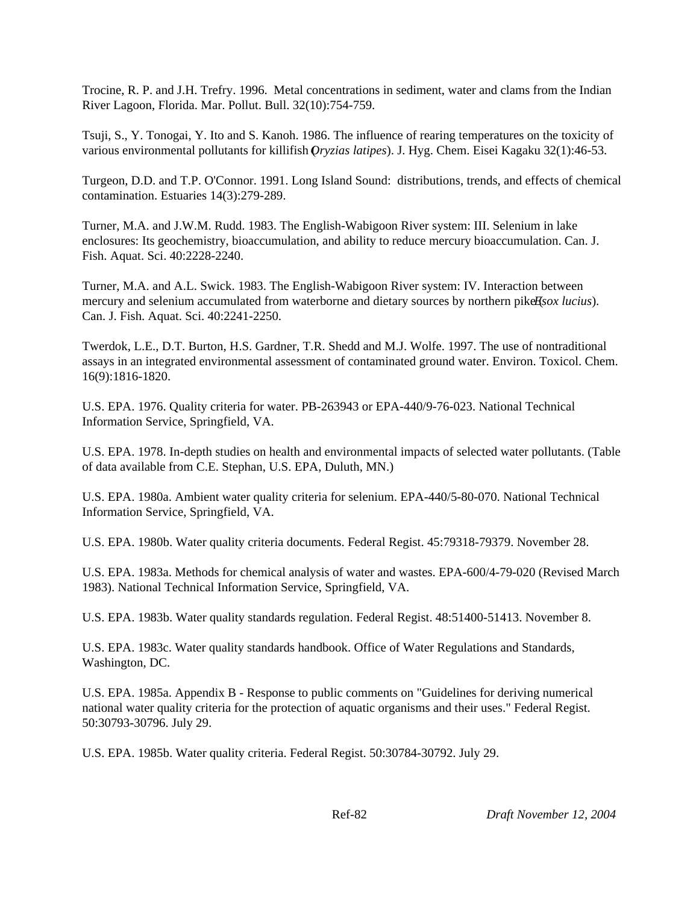Trocine, R. P. and J.H. Trefry. 1996. Metal concentrations in sediment, water and clams from the Indian River Lagoon, Florida. Mar. Pollut. Bull. 32(10):754-759.

Tsuji, S., Y. Tonogai, Y. Ito and S. Kanoh. 1986. The influence of rearing temperatures on the toxicity of various environmental pollutants for killifish (*Oryzias latipes*). J. Hyg. Chem. Eisei Kagaku 32(1):46-53.

Turgeon, D.D. and T.P. O'Connor. 1991. Long Island Sound: distributions, trends, and effects of chemical contamination. Estuaries 14(3):279-289.

Turner, M.A. and J.W.M. Rudd. 1983. The English-Wabigoon River system: III. Selenium in lake enclosures: Its geochemistry, bioaccumulation, and ability to reduce mercury bioaccumulation. Can. J. Fish. Aquat. Sci. 40:2228-2240.

Turner, M.A. and A.L. Swick. 1983. The English-Wabigoon River system: IV. Interaction between mercury and selenium accumulated from waterborne and dietary sources by northern pike  $\mathbf{E}s$ ox *lucius*). Can. J. Fish. Aquat. Sci. 40:2241-2250.

Twerdok, L.E., D.T. Burton, H.S. Gardner, T.R. Shedd and M.J. Wolfe. 1997. The use of nontraditional assays in an integrated environmental assessment of contaminated ground water. Environ. Toxicol. Chem. 16(9):1816-1820.

U.S. EPA. 1976. Quality criteria for water. PB-263943 or EPA-440/9-76-023. National Technical Information Service, Springfield, VA.

U.S. EPA. 1978. In-depth studies on health and environmental impacts of selected water pollutants. (Table of data available from C.E. Stephan, U.S. EPA, Duluth, MN.)

U.S. EPA. 1980a. Ambient water quality criteria for selenium. EPA-440/5-80-070. National Technical Information Service, Springfield, VA.

U.S. EPA. 1980b. Water quality criteria documents. Federal Regist. 45:79318-79379. November 28.

U.S. EPA. 1983a. Methods for chemical analysis of water and wastes. EPA-600/4-79-020 (Revised March 1983). National Technical Information Service, Springfield, VA.

U.S. EPA. 1983b. Water quality standards regulation. Federal Regist. 48:51400-51413. November 8.

U.S. EPA. 1983c. Water quality standards handbook. Office of Water Regulations and Standards, Washington, DC.

U.S. EPA. 1985a. Appendix B - Response to public comments on "Guidelines for deriving numerical national water quality criteria for the protection of aquatic organisms and their uses." Federal Regist. 50:30793-30796. July 29.

U.S. EPA. 1985b. Water quality criteria. Federal Regist. 50:30784-30792. July 29.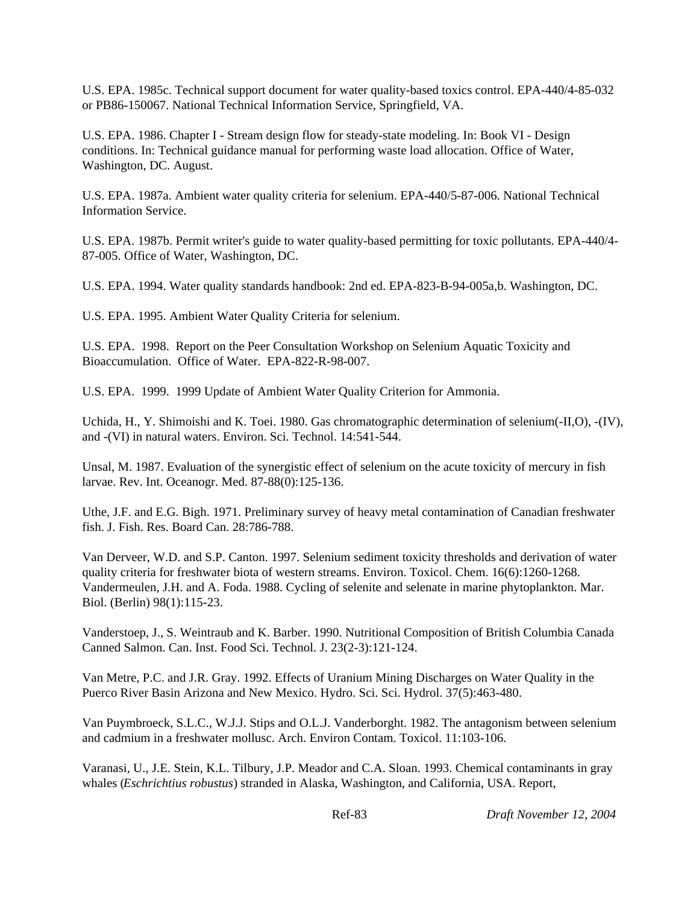U.S. EPA. 1985c. Technical support document for water quality-based toxics control. EPA-440/4-85-032 or PB86-150067. National Technical Information Service, Springfield, VA.

U.S. EPA. 1986. Chapter I - Stream design flow for steady-state modeling. In: Book VI - Design conditions. In: Technical guidance manual for performing waste load allocation. Office of Water, Washington, DC. August.

U.S. EPA. 1987a. Ambient water quality criteria for selenium. EPA-440/5-87-006. National Technical Information Service.

U.S. EPA. 1987b. Permit writer's guide to water quality-based permitting for toxic pollutants. EPA-440/4- 87-005. Office of Water, Washington, DC.

U.S. EPA. 1994. Water quality standards handbook: 2nd ed. EPA-823-B-94-005a,b. Washington, DC.

U.S. EPA. 1995. Ambient Water Quality Criteria for selenium.

U.S. EPA. 1998. Report on the Peer Consultation Workshop on Selenium Aquatic Toxicity and Bioaccumulation. Office of Water. EPA-822-R-98-007.

U.S. EPA. 1999. 1999 Update of Ambient Water Quality Criterion for Ammonia.

Uchida, H., Y. Shimoishi and K. Toei. 1980. Gas chromatographic determination of selenium(-II,O), -(IV), and -(VI) in natural waters. Environ. Sci. Technol. 14:541-544.

Unsal, M. 1987. Evaluation of the synergistic effect of selenium on the acute toxicity of mercury in fish larvae. Rev. Int. Oceanogr. Med. 87-88(0):125-136.

Uthe, J.F. and E.G. Bigh. 1971. Preliminary survey of heavy metal contamination of Canadian freshwater fish. J. Fish. Res. Board Can. 28:786-788.

Van Derveer, W.D. and S.P. Canton. 1997. Selenium sediment toxicity thresholds and derivation of water quality criteria for freshwater biota of western streams. Environ. Toxicol. Chem. 16(6):1260-1268. Vandermeulen, J.H. and A. Foda. 1988. Cycling of selenite and selenate in marine phytoplankton. Mar. Biol. (Berlin) 98(1):115-23.

Vanderstoep, J., S. Weintraub and K. Barber. 1990. Nutritional Composition of British Columbia Canada Canned Salmon. Can. Inst. Food Sci. Technol. J. 23(2-3):121-124.

Van Metre, P.C. and J.R. Gray. 1992. Effects of Uranium Mining Discharges on Water Quality in the Puerco River Basin Arizona and New Mexico. Hydro. Sci. Sci. Hydrol. 37(5):463-480.

Van Puymbroeck, S.L.C., W.J.J. Stips and O.L.J. Vanderborght. 1982. The antagonism between selenium and cadmium in a freshwater mollusc. Arch. Environ Contam. Toxicol. 11:103-106.

Varanasi, U., J.E. Stein, K.L. Tilbury, J.P. Meador and C.A. Sloan. 1993. Chemical contaminants in gray whales (*Eschrichtius robustus*) stranded in Alaska, Washington, and California, USA. Report,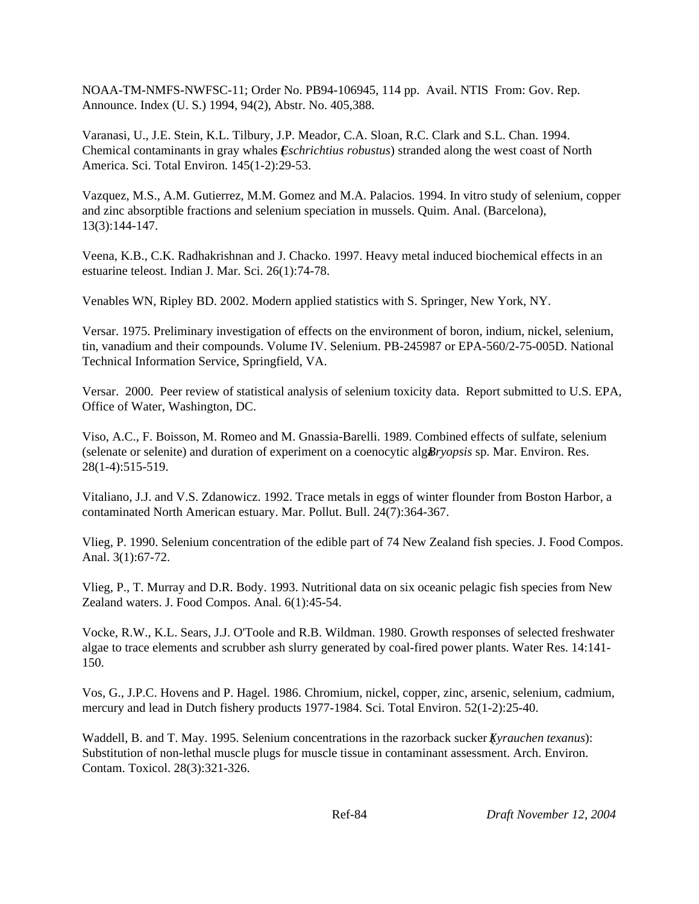NOAA-TM-NMFS-NWFSC-11; Order No. PB94-106945, 114 pp. Avail. NTIS From: Gov. Rep. Announce. Index (U. S.) 1994, 94(2), Abstr. No. 405,388.

Varanasi, U., J.E. Stein, K.L. Tilbury, J.P. Meador, C.A. Sloan, R.C. Clark and S.L. Chan. 1994. Chemical contaminants in gray whales (*Eschrichtius robustus*) stranded along the west coast of North America. Sci. Total Environ. 145(1-2):29-53.

Vazquez, M.S., A.M. Gutierrez, M.M. Gomez and M.A. Palacios. 1994. In vitro study of selenium, copper and zinc absorptible fractions and selenium speciation in mussels. Quim. Anal. (Barcelona), 13(3):144-147.

Veena, K.B., C.K. Radhakrishnan and J. Chacko. 1997. Heavy metal induced biochemical effects in an estuarine teleost. Indian J. Mar. Sci. 26(1):74-78.

Venables WN, Ripley BD. 2002. Modern applied statistics with S. Springer, New York, NY.

Versar. 1975. Preliminary investigation of effects on the environment of boron, indium, nickel, selenium, tin, vanadium and their compounds. Volume IV. Selenium. PB-245987 or EPA-560/2-75-005D. National Technical Information Service, Springfield, VA.

Versar. 2000. Peer review of statistical analysis of selenium toxicity data. Report submitted to U.S. EPA, Office of Water, Washington, DC.

Viso, A.C., F. Boisson, M. Romeo and M. Gnassia-Barelli. 1989. Combined effects of sulfate, selenium (selenate or selenite) and duration of experiment on a coenocytic alg*Bryopsis* sp. Mar. Environ. Res. 28(1-4):515-519.

Vitaliano, J.J. and V.S. Zdanowicz. 1992. Trace metals in eggs of winter flounder from Boston Harbor, a contaminated North American estuary. Mar. Pollut. Bull. 24(7):364-367.

Vlieg, P. 1990. Selenium concentration of the edible part of 74 New Zealand fish species. J. Food Compos. Anal. 3(1):67-72.

Vlieg, P., T. Murray and D.R. Body. 1993. Nutritional data on six oceanic pelagic fish species from New Zealand waters. J. Food Compos. Anal. 6(1):45-54.

Vocke, R.W., K.L. Sears, J.J. O'Toole and R.B. Wildman. 1980. Growth responses of selected freshwater algae to trace elements and scrubber ash slurry generated by coal-fired power plants. Water Res. 14:141- 150.

Vos, G., J.P.C. Hovens and P. Hagel. 1986. Chromium, nickel, copper, zinc, arsenic, selenium, cadmium, mercury and lead in Dutch fishery products 1977-1984. Sci. Total Environ. 52(1-2):25-40.

Waddell, B. and T. May. 1995. Selenium concentrations in the razorback sucker (*Xyrauchen texanus*): Substitution of non-lethal muscle plugs for muscle tissue in contaminant assessment. Arch. Environ. Contam. Toxicol. 28(3):321-326.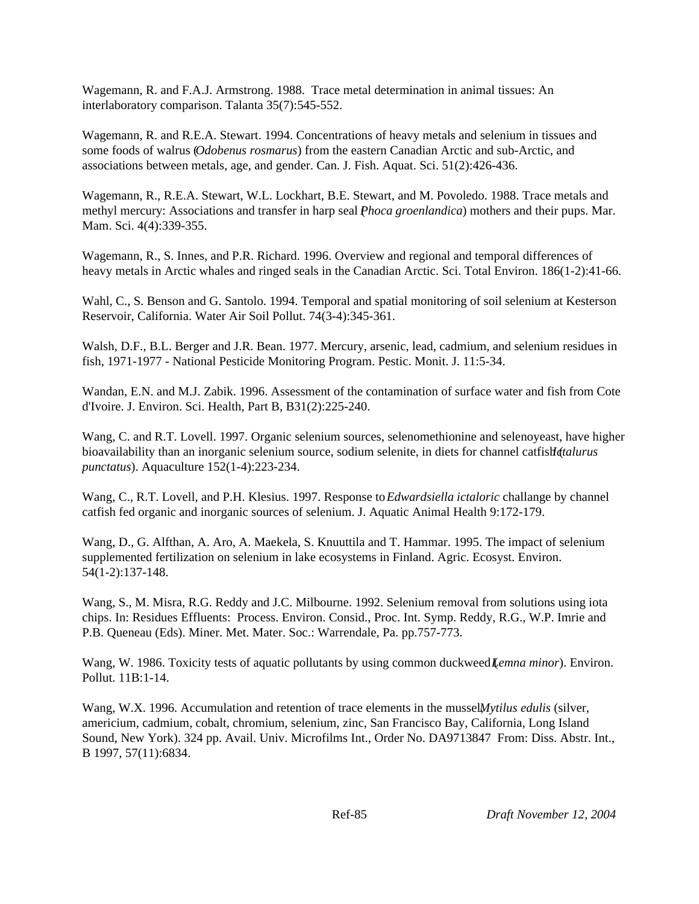Wagemann, R. and F.A.J. Armstrong. 1988. Trace metal determination in animal tissues: An interlaboratory comparison. Talanta 35(7):545-552.

Wagemann, R. and R.E.A. Stewart. 1994. Concentrations of heavy metals and selenium in tissues and some foods of walrus (*Odobenus rosmarus*) from the eastern Canadian Arctic and sub-Arctic, and associations between metals, age, and gender. Can. J. Fish. Aquat. Sci. 51(2):426-436.

Wagemann, R., R.E.A. Stewart, W.L. Lockhart, B.E. Stewart, and M. Povoledo. 1988. Trace metals and methyl mercury: Associations and transfer in harp seal *Phoca groenlandica*) mothers and their pups. Mar. Mam. Sci. 4(4):339-355.

Wagemann, R., S. Innes, and P.R. Richard. 1996. Overview and regional and temporal differences of heavy metals in Arctic whales and ringed seals in the Canadian Arctic. Sci. Total Environ. 186(1-2):41-66.

Wahl, C., S. Benson and G. Santolo. 1994. Temporal and spatial monitoring of soil selenium at Kesterson Reservoir, California. Water Air Soil Pollut. 74(3-4):345-361.

Walsh, D.F., B.L. Berger and J.R. Bean. 1977. Mercury, arsenic, lead, cadmium, and selenium residues in fish, 1971-1977 - National Pesticide Monitoring Program. Pestic. Monit. J. 11:5-34.

Wandan, E.N. and M.J. Zabik. 1996. Assessment of the contamination of surface water and fish from Cote d'Ivoire. J. Environ. Sci. Health, Part B, B31(2):225-240.

Wang, C. and R.T. Lovell. 1997. Organic selenium sources, selenomethionine and selenoyeast, have higher bioavailability than an inorganic selenium source, sodium selenite, in diets for channel catfish *(talurus*) *punctatus*). Aquaculture 152(1-4):223-234.

Wang, C., R.T. Lovell, and P.H. Klesius. 1997. Response to *Edwardsiella ictaloric* challange by channel catfish fed organic and inorganic sources of selenium. J. Aquatic Animal Health 9:172-179.

Wang, D., G. Alfthan, A. Aro, A. Maekela, S. Knuuttila and T. Hammar. 1995. The impact of selenium supplemented fertilization on selenium in lake ecosystems in Finland. Agric. Ecosyst. Environ. 54(1-2):137-148.

Wang, S., M. Misra, R.G. Reddy and J.C. Milbourne. 1992. Selenium removal from solutions using iota chips. In: Residues Effluents: Process. Environ. Consid., Proc. Int. Symp. Reddy, R.G., W.P. Imrie and P.B. Queneau (Eds). Miner. Met. Mater. Soc.: Warrendale, Pa. pp.757-773.

Wang, W. 1986. Toxicity tests of aquatic pollutants by using common duckweed *Lemna minor*). Environ. Pollut. 11B:1-14.

Wang, W.X. 1996. Accumulation and retention of trace elements in the mussel*Mytilus edulis* (silver, americium, cadmium, cobalt, chromium, selenium, zinc, San Francisco Bay, California, Long Island Sound, New York). 324 pp. Avail. Univ. Microfilms Int., Order No. DA9713847 From: Diss. Abstr. Int., B 1997, 57(11):6834.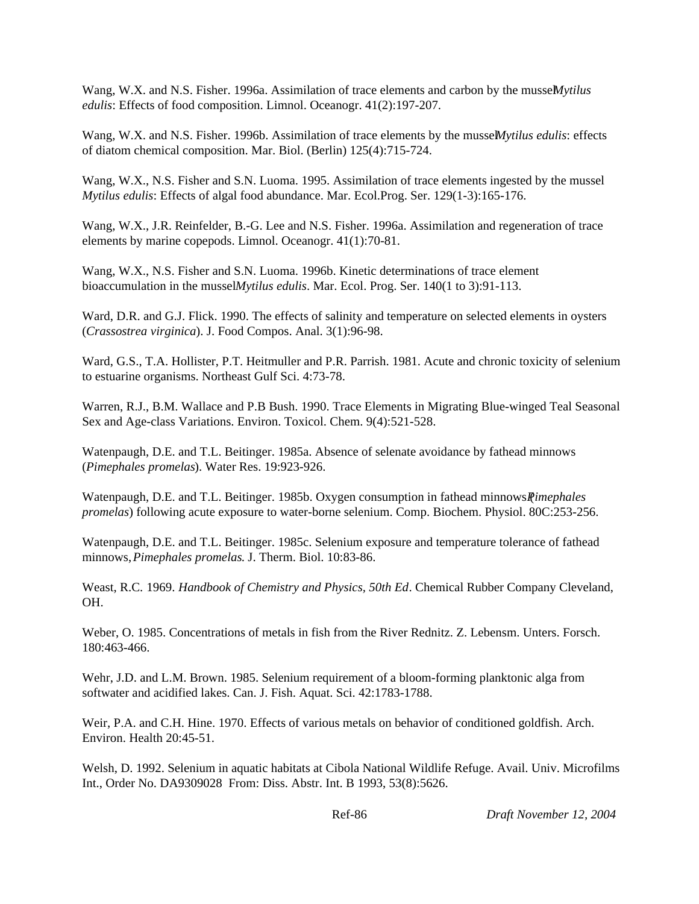Wang, W.X. and N.S. Fisher. 1996a. Assimilation of trace elements and carbon by the musseMytilus *edulis*: Effects of food composition. Limnol. Oceanogr. 41(2):197-207.

Wang, W.X. and N.S. Fisher. 1996b. Assimilation of trace elements by the musseMytilus *edulis*: effects of diatom chemical composition. Mar. Biol. (Berlin) 125(4):715-724.

Wang, W.X., N.S. Fisher and S.N. Luoma. 1995. Assimilation of trace elements ingested by the mussel *Mytilus edulis*: Effects of algal food abundance. Mar. Ecol.Prog. Ser. 129(1-3):165-176.

Wang, W.X., J.R. Reinfelder, B.-G. Lee and N.S. Fisher. 1996a. Assimilation and regeneration of trace elements by marine copepods. Limnol. Oceanogr. 41(1):70-81.

Wang, W.X., N.S. Fisher and S.N. Luoma. 1996b. Kinetic determinations of trace element bioaccumulation in the mussel *Mytilus edulis*. Mar. Ecol. Prog. Ser. 140(1 to 3):91-113.

Ward, D.R. and G.J. Flick. 1990. The effects of salinity and temperature on selected elements in oysters (*Crassostrea virginica*). J. Food Compos. Anal. 3(1):96-98.

Ward, G.S., T.A. Hollister, P.T. Heitmuller and P.R. Parrish. 1981. Acute and chronic toxicity of selenium to estuarine organisms. Northeast Gulf Sci. 4:73-78.

Warren, R.J., B.M. Wallace and P.B Bush. 1990. Trace Elements in Migrating Blue-winged Teal Seasonal Sex and Age-class Variations. Environ. Toxicol. Chem. 9(4):521-528.

Watenpaugh, D.E. and T.L. Beitinger. 1985a. Absence of selenate avoidance by fathead minnows (*Pimephales promelas*). Water Res. 19:923-926.

Watenpaugh, D.E. and T.L. Beitinger. 1985b. Oxygen consumption in fathead minnows *Pimephales promelas*) following acute exposure to water-borne selenium. Comp. Biochem. Physiol. 80C:253-256.

Watenpaugh, D.E. and T.L. Beitinger. 1985c. Selenium exposure and temperature tolerance of fathead minnows, *Pimephales promelas*. J. Therm. Biol. 10:83-86.

Weast, R.C*.* 1969. *Handbook of Chemistry and Physics, 50th Ed*. Chemical Rubber Company Cleveland, OH.

Weber, O. 1985. Concentrations of metals in fish from the River Rednitz. Z. Lebensm. Unters. Forsch. 180:463-466.

Wehr, J.D. and L.M. Brown. 1985. Selenium requirement of a bloom-forming planktonic alga from softwater and acidified lakes. Can. J. Fish. Aquat. Sci. 42:1783-1788.

Weir, P.A. and C.H. Hine. 1970. Effects of various metals on behavior of conditioned goldfish. Arch. Environ. Health 20:45-51.

Welsh, D. 1992. Selenium in aquatic habitats at Cibola National Wildlife Refuge. Avail. Univ. Microfilms Int., Order No. DA9309028 From: Diss. Abstr. Int. B 1993, 53(8):5626.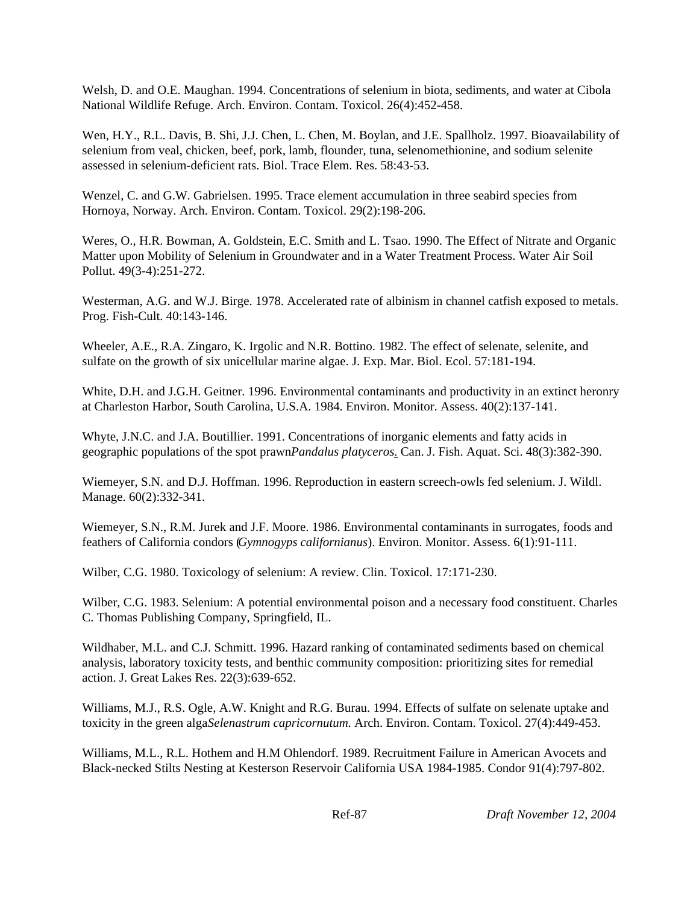Welsh, D. and O.E. Maughan. 1994. Concentrations of selenium in biota, sediments, and water at Cibola National Wildlife Refuge. Arch. Environ. Contam. Toxicol. 26(4):452-458.

Wen, H.Y., R.L. Davis, B. Shi, J.J. Chen, L. Chen, M. Boylan, and J.E. Spallholz. 1997. Bioavailability of selenium from veal, chicken, beef, pork, lamb, flounder, tuna, selenomethionine, and sodium selenite assessed in selenium-deficient rats. Biol. Trace Elem. Res. 58:43-53.

Wenzel, C. and G.W. Gabrielsen. 1995. Trace element accumulation in three seabird species from Hornoya, Norway. Arch. Environ. Contam. Toxicol. 29(2):198-206.

Weres, O., H.R. Bowman, A. Goldstein, E.C. Smith and L. Tsao. 1990. The Effect of Nitrate and Organic Matter upon Mobility of Selenium in Groundwater and in a Water Treatment Process. Water Air Soil Pollut. 49(3-4):251-272.

Westerman, A.G. and W.J. Birge. 1978. Accelerated rate of albinism in channel catfish exposed to metals. Prog. Fish-Cult. 40:143-146.

Wheeler, A.E., R.A. Zingaro, K. Irgolic and N.R. Bottino. 1982. The effect of selenate, selenite, and sulfate on the growth of six unicellular marine algae. J. Exp. Mar. Biol. Ecol. 57:181-194.

White, D.H. and J.G.H. Geitner. 1996. Environmental contaminants and productivity in an extinct heronry at Charleston Harbor, South Carolina, U.S.A. 1984. Environ. Monitor. Assess. 40(2):137-141.

Whyte, J.N.C. and J.A. Boutillier. 1991. Concentrations of inorganic elements and fatty acids in geographic populations of the spot prawn *Pandalus platyceros*. Can. J. Fish. Aquat. Sci. 48(3):382-390.

Wiemeyer, S.N. and D.J. Hoffman. 1996. Reproduction in eastern screech-owls fed selenium. J. Wildl. Manage. 60(2):332-341.

Wiemeyer, S.N., R.M. Jurek and J.F. Moore. 1986. Environmental contaminants in surrogates, foods and feathers of California condors (*Gymnogyps californianus*). Environ. Monitor. Assess. 6(1):91-111.

Wilber, C.G. 1980. Toxicology of selenium: A review. Clin. Toxicol. 17:171-230.

Wilber, C.G. 1983. Selenium: A potential environmental poison and a necessary food constituent. Charles C. Thomas Publishing Company, Springfield, IL.

Wildhaber, M.L. and C.J. Schmitt. 1996. Hazard ranking of contaminated sediments based on chemical analysis, laboratory toxicity tests, and benthic community composition: prioritizing sites for remedial action. J. Great Lakes Res. 22(3):639-652.

Williams, M.J., R.S. Ogle, A.W. Knight and R.G. Burau. 1994. Effects of sulfate on selenate uptake and toxicity in the green alga *Selenastrum capricornutum*. Arch. Environ. Contam. Toxicol. 27(4):449-453.

Williams, M.L., R.L. Hothem and H.M Ohlendorf. 1989. Recruitment Failure in American Avocets and Black-necked Stilts Nesting at Kesterson Reservoir California USA 1984-1985. Condor 91(4):797-802.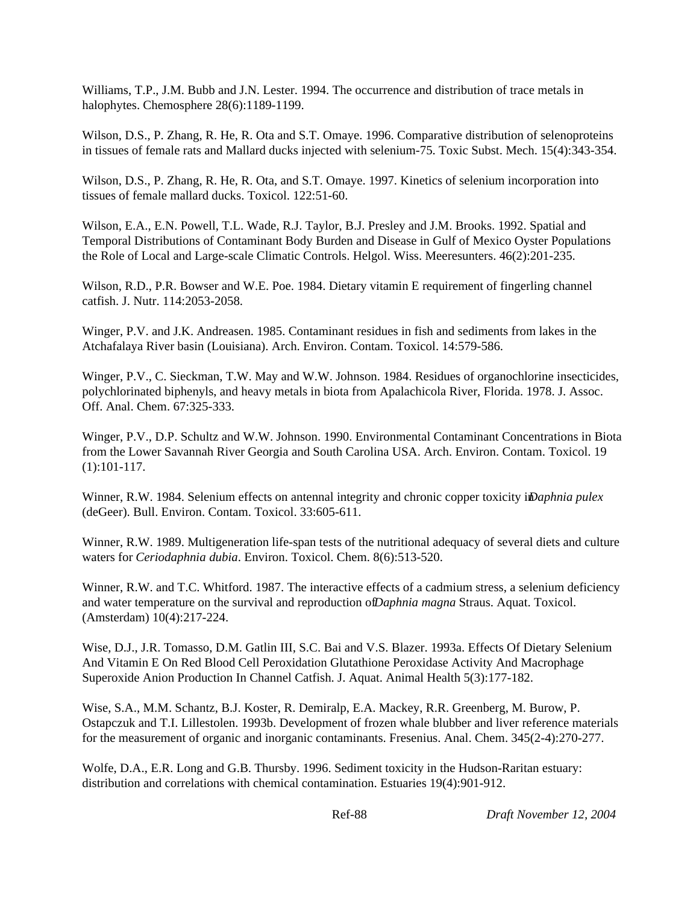Williams, T.P., J.M. Bubb and J.N. Lester. 1994. The occurrence and distribution of trace metals in halophytes. Chemosphere 28(6):1189-1199.

Wilson, D.S., P. Zhang, R. He, R. Ota and S.T. Omaye. 1996. Comparative distribution of selenoproteins in tissues of female rats and Mallard ducks injected with selenium-75. Toxic Subst. Mech. 15(4):343-354.

Wilson, D.S., P. Zhang, R. He, R. Ota, and S.T. Omaye. 1997. Kinetics of selenium incorporation into tissues of female mallard ducks. Toxicol. 122:51-60.

Wilson, E.A., E.N. Powell, T.L. Wade, R.J. Taylor, B.J. Presley and J.M. Brooks. 1992. Spatial and Temporal Distributions of Contaminant Body Burden and Disease in Gulf of Mexico Oyster Populations the Role of Local and Large-scale Climatic Controls. Helgol. Wiss. Meeresunters. 46(2):201-235.

Wilson, R.D., P.R. Bowser and W.E. Poe. 1984. Dietary vitamin E requirement of fingerling channel catfish. J. Nutr. 114:2053-2058.

Winger, P.V. and J.K. Andreasen. 1985. Contaminant residues in fish and sediments from lakes in the Atchafalaya River basin (Louisiana). Arch. Environ. Contam. Toxicol. 14:579-586.

Winger, P.V., C. Sieckman, T.W. May and W.W. Johnson. 1984. Residues of organochlorine insecticides, polychlorinated biphenyls, and heavy metals in biota from Apalachicola River, Florida. 1978. J. Assoc. Off. Anal. Chem. 67:325-333.

Winger, P.V., D.P. Schultz and W.W. Johnson. 1990. Environmental Contaminant Concentrations in Biota from the Lower Savannah River Georgia and South Carolina USA. Arch. Environ. Contam. Toxicol. 19 (1):101-117.

Winner, R.W. 1984. Selenium effects on antennal integrity and chronic copper toxicity *in Daphnia pulex* (deGeer). Bull. Environ. Contam. Toxicol. 33:605-611.

Winner, R.W. 1989. Multigeneration life-span tests of the nutritional adequacy of several diets and culture waters for *Ceriodaphnia dubia*. Environ. Toxicol. Chem. 8(6):513-520.

Winner, R.W. and T.C. Whitford. 1987. The interactive effects of a cadmium stress, a selenium deficiency and water temperature on the survival and reproduction of *Daphnia magna* Straus. Aquat. Toxicol. (Amsterdam) 10(4):217-224.

Wise, D.J., J.R. Tomasso, D.M. Gatlin III, S.C. Bai and V.S. Blazer. 1993a. Effects Of Dietary Selenium And Vitamin E On Red Blood Cell Peroxidation Glutathione Peroxidase Activity And Macrophage Superoxide Anion Production In Channel Catfish. J. Aquat. Animal Health 5(3):177-182.

Wise, S.A., M.M. Schantz, B.J. Koster, R. Demiralp, E.A. Mackey, R.R. Greenberg, M. Burow, P. Ostapczuk and T.I. Lillestolen. 1993b. Development of frozen whale blubber and liver reference materials for the measurement of organic and inorganic contaminants. Fresenius. Anal. Chem. 345(2-4):270-277.

Wolfe, D.A., E.R. Long and G.B. Thursby. 1996. Sediment toxicity in the Hudson-Raritan estuary: distribution and correlations with chemical contamination. Estuaries 19(4):901-912.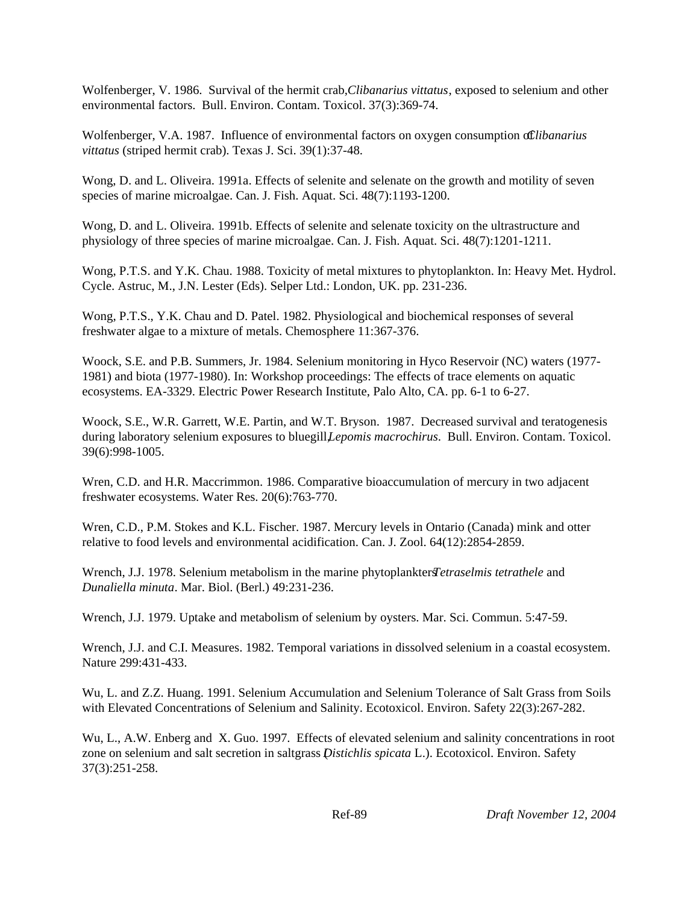Wolfenberger, V. 1986. Survival of the hermit crab, *Clibanarius vittatus*, exposed to selenium and other environmental factors. Bull. Environ. Contam. Toxicol. 37(3):369-74.

Wolfenberger, V.A. 1987. Influence of environmental factors on oxygen consumption of *Clibanarius vittatus* (striped hermit crab). Texas J. Sci. 39(1):37-48.

Wong, D. and L. Oliveira. 1991a. Effects of selenite and selenate on the growth and motility of seven species of marine microalgae. Can. J. Fish. Aquat. Sci. 48(7):1193-1200.

Wong, D. and L. Oliveira. 1991b. Effects of selenite and selenate toxicity on the ultrastructure and physiology of three species of marine microalgae. Can. J. Fish. Aquat. Sci. 48(7):1201-1211.

Wong, P.T.S. and Y.K. Chau. 1988. Toxicity of metal mixtures to phytoplankton. In: Heavy Met. Hydrol. Cycle. Astruc, M., J.N. Lester (Eds). Selper Ltd.: London, UK. pp. 231-236.

Wong, P.T.S., Y.K. Chau and D. Patel. 1982. Physiological and biochemical responses of several freshwater algae to a mixture of metals. Chemosphere 11:367-376.

Woock, S.E. and P.B. Summers, Jr. 1984. Selenium monitoring in Hyco Reservoir (NC) waters (1977- 1981) and biota (1977-1980). In: Workshop proceedings: The effects of trace elements on aquatic ecosystems. EA-3329. Electric Power Research Institute, Palo Alto, CA. pp. 6-1 to 6-27.

Woock, S.E., W.R. Garrett, W.E. Partin, and W.T. Bryson. 1987. Decreased survival and teratogenesis during laboratory selenium exposures to bluegill *Lepomis macrochirus*. Bull. Environ. Contam. Toxicol. 39(6):998-1005.

Wren, C.D. and H.R. Maccrimmon. 1986. Comparative bioaccumulation of mercury in two adjacent freshwater ecosystems. Water Res. 20(6):763-770.

Wren, C.D., P.M. Stokes and K.L. Fischer. 1987. Mercury levels in Ontario (Canada) mink and otter relative to food levels and environmental acidification. Can. J. Zool. 64(12):2854-2859.

Wrench, J.J. 1978. Selenium metabolism in the marine phytoplankters *Tetraselmis tetrathele* and *Dunaliella minuta*. Mar. Biol. (Berl.) 49:231-236.

Wrench, J.J. 1979. Uptake and metabolism of selenium by oysters. Mar. Sci. Commun. 5:47-59.

Wrench, J.J. and C.I. Measures. 1982. Temporal variations in dissolved selenium in a coastal ecosystem. Nature 299:431-433.

Wu, L. and Z.Z. Huang. 1991. Selenium Accumulation and Selenium Tolerance of Salt Grass from Soils with Elevated Concentrations of Selenium and Salinity. Ecotoxicol. Environ. Safety 22(3):267-282.

Wu, L., A.W. Enberg and X. Guo. 1997. Effects of elevated selenium and salinity concentrations in root zone on selenium and salt secretion in saltgrass (*Distichlis spicata* L.). Ecotoxicol. Environ. Safety 37(3):251-258.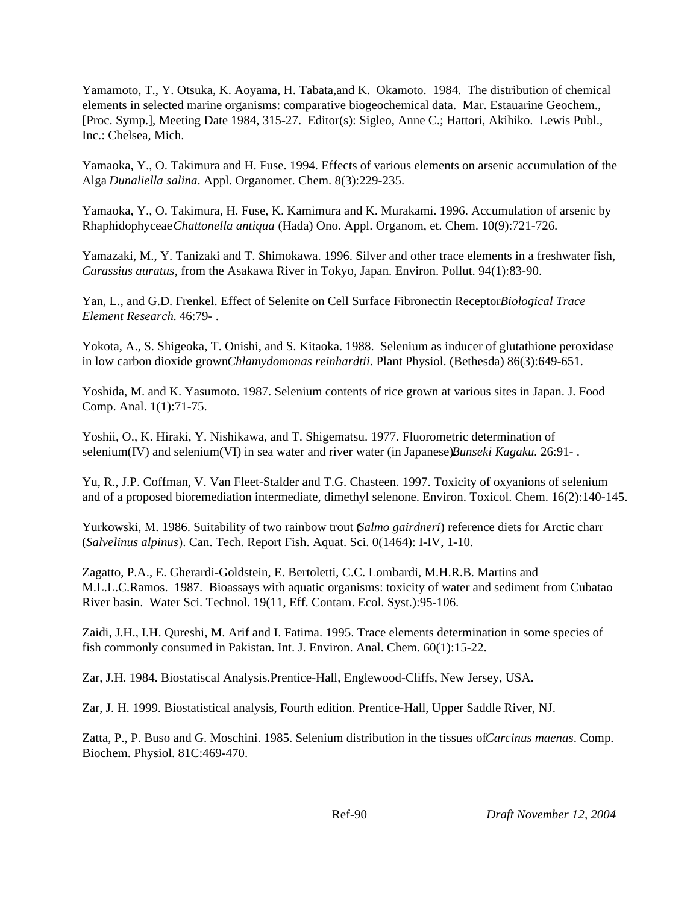Yamamoto, T., Y. Otsuka, K. Aoyama, H. Tabata,and K. Okamoto. 1984. The distribution of chemical elements in selected marine organisms: comparative biogeochemical data. Mar. Estauarine Geochem., [Proc. Symp.], Meeting Date 1984, 315-27. Editor(s): Sigleo, Anne C.; Hattori, Akihiko. Lewis Publ., Inc.: Chelsea, Mich.

Yamaoka, Y., O. Takimura and H. Fuse. 1994. Effects of various elements on arsenic accumulation of the Alga *Dunaliella salina*. Appl. Organomet. Chem. 8(3):229-235.

Yamaoka, Y., O. Takimura, H. Fuse, K. Kamimura and K. Murakami. 1996. Accumulation of arsenic by Rhaphidophyceae *Chattonella antiqua* (Hada) Ono. Appl. Organom, et. Chem. 10(9):721-726.

Yamazaki, M., Y. Tanizaki and T. Shimokawa. 1996. Silver and other trace elements in a freshwater fish, *Carassius auratus*, from the Asakawa River in Tokyo, Japan. Environ. Pollut. 94(1):83-90.

Yan, L., and G.D. Frenkel. Effect of Selenite on Cell Surface Fibronectin Receptor*Biological Trace Element Research.* 46:79- .

Yokota, A., S. Shigeoka, T. Onishi, and S. Kitaoka. 1988. Selenium as inducer of glutathione peroxidase in low carbon dioxide grown *Chlamydomonas reinhardtii*. Plant Physiol. (Bethesda) 86(3):649-651.

Yoshida, M. and K. Yasumoto. 1987. Selenium contents of rice grown at various sites in Japan. J. Food Comp. Anal. 1(1):71-75.

Yoshii, O., K. Hiraki, Y. Nishikawa, and T. Shigematsu. 1977. Fluorometric determination of selenium(IV) and selenium(VI) in sea water and river water (in Japanese)*Bunseki Kagaku.* 26:91-.

Yu, R., J.P. Coffman, V. Van Fleet-Stalder and T.G. Chasteen. 1997. Toxicity of oxyanions of selenium and of a proposed bioremediation intermediate, dimethyl selenone. Environ. Toxicol. Chem. 16(2):140-145.

Yurkowski, M. 1986. Suitability of two rainbow trout (*Salmo gairdneri*) reference diets for Arctic charr (*Salvelinus alpinus*). Can. Tech. Report Fish. Aquat. Sci. 0(1464): I-IV, 1-10.

Zagatto, P.A., E. Gherardi-Goldstein, E. Bertoletti, C.C. Lombardi, M.H.R.B. Martins and M.L.L.C.Ramos. 1987. Bioassays with aquatic organisms: toxicity of water and sediment from Cubatao River basin. Water Sci. Technol. 19(11, Eff. Contam. Ecol. Syst.):95-106.

Zaidi, J.H., I.H. Qureshi, M. Arif and I. Fatima. 1995. Trace elements determination in some species of fish commonly consumed in Pakistan. Int. J. Environ. Anal. Chem. 60(1):15-22.

Zar, J.H. 1984. Biostatiscal Analysis.Prentice-Hall, Englewood-Cliffs, New Jersey, USA.

Zar, J. H. 1999. Biostatistical analysis, Fourth edition. Prentice-Hall, Upper Saddle River, NJ.

Zatta, P., P. Buso and G. Moschini. 1985. Selenium distribution in the tissues of *Carcinus maenas*. Comp. Biochem. Physiol. 81C:469-470.